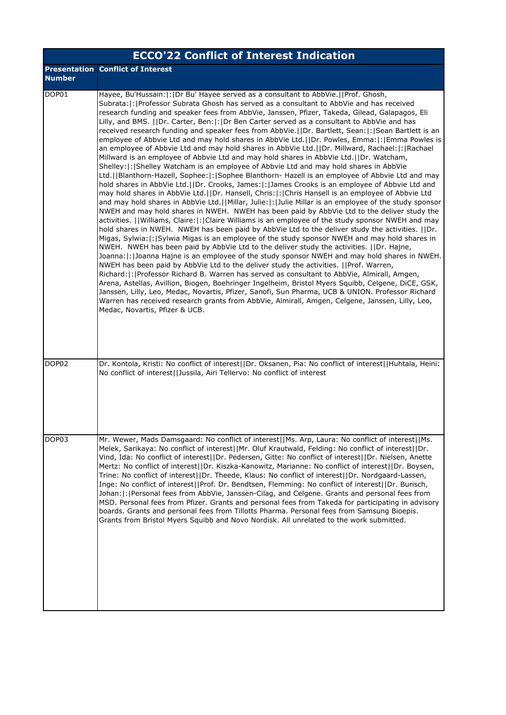|                   | <b>ECCO'22 Conflict of Interest Indication</b>                                                                                                                                                                                                                                                                                                                                                                                                                                                                                                                                                                                                                                                                                                                                                                                                                                                                                                                                                                                                                                                                                                                                                                                                                                                                                                                                                                                                                                                                                                                                                                                                                                                                                                                                                                                                                                                                                                                                                                                                                                                                                                                                                                                                                                                                                                                                                                                                                          |
|-------------------|-------------------------------------------------------------------------------------------------------------------------------------------------------------------------------------------------------------------------------------------------------------------------------------------------------------------------------------------------------------------------------------------------------------------------------------------------------------------------------------------------------------------------------------------------------------------------------------------------------------------------------------------------------------------------------------------------------------------------------------------------------------------------------------------------------------------------------------------------------------------------------------------------------------------------------------------------------------------------------------------------------------------------------------------------------------------------------------------------------------------------------------------------------------------------------------------------------------------------------------------------------------------------------------------------------------------------------------------------------------------------------------------------------------------------------------------------------------------------------------------------------------------------------------------------------------------------------------------------------------------------------------------------------------------------------------------------------------------------------------------------------------------------------------------------------------------------------------------------------------------------------------------------------------------------------------------------------------------------------------------------------------------------------------------------------------------------------------------------------------------------------------------------------------------------------------------------------------------------------------------------------------------------------------------------------------------------------------------------------------------------------------------------------------------------------------------------------------------------|
| <b>Number</b>     | <b>Presentation Conflict of Interest</b>                                                                                                                                                                                                                                                                                                                                                                                                                                                                                                                                                                                                                                                                                                                                                                                                                                                                                                                                                                                                                                                                                                                                                                                                                                                                                                                                                                                                                                                                                                                                                                                                                                                                                                                                                                                                                                                                                                                                                                                                                                                                                                                                                                                                                                                                                                                                                                                                                                |
| DOP01             | Hayee, Bu'Hussain:  :  Dr Bu' Hayee served as a consultant to AbbVie.   Prof. Ghosh,<br>Subrata:  :   Professor Subrata Ghosh has served as a consultant to AbbVie and has received<br>research funding and speaker fees from AbbVie, Janssen, Pfizer, Takeda, Gilead, Galapagos, Eli<br>Lilly, and BMS.   Dr. Carter, Ben: : Dr Ben Carter served as a consultant to AbbVie and has<br>received research funding and speaker fees from AbbVie. (IDr. Bartlett, Sean:  : Sean Bartlett is an<br>employee of Abbvie Ltd and may hold shares in AbbVie Ltd.  Dr. Powles, Emma: : Emma Powles is<br>an employee of Abbvie Ltd and may hold shares in AbbVie Ltd.  Dr. Millward, Rachael: : Rachael<br>Millward is an employee of Abbvie Ltd and may hold shares in AbbVie Ltd.  Dr. Watcham,<br>Shelley:  :   Shelley Watcham is an employee of Abbvie Ltd and may hold shares in AbbVie<br>Ltd.   Blanthorn-Hazell, Sophee:  :   Sophee Blanthorn- Hazell is an employee of Abbvie Ltd and may<br>hold shares in AbbVie Ltd.  Dr. Crooks, James: : James Crooks is an employee of Abbvie Ltd and<br>may hold shares in AbbVie Ltd.   Dr. Hansell, Chris:   :   Chris Hansell is an employee of Abbvie Ltd<br>and may hold shares in AbbVie Ltd.  Millar, Julie: : Julie Millar is an employee of the study sponsor<br>NWEH and may hold shares in NWEH. NWEH has been paid by AbbVie Ltd to the deliver study the<br>activities. I Williams, Claire:  :   Claire Williams is an employee of the study sponsor NWEH and may<br>hold shares in NWEH. NWEH has been paid by AbbVie Ltd to the deliver study the activities.   Dr.<br>Migas, Sylwia:   : Sylwia Migas is an employee of the study sponsor NWEH and may hold shares in<br>NWEH. NWEH has been paid by AbbVie Ltd to the deliver study the activities. IDr. Hajne,<br>Joanna:  :  Joanna Hajne is an employee of the study sponsor NWEH and may hold shares in NWEH.<br>NWEH has been paid by AbbVie Ltd to the deliver study the activities. I (Prof. Warren,<br>Richard:  :   Professor Richard B. Warren has served as consultant to AbbVie, Almirall, Amgen,<br>Arena, Astellas, Avillion, Biogen, Boehringer Ingelheim, Bristol Myers Squibb, Celgene, DiCE, GSK,<br>Janssen, Lilly, Leo, Medac, Novartis, Pfizer, Sanofi, Sun Pharma, UCB & UNION. Professor Richard<br>Warren has received research grants from AbbVie, Almirall, Amgen, Celgene, Janssen, Lilly, Leo,<br>Medac, Novartis, Pfizer & UCB. |
| DOP <sub>02</sub> | Dr. Kontola, Kristi: No conflict of interest  Dr. Oksanen, Pia: No conflict of interest  Huhtala, Heini:<br>No conflict of interest  Jussila, Airi Tellervo: No conflict of interest                                                                                                                                                                                                                                                                                                                                                                                                                                                                                                                                                                                                                                                                                                                                                                                                                                                                                                                                                                                                                                                                                                                                                                                                                                                                                                                                                                                                                                                                                                                                                                                                                                                                                                                                                                                                                                                                                                                                                                                                                                                                                                                                                                                                                                                                                    |
| DOP03             | Mr. Wewer, Mads Damsgaard: No conflict of interest  Ms. Arp, Laura: No conflict of interest  Ms.<br>Melek, Sarikaya: No conflict of interest  Mr. Oluf Krautwald, Felding: No conflict of interest  Dr.<br>Vind, Ida: No conflict of interest  Dr. Pedersen, Gitte: No conflict of interest  Dr. Nielsen, Anette<br>Mertz: No conflict of interest  Dr. Kiszka-Kanowitz, Marianne: No conflict of interest  Dr. Boysen,<br>Trine: No conflict of interest  Dr. Theede, Klaus: No conflict of interest  Dr. Nordgaard-Lassen,<br>Inge: No conflict of interest  Prof. Dr. Bendtsen, Flemming: No conflict of interest  Dr. Burisch,<br>Johan:  :   Personal fees from AbbVie, Janssen-Cilag, and Celgene. Grants and personal fees from<br>MSD. Personal fees from Pfizer. Grants and personal fees from Takeda for participating in advisory<br>boards. Grants and personal fees from Tillotts Pharma. Personal fees from Samsung Bioepis.<br>Grants from Bristol Myers Squibb and Novo Nordisk. All unrelated to the work submitted.                                                                                                                                                                                                                                                                                                                                                                                                                                                                                                                                                                                                                                                                                                                                                                                                                                                                                                                                                                                                                                                                                                                                                                                                                                                                                                                                                                                                                                   |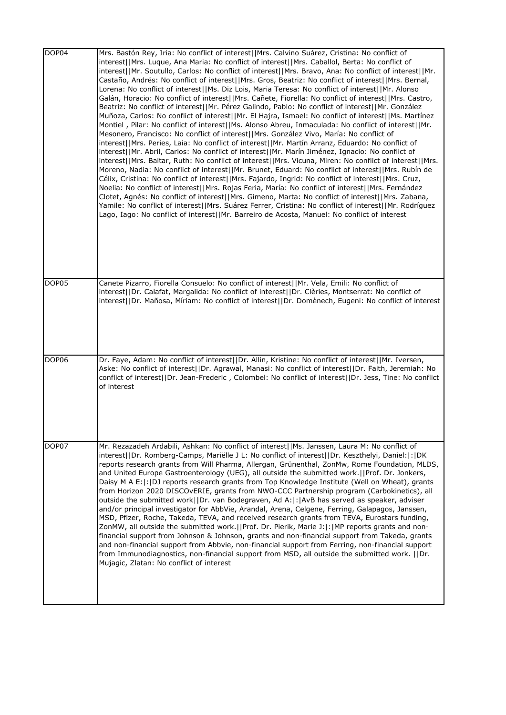| DOP04 | Mrs. Bastón Rey, Iria: No conflict of interest  Mrs. Calvino Suárez, Cristina: No conflict of<br>interest  Mrs. Luque, Ana Maria: No conflict of interest  Mrs. Caballol, Berta: No conflict of<br>interest  Mr. Soutullo, Carlos: No conflict of interest  Mrs. Bravo, Ana: No conflict of interest  Mr.<br>Castaño, Andrés: No conflict of interest  Mrs. Gros, Beatriz: No conflict of interest  Mrs. Bernal,<br>Lorena: No conflict of interest  Ms. Diz Lois, Maria Teresa: No conflict of interest  Mr. Alonso<br>Galán, Horacio: No conflict of interest  Mrs. Cañete, Fiorella: No conflict of interest  Mrs. Castro,<br>Beatriz: No conflict of interest  Mr. Pérez Galindo, Pablo: No conflict of interest  Mr. González<br>Muñoza, Carlos: No conflict of interest  Mr. El Hajra, Ismael: No conflict of interest  Ms. Martínez<br>Montiel, Pilar: No conflict of interest  Ms. Alonso Abreu, Inmaculada: No conflict of interest  Mr.<br>Mesonero, Francisco: No conflict of interest  Mrs. González Vivo, María: No conflict of<br>interest  Mrs. Peries, Laia: No conflict of interest  Mr. Martín Arranz, Eduardo: No conflict of<br>interest  Mr. Abril, Carlos: No conflict of interest  Mr. Marín Jiménez, Ignacio: No conflict of<br>interest  Mrs. Baltar, Ruth: No conflict of interest  Mrs. Vicuna, Miren: No conflict of interest  Mrs.<br>Moreno, Nadia: No conflict of interest  Mr. Brunet, Eduard: No conflict of interest  Mrs. Rubín de<br>Célix, Cristina: No conflict of interest  Mrs. Fajardo, Ingrid: No conflict of interest  Mrs. Cruz,<br>Noelia: No conflict of interest  Mrs. Rojas Feria, María: No conflict of interest  Mrs. Fernández<br>Clotet, Agnés: No conflict of interest  Mrs. Gimeno, Marta: No conflict of interest  Mrs. Zabana,<br>Yamile: No conflict of interest  Mrs. Suárez Ferrer, Cristina: No conflict of interest  Mr. Rodríguez<br>Lago, Iago: No conflict of interest  Mr. Barreiro de Acosta, Manuel: No conflict of interest |
|-------|-------------------------------------------------------------------------------------------------------------------------------------------------------------------------------------------------------------------------------------------------------------------------------------------------------------------------------------------------------------------------------------------------------------------------------------------------------------------------------------------------------------------------------------------------------------------------------------------------------------------------------------------------------------------------------------------------------------------------------------------------------------------------------------------------------------------------------------------------------------------------------------------------------------------------------------------------------------------------------------------------------------------------------------------------------------------------------------------------------------------------------------------------------------------------------------------------------------------------------------------------------------------------------------------------------------------------------------------------------------------------------------------------------------------------------------------------------------------------------------------------------------------------------------------------------------------------------------------------------------------------------------------------------------------------------------------------------------------------------------------------------------------------------------------------------------------------------------------------------------------------------------------------------------------------------------------------------------------------------------------------|
| DOP05 | Canete Pizarro, Fiorella Consuelo: No conflict of interest  Mr. Vela, Emili: No conflict of<br>interest  Dr. Calafat, Margalida: No conflict of interest  Dr. Clèries, Montserrat: No conflict of<br>interest  Dr. Mañosa, Míriam: No conflict of interest  Dr. Domènech, Eugeni: No conflict of interest                                                                                                                                                                                                                                                                                                                                                                                                                                                                                                                                                                                                                                                                                                                                                                                                                                                                                                                                                                                                                                                                                                                                                                                                                                                                                                                                                                                                                                                                                                                                                                                                                                                                                       |
| DOP06 | Dr. Faye, Adam: No conflict of interest  Dr. Allin, Kristine: No conflict of interest  Mr. Iversen,<br>Aske: No conflict of interest  Dr. Agrawal, Manasi: No conflict of interest  Dr. Faith, Jeremiah: No<br>conflict of interest  Dr. Jean-Frederic, Colombel: No conflict of interest  Dr. Jess, Tine: No conflict<br>of interest                                                                                                                                                                                                                                                                                                                                                                                                                                                                                                                                                                                                                                                                                                                                                                                                                                                                                                                                                                                                                                                                                                                                                                                                                                                                                                                                                                                                                                                                                                                                                                                                                                                           |
| DOP07 | Mr. Rezazadeh Ardabili, Ashkan: No conflict of interest  Ms. Janssen, Laura M: No conflict of<br>interest  Dr. Romberg-Camps, Mariëlle J L: No conflict of interest  Dr. Keszthelyi, Daniel: : DK<br>reports research grants from Will Pharma, Allergan, Grünenthal, ZonMw, Rome Foundation, MLDS,<br>and United Europe Gastroenterology (UEG), all outside the submitted work.   Prof. Dr. Jonkers,<br>Daisy M A E:  :  DJ reports research grants from Top Knowledge Institute (Well on Wheat), grants<br>from Horizon 2020 DISCOvERIE, grants from NWO-CCC Partnership program (Carbokinetics), all<br>outside the submitted work  Dr. van Bodegraven, Ad A: :  AvB has served as speaker, adviser<br>and/or principal investigator for AbbVie, Arandal, Arena, Celgene, Ferring, Galapagos, Janssen,<br>MSD, Pfizer, Roche, Takeda, TEVA, and received research grants from TEVA, Eurostars funding,<br>ZonMW, all outside the submitted work.     Prof. Dr. Pierik, Marie J:   :   MP reports grants and non-<br>financial support from Johnson & Johnson, grants and non-financial support from Takeda, grants<br>and non-financial support from Abbvie, non-financial support from Ferring, non-financial support<br>from Immunodiagnostics, non-financial support from MSD, all outside the submitted work. [[Dr.<br>Mujagic, Zlatan: No conflict of interest                                                                                                                                                                                                                                                                                                                                                                                                                                                                                                                                                                                                                           |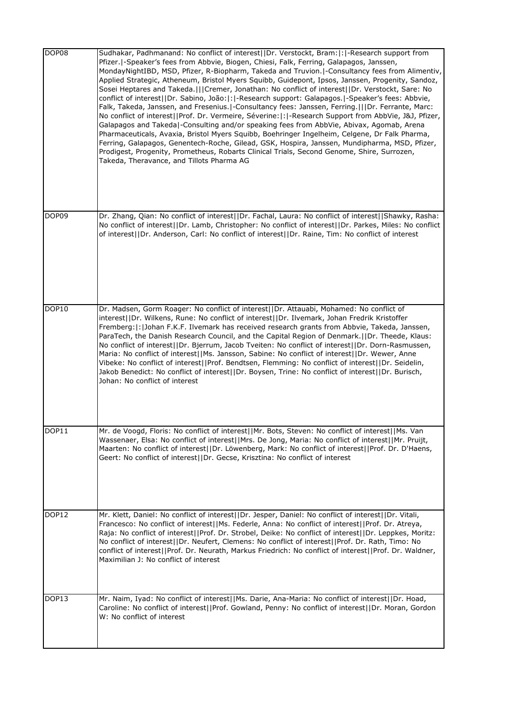| DOP08 | Sudhakar, Padhmanand: No conflict of interest  Dr. Verstockt, Bram: : -Research support from<br>Pfizer.  -Speaker's fees from Abbvie, Biogen, Chiesi, Falk, Ferring, Galapagos, Janssen,<br>MondayNightIBD, MSD, Pfizer, R-Biopharm, Takeda and Truvion. -Consultancy fees from Alimentiv,<br>Applied Strategic, Atheneum, Bristol Myers Squibb, Guidepont, Ipsos, Janssen, Progenity, Sandoz,<br>Sosei Heptares and Takeda.    Cremer, Jonathan: No conflict of interest  Dr. Verstockt, Sare: No<br>conflict of interest  Dr. Sabino, João: : -Research support: Galapagos. -Speaker's fees: Abbvie,<br>Falk, Takeda, Janssen, and Fresenius.  -Consultancy fees: Janssen, Ferring.      Dr. Ferrante, Marc:<br>No conflict of interest  Prof. Dr. Vermeire, Séverine: : -Research Support from AbbVie, J&J, Pfizer,<br>Galapagos and Takeda -Consulting and/or speaking fees from AbbVie, Abivax, Agomab, Arena<br>Pharmaceuticals, Avaxia, Bristol Myers Squibb, Boehringer Ingelheim, Celgene, Dr Falk Pharma,<br>Ferring, Galapagos, Genentech-Roche, Gilead, GSK, Hospira, Janssen, Mundipharma, MSD, Pfizer,<br>Prodigest, Progenity, Prometheus, Robarts Clinical Trials, Second Genome, Shire, Surrozen,<br>Takeda, Theravance, and Tillots Pharma AG |
|-------|-----------------------------------------------------------------------------------------------------------------------------------------------------------------------------------------------------------------------------------------------------------------------------------------------------------------------------------------------------------------------------------------------------------------------------------------------------------------------------------------------------------------------------------------------------------------------------------------------------------------------------------------------------------------------------------------------------------------------------------------------------------------------------------------------------------------------------------------------------------------------------------------------------------------------------------------------------------------------------------------------------------------------------------------------------------------------------------------------------------------------------------------------------------------------------------------------------------------------------------------------------------------|
| DOP09 | Dr. Zhang, Qian: No conflict of interest  Dr. Fachal, Laura: No conflict of interest  Shawky, Rasha:<br>No conflict of interest  Dr. Lamb, Christopher: No conflict of interest  Dr. Parkes, Miles: No conflict<br>of interest  Dr. Anderson, Carl: No conflict of interest  Dr. Raine, Tim: No conflict of interest                                                                                                                                                                                                                                                                                                                                                                                                                                                                                                                                                                                                                                                                                                                                                                                                                                                                                                                                            |
| DOP10 | Dr. Madsen, Gorm Roager: No conflict of interest  Dr. Attauabi, Mohamed: No conflict of<br>interest  Dr. Wilkens, Rune: No conflict of interest  Dr. Ilvemark, Johan Fredrik Kristoffer<br>Fremberg:  :  Johan F.K.F. Ilvemark has received research grants from Abbvie, Takeda, Janssen,<br>ParaTech, the Danish Research Council, and the Capital Region of Denmark.  Dr. Theede, Klaus:<br>No conflict of interest  Dr. Bjerrum, Jacob Tveiten: No conflict of interest  Dr. Dorn-Rasmussen,<br>Maria: No conflict of interest  Ms. Jansson, Sabine: No conflict of interest  Dr. Wewer, Anne<br>Vibeke: No conflict of interest  Prof. Bendtsen, Flemming: No conflict of interest  Dr. Seidelin,<br>Jakob Benedict: No conflict of interest  Dr. Boysen, Trine: No conflict of interest  Dr. Burisch,<br>Johan: No conflict of interest                                                                                                                                                                                                                                                                                                                                                                                                                    |
| DOP11 | Mr. de Voogd, Floris: No conflict of interest  Mr. Bots, Steven: No conflict of interest  Ms. Van<br>Wassenaer, Elsa: No conflict of interest  Mrs. De Jong, Maria: No conflict of interest  Mr. Pruijt,<br>Maarten: No conflict of interest  Dr. Löwenberg, Mark: No conflict of interest  Prof. Dr. D'Haens,<br>Geert: No conflict of interest  Dr. Gecse, Krisztina: No conflict of interest                                                                                                                                                                                                                                                                                                                                                                                                                                                                                                                                                                                                                                                                                                                                                                                                                                                                 |
| DOP12 | Mr. Klett, Daniel: No conflict of interest  Dr. Jesper, Daniel: No conflict of interest  Dr. Vitali,<br>Francesco: No conflict of interest  Ms. Federle, Anna: No conflict of interest  Prof. Dr. Atreya,<br>Raja: No conflict of interest  Prof. Dr. Strobel, Deike: No conflict of interest  Dr. Leppkes, Moritz:<br>No conflict of interest  Dr. Neufert, Clemens: No conflict of interest  Prof. Dr. Rath, Timo: No<br>conflict of interest  Prof. Dr. Neurath, Markus Friedrich: No conflict of interest  Prof. Dr. Waldner,<br>Maximilian J: No conflict of interest                                                                                                                                                                                                                                                                                                                                                                                                                                                                                                                                                                                                                                                                                      |
| DOP13 | Mr. Naim, Iyad: No conflict of interest  Ms. Darie, Ana-Maria: No conflict of interest  Dr. Hoad,<br>Caroline: No conflict of interest  Prof. Gowland, Penny: No conflict of interest  Dr. Moran, Gordon<br>W: No conflict of interest                                                                                                                                                                                                                                                                                                                                                                                                                                                                                                                                                                                                                                                                                                                                                                                                                                                                                                                                                                                                                          |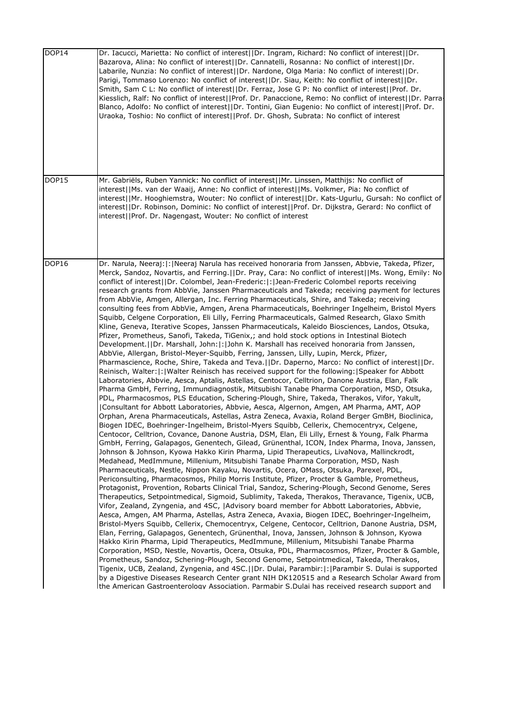| DOP14        | Dr. Iacucci, Marietta: No conflict of interest  Dr. Ingram, Richard: No conflict of interest  Dr.<br>Bazarova, Alina: No conflict of interest  Dr. Cannatelli, Rosanna: No conflict of interest  Dr.<br>Labarile, Nunzia: No conflict of interest  Dr. Nardone, Olga Maria: No conflict of interest  Dr.<br>Parigi, Tommaso Lorenzo: No conflict of interest  Dr. Siau, Keith: No conflict of interest  Dr.<br>Smith, Sam C L: No conflict of interest  Dr. Ferraz, Jose G P: No conflict of interest  Prof. Dr.<br>Kiesslich, Ralf: No conflict of interest  Prof. Dr. Panaccione, Remo: No conflict of interest  Dr. Parra<br>Blanco, Adolfo: No conflict of interest  Dr. Tontini, Gian Eugenio: No conflict of interest  Prof. Dr.<br>Uraoka, Toshio: No conflict of interest  Prof. Dr. Ghosh, Subrata: No conflict of interest                                                                                                                                                                                                                                                                                                                                                                                                                                                                                                                                                                                                                                                                                                                                                                                                                                                                                                                                                                                                                                                                                                                                                                                                                                                                                                                                                                                                                                                                                                                                                                                                                                                                                                                                                                                                                                                                                                                                                                                                                                                                                                                                                                                                                                                                                                                                                                                                                                                                                                                                                                                                                                                                                                                                                                                                                                              |
|--------------|-----------------------------------------------------------------------------------------------------------------------------------------------------------------------------------------------------------------------------------------------------------------------------------------------------------------------------------------------------------------------------------------------------------------------------------------------------------------------------------------------------------------------------------------------------------------------------------------------------------------------------------------------------------------------------------------------------------------------------------------------------------------------------------------------------------------------------------------------------------------------------------------------------------------------------------------------------------------------------------------------------------------------------------------------------------------------------------------------------------------------------------------------------------------------------------------------------------------------------------------------------------------------------------------------------------------------------------------------------------------------------------------------------------------------------------------------------------------------------------------------------------------------------------------------------------------------------------------------------------------------------------------------------------------------------------------------------------------------------------------------------------------------------------------------------------------------------------------------------------------------------------------------------------------------------------------------------------------------------------------------------------------------------------------------------------------------------------------------------------------------------------------------------------------------------------------------------------------------------------------------------------------------------------------------------------------------------------------------------------------------------------------------------------------------------------------------------------------------------------------------------------------------------------------------------------------------------------------------------------------------------------------------------------------------------------------------------------------------------------------------------------------------------------------------------------------------------------------------------------------------------------------------------------------------------------------------------------------------------------------------------------------------------------------------------------------------------------------------------------------------------------------------------------------------------------------------------------------------------------------------------------------------------------------------------------------------------------------------------------------------------------------------------------------------------------------------------------------------------------------------------------------------------------------------------------------------------------------------------------------------------------------------------------------------------------|
| DOP15        | Mr. Gabriëls, Ruben Yannick: No conflict of interest  Mr. Linssen, Matthijs: No conflict of<br>interest  Ms. van der Waaij, Anne: No conflict of interest  Ms. Volkmer, Pia: No conflict of<br>interest  Mr. Hooghiemstra, Wouter: No conflict of interest  Dr. Kats-Ugurlu, Gursah: No conflict of<br>interest  Dr. Robinson, Dominic: No conflict of interest  Prof. Dr. Dijkstra, Gerard: No conflict of<br>interest  Prof. Dr. Nagengast, Wouter: No conflict of interest                                                                                                                                                                                                                                                                                                                                                                                                                                                                                                                                                                                                                                                                                                                                                                                                                                                                                                                                                                                                                                                                                                                                                                                                                                                                                                                                                                                                                                                                                                                                                                                                                                                                                                                                                                                                                                                                                                                                                                                                                                                                                                                                                                                                                                                                                                                                                                                                                                                                                                                                                                                                                                                                                                                                                                                                                                                                                                                                                                                                                                                                                                                                                                                                     |
| <b>DOP16</b> | Dr. Narula, Neeraj:  :  Neeraj Narula has received honoraria from Janssen, Abbvie, Takeda, Pfizer,<br>Merck, Sandoz, Novartis, and Ferring.  Dr. Pray, Cara: No conflict of interest  Ms. Wong, Emily: No<br>conflict of interest  Dr. Colombel, Jean-Frederic: : Jean-Frederic Colombel reports receiving<br>research grants from AbbVie, Janssen Pharmaceuticals and Takeda; receiving payment for lectures<br>from AbbVie, Amgen, Allergan, Inc. Ferring Pharmaceuticals, Shire, and Takeda; receiving<br>consulting fees from AbbVie, Amgen, Arena Pharmaceuticals, Boehringer Ingelheim, Bristol Myers<br>Squibb, Celgene Corporation, Eli Lilly, Ferring Pharmaceuticals, Galmed Research, Glaxo Smith<br>Kline, Geneva, Iterative Scopes, Janssen Pharmaceuticals, Kaleido Biosciences, Landos, Otsuka,<br>Pfizer, Prometheus, Sanofi, Takeda, TiGenix,; and hold stock options in Intestinal Biotech<br>Development.  Dr. Marshall, John: : John K. Marshall has received honoraria from Janssen,<br>AbbVie, Allergan, Bristol-Meyer-Squibb, Ferring, Janssen, Lilly, Lupin, Merck, Pfizer,<br>Pharmascience, Roche, Shire, Takeda and Teva.  Dr. Daperno, Marco: No conflict of interest  Dr.<br>Reinisch, Walter:  :   Walter Reinisch has received support for the following:   Speaker for Abbott<br>Laboratories, Abbvie, Aesca, Aptalis, Astellas, Centocor, Celltrion, Danone Austria, Elan, Falk<br>Pharma GmbH, Ferring, Immundiagnostik, Mitsubishi Tanabe Pharma Corporation, MSD, Otsuka,<br>PDL, Pharmacosmos, PLS Education, Schering-Plough, Shire, Takeda, Therakos, Vifor, Yakult,<br> Consultant for Abbott Laboratories, Abbvie, Aesca, Algernon, Amgen, AM Pharma, AMT, AOP<br>Orphan, Arena Pharmaceuticals, Astellas, Astra Zeneca, Avaxia, Roland Berger GmBH, Bioclinica,<br>Biogen IDEC, Boehringer-Ingelheim, Bristol-Myers Squibb, Cellerix, Chemocentryx, Celgene,<br>Centocor, Celltrion, Covance, Danone Austria, DSM, Elan, Eli Lilly, Ernest & Young, Falk Pharma<br>GmbH, Ferring, Galapagos, Genentech, Gilead, Grünenthal, ICON, Index Pharma, Inova, Janssen,<br>Johnson & Johnson, Kyowa Hakko Kirin Pharma, Lipid Therapeutics, LivaNova, Mallinckrodt,<br>Medahead, MedImmune, Millenium, Mitsubishi Tanabe Pharma Corporation, MSD, Nash<br>Pharmaceuticals, Nestle, Nippon Kayaku, Novartis, Ocera, OMass, Otsuka, Parexel, PDL,<br>Periconsulting, Pharmacosmos, Philip Morris Institute, Pfizer, Procter & Gamble, Prometheus,<br>Protagonist, Provention, Robarts Clinical Trial, Sandoz, Schering-Plough, Second Genome, Seres<br>Therapeutics, Setpointmedical, Sigmoid, Sublimity, Takeda, Therakos, Theravance, Tigenix, UCB,<br>Vifor, Zealand, Zyngenia, and 4SC,  Advisory board member for Abbott Laboratories, Abbvie,<br>Aesca, Amgen, AM Pharma, Astellas, Astra Zeneca, Avaxia, Biogen IDEC, Boehringer-Ingelheim,<br>Bristol-Myers Squibb, Cellerix, Chemocentryx, Celgene, Centocor, Celltrion, Danone Austria, DSM,<br>Elan, Ferring, Galapagos, Genentech, Grünenthal, Inova, Janssen, Johnson & Johnson, Kyowa<br>Hakko Kirin Pharma, Lipid Therapeutics, MedImmune, Millenium, Mitsubishi Tanabe Pharma<br>Corporation, MSD, Nestle, Novartis, Ocera, Otsuka, PDL, Pharmacosmos, Pfizer, Procter & Gamble,<br>Prometheus, Sandoz, Schering-Plough, Second Genome, Setpointmedical, Takeda, Therakos,<br>Tigenix, UCB, Zealand, Zyngenia, and 4SC.  Dr. Dulai, Parambir: :  Parambir S. Dulai is supported<br>by a Digestive Diseases Research Center grant NIH DK120515 and a Research Scholar Award from<br>Ithe American Gastroenterology Association. Parmabir S.Dulai has received research support and |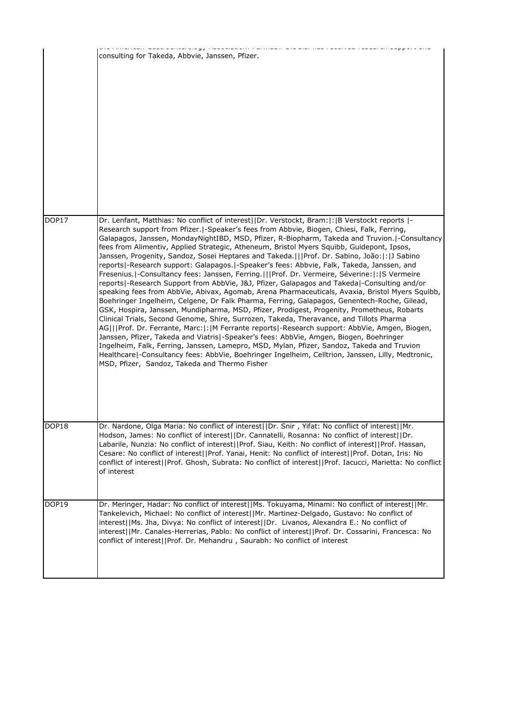|       | consulting for Takeda, Abbvie, Janssen, Pfizer.                                                                                                                                                                                                                                                                                                                                                                                                                                                                                                                                                                                                                                                                                                                                                                                                                                                                                                                                                                                                                                                                                                                                                                                                                                                                                                                                                                                                                                                                                                                                                                                      |
|-------|--------------------------------------------------------------------------------------------------------------------------------------------------------------------------------------------------------------------------------------------------------------------------------------------------------------------------------------------------------------------------------------------------------------------------------------------------------------------------------------------------------------------------------------------------------------------------------------------------------------------------------------------------------------------------------------------------------------------------------------------------------------------------------------------------------------------------------------------------------------------------------------------------------------------------------------------------------------------------------------------------------------------------------------------------------------------------------------------------------------------------------------------------------------------------------------------------------------------------------------------------------------------------------------------------------------------------------------------------------------------------------------------------------------------------------------------------------------------------------------------------------------------------------------------------------------------------------------------------------------------------------------|
| DOP17 | Dr. Lenfant, Matthias: No conflict of interest  Dr. Verstockt, Bram: : B Verstockt reports  -<br>Research support from Pfizer.   - Speaker's fees from Abbvie, Biogen, Chiesi, Falk, Ferring,<br>Galapagos, Janssen, MondayNightIBD, MSD, Pfizer, R-Biopharm, Takeda and Truvion. -Consultancy<br>fees from Alimentiv, Applied Strategic, Atheneum, Bristol Myers Squibb, Guidepont, Ipsos,<br>Janssen, Progenity, Sandoz, Sosei Heptares and Takeda.[[Prof. Dr. Sabino, João:[:] Sabino<br>reports -Research support: Galapagos. -Speaker's fees: Abbvie, Falk, Takeda, Janssen, and<br>Fresenius.  -Consultancy fees: Janssen, Ferring.    Prof. Dr. Vermeire, Séverine:  :  S Vermeire<br>reports -Research Support from AbbVie, J&J, Pfizer, Galapagos and Takeda -Consulting and/or<br>speaking fees from AbbVie, Abivax, Agomab, Arena Pharmaceuticals, Avaxia, Bristol Myers Squibb,<br>Boehringer Ingelheim, Celgene, Dr Falk Pharma, Ferring, Galapagos, Genentech-Roche, Gilead,<br>GSK, Hospira, Janssen, Mundipharma, MSD, Pfizer, Prodigest, Progenity, Prometheus, Robarts<br>Clinical Trials, Second Genome, Shire, Surrozen, Takeda, Theravance, and Tillots Pharma<br>AG   Prof. Dr. Ferrante, Marc: : M Ferrante reports -Research support: AbbVie, Amgen, Biogen,<br>Janssen, Pfizer, Takeda and Viatris  - Speaker's fees: AbbVie, Amgen, Biogen, Boehringer<br>Ingelheim, Falk, Ferring, Janssen, Lamepro, MSD, Mylan, Pfizer, Sandoz, Takeda and Truvion<br>Healthcare -Consultancy fees: AbbVie, Boehringer Ingelheim, Celltrion, Janssen, Lilly, Medtronic,<br>MSD, Pfizer, Sandoz, Takeda and Thermo Fisher |
| DOP18 | Dr. Nardone, Olga Maria: No conflict of interest  Dr. Snir, Yifat: No conflict of interest  Mr.<br>Hodson, James: No conflict of interest  Dr. Cannatelli, Rosanna: No conflict of interest  Dr.<br>Labarile, Nunzia: No conflict of interest  Prof. Siau, Keith: No conflict of interest  Prof. Hassan,<br>Cesare: No conflict of interest  Prof. Yanai, Henit: No conflict of interest  Prof. Dotan, Iris: No<br>conflict of interest  Prof. Ghosh, Subrata: No conflict of interest  Prof. Iacucci, Marietta: No conflict<br>of interest                                                                                                                                                                                                                                                                                                                                                                                                                                                                                                                                                                                                                                                                                                                                                                                                                                                                                                                                                                                                                                                                                          |
| DOP19 | Dr. Meringer, Hadar: No conflict of interest  Ms. Tokuyama, Minami: No conflict of interest  Mr.<br>Tankelevich, Michael: No conflict of interest  Mr. Martinez-Delgado, Gustavo: No conflict of<br>interest  Ms. Jha, Divya: No conflict of interest  Dr. Livanos, Alexandra E.: No conflict of<br>interest  Mr. Canales-Herrerias, Pablo: No conflict of interest  Prof. Dr. Cossarini, Francesca: No<br>conflict of interest  Prof. Dr. Mehandru, Saurabh: No conflict of interest                                                                                                                                                                                                                                                                                                                                                                                                                                                                                                                                                                                                                                                                                                                                                                                                                                                                                                                                                                                                                                                                                                                                                |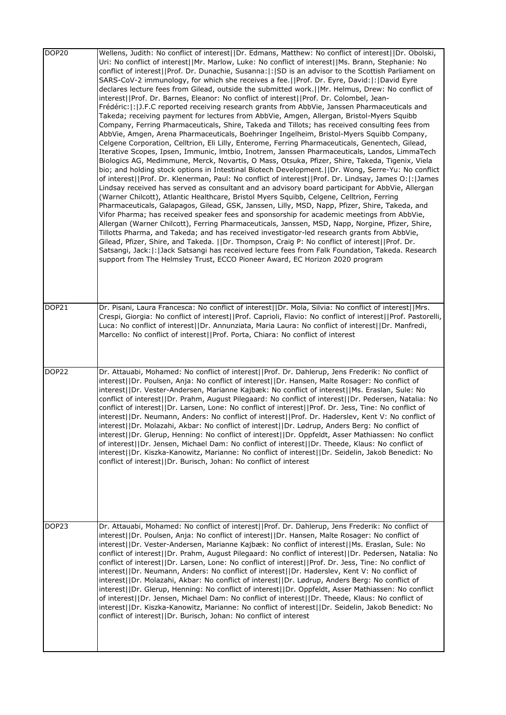| DOP <sub>20</sub> | Wellens, Judith: No conflict of interest  Dr. Edmans, Matthew: No conflict of interest  Dr. Obolski,<br>Uri: No conflict of interest  Mr. Marlow, Luke: No conflict of interest  Ms. Brann, Stephanie: No<br>conflict of interest  Prof. Dr. Dunachie, Susanna: : SD is an advisor to the Scottish Parliament on<br>SARS-CoV-2 immunology, for which she receives a fee.[]Prof. Dr. Eyre, David:[:]David Eyre<br>declares lecture fees from Gilead, outside the submitted work.  Mr. Helmus, Drew: No conflict of<br>interest  Prof. Dr. Barnes, Eleanor: No conflict of interest  Prof. Dr. Colombel, Jean-<br>Frédéric:  :  J.F.C reported receiving research grants from AbbVie, Janssen Pharmaceuticals and<br>Takeda; receiving payment for lectures from AbbVie, Amgen, Allergan, Bristol-Myers Squibb<br>Company, Ferring Pharmaceuticals, Shire, Takeda and Tillots; has received consulting fees from<br>AbbVie, Amgen, Arena Pharmaceuticals, Boehringer Ingelheim, Bristol-Myers Squibb Company,<br>Celgene Corporation, Celltrion, Eli Lilly, Enterome, Ferring Pharmaceuticals, Genentech, Gilead,<br>Iterative Scopes, Ipsen, Immunic, Imtbio, Inotrem, Janssen Pharmaceuticals, Landos, LimmaTech<br>Biologics AG, Medimmune, Merck, Novartis, O Mass, Otsuka, Pfizer, Shire, Takeda, Tigenix, Viela<br>bio; and holding stock options in Intestinal Biotech Development.   Dr. Wong, Serre-Yu: No conflict<br>of interest  Prof. Dr. Klenerman, Paul: No conflict of interest  Prof. Dr. Lindsay, James O: : James<br>Lindsay received has served as consultant and an advisory board participant for AbbVie, Allergan<br>(Warner Chilcott), Atlantic Healthcare, Bristol Myers Squibb, Celgene, Celltrion, Ferring<br>Pharmaceuticals, Galapagos, Gilead, GSK, Janssen, Lilly, MSD, Napp, Pfizer, Shire, Takeda, and<br>Vifor Pharma; has received speaker fees and sponsorship for academic meetings from AbbVie,<br>Allergan (Warner Chilcott), Ferring Pharmaceuticals, Janssen, MSD, Napp, Norgine, Pfizer, Shire,<br>Tillotts Pharma, and Takeda; and has received investigator-led research grants from AbbVie,<br>Gilead, Pfizer, Shire, and Takeda.   Dr. Thompson, Craig P: No conflict of interest  Prof. Dr.<br>Satsangi, Jack:  :  Jack Satsangi has received lecture fees from Falk Foundation, Takeda. Research<br>support from The Helmsley Trust, ECCO Pioneer Award, EC Horizon 2020 program |
|-------------------|--------------------------------------------------------------------------------------------------------------------------------------------------------------------------------------------------------------------------------------------------------------------------------------------------------------------------------------------------------------------------------------------------------------------------------------------------------------------------------------------------------------------------------------------------------------------------------------------------------------------------------------------------------------------------------------------------------------------------------------------------------------------------------------------------------------------------------------------------------------------------------------------------------------------------------------------------------------------------------------------------------------------------------------------------------------------------------------------------------------------------------------------------------------------------------------------------------------------------------------------------------------------------------------------------------------------------------------------------------------------------------------------------------------------------------------------------------------------------------------------------------------------------------------------------------------------------------------------------------------------------------------------------------------------------------------------------------------------------------------------------------------------------------------------------------------------------------------------------------------------------------------------------------------------------------------------------------------------------------------------------------------------------------------------------------------------------------------------------------------------------------------------------------------------------------------------------------------------------------------------------------------------------------------------------------------------------------------------------------------------------------------------------------------------------------|
| DOP21             | Dr. Pisani, Laura Francesca: No conflict of interest  Dr. Mola, Silvia: No conflict of interest  Mrs.<br>Crespi, Giorgia: No conflict of interest  Prof. Caprioli, Flavio: No conflict of interest  Prof. Pastorelli,<br>Luca: No conflict of interest  Dr. Annunziata, Maria Laura: No conflict of interest  Dr. Manfredi,<br>Marcello: No conflict of interest  Prof. Porta, Chiara: No conflict of interest                                                                                                                                                                                                                                                                                                                                                                                                                                                                                                                                                                                                                                                                                                                                                                                                                                                                                                                                                                                                                                                                                                                                                                                                                                                                                                                                                                                                                                                                                                                                                                                                                                                                                                                                                                                                                                                                                                                                                                                                                 |
| DOP <sub>22</sub> | Dr. Attauabi, Mohamed: No conflict of interest  Prof. Dr. Dahlerup, Jens Frederik: No conflict of<br>interest  Dr. Poulsen, Anja: No conflict of interest  Dr. Hansen, Malte Rosager: No conflict of<br>interest  Dr. Vester-Andersen, Marianne Kajbæk: No conflict of interest  Ms. Eraslan, Sule: No<br>conflict of interest  Dr. Prahm, August Pilegaard: No conflict of interest  Dr. Pedersen, Natalia: No<br>conflict of interest  Dr. Larsen, Lone: No conflict of interest  Prof. Dr. Jess, Tine: No conflict of<br>interest  Dr. Neumann, Anders: No conflict of interest  Prof. Dr. Haderslev, Kent V: No conflict of<br>interest  Dr. Molazahi, Akbar: No conflict of interest  Dr. Lødrup, Anders Berg: No conflict of<br>interest  Dr. Glerup, Henning: No conflict of interest  Dr. Oppfeldt, Asser Mathiassen: No conflict<br>of interest  Dr. Jensen, Michael Dam: No conflict of interest  Dr. Theede, Klaus: No conflict of<br>interest  Dr. Kiszka-Kanowitz, Marianne: No conflict of interest  Dr. Seidelin, Jakob Benedict: No<br>conflict of interest  Dr. Burisch, Johan: No conflict of interest                                                                                                                                                                                                                                                                                                                                                                                                                                                                                                                                                                                                                                                                                                                                                                                                                                                                                                                                                                                                                                                                                                                                                                                                                                                                                                       |
| DOP <sub>23</sub> | Dr. Attauabi, Mohamed: No conflict of interest  Prof. Dr. Dahlerup, Jens Frederik: No conflict of<br>interest  Dr. Poulsen, Anja: No conflict of interest  Dr. Hansen, Malte Rosager: No conflict of<br>interest  Dr. Vester-Andersen, Marianne Kajbæk: No conflict of interest  Ms. Eraslan, Sule: No<br>conflict of interest  Dr. Prahm, August Pilegaard: No conflict of interest  Dr. Pedersen, Natalia: No<br>conflict of interest  Dr. Larsen, Lone: No conflict of interest  Prof. Dr. Jess, Tine: No conflict of<br>interest  Dr. Neumann, Anders: No conflict of interest  Dr. Haderslev, Kent V: No conflict of<br>interest  Dr. Molazahi, Akbar: No conflict of interest  Dr. Lødrup, Anders Berg: No conflict of<br>interest  Dr. Glerup, Henning: No conflict of interest  Dr. Oppfeldt, Asser Mathiassen: No conflict<br>of interest  Dr. Jensen, Michael Dam: No conflict of interest  Dr. Theede, Klaus: No conflict of<br>interest  Dr. Kiszka-Kanowitz, Marianne: No conflict of interest  Dr. Seidelin, Jakob Benedict: No<br>conflict of interest  Dr. Burisch, Johan: No conflict of interest                                                                                                                                                                                                                                                                                                                                                                                                                                                                                                                                                                                                                                                                                                                                                                                                                                                                                                                                                                                                                                                                                                                                                                                                                                                                                                             |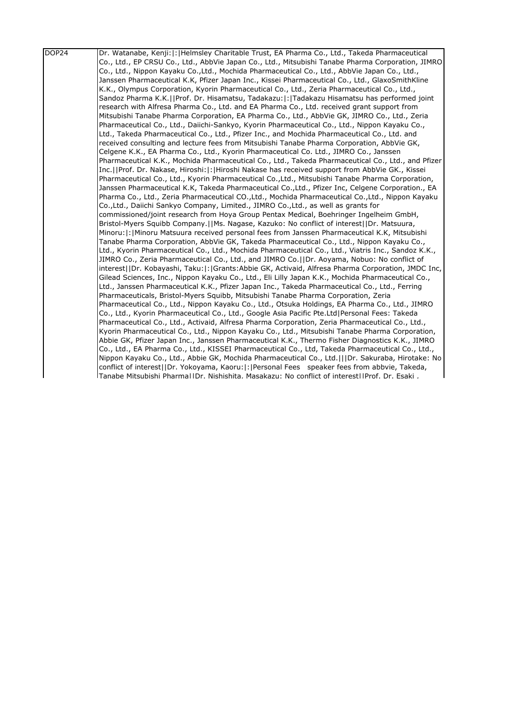| DOP24 | Dr. Watanabe, Kenji:  :   Helmsley Charitable Trust, EA Pharma Co., Ltd., Takeda Pharmaceutical       |
|-------|-------------------------------------------------------------------------------------------------------|
|       | Co., Ltd., EP CRSU Co., Ltd., AbbVie Japan Co., Ltd., Mitsubishi Tanabe Pharma Corporation, JIMRO     |
|       | Co., Ltd., Nippon Kayaku Co.,Ltd., Mochida Pharmaceutical Co., Ltd., AbbVie Japan Co., Ltd.,          |
|       | Janssen Pharmaceutical K.K, Pfizer Japan Inc., Kissei Pharmaceutical Co., Ltd., GlaxoSmithKline       |
|       | K.K., Olympus Corporation, Kyorin Pharmaceutical Co., Ltd., Zeria Pharmaceutical Co., Ltd.,           |
|       | Sandoz Pharma K.K.  Prof. Dr. Hisamatsu, Tadakazu: : Tadakazu Hisamatsu has performed joint           |
|       | research with Alfresa Pharma Co., Ltd. and EA Pharma Co., Ltd. received grant support from            |
|       | Mitsubishi Tanabe Pharma Corporation, EA Pharma Co., Ltd., AbbVie GK, JIMRO Co., Ltd., Zeria          |
|       | Pharmaceutical Co., Ltd., Daiichi-Sankyo, Kyorin Pharmaceutical Co., Ltd., Nippon Kayaku Co.,         |
|       | Ltd., Takeda Pharmaceutical Co., Ltd., Pfizer Inc., and Mochida Pharmaceutical Co., Ltd. and          |
|       | received consulting and lecture fees from Mitsubishi Tanabe Pharma Corporation, AbbVie GK,            |
|       | Celgene K.K., EA Pharma Co., Ltd., Kyorin Pharmaceutical Co. Ltd., JIMRO Co., Janssen                 |
|       | Pharmaceutical K.K., Mochida Pharmaceutical Co., Ltd., Takeda Pharmaceutical Co., Ltd., and Pfizer    |
|       | Inc.     Prof. Dr. Nakase, Hiroshi:   :   Hiroshi Nakase has received support from AbbVie GK., Kissei |
|       | Pharmaceutical Co., Ltd., Kyorin Pharmaceutical Co., Ltd., Mitsubishi Tanabe Pharma Corporation,      |
|       | Janssen Pharmaceutical K.K, Takeda Pharmaceutical Co.,Ltd., Pfizer Inc, Celgene Corporation., EA      |
|       | Pharma Co., Ltd., Zeria Pharmaceutical CO., Ltd., Mochida Pharmaceutical Co., Ltd., Nippon Kayaku     |
|       | Co.,Ltd., Daiichi Sankyo Company, Limited., JIMRO Co.,Ltd., as well as grants for                     |
|       | commissioned/joint research from Hoya Group Pentax Medical, Boehringer Ingelheim GmbH,                |
|       | Bristol-Myers Squibb Company.   Ms. Nagase, Kazuko: No conflict of interest   Dr. Matsuura,           |
|       | Minoru:  :   Minoru Matsuura received personal fees from Janssen Pharmaceutical K.K. Mitsubishi       |
|       | Tanabe Pharma Corporation, AbbVie GK, Takeda Pharmaceutical Co., Ltd., Nippon Kayaku Co.,             |
|       | Ltd., Kyorin Pharmaceutical Co., Ltd., Mochida Pharmaceutical Co., Ltd., Viatris Inc., Sandoz K.K.,   |
|       | JIMRO Co., Zeria Pharmaceutical Co., Ltd., and JIMRO Co.     Dr. Aoyama, Nobuo: No conflict of        |
|       | interest  Dr. Kobayashi, Taku: : Grants:Abbie GK, Activaid, Alfresa Pharma Corporation, JMDC Inc,     |
|       | Gilead Sciences, Inc., Nippon Kayaku Co., Ltd., Eli Lilly Japan K.K., Mochida Pharmaceutical Co.,     |
|       | Ltd., Janssen Pharmaceutical K.K., Pfizer Japan Inc., Takeda Pharmaceutical Co., Ltd., Ferring        |
|       | Pharmaceuticals, Bristol-Myers Squibb, Mitsubishi Tanabe Pharma Corporation, Zeria                    |
|       | Pharmaceutical Co., Ltd., Nippon Kayaku Co., Ltd., Otsuka Holdings, EA Pharma Co., Ltd., JIMRO        |
|       | Co., Ltd., Kyorin Pharmaceutical Co., Ltd., Google Asia Pacific Pte.Ltd Personal Fees: Takeda         |
|       | Pharmaceutical Co., Ltd., Activaid, Alfresa Pharma Corporation, Zeria Pharmaceutical Co., Ltd.,       |
|       | Kyorin Pharmaceutical Co., Ltd., Nippon Kayaku Co., Ltd., Mitsubishi Tanabe Pharma Corporation,       |
|       | Abbie GK, Pfizer Japan Inc., Janssen Pharmaceutical K.K., Thermo Fisher Diagnostics K.K., JIMRO       |
|       | Co., Ltd., EA Pharma Co., Ltd., KISSEI Pharmaceutical Co., Ltd, Takeda Pharmaceutical Co., Ltd.,      |
|       | Nippon Kayaku Co., Ltd., Abbie GK, Mochida Pharmaceutical Co., Ltd.    Dr. Sakuraba, Hirotake: No     |
|       | conflict of interest  Dr. Yokoyama, Kaoru: : Personal Fees speaker fees from abbvie, Takeda,          |
|       | ITanabe Mitsubishi Pharmal1Dr. Nishishita. Masakazu: No conflict of interest1IProf. Dr. Esaki.        |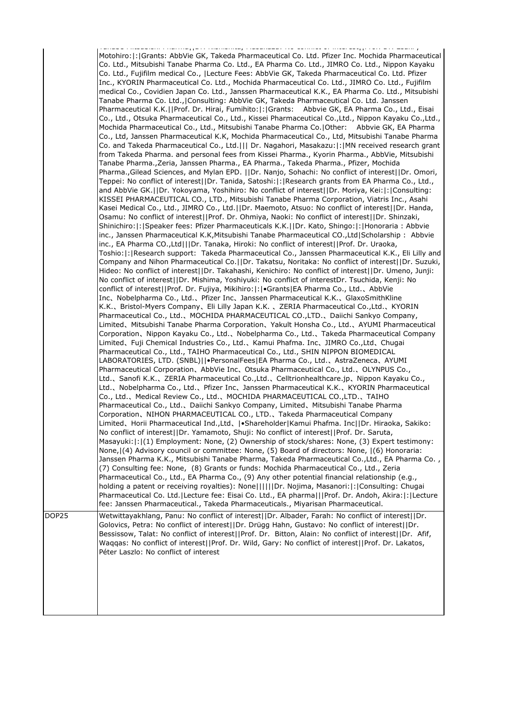|       | .<br>In the component continuing part of the construction of the continue of the component of the continuing problem                                                                                                                                                                                                                                                                                                                                                                                                                                                                                                                                                                                                                                                                                                                                                                                                                                                                                                                                                                                                                                                                                                                                                                                                                                                                                                                                                                                                                                                                                                                                                                                                                                                                                                                                                                                                                                                                                                                                                                                                                                                                                                                                                                                                                                                                                                                                                                                                                                                                                                                                                                                                                                                                                                                                                                                                                                                                                                                                                                                                                                                                                                                                                                                                                                                                                                                                                                                                                                                                                                                                                                                                                                                                                                                                                                                                                                                                                                                                                                                                                                                                                                                                                                                                                                                                                                                                                                                                                                                                                                                                                                                                                                                                                                                                                                                                                                                                                                     |
|-------|--------------------------------------------------------------------------------------------------------------------------------------------------------------------------------------------------------------------------------------------------------------------------------------------------------------------------------------------------------------------------------------------------------------------------------------------------------------------------------------------------------------------------------------------------------------------------------------------------------------------------------------------------------------------------------------------------------------------------------------------------------------------------------------------------------------------------------------------------------------------------------------------------------------------------------------------------------------------------------------------------------------------------------------------------------------------------------------------------------------------------------------------------------------------------------------------------------------------------------------------------------------------------------------------------------------------------------------------------------------------------------------------------------------------------------------------------------------------------------------------------------------------------------------------------------------------------------------------------------------------------------------------------------------------------------------------------------------------------------------------------------------------------------------------------------------------------------------------------------------------------------------------------------------------------------------------------------------------------------------------------------------------------------------------------------------------------------------------------------------------------------------------------------------------------------------------------------------------------------------------------------------------------------------------------------------------------------------------------------------------------------------------------------------------------------------------------------------------------------------------------------------------------------------------------------------------------------------------------------------------------------------------------------------------------------------------------------------------------------------------------------------------------------------------------------------------------------------------------------------------------------------------------------------------------------------------------------------------------------------------------------------------------------------------------------------------------------------------------------------------------------------------------------------------------------------------------------------------------------------------------------------------------------------------------------------------------------------------------------------------------------------------------------------------------------------------------------------------------------------------------------------------------------------------------------------------------------------------------------------------------------------------------------------------------------------------------------------------------------------------------------------------------------------------------------------------------------------------------------------------------------------------------------------------------------------------------------------------------------------------------------------------------------------------------------------------------------------------------------------------------------------------------------------------------------------------------------------------------------------------------------------------------------------------------------------------------------------------------------------------------------------------------------------------------------------------------------------------------------------------------------------------------------------------------------------------------------------------------------------------------------------------------------------------------------------------------------------------------------------------------------------------------------------------------------------------------------------------------------------------------------------------------------------------------------------------------------------------------------------------------------------------------|
|       | Motohiro:   :   Grants: AbbVie GK, Takeda Pharmaceutical Co. Ltd. Pfizer Inc. Mochida Pharmaceutical<br>Co. Ltd., Mitsubishi Tanabe Pharma Co. Ltd., EA Pharma Co. Ltd., JIMRO Co. Ltd., Nippon Kayaku<br>Co. Ltd., Fujifilm medical Co.,  Lecture Fees: AbbVie GK, Takeda Pharmaceutical Co. Ltd. Pfizer<br>Inc., KYORIN Pharmaceutical Co. Ltd., Mochida Pharmaceutical Co. Ltd., JIMRO Co. Ltd., Fujifilm<br>medical Co., Covidien Japan Co. Ltd., Janssen Pharmaceutical K.K., EA Pharma Co. Ltd., Mitsubishi<br>Tanabe Pharma Co. Ltd., Consulting: AbbVie GK, Takeda Pharmaceutical Co. Ltd. Janssen<br>Pharmaceutical K.K.  Prof. Dr. Hirai, Fumihito: : Grants: Abbvie GK, EA Pharma Co., Ltd., Eisai<br>Co., Ltd., Otsuka Pharmaceutical Co., Ltd., Kissei Pharmaceutical Co.,Ltd., Nippon Kayaku Co.,Ltd.,<br>Mochida Pharmaceutical Co., Ltd., Mitsubishi Tanabe Pharma Co.   Other: Abbvie GK, EA Pharma<br>Co., Ltd, Janssen Pharmaceutical K.K, Mochida Pharmaceutical Co., Ltd, Mitsubishi Tanabe Pharma<br>Co. and Takeda Pharmaceutical Co., Ltd.    Dr. Nagahori, Masakazu: : MN received research grant<br>from Takeda Pharma. and personal fees from Kissei Pharma., Kyorin Pharma., AbbVie, Mitsubishi<br>Tanabe Pharma.,Zeria, Janssen Pharma., EA Pharma., Takeda Pharma., Pfizer, Mochida<br>Pharma., Gilead Sciences, and Mylan EPD.   Dr. Nanjo, Sohachi: No conflict of interest  Dr. Omori,<br>, Teppei: No conflict of interest  Dr. Tanida, Satoshi: : Research grants from EA Pharma Co., Ltd<br>and AbbVie GK.  Dr. Yokoyama, Yoshihiro: No conflict of interest  Dr. Moriya, Kei: : Consulting:<br>KISSEI PHARMACEUTICAL CO., LTD., Mitsubishi Tanabe Pharma Corporation, Viatris Inc., Asahi<br>Kasei Medical Co., Ltd., JIMRO Co., Ltd.  Dr. Maemoto, Atsuo: No conflict of interest  Dr. Handa,<br>Osamu: No conflict of interest  Prof. Dr. Ohmiya, Naoki: No conflict of interest  Dr. Shinzaki,<br>Shinichiro: : Speaker fees: Pfizer Pharmaceuticals K.K.  Dr. Kato, Shingo: : Honoraria : Abbvie<br>inc., Janssen Pharmaceutical K.K, Mitsubishi Tanabe Pharmaceutical CO., Ltd   Scholarship: Abbvie<br>inc., EA Pharma CO., Ltd   Dr. Tanaka, Hiroki: No conflict of interest  Prof. Dr. Uraoka,<br>Toshio: : Research support: Takeda Pharmaceutical Co., Janssen Pharmaceutical K.K., Eli Lilly and<br>Company and Nihon Pharmaceutical Co.  Dr. Takatsu, Noritaka: No conflict of interest  Dr. Suzuki,<br>Hideo: No conflict of interest  Dr. Takahashi, Kenichiro: No conflict of interest  Dr. Umeno, Junji:<br>No conflict of interest  Dr. Mishima, Yoshiyuki: No conflict of interestDr. Tsuchida, Kenji: No<br>conflict of interest  Prof. Dr. Fujiya, Mikihiro: : •Grants EA Pharma Co., Ltd., AbbVie<br>Inc, Nobelpharma Co., Ltd., Pfizer Inc, Janssen Pharmaceutical K.K., GlaxoSmithKline<br>K.K., Bristol-Myers Company, Eli Lilly Japan K.K., ZERIA Pharmaceutical Co.,Ltd., KYORIN<br>Pharmaceutical Co., Ltd., MOCHIDA PHARMACEUTICAL CO., LTD., Daiichi Sankyo Company,<br>Limited、Mitsubishi Tanabe Pharma Corporation、Yakult Honsha Co., Ltd.、AYUMI Pharmaceutical<br>Corporation、Nippon Kayaku Co., Ltd.、Nobelpharma Co., Ltd.、Takeda Pharmaceutical Company<br>Limited, Fuji Chemical Industries Co., Ltd., Kamui Phafma. Inc, JIMRO Co.,Ltd, Chugai<br>Pharmaceutical Co., Ltd., TAIHO Pharmaceutical Co., Ltd., SHIN NIPPON BIOMEDICAL<br>LABORATORIES, LTD. (SNBL)  •PersonalFees EA Pharma Co., Ltd.、AstraZeneca、AYUMI<br>Pharmaceutical Corporation, AbbVie Inc, Otsuka Pharmaceutical Co., Ltd., OLYNPUS Co.,<br>Ltd., Sanofi K.K., ZERIA Pharmaceutical Co.,Ltd., Celltrionhealthcare.jp, Nippon Kayaku Co.,<br>Ltd., Nobelpharma Co., Ltd., Pfizer Inc, Janssen Pharmaceutical K.K., KYORIN Pharmaceutical<br>Co., Ltd.、Medical Review Co., Ltd.、MOCHIDA PHARMACEUTICAL CO.,LTD.、TAIHO<br>Pharmaceutical Co., Ltd.、Daiichi Sankyo Company, Limited、Mitsubishi Tanabe Pharma<br>Corporation、NIHON PHARMACEUTICAL CO., LTD.、Takeda Pharmaceutical Company<br>Limited、Horii Pharmaceutical Ind.,Ltd、 •Shareholder Kamui Phafma. Inc  Dr. Hiraoka, Sakiko:<br>No conflict of interest  Dr. Yamamoto, Shuji: No conflict of interest  Prof. Dr. Saruta,<br>Masayuki:  :   (1) Employment: None, (2) Ownership of stock/shares: None, (3) Expert testimony:<br>None, (4) Advisory council or committee: None, (5) Board of directors: None, (6) Honoraria:<br>Janssen Pharma K.K., Mitsubishi Tanabe Pharma, Takeda Pharmaceutical Co.,Ltd., EA Pharma Co.,<br>(7) Consulting fee: None, (8) Grants or funds: Mochida Pharmaceutical Co., Ltd., Zeria<br>Pharmaceutical Co., Ltd., EA Pharma Co., (9) Any other potential financial relationship (e.g.,<br>holding a patent or receiving royalties): None      Dr. Nojima, Masanori: : Consulting: Chugai<br>Pharmaceutical Co. Ltd. Lecture fee: Eisai Co. Ltd., EA pharma   Prof. Dr. Andoh, Akira: : Lecture<br>fee: Janssen Pharmaceutical., Takeda Pharmaceuticals., Miyarisan Pharmaceutical. |
| DOP25 | Wetwittayakhlang, Panu: No conflict of interest  Dr. Albader, Farah: No conflict of interest  Dr.                                                                                                                                                                                                                                                                                                                                                                                                                                                                                                                                                                                                                                                                                                                                                                                                                                                                                                                                                                                                                                                                                                                                                                                                                                                                                                                                                                                                                                                                                                                                                                                                                                                                                                                                                                                                                                                                                                                                                                                                                                                                                                                                                                                                                                                                                                                                                                                                                                                                                                                                                                                                                                                                                                                                                                                                                                                                                                                                                                                                                                                                                                                                                                                                                                                                                                                                                                                                                                                                                                                                                                                                                                                                                                                                                                                                                                                                                                                                                                                                                                                                                                                                                                                                                                                                                                                                                                                                                                                                                                                                                                                                                                                                                                                                                                                                                                                                                                                        |
|       | Golovics, Petra: No conflict of interest  Dr. Drügg Hahn, Gustavo: No conflict of interest  Dr.<br>Bessissow, Talat: No conflict of interest  Prof. Dr. Bitton, Alain: No conflict of interest  Dr. Afif,<br>Waqqas: No conflict of interest  Prof. Dr. Wild, Gary: No conflict of interest  Prof. Dr. Lakatos,<br>Péter Laszlo: No conflict of interest                                                                                                                                                                                                                                                                                                                                                                                                                                                                                                                                                                                                                                                                                                                                                                                                                                                                                                                                                                                                                                                                                                                                                                                                                                                                                                                                                                                                                                                                                                                                                                                                                                                                                                                                                                                                                                                                                                                                                                                                                                                                                                                                                                                                                                                                                                                                                                                                                                                                                                                                                                                                                                                                                                                                                                                                                                                                                                                                                                                                                                                                                                                                                                                                                                                                                                                                                                                                                                                                                                                                                                                                                                                                                                                                                                                                                                                                                                                                                                                                                                                                                                                                                                                                                                                                                                                                                                                                                                                                                                                                                                                                                                                                 |
|       |                                                                                                                                                                                                                                                                                                                                                                                                                                                                                                                                                                                                                                                                                                                                                                                                                                                                                                                                                                                                                                                                                                                                                                                                                                                                                                                                                                                                                                                                                                                                                                                                                                                                                                                                                                                                                                                                                                                                                                                                                                                                                                                                                                                                                                                                                                                                                                                                                                                                                                                                                                                                                                                                                                                                                                                                                                                                                                                                                                                                                                                                                                                                                                                                                                                                                                                                                                                                                                                                                                                                                                                                                                                                                                                                                                                                                                                                                                                                                                                                                                                                                                                                                                                                                                                                                                                                                                                                                                                                                                                                                                                                                                                                                                                                                                                                                                                                                                                                                                                                                          |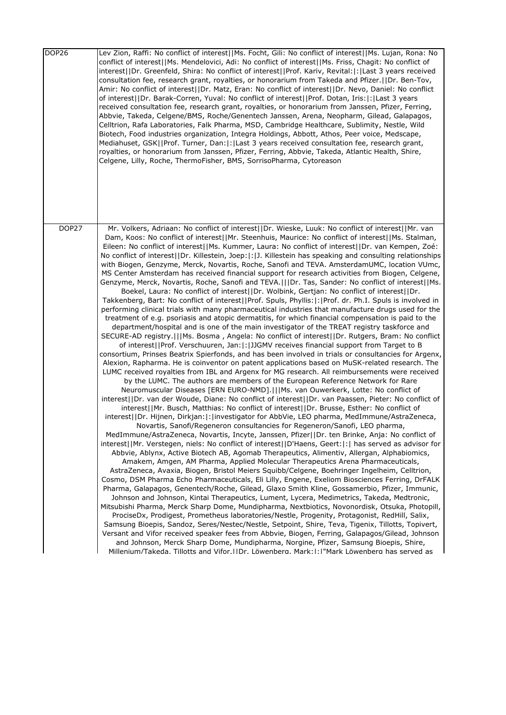| DOP26 | Lev Zion, Raffi: No conflict of interest  Ms. Focht, Gili: No conflict of interest  Ms. Lujan, Rona: No<br>conflict of interest  Ms. Mendelovici, Adi: No conflict of interest  Ms. Friss, Chagit: No conflict of<br>interest  Dr. Greenfeld, Shira: No conflict of interest  Prof. Kariv, Revital: : Last 3 years received<br>consultation fee, research grant, royalties, or honorarium from Takeda and Pfizer.     Dr. Ben-Tov,<br>Amir: No conflict of interest  Dr. Matz, Eran: No conflict of interest  Dr. Nevo, Daniel: No conflict<br>of interest  Dr. Barak-Corren, Yuval: No conflict of interest  Prof. Dotan, Iris: : Last 3 years<br>received consultation fee, research grant, royalties, or honorarium from Janssen, Pfizer, Ferring,<br>Abbvie, Takeda, Celgene/BMS, Roche/Genentech Janssen, Arena, Neopharm, Gilead, Galapagos,<br>Celltrion, Rafa Laboratories, Falk Pharma, MSD, Cambridge Healthcare, Sublimity, Nestle, Wild<br>Biotech, Food industries organization, Integra Holdings, Abbott, Athos, Peer voice, Medscape,<br>Mediahuset, GSK  Prof. Turner, Dan: : Last 3 years received consultation fee, research grant,<br>royalties, or honorarium from Janssen, Pfizer, Ferring, Abbvie, Takeda, Atlantic Health, Shire,<br>Celgene, Lilly, Roche, ThermoFisher, BMS, SorrisoPharma, Cytoreason                                                                                                                                                                                                                                                                                                                                                                                                                                                                                                                                                                                                                                                                                                                                                                                                                                                                                                                                                                                                                                                                                                                                                                                                                                                                                                                                                                                                                                                                                                                                                                                                                                                                                                                                                                                                                                                                                                                                                                                                                                                                                                                                                                                                  |
|-------|----------------------------------------------------------------------------------------------------------------------------------------------------------------------------------------------------------------------------------------------------------------------------------------------------------------------------------------------------------------------------------------------------------------------------------------------------------------------------------------------------------------------------------------------------------------------------------------------------------------------------------------------------------------------------------------------------------------------------------------------------------------------------------------------------------------------------------------------------------------------------------------------------------------------------------------------------------------------------------------------------------------------------------------------------------------------------------------------------------------------------------------------------------------------------------------------------------------------------------------------------------------------------------------------------------------------------------------------------------------------------------------------------------------------------------------------------------------------------------------------------------------------------------------------------------------------------------------------------------------------------------------------------------------------------------------------------------------------------------------------------------------------------------------------------------------------------------------------------------------------------------------------------------------------------------------------------------------------------------------------------------------------------------------------------------------------------------------------------------------------------------------------------------------------------------------------------------------------------------------------------------------------------------------------------------------------------------------------------------------------------------------------------------------------------------------------------------------------------------------------------------------------------------------------------------------------------------------------------------------------------------------------------------------------------------------------------------------------------------------------------------------------------------------------------------------------------------------------------------------------------------------------------------------------------------------------------------------------------------------------------------------------------------------------------------------------------------------------------------------------------------------------------------------------------------------------------------------------------------------------------------------------------------------------------------------------------------------------------------------------------------------------------------------------------------------------------------------------------------------------------------------------------------|
| DOP27 | Mr. Volkers, Adriaan: No conflict of interest  Dr. Wieske, Luuk: No conflict of interest  Mr. van<br>Dam, Koos: No conflict of interest  Mr. Steenhuis, Maurice: No conflict of interest  Ms. Stalman,<br>Eileen: No conflict of interest  Ms. Kummer, Laura: No conflict of interest  Dr. van Kempen, Zoé:<br>No conflict of interest  Dr. Killestein, Joep: : J. Killestein has speaking and consulting relationships<br>with Biogen, Genzyme, Merck, Novartis, Roche, Sanofi and TEVA. AmsterdamUMC, location VUmc,<br>MS Center Amsterdam has received financial support for research activities from Biogen, Celgene,<br>Genzyme, Merck, Novartis, Roche, Sanofi and TEVA.   Dr. Tas, Sander: No conflict of interest  Ms.<br>Boekel, Laura: No conflict of interest  Dr. Wolbink, Gertjan: No conflict of interest  Dr.<br>Takkenberg, Bart: No conflict of interest  Prof. Spuls, Phyllis: : Prof. dr. Ph.I. Spuls is involved in<br>performing clinical trials with many pharmaceutical industries that manufacture drugs used for the<br>treatment of e.g. psoriasis and atopic dermatitis, for which financial compensation is paid to the<br>department/hospital and is one of the main investigator of the TREAT registry taskforce and<br>SECURE-AD registry.   Ms. Bosma, Angela: No conflict of interest  Dr. Rutgers, Bram: No conflict<br>of interest  Prof. Verschuuren, Jan: : JJGMV receives financial support from Target to B<br>consortium, Prinses Beatrix Spierfonds, and has been involved in trials or consultancies for Argenx,<br>Alexion, Rapharma. He is coinventor on patent applications based on MuSK-related research. The<br>LUMC received royalties from IBL and Argenx for MG research. All reimbursements were received<br>by the LUMC. The authors are members of the European Reference Network for Rare<br>Neuromuscular Diseases [ERN EURO-NMD].   Ms. van Ouwerkerk, Lotte: No conflict of<br>interest  Dr. van der Woude, Diane: No conflict of interest  Dr. van Paassen, Pieter: No conflict of<br>interest  Mr. Busch, Matthias: No conflict of interest  Dr. Brusse, Esther: No conflict of<br>interest  Dr. Hijnen, Dirkjan: : investigator for AbbVie, LEO pharma, MedImmune/AstraZeneca,<br>Novartis, Sanofi/Regeneron consultancies for Regeneron/Sanofi, LEO pharma,<br>MedImmune/AstraZeneca, Novartis, Incyte, Janssen, Pfizer  Dr. ten Brinke, Anja: No conflict of<br>interest  Mr. Verstegen, niels: No conflict of interest  D'Haens, Geert: :  has served as advisor for<br>Abbvie, Ablynx, Active Biotech AB, Agomab Therapeutics, Alimentiv, Allergan, Alphabiomics,<br>Amakem, Amgen, AM Pharma, Applied Molecular Therapeutics Arena Pharmaceuticals,<br>AstraZeneca, Avaxia, Biogen, Bristol Meiers Squibb/Celgene, Boehringer Ingelheim, Celltrion,<br>Cosmo, DSM Pharma Echo Pharmaceuticals, Eli Lilly, Engene, Exeliom Biosciences Ferring, DrFALK<br>Pharma, Galapagos, Genentech/Roche, Gilead, Glaxo Smith Kline, Gossamerbio, Pfizer, Immunic,<br>Johnson and Johnson, Kintai Therapeutics, Lument, Lycera, Medimetrics, Takeda, Medtronic,<br>Mitsubishi Pharma, Merck Sharp Dome, Mundipharma, Nextbiotics, Novonordisk, Otsuka, Photopill,<br>ProciseDx, Prodigest, Prometheus laboratories/Nestle, Progenity, Protagonist, RedHill, Salix,<br>Samsung Bioepis, Sandoz, Seres/Nestec/Nestle, Setpoint, Shire, Teva, Tigenix, Tillotts, Topivert,<br>Versant and Vifor received speaker fees from Abbvie, Biogen, Ferring, Galapagos/Gilead, Johnson |
|       | and Johnson, Merck Sharp Dome, Mundipharma, Norgine, Pfizer, Samsung Bioepis, Shire,<br>Millenium/Takeda. Tillotts and Vifor. I IDr. Löwenbera. Mark: I: I"Mark Löwenbera has served as                                                                                                                                                                                                                                                                                                                                                                                                                                                                                                                                                                                                                                                                                                                                                                                                                                                                                                                                                                                                                                                                                                                                                                                                                                                                                                                                                                                                                                                                                                                                                                                                                                                                                                                                                                                                                                                                                                                                                                                                                                                                                                                                                                                                                                                                                                                                                                                                                                                                                                                                                                                                                                                                                                                                                                                                                                                                                                                                                                                                                                                                                                                                                                                                                                                                                                                                          |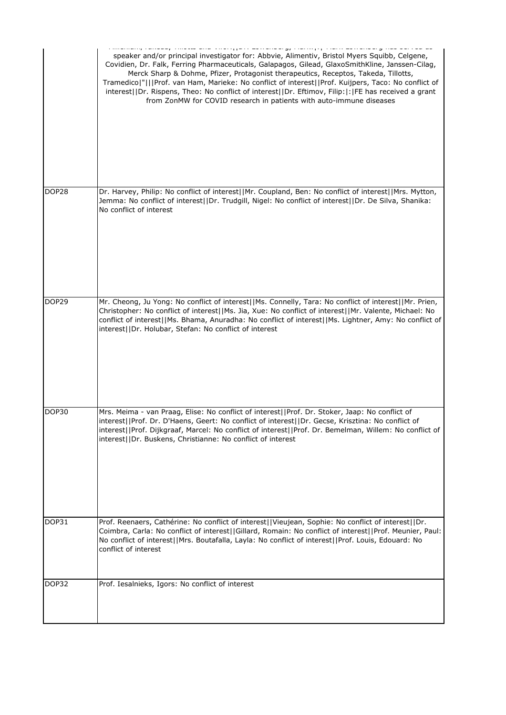|       | . Graduary rendere, ringde end thren party agriculate by rienting pp. renn agriculate graduate de text ed<br>speaker and/or principal investigator for: Abbvie, Alimentiv, Bristol Myers Squibb, Celgene,<br>Covidien, Dr. Falk, Ferring Pharmaceuticals, Galapagos, Gilead, GlaxoSmithKline, Janssen-Cilag,<br>Merck Sharp & Dohme, Pfizer, Protagonist therapeutics, Receptos, Takeda, Tillotts,<br>Tramedico "   Prof. van Ham, Marieke: No conflict of interest  Prof. Kuijpers, Taco: No conflict of<br>interest  Dr. Rispens, Theo: No conflict of interest  Dr. Eftimov, Filip: : FE has received a grant<br>from ZonMW for COVID research in patients with auto-immune diseases |
|-------|-----------------------------------------------------------------------------------------------------------------------------------------------------------------------------------------------------------------------------------------------------------------------------------------------------------------------------------------------------------------------------------------------------------------------------------------------------------------------------------------------------------------------------------------------------------------------------------------------------------------------------------------------------------------------------------------|
| DOP28 | Dr. Harvey, Philip: No conflict of interest  Mr. Coupland, Ben: No conflict of interest  Mrs. Mytton,<br>Jemma: No conflict of interest  Dr. Trudgill, Nigel: No conflict of interest  Dr. De Silva, Shanika:<br>No conflict of interest                                                                                                                                                                                                                                                                                                                                                                                                                                                |
| DOP29 | Mr. Cheong, Ju Yong: No conflict of interest  Ms. Connelly, Tara: No conflict of interest  Mr. Prien,<br>Christopher: No conflict of interest  Ms. Jia, Xue: No conflict of interest  Mr. Valente, Michael: No<br>conflict of interest  Ms. Bhama, Anuradha: No conflict of interest  Ms. Lightner, Amy: No conflict of<br>interest  Dr. Holubar, Stefan: No conflict of interest                                                                                                                                                                                                                                                                                                       |
| DOP30 | Mrs. Meima - van Praag, Elise: No conflict of interest  Prof. Dr. Stoker, Jaap: No conflict of<br>interest  Prof. Dr. D'Haens, Geert: No conflict of interest  Dr. Gecse, Krisztina: No conflict of<br>interest  Prof. Dijkgraaf, Marcel: No conflict of interest  Prof. Dr. Bemelman, Willem: No conflict of<br>interest  Dr. Buskens, Christianne: No conflict of interest                                                                                                                                                                                                                                                                                                            |
|       |                                                                                                                                                                                                                                                                                                                                                                                                                                                                                                                                                                                                                                                                                         |
| DOP31 | Prof. Reenaers, Cathérine: No conflict of interest  Vieujean, Sophie: No conflict of interest  Dr.<br>Coimbra, Carla: No conflict of interest  Gillard, Romain: No conflict of interest  Prof. Meunier, Paul:<br>No conflict of interest  Mrs. Boutafalla, Layla: No conflict of interest  Prof. Louis, Edouard: No<br>conflict of interest                                                                                                                                                                                                                                                                                                                                             |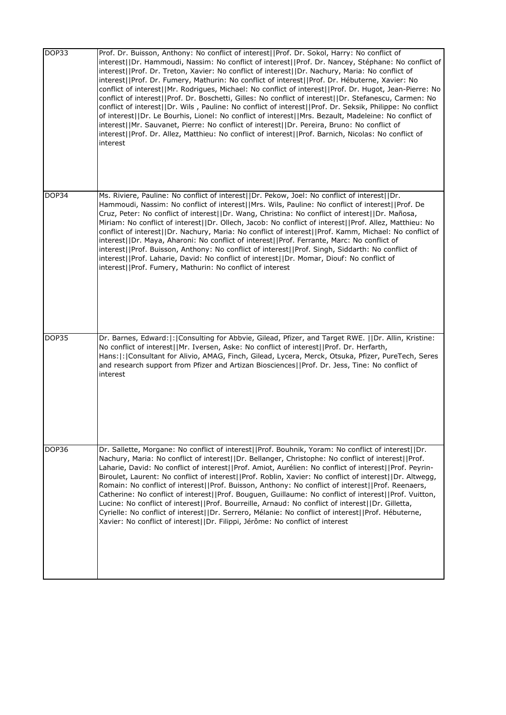| DOP33 | Prof. Dr. Buisson, Anthony: No conflict of interest  Prof. Dr. Sokol, Harry: No conflict of<br>interest  Dr. Hammoudi, Nassim: No conflict of interest  Prof. Dr. Nancey, Stéphane: No conflict of<br>interest  Prof. Dr. Treton, Xavier: No conflict of interest  Dr. Nachury, Maria: No conflict of<br>interest  Prof. Dr. Fumery, Mathurin: No conflict of interest  Prof. Dr. Hébuterne, Xavier: No<br>conflict of interest  Mr. Rodrigues, Michael: No conflict of interest  Prof. Dr. Hugot, Jean-Pierre: No<br>conflict of interest  Prof. Dr. Boschetti, Gilles: No conflict of interest  Dr. Stefanescu, Carmen: No<br>conflict of interest  Dr. Wils, Pauline: No conflict of interest  Prof. Dr. Seksik, Philippe: No conflict<br>of interest  Dr. Le Bourhis, Lionel: No conflict of interest  Mrs. Bezault, Madeleine: No conflict of<br>interest  Mr. Sauvanet, Pierre: No conflict of interest  Dr. Pereira, Bruno: No conflict of<br>interest  Prof. Dr. Allez, Matthieu: No conflict of interest  Prof. Barnich, Nicolas: No conflict of<br>interest |
|-------|-----------------------------------------------------------------------------------------------------------------------------------------------------------------------------------------------------------------------------------------------------------------------------------------------------------------------------------------------------------------------------------------------------------------------------------------------------------------------------------------------------------------------------------------------------------------------------------------------------------------------------------------------------------------------------------------------------------------------------------------------------------------------------------------------------------------------------------------------------------------------------------------------------------------------------------------------------------------------------------------------------------------------------------------------------------------------|
| DOP34 | Ms. Riviere, Pauline: No conflict of interest  Dr. Pekow, Joel: No conflict of interest  Dr.<br>Hammoudi, Nassim: No conflict of interest  Mrs. Wils, Pauline: No conflict of interest  Prof. De<br>Cruz, Peter: No conflict of interest  Dr. Wang, Christina: No conflict of interest  Dr. Mañosa,<br>Miriam: No conflict of interest  Dr. Ollech, Jacob: No conflict of interest  Prof. Allez, Matthieu: No<br>conflict of interest  Dr. Nachury, Maria: No conflict of interest  Prof. Kamm, Michael: No conflict of<br>interest  Dr. Maya, Aharoni: No conflict of interest  Prof. Ferrante, Marc: No conflict of<br>interest  Prof. Buisson, Anthony: No conflict of interest  Prof. Singh, Siddarth: No conflict of<br>interest  Prof. Laharie, David: No conflict of interest  Dr. Momar, Diouf: No conflict of<br>interest  Prof. Fumery, Mathurin: No conflict of interest                                                                                                                                                                                   |
| DOP35 | Dr. Barnes, Edward:  :   Consulting for Abbvie, Gilead, Pfizer, and Target RWE.     Dr. Allin, Kristine:<br>No conflict of interest  Mr. Iversen, Aske: No conflict of interest  Prof. Dr. Herfarth,<br>Hans:  :  Consultant for Alivio, AMAG, Finch, Gilead, Lycera, Merck, Otsuka, Pfizer, PureTech, Seres<br>and research support from Pfizer and Artizan Biosciences  Prof. Dr. Jess, Tine: No conflict of<br>interest                                                                                                                                                                                                                                                                                                                                                                                                                                                                                                                                                                                                                                            |
| DOP36 | Dr. Sallette, Morgane: No conflict of interest  Prof. Bouhnik, Yoram: No conflict of interest  Dr.<br>Nachury, Maria: No conflict of interest  Dr. Bellanger, Christophe: No conflict of interest  Prof.<br>Laharie, David: No conflict of interest  Prof. Amiot, Aurélien: No conflict of interest  Prof. Peyrin-<br>Biroulet, Laurent: No conflict of interest  Prof. Roblin, Xavier: No conflict of interest  Dr. Altwegg,<br>Romain: No conflict of interest  Prof. Buisson, Anthony: No conflict of interest  Prof. Reenaers,<br>Catherine: No conflict of interest  Prof. Bouguen, Guillaume: No conflict of interest  Prof. Vuitton,<br>Lucine: No conflict of interest  Prof. Bourreille, Arnaud: No conflict of interest  Dr. Gilletta,<br>Cyrielle: No conflict of interest  Dr. Serrero, Mélanie: No conflict of interest  Prof. Hébuterne,<br>Xavier: No conflict of interest  Dr. Filippi, Jérôme: No conflict of interest                                                                                                                               |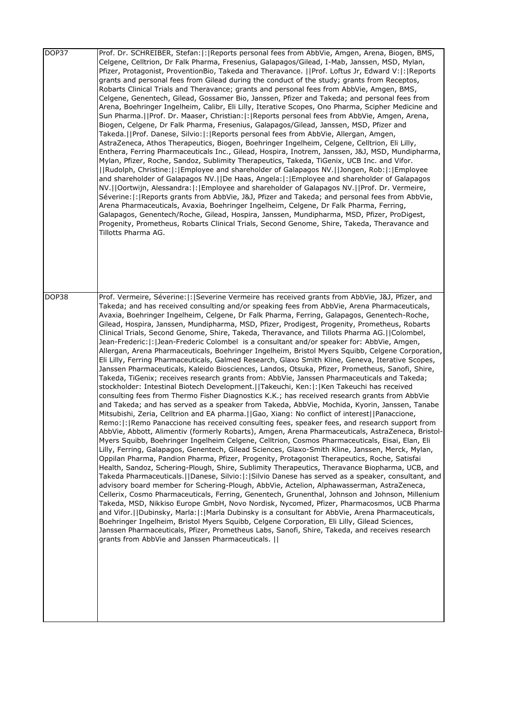| DOP37 | Prof. Dr. SCHREIBER, Stefan:  :   Reports personal fees from AbbVie, Amgen, Arena, Biogen, BMS,<br>Celgene, Celltrion, Dr Falk Pharma, Fresenius, Galapagos/Gilead, I-Mab, Janssen, MSD, Mylan,<br>Pfizer, Protagonist, ProventionBio, Takeda and Theravance. [[Prof. Loftus Jr, Edward V: [: Reports<br>grants and personal fees from Gilead during the conduct of the study; grants from Receptos,<br>Robarts Clinical Trials and Theravance; grants and personal fees from AbbVie, Amgen, BMS,<br>Celgene, Genentech, Gilead, Gossamer Bio, Janssen, Pfizer and Takeda; and personal fees from<br>Arena, Boehringer Ingelheim, Calibr, Eli Lilly, Iterative Scopes, Ono Pharma, Scipher Medicine and<br>Sun Pharma.   Prof. Dr. Maaser, Christian:   :   Reports personal fees from AbbVie, Amgen, Arena,<br>Biogen, Celgene, Dr Falk Pharma, Fresenius, Galapagos/Gilead, Janssen, MSD, Pfizer and<br>Takeda.  Prof. Danese, Silvio: : Reports personal fees from AbbVie, Allergan, Amgen,<br>AstraZeneca, Athos Therapeutics, Biogen, Boehringer Ingelheim, Celgene, Celltrion, Eli Lilly,<br>Enthera, Ferring Pharmaceuticals Inc., Gilead, Hospira, Inotrem, Janssen, J&J, MSD, Mundipharma,<br>Mylan, Pfizer, Roche, Sandoz, Sublimity Therapeutics, Takeda, TiGenix, UCB Inc. and Vifor.<br>  Rudolph, Christine: : Employee and shareholder of Galapagos NV.  Jongen, Rob: : Employee<br>and shareholder of Galapagos NV.   De Haas, Angela:   :   Employee and shareholder of Galapagos<br>NV.  Oortwijn, Alessandra: : Employee and shareholder of Galapagos NV.  Prof. Dr. Vermeire,<br>Séverine: : Reports grants from AbbVie, J&J, Pfizer and Takeda; and personal fees from AbbVie,<br>Arena Pharmaceuticals, Avaxia, Boehringer Ingelheim, Celgene, Dr Falk Pharma, Ferring,<br>Galapagos, Genentech/Roche, Gilead, Hospira, Janssen, Mundipharma, MSD, Pfizer, ProDigest,<br>Progenity, Prometheus, Robarts Clinical Trials, Second Genome, Shire, Takeda, Theravance and<br>Tillotts Pharma AG.                                                                                                                                                                                                                                                                                                                                                                                                                                                                                                                                                                                                                                                                                                                                                                                 |
|-------|----------------------------------------------------------------------------------------------------------------------------------------------------------------------------------------------------------------------------------------------------------------------------------------------------------------------------------------------------------------------------------------------------------------------------------------------------------------------------------------------------------------------------------------------------------------------------------------------------------------------------------------------------------------------------------------------------------------------------------------------------------------------------------------------------------------------------------------------------------------------------------------------------------------------------------------------------------------------------------------------------------------------------------------------------------------------------------------------------------------------------------------------------------------------------------------------------------------------------------------------------------------------------------------------------------------------------------------------------------------------------------------------------------------------------------------------------------------------------------------------------------------------------------------------------------------------------------------------------------------------------------------------------------------------------------------------------------------------------------------------------------------------------------------------------------------------------------------------------------------------------------------------------------------------------------------------------------------------------------------------------------------------------------------------------------------------------------------------------------------------------------------------------------------------------------------------------------------------------------------------------------------------------------------------------------------------------------------------------------------------------------------------------------------------------------------------------------------------------------------------------------------------------------------------------------------------------------------------------------------------------------------------------------------------------------------------------------------------------------------------------------------------------------------------------|
| DOP38 | Prof. Vermeire, Séverine:  :   Severine Vermeire has received grants from AbbVie, J&J, Pfizer, and<br>Takeda; and has received consulting and/or speaking fees from AbbVie, Arena Pharmaceuticals,<br>Avaxia, Boehringer Ingelheim, Celgene, Dr Falk Pharma, Ferring, Galapagos, Genentech-Roche,<br>Gilead, Hospira, Janssen, Mundipharma, MSD, Pfizer, Prodigest, Progenity, Prometheus, Robarts<br>Clinical Trials, Second Genome, Shire, Takeda, Theravance, and Tillots Pharma AG.  Colombel,<br>Jean-Frederic:   :   Jean-Frederic Colombel is a consultant and/or speaker for: AbbVie, Amgen,<br>Allergan, Arena Pharmaceuticals, Boehringer Ingelheim, Bristol Myers Squibb, Celgene Corporation,<br>Eli Lilly, Ferring Pharmaceuticals, Galmed Research, Glaxo Smith Kline, Geneva, Iterative Scopes,<br>Janssen Pharmaceuticals, Kaleido Biosciences, Landos, Otsuka, Pfizer, Prometheus, Sanofi, Shire,<br>Takeda, TiGenix; receives research grants from: AbbVie, Janssen Pharmaceuticals and Takeda;<br>stockholder: Intestinal Biotech Development.  Takeuchi, Ken: : Ken Takeuchi has received<br>consulting fees from Thermo Fisher Diagnostics K.K.; has received research grants from AbbVie<br>and Takeda; and has served as a speaker from Takeda, AbbVie, Mochida, Kyorin, Janssen, Tanabe<br>Mitsubishi, Zeria, Celltrion and EA pharma.  Gao, Xiang: No conflict of interest  Panaccione,<br>Remo:  :   Remo Panaccione has received consulting fees, speaker fees, and research support from<br>AbbVie, Abbott, Alimentiv (formerly Robarts), Amgen, Arena Pharmaceuticals, AstraZeneca, Bristol-<br>Myers Squibb, Boehringer Ingelheim Celgene, Celltrion, Cosmos Pharmaceuticals, Eisai, Elan, Eli<br>Lilly, Ferring, Galapagos, Genentech, Gilead Sciences, Glaxo-Smith Kline, Janssen, Merck, Mylan,<br>Oppilan Pharma, Pandion Pharma, Pfizer, Progenity, Protagonist Therapeutics, Roche, Satisfai<br>Health, Sandoz, Schering-Plough, Shire, Sublimity Therapeutics, Theravance Biopharma, UCB, and<br>Takeda Pharmaceuticals. [Danese, Silvio: [: [Silvio Danese has served as a speaker, consultant, and<br>advisory board member for Schering-Plough, AbbVie, Actelion, Alphawasserman, AstraZeneca,<br>Cellerix, Cosmo Pharmaceuticals, Ferring, Genentech, Grunenthal, Johnson and Johnson, Millenium<br>Takeda, MSD, Nikkiso Europe GmbH, Novo Nordisk, Nycomed, Pfizer, Pharmacosmos, UCB Pharma<br>and Vifor.   Dubinsky, Marla:  :  Marla Dubinsky is a consultant for AbbVie, Arena Pharmaceuticals,<br>Boehringer Ingelheim, Bristol Myers Squibb, Celgene Corporation, Eli Lilly, Gilead Sciences,<br>Janssen Pharmaceuticals, Pfizer, Prometheus Labs, Sanofi, Shire, Takeda, and receives research<br>grants from AbbVie and Janssen Pharmaceuticals. |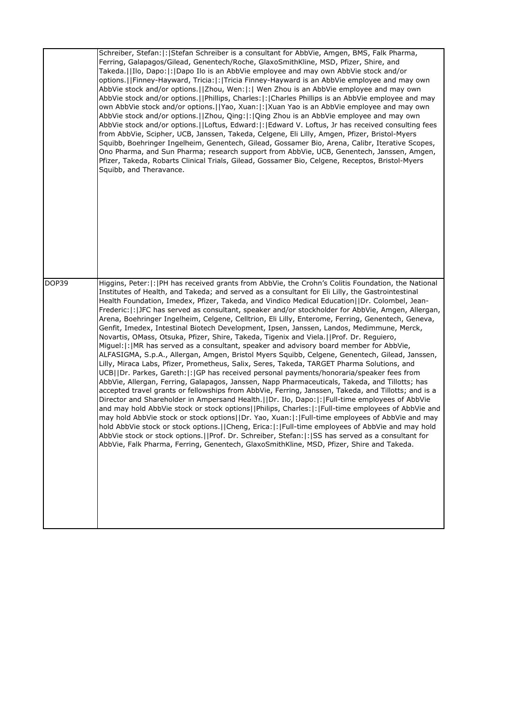|       | Schreiber, Stefan:  :   Stefan Schreiber is a consultant for AbbVie, Amgen, BMS, Falk Pharma,<br>Ferring, Galapagos/Gilead, Genentech/Roche, GlaxoSmithKline, MSD, Pfizer, Shire, and<br>Takeda.   Ilo, Dapo:   :   Dapo Ilo is an AbbVie employee and may own AbbVie stock and/or<br>options.   Finney-Hayward, Tricia:  :   Tricia Finney-Hayward is an AbbVie employee and may own<br>AbbVie stock and/or options.     Zhou, Wen:   :   Wen Zhou is an AbbVie employee and may own<br>AbbVie stock and/or options.  Phillips, Charles: : Charles Phillips is an AbbVie employee and may<br>own AbbVie stock and/or options.   Yao, Xuan:  :  Xuan Yao is an AbbVie employee and may own<br>AbbVie stock and/or options.   Zhou, Qing:   :   Qing Zhou is an AbbVie employee and may own<br>AbbVie stock and/or options.     Loftus, Edward:   :   Edward V. Loftus, Jr has received consulting fees<br>from AbbVie, Scipher, UCB, Janssen, Takeda, Celgene, Eli Lilly, Amgen, Pfizer, Bristol-Myers<br>Squibb, Boehringer Ingelheim, Genentech, Gilead, Gossamer Bio, Arena, Calibr, Iterative Scopes,<br>Ono Pharma, and Sun Pharma; research support from AbbVie, UCB, Genentech, Janssen, Amgen,<br>Pfizer, Takeda, Robarts Clinical Trials, Gilead, Gossamer Bio, Celgene, Receptos, Bristol-Myers<br>Squibb, and Theravance.                                                                                                                                                                                                                                                                                                                                                                                                                                                                                                                                                                                                    |
|-------|-----------------------------------------------------------------------------------------------------------------------------------------------------------------------------------------------------------------------------------------------------------------------------------------------------------------------------------------------------------------------------------------------------------------------------------------------------------------------------------------------------------------------------------------------------------------------------------------------------------------------------------------------------------------------------------------------------------------------------------------------------------------------------------------------------------------------------------------------------------------------------------------------------------------------------------------------------------------------------------------------------------------------------------------------------------------------------------------------------------------------------------------------------------------------------------------------------------------------------------------------------------------------------------------------------------------------------------------------------------------------------------------------------------------------------------------------------------------------------------------------------------------------------------------------------------------------------------------------------------------------------------------------------------------------------------------------------------------------------------------------------------------------------------------------------------------------------------------------------------------------------------------------------------------------------------------|
| DOP39 | Higgins, Peter:  :  PH has received grants from AbbVie, the Crohn's Colitis Foundation, the National<br>Institutes of Health, and Takeda; and served as a consultant for Eli Lilly, the Gastrointestinal<br>Health Foundation, Imedex, Pfizer, Takeda, and Vindico Medical Education  Dr. Colombel, Jean-<br>Frederic:  :  JFC has served as consultant, speaker and/or stockholder for AbbVie, Amgen, Allergan,<br>Arena, Boehringer Ingelheim, Celgene, Celltrion, Eli Lilly, Enterome, Ferring, Genentech, Geneva,<br>Genfit, Imedex, Intestinal Biotech Development, Ipsen, Janssen, Landos, Medimmune, Merck,<br>Novartis, OMass, Otsuka, Pfizer, Shire, Takeda, Tigenix and Viela.   Prof. Dr. Reguiero,<br>Miguel:  :   MR has served as a consultant, speaker and advisory board member for AbbVie,<br>ALFASIGMA, S.p.A., Allergan, Amgen, Bristol Myers Squibb, Celgene, Genentech, Gilead, Janssen,<br>Lilly, Miraca Labs, Pfizer, Prometheus, Salix, Seres, Takeda, TARGET Pharma Solutions, and<br>UCB  Dr. Parkes, Gareth: :  GP has received personal payments/honoraria/speaker fees from<br>AbbVie, Allergan, Ferring, Galapagos, Janssen, Napp Pharmaceuticals, Takeda, and Tillotts; has<br>accepted travel grants or fellowships from AbbVie, Ferring, Janssen, Takeda, and Tillotts; and is a<br>Director and Shareholder in Ampersand Health.   Dr. Ilo, Dapo:   :   Full-time employees of AbbVie<br>and may hold AbbVie stock or stock options  Philips, Charles: : Full-time employees of AbbVie and<br>may hold AbbVie stock or stock options  Dr. Yao, Xuan: : Full-time employees of AbbVie and may<br>hold AbbVie stock or stock options. [Cheng, Erica:  :  Full-time employees of AbbVie and may hold<br>AbbVie stock or stock options.   Prof. Dr. Schreiber, Stefan:  :   SS has served as a consultant for<br>AbbVie, Falk Pharma, Ferring, Genentech, GlaxoSmithKline, MSD, Pfizer, Shire and Takeda. |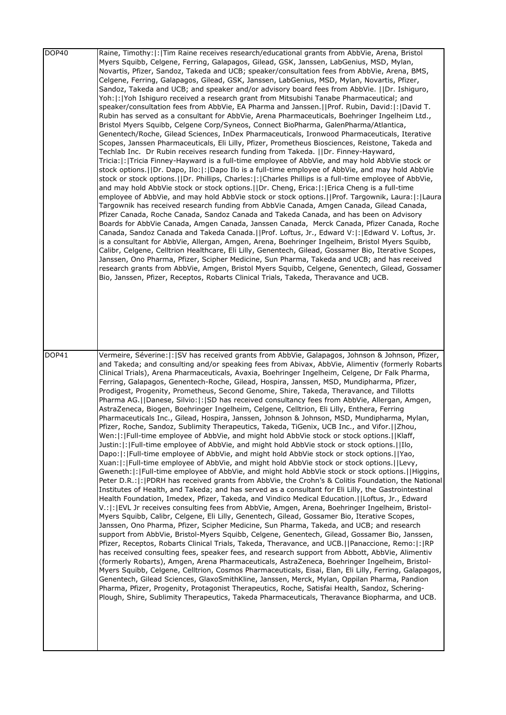| DOP40              | Raine, Timothy:  :  Tim Raine receives research/educational grants from AbbVie, Arena, Bristol<br>Myers Squibb, Celgene, Ferring, Galapagos, Gilead, GSK, Janssen, LabGenius, MSD, Mylan,<br>Novartis, Pfizer, Sandoz, Takeda and UCB; speaker/consultation fees from AbbVie, Arena, BMS,<br>Celgene, Ferring, Galapagos, Gilead, GSK, Janssen, LabGenius, MSD, Mylan, Novartis, Pfizer,<br>Sandoz, Takeda and UCB; and speaker and/or advisory board fees from AbbVie.   Dr. Ishiguro,<br>Yoh: : Yoh Ishiguro received a research grant from Mitsubishi Tanabe Pharmaceutical; and<br>speaker/consultation fees from AbbVie, EA Pharma and Janssen.  Prof. Rubin, David: : David T.<br>Rubin has served as a consultant for AbbVie, Arena Pharmaceuticals, Boehringer Ingelheim Ltd.,<br>Bristol Myers Squibb, Celgene Corp/Syneos, Connect BioPharma, GalenPharma/Atlantica,<br>Genentech/Roche, Gilead Sciences, InDex Pharmaceuticals, Ironwood Pharmaceuticals, Iterative<br>Scopes, Janssen Pharmaceuticals, Eli Lilly, Pfizer, Prometheus Biosciences, Reistone, Takeda and<br>Techlab Inc. Dr Rubin receives research funding from Takeda.   Dr. Finney-Hayward,<br>Tricia:  :  Tricia Finney-Hayward is a full-time employee of AbbVie, and may hold AbbVie stock or<br>stock options. [IDr. Dapo, Ilo:  :  Dapo Ilo is a full-time employee of AbbVie, and may hold AbbVie<br>stock or stock options. [ Dr. Phillips, Charles:  :  Charles Phillips is a full-time employee of AbbVie,<br>and may hold AbbVie stock or stock options. [IDr. Cheng, Erica:  :   Erica Cheng is a full-time<br>employee of AbbVie, and may hold AbbVie stock or stock options.[[Prof. Targownik, Laura:]: [Laura<br>Targownik has received research funding from AbbVie Canada, Amgen Canada, Gilead Canada,<br>Pfizer Canada, Roche Canada, Sandoz Canada and Takeda Canada, and has been on Advisory<br>Boards for AbbVie Canada, Amgen Canada, Janssen Canada, Merck Canada, Pfizer Canada, Roche<br>Canada, Sandoz Canada and Takeda Canada.   Prof. Loftus, Jr., Edward V:  :   Edward V. Loftus, Jr.<br>is a consultant for AbbVie, Allergan, Amgen, Arena, Boehringer Ingelheim, Bristol Myers Squibb,<br>Calibr, Celgene, Celltrion Healthcare, Eli Lilly, Genentech, Gilead, Gossamer Bio, Iterative Scopes,<br>Janssen, Ono Pharma, Pfizer, Scipher Medicine, Sun Pharma, Takeda and UCB; and has received<br>research grants from AbbVie, Amgen, Bristol Myers Squibb, Celgene, Genentech, Gilead, Gossamer<br>Bio, Janssen, Pfizer, Receptos, Robarts Clinical Trials, Takeda, Theravance and UCB.                                                                                                                                                                                                                                      |
|--------------------|---------------------------------------------------------------------------------------------------------------------------------------------------------------------------------------------------------------------------------------------------------------------------------------------------------------------------------------------------------------------------------------------------------------------------------------------------------------------------------------------------------------------------------------------------------------------------------------------------------------------------------------------------------------------------------------------------------------------------------------------------------------------------------------------------------------------------------------------------------------------------------------------------------------------------------------------------------------------------------------------------------------------------------------------------------------------------------------------------------------------------------------------------------------------------------------------------------------------------------------------------------------------------------------------------------------------------------------------------------------------------------------------------------------------------------------------------------------------------------------------------------------------------------------------------------------------------------------------------------------------------------------------------------------------------------------------------------------------------------------------------------------------------------------------------------------------------------------------------------------------------------------------------------------------------------------------------------------------------------------------------------------------------------------------------------------------------------------------------------------------------------------------------------------------------------------------------------------------------------------------------------------------------------------------------------------------------------------------------------------------------------------------------------------------------------------------------------------------------------------------------------------------------------------------------------------------------------------------------------------------------------------------------------------------------------------------------------------------------------------------------------------------------------------------------------------------------------------------|
| $\overline{D}OP41$ | Vermeire, Séverine:   :   SV has received grants from AbbVie, Galapagos, Johnson & Johnson, Pfizer,<br>and Takeda; and consulting and/or speaking fees from Abivax, AbbVie, Alimentiv (formerly Robarts<br>Clinical Trials), Arena Pharmaceuticals, Avaxia, Boehringer Ingelheim, Celgene, Dr Falk Pharma,<br>Ferring, Galapagos, Genentech-Roche, Gilead, Hospira, Janssen, MSD, Mundipharma, Pfizer,<br>Prodigest, Progenity, Prometheus, Second Genome, Shire, Takeda, Theravance, and Tillotts<br>Pharma AG.  Danese, Silvio: : SD has received consultancy fees from AbbVie, Allergan, Amgen,<br>AstraZeneca, Biogen, Boehringer Ingelheim, Celgene, Celltrion, Eli Lilly, Enthera, Ferring<br>Pharmaceuticals Inc., Gilead, Hospira, Janssen, Johnson & Johnson, MSD, Mundipharma, Mylan,<br>Pfizer, Roche, Sandoz, Sublimity Therapeutics, Takeda, TiGenix, UCB Inc., and Vifor.[[Zhou,<br>Wen: : Full-time employee of AbbVie, and might hold AbbVie stock or stock options.  Klaff,<br>Justin: : Full-time employee of AbbVie, and might hold AbbVie stock or stock options.  Ilo,<br>Dapo:  :  Full-time employee of AbbVie, and might hold AbbVie stock or stock options.   Yao,<br>Xuan: : Full-time employee of AbbVie, and might hold AbbVie stock or stock options.  Levy,<br>Gweneth:  :  Full-time employee of AbbVie, and might hold AbbVie stock or stock options.   Higgins,<br>Peter D.R.:  :  PDRH has received grants from AbbVie, the Crohn's & Colitis Foundation, the National<br>Institutes of Health, and Takeda; and has served as a consultant for Eli Lilly, the Gastrointestinal<br>Health Foundation, Imedex, Pfizer, Takeda, and Vindico Medical Education.  Loftus, Jr., Edward<br>V.:  :  EVL Jr receives consulting fees from AbbVie, Amgen, Arena, Boehringer Ingelheim, Bristol-<br>Myers Squibb, Calibr, Celgene, Eli Lilly, Genentech, Gilead, Gossamer Bio, Iterative Scopes,<br>Janssen, Ono Pharma, Pfizer, Scipher Medicine, Sun Pharma, Takeda, and UCB; and research<br>support from AbbVie, Bristol-Myers Squibb, Celgene, Genentech, Gilead, Gossamer Bio, Janssen,<br>Pfizer, Receptos, Robarts Clinical Trials, Takeda, Theravance, and UCB.   Panaccione, Remo:   :   RP<br>has received consulting fees, speaker fees, and research support from Abbott, AbbVie, Alimentiv<br>(formerly Robarts), Amgen, Arena Pharmaceuticals, AstraZeneca, Boehringer Ingelheim, Bristol-<br>Myers Squibb, Celgene, Celltrion, Cosmos Pharmaceuticals, Eisai, Elan, Eli Lilly, Ferring, Galapagos,<br>Genentech, Gilead Sciences, GlaxoSmithKline, Janssen, Merck, Mylan, Oppilan Pharma, Pandion<br>Pharma, Pfizer, Progenity, Protagonist Therapeutics, Roche, Satisfai Health, Sandoz, Schering-<br>Plough, Shire, Sublimity Therapeutics, Takeda Pharmaceuticals, Theravance Biopharma, and UCB. |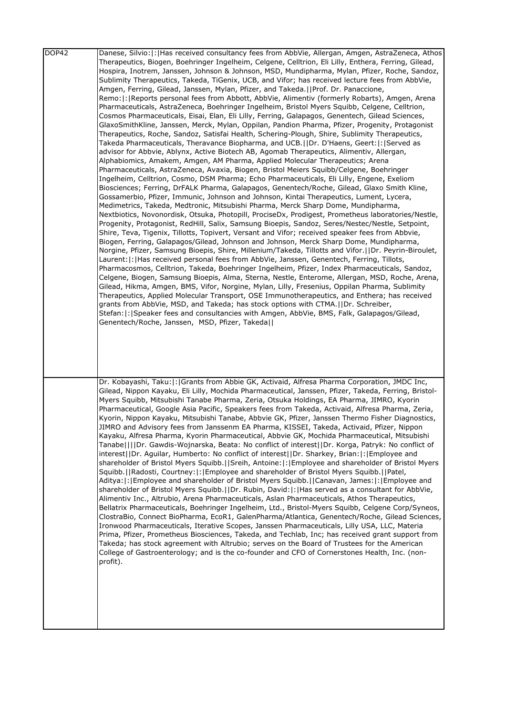| DOP42 | Danese, Silvio:  :  Has received consultancy fees from AbbVie, Allergan, Amgen, AstraZeneca, Athos<br>Therapeutics, Biogen, Boehringer Ingelheim, Celgene, Celltrion, Eli Lilly, Enthera, Ferring, Gilead,<br>Hospira, Inotrem, Janssen, Johnson & Johnson, MSD, Mundipharma, Mylan, Pfizer, Roche, Sandoz,<br>Sublimity Therapeutics, Takeda, TiGenix, UCB, and Vifor; has received lecture fees from AbbVie,<br>Amgen, Ferring, Gilead, Janssen, Mylan, Pfizer, and Takeda.  Prof. Dr. Panaccione,<br>Remo:  :   Reports personal fees from Abbott, AbbVie, Alimentiv (formerly Robarts), Amgen, Arena<br>Pharmaceuticals, AstraZeneca, Boehringer Ingelheim, Bristol Myers Squibb, Celgene, Celltrion,<br>Cosmos Pharmaceuticals, Eisai, Elan, Eli Lilly, Ferring, Galapagos, Genentech, Gilead Sciences,<br>GlaxoSmithKline, Janssen, Merck, Mylan, Oppilan, Pandion Pharma, Pfizer, Progenity, Protagonist<br>Therapeutics, Roche, Sandoz, Satisfai Health, Schering-Plough, Shire, Sublimity Therapeutics,<br>Takeda Pharmaceuticals, Theravance Biopharma, and UCB.  Dr. D'Haens, Geert: : Served as<br>advisor for Abbvie, Ablynx, Active Biotech AB, Agomab Therapeutics, Alimentiv, Allergan,<br>Alphabiomics, Amakem, Amgen, AM Pharma, Applied Molecular Therapeutics; Arena<br>Pharmaceuticals, AstraZeneca, Avaxia, Biogen, Bristol Meiers Squibb/Celgene, Boehringer<br>Ingelheim, Celltrion, Cosmo, DSM Pharma; Echo Pharmaceuticals, Eli Lilly, Engene, Exeliom<br>Biosciences; Ferring, DrFALK Pharma, Galapagos, Genentech/Roche, Gilead, Glaxo Smith Kline,<br>Gossamerbio, Pfizer, Immunic, Johnson and Johnson, Kintai Therapeutics, Lument, Lycera,<br>Medimetrics, Takeda, Medtronic, Mitsubishi Pharma, Merck Sharp Dome, Mundipharma,<br>Nextbiotics, Novonordisk, Otsuka, Photopill, ProciseDx, Prodigest, Prometheus laboratories/Nestle,<br>Progenity, Protagonist, RedHill, Salix, Samsung Bioepis, Sandoz, Seres/Nestec/Nestle, Setpoint,<br>Shire, Teva, Tigenix, Tillotts, Topivert, Versant and Vifor; received speaker fees from Abbvie,<br>Biogen, Ferring, Galapagos/Gilead, Johnson and Johnson, Merck Sharp Dome, Mundipharma,<br>Norgine, Pfizer, Samsung Bioepis, Shire, Millenium/Takeda, Tillotts and Vifor.     Dr. Peyrin-Biroulet,<br>Laurent:  :   Has received personal fees from AbbVie, Janssen, Genentech, Ferring, Tillots,<br>Pharmacosmos, Celltrion, Takeda, Boehringer Ingelheim, Pfizer, Index Pharmaceuticals, Sandoz,<br>Celgene, Biogen, Samsung Bioepis, Alma, Sterna, Nestle, Enterome, Allergan, MSD, Roche, Arena,<br>Gilead, Hikma, Amgen, BMS, Vifor, Norgine, Mylan, Lilly, Fresenius, Oppilan Pharma, Sublimity<br>Therapeutics, Applied Molecular Transport, OSE Immunotherapeutics, and Enthera; has received<br>grants from AbbVie, MSD, and Takeda; has stock options with CTMA.   Dr. Schreiber,<br>Stefan:  :  Speaker fees and consultancies with Amgen, AbbVie, BMS, Falk, Galapagos/Gilead, |
|-------|--------------------------------------------------------------------------------------------------------------------------------------------------------------------------------------------------------------------------------------------------------------------------------------------------------------------------------------------------------------------------------------------------------------------------------------------------------------------------------------------------------------------------------------------------------------------------------------------------------------------------------------------------------------------------------------------------------------------------------------------------------------------------------------------------------------------------------------------------------------------------------------------------------------------------------------------------------------------------------------------------------------------------------------------------------------------------------------------------------------------------------------------------------------------------------------------------------------------------------------------------------------------------------------------------------------------------------------------------------------------------------------------------------------------------------------------------------------------------------------------------------------------------------------------------------------------------------------------------------------------------------------------------------------------------------------------------------------------------------------------------------------------------------------------------------------------------------------------------------------------------------------------------------------------------------------------------------------------------------------------------------------------------------------------------------------------------------------------------------------------------------------------------------------------------------------------------------------------------------------------------------------------------------------------------------------------------------------------------------------------------------------------------------------------------------------------------------------------------------------------------------------------------------------------------------------------------------------------------------------------------------------------------------------------------------------------------------------------------------------------------------------------------------------------------------------------------------------------------------------------------------------------------------------------------------------------------------------------------|
|       | Genentech/Roche, Janssen, MSD, Pfizer, Takeda  <br>Dr. Kobayashi, Taku:  :  Grants from Abbie GK, Activaid, Alfresa Pharma Corporation, JMDC Inc,<br>Gilead, Nippon Kayaku, Eli Lilly, Mochida Pharmaceutical, Janssen, Pfizer, Takeda, Ferring, Bristol-<br>Myers Squibb, Mitsubishi Tanabe Pharma, Zeria, Otsuka Holdings, EA Pharma, JIMRO, Kyorin                                                                                                                                                                                                                                                                                                                                                                                                                                                                                                                                                                                                                                                                                                                                                                                                                                                                                                                                                                                                                                                                                                                                                                                                                                                                                                                                                                                                                                                                                                                                                                                                                                                                                                                                                                                                                                                                                                                                                                                                                                                                                                                                                                                                                                                                                                                                                                                                                                                                                                                                                                                                                    |
|       | Pharmaceutical, Google Asia Pacific, Speakers fees from Takeda, Activaid, Alfresa Pharma, Zeria,<br>Kyorin, Nippon Kayaku, Mitsubishi Tanabe, Abbvie GK, Pfizer, Janssen Thermo Fisher Diagnostics,<br>JIMRO and Advisory fees from Janssenm EA Pharma, KISSEI, Takeda, Activaid, Pfizer, Nippon<br>Kayaku, Alfresa Pharma, Kyorin Pharmaceutical, Abbvie GK, Mochida Pharmaceutical, Mitsubishi<br>Tanabe    Dr. Gawdis-Wojnarska, Beata: No conflict of interest  Dr. Korga, Patryk: No conflict of<br>interest  Dr. Aguilar, Humberto: No conflict of interest  Dr. Sharkey, Brian: : Employee and<br>shareholder of Bristol Myers Squibb.  Sreih, Antoine: : Employee and shareholder of Bristol Myers<br>Squibb.  Radosti, Courtney: : Employee and shareholder of Bristol Myers Squibb.  Patel,<br>Aditya: : Employee and shareholder of Bristol Myers Squibb.  Canavan, James: : Employee and<br>shareholder of Bristol Myers Squibb.  Dr. Rubin, David: : Has served as a consultant for AbbVie,<br>Alimentiv Inc., Altrubio, Arena Pharmaceuticals, Aslan Pharmaceuticals, Athos Therapeutics,<br>Bellatrix Pharmaceuticals, Boehringer Ingelheim, Ltd., Bristol-Myers Squibb, Celgene Corp/Syneos,<br>ClostraBio, Connect BioPharma, EcoR1, GalenPharma/Atlantica, Genentech/Roche, Gilead Sciences,<br>Ironwood Pharmaceuticals, Iterative Scopes, Janssen Pharmaceuticals, Lilly USA, LLC, Materia<br>Prima, Pfizer, Prometheus Biosciences, Takeda, and Techlab, Inc; has received grant support from<br>Takeda; has stock agreement with Altrubio; serves on the Board of Trustees for the American<br>College of Gastroenterology; and is the co-founder and CFO of Cornerstones Health, Inc. (non-<br>profit).                                                                                                                                                                                                                                                                                                                                                                                                                                                                                                                                                                                                                                                                                                                                                                                                                                                                                                                                                                                                                                                                                                                                                                                                                                           |
|       |                                                                                                                                                                                                                                                                                                                                                                                                                                                                                                                                                                                                                                                                                                                                                                                                                                                                                                                                                                                                                                                                                                                                                                                                                                                                                                                                                                                                                                                                                                                                                                                                                                                                                                                                                                                                                                                                                                                                                                                                                                                                                                                                                                                                                                                                                                                                                                                                                                                                                                                                                                                                                                                                                                                                                                                                                                                                                                                                                                          |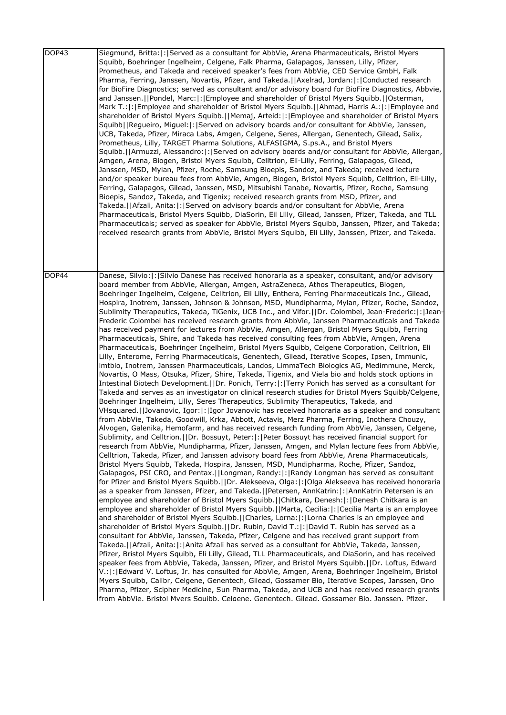| DOP43 | Siegmund, Britta:  :  Served as a consultant for AbbVie, Arena Pharmaceuticals, Bristol Myers<br>Squibb, Boehringer Ingelheim, Celgene, Falk Pharma, Galapagos, Janssen, Lilly, Pfizer,<br>Prometheus, and Takeda and received speaker's fees from AbbVie, CED Service GmbH, Falk<br>Pharma, Ferring, Janssen, Novartis, Pfizer, and Takeda. [Axelrad, Jordan: [: Conducted research<br>for BioFire Diagnostics; served as consultant and/or advisory board for BioFire Diagnostics, Abbvie,<br>and Janssen.  Pondel, Marc: : Employee and shareholder of Bristol Myers Squibb.  Osterman,<br>Mark T.:  :   Employee and shareholder of Bristol Myers Squibb.     Ahmad, Harris A.:  :   Employee and<br>shareholder of Bristol Myers Squibb.  Memaj, Arteid: : Employee and shareholder of Bristol Myers<br>Squibb  Regueiro, Miguel: : Served on advisory boards and/or consultant for AbbVie, Janssen,<br>UCB, Takeda, Pfizer, Miraca Labs, Amgen, Celgene, Seres, Allergan, Genentech, Gilead, Salix,<br>Prometheus, Lilly, TARGET Pharma Solutions, ALFASIGMA, S.ps.A., and Bristol Myers<br>Squibb.  Armuzzi, Alessandro: : Served on advisory boards and/or consultant for AbbVie, Allergan,<br>Amgen, Arena, Biogen, Bristol Myers Squibb, Celltrion, Eli-Lilly, Ferring, Galapagos, Gilead,<br>Janssen, MSD, Mylan, Pfizer, Roche, Samsung Bioepis, Sandoz, and Takeda; received lecture<br>and/or speaker bureau fees from AbbVie, Amgen, Biogen, Bristol Myers Squibb, Celltrion, Eli-Lilly,<br>Ferring, Galapagos, Gilead, Janssen, MSD, Mitsubishi Tanabe, Novartis, Pfizer, Roche, Samsung<br>Bioepis, Sandoz, Takeda, and Tigenix; received research grants from MSD, Pfizer, and<br>Takeda.  Afzali, Anita: : Served on advisory boards and/or consultant for AbbVie, Arena<br>Pharmaceuticals, Bristol Myers Squibb, DiaSorin, Eil Lilly, Gilead, Janssen, Pfizer, Takeda, and TLL<br>Pharmaceuticals; served as speaker for AbbVie, Bristol Myers Squibb, Janssen, Pfizer, and Takeda;<br>received research grants from AbbVie, Bristol Myers Squibb, Eli Lilly, Janssen, Pfizer, and Takeda.                                                                                                                                                                                                                                                                                                                                                                                                                                                                                                                                                                                                                                                                                                                                                                                                                                                                                                                                                                                                                                                                                                                                                                                                                                                                                                                                                                                                                                                                                                                                                                                                                                                                                |
|-------|------------------------------------------------------------------------------------------------------------------------------------------------------------------------------------------------------------------------------------------------------------------------------------------------------------------------------------------------------------------------------------------------------------------------------------------------------------------------------------------------------------------------------------------------------------------------------------------------------------------------------------------------------------------------------------------------------------------------------------------------------------------------------------------------------------------------------------------------------------------------------------------------------------------------------------------------------------------------------------------------------------------------------------------------------------------------------------------------------------------------------------------------------------------------------------------------------------------------------------------------------------------------------------------------------------------------------------------------------------------------------------------------------------------------------------------------------------------------------------------------------------------------------------------------------------------------------------------------------------------------------------------------------------------------------------------------------------------------------------------------------------------------------------------------------------------------------------------------------------------------------------------------------------------------------------------------------------------------------------------------------------------------------------------------------------------------------------------------------------------------------------------------------------------------------------------------------------------------------------------------------------------------------------------------------------------------------------------------------------------------------------------------------------------------------------------------------------------------------------------------------------------------------------------------------------------------------------------------------------------------------------------------------------------------------------------------------------------------------------------------------------------------------------------------------------------------------------------------------------------------------------------------------------------------------------------------------------------------------------------------------------------------------------------------------------------------------------------------------------------------------------------------------------------------------------------------------------------------------------------------------------------------------------------------------------------------------------------------------------------------------------------------------------------------------------------------------------------------------------------------------------------------------------------------------------------------------------------------------------------------------------------------------------------------------------------------------------------------------------------------------------------------------------------------|
| DOP44 | Danese, Silvio:  :   Silvio Danese has received honoraria as a speaker, consultant, and/or advisory<br>board member from AbbVie, Allergan, Amgen, AstraZeneca, Athos Therapeutics, Biogen,<br>Boehringer Ingelheim, Celgene, Celltrion, Eli Lilly, Enthera, Ferring Pharmaceuticals Inc., Gilead,<br>Hospira, Inotrem, Janssen, Johnson & Johnson, MSD, Mundipharma, Mylan, Pfizer, Roche, Sandoz,<br>Sublimity Therapeutics, Takeda, TiGenix, UCB Inc., and Vifor.   Dr. Colombel, Jean-Frederic:   :   Jean-<br>Frederic Colombel has received research grants from AbbVie, Janssen Pharmaceuticals and Takeda<br>has received payment for lectures from AbbVie, Amgen, Allergan, Bristol Myers Squibb, Ferring<br>Pharmaceuticals, Shire, and Takeda has received consulting fees from AbbVie, Amgen, Arena<br>Pharmaceuticals, Boehringer Ingelheim, Bristol Myers Squibb, Celgene Corporation, Celltrion, Eli<br>Lilly, Enterome, Ferring Pharmaceuticals, Genentech, Gilead, Iterative Scopes, Ipsen, Immunic,<br>Imtbio, Inotrem, Janssen Pharmaceuticals, Landos, LimmaTech Biologics AG, Medimmune, Merck,<br>Novartis, O Mass, Otsuka, Pfizer, Shire, Takeda, Tigenix, and Viela bio and holds stock options in<br>Intestinal Biotech Development.     Dr. Ponich, Terry:   :   Terry Ponich has served as a consultant for<br>Takeda and serves as an investigator on clinical research studies for Bristol Myers Squibb/Celgene,<br>Boehringer Ingelheim, Lilly, Seres Therapeutics, Sublimity Therapeutics, Takeda, and<br>VHsquared.  Jovanovic, Igor: : Igor Jovanovic has received honoraria as a speaker and consultant<br>from AbbVie, Takeda, Goodwill, Krka, Abbott, Actavis, Merz Pharma, Ferring, Inothera Chouzy,<br>Alvogen, Galenika, Hemofarm, and has received research funding from AbbVie, Janssen, Celgene,<br>Sublimity, and Celltrion.  Dr. Bossuyt, Peter: : Peter Bossuyt has received financial support for<br>research from AbbVie, Mundipharma, Pfizer, Janssen, Amgen, and Mylan lecture fees from AbbVie,<br>Celltrion, Takeda, Pfizer, and Janssen advisory board fees from AbbVie, Arena Pharmaceuticals,<br>Bristol Myers Squibb, Takeda, Hospira, Janssen, MSD, Mundipharma, Roche, Pfizer, Sandoz,<br>Galapagos, PSI CRO, and Pentax.  Longman, Randy: : Randy Longman has served as consultant<br>for Pfizer and Bristol Myers Squibb.  Dr. Alekseeva, Olga: : Olga Alekseeva has received honoraria<br>as a speaker from Janssen, Pfizer, and Takeda.  Petersen, AnnKatrin: : AnnKatrin Petersen is an<br>employee and shareholder of Bristol Myers Squibb.  Chitkara, Denesh: : Denesh Chitkara is an<br>employee and shareholder of Bristol Myers Squibb.  Marta, Cecilia: :  Cecilia Marta is an employee<br>and shareholder of Bristol Myers Squibb.   Charles, Lorna:   :   Lorna Charles is an employee and<br>shareholder of Bristol Myers Squibb.  Dr. Rubin, David T.: : David T. Rubin has served as a<br>consultant for AbbVie, Janssen, Takeda, Pfizer, Celgene and has received grant support from<br>Takeda.   Afzali, Anita:   :   Anita Afzali has served as a consultant for AbbVie, Takeda, Janssen,<br>Pfizer, Bristol Myers Squibb, Eli Lilly, Gilead, TLL Pharmaceuticals, and DiaSorin, and has received<br>speaker fees from AbbVie, Takeda, Janssen, Pfizer, and Bristol Myers Squibb.  Dr. Loftus, Edward<br>V.:  :   Edward V. Loftus, Jr. has consulted for AbbVie, Amgen, Arena, Boehringer Ingelheim, Bristol<br>Myers Squibb, Calibr, Celgene, Genentech, Gilead, Gossamer Bio, Iterative Scopes, Janssen, Ono<br>Pharma, Pfizer, Scipher Medicine, Sun Pharma, Takeda, and UCB and has received research grants<br>lfrom AbbVie. Bristol Mvers Sauibb. Celaene. Genentech. Gilead. Gossamer Bio. Janssen. Pfizer. |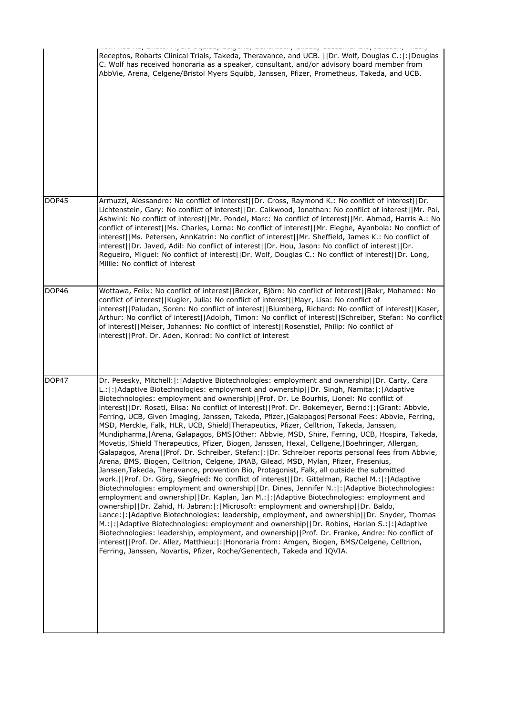|              | Receptos, Robarts Clinical Trials, Takeda, Theravance, and UCB. [IDr. Wolf, Douglas C.:  :  Douglas<br>C. Wolf has received honoraria as a speaker, consultant, and/or advisory board member from<br>AbbVie, Arena, Celgene/Bristol Myers Squibb, Janssen, Pfizer, Prometheus, Takeda, and UCB.                                                                                                                                                                                                                                                                                                                                                                                                                                                                                                                                                                                                                                                                                                                                                                                                                                                                                                                                                                                                                                                                                                                                                                                                                                                                                                                                                                                                                                                                                                                                                                                                                                                                       |
|--------------|-----------------------------------------------------------------------------------------------------------------------------------------------------------------------------------------------------------------------------------------------------------------------------------------------------------------------------------------------------------------------------------------------------------------------------------------------------------------------------------------------------------------------------------------------------------------------------------------------------------------------------------------------------------------------------------------------------------------------------------------------------------------------------------------------------------------------------------------------------------------------------------------------------------------------------------------------------------------------------------------------------------------------------------------------------------------------------------------------------------------------------------------------------------------------------------------------------------------------------------------------------------------------------------------------------------------------------------------------------------------------------------------------------------------------------------------------------------------------------------------------------------------------------------------------------------------------------------------------------------------------------------------------------------------------------------------------------------------------------------------------------------------------------------------------------------------------------------------------------------------------------------------------------------------------------------------------------------------------|
| DOP45        | Armuzzi, Alessandro: No conflict of interest  Dr. Cross, Raymond K.: No conflict of interest  Dr.<br>Lichtenstein, Gary: No conflict of interest  Dr. Calkwood, Jonathan: No conflict of interest  Mr. Pai,<br>Ashwini: No conflict of interest  Mr. Pondel, Marc: No conflict of interest  Mr. Ahmad, Harris A.: No<br>conflict of interest  Ms. Charles, Lorna: No conflict of interest  Mr. Elegbe, Ayanbola: No conflict of<br>interest  Ms. Petersen, AnnKatrin: No conflict of interest  Mr. Sheffield, James K.: No conflict of<br>interest  Dr. Javed, Adil: No conflict of interest  Dr. Hou, Jason: No conflict of interest  Dr.<br>Regueiro, Miguel: No conflict of interest  Dr. Wolf, Douglas C.: No conflict of interest  Dr. Long,<br>Millie: No conflict of interest                                                                                                                                                                                                                                                                                                                                                                                                                                                                                                                                                                                                                                                                                                                                                                                                                                                                                                                                                                                                                                                                                                                                                                                  |
| <b>DOP46</b> | Wottawa, Felix: No conflict of interest  Becker, Björn: No conflict of interest  Bakr, Mohamed: No<br>conflict of interest  Kugler, Julia: No conflict of interest  Mayr, Lisa: No conflict of<br>interest  Paludan, Soren: No conflict of interest  Blumberg, Richard: No conflict of interest  Kaser,<br>Arthur: No conflict of interest  Adolph, Timon: No conflict of interest  Schreiber, Stefan: No conflict <br>of interest  Meiser, Johannes: No conflict of interest  Rosenstiel, Philip: No conflict of<br>interest  Prof. Dr. Aden, Konrad: No conflict of interest                                                                                                                                                                                                                                                                                                                                                                                                                                                                                                                                                                                                                                                                                                                                                                                                                                                                                                                                                                                                                                                                                                                                                                                                                                                                                                                                                                                        |
| DOP47        | Dr. Pesesky, Mitchell:  :   Adaptive Biotechnologies: employment and ownership  Dr. Carty, Cara<br>L.: : Adaptive Biotechnologies: employment and ownership  Dr. Singh, Namita: : Adaptive<br>Biotechnologies: employment and ownership  Prof. Dr. Le Bourhis, Lionel: No conflict of<br>interest  Dr. Rosati, Elisa: No conflict of interest  Prof. Dr. Bokemeyer, Bernd: : Grant: Abbvie,<br>Ferring, UCB, Given Imaging, Janssen, Takeda, Pfizer,   Galapagos   Personal Fees: Abbvie, Ferring,<br>MSD, Merckle, Falk, HLR, UCB, Shield Therapeutics, Pfizer, Celltrion, Takeda, Janssen,<br>Mundipharma,   Arena, Galapagos, BMS   Other: Abbvie, MSD, Shire, Ferring, UCB, Hospira, Takeda,<br>Movetis,   Shield Therapeutics, Pfizer, Biogen, Janssen, Hexal, Cellgene,   Boehringer, Allergan,<br>Galapagos, Arena  Prof. Dr. Schreiber, Stefan: : Dr. Schreiber reports personal fees from Abbvie,<br>Arena, BMS, Biogen, Celltrion, Celgene, IMAB, Gilead, MSD, Mylan, Pfizer, Fresenius,<br>Janssen, Takeda, Theravance, provention Bio, Protagonist, Falk, all outside the submitted<br>work.  Prof. Dr. Görg, Siegfried: No conflict of interest  Dr. Gittelman, Rachel M.: : Adaptive<br>Biotechnologies: employment and ownership  Dr. Dines, Jennifer N.: :   Adaptive Biotechnologies:<br>employment and ownership  Dr. Kaplan, Ian M.: : Adaptive Biotechnologies: employment and<br>ownership  Dr. Zahid, H. Jabran: : Microsoft: employment and ownership  Dr. Baldo,<br>Lance: : Adaptive Biotechnologies: leadership, employment, and ownership  Dr. Snyder, Thomas<br>M.: : Adaptive Biotechnologies: employment and ownership  Dr. Robins, Harlan S.: : Adaptive<br>Biotechnologies: leadership, employment, and ownership  Prof. Dr. Franke, Andre: No conflict of<br>interest  Prof. Dr. Allez, Matthieu: : Honoraria from: Amgen, Biogen, BMS/Celgene, Celltrion,<br>Ferring, Janssen, Novartis, Pfizer, Roche/Genentech, Takeda and IQVIA. |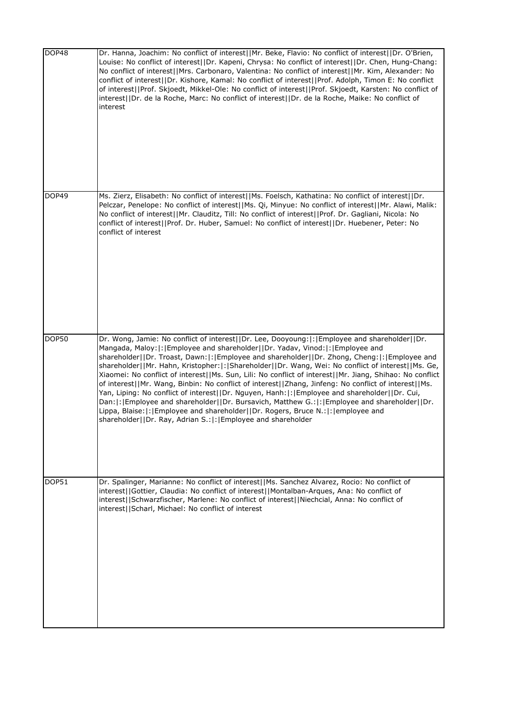| DOP48 | Dr. Hanna, Joachim: No conflict of interest  Mr. Beke, Flavio: No conflict of interest  Dr. O'Brien,<br>Louise: No conflict of interest  Dr. Kapeni, Chrysa: No conflict of interest  Dr. Chen, Hung-Chang:<br>No conflict of interest  Mrs. Carbonaro, Valentina: No conflict of interest  Mr. Kim, Alexander: No<br>conflict of interest  Dr. Kishore, Kamal: No conflict of interest  Prof. Adolph, Timon E: No conflict<br>of interest  Prof. Skjoedt, Mikkel-Ole: No conflict of interest  Prof. Skjoedt, Karsten: No conflict of<br>interest  Dr. de la Roche, Marc: No conflict of interest  Dr. de la Roche, Maike: No conflict of<br>interest                                                                                                                                                                                                                                                                                                                |
|-------|-----------------------------------------------------------------------------------------------------------------------------------------------------------------------------------------------------------------------------------------------------------------------------------------------------------------------------------------------------------------------------------------------------------------------------------------------------------------------------------------------------------------------------------------------------------------------------------------------------------------------------------------------------------------------------------------------------------------------------------------------------------------------------------------------------------------------------------------------------------------------------------------------------------------------------------------------------------------------|
| DOP49 | Ms. Zierz, Elisabeth: No conflict of interest  Ms. Foelsch, Kathatina: No conflict of interest  Dr.<br>Pelczar, Penelope: No conflict of interest  Ms. Qi, Minyue: No conflict of interest  Mr. Alawi, Malik:<br>No conflict of interest  Mr. Clauditz, Till: No conflict of interest  Prof. Dr. Gagliani, Nicola: No<br>conflict of interest  Prof. Dr. Huber, Samuel: No conflict of interest  Dr. Huebener, Peter: No<br>conflict of interest                                                                                                                                                                                                                                                                                                                                                                                                                                                                                                                      |
| DOP50 | Dr. Wong, Jamie: No conflict of interest  Dr. Lee, Dooyoung: : Employee and shareholder  Dr.<br>Mangada, Maloy:  :   Employee and shareholder  Dr. Yadav, Vinod:  :   Employee and<br>shareholder  Dr. Troast, Dawn: : Employee and shareholder  Dr. Zhong, Cheng: : Employee and<br>shareholder  Mr. Hahn, Kristopher: : Shareholder  Dr. Wang, Wei: No conflict of interest  Ms. Ge,<br>Xiaomei: No conflict of interest  Ms. Sun, Lili: No conflict of interest  Mr. Jiang, Shihao: No conflict<br>of interest  Mr. Wang, Binbin: No conflict of interest  Zhang, Jinfeng: No conflict of interest  Ms.<br>Yan, Liping: No conflict of interest  Dr. Nguyen, Hanh: : Employee and shareholder  Dr. Cui,<br>Dan: : Employee and shareholder  Dr. Bursavich, Matthew G.: : Employee and shareholder  Dr.<br>Lippa, Blaise:  :   Employee and shareholder     Dr. Rogers, Bruce N.:   :   employee and<br>shareholder  Dr. Ray, Adrian S.: : Employee and shareholder |
| DOP51 | Dr. Spalinger, Marianne: No conflict of interest  Ms. Sanchez Alvarez, Rocio: No conflict of<br>interest  Gottier, Claudia: No conflict of interest  Montalban-Arques, Ana: No conflict of<br>interest  Schwarzfischer, Marlene: No conflict of interest  Niechcial, Anna: No conflict of<br>interest  Scharl, Michael: No conflict of interest                                                                                                                                                                                                                                                                                                                                                                                                                                                                                                                                                                                                                       |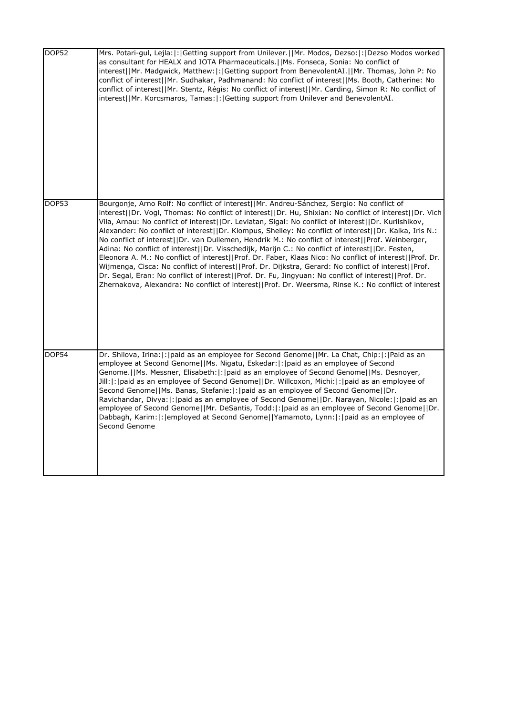| <b>DOP52</b> | Mrs. Potari-gul, Lejla: : Getting support from Unilever.  Mr. Modos, Dezso: : Dezso Modos worked<br>as consultant for HEALX and IOTA Pharmaceuticals.   Ms. Fonseca, Sonia: No conflict of<br>interest  Mr. Madgwick, Matthew: : Getting support from BenevolentAI.  Mr. Thomas, John P: No<br>conflict of interest  Mr. Sudhakar, Padhmanand: No conflict of interest  Ms. Booth, Catherine: No<br>conflict of interest  Mr. Stentz, Régis: No conflict of interest  Mr. Carding, Simon R: No conflict of<br>interest  Mr. Korcsmaros, Tamas: : Getting support from Unilever and BenevolentAI.                                                                                                                                                                                                                                                                                                                                                                                                                                                                    |
|--------------|---------------------------------------------------------------------------------------------------------------------------------------------------------------------------------------------------------------------------------------------------------------------------------------------------------------------------------------------------------------------------------------------------------------------------------------------------------------------------------------------------------------------------------------------------------------------------------------------------------------------------------------------------------------------------------------------------------------------------------------------------------------------------------------------------------------------------------------------------------------------------------------------------------------------------------------------------------------------------------------------------------------------------------------------------------------------|
| DOP53        | Bourgonje, Arno Rolf: No conflict of interest  Mr. Andreu-Sánchez, Sergio: No conflict of<br>interest  Dr. Vogl, Thomas: No conflict of interest  Dr. Hu, Shixian: No conflict of interest  Dr. Vich<br>Vila, Arnau: No conflict of interest  Dr. Leviatan, Sigal: No conflict of interest  Dr. Kurilshikov,<br>Alexander: No conflict of interest  Dr. Klompus, Shelley: No conflict of interest  Dr. Kalka, Iris N.:<br>No conflict of interest  Dr. van Dullemen, Hendrik M.: No conflict of interest  Prof. Weinberger,<br>Adina: No conflict of interest  Dr. Visschedijk, Marijn C.: No conflict of interest  Dr. Festen,<br>Eleonora A. M.: No conflict of interest  Prof. Dr. Faber, Klaas Nico: No conflict of interest  Prof. Dr.<br>Wijmenga, Cisca: No conflict of interest  Prof. Dr. Dijkstra, Gerard: No conflict of interest  Prof.<br>Dr. Segal, Eran: No conflict of interest  Prof. Dr. Fu, Jingyuan: No conflict of interest  Prof. Dr.<br>Zhernakova, Alexandra: No conflict of interest  Prof. Dr. Weersma, Rinse K.: No conflict of interest |
| <b>DOP54</b> | Dr. Shilova, Irina:  :  paid as an employee for Second Genome  Mr. La Chat, Chip:  :  Paid as an<br>employee at Second Genome  Ms. Nigatu, Eskedar: :  paid as an employee of Second<br>Genome.  Ms. Messner, Elisabeth: : paid as an employee of Second Genome  Ms. Desnoyer,<br>Jill: :  paid as an employee of Second Genome  Dr. Willcoxon, Michi: :  paid as an employee of<br>Second Genome  Ms. Banas, Stefanie: : paid as an employee of Second Genome  Dr.<br>Ravichandar, Divya:  :   paid as an employee of Second Genome  Dr. Narayan, Nicole:  :   paid as an<br>employee of Second Genome  Mr. DeSantis, Todd: : paid as an employee of Second Genome  Dr.<br>Dabbagh, Karim:  :   employed at Second Genome     Yamamoto, Lynn:  :   paid as an employee of<br>Second Genome                                                                                                                                                                                                                                                                         |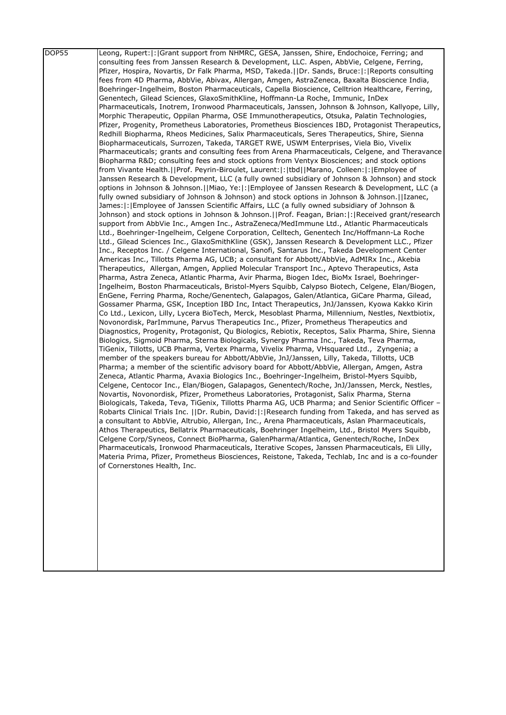| <b>DOP55</b> | Leong, Rupert:  :  Grant support from NHMRC, GESA, Janssen, Shire, Endochoice, Ferring; and                                                                                                         |
|--------------|-----------------------------------------------------------------------------------------------------------------------------------------------------------------------------------------------------|
|              | consulting fees from Janssen Research & Development, LLC. Aspen, AbbVie, Celgene, Ferring,                                                                                                          |
|              | Pfizer, Hospira, Novartis, Dr Falk Pharma, MSD, Takeda.  Dr. Sands, Bruce: : Reports consulting                                                                                                     |
|              | fees from 4D Pharma, AbbVie, Abivax, Allergan, Amgen, AstraZeneca, Baxalta Bioscience India,                                                                                                        |
|              | Boehringer-Ingelheim, Boston Pharmaceuticals, Capella Bioscience, Celltrion Healthcare, Ferring,                                                                                                    |
|              | Genentech, Gilead Sciences, GlaxoSmithKline, Hoffmann-La Roche, Immunic, InDex                                                                                                                      |
|              | Pharmaceuticals, Inotrem, Ironwood Pharmaceuticals, Janssen, Johnson & Johnson, Kallyope, Lilly,                                                                                                    |
|              | Morphic Therapeutic, Oppilan Pharma, OSE Immunotherapeutics, Otsuka, Palatin Technologies,                                                                                                          |
|              | Pfizer, Progenity, Prometheus Laboratories, Prometheus Biosciences IBD, Protagonist Therapeutics,                                                                                                   |
|              | Redhill Biopharma, Rheos Medicines, Salix Pharmaceuticals, Seres Therapeutics, Shire, Sienna                                                                                                        |
|              | Biopharmaceuticals, Surrozen, Takeda, TARGET RWE, USWM Enterprises, Viela Bio, Vivelix                                                                                                              |
|              | Pharmaceuticals; grants and consulting fees from Arena Pharmaceuticals, Celgene, and Theravance                                                                                                     |
|              | Biopharma R&D consulting fees and stock options from Ventyx Biosciences; and stock options                                                                                                          |
|              | from Vivante Health.  Prof. Peyrin-Biroulet, Laurent: : tbd  Marano, Colleen: : Employee of                                                                                                         |
|              | Janssen Research & Development, LLC (a fully owned subsidiary of Johnson & Johnson) and stock                                                                                                       |
|              | options in Johnson & Johnson.   Miao, Ye:  :  Employee of Janssen Research & Development, LLC (a                                                                                                    |
|              | fully owned subsidiary of Johnson & Johnson) and stock options in Johnson & Johnson.   Izanec,                                                                                                      |
|              | James:  :   Employee of Janssen Scientific Affairs, LLC (a fully owned subsidiary of Johnson &                                                                                                      |
|              | Johnson) and stock options in Johnson & Johnson.  Prof. Feagan, Brian: : Received grant/research                                                                                                    |
|              | support from AbbVie Inc., Amgen Inc., AstraZeneca/MedImmune Ltd., Atlantic Pharmaceuticals                                                                                                          |
|              | Ltd., Boehringer-Ingelheim, Celgene Corporation, Celltech, Genentech Inc/Hoffmann-La Roche                                                                                                          |
|              | Ltd., Gilead Sciences Inc., GlaxoSmithKline (GSK), Janssen Research & Development LLC., Pfizer                                                                                                      |
|              | Inc., Receptos Inc. / Celgene International, Sanofi, Santarus Inc., Takeda Development Center                                                                                                       |
|              | Americas Inc., Tillotts Pharma AG, UCB; a consultant for Abbott/AbbVie, AdMIRx Inc., Akebia                                                                                                         |
|              | Therapeutics, Allergan, Amgen, Applied Molecular Transport Inc., Aptevo Therapeutics, Asta                                                                                                          |
|              | Pharma, Astra Zeneca, Atlantic Pharma, Avir Pharma, Biogen Idec, BioMx Israel, Boehringer-                                                                                                          |
|              | Ingelheim, Boston Pharmaceuticals, Bristol-Myers Squibb, Calypso Biotech, Celgene, Elan/Biogen,                                                                                                     |
|              | EnGene, Ferring Pharma, Roche/Genentech, Galapagos, Galen/Atlantica, GiCare Pharma, Gilead,                                                                                                         |
|              | Gossamer Pharma, GSK, Inception IBD Inc, Intact Therapeutics, JnJ/Janssen, Kyowa Kakko Kirin                                                                                                        |
|              | Co Ltd., Lexicon, Lilly, Lycera BioTech, Merck, Mesoblast Pharma, Millennium, Nestles, Nextbiotix,                                                                                                  |
|              | Novonordisk, ParImmune, Parvus Therapeutics Inc., Pfizer, Prometheus Therapeutics and                                                                                                               |
|              | Diagnostics, Progenity, Protagonist, Qu Biologics, Rebiotix, Receptos, Salix Pharma, Shire, Sienna                                                                                                  |
|              | Biologics, Sigmoid Pharma, Sterna Biologicals, Synergy Pharma Inc., Takeda, Teva Pharma,                                                                                                            |
|              | TiGenix, Tillotts, UCB Pharma, Vertex Pharma, Vivelix Pharma, VHsquared Ltd., Zyngenia; a                                                                                                           |
|              | member of the speakers bureau for Abbott/AbbVie, JnJ/Janssen, Lilly, Takeda, Tillotts, UCB                                                                                                          |
|              | Pharma; a member of the scientific advisory board for Abbott/AbbVie, Allergan, Amgen, Astra                                                                                                         |
|              | Zeneca, Atlantic Pharma, Avaxia Biologics Inc., Boehringer-Ingelheim, Bristol-Myers Squibb,                                                                                                         |
|              | Celgene, Centocor Inc., Elan/Biogen, Galapagos, Genentech/Roche, JnJ/Janssen, Merck, Nestles,                                                                                                       |
|              | Novartis, Novonordisk, Pfizer, Prometheus Laboratories, Protagonist, Salix Pharma, Sterna                                                                                                           |
|              | Biologicals, Takeda, Teva, TiGenix, Tillotts Pharma AG, UCB Pharma; and Senior Scientific Officer -                                                                                                 |
|              | Robarts Clinical Trials Inc.   Dr. Rubin, David: : Research funding from Takeda, and has served as                                                                                                  |
|              | a consultant to AbbVie, Altrubio, Allergan, Inc., Arena Pharmaceuticals, Aslan Pharmaceuticals,<br>Athos Therapeutics, Bellatrix Pharmaceuticals, Boehringer Ingelheim, Ltd., Bristol Myers Squibb, |
|              |                                                                                                                                                                                                     |
|              | Celgene Corp/Syneos, Connect BioPharma, GalenPharma/Atlantica, Genentech/Roche, InDex<br>Pharmaceuticals, Ironwood Pharmaceuticals, Iterative Scopes, Janssen Pharmaceuticals, Eli Lilly,           |
|              | Materia Prima, Pfizer, Prometheus Biosciences, Reistone, Takeda, Techlab, Inc and is a co-founder                                                                                                   |
|              | of Cornerstones Health, Inc.                                                                                                                                                                        |
|              |                                                                                                                                                                                                     |
|              |                                                                                                                                                                                                     |
|              |                                                                                                                                                                                                     |
|              |                                                                                                                                                                                                     |
|              |                                                                                                                                                                                                     |
|              |                                                                                                                                                                                                     |
|              |                                                                                                                                                                                                     |
|              |                                                                                                                                                                                                     |
|              |                                                                                                                                                                                                     |
|              |                                                                                                                                                                                                     |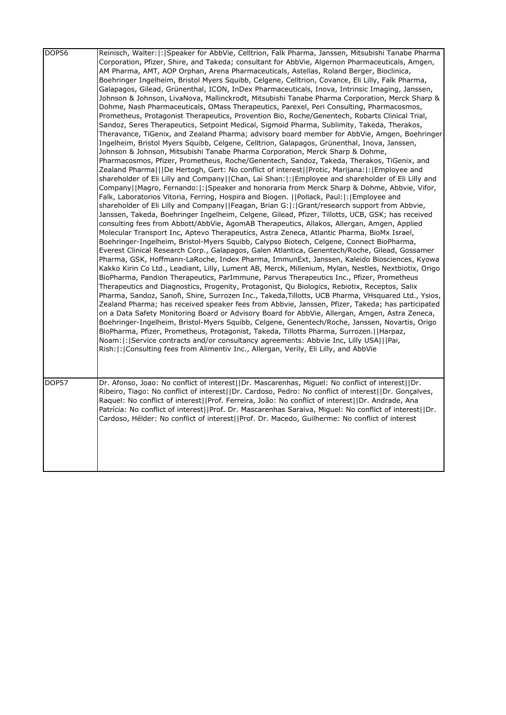| <b>DOP56</b> | Reinisch, Walter:  :   Speaker for AbbVie, Celltrion, Falk Pharma, Janssen, Mitsubishi Tanabe Pharma<br>Corporation, Pfizer, Shire, and Takeda; consultant for AbbVie, Algernon Pharmaceuticals, Amgen,<br>AM Pharma, AMT, AOP Orphan, Arena Pharmaceuticals, Astellas, Roland Berger, Bioclinica,<br>Boehringer Ingelheim, Bristol Myers Squibb, Celgene, Celltrion, Covance, Eli Lilly, Falk Pharma,<br>Galapagos, Gilead, Grünenthal, ICON, InDex Pharmaceuticals, Inova, Intrinsic Imaging, Janssen,<br>Johnson & Johnson, LivaNova, Mallinckrodt, Mitsubishi Tanabe Pharma Corporation, Merck Sharp &<br>Dohme, Nash Pharmaceuticals, OMass Therapeutics, Parexel, Peri Consulting, Pharmacosmos,<br>Prometheus, Protagonist Therapeutics, Provention Bio, Roche/Genentech, Robarts Clinical Trial,<br>Sandoz, Seres Therapeutics, Setpoint Medical, Sigmoid Pharma, Sublimity, Takeda, Therakos,<br>Theravance, TiGenix, and Zealand Pharma; advisory board member for AbbVie, Amgen, Boehringer<br>Ingelheim, Bristol Myers Squibb, Celgene, Celltrion, Galapagos, Grünenthal, Inova, Janssen,<br>Johnson & Johnson, Mitsubishi Tanabe Pharma Corporation, Merck Sharp & Dohme,<br>Pharmacosmos, Pfizer, Prometheus, Roche/Genentech, Sandoz, Takeda, Therakos, TiGenix, and<br>Zealand Pharma   De Hertogh, Gert: No conflict of interest  Protic, Marijana: : Employee and<br>shareholder of Eli Lilly and Company  Chan, Lai Shan: : Employee and shareholder of Eli Lilly and<br>Company  Magro, Fernando: : Speaker and honoraria from Merck Sharp & Dohme, Abbvie, Vifor,<br>Falk, Laboratorios Vitoria, Ferring, Hospira and Biogen.   Pollack, Paul: : Employee and<br>shareholder of Eli Lilly and Company  Feagan, Brian G: : Grant/research support from Abbvie,<br>Janssen, Takeda, Boehringer Ingelheim, Celgene, Gilead, Pfizer, Tillotts, UCB, GSK; has received<br>consulting fees from Abbott/AbbVie, AgomAB Therapeutics, Allakos, Allergan, Amgen, Applied<br>Molecular Transport Inc, Aptevo Therapeutics, Astra Zeneca, Atlantic Pharma, BioMx Israel,<br>Boehringer-Ingelheim, Bristol-Myers Squibb, Calypso Biotech, Celgene, Connect BioPharma,<br>Everest Clinical Research Corp., Galapagos, Galen Atlantica, Genentech/Roche, Gilead, Gossamer<br>Pharma, GSK, Hoffmann-LaRoche, Index Pharma, ImmunExt, Janssen, Kaleido Biosciences, Kyowa<br>Kakko Kirin Co Ltd., Leadiant, Lilly, Lument AB, Merck, Millenium, Mylan, Nestles, Nextbiotix, Origo<br>BioPharma, Pandion Therapeutics, ParImmune, Parvus Therapeutics Inc., Pfizer, Prometheus<br>Therapeutics and Diagnostics, Progenity, Protagonist, Qu Biologics, Rebiotix, Receptos, Salix<br>Pharma, Sandoz, Sanofi, Shire, Surrozen Inc., Takeda,Tillotts, UCB Pharma, VHsquared Ltd., Ysios,<br>Zealand Pharma; has received speaker fees from Abbvie, Janssen, Pfizer, Takeda; has participated<br>on a Data Safety Monitoring Board or Advisory Board for AbbVie, Allergan, Amgen, Astra Zeneca,<br>Boehringer-Ingelheim, Bristol-Myers Squibb, Celgene, Genentech/Roche, Janssen, Novartis, Origo<br>BioPharma, Pfizer, Prometheus, Protagonist, Takeda, Tillotts Pharma, Surrozen.     Harpaz,<br>Noam:  :   Service contracts and/or consultancy agreements: Abbvie Inc, Lilly USA   Pai,<br>Rish:  :   Consulting fees from Alimentiv Inc., Allergan, Verily, Eli Lilly, and AbbVie |
|--------------|---------------------------------------------------------------------------------------------------------------------------------------------------------------------------------------------------------------------------------------------------------------------------------------------------------------------------------------------------------------------------------------------------------------------------------------------------------------------------------------------------------------------------------------------------------------------------------------------------------------------------------------------------------------------------------------------------------------------------------------------------------------------------------------------------------------------------------------------------------------------------------------------------------------------------------------------------------------------------------------------------------------------------------------------------------------------------------------------------------------------------------------------------------------------------------------------------------------------------------------------------------------------------------------------------------------------------------------------------------------------------------------------------------------------------------------------------------------------------------------------------------------------------------------------------------------------------------------------------------------------------------------------------------------------------------------------------------------------------------------------------------------------------------------------------------------------------------------------------------------------------------------------------------------------------------------------------------------------------------------------------------------------------------------------------------------------------------------------------------------------------------------------------------------------------------------------------------------------------------------------------------------------------------------------------------------------------------------------------------------------------------------------------------------------------------------------------------------------------------------------------------------------------------------------------------------------------------------------------------------------------------------------------------------------------------------------------------------------------------------------------------------------------------------------------------------------------------------------------------------------------------------------------------------------------------------------------------------------------------------------------------------------------------------------------------------------------------------------------------------------------------------------------------------------------------------------------------------------------------------------------------------------------------------------------------------------------------------------------------------------------------------|
| DOP57        | Dr. Afonso, Joao: No conflict of interest  Dr. Mascarenhas, Miguel: No conflict of interest  Dr.<br>Ribeiro, Tiago: No conflict of interest  Dr. Cardoso, Pedro: No conflict of interest  Dr. Gonçalves,<br>Raguel: No conflict of interest  Prof. Ferreira, João: No conflict of interest  Dr. Andrade, Ana<br>Patrícia: No conflict of interest  Prof. Dr. Mascarenhas Saraiva, Miguel: No conflict of interest  Dr.<br>Cardoso, Hélder: No conflict of interest  Prof. Dr. Macedo, Guilherme: No conflict of interest                                                                                                                                                                                                                                                                                                                                                                                                                                                                                                                                                                                                                                                                                                                                                                                                                                                                                                                                                                                                                                                                                                                                                                                                                                                                                                                                                                                                                                                                                                                                                                                                                                                                                                                                                                                                                                                                                                                                                                                                                                                                                                                                                                                                                                                                                                                                                                                                                                                                                                                                                                                                                                                                                                                                                                                                                                                              |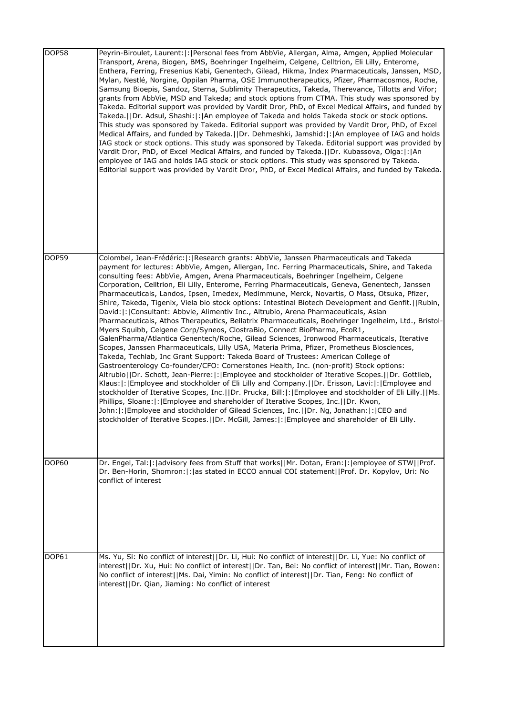| DOP58        | Peyrin-Biroulet, Laurent:  :   Personal fees from AbbVie, Allergan, Alma, Amgen, Applied Molecular<br>Transport, Arena, Biogen, BMS, Boehringer Ingelheim, Celgene, Celltrion, Eli Lilly, Enterome,<br>Enthera, Ferring, Fresenius Kabi, Genentech, Gilead, Hikma, Index Pharmaceuticals, Janssen, MSD,<br>Mylan, Nestlé, Norgine, Oppilan Pharma, OSE Immunotherapeutics, Pfizer, Pharmacosmos, Roche,<br>Samsung Bioepis, Sandoz, Sterna, Sublimity Therapeutics, Takeda, Therevance, Tillotts and Vifor;<br>grants from AbbVie, MSD and Takeda; and stock options from CTMA. This study was sponsored by<br>Takeda. Editorial support was provided by Vardit Dror, PhD, of Excel Medical Affairs, and funded by<br>Takeda.  Dr. Adsul, Shashi: : An employee of Takeda and holds Takeda stock or stock options.<br>This study was sponsored by Takeda. Editorial support was provided by Vardit Dror, PhD, of Excel<br>Medical Affairs, and funded by Takeda.   Dr. Dehmeshki, Jamshid:  :   An employee of IAG and holds<br>IAG stock or stock options. This study was sponsored by Takeda. Editorial support was provided by<br>Vardit Dror, PhD, of Excel Medical Affairs, and funded by Takeda. [JDr. Kubassova, Olga: [: An<br>employee of IAG and holds IAG stock or stock options. This study was sponsored by Takeda.<br>Editorial support was provided by Vardit Dror, PhD, of Excel Medical Affairs, and funded by Takeda.                                                                                                                                                                                                                                                                                                                                                                                                                                     |
|--------------|-----------------------------------------------------------------------------------------------------------------------------------------------------------------------------------------------------------------------------------------------------------------------------------------------------------------------------------------------------------------------------------------------------------------------------------------------------------------------------------------------------------------------------------------------------------------------------------------------------------------------------------------------------------------------------------------------------------------------------------------------------------------------------------------------------------------------------------------------------------------------------------------------------------------------------------------------------------------------------------------------------------------------------------------------------------------------------------------------------------------------------------------------------------------------------------------------------------------------------------------------------------------------------------------------------------------------------------------------------------------------------------------------------------------------------------------------------------------------------------------------------------------------------------------------------------------------------------------------------------------------------------------------------------------------------------------------------------------------------------------------------------------------------------------------------------------------------------------------------------------------------|
| DOP59        | Colombel, Jean-Frédéric: : Research grants: AbbVie, Janssen Pharmaceuticals and Takeda<br>payment for lectures: AbbVie, Amgen, Allergan, Inc. Ferring Pharmaceuticals, Shire, and Takeda<br>consulting fees: AbbVie, Amgen, Arena Pharmaceuticals, Boehringer Ingelheim, Celgene<br>Corporation, Celltrion, Eli Lilly, Enterome, Ferring Pharmaceuticals, Geneva, Genentech, Janssen<br>Pharmaceuticals, Landos, Ipsen, Imedex, Medimmune, Merck, Novartis, O Mass, Otsuka, Pfizer,<br>Shire, Takeda, Tigenix, Viela bio stock options: Intestinal Biotech Development and Genfit.   Rubin,<br>David: : Consultant: Abbvie, Alimentiv Inc., Altrubio, Arena Pharmaceuticals, Aslan<br>Pharmaceuticals, Athos Therapeutics, Bellatrix Pharmaceuticals, Boehringer Ingelheim, Ltd., Bristol-<br>Myers Squibb, Celgene Corp/Syneos, ClostraBio, Connect BioPharma, EcoR1,<br>GalenPharma/Atlantica Genentech/Roche, Gilead Sciences, Ironwood Pharmaceuticals, Iterative<br>Scopes, Janssen Pharmaceuticals, Lilly USA, Materia Prima, Pfizer, Prometheus Biosciences,<br>Takeda, Techlab, Inc Grant Support: Takeda Board of Trustees: American College of<br>Gastroenterology Co-founder/CFO: Cornerstones Health, Inc. (non-profit) Stock options:<br>Altrubio  Dr. Schott, Jean-Pierre: : Employee and stockholder of Iterative Scopes.  Dr. Gottlieb,<br>Klaus:  :   Employee and stockholder of Eli Lilly and Company.     Dr. Erisson, Lavi:  :   Employee and<br>stockholder of Iterative Scopes, Inc.  Dr. Prucka, Bill: : Employee and stockholder of Eli Lilly.  Ms.<br>Phillips, Sloane:  :   Employee and shareholder of Iterative Scopes, Inc.     Dr. Kwon,<br>John:  :   Employee and stockholder of Gilead Sciences, Inc.     Dr. Ng, Jonathan:  :   CEO and<br>stockholder of Iterative Scopes.  Dr. McGill, James: : Employee and shareholder of Eli Lilly. |
| DOP60        | Dr. Engel, Tal:  :   advisory fees from Stuff that works  Mr. Dotan, Eran:  :   employee of STW  Prof.<br>Dr. Ben-Horin, Shomron:  :   as stated in ECCO annual COI statement  Prof. Dr. Kopylov, Uri: No<br>conflict of interest                                                                                                                                                                                                                                                                                                                                                                                                                                                                                                                                                                                                                                                                                                                                                                                                                                                                                                                                                                                                                                                                                                                                                                                                                                                                                                                                                                                                                                                                                                                                                                                                                                           |
| <b>DOP61</b> | Ms. Yu, Si: No conflict of interest  Dr. Li, Hui: No conflict of interest  Dr. Li, Yue: No conflict of<br>interest  Dr. Xu, Hui: No conflict of interest  Dr. Tan, Bei: No conflict of interest  Mr. Tian, Bowen:<br>No conflict of interest  Ms. Dai, Yimin: No conflict of interest  Dr. Tian, Feng: No conflict of<br>interest  Dr. Qian, Jiaming: No conflict of interest                                                                                                                                                                                                                                                                                                                                                                                                                                                                                                                                                                                                                                                                                                                                                                                                                                                                                                                                                                                                                                                                                                                                                                                                                                                                                                                                                                                                                                                                                               |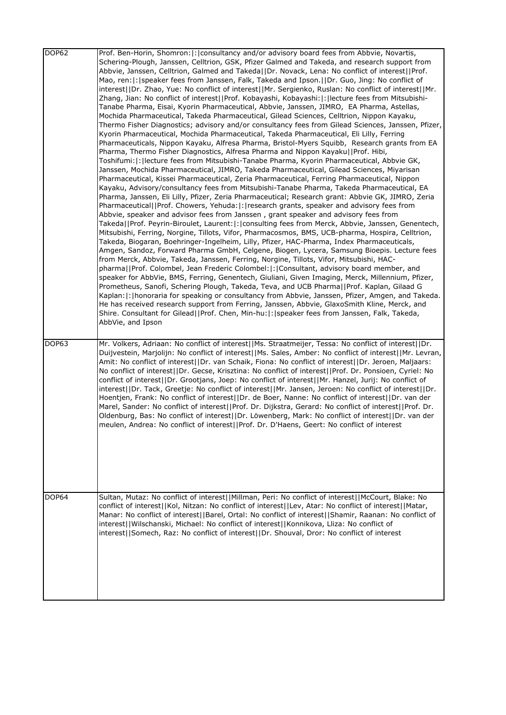| DOP62 | Prof. Ben-Horin, Shomron:  :   consultancy and/or advisory board fees from Abbvie, Novartis,<br>Schering-Plough, Janssen, Celltrion, GSK, Pfizer Galmed and Takeda, and research support from<br>Abbvie, Janssen, Celltrion, Galmed and Takeda  Dr. Novack, Lena: No conflict of interest  Prof.<br>Mao, ren:   :   speaker fees from Janssen, Falk, Takeda and Ipson.     Dr. Guo, Jing: No conflict of<br>interest  Dr. Zhao, Yue: No conflict of interest  Mr. Sergienko, Ruslan: No conflict of interest  Mr.<br>Zhang, Jian: No conflict of interest  Prof. Kobayashi, Kobayashi: : lecture fees from Mitsubishi-<br>Tanabe Pharma, Eisai, Kyorin Pharmaceutical, Abbvie, Janssen, JIMRO, EA Pharma, Astellas,<br>Mochida Pharmaceutical, Takeda Pharmaceutical, Gilead Sciences, Celltrion, Nippon Kayaku,<br>Thermo Fisher Diagnostics; advisory and/or consultancy fees from Gilead Sciences, Janssen, Pfizer,<br>Kyorin Pharmaceutical, Mochida Pharmaceutical, Takeda Pharmaceutical, Eli Lilly, Ferring<br>Pharmaceuticals, Nippon Kayaku, Alfresa Pharma, Bristol-Myers Squibb, Research grants from EA<br>Pharma, Thermo Fisher Diagnostics, Alfresa Pharma and Nippon Kayaku  Prof. Hibi,<br>Toshifumi:   :   lecture fees from Mitsubishi-Tanabe Pharma, Kyorin Pharmaceutical, Abbvie GK,<br>Janssen, Mochida Pharmaceutical, JIMRO, Takeda Pharmaceutical, Gilead Sciences, Miyarisan<br>Pharmaceutical, Kissei Pharmaceutical, Zeria Pharmaceutical, Ferring Pharmaceutical, Nippon<br>Kayaku, Advisory/consultancy fees from Mitsubishi-Tanabe Pharma, Takeda Pharmaceutical, EA<br>Pharma, Janssen, Eli Lilly, Pfizer, Zeria Pharmaceutical; Research grant: Abbvie GK, JIMRO, Zeria<br>Pharmaceutical  Prof. Chowers, Yehuda: : research grants, speaker and advisory fees from<br>Abbvie, speaker and advisor fees from Janssen, grant speaker and advisory fees from<br>Takeda  Prof. Peyrin-Biroulet, Laurent: : consulting fees from Merck, Abbvie, Janssen, Genentech,<br>Mitsubishi, Ferring, Norgine, Tillots, Vifor, Pharmacosmos, BMS, UCB-pharma, Hospira, Celltrion,<br>Takeda, Biogaran, Boehringer-Ingelheim, Lilly, Pfizer, HAC-Pharma, Index Pharmaceuticals,<br>Amgen, Sandoz, Forward Pharma GmbH, Celgene, Biogen, Lycera, Samsung Bioepis. Lecture fees<br>from Merck, Abbvie, Takeda, Janssen, Ferring, Norgine, Tillots, Vifor, Mitsubishi, HAC-<br>pharma  Prof. Colombel, Jean Frederic Colombel: : Consultant, advisory board member, and<br>speaker for AbbVie, BMS, Ferring, Genentech, Giuliani, Given Imaging, Merck, Millennium, Pfizer,<br>Prometheus, Sanofi, Schering Plough, Takeda, Teva, and UCB Pharma  Prof. Kaplan, Gilaad G<br>Kaplan:  :   honoraria for speaking or consultancy from Abbvie, Janssen, Pfizer, Amgen, and Takeda.<br>He has received research support from Ferring, Janssen, Abbvie, GlaxoSmith Kline, Merck, and<br>Shire. Consultant for Gilead  Prof. Chen, Min-hu: : speaker fees from Janssen, Falk, Takeda,<br>AbbVie, and Ipson |
|-------|---------------------------------------------------------------------------------------------------------------------------------------------------------------------------------------------------------------------------------------------------------------------------------------------------------------------------------------------------------------------------------------------------------------------------------------------------------------------------------------------------------------------------------------------------------------------------------------------------------------------------------------------------------------------------------------------------------------------------------------------------------------------------------------------------------------------------------------------------------------------------------------------------------------------------------------------------------------------------------------------------------------------------------------------------------------------------------------------------------------------------------------------------------------------------------------------------------------------------------------------------------------------------------------------------------------------------------------------------------------------------------------------------------------------------------------------------------------------------------------------------------------------------------------------------------------------------------------------------------------------------------------------------------------------------------------------------------------------------------------------------------------------------------------------------------------------------------------------------------------------------------------------------------------------------------------------------------------------------------------------------------------------------------------------------------------------------------------------------------------------------------------------------------------------------------------------------------------------------------------------------------------------------------------------------------------------------------------------------------------------------------------------------------------------------------------------------------------------------------------------------------------------------------------------------------------------------------------------------------------------------------------------------------------------------------------------------------------------------------------------------------------------------------------------------------------------------------------------------------------------------------------------------------------------------------------------------------------------------------------------------------------------|
| DOP63 | Mr. Volkers, Adriaan: No conflict of interest  Ms. Straatmeijer, Tessa: No conflict of interest  Dr.<br>Duijvestein, Marjolijn: No conflict of interest  Ms. Sales, Amber: No conflict of interest  Mr. Levran,<br>Amit: No conflict of interest  Dr. van Schaik, Fiona: No conflict of interest  Dr. Jeroen, Maljaars:<br>No conflict of interest  Dr. Gecse, Krisztina: No conflict of interest  Prof. Dr. Ponsioen, Cyriel: No<br>conflict of interest  Dr. Grootjans, Joep: No conflict of interest  Mr. Hanzel, Jurij: No conflict of<br>interest  Dr. Tack, Greetje: No conflict of interest  Mr. Jansen, Jeroen: No conflict of interest  Dr.<br>Hoentjen, Frank: No conflict of interest  Dr. de Boer, Nanne: No conflict of interest  Dr. van der<br>Marel, Sander: No conflict of interest  Prof. Dr. Dijkstra, Gerard: No conflict of interest  Prof. Dr.<br>Oldenburg, Bas: No conflict of interest  Dr. Löwenberg, Mark: No conflict of interest  Dr. van der<br>meulen, Andrea: No conflict of interest  Prof. Dr. D'Haens, Geert: No conflict of interest                                                                                                                                                                                                                                                                                                                                                                                                                                                                                                                                                                                                                                                                                                                                                                                                                                                                                                                                                                                                                                                                                                                                                                                                                                                                                                                                                                                                                                                                                                                                                                                                                                                                                                                                                                                                                                                                                                                                            |
| DOP64 | Sultan, Mutaz: No conflict of interest  Millman, Peri: No conflict of interest  McCourt, Blake: No<br>conflict of interest  Kol, Nitzan: No conflict of interest  Lev, Atar: No conflict of interest  Matar,<br>Manar: No conflict of interest  Barel, Ortal: No conflict of interest  Shamir, Raanan: No conflict of<br>interest  Wilschanski, Michael: No conflict of interest  Konnikova, Lliza: No conflict of<br>interest  Somech, Raz: No conflict of interest  Dr. Shouval, Dror: No conflict of interest                                                                                                                                                                                                                                                                                                                                                                                                                                                                                                                                                                                                                                                                                                                                                                                                                                                                                                                                                                                                                                                                                                                                                                                                                                                                                                                                                                                                                                                                                                                                                                                                                                                                                                                                                                                                                                                                                                                                                                                                                                                                                                                                                                                                                                                                                                                                                                                                                                                                                                    |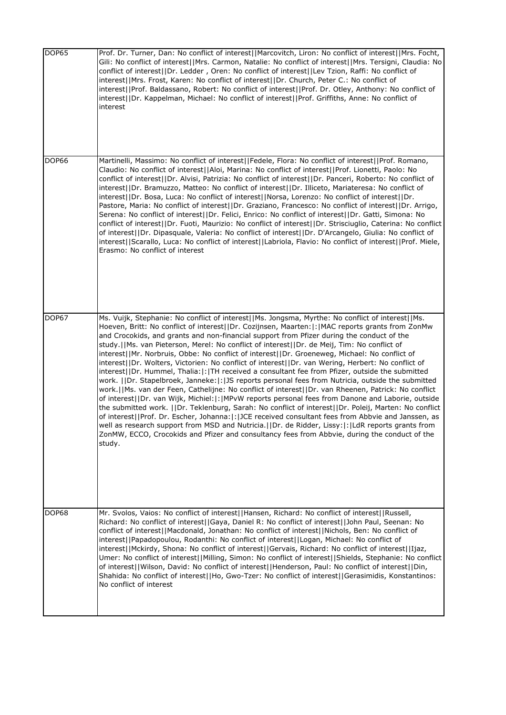| DOP65        | Prof. Dr. Turner, Dan: No conflict of interest  Marcovitch, Liron: No conflict of interest  Mrs. Focht,<br>Gili: No conflict of interest  Mrs. Carmon, Natalie: No conflict of interest  Mrs. Tersigni, Claudia: No<br>conflict of interest  Dr. Ledder , Oren: No conflict of interest  Lev Tzion, Raffi: No conflict of<br>interest  Mrs. Frost, Karen: No conflict of interest  Dr. Church, Peter C.: No conflict of<br>interest  Prof. Baldassano, Robert: No conflict of interest  Prof. Dr. Otley, Anthony: No conflict of<br>interest  Dr. Kappelman, Michael: No conflict of interest  Prof. Griffiths, Anne: No conflict of<br>interest                                                                                                                                                                                                                                                                                                                                                                                                                                                                                                                                                                                                                                                                                                                                                                                                              |
|--------------|---------------------------------------------------------------------------------------------------------------------------------------------------------------------------------------------------------------------------------------------------------------------------------------------------------------------------------------------------------------------------------------------------------------------------------------------------------------------------------------------------------------------------------------------------------------------------------------------------------------------------------------------------------------------------------------------------------------------------------------------------------------------------------------------------------------------------------------------------------------------------------------------------------------------------------------------------------------------------------------------------------------------------------------------------------------------------------------------------------------------------------------------------------------------------------------------------------------------------------------------------------------------------------------------------------------------------------------------------------------------------------------------------------------------------------------------------------------|
| <b>DOP66</b> | Martinelli, Massimo: No conflict of interest  Fedele, Flora: No conflict of interest  Prof. Romano,<br>Claudio: No conflict of interest  Aloi, Marina: No conflict of interest  Prof. Lionetti, Paolo: No<br>conflict of interest  Dr. Alvisi, Patrizia: No conflict of interest  Dr. Panceri, Roberto: No conflict of<br>interest  Dr. Bramuzzo, Matteo: No conflict of interest  Dr. Illiceto, Mariateresa: No conflict of<br>interest  Dr. Bosa, Luca: No conflict of interest  Norsa, Lorenzo: No conflict of interest  Dr.<br>Pastore, Maria: No conflict of interest  Dr. Graziano, Francesco: No conflict of interest  Dr. Arrigo,<br>Serena: No conflict of interest  Dr. Felici, Enrico: No conflict of interest  Dr. Gatti, Simona: No<br>conflict of interest  Dr. Fuoti, Maurizio: No conflict of interest  Dr. Strisciuglio, Caterina: No conflict<br>of interest  Dr. Dipasquale, Valeria: No conflict of interest  Dr. D'Arcangelo, Giulia: No conflict of<br>interest  Scarallo, Luca: No conflict of interest  Labriola, Flavio: No conflict of interest  Prof. Miele,<br>Erasmo: No conflict of interest                                                                                                                                                                                                                                                                                                                                    |
| DOP67        | Ms. Vuijk, Stephanie: No conflict of interest  Ms. Jongsma, Myrthe: No conflict of interest  Ms.<br>Hoeven, Britt: No conflict of interest  Dr. Cozijnsen, Maarten: : MAC reports grants from ZonMw<br>and Crocokids, and grants and non-financial support from Pfizer during the conduct of the<br>study.  Ms. van Pieterson, Merel: No conflict of interest  Dr. de Meij, Tim: No conflict of<br>interest  Mr. Norbruis, Obbe: No conflict of interest  Dr. Groeneweg, Michael: No conflict of<br>interest  Dr. Wolters, Victorien: No conflict of interest  Dr. van Wering, Herbert: No conflict of<br>interest  Dr. Hummel, Thalia: : TH received a consultant fee from Pfizer, outside the submitted<br>work. IIDr. Stapelbroek, Janneke:  : IJS reports personal fees from Nutricia, outside the submitted<br>work.  Ms. van der Feen, Cathelijne: No conflict of interest  Dr. van Rheenen, Patrick: No conflict<br>of interest  Dr. van Wijk, Michiel: : MPvW reports personal fees from Danone and Laborie, outside<br>the submitted work. [[Dr. Teklenburg, Sarah: No conflict of interest [Dr. Poleij, Marten: No conflict<br>of interest  Prof. Dr. Escher, Johanna: : JCE received consultant fees from Abbvie and Janssen, as<br>well as research support from MSD and Nutricia. IIDr. de Ridder, Lissy: I: ILdR reports grants from<br>ZonMW, ECCO, Crocokids and Pfizer and consultancy fees from Abbvie, during the conduct of the<br>study. |
| DOP68        | Mr. Svolos, Vaios: No conflict of interest  Hansen, Richard: No conflict of interest  Russell,<br>Richard: No conflict of interest  Gaya, Daniel R: No conflict of interest  John Paul, Seenan: No<br>conflict of interest  Macdonald, Jonathan: No conflict of interest  Nichols, Ben: No conflict of<br>interest  Papadopoulou, Rodanthi: No conflict of interest  Logan, Michael: No conflict of<br>interest  Mckirdy, Shona: No conflict of interest  Gervais, Richard: No conflict of interest  Ijaz,<br>Umer: No conflict of interest  Milling, Simon: No conflict of interest  Shields, Stephanie: No conflict<br>of interest  Wilson, David: No conflict of interest  Henderson, Paul: No conflict of interest  Din,<br>Shahida: No conflict of interest  Ho, Gwo-Tzer: No conflict of interest  Gerasimidis, Konstantinos:<br>No conflict of interest                                                                                                                                                                                                                                                                                                                                                                                                                                                                                                                                                                                                |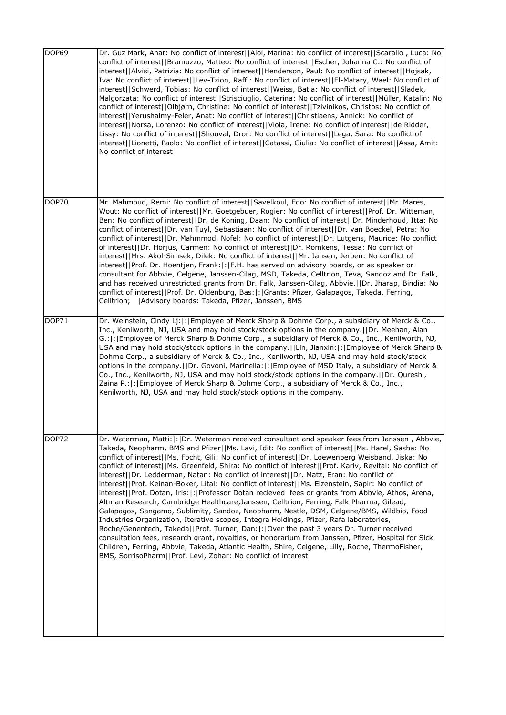| DOP69 | Dr. Guz Mark, Anat: No conflict of interest  Aloi, Marina: No conflict of interest  Scarallo, Luca: No<br>conflict of interest  Bramuzzo, Matteo: No conflict of interest  Escher, Johanna C.: No conflict of<br>interest  Alvisi, Patrizia: No conflict of interest  Henderson, Paul: No conflict of interest  Hojsak,<br>Iva: No conflict of interest  Lev-Tzion, Raffi: No conflict of interest  El-Matary, Wael: No conflict of<br>interest  Schwerd, Tobias: No conflict of interest  Weiss, Batia: No conflict of interest  Sladek,<br>Malgorzata: No conflict of interest  Strisciuglio, Caterina: No conflict of interest  Müller, Katalin: No<br>conflict of interest  Olbjørn, Christine: No conflict of interest  Tzivinikos, Christos: No conflict of<br>interest  Yerushalmy-Feler, Anat: No conflict of interest  Christiaens, Annick: No conflict of<br>interest  Norsa, Lorenzo: No conflict of interest  Viola, Irene: No conflict of interest  de Ridder,<br>Lissy: No conflict of interest  Shouval, Dror: No conflict of interest  Lega, Sara: No conflict of<br>interest  Lionetti, Paolo: No conflict of interest  Catassi, Giulia: No conflict of interest  Assa, Amit:<br>No conflict of interest                                                                                                                                                               |
|-------|-----------------------------------------------------------------------------------------------------------------------------------------------------------------------------------------------------------------------------------------------------------------------------------------------------------------------------------------------------------------------------------------------------------------------------------------------------------------------------------------------------------------------------------------------------------------------------------------------------------------------------------------------------------------------------------------------------------------------------------------------------------------------------------------------------------------------------------------------------------------------------------------------------------------------------------------------------------------------------------------------------------------------------------------------------------------------------------------------------------------------------------------------------------------------------------------------------------------------------------------------------------------------------------------------------------------------------------------------------------------------------------------|
| DOP70 | Mr. Mahmoud, Remi: No conflict of interest  Savelkoul, Edo: No conflict of interest  Mr. Mares,<br>Wout: No conflict of interest  Mr. Goetgebuer, Rogier: No conflict of interest  Prof. Dr. Witteman,<br>Ben: No conflict of interest  Dr. de Koning, Daan: No conflict of interest  Dr. Minderhoud, Itta: No<br>conflict of interest  Dr. van Tuyl, Sebastiaan: No conflict of interest  Dr. van Boeckel, Petra: No<br>conflict of interest  Dr. Mahmmod, Nofel: No conflict of interest  Dr. Lutgens, Maurice: No conflict<br>of interest  Dr. Horjus, Carmen: No conflict of interest  Dr. Römkens, Tessa: No conflict of<br>interest  Mrs. Akol-Simsek, Dilek: No conflict of interest  Mr. Jansen, Jeroen: No conflict of<br>interest  Prof. Dr. Hoentjen, Frank: : F.H. has served on advisory boards, or as speaker or<br>consultant for Abbvie, Celgene, Janssen-Cilag, MSD, Takeda, Celltrion, Teva, Sandoz and Dr. Falk,<br>and has received unrestricted grants from Dr. Falk, Janssen-Cilag, Abbvie.  Dr. Jharap, Bindia: No<br>conflict of interest  Prof. Dr. Oldenburg, Bas: : Grants: Pfizer, Galapagos, Takeda, Ferring,<br> Advisory boards: Takeda, Pfizer, Janssen, BMS<br>Celltrion;                                                                                                                                                                              |
| DOP71 | Dr. Weinstein, Cindy Lj:  :   Employee of Merck Sharp & Dohme Corp., a subsidiary of Merck & Co.,<br>Inc., Kenilworth, NJ, USA and may hold stock/stock options in the company.  Dr. Meehan, Alan<br>G.:  :   Employee of Merck Sharp & Dohme Corp., a subsidiary of Merck & Co., Inc., Kenilworth, NJ,<br>USA and may hold stock/stock options in the company.   Lin, Jianxin:   :   Employee of Merck Sharp &<br>Dohme Corp., a subsidiary of Merck & Co., Inc., Kenilworth, NJ, USA and may hold stock/stock<br>options in the company.  Dr. Govoni, Marinella: : Employee of MSD Italy, a subsidiary of Merck &<br>Co., Inc., Kenilworth, NJ, USA and may hold stock/stock options in the company.  Dr. Qureshi,<br>Zaina P.:  :   Employee of Merck Sharp & Dohme Corp., a subsidiary of Merck & Co., Inc.,<br>Kenilworth, NJ, USA and may hold stock/stock options in the company.                                                                                                                                                                                                                                                                                                                                                                                                                                                                                                |
| DOP72 | Dr. Waterman, Matti:  :   Dr. Waterman received consultant and speaker fees from Janssen, Abbvie,<br>Takeda, Neopharm, BMS and Pfizer  Ms. Lavi, Idit: No conflict of interest  Ms. Harel, Sasha: No<br>conflict of interest  Ms. Focht, Gili: No conflict of interest  Dr. Loewenberg Weisband, Jiska: No<br>conflict of interest  Ms. Greenfeld, Shira: No conflict of interest  Prof. Kariv, Revital: No conflict of<br>interest  Dr. Ledderman, Natan: No conflict of interest  Dr. Matz, Eran: No conflict of<br>interest  Prof. Keinan-Boker, Lital: No conflict of interest  Ms. Eizenstein, Sapir: No conflict of<br>interest  Prof. Dotan, Iris: : Professor Dotan recieved fees or grants from Abbvie, Athos, Arena,<br>Altman Research, Cambridge Healthcare, Janssen, Celltrion, Ferring, Falk Pharma, Gilead,<br>Galapagos, Sangamo, Sublimity, Sandoz, Neopharm, Nestle, DSM, Celgene/BMS, Wildbio, Food<br>Industries Organization, Iterative scopes, Integra Holdings, Pfizer, Rafa laboratories,<br>Roche/Genentech, Takeda  Prof. Turner, Dan: : Over the past 3 years Dr. Turner received<br>consultation fees, research grant, royalties, or honorarium from Janssen, Pfizer, Hospital for Sick<br>Children, Ferring, Abbvie, Takeda, Atlantic Health, Shire, Celgene, Lilly, Roche, ThermoFisher,<br>BMS, SorrisoPharm  Prof. Levi, Zohar: No conflict of interest |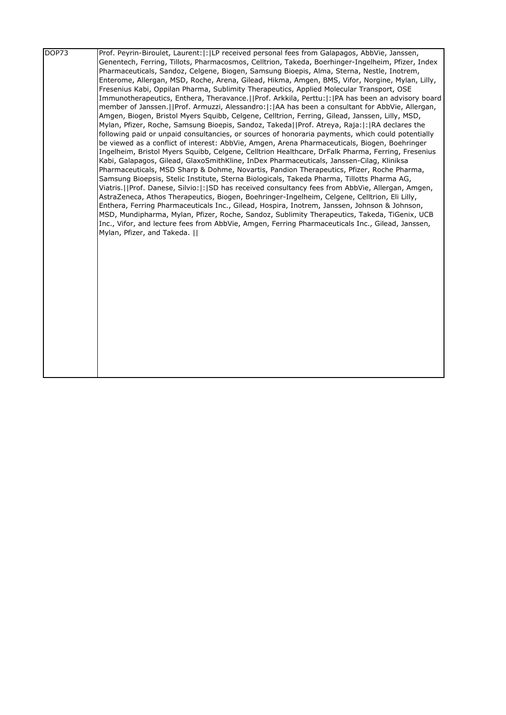| DOP73 | Prof. Peyrin-Biroulet, Laurent:  :  LP received personal fees from Galapagos, AbbVie, Janssen,                                 |
|-------|--------------------------------------------------------------------------------------------------------------------------------|
|       | Genentech, Ferring, Tillots, Pharmacosmos, Celltrion, Takeda, Boerhinger-Ingelheim, Pfizer, Index                              |
|       | Pharmaceuticals, Sandoz, Celgene, Biogen, Samsung Bioepis, Alma, Sterna, Nestle, Inotrem,                                      |
|       | Enterome, Allergan, MSD, Roche, Arena, Gilead, Hikma, Amgen, BMS, Vifor, Norgine, Mylan, Lilly,                                |
|       | Fresenius Kabi, Oppilan Pharma, Sublimity Therapeutics, Applied Molecular Transport, OSE                                       |
|       | Immunotherapeutics, Enthera, Theravance.  Prof. Arkkila, Perttu: : PA has been an advisory board                               |
|       | member of Janssen.   Prof. Armuzzi, Alessandro:   :   AA has been a consultant for AbbVie, Allergan,                           |
|       | Amgen, Biogen, Bristol Myers Squibb, Celgene, Celltrion, Ferring, Gilead, Janssen, Lilly, MSD,                                 |
|       | Mylan, Pfizer, Roche, Samsung Bioepis, Sandoz, Takeda  Prof. Atreya, Raja: :  RA declares the                                  |
|       | following paid or unpaid consultancies, or sources of honoraria payments, which could potentially                              |
|       | be viewed as a conflict of interest: AbbVie, Amgen, Arena Pharmaceuticals, Biogen, Boehringer                                  |
|       | Ingelheim, Bristol Myers Squibb, Celgene, Celltrion Healthcare, DrFalk Pharma, Ferring, Fresenius                              |
|       | Kabi, Galapagos, Gilead, GlaxoSmithKline, InDex Pharmaceuticals, Janssen-Cilag, Kliniksa                                       |
|       | Pharmaceuticals, MSD Sharp & Dohme, Novartis, Pandion Therapeutics, Pfizer, Roche Pharma,                                      |
|       | Samsung Bioepsis, Stelic Institute, Sterna Biologicals, Takeda Pharma, Tillotts Pharma AG,                                     |
|       | Viatris.     Prof. Danese, Silvio:   :   SD has received consultancy fees from AbbVie, Allergan, Amgen,                        |
|       | AstraZeneca, Athos Therapeutics, Biogen, Boehringer-Ingelheim, Celgene, Celltrion, Eli Lilly,                                  |
|       | Enthera, Ferring Pharmaceuticals Inc., Gilead, Hospira, Inotrem, Janssen, Johnson & Johnson,                                   |
|       | MSD, Mundipharma, Mylan, Pfizer, Roche, Sandoz, Sublimity Therapeutics, Takeda, TiGenix, UCB                                   |
|       | Inc., Vifor, and lecture fees from AbbVie, Amgen, Ferring Pharmaceuticals Inc., Gilead, Janssen,<br>Mylan, Pfizer, and Takeda. |
|       |                                                                                                                                |
|       |                                                                                                                                |
|       |                                                                                                                                |
|       |                                                                                                                                |
|       |                                                                                                                                |
|       |                                                                                                                                |
|       |                                                                                                                                |
|       |                                                                                                                                |
|       |                                                                                                                                |
|       |                                                                                                                                |
|       |                                                                                                                                |
|       |                                                                                                                                |
|       |                                                                                                                                |
|       |                                                                                                                                |
|       |                                                                                                                                |
|       |                                                                                                                                |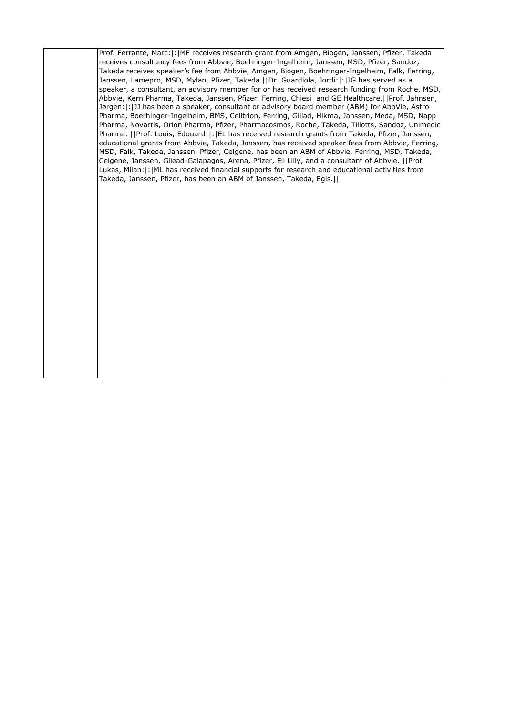Prof. Ferrante, Marc:|:|MF receives research grant from Amgen, Biogen, Janssen, Pfizer, Takeda receives consultancy fees from Abbvie, Boehringer-Ingelheim, Janssen, MSD, Pfizer, Sandoz, Takeda receives speaker's fee from Abbvie, Amgen, Biogen, Boehringer-Ingelheim, Falk, Ferring, Janssen, Lamepro, MSD, Mylan, Pfizer, Takeda.||Dr. Guardiola, Jordi:|:|JG has served as a speaker, a consultant, an advisory member for or has received research funding from Roche, MSD, Abbvie, Kern Pharma, Takeda, Janssen, Pfizer, Ferring, Chiesi and GE Healthcare.||Prof. Jahnsen, Jørgen:|:|JJ has been a speaker, consultant or advisory board member (ABM) for AbbVie, Astro Pharma, Boerhinger-Ingelheim, BMS, Celltrion, Ferring, Giliad, Hikma, Janssen, Meda, MSD, Napp Pharma, Novartis, Orion Pharma, Pfizer, Pharmacosmos, Roche, Takeda, Tillotts, Sandoz, Unimedic Pharma. ||Prof. Louis, Edouard:|:|EL has received research grants from Takeda, Pfizer, Janssen, educational grants from Abbvie, Takeda, Janssen, has received speaker fees from Abbvie, Ferring, MSD, Falk, Takeda, Janssen, Pfizer, Celgene, has been an ABM of Abbvie, Ferring, MSD, Takeda, Celgene, Janssen, Gilead-Galapagos, Arena, Pfizer, Eli Lilly, and a consultant of Abbvie. ||Prof. Lukas, Milan:|:|ML has received financial supports for research and educational activities from Takeda, Janssen, Pfizer, has been an ABM of Janssen, Takeda, Egis.||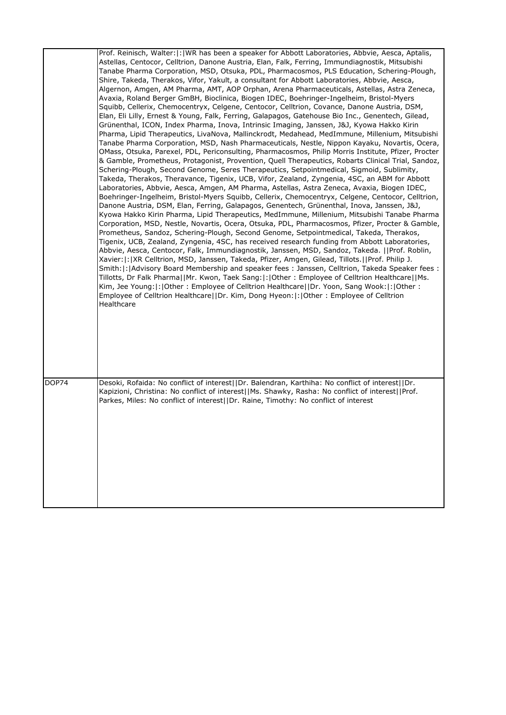|       | Prof. Reinisch, Walter:  :   WR has been a speaker for Abbott Laboratories, Abbvie, Aesca, Aptalis,<br>Astellas, Centocor, Celltrion, Danone Austria, Elan, Falk, Ferring, Immundiagnostik, Mitsubishi<br>Tanabe Pharma Corporation, MSD, Otsuka, PDL, Pharmacosmos, PLS Education, Schering-Plough,<br>Shire, Takeda, Therakos, Vifor, Yakult, a consultant for Abbott Laboratories, Abbvie, Aesca,<br>Algernon, Amgen, AM Pharma, AMT, AOP Orphan, Arena Pharmaceuticals, Astellas, Astra Zeneca,<br>Avaxia, Roland Berger GmBH, Bioclinica, Biogen IDEC, Boehringer-Ingelheim, Bristol-Myers<br>Squibb, Cellerix, Chemocentryx, Celgene, Centocor, Celltrion, Covance, Danone Austria, DSM,<br>Elan, Eli Lilly, Ernest & Young, Falk, Ferring, Galapagos, Gatehouse Bio Inc., Genentech, Gilead,<br>Grünenthal, ICON, Index Pharma, Inova, Intrinsic Imaging, Janssen, J&J, Kyowa Hakko Kirin<br>Pharma, Lipid Therapeutics, LivaNova, Mallinckrodt, Medahead, MedImmune, Millenium, Mitsubishi<br>Tanabe Pharma Corporation, MSD, Nash Pharmaceuticals, Nestle, Nippon Kayaku, Novartis, Ocera,<br>OMass, Otsuka, Parexel, PDL, Periconsulting, Pharmacosmos, Philip Morris Institute, Pfizer, Procter<br>& Gamble, Prometheus, Protagonist, Provention, Quell Therapeutics, Robarts Clinical Trial, Sandoz,<br>Schering-Plough, Second Genome, Seres Therapeutics, Setpointmedical, Sigmoid, Sublimity,<br>Takeda, Therakos, Theravance, Tigenix, UCB, Vifor, Zealand, Zyngenia, 4SC, an ABM for Abbott<br>Laboratories, Abbvie, Aesca, Amgen, AM Pharma, Astellas, Astra Zeneca, Avaxia, Biogen IDEC,<br>Boehringer-Ingelheim, Bristol-Myers Squibb, Cellerix, Chemocentryx, Celgene, Centocor, Celltrion,<br>Danone Austria, DSM, Elan, Ferring, Galapagos, Genentech, Grünenthal, Inova, Janssen, J&J,<br>Kyowa Hakko Kirin Pharma, Lipid Therapeutics, MedImmune, Millenium, Mitsubishi Tanabe Pharma<br>Corporation, MSD, Nestle, Novartis, Ocera, Otsuka, PDL, Pharmacosmos, Pfizer, Procter & Gamble,<br>Prometheus, Sandoz, Schering-Plough, Second Genome, Setpointmedical, Takeda, Therakos,<br>Tigenix, UCB, Zealand, Zyngenia, 4SC, has received research funding from Abbott Laboratories,<br>Abbvie, Aesca, Centocor, Falk, Immundiagnostik, Janssen, MSD, Sandoz, Takeda.   Prof. Roblin,<br>Xavier: :   XR Celltrion, MSD, Janssen, Takeda, Pfizer, Amgen, Gilead, Tillots.  Prof. Philip J.<br>Smith:  :   Advisory Board Membership and speaker fees : Janssen, Celltrion, Takeda Speaker fees :<br>Tillotts, Dr Falk Pharma  Mr. Kwon, Taek Sang: : Other: Employee of Celltrion Healthcare  Ms.<br>Kim, Jee Young:  :   Other : Employee of Celltrion Healthcare    Dr. Yoon, Sang Wook:  :   Other :<br>Employee of Celltrion Healthcare  Dr. Kim, Dong Hyeon: : Other : Employee of Celltrion<br>Healthcare |
|-------|----------------------------------------------------------------------------------------------------------------------------------------------------------------------------------------------------------------------------------------------------------------------------------------------------------------------------------------------------------------------------------------------------------------------------------------------------------------------------------------------------------------------------------------------------------------------------------------------------------------------------------------------------------------------------------------------------------------------------------------------------------------------------------------------------------------------------------------------------------------------------------------------------------------------------------------------------------------------------------------------------------------------------------------------------------------------------------------------------------------------------------------------------------------------------------------------------------------------------------------------------------------------------------------------------------------------------------------------------------------------------------------------------------------------------------------------------------------------------------------------------------------------------------------------------------------------------------------------------------------------------------------------------------------------------------------------------------------------------------------------------------------------------------------------------------------------------------------------------------------------------------------------------------------------------------------------------------------------------------------------------------------------------------------------------------------------------------------------------------------------------------------------------------------------------------------------------------------------------------------------------------------------------------------------------------------------------------------------------------------------------------------------------------------------------------------------------------------------------------------------------------------------------------------------------------------------------------------------------------------------------------------------------------------------------------------------------------------------------------------------------------------------------------------------------------------------------------------|
| DOP74 | Desoki, Rofaida: No conflict of interest  Dr. Balendran, Karthiha: No conflict of interest  Dr.<br>Kapizioni, Christina: No conflict of interest  Ms. Shawky, Rasha: No conflict of interest  Prof.<br>Parkes, Miles: No conflict of interest  Dr. Raine, Timothy: No conflict of interest                                                                                                                                                                                                                                                                                                                                                                                                                                                                                                                                                                                                                                                                                                                                                                                                                                                                                                                                                                                                                                                                                                                                                                                                                                                                                                                                                                                                                                                                                                                                                                                                                                                                                                                                                                                                                                                                                                                                                                                                                                                                                                                                                                                                                                                                                                                                                                                                                                                                                                                                             |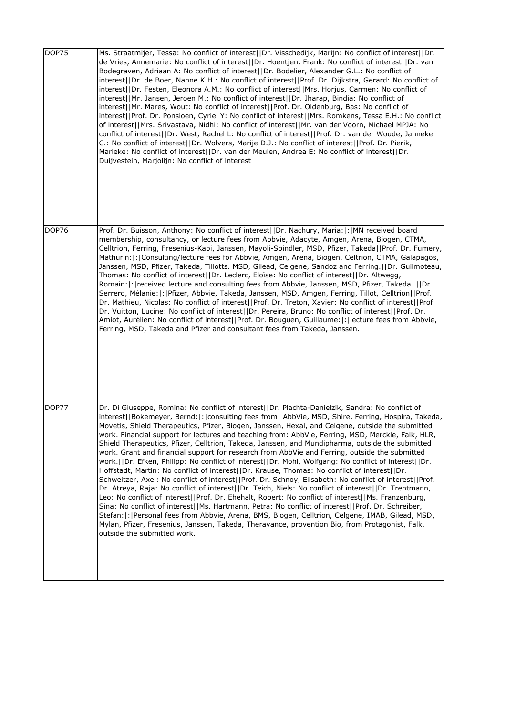| DOP75        | Ms. Straatmijer, Tessa: No conflict of interest  Dr. Visschedijk, Marijn: No conflict of interest  Dr.<br>de Vries, Annemarie: No conflict of interest  Dr. Hoentjen, Frank: No conflict of interest  Dr. van<br>Bodegraven, Adriaan A: No conflict of interest  Dr. Bodelier, Alexander G.L.: No conflict of<br>interest  Dr. de Boer, Nanne K.H.: No conflict of interest  Prof. Dr. Dijkstra, Gerard: No conflict of<br>interest  Dr. Festen, Eleonora A.M.: No conflict of interest  Mrs. Horjus, Carmen: No conflict of<br>interest  Mr. Jansen, Jeroen M.: No conflict of interest  Dr. Jharap, Bindia: No conflict of<br>interest  Mr. Mares, Wout: No conflict of interest  Prof. Dr. Oldenburg, Bas: No conflict of<br>interest  Prof. Dr. Ponsioen, Cyriel Y: No conflict of interest  Mrs. Romkens, Tessa E.H.: No conflict<br>of interest  Mrs. Srivastava, Nidhi: No conflict of interest  Mr. van der Voorn, Michael MPJA: No<br>conflict of interest  Dr. West, Rachel L: No conflict of interest  Prof. Dr. van der Woude, Janneke<br>C.: No conflict of interest  Dr. Wolvers, Marije D.J.: No conflict of interest  Prof. Dr. Pierik,<br>Marieke: No conflict of interest  Dr. van der Meulen, Andrea E: No conflict of interest  Dr.<br>Duijvestein, Marjolijn: No conflict of interest                                                                                                                                                                                    |
|--------------|-----------------------------------------------------------------------------------------------------------------------------------------------------------------------------------------------------------------------------------------------------------------------------------------------------------------------------------------------------------------------------------------------------------------------------------------------------------------------------------------------------------------------------------------------------------------------------------------------------------------------------------------------------------------------------------------------------------------------------------------------------------------------------------------------------------------------------------------------------------------------------------------------------------------------------------------------------------------------------------------------------------------------------------------------------------------------------------------------------------------------------------------------------------------------------------------------------------------------------------------------------------------------------------------------------------------------------------------------------------------------------------------------------------------------------------------------------------------------------------------------|
| <b>DOP76</b> | Prof. Dr. Buisson, Anthony: No conflict of interest  Dr. Nachury, Maria: : MN received board<br>membership, consultancy, or lecture fees from Abbvie, Adacyte, Amgen, Arena, Biogen, CTMA,<br>Celltrion, Ferring, Fresenius-Kabi, Janssen, Mayoli-Spindler, MSD, Pfizer, Takeda  Prof. Dr. Fumery,<br>Mathurin: : Consulting/lecture fees for Abbvie, Amgen, Arena, Biogen, Celtrion, CTMA, Galapagos,<br>Janssen, MSD, Pfizer, Takeda, Tillotts. MSD, Gilead, Celgene, Sandoz and Ferring.  Dr. Guilmoteau,<br>Thomas: No conflict of interest  Dr. Leclerc, Eloïse: No conflict of interest  Dr. Altwegg,<br>Romain:  :   received lecture and consulting fees from Abbvie, Janssen, MSD, Pfizer, Takeda.     Dr.<br>Serrero, Mélanie:  :  Pfizer, Abbvie, Takeda, Janssen, MSD, Amgen, Ferring, Tillot, Celltrion  Prof.<br>Dr. Mathieu, Nicolas: No conflict of interest  Prof. Dr. Treton, Xavier: No conflict of interest  Prof.<br>Dr. Vuitton, Lucine: No conflict of interest  Dr. Pereira, Bruno: No conflict of interest  Prof. Dr.<br>Amiot, Aurélien: No conflict of interest  Prof. Dr. Bouguen, Guillaume: : lecture fees from Abbvie,<br>Ferring, MSD, Takeda and Pfizer and consultant fees from Takeda, Janssen.                                                                                                                                                                                                                                                            |
| DOP77        | Dr. Di Giuseppe, Romina: No conflict of interest  Dr. Plachta-Danielzik, Sandra: No conflict of<br>interest  Bokemeyer, Bernd: : consulting fees from: AbbVie, MSD, Shire, Ferring, Hospira, Takeda,<br>Movetis, Shield Therapeutics, Pfizer, Biogen, Janssen, Hexal, and Celgene, outside the submitted<br>work. Financial support for lectures and teaching from: AbbVie, Ferring, MSD, Merckle, Falk, HLR,<br>Shield Therapeutics, Pfizer, Celltrion, Takeda, Janssen, and Mundipharma, outside the submitted<br>work. Grant and financial support for research from AbbVie and Ferring, outside the submitted<br>work.  Dr. Efken, Philipp: No conflict of interest  Dr. Mohl, Wolfgang: No conflict of interest  Dr.<br>Hoffstadt, Martin: No conflict of interest  Dr. Krause, Thomas: No conflict of interest  Dr.<br>Schweitzer, Axel: No conflict of interest  Prof. Dr. Schnoy, Elisabeth: No conflict of interest  Prof.<br>Dr. Atreya, Raja: No conflict of interest  Dr. Teich, Niels: No conflict of interest  Dr. Trentmann,<br>Leo: No conflict of interest  Prof. Dr. Ehehalt, Robert: No conflict of interest  Ms. Franzenburg,<br>Sina: No conflict of interest  Ms. Hartmann, Petra: No conflict of interest  Prof. Dr. Schreiber,<br>Stefan:  :   Personal fees from Abbvie, Arena, BMS, Biogen, Celltrion, Celgene, IMAB, Gilead, MSD,<br>Mylan, Pfizer, Fresenius, Janssen, Takeda, Theravance, provention Bio, from Protagonist, Falk,<br>outside the submitted work. |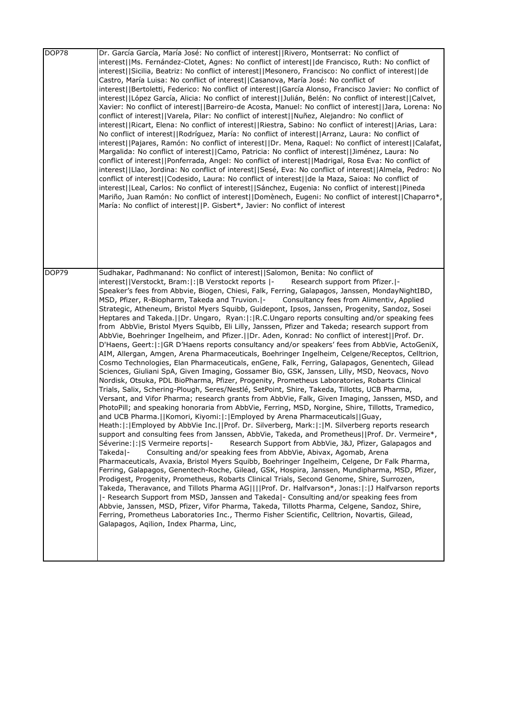| DOP78 | Dr. García García, María José: No conflict of interest  Rivero, Montserrat: No conflict of<br>interest  Ms. Fernández-Clotet, Agnes: No conflict of interest  de Francisco, Ruth: No conflict of<br>interest  Sicilia, Beatriz: No conflict of interest  Mesonero, Francisco: No conflict of interest  de<br>Castro, María Luisa: No conflict of interest  Casanova, María José: No conflict of<br>interest  Bertoletti, Federico: No conflict of interest  García Alonso, Francisco Javier: No conflict of<br>interest  López García, Alicia: No conflict of interest  Julián, Belén: No conflict of interest  Calvet,<br>Xavier: No conflict of interest  Barreiro-de Acosta, Manuel: No conflict of interest  Jara, Lorena: No<br>conflict of interest  Varela, Pilar: No conflict of interest  Nuñez, Alejandro: No conflict of<br>interest  Ricart, Elena: No conflict of interest  Riestra, Sabino: No conflict of interest  Arias, Lara:<br>No conflict of interest  Rodríguez, María: No conflict of interest  Arranz, Laura: No conflict of<br>interest  Pajares, Ramón: No conflict of interest  Dr. Mena, Raquel: No conflict of interest  Calafat,<br>Margalida: No conflict of interest  Camo, Patricia: No conflict of interest  Jiménez, Laura: No<br>conflict of interest  Ponferrada, Angel: No conflict of interest  Madrigal, Rosa Eva: No conflict of<br>interest  Llao, Jordina: No conflict of interest  Sesé, Eva: No conflict of interest  Almela, Pedro: No<br>conflict of interest  Codesido, Laura: No conflict of interest  de la Maza, Saioa: No conflict of<br>interest  Leal, Carlos: No conflict of interest  Sánchez, Eugenia: No conflict of interest  Pineda<br>Mariño, Juan Ramón: No conflict of interest  Domènech, Eugeni: No conflict of interest  Chaparro*,<br>María: No conflict of interest  P. Gisbert*, Javier: No conflict of interest                                                                                                                                                                                                                                                                                                                                                                                                                                                                                                                                                                                                                                                                                                                                                                                                                                                                                                                                                     |
|-------|-------------------------------------------------------------------------------------------------------------------------------------------------------------------------------------------------------------------------------------------------------------------------------------------------------------------------------------------------------------------------------------------------------------------------------------------------------------------------------------------------------------------------------------------------------------------------------------------------------------------------------------------------------------------------------------------------------------------------------------------------------------------------------------------------------------------------------------------------------------------------------------------------------------------------------------------------------------------------------------------------------------------------------------------------------------------------------------------------------------------------------------------------------------------------------------------------------------------------------------------------------------------------------------------------------------------------------------------------------------------------------------------------------------------------------------------------------------------------------------------------------------------------------------------------------------------------------------------------------------------------------------------------------------------------------------------------------------------------------------------------------------------------------------------------------------------------------------------------------------------------------------------------------------------------------------------------------------------------------------------------------------------------------------------------------------------------------------------------------------------------------------------------------------------------------------------------------------------------------------------------------------------------------------------------------------------------------------------------------------------------------------------------------------------------------------------------------------------------------------------------------------------------------------------------------------------------------------------------------------------------------------------------------------------------------------------------------------------------------------------------------------------------------------------------------------------------------------------|
| DOP79 | Sudhakar, Padhmanand: No conflict of interest  Salomon, Benita: No conflict of<br>Research support from Pfizer.  -<br>interest  Verstockt, Bram: : B Verstockt reports  -<br>Speaker's fees from Abbvie, Biogen, Chiesi, Falk, Ferring, Galapagos, Janssen, MondayNightIBD,<br>MSD, Pfizer, R-Biopharm, Takeda and Truvion.  -<br>Consultancy fees from Alimentiv, Applied<br>Strategic, Atheneum, Bristol Myers Squibb, Guidepont, Ipsos, Janssen, Progenity, Sandoz, Sosei<br>Heptares and Takeda.   Dr. Ungaro, Ryan:  :   R.C. Ungaro reports consulting and/or speaking fees<br>from AbbVie, Bristol Myers Squibb, Eli Lilly, Janssen, Pfizer and Takeda; research support from<br>AbbVie, Boehringer Ingelheim, and Pfizer.  Dr. Aden, Konrad: No conflict of interest  Prof. Dr.<br>D'Haens, Geert:  :  GR D'Haens reports consultancy and/or speakers' fees from AbbVie, ActoGeniX,<br>AIM, Allergan, Amgen, Arena Pharmaceuticals, Boehringer Ingelheim, Celgene/Receptos, Celltrion,<br>Cosmo Technologies, Elan Pharmaceuticals, enGene, Falk, Ferring, Galapagos, Genentech, Gilead<br>Sciences, Giuliani SpA, Given Imaging, Gossamer Bio, GSK, Janssen, Lilly, MSD, Neovacs, Novo<br>Nordisk, Otsuka, PDL BioPharma, Pfizer, Progenity, Prometheus Laboratories, Robarts Clinical<br>Trials, Salix, Schering-Plough, Seres/Nestlé, SetPoint, Shire, Takeda, Tillotts, UCB Pharma,<br>Versant, and Vifor Pharma; research grants from AbbVie, Falk, Given Imaging, Janssen, MSD, and<br>PhotoPill; and speaking honoraria from AbbVie, Ferring, MSD, Norgine, Shire, Tillotts, Tramedico,<br>and UCB Pharma.   Komori, Kiyomi:   :   Employed by Arena Pharmaceuticals   Guay,<br>Heath:  :   Employed by AbbVie Inc.     Prof. Dr. Silverberg, Mark:   :   M. Silverberg reports research<br>support and consulting fees from Janssen, AbbVie, Takeda, and Prometheus  Prof. Dr. Vermeire*,<br>Séverine:  :  S Vermeire reports -<br>Research Support from AbbVie, J&J, Pfizer, Galapagos and<br>Consulting and/or speaking fees from AbbVie, Abivax, Agomab, Arena<br>Takeda -<br>Pharmaceuticals, Avaxia, Bristol Myers Squibb, Boehringer Ingelheim, Celgene, Dr Falk Pharma,<br>Ferring, Galapagos, Genentech-Roche, Gilead, GSK, Hospira, Janssen, Mundipharma, MSD, Pfizer,<br>Prodigest, Progenity, Prometheus, Robarts Clinical Trials, Second Genome, Shire, Surrozen,<br>Takeda, Theravance, and Tillots Pharma AG    Prof. Dr. Halfvarson*, Jonas: : J Halfvarson reports<br> - Research Support from MSD, Janssen and Takeda - Consulting and/or speaking fees from<br>Abbvie, Janssen, MSD, Pfizer, Vifor Pharma, Takeda, Tillotts Pharma, Celgene, Sandoz, Shire,<br>Ferring, Prometheus Laboratories Inc., Thermo Fisher Scientific, Celltrion, Novartis, Gilead,<br>Galapagos, Aqilion, Index Pharma, Linc, |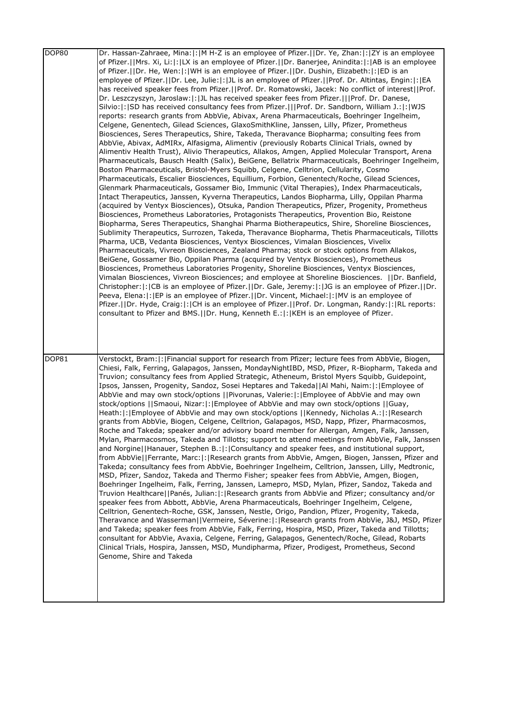| <b>DOP80</b> | Dr. Hassan-Zahraee, Mina: :   M H-Z is an employee of Pfizer.  Dr. Ye, Zhan: :   ZY is an employee<br>of Pfizer.  Mrs. Xi, Li: : LX is an employee of Pfizer.  Dr. Banerjee, Anindita: : AB is an employee<br>of Pfizer.     Dr. He, Wen:   :   WH is an employee of Pfizer.     Dr. Dushin, Elizabeth:   :   ED is an<br>employee of Pfizer.  Dr. Lee, Julie: : JL is an employee of Pfizer.  Prof. Dr. Altintas, Engin: : EA<br>has received speaker fees from Pfizer.  Prof. Dr. Romatowski, Jacek: No conflict of interest  Prof.<br>Dr. Leszczyszyn, Jaroslaw: : JL has received speaker fees from Pfizer.   Prof. Dr. Danese,<br>Silvio:  :  SD has received consultancy fees from Pfizer.    Prof. Dr. Sandborn, William J.:  :  WJS<br>reports: research grants from AbbVie, Abivax, Arena Pharmaceuticals, Boehringer Ingelheim,<br>Celgene, Genentech, Gilead Sciences, GlaxoSmithKline, Janssen, Lilly, Pfizer, Prometheus<br>Biosciences, Seres Therapeutics, Shire, Takeda, Theravance Biopharma; consulting fees from<br>AbbVie, Abivax, AdMIRx, Alfasigma, Alimentiv (previously Robarts Clinical Trials, owned by<br>Alimentiv Health Trust), Alivio Therapeutics, Allakos, Amgen, Applied Molecular Transport, Arena<br>Pharmaceuticals, Bausch Health (Salix), BeiGene, Bellatrix Pharmaceuticals, Boehringer Ingelheim,<br>Boston Pharmaceuticals, Bristol-Myers Squibb, Celgene, Celltrion, Cellularity, Cosmo<br>Pharmaceuticals, Escalier Biosciences, Equillium, Forbion, Genentech/Roche, Gilead Sciences,<br>Glenmark Pharmaceuticals, Gossamer Bio, Immunic (Vital Therapies), Index Pharmaceuticals,<br>Intact Therapeutics, Janssen, Kyverna Therapeutics, Landos Biopharma, Lilly, Oppilan Pharma<br>(acquired by Ventyx Biosciences), Otsuka, Pandion Therapeutics, Pfizer, Progenity, Prometheus<br>Biosciences, Prometheus Laboratories, Protagonists Therapeutics, Provention Bio, Reistone<br>Biopharma, Seres Therapeutics, Shanghai Pharma Biotherapeutics, Shire, Shoreline Biosciences,<br>Sublimity Therapeutics, Surrozen, Takeda, Theravance Biopharma, Thetis Pharmaceuticals, Tillotts<br>Pharma, UCB, Vedanta Biosciences, Ventyx Biosciences, Vimalan Biosciences, Vivelix<br>Pharmaceuticals, Vivreon Biosciences, Zealand Pharma; stock or stock options from Allakos,<br>BeiGene, Gossamer Bio, Oppilan Pharma (acquired by Ventyx Biosciences), Prometheus<br>Biosciences, Prometheus Laboratories Progenity, Shoreline Biosciences, Ventyx Biosciences,<br>Vimalan Biosciences, Vivreon Biosciences; and employee at Shoreline Biosciences.     Dr. Banfield,<br>Christopher:  :  CB is an employee of Pfizer.    Dr. Gale, Jeremy:  :  JG is an employee of Pfizer.    Dr.<br>Peeva, Elena:   :   EP is an employee of Pfizer.     Dr. Vincent, Michael:   :   MV is an employee of<br>Pfizer.   Dr. Hyde, Craig:  :  CH is an employee of Pfizer.   Prof. Dr. Longman, Randy:  :  RL reports:<br>consultant to Pfizer and BMS.  Dr. Hung, Kenneth E.: : KEH is an employee of Pfizer. |
|--------------|-------------------------------------------------------------------------------------------------------------------------------------------------------------------------------------------------------------------------------------------------------------------------------------------------------------------------------------------------------------------------------------------------------------------------------------------------------------------------------------------------------------------------------------------------------------------------------------------------------------------------------------------------------------------------------------------------------------------------------------------------------------------------------------------------------------------------------------------------------------------------------------------------------------------------------------------------------------------------------------------------------------------------------------------------------------------------------------------------------------------------------------------------------------------------------------------------------------------------------------------------------------------------------------------------------------------------------------------------------------------------------------------------------------------------------------------------------------------------------------------------------------------------------------------------------------------------------------------------------------------------------------------------------------------------------------------------------------------------------------------------------------------------------------------------------------------------------------------------------------------------------------------------------------------------------------------------------------------------------------------------------------------------------------------------------------------------------------------------------------------------------------------------------------------------------------------------------------------------------------------------------------------------------------------------------------------------------------------------------------------------------------------------------------------------------------------------------------------------------------------------------------------------------------------------------------------------------------------------------------------------------------------------------------------------------------------------------------------------------------------------------------------------------------------------------------------------------------------------------------------------------------------------------------------------------------------------------------------------------------------------------------------------------------------|
| <b>DOP81</b> | Verstockt, Bram:  :  Financial support for research from Pfizer; lecture fees from AbbVie, Biogen,<br>Chiesi, Falk, Ferring, Galapagos, Janssen, MondayNightIBD, MSD, Pfizer, R-Biopharm, Takeda and<br>Truvion; consultancy fees from Applied Strategic, Atheneum, Bristol Myers Squibb, Guidepoint,<br>Ipsos, Janssen, Progenity, Sandoz, Sosei Heptares and Takeda  Al Mahi, Naim: : Employee of<br>AbbVie and may own stock/options   Pivorunas, Valerie: : Employee of AbbVie and may own<br>stock/options   Smaoui, Nizar: : Employee of AbbVie and may own stock/options   Guay,<br>Heath:  :   Employee of AbbVie and may own stock/options     Kennedy, Nicholas A.:   :   Research<br>grants from AbbVie, Biogen, Celgene, Celltrion, Galapagos, MSD, Napp, Pfizer, Pharmacosmos,<br>Roche and Takeda; speaker and/or advisory board member for Allergan, Amgen, Falk, Janssen,<br>Mylan, Pharmacosmos, Takeda and Tillotts; support to attend meetings from AbbVie, Falk, Janssen<br>and Norgine  Hanauer, Stephen B.: : Consultancy and speaker fees, and institutional support,<br>from AbbVie  Ferrante, Marc: : Research grants from AbbVie, Amgen, Biogen, Janssen, Pfizer and<br>Takeda; consultancy fees from AbbVie, Boehringer Ingelheim, Celltrion, Janssen, Lilly, Medtronic,<br>MSD, Pfizer, Sandoz, Takeda and Thermo Fisher; speaker fees from AbbVie, Amgen, Biogen,<br>Boehringer Ingelheim, Falk, Ferring, Janssen, Lamepro, MSD, Mylan, Pfizer, Sandoz, Takeda and<br>Truvion Healthcare  Panés, Julian: : Research grants from AbbVie and Pfizer; consultancy and/or<br>speaker fees from Abbott, AbbVie, Arena Pharmaceuticals, Boehringer Ingelheim, Celgene,<br>Celltrion, Genentech-Roche, GSK, Janssen, Nestle, Origo, Pandion, Pfizer, Progenity, Takeda,<br>Theravance and Wasserman  Vermeire, Séverine: : Research grants from AbbVie, J&J, MSD, Pfizer<br>and Takeda; speaker fees from AbbVie, Falk, Ferring, Hospira, MSD, Pfizer, Takeda and Tillotts;<br>consultant for AbbVie, Avaxia, Celgene, Ferring, Galapagos, Genentech/Roche, Gilead, Robarts<br>Clinical Trials, Hospira, Janssen, MSD, Mundipharma, Pfizer, Prodigest, Prometheus, Second<br>Genome, Shire and Takeda                                                                                                                                                                                                                                                                                                                                                                                                                                                                                                                                                                                                                                                                                                                                                                                                               |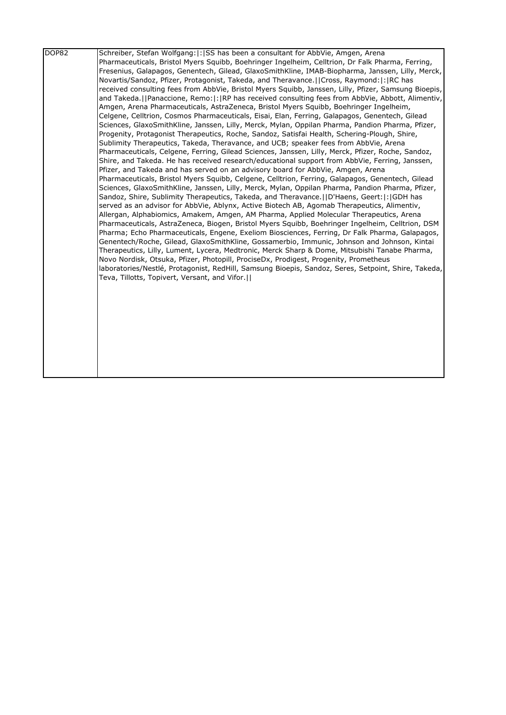| DOP82 | Schreiber, Stefan Wolfgang:  : ISS has been a consultant for AbbVie, Amgen, Arena                     |
|-------|-------------------------------------------------------------------------------------------------------|
|       | Pharmaceuticals, Bristol Myers Squibb, Boehringer Ingelheim, Celltrion, Dr Falk Pharma, Ferring,      |
|       | Fresenius, Galapagos, Genentech, Gilead, GlaxoSmithKline, IMAB-Biopharma, Janssen, Lilly, Merck,      |
|       | Novartis/Sandoz, Pfizer, Protagonist, Takeda, and Theravance.  Cross, Raymond: : RC has               |
|       | received consulting fees from AbbVie, Bristol Myers Squibb, Janssen, Lilly, Pfizer, Samsung Bioepis,  |
|       | and Takeda.   Panaccione, Remo:   :   RP has received consulting fees from AbbVie, Abbott, Alimentiv, |
|       | Amgen, Arena Pharmaceuticals, AstraZeneca, Bristol Myers Squibb, Boehringer Ingelheim,                |
|       | Celgene, Celltrion, Cosmos Pharmaceuticals, Eisai, Elan, Ferring, Galapagos, Genentech, Gilead        |
|       | Sciences, GlaxoSmithKline, Janssen, Lilly, Merck, Mylan, Oppilan Pharma, Pandion Pharma, Pfizer,      |
|       | Progenity, Protagonist Therapeutics, Roche, Sandoz, Satisfai Health, Schering-Plough, Shire,          |
|       | Sublimity Therapeutics, Takeda, Theravance, and UCB; speaker fees from AbbVie, Arena                  |
|       | Pharmaceuticals, Celgene, Ferring, Gilead Sciences, Janssen, Lilly, Merck, Pfizer, Roche, Sandoz,     |
|       | Shire, and Takeda. He has received research/educational support from AbbVie, Ferring, Janssen,        |
|       | Pfizer, and Takeda and has served on an advisory board for AbbVie, Amgen, Arena                       |
|       | Pharmaceuticals, Bristol Myers Squibb, Celgene, Celltrion, Ferring, Galapagos, Genentech, Gilead      |
|       | Sciences, GlaxoSmithKline, Janssen, Lilly, Merck, Mylan, Oppilan Pharma, Pandion Pharma, Pfizer,      |
|       | Sandoz, Shire, Sublimity Therapeutics, Takeda, and Theravance.     D'Haens, Geert:   :   GDH has      |
|       | served as an advisor for AbbVie, Ablynx, Active Biotech AB, Agomab Therapeutics, Alimentiv,           |
|       | Allergan, Alphabiomics, Amakem, Amgen, AM Pharma, Applied Molecular Therapeutics, Arena               |
|       | Pharmaceuticals, AstraZeneca, Biogen, Bristol Myers Squibb, Boehringer Ingelheim, Celltrion, DSM      |
|       | Pharma; Echo Pharmaceuticals, Engene, Exeliom Biosciences, Ferring, Dr Falk Pharma, Galapagos,        |
|       | Genentech/Roche, Gilead, GlaxoSmithKline, Gossamerbio, Immunic, Johnson and Johnson, Kintai           |
|       | Therapeutics, Lilly, Lument, Lycera, Medtronic, Merck Sharp & Dome, Mitsubishi Tanabe Pharma,         |
|       | Novo Nordisk, Otsuka, Pfizer, Photopill, ProciseDx, Prodigest, Progenity, Prometheus                  |
|       | laboratories/Nestlé, Protagonist, RedHill, Samsung Bioepis, Sandoz, Seres, Setpoint, Shire, Takeda,   |
|       | Teva, Tillotts, Topivert, Versant, and Vifor.                                                         |
|       |                                                                                                       |
|       |                                                                                                       |
|       |                                                                                                       |
|       |                                                                                                       |
|       |                                                                                                       |
|       |                                                                                                       |
|       |                                                                                                       |
|       |                                                                                                       |
|       |                                                                                                       |
|       |                                                                                                       |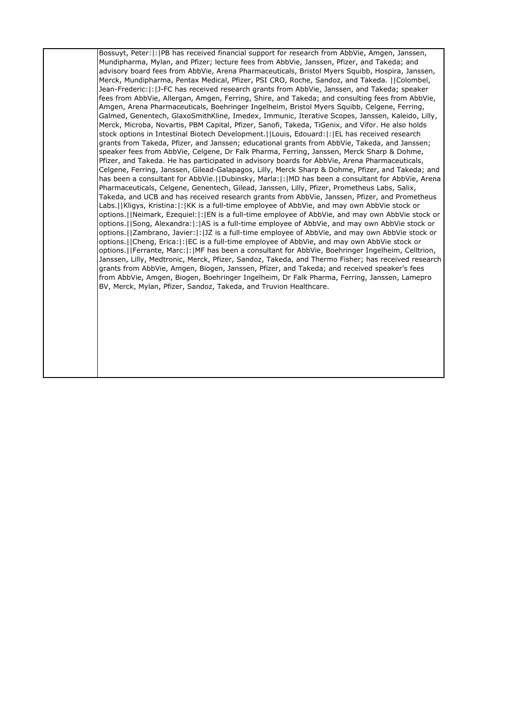Bossuyt, Peter:|:|PB has received financial support for research from AbbVie, Amgen, Janssen, Mundipharma, Mylan, and Pfizer; lecture fees from AbbVie, Janssen, Pfizer, and Takeda; and advisory board fees from AbbVie, Arena Pharmaceuticals, Bristol Myers Squibb, Hospira, Janssen, Merck, Mundipharma, Pentax Medical, Pfizer, PSI CRO, Roche, Sandoz, and Takeda. ||Colombel, Jean-Frederic:|:|J-FC has received research grants from AbbVie, Janssen, and Takeda; speaker fees from AbbVie, Allergan, Amgen, Ferring, Shire, and Takeda; and consulting fees from AbbVie, Amgen, Arena Pharmaceuticals, Boehringer Ingelheim, Bristol Myers Squibb, Celgene, Ferring, Galmed, Genentech, GlaxoSmithKline, Imedex, Immunic, Iterative Scopes, Janssen, Kaleido, Lilly, Merck, Microba, Novartis, PBM Capital, Pfizer, Sanofi, Takeda, TiGenix, and Vifor. He also holds stock options in Intestinal Biotech Development.||Louis, Edouard:|:|EL has received research grants from Takeda, Pfizer, and Janssen; educational grants from AbbVie, Takeda, and Janssen; speaker fees from AbbVie, Celgene, Dr Falk Pharma, Ferring, Janssen, Merck Sharp & Dohme, Pfizer, and Takeda. He has participated in advisory boards for AbbVie, Arena Pharmaceuticals, Celgene, Ferring, Janssen, Gilead-Galapagos, Lilly, Merck Sharp & Dohme, Pfizer, and Takeda; and has been a consultant for AbbVie.||Dubinsky, Marla:|:|MD has been a consultant for AbbVie, Arena Pharmaceuticals, Celgene, Genentech, Gilead, Janssen, Lilly, Pfizer, Prometheus Labs, Salix, Takeda, and UCB and has received research grants from AbbVie, Janssen, Pfizer, and Prometheus Labs.||Kligys, Kristina:|:|KK is a full-time employee of AbbVie, and may own AbbVie stock or options.||Neimark, Ezequiel:|:|EN is a full-time employee of AbbVie, and may own AbbVie stock or options.||Song, Alexandra:|:|AS is a full-time employee of AbbVie, and may own AbbVie stock or options.||Zambrano, Javier:|:|JZ is a full-time employee of AbbVie, and may own AbbVie stock or options.||Cheng, Erica:|:|EC is a full-time employee of AbbVie, and may own AbbVie stock or options.||Ferrante, Marc:|:|MF has been a consultant for AbbVie, Boehringer Ingelheim, Celltrion, Janssen, Lilly, Medtronic, Merck, Pfizer, Sandoz, Takeda, and Thermo Fisher; has received research grants from AbbVie, Amgen, Biogen, Janssen, Pfizer, and Takeda; and received speaker's fees from AbbVie, Amgen, Biogen, Boehringer Ingelheim, Dr Falk Pharma, Ferring, Janssen, Lamepro BV, Merck, Mylan, Pfizer, Sandoz, Takeda, and Truvion Healthcare.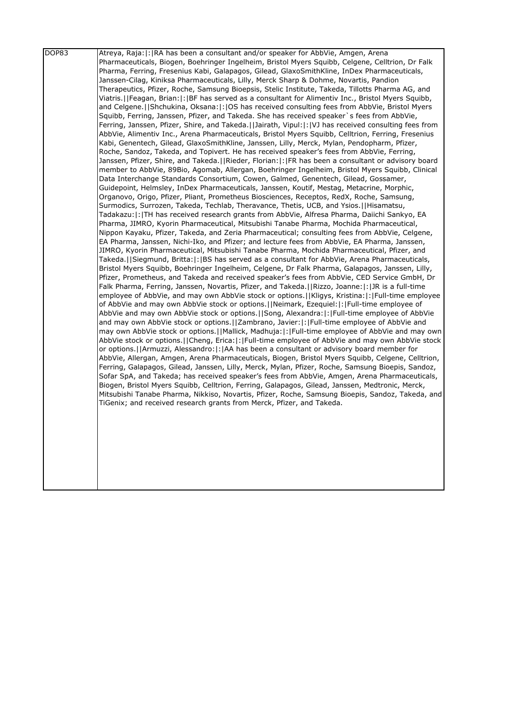| DOP83 | Atreya, Raja: :  RA has been a consultant and/or speaker for AbbVie, Amgen, Arena                                                                                                              |
|-------|------------------------------------------------------------------------------------------------------------------------------------------------------------------------------------------------|
|       | Pharmaceuticals, Biogen, Boehringer Ingelheim, Bristol Myers Squibb, Celgene, Celltrion, Dr Falk                                                                                               |
|       | Pharma, Ferring, Fresenius Kabi, Galapagos, Gilead, GlaxoSmithKline, InDex Pharmaceuticals,                                                                                                    |
|       | Janssen-Cilag, Kiniksa Pharmaceuticals, Lilly, Merck Sharp & Dohme, Novartis, Pandion                                                                                                          |
|       | Therapeutics, Pfizer, Roche, Samsung Bioepsis, Stelic Institute, Takeda, Tillotts Pharma AG, and                                                                                               |
|       | Viatris.  Feagan, Brian: : BF has served as a consultant for Alimentiv Inc., Bristol Myers Squibb,                                                                                             |
|       | and Celgene.  Shchukina, Oksana: : OS has received consulting fees from AbbVie, Bristol Myers                                                                                                  |
|       | Squibb, Ferring, Janssen, Pfizer, and Takeda. She has received speaker`s fees from AbbVie,                                                                                                     |
|       | Ferring, Janssen, Pfizer, Shire, and Takeda.  Jairath, Vipul: : VJ has received consulting fees from                                                                                           |
|       | AbbVie, Alimentiv Inc., Arena Pharmaceuticals, Bristol Myers Squibb, Celltrion, Ferring, Fresenius                                                                                             |
|       | Kabi, Genentech, Gilead, GlaxoSmithKline, Janssen, Lilly, Merck, Mylan, Pendopharm, Pfizer,                                                                                                    |
|       | Roche, Sandoz, Takeda, and Topivert. He has received speaker's fees from AbbVie, Ferring,                                                                                                      |
|       | Janssen, Pfizer, Shire, and Takeda.  Rieder, Florian: : FR has been a consultant or advisory board                                                                                             |
|       | member to AbbVie, 89Bio, Agomab, Allergan, Boehringer Ingelheim, Bristol Myers Squibb, Clinical                                                                                                |
|       | Data Interchange Standards Consortium, Cowen, Galmed, Genentech, Gilead, Gossamer,                                                                                                             |
|       | Guidepoint, Helmsley, InDex Pharmaceuticals, Janssen, Koutif, Mestag, Metacrine, Morphic,                                                                                                      |
|       | Organovo, Origo, Pfizer, Pliant, Prometheus Biosciences, Receptos, RedX, Roche, Samsung,                                                                                                       |
|       | Surmodics, Surrozen, Takeda, Techlab, Theravance, Thetis, UCB, and Ysios.  Hisamatsu,                                                                                                          |
|       | Tadakazu:  :  TH has received research grants from AbbVie, Alfresa Pharma, Daiichi Sankyo, EA                                                                                                  |
|       | Pharma, JIMRO, Kyorin Pharmaceutical, Mitsubishi Tanabe Pharma, Mochida Pharmaceutical,                                                                                                        |
|       | Nippon Kayaku, Pfizer, Takeda, and Zeria Pharmaceutical; consulting fees from AbbVie, Celgene,<br>EA Pharma, Janssen, Nichi-Iko, and Pfizer; and lecture fees from AbbVie, EA Pharma, Janssen, |
|       | JIMRO, Kyorin Pharmaceutical, Mitsubishi Tanabe Pharma, Mochida Pharmaceutical, Pfizer, and                                                                                                    |
|       | Takeda.  Siegmund, Britta: : BS has served as a consultant for AbbVie, Arena Pharmaceuticals,                                                                                                  |
|       | Bristol Myers Squibb, Boehringer Ingelheim, Celgene, Dr Falk Pharma, Galapagos, Janssen, Lilly,                                                                                                |
|       | Pfizer, Prometheus, and Takeda and received speaker's fees from AbbVie, CED Service GmbH, Dr                                                                                                   |
|       | Falk Pharma, Ferring, Janssen, Novartis, Pfizer, and Takeda.  Rizzo, Joanne: : JR is a full-time                                                                                               |
|       | employee of AbbVie, and may own AbbVie stock or options.   Kligys, Kristina:  :  Full-time employee                                                                                            |
|       | of AbbVie and may own AbbVie stock or options.   Neimark, Ezequiel:  :  Full-time employee of                                                                                                  |
|       | AbbVie and may own AbbVie stock or options. [Song, Alexandra: [: Full-time employee of AbbVie                                                                                                  |
|       | and may own AbbVie stock or options.  Zambrano, Javier: : Full-time employee of AbbVie and                                                                                                     |
|       | may own AbbVie stock or options. [[Mallick, Madhuja: [: [Full-time employee of AbbVie and may own                                                                                              |
|       | AbbVie stock or options. [Cheng, Erica:  :  Full-time employee of AbbVie and may own AbbVie stock                                                                                              |
|       | or options. [ Armuzzi, Alessandro:  :  AA has been a consultant or advisory board member for                                                                                                   |
|       | AbbVie, Allergan, Amgen, Arena Pharmaceuticals, Biogen, Bristol Myers Squibb, Celgene, Celltrion,                                                                                              |
|       | Ferring, Galapagos, Gilead, Janssen, Lilly, Merck, Mylan, Pfizer, Roche, Samsung Bioepis, Sandoz,                                                                                              |
|       | Sofar SpA, and Takeda; has received speaker's fees from AbbVie, Amgen, Arena Pharmaceuticals,                                                                                                  |
|       | Biogen, Bristol Myers Squibb, Celltrion, Ferring, Galapagos, Gilead, Janssen, Medtronic, Merck,                                                                                                |
|       | Mitsubishi Tanabe Pharma, Nikkiso, Novartis, Pfizer, Roche, Samsung Bioepis, Sandoz, Takeda, and                                                                                               |
|       | TiGenix; and received research grants from Merck, Pfizer, and Takeda.                                                                                                                          |
|       |                                                                                                                                                                                                |
|       |                                                                                                                                                                                                |
|       |                                                                                                                                                                                                |
|       |                                                                                                                                                                                                |
|       |                                                                                                                                                                                                |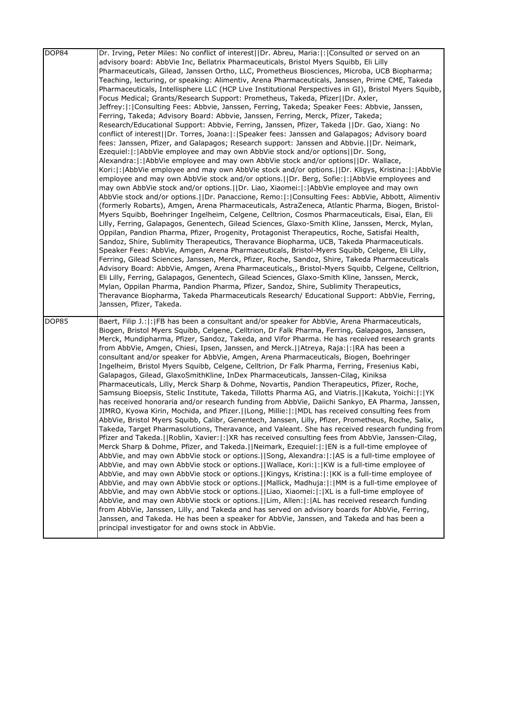| DOP84 | Dr. Irving, Peter Miles: No conflict of interest  Dr. Abreu, Maria: : Consulted or served on an<br>advisory board: AbbVie Inc, Bellatrix Pharmaceuticals, Bristol Myers Squibb, Eli Lilly<br>Pharmaceuticals, Gilead, Janssen Ortho, LLC, Prometheus Biosciences, Microba, UCB Biopharma;<br>Teaching, lecturing, or speaking: Alimentiv, Arena Pharmaceuticals, Janssen, Prime CME, Takeda<br>Pharmaceuticals, Intellisphere LLC (HCP Live Institutional Perspectives in GI), Bristol Myers Squibb,<br>Focus Medical; Grants/Research Support: Prometheus, Takeda, Pfizer  Dr. Axler,<br>Jeffrey:  :  Consulting Fees: Abbvie, Janssen, Ferring, Takeda; Speaker Fees: Abbvie, Janssen,<br>Ferring, Takeda; Advisory Board: Abbvie, Janssen, Ferring, Merck, Pfizer, Takeda;<br>Research/Educational Support: Abbvie, Ferring, Janssen, Pfizer, Takeda   Dr. Gao, Xiang: No<br>conflict of interest  Dr. Torres, Joana: : Speaker fees: Janssen and Galapagos; Advisory board<br>fees: Janssen, Pfizer, and Galapagos; Research support: Janssen and Abbvie.  Dr. Neimark,<br>Ezequiel:  :   AbbVie employee and may own AbbVie stock and/or options  Dr. Song,<br>Alexandra:  :   AbbVie employee and may own AbbVie stock and/or options  Dr. Wallace,<br>Kori: : AbbVie employee and may own AbbVie stock and/or options.  Dr. Kligys, Kristina: : AbbVie<br>employee and may own AbbVie stock and/or options. IIDr. Berg, Sofie:  :  AbbVie employees and<br>may own AbbVie stock and/or options.     Dr. Liao, Xiaomei:   :   AbbVie employee and may own<br>AbbVie stock and/or options.  Dr. Panaccione, Remo: : Consulting Fees: AbbVie, Abbott, Alimentiv<br>(formerly Robarts), Amgen, Arena Pharmaceuticals, AstraZeneca, Atlantic Pharma, Biogen, Bristol-<br>Myers Squibb, Boehringer Ingelheim, Celgene, Celltrion, Cosmos Pharmaceuticals, Eisai, Elan, Eli<br>Lilly, Ferring, Galapagos, Genentech, Gilead Sciences, Glaxo-Smith Kline, Janssen, Merck, Mylan,<br>Oppilan, Pandion Pharma, Pfizer, Progenity, Protagonist Therapeutics, Roche, Satisfai Health,<br>Sandoz, Shire, Sublimity Therapeutics, Theravance Biopharma, UCB, Takeda Pharmaceuticals.<br>Speaker Fees: AbbVie, Amgen, Arena Pharmaceuticals, Bristol-Myers Squibb, Celgene, Eli Lilly,<br>Ferring, Gilead Sciences, Janssen, Merck, Pfizer, Roche, Sandoz, Shire, Takeda Pharmaceuticals<br>Advisory Board: AbbVie, Amgen, Arena Pharmaceuticals,, Bristol-Myers Squibb, Celgene, Celltrion, |
|-------|--------------------------------------------------------------------------------------------------------------------------------------------------------------------------------------------------------------------------------------------------------------------------------------------------------------------------------------------------------------------------------------------------------------------------------------------------------------------------------------------------------------------------------------------------------------------------------------------------------------------------------------------------------------------------------------------------------------------------------------------------------------------------------------------------------------------------------------------------------------------------------------------------------------------------------------------------------------------------------------------------------------------------------------------------------------------------------------------------------------------------------------------------------------------------------------------------------------------------------------------------------------------------------------------------------------------------------------------------------------------------------------------------------------------------------------------------------------------------------------------------------------------------------------------------------------------------------------------------------------------------------------------------------------------------------------------------------------------------------------------------------------------------------------------------------------------------------------------------------------------------------------------------------------------------------------------------------------------------------------------------------------------------------------------------------------------------------------------------------------------------------------------------------------------------------------------------------------------------------------------------------------------------------------------------------------------------------------------------------------------------------------------------------------------------------------------------------------------------------------|
|       | Eli Lilly, Ferring, Galapagos, Genentech, Gilead Sciences, Glaxo-Smith Kline, Janssen, Merck,<br>Mylan, Oppilan Pharma, Pandion Pharma, Pfizer, Sandoz, Shire, Sublimity Therapeutics,<br>Theravance Biopharma, Takeda Pharmaceuticals Research/ Educational Support: AbbVie, Ferring,<br>Janssen, Pfizer, Takeda.                                                                                                                                                                                                                                                                                                                                                                                                                                                                                                                                                                                                                                                                                                                                                                                                                                                                                                                                                                                                                                                                                                                                                                                                                                                                                                                                                                                                                                                                                                                                                                                                                                                                                                                                                                                                                                                                                                                                                                                                                                                                                                                                                                   |
| DOP85 | Baert, Filip J.:   :   FB has been a consultant and/or speaker for AbbVie, Arena Pharmaceuticals,<br>Biogen, Bristol Myers Squibb, Celgene, Celltrion, Dr Falk Pharma, Ferring, Galapagos, Janssen,<br>Merck, Mundipharma, Pfizer, Sandoz, Takeda, and Vifor Pharma. He has received research grants<br>from AbbVie, Amgen, Chiesi, Ipsen, Janssen, and Merck.  Atreya, Raja: : RA has been a<br>consultant and/or speaker for AbbVie, Amgen, Arena Pharmaceuticals, Biogen, Boehringer<br>Ingelheim, Bristol Myers Squibb, Celgene, Celltrion, Dr Falk Pharma, Ferring, Fresenius Kabi,<br>Galapagos, Gilead, GlaxoSmithKline, InDex Pharmaceuticals, Janssen-Cilag, Kiniksa<br>Pharmaceuticals, Lilly, Merck Sharp & Dohme, Novartis, Pandion Therapeutics, Pfizer, Roche,<br>Samsung Bioepsis, Stelic Institute, Takeda, Tillotts Pharma AG, and Viatris.   Kakuta, Yoichi:   :   YK<br>has received honoraria and/or research funding from AbbVie, Daiichi Sankyo, EA Pharma, Janssen,<br>JIMRO, Kyowa Kirin, Mochida, and Pfizer.  Long, Millie: : MDL has received consulting fees from<br>AbbVie, Bristol Myers Squibb, Calibr, Genentech, Janssen, Lilly, Pfizer, Prometheus, Roche, Salix,<br>Takeda, Target Pharmasolutions, Theravance, and Valeant. She has received research funding from<br>Pfizer and Takeda.  Roblin, Xavier: : XR has received consulting fees from AbbVie, Janssen-Cilag,<br>Merck Sharp & Dohme, Pfizer, and Takeda.   Neimark, Ezequiel:   :   EN is a full-time employee of<br>AbbVie, and may own AbbVie stock or options.   Song, Alexandra:  :   AS is a full-time employee of<br>AbbVie, and may own AbbVie stock or options.   Wallace, Kori:  :  KW is a full-time employee of<br>AbbVie, and may own AbbVie stock or options.  Kingys, Kristina: : KK is a full-time employee of<br>AbbVie, and may own AbbVie stock or options.   Mallick, Madhuja:  :   MM is a full-time employee of<br>AbbVie, and may own AbbVie stock or options.   Liao, Xiaomei:   :   XL is a full-time employee of<br>AbbVie, and may own AbbVie stock or options.   Lim, Allen:   :   AL has received research funding<br>from AbbVie, Janssen, Lilly, and Takeda and has served on advisory boards for AbbVie, Ferring,                                                                                                                                                                                                                                      |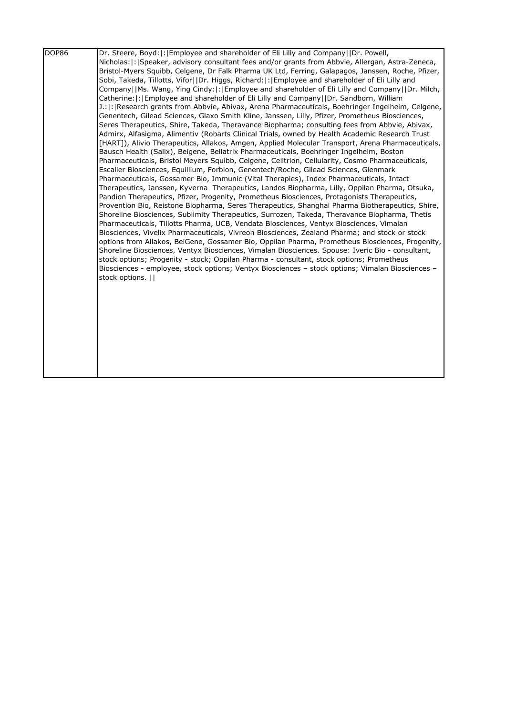| DOP86 | Dr. Steere, Boyd:  :   Employee and shareholder of Eli Lilly and Company   IDr. Powell,              |
|-------|------------------------------------------------------------------------------------------------------|
|       | Nicholas:  :   Speaker, advisory consultant fees and/or grants from Abbvie, Allergan, Astra-Zeneca,  |
|       | Bristol-Myers Squibb, Celgene, Dr Falk Pharma UK Ltd, Ferring, Galapagos, Janssen, Roche, Pfizer,    |
|       | Sobi, Takeda, Tillotts, Vifor  Dr. Higgs, Richard: : Employee and shareholder of Eli Lilly and       |
|       | Company  Ms. Wang, Ying Cindy: : Employee and shareholder of Eli Lilly and Company  Dr. Milch,       |
|       | Catherine:  :   Employee and shareholder of Eli Lilly and Company     Dr. Sandborn, William          |
|       | [J.:  :   Research grants from Abbvie, Abivax, Arena Pharmaceuticals, Boehringer Ingelheim, Celgene, |
|       | Genentech, Gilead Sciences, Glaxo Smith Kline, Janssen, Lilly, Pfizer, Prometheus Biosciences,       |
|       | Seres Therapeutics, Shire, Takeda, Theravance Biopharma; consulting fees from Abbvie, Abivax,        |
|       | Admirx, Alfasigma, Alimentiv (Robarts Clinical Trials, owned by Health Academic Research Trust       |
|       | [HART]), Alivio Therapeutics, Allakos, Amgen, Applied Molecular Transport, Arena Pharmaceuticals,    |
|       | Bausch Health (Salix), Beigene, Bellatrix Pharmaceuticals, Boehringer Ingelheim, Boston              |
|       | Pharmaceuticals, Bristol Meyers Squibb, Celgene, Celltrion, Cellularity, Cosmo Pharmaceuticals,      |
|       | Escalier Biosciences, Equillium, Forbion, Genentech/Roche, Gilead Sciences, Glenmark                 |
|       | Pharmaceuticals, Gossamer Bio, Immunic (Vital Therapies), Index Pharmaceuticals, Intact              |
|       | Therapeutics, Janssen, Kyverna Therapeutics, Landos Biopharma, Lilly, Oppilan Pharma, Otsuka,        |
|       | Pandion Therapeutics, Pfizer, Progenity, Prometheus Biosciences, Protagonists Therapeutics,          |
|       | Provention Bio, Reistone Biopharma, Seres Therapeutics, Shanghai Pharma Biotherapeutics, Shire,      |
|       | Shoreline Biosciences, Sublimity Therapeutics, Surrozen, Takeda, Theravance Biopharma, Thetis        |
|       | Pharmaceuticals, Tillotts Pharma, UCB, Vendata Biosciences, Ventyx Biosciences, Vimalan              |
|       | Biosciences, Vivelix Pharmaceuticals, Vivreon Biosciences, Zealand Pharma; and stock or stock        |
|       | options from Allakos, BeiGene, Gossamer Bio, Oppilan Pharma, Prometheus Biosciences, Progenity,      |
|       | Shoreline Biosciences, Ventyx Biosciences, Vimalan Biosciences. Spouse: Iveric Bio - consultant,     |
|       | stock options; Progenity - stock; Oppilan Pharma - consultant, stock options; Prometheus             |
|       | Biosciences - employee, stock options; Ventyx Biosciences - stock options; Vimalan Biosciences -     |
|       | stock options.                                                                                       |
|       |                                                                                                      |
|       |                                                                                                      |
|       |                                                                                                      |
|       |                                                                                                      |
|       |                                                                                                      |
|       |                                                                                                      |
|       |                                                                                                      |
|       |                                                                                                      |
|       |                                                                                                      |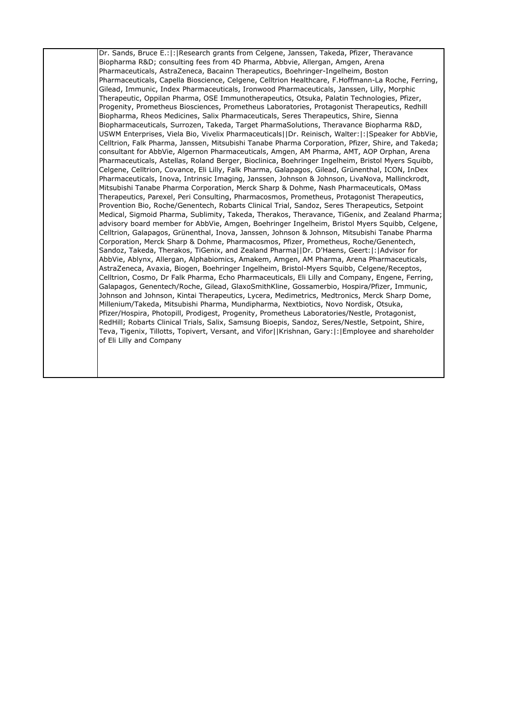Dr. Sands, Bruce E.:|:|Research grants from Celgene, Janssen, Takeda, Pfizer, Theravance Biopharma R&D; consulting fees from 4D Pharma, Abbvie, Allergan, Amgen, Arena Pharmaceuticals, AstraZeneca, Bacainn Therapeutics, Boehringer-Ingelheim, Boston Pharmaceuticals, Capella Bioscience, Celgene, Celltrion Healthcare, F.Hoffmann-La Roche, Ferring, Gilead, Immunic, Index Pharmaceuticals, Ironwood Pharmaceuticals, Janssen, Lilly, Morphic Therapeutic, Oppilan Pharma, OSE Immunotherapeutics, Otsuka, Palatin Technologies, Pfizer, Progenity, Prometheus Biosciences, Prometheus Laboratories, Protagonist Therapeutics, Redhill Biopharma, Rheos Medicines, Salix Pharmaceuticals, Seres Therapeutics, Shire, Sienna Biopharmaceuticals, Surrozen, Takeda, Target PharmaSolutions, Theravance Biopharma R&D, USWM Enterprises, Viela Bio, Vivelix Pharmaceuticals||Dr. Reinisch, Walter:|:|Speaker for AbbVie, Celltrion, Falk Pharma, Janssen, Mitsubishi Tanabe Pharma Corporation, Pfizer, Shire, and Takeda; consultant for AbbVie, Algernon Pharmaceuticals, Amgen, AM Pharma, AMT, AOP Orphan, Arena Pharmaceuticals, Astellas, Roland Berger, Bioclinica, Boehringer Ingelheim, Bristol Myers Squibb, Celgene, Celltrion, Covance, Eli Lilly, Falk Pharma, Galapagos, Gilead, Grünenthal, ICON, InDex Pharmaceuticals, Inova, Intrinsic Imaging, Janssen, Johnson & Johnson, LivaNova, Mallinckrodt, Mitsubishi Tanabe Pharma Corporation, Merck Sharp & Dohme, Nash Pharmaceuticals, OMass Therapeutics, Parexel, Peri Consulting, Pharmacosmos, Prometheus, Protagonist Therapeutics, Provention Bio, Roche/Genentech, Robarts Clinical Trial, Sandoz, Seres Therapeutics, Setpoint Medical, Sigmoid Pharma, Sublimity, Takeda, Therakos, Theravance, TiGenix, and Zealand Pharma; advisory board member for AbbVie, Amgen, Boehringer Ingelheim, Bristol Myers Squibb, Celgene, Celltrion, Galapagos, Grünenthal, Inova, Janssen, Johnson & Johnson, Mitsubishi Tanabe Pharma Corporation, Merck Sharp & Dohme, Pharmacosmos, Pfizer, Prometheus, Roche/Genentech, Sandoz, Takeda, Therakos, TiGenix, and Zealand Pharma||Dr. D'Haens, Geert:|:|Advisor for AbbVie, Ablynx, Allergan, Alphabiomics, Amakem, Amgen, AM Pharma, Arena Pharmaceuticals, AstraZeneca, Avaxia, Biogen, Boehringer Ingelheim, Bristol-Myers Squibb, Celgene/Receptos, Celltrion, Cosmo, Dr Falk Pharma, Echo Pharmaceuticals, Eli Lilly and Company, Engene, Ferring, Galapagos, Genentech/Roche, Gilead, GlaxoSmithKline, Gossamerbio, Hospira/Pfizer, Immunic, Johnson and Johnson, Kintai Therapeutics, Lycera, Medimetrics, Medtronics, Merck Sharp Dome, Millenium/Takeda, Mitsubishi Pharma, Mundipharma, Nextbiotics, Novo Nordisk, Otsuka, Pfizer/Hospira, Photopill, Prodigest, Progenity, Prometheus Laboratories/Nestle, Protagonist, RedHill; Robarts Clinical Trials, Salix, Samsung Bioepis, Sandoz, Seres/Nestle, Setpoint, Shire, Teva, Tigenix, Tillotts, Topivert, Versant, and Vifor||Krishnan, Gary:|:|Employee and shareholder of Eli Lilly and Company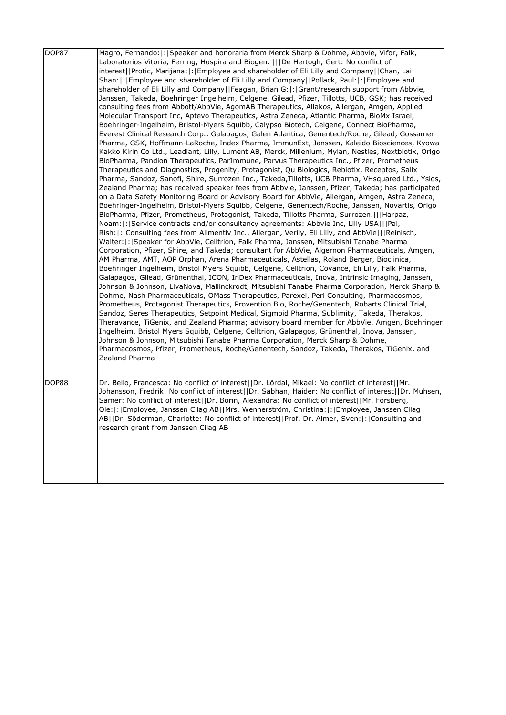| DOP87 | Magro, Fernando:  :   Speaker and honoraria from Merck Sharp & Dohme, Abbvie, Vifor, Falk,<br>Laboratorios Vitoria, Ferring, Hospira and Biogen. IIIDe Hertogh, Gert: No conflict of<br>interest  Protic, Marijana: : Employee and shareholder of Eli Lilly and Company  Chan, Lai<br>Shan:  :   Employee and shareholder of Eli Lilly and Company     Pollack, Paul:  :   Employee and<br>shareholder of Eli Lilly and Company  Feagan, Brian G: : Grant/research support from Abbvie,<br>Janssen, Takeda, Boehringer Ingelheim, Celgene, Gilead, Pfizer, Tillotts, UCB, GSK; has received<br>consulting fees from Abbott/AbbVie, AgomAB Therapeutics, Allakos, Allergan, Amgen, Applied<br>Molecular Transport Inc, Aptevo Therapeutics, Astra Zeneca, Atlantic Pharma, BioMx Israel,<br>Boehringer-Ingelheim, Bristol-Myers Squibb, Calypso Biotech, Celgene, Connect BioPharma,<br>Everest Clinical Research Corp., Galapagos, Galen Atlantica, Genentech/Roche, Gilead, Gossamer<br>Pharma, GSK, Hoffmann-LaRoche, Index Pharma, ImmunExt, Janssen, Kaleido Biosciences, Kyowa<br>Kakko Kirin Co Ltd., Leadiant, Lilly, Lument AB, Merck, Millenium, Mylan, Nestles, Nextbiotix, Origo<br>BioPharma, Pandion Therapeutics, ParImmune, Parvus Therapeutics Inc., Pfizer, Prometheus<br>Therapeutics and Diagnostics, Progenity, Protagonist, Qu Biologics, Rebiotix, Receptos, Salix<br>Pharma, Sandoz, Sanofi, Shire, Surrozen Inc., Takeda, Tillotts, UCB Pharma, VHsquared Ltd., Ysios,<br>Zealand Pharma; has received speaker fees from Abbvie, Janssen, Pfizer, Takeda; has participated                                                                                                                                                                                              |
|-------|-------------------------------------------------------------------------------------------------------------------------------------------------------------------------------------------------------------------------------------------------------------------------------------------------------------------------------------------------------------------------------------------------------------------------------------------------------------------------------------------------------------------------------------------------------------------------------------------------------------------------------------------------------------------------------------------------------------------------------------------------------------------------------------------------------------------------------------------------------------------------------------------------------------------------------------------------------------------------------------------------------------------------------------------------------------------------------------------------------------------------------------------------------------------------------------------------------------------------------------------------------------------------------------------------------------------------------------------------------------------------------------------------------------------------------------------------------------------------------------------------------------------------------------------------------------------------------------------------------------------------------------------------------------------------------------------------------------------------------------------------------------------------------------------------|
|       | on a Data Safety Monitoring Board or Advisory Board for AbbVie, Allergan, Amgen, Astra Zeneca,<br>Boehringer-Ingelheim, Bristol-Myers Squibb, Celgene, Genentech/Roche, Janssen, Novartis, Origo<br>BioPharma, Pfizer, Prometheus, Protagonist, Takeda, Tillotts Pharma, Surrozen.   Harpaz,<br>Noam:  : Service contracts and/or consultancy agreements: Abbvie Inc, Lilly USA   Pai,<br>Rish:  :   Consulting fees from Alimentiv Inc., Allergan, Verily, Eli Lilly, and AbbVie     Reinisch,<br>Walter:   :   Speaker for AbbVie, Celltrion, Falk Pharma, Janssen, Mitsubishi Tanabe Pharma<br>Corporation, Pfizer, Shire, and Takeda; consultant for AbbVie, Algernon Pharmaceuticals, Amgen,<br>AM Pharma, AMT, AOP Orphan, Arena Pharmaceuticals, Astellas, Roland Berger, Bioclinica,<br>Boehringer Ingelheim, Bristol Myers Squibb, Celgene, Celltrion, Covance, Eli Lilly, Falk Pharma,<br>Galapagos, Gilead, Grünenthal, ICON, InDex Pharmaceuticals, Inova, Intrinsic Imaging, Janssen,<br>Johnson & Johnson, LivaNova, Mallinckrodt, Mitsubishi Tanabe Pharma Corporation, Merck Sharp &<br>Dohme, Nash Pharmaceuticals, OMass Therapeutics, Parexel, Peri Consulting, Pharmacosmos,<br>Prometheus, Protagonist Therapeutics, Provention Bio, Roche/Genentech, Robarts Clinical Trial,<br>Sandoz, Seres Therapeutics, Setpoint Medical, Sigmoid Pharma, Sublimity, Takeda, Therakos,<br>Theravance, TiGenix, and Zealand Pharma; advisory board member for AbbVie, Amgen, Boehringer<br>Ingelheim, Bristol Myers Squibb, Celgene, Celltrion, Galapagos, Grünenthal, Inova, Janssen,<br>Johnson & Johnson, Mitsubishi Tanabe Pharma Corporation, Merck Sharp & Dohme,<br>Pharmacosmos, Pfizer, Prometheus, Roche/Genentech, Sandoz, Takeda, Therakos, TiGenix, and<br>Zealand Pharma |
| DOP88 | Dr. Bello, Francesca: No conflict of interest  Dr. Lördal, Mikael: No conflict of interest  Mr.<br>Johansson, Fredrik: No conflict of interest  Dr. Sabhan, Haider: No conflict of interest  Dr. Muhsen,<br>Samer: No conflict of interest  Dr. Borin, Alexandra: No conflict of interest  Mr. Forsberg,<br>Ole: : Employee, Janssen Cilag AB  Mrs. Wennerström, Christina: : Employee, Janssen Cilag<br>AB  Dr. Söderman, Charlotte: No conflict of interest  Prof. Dr. Almer, Sven: : Consulting and<br>research grant from Janssen Cilag AB                                                                                                                                                                                                                                                                                                                                                                                                                                                                                                                                                                                                                                                                                                                                                                                                                                                                                                                                                                                                                                                                                                                                                                                                                                                  |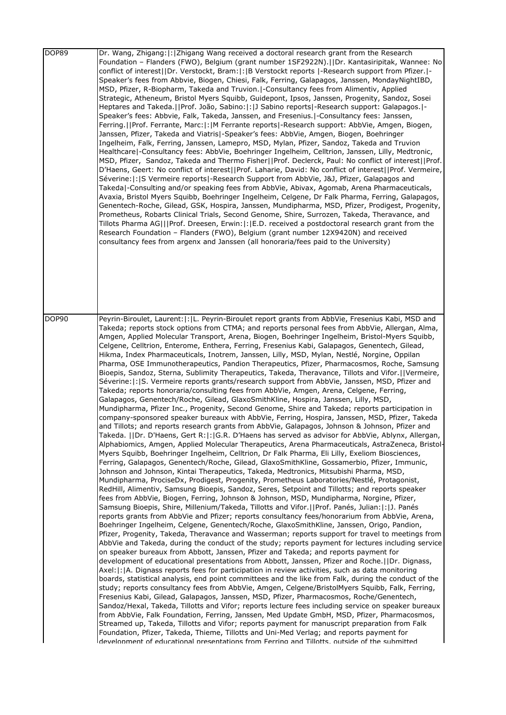| DOP89 | Dr. Wang, Zhigang:  :   Zhigang Wang received a doctoral research grant from the Research<br>Foundation - Flanders (FWO), Belgium (grant number 1SF2922N).  Dr. Kantasiripitak, Wannee: No<br>conflict of interest  Dr. Verstockt, Bram: :  B Verstockt reports  -Research support from Pfizer. -<br>Speaker's fees from Abbvie, Biogen, Chiesi, Falk, Ferring, Galapagos, Janssen, MondayNightIBD,<br>MSD, Pfizer, R-Biopharm, Takeda and Truvion.   Consultancy fees from Alimentiv, Applied<br>Strategic, Atheneum, Bristol Myers Squibb, Guidepont, Ipsos, Janssen, Progenity, Sandoz, Sosei<br>Heptares and Takeda.   Prof. João, Sabino:  :   J Sabino reports   - Research support: Galapagos.   -<br>Speaker's fees: Abbvie, Falk, Takeda, Janssen, and Fresenius.   Consultancy fees: Janssen,<br>[Ferring.] Prof. Ferrante, Marc:  :   M Ferrante reports   - Research support: AbbVie, Amgen, Biogen,<br>Janssen, Pfizer, Takeda and Viatris -Speaker's fees: AbbVie, Amgen, Biogen, Boehringer<br>Ingelheim, Falk, Ferring, Janssen, Lamepro, MSD, Mylan, Pfizer, Sandoz, Takeda and Truvion<br>Healthcare -Consultancy fees: AbbVie, Boehringer Ingelheim, Celltrion, Janssen, Lilly, Medtronic,<br>MSD, Pfizer, Sandoz, Takeda and Thermo Fisher  Prof. Declerck, Paul: No conflict of interest  Prof.<br>D'Haens, Geert: No conflict of interest  Prof. Laharie, David: No conflict of interest  Prof. Vermeire,<br>Séverine:  :  S Vermeire reports -Research Support from AbbVie, J&J, Pfizer, Galapagos and<br>Takeda -Consulting and/or speaking fees from AbbVie, Abivax, Agomab, Arena Pharmaceuticals,<br>Avaxia, Bristol Myers Squibb, Boehringer Ingelheim, Celgene, Dr Falk Pharma, Ferring, Galapagos,<br>Genentech-Roche, Gilead, GSK, Hospira, Janssen, Mundipharma, MSD, Pfizer, Prodigest, Progenity,<br>Prometheus, Robarts Clinical Trials, Second Genome, Shire, Surrozen, Takeda, Theravance, and<br>Tillots Pharma AG   Prof. Dreesen, Erwin: : E.D. received a postdoctoral research grant from the<br>Research Foundation - Flanders (FWO), Belgium (grant number 12X9420N) and received<br>consultancy fees from argenx and Janssen (all honoraria/fees paid to the University)                                                                                                                                                                                                                                                                                                                                                                                                                                                                                                                                                                                                                                                                                                                                                                                                                                                                                                                                                                                                                                                                                                                                                                                                |
|-------|----------------------------------------------------------------------------------------------------------------------------------------------------------------------------------------------------------------------------------------------------------------------------------------------------------------------------------------------------------------------------------------------------------------------------------------------------------------------------------------------------------------------------------------------------------------------------------------------------------------------------------------------------------------------------------------------------------------------------------------------------------------------------------------------------------------------------------------------------------------------------------------------------------------------------------------------------------------------------------------------------------------------------------------------------------------------------------------------------------------------------------------------------------------------------------------------------------------------------------------------------------------------------------------------------------------------------------------------------------------------------------------------------------------------------------------------------------------------------------------------------------------------------------------------------------------------------------------------------------------------------------------------------------------------------------------------------------------------------------------------------------------------------------------------------------------------------------------------------------------------------------------------------------------------------------------------------------------------------------------------------------------------------------------------------------------------------------------------------------------------------------------------------------------------------------------------------------------------------------------------------------------------------------------------------------------------------------------------------------------------------------------------------------------------------------------------------------------------------------------------------------------------------------------------------------------------------------------------------------------------------------------------------------------------------------------------------------------------------------------------------------------------------------------------------------------------------------------------------------------------------------------------------------------------------------------------------------------------------------------------------------------------------------------------------------------------------------------------------------------------------------------------------------------------------------------------------------------------------------------------------------------------------------------------------------------------------------------------------------------------------------------------------------------------|
| DOP90 | Peyrin-Biroulet, Laurent:  :  L. Peyrin-Biroulet report grants from AbbVie, Fresenius Kabi, MSD and<br>Takeda; reports stock options from CTMA; and reports personal fees from AbbVie, Allergan, Alma,<br>Amgen, Applied Molecular Transport, Arena, Biogen, Boehringer Ingelheim, Bristol-Myers Squibb,                                                                                                                                                                                                                                                                                                                                                                                                                                                                                                                                                                                                                                                                                                                                                                                                                                                                                                                                                                                                                                                                                                                                                                                                                                                                                                                                                                                                                                                                                                                                                                                                                                                                                                                                                                                                                                                                                                                                                                                                                                                                                                                                                                                                                                                                                                                                                                                                                                                                                                                                                                                                                                                                                                                                                                                                                                                                                                                                                                                                                                                                                                             |
|       | Celgene, Celltrion, Enterome, Enthera, Ferring, Fresenius Kabi, Galapagos, Genentech, Gilead,<br>Hikma, Index Pharmaceuticals, Inotrem, Janssen, Lilly, MSD, Mylan, Nestlé, Norgine, Oppilan<br>Pharma, OSE Immunotherapeutics, Pandion Therapeutics, Pfizer, Pharmacosmos, Roche, Samsung<br>Bioepis, Sandoz, Sterna, Sublimity Therapeutics, Takeda, Theravance, Tillots and Vifor.  Vermeire,<br>Séverine:  : S. Vermeire reports grants/research support from AbbVie, Janssen, MSD, Pfizer and<br>Takeda; reports honoraria/consulting fees from AbbVie, Amgen, Arena, Celgene, Ferring,<br>Galapagos, Genentech/Roche, Gilead, GlaxoSmithKline, Hospira, Janssen, Lilly, MSD,<br>Mundipharma, Pfizer Inc., Progenity, Second Genome, Shire and Takeda; reports participation in<br>company-sponsored speaker bureaux with AbbVie, Ferring, Hospira, Janssen, MSD, Pfizer, Takeda<br>and Tillots; and reports research grants from AbbVie, Galapagos, Johnson & Johnson, Pfizer and<br>Takeda.    Dr. D'Haens, Gert R:   :  G.R. D'Haens has served as advisor for AbbVie, Ablynx, Allergan,<br>Alphabiomics, Amgen, Applied Molecular Therapeutics, Arena Pharmaceuticals, AstraZeneca, Bristol-<br>Myers Squibb, Boehringer Ingelheim, Celltrion, Dr Falk Pharma, Eli Lilly, Exeliom Biosciences,<br>Ferring, Galapagos, Genentech/Roche, Gilead, GlaxoSmithKline, Gossamerbio, Pfizer, Immunic,<br>Johnson and Johnson, Kintai Therapeutics, Takeda, Medtronics, Mitsubishi Pharma, MSD,<br>Mundipharma, ProciseDx, Prodigest, Progenity, Prometheus Laboratories/Nestlé, Protagonist,<br>RedHill, Alimentiv, Samsung Bioepis, Sandoz, Seres, Setpoint and Tillotts; and reports speaker<br>fees from AbbVie, Biogen, Ferring, Johnson & Johnson, MSD, Mundipharma, Norgine, Pfizer,<br>Samsung Bioepis, Shire, Millenium/Takeda, Tillotts and Vifor.   Prof. Panés, Julian:  :  J. Panés<br>reports grants from AbbVie and Pfizer; reports consultancy fees/honorarium from AbbVie, Arena,<br>Boehringer Ingelheim, Celgene, Genentech/Roche, GlaxoSmithKline, Janssen, Origo, Pandion,<br>Pfizer, Progenity, Takeda, Theravance and Wasserman; reports support for travel to meetings from<br>AbbVie and Takeda, during the conduct of the study; reports payment for lectures including service<br>on speaker bureaux from Abbott, Janssen, Pfizer and Takeda; and reports payment for<br>development of educational presentations from Abbott, Janssen, Pfizer and Roche.     Dr. Dignass,<br>Axel:  :  A. Dignass reports fees for participation in review activities, such as data monitoring<br>boards, statistical analysis, end point committees and the like from Falk, during the conduct of the<br>study; reports consultancy fees from AbbVie, Amgen, Celgene/BristolMyers Squibb, Falk, Ferring,<br>Fresenius Kabi, Gilead, Galapagos, Janssen, MSD, Pfizer, Pharmacosmos, Roche/Genentech,<br>Sandoz/Hexal, Takeda, Tillotts and Vifor; reports lecture fees including service on speaker bureaux<br>from AbbVie, Falk Foundation, Ferring, Janssen, Med Update GmbH, MSD, Pfizer, Pharmacosmos,<br>Streamed up, Takeda, Tillotts and Vifor; reports payment for manuscript preparation from Falk<br>Foundation, Pfizer, Takeda, Thieme, Tillotts and Uni-Med Verlag; and reports payment for<br>Idevelonment of educational presentations from Ferring and Tillotts, outside of the submitted |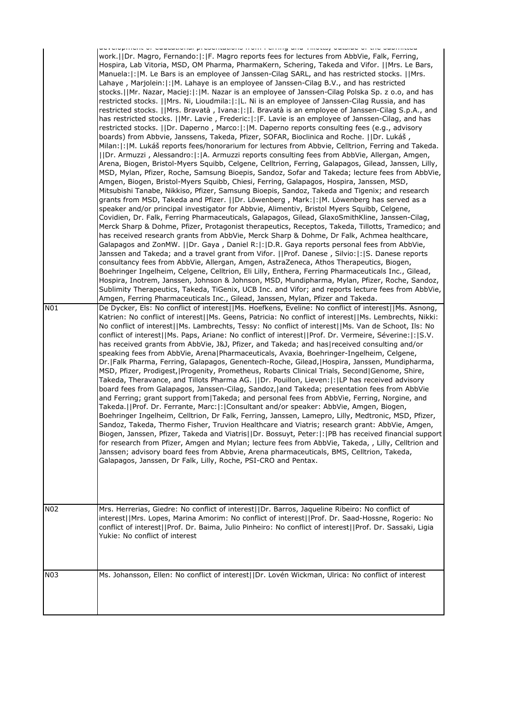| N01 | incirc or cualdatorial proportationio from norming una milottoy patolale or the publimeter<br>work.  Dr. Magro, Fernando: : F. Magro reports fees for lectures from AbbVie, Falk, Ferring,<br>Hospira, Lab Vitoria, MSD, OM Pharma, PharmaKern, Schering, Takeda and Vifor.   Mrs. Le Bars,<br>Manuela:  :  M. Le Bars is an employee of Janssen-Cilag SARL, and has restricted stocks.   Mrs.<br>Lahaye, Marjolein:  :  M. Lahaye is an employee of Janssen-Cilag B.V., and has restricted<br>stocks.  Mr. Nazar, Maciej: : M. Nazar is an employee of Janssen-Cilag Polska Sp. z o.o, and has<br>restricted stocks.   Mrs. Ni, Lioudmila: : L. Ni is an employee of Janssen-Cilag Russia, and has<br>restricted stocks.   Mrs. Bravatà , Ivana: : I. Bravatà is an employee of Janssen-Cilag S.p.A., and<br>has restricted stocks.   Mr. Lavie, Frederic: : F. Lavie is an employee of Janssen-Cilag, and has<br>restricted stocks.   Dr. Daperno, Marco: : M. Daperno reports consulting fees (e.g., advisory<br>boards) from Abbvie, Janssens, Takeda, Pfizer, SOFAR, Bioclinica and Roche.   Dr. Lukáš,<br>Milan:  :   M. Lukáš reports fees/honorarium for lectures from Abbvie, Celltrion, Ferring and Takeda.<br>  Dr. Armuzzi , Alessandro: : A. Armuzzi reports consulting fees from AbbVie, Allergan, Amgen,<br>Arena, Biogen, Bristol-Myers Squibb, Celgene, Celltrion, Ferring, Galapagos, Gilead, Janssen, Lilly,<br>MSD, Mylan, Pfizer, Roche, Samsung Bioepis, Sandoz, Sofar and Takeda; lecture fees from AbbVie,<br>Amgen, Biogen, Bristol-Myers Squibb, Chiesi, Ferring, Galapagos, Hospira, Janssen, MSD,<br>Mitsubishi Tanabe, Nikkiso, Pfizer, Samsung Bioepis, Sandoz, Takeda and Tigenix; and research<br>grants from MSD, Takeda and Pfizer.   Dr. Löwenberg , Mark: : M. Löwenberg has served as a<br>speaker and/or principal investigator for Abbvie, Alimentiv, Bristol Myers Squibb, Celgene,<br>Covidien, Dr. Falk, Ferring Pharmaceuticals, Galapagos, Gilead, GlaxoSmithKline, Janssen-Cilag,<br>Merck Sharp & Dohme, Pfizer, Protagonist therapeutics, Receptos, Takeda, Tillotts, Tramedico; and<br>has received research grants from AbbVie, Merck Sharp & Dohme, Dr Falk, Achmea healthcare,<br>Galapagos and ZonMW.   Dr. Gaya, Daniel R: : D.R. Gaya reports personal fees from AbbVie,<br>Janssen and Takeda; and a travel grant from Vifor.   Prof. Danese , Silvio: : S. Danese reports<br>consultancy fees from AbbVie, Allergan, Amgen, AstraZeneca, Athos Therapeutics, Biogen,<br>Boehringer Ingelheim, Celgene, Celltrion, Eli Lilly, Enthera, Ferring Pharmaceuticals Inc., Gilead,<br>Hospira, Inotrem, Janssen, Johnson & Johnson, MSD, Mundipharma, Mylan, Pfizer, Roche, Sandoz,<br>Sublimity Therapeutics, Takeda, TiGenix, UCB Inc. and Vifor; and reports lecture fees from AbbVie,<br>Amgen, Ferring Pharmaceuticals Inc., Gilead, Janssen, Mylan, Pfizer and Takeda.<br>De Dycker, Els: No conflict of interest  Ms. Hoefkens, Eveline: No conflict of interest  Ms. Asnong,<br>Katrien: No conflict of interest  Ms. Geens, Patricia: No conflict of interest  Ms. Lembrechts, Nikki:<br>No conflict of interest  Ms. Lambrechts, Tessy: No conflict of interest  Ms. Van de Schoot, Ils: No<br>conflict of interest  Ms. Paps, Ariane: No conflict of interest  Prof. Dr. Vermeire, Séverine: : S.V.<br>has received grants from AbbVie, J&J, Pfizer, and Takeda; and has received consulting and/or<br>speaking fees from AbbVie, Arena Pharmaceuticals, Avaxia, Boehringer-Ingelheim, Celgene,<br>Dr.   Falk Pharma, Ferring, Galapagos, Genentech-Roche, Gilead,   Hospira, Janssen, Mundipharma,<br>MSD, Pfizer, Prodigest,   Progenity, Prometheus, Robarts Clinical Trials, Second   Genome, Shire,<br>Takeda, Theravance, and Tillots Pharma AG.   Dr. Pouillon, Lieven: : LP has received advisory<br>board fees from Galapagos, Janssen-Cilag, Sandoz, and Takeda; presentation fees from AbbVie<br>and Ferring; grant support from Takeda; and personal fees from AbbVie, Ferring, Norgine, and<br>Takeda.  Prof. Dr. Ferrante, Marc: : Consultant and/or speaker: AbbVie, Amgen, Biogen,<br>Boehringer Ingelheim, Celltrion, Dr Falk, Ferring, Janssen, Lamepro, Lilly, Medtronic, MSD, Pfizer,<br>Sandoz, Takeda, Thermo Fisher, Truvion Healthcare and Viatris; research grant: AbbVie, Amgen,<br>Biogen, Janssen, Pfizer, Takeda and Viatris  Dr. Bossuyt, Peter: : PB has received financial support<br>for research from Pfizer, Amgen and Mylan; lecture fees from AbbVie, Takeda, , Lilly, Celltrion and<br>Janssen; advisory board fees from Abbvie, Arena pharmaceuticals, BMS, Celltrion, Takeda,<br>Galapagos, Janssen, Dr Falk, Lilly, Roche, PSI-CRO and Pentax. |
|-----|-----------------------------------------------------------------------------------------------------------------------------------------------------------------------------------------------------------------------------------------------------------------------------------------------------------------------------------------------------------------------------------------------------------------------------------------------------------------------------------------------------------------------------------------------------------------------------------------------------------------------------------------------------------------------------------------------------------------------------------------------------------------------------------------------------------------------------------------------------------------------------------------------------------------------------------------------------------------------------------------------------------------------------------------------------------------------------------------------------------------------------------------------------------------------------------------------------------------------------------------------------------------------------------------------------------------------------------------------------------------------------------------------------------------------------------------------------------------------------------------------------------------------------------------------------------------------------------------------------------------------------------------------------------------------------------------------------------------------------------------------------------------------------------------------------------------------------------------------------------------------------------------------------------------------------------------------------------------------------------------------------------------------------------------------------------------------------------------------------------------------------------------------------------------------------------------------------------------------------------------------------------------------------------------------------------------------------------------------------------------------------------------------------------------------------------------------------------------------------------------------------------------------------------------------------------------------------------------------------------------------------------------------------------------------------------------------------------------------------------------------------------------------------------------------------------------------------------------------------------------------------------------------------------------------------------------------------------------------------------------------------------------------------------------------------------------------------------------------------------------------------------------------------------------------------------------------------------------------------------------------------------------------------------------------------------------------------------------------------------------------------------------------------------------------------------------------------------------------------------------------------------------------------------------------------------------------------------------------------------------------------------------------------------------------------------------------------------------------------------------------------------------------------------------------------------------------------------------------------------------------------------------------------------------------------------------------------------------------------------------------------------------------------------------------------------------------------------------------------------------------------------------------------------------------------------------------------------------------------------------------------------------------------------------------------------------------------------------------------------------------------------------------------------------------------------------------------------------------------------------------------------------------------------------------------------------------------------------------------------------------------------------------------------------------------------------------------------------------------------------------------|
| N02 | Mrs. Herrerias, Giedre: No conflict of interest  Dr. Barros, Jaqueline Ribeiro: No conflict of<br>interest  Mrs. Lopes, Marina Amorim: No conflict of interest  Prof. Dr. Saad-Hossne, Rogerio: No<br>conflict of interest  Prof. Dr. Baima, Julio Pinheiro: No conflict of interest  Prof. Dr. Sassaki, Ligia                                                                                                                                                                                                                                                                                                                                                                                                                                                                                                                                                                                                                                                                                                                                                                                                                                                                                                                                                                                                                                                                                                                                                                                                                                                                                                                                                                                                                                                                                                                                                                                                                                                                                                                                                                                                                                                                                                                                                                                                                                                                                                                                                                                                                                                                                                                                                                                                                                                                                                                                                                                                                                                                                                                                                                                                                                                                                                                                                                                                                                                                                                                                                                                                                                                                                                                                                                                                                                                                                                                                                                                                                                                                                                                                                                                                                                                                                                                                                                                                                                                                                                                                                                                                                                                                                                                                                                                                                                      |
|     | Yukie: No conflict of interest                                                                                                                                                                                                                                                                                                                                                                                                                                                                                                                                                                                                                                                                                                                                                                                                                                                                                                                                                                                                                                                                                                                                                                                                                                                                                                                                                                                                                                                                                                                                                                                                                                                                                                                                                                                                                                                                                                                                                                                                                                                                                                                                                                                                                                                                                                                                                                                                                                                                                                                                                                                                                                                                                                                                                                                                                                                                                                                                                                                                                                                                                                                                                                                                                                                                                                                                                                                                                                                                                                                                                                                                                                                                                                                                                                                                                                                                                                                                                                                                                                                                                                                                                                                                                                                                                                                                                                                                                                                                                                                                                                                                                                                                                                                      |
| N03 | Ms. Johansson, Ellen: No conflict of interest  Dr. Lovén Wickman, Ulrica: No conflict of interest                                                                                                                                                                                                                                                                                                                                                                                                                                                                                                                                                                                                                                                                                                                                                                                                                                                                                                                                                                                                                                                                                                                                                                                                                                                                                                                                                                                                                                                                                                                                                                                                                                                                                                                                                                                                                                                                                                                                                                                                                                                                                                                                                                                                                                                                                                                                                                                                                                                                                                                                                                                                                                                                                                                                                                                                                                                                                                                                                                                                                                                                                                                                                                                                                                                                                                                                                                                                                                                                                                                                                                                                                                                                                                                                                                                                                                                                                                                                                                                                                                                                                                                                                                                                                                                                                                                                                                                                                                                                                                                                                                                                                                                   |
|     |                                                                                                                                                                                                                                                                                                                                                                                                                                                                                                                                                                                                                                                                                                                                                                                                                                                                                                                                                                                                                                                                                                                                                                                                                                                                                                                                                                                                                                                                                                                                                                                                                                                                                                                                                                                                                                                                                                                                                                                                                                                                                                                                                                                                                                                                                                                                                                                                                                                                                                                                                                                                                                                                                                                                                                                                                                                                                                                                                                                                                                                                                                                                                                                                                                                                                                                                                                                                                                                                                                                                                                                                                                                                                                                                                                                                                                                                                                                                                                                                                                                                                                                                                                                                                                                                                                                                                                                                                                                                                                                                                                                                                                                                                                                                                     |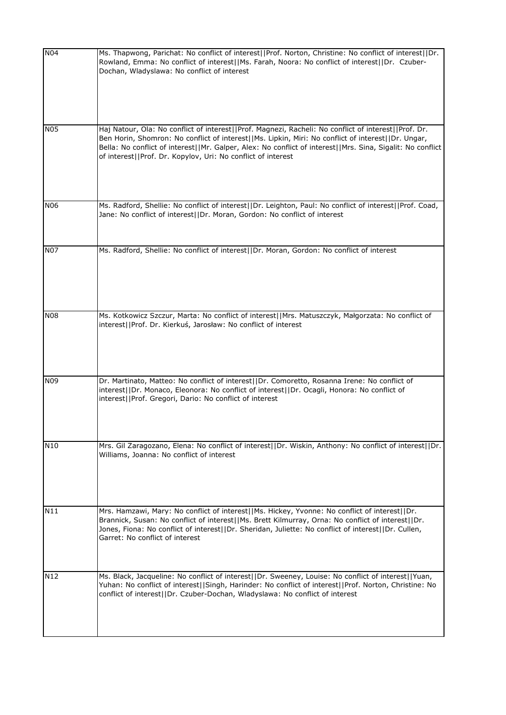| N04        | Ms. Thapwong, Parichat: No conflict of interest  Prof. Norton, Christine: No conflict of interest  Dr.<br>Rowland, Emma: No conflict of interest  Ms. Farah, Noora: No conflict of interest  Dr. Czuber-<br>Dochan, Wladyslawa: No conflict of interest                                                                                                                                  |
|------------|------------------------------------------------------------------------------------------------------------------------------------------------------------------------------------------------------------------------------------------------------------------------------------------------------------------------------------------------------------------------------------------|
| <b>N05</b> | Haj Natour, Ola: No conflict of interest  Prof. Magnezi, Racheli: No conflict of interest  Prof. Dr.<br>Ben Horin, Shomron: No conflict of interest  Ms. Lipkin, Miri: No conflict of interest  Dr. Ungar,<br>Bella: No conflict of interest  Mr. Galper, Alex: No conflict of interest  Mrs. Sina, Sigalit: No conflict<br>of interest  Prof. Dr. Kopylov, Uri: No conflict of interest |
| <b>N06</b> | Ms. Radford, Shellie: No conflict of interest  Dr. Leighton, Paul: No conflict of interest  Prof. Coad,<br>Jane: No conflict of interest  Dr. Moran, Gordon: No conflict of interest                                                                                                                                                                                                     |
| <b>N07</b> | Ms. Radford, Shellie: No conflict of interest  Dr. Moran, Gordon: No conflict of interest                                                                                                                                                                                                                                                                                                |
| <b>N08</b> | Ms. Kotkowicz Szczur, Marta: No conflict of interest  Mrs. Matuszczyk, Małgorzata: No conflict of<br>interest  Prof. Dr. Kierkuś, Jarosław: No conflict of interest                                                                                                                                                                                                                      |
| N09        | Dr. Martinato, Matteo: No conflict of interest  Dr. Comoretto, Rosanna Irene: No conflict of<br>interest  Dr. Monaco, Eleonora: No conflict of interest  Dr. Ocagli, Honora: No conflict of<br>interest  Prof. Gregori, Dario: No conflict of interest                                                                                                                                   |
| N10        | Mrs. Gil Zaragozano, Elena: No conflict of interest  Dr. Wiskin, Anthony: No conflict of interest  Dr.<br>Williams, Joanna: No conflict of interest                                                                                                                                                                                                                                      |
| N11        | Mrs. Hamzawi, Mary: No conflict of interest  Ms. Hickey, Yvonne: No conflict of interest  Dr.<br>Brannick, Susan: No conflict of interest  Ms. Brett Kilmurray, Orna: No conflict of interest  Dr.<br>Jones, Fiona: No conflict of interest  Dr. Sheridan, Juliette: No conflict of interest  Dr. Cullen,<br>Garret: No conflict of interest                                             |
| N12        | Ms. Black, Jacqueline: No conflict of interest  Dr. Sweeney, Louise: No conflict of interest  Yuan,<br>Yuhan: No conflict of interest  Singh, Harinder: No conflict of interest  Prof. Norton, Christine: No<br>conflict of interest  Dr. Czuber-Dochan, Wladyslawa: No conflict of interest                                                                                             |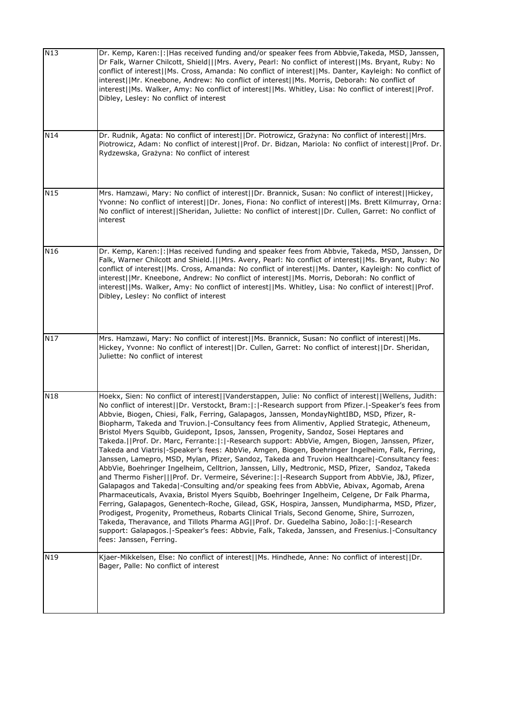| N13             | Dr. Kemp, Karen:  :   Has received funding and/or speaker fees from Abbvie, Takeda, MSD, Janssen,<br>Dr Falk, Warner Chilcott, Shield   Mrs. Avery, Pearl: No conflict of interest  Ms. Bryant, Ruby: No<br>conflict of interest  Ms. Cross, Amanda: No conflict of interest  Ms. Danter, Kayleigh: No conflict of<br>interest  Mr. Kneebone, Andrew: No conflict of interest  Ms. Morris, Deborah: No conflict of<br>interest  Ms. Walker, Amy: No conflict of interest  Ms. Whitley, Lisa: No conflict of interest  Prof.<br>Dibley, Lesley: No conflict of interest                                                                                                                                                                                                                                                                                                                                                                                                                                                                                                                                                                                                                                                                                                                                                                                                                                                                                                                                                                                                                                                                          |
|-----------------|-------------------------------------------------------------------------------------------------------------------------------------------------------------------------------------------------------------------------------------------------------------------------------------------------------------------------------------------------------------------------------------------------------------------------------------------------------------------------------------------------------------------------------------------------------------------------------------------------------------------------------------------------------------------------------------------------------------------------------------------------------------------------------------------------------------------------------------------------------------------------------------------------------------------------------------------------------------------------------------------------------------------------------------------------------------------------------------------------------------------------------------------------------------------------------------------------------------------------------------------------------------------------------------------------------------------------------------------------------------------------------------------------------------------------------------------------------------------------------------------------------------------------------------------------------------------------------------------------------------------------------------------------|
| N14             | Dr. Rudnik, Agata: No conflict of interest  Dr. Piotrowicz, Grażyna: No conflict of interest  Mrs.<br>Piotrowicz, Adam: No conflict of interest  Prof. Dr. Bidzan, Mariola: No conflict of interest  Prof. Dr.<br>Rydzewska, Grażyna: No conflict of interest                                                                                                                                                                                                                                                                                                                                                                                                                                                                                                                                                                                                                                                                                                                                                                                                                                                                                                                                                                                                                                                                                                                                                                                                                                                                                                                                                                                   |
| N <sub>15</sub> | Mrs. Hamzawi, Mary: No conflict of interest  Dr. Brannick, Susan: No conflict of interest  Hickey,<br>Yvonne: No conflict of interest  Dr. Jones, Fiona: No conflict of interest  Ms. Brett Kilmurray, Orna:<br>No conflict of interest  Sheridan, Juliette: No conflict of interest  Dr. Cullen, Garret: No conflict of<br>interest                                                                                                                                                                                                                                                                                                                                                                                                                                                                                                                                                                                                                                                                                                                                                                                                                                                                                                                                                                                                                                                                                                                                                                                                                                                                                                            |
| N16             | Dr. Kemp, Karen:  :  Has received funding and speaker fees from Abbvie, Takeda, MSD, Janssen, Dr<br>Falk, Warner Chilcott and Shield.   Mrs. Avery, Pearl: No conflict of interest  Ms. Bryant, Ruby: No<br>conflict of interest  Ms. Cross, Amanda: No conflict of interest  Ms. Danter, Kayleigh: No conflict of<br>interest  Mr. Kneebone, Andrew: No conflict of interest  Ms. Morris, Deborah: No conflict of<br>interest  Ms. Walker, Amy: No conflict of interest  Ms. Whitley, Lisa: No conflict of interest  Prof.<br>Dibley, Lesley: No conflict of interest                                                                                                                                                                                                                                                                                                                                                                                                                                                                                                                                                                                                                                                                                                                                                                                                                                                                                                                                                                                                                                                                          |
| N17             | Mrs. Hamzawi, Mary: No conflict of interest  Ms. Brannick, Susan: No conflict of interest  Ms.<br>Hickey, Yvonne: No conflict of interest  Dr. Cullen, Garret: No conflict of interest  Dr. Sheridan,<br>Juliette: No conflict of interest                                                                                                                                                                                                                                                                                                                                                                                                                                                                                                                                                                                                                                                                                                                                                                                                                                                                                                                                                                                                                                                                                                                                                                                                                                                                                                                                                                                                      |
| N18             | Hoekx, Sien: No conflict of interest  Vanderstappen, Julie: No conflict of interest  Wellens, Judith:<br>No conflict of interest  Dr. Verstockt, Bram: : -Research support from Pfizer. -Speaker's fees from<br>Abbvie, Biogen, Chiesi, Falk, Ferring, Galapagos, Janssen, MondayNightIBD, MSD, Pfizer, R-<br>Biopharm, Takeda and Truvion.  -Consultancy fees from Alimentiv, Applied Strategic, Atheneum,<br>Bristol Myers Squibb, Guidepont, Ipsos, Janssen, Progenity, Sandoz, Sosei Heptares and<br>Takeda.  Prof. Dr. Marc, Ferrante: : -Research support: AbbVie, Amgen, Biogen, Janssen, Pfizer,<br>Takeda and Viatris  -Speaker's fees: AbbVie, Amgen, Biogen, Boehringer Ingelheim, Falk, Ferring,<br>Janssen, Lamepro, MSD, Mylan, Pfizer, Sandoz, Takeda and Truvion Healthcare -Consultancy fees:<br>AbbVie, Boehringer Ingelheim, Celltrion, Janssen, Lilly, Medtronic, MSD, Pfizer, Sandoz, Takeda<br>and Thermo Fisher   Prof. Dr. Vermeire, Séverine: : -Research Support from AbbVie, J&J, Pfizer,<br>Galapagos and Takeda -Consulting and/or speaking fees from AbbVie, Abivax, Agomab, Arena<br>Pharmaceuticals, Avaxia, Bristol Myers Squibb, Boehringer Ingelheim, Celgene, Dr Falk Pharma,<br>Ferring, Galapagos, Genentech-Roche, Gilead, GSK, Hospira, Janssen, Mundipharma, MSD, Pfizer,<br>Prodigest, Progenity, Prometheus, Robarts Clinical Trials, Second Genome, Shire, Surrozen,<br>Takeda, Theravance, and Tillots Pharma AG  Prof. Dr. Guedelha Sabino, João: : -Research<br>support: Galapagos.   - Speaker's fees: Abbvie, Falk, Takeda, Janssen, and Fresenius.   - Consultancy<br>fees: Janssen, Ferring. |
| N19             | Kjaer-Mikkelsen, Else: No conflict of interest  Ms. Hindhede, Anne: No conflict of interest  Dr.<br>Bager, Palle: No conflict of interest                                                                                                                                                                                                                                                                                                                                                                                                                                                                                                                                                                                                                                                                                                                                                                                                                                                                                                                                                                                                                                                                                                                                                                                                                                                                                                                                                                                                                                                                                                       |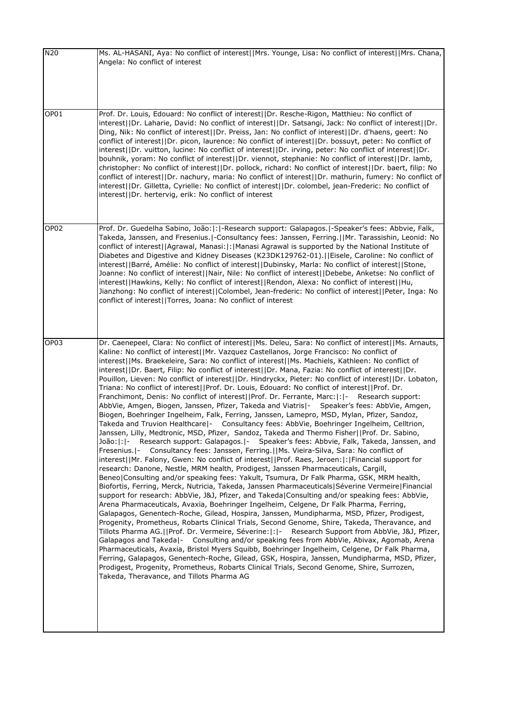| N20              | Ms. AL-HASANI, Aya: No conflict of interest  Mrs. Younge, Lisa: No conflict of interest  Mrs. Chana,<br>Angela: No conflict of interest                                                                                                                                                                                                                                                                                                                                                                                                                                                                                                                                                                                                                                                                                                                                                                                                                                                                                                                                                                                                                                                                                                                                                                                                                                                                                                                                                                                                                                                                                                                                                                                                                                                                                                                                                                                                                                                                                                                                                                                                                                                                                                                                                                                                                                                                                                                                                                                                                                                                                                                          |
|------------------|------------------------------------------------------------------------------------------------------------------------------------------------------------------------------------------------------------------------------------------------------------------------------------------------------------------------------------------------------------------------------------------------------------------------------------------------------------------------------------------------------------------------------------------------------------------------------------------------------------------------------------------------------------------------------------------------------------------------------------------------------------------------------------------------------------------------------------------------------------------------------------------------------------------------------------------------------------------------------------------------------------------------------------------------------------------------------------------------------------------------------------------------------------------------------------------------------------------------------------------------------------------------------------------------------------------------------------------------------------------------------------------------------------------------------------------------------------------------------------------------------------------------------------------------------------------------------------------------------------------------------------------------------------------------------------------------------------------------------------------------------------------------------------------------------------------------------------------------------------------------------------------------------------------------------------------------------------------------------------------------------------------------------------------------------------------------------------------------------------------------------------------------------------------------------------------------------------------------------------------------------------------------------------------------------------------------------------------------------------------------------------------------------------------------------------------------------------------------------------------------------------------------------------------------------------------------------------------------------------------------------------------------------------------|
| OP01             | Prof. Dr. Louis, Edouard: No conflict of interest  Dr. Resche-Rigon, Matthieu: No conflict of<br>interest  Dr. Laharie, David: No conflict of interest  Dr. Satsangi, Jack: No conflict of interest  Dr.<br>Ding, Nik: No conflict of interest  Dr. Preiss, Jan: No conflict of interest  Dr. d'haens, geert: No<br>conflict of interest  Dr. picon, laurence: No conflict of interest  Dr. bossuyt, peter: No conflict of<br>interest  Dr. vuitton, lucine: No conflict of interest  Dr. irving, peter: No conflict of interest  Dr.<br>bouhnik, yoram: No conflict of interest  Dr. viennot, stephanie: No conflict of interest  Dr. lamb,<br>christopher: No conflict of interest  Dr. pollock, richard: No conflict of interest  Dr. baert, filip: No<br>conflict of interest  Dr. nachury, maria: No conflict of interest  Dr. mathurin, fumery: No conflict of<br>interest  Dr. Gilletta, Cyrielle: No conflict of interest  Dr. colombel, jean-Frederic: No conflict of<br>interest  Dr. hertervig, erik: No conflict of interest                                                                                                                                                                                                                                                                                                                                                                                                                                                                                                                                                                                                                                                                                                                                                                                                                                                                                                                                                                                                                                                                                                                                                                                                                                                                                                                                                                                                                                                                                                                                                                                                                         |
| OP <sub>02</sub> | Prof. Dr. Guedelha Sabino, João:  :  -Research support: Galapagos.  -Speaker's fees: Abbvie, Falk,<br>Takeda, Janssen, and Fresenius. -Consultancy fees: Janssen, Ferring.  Mr. Tarassishin, Leonid: No<br>conflict of interest  Agrawal, Manasi: : Manasi Agrawal is supported by the National Institute of<br>Diabetes and Digestive and Kidney Diseases (K23DK129762-01).  Eisele, Caroline: No conflict of<br>interest  Barré, Amélie: No conflict of interest  Dubinsky, Marla: No conflict of interest  Stone,<br>Joanne: No conflict of interest  Nair, Nile: No conflict of interest  Debebe, Anketse: No conflict of<br>interest  Hawkins, Kelly: No conflict of interest  Rendon, Alexa: No conflict of interest  Hu,<br>Jianzhong: No conflict of interest  Colombel, Jean-frederic: No conflict of interest  Peter, Inga: No<br>conflict of interest  Torres, Joana: No conflict of interest                                                                                                                                                                                                                                                                                                                                                                                                                                                                                                                                                                                                                                                                                                                                                                                                                                                                                                                                                                                                                                                                                                                                                                                                                                                                                                                                                                                                                                                                                                                                                                                                                                                                                                                                                         |
| OP <sub>03</sub> | Dr. Caenepeel, Clara: No conflict of interest  Ms. Deleu, Sara: No conflict of interest  Ms. Arnauts,<br>Kaline: No conflict of interest  Mr. Vazquez Castellanos, Jorge Francisco: No conflict of<br>interest  Ms. Braekeleire, Sara: No conflict of interest  Ms. Machiels, Kathleen: No conflict of<br>interest  Dr. Baert, Filip: No conflict of interest  Dr. Mana, Fazia: No conflict of interest  Dr.<br>Pouillon, Lieven: No conflict of interest  Dr. Hindryckx, Pieter: No conflict of interest  Dr. Lobaton,<br>Triana: No conflict of interest  Prof. Dr. Louis, Edouard: No conflict of interest  Prof. Dr.<br>Franchimont, Denis: No conflict of interest  Prof. Dr. Ferrante, Marc: : - Research support:<br>AbbVie, Amgen, Biogen, Janssen, Pfizer, Takeda and Viatris - Speaker's fees: AbbVie, Amgen,<br>Biogen, Boehringer Ingelheim, Falk, Ferring, Janssen, Lamepro, MSD, Mylan, Pfizer, Sandoz,<br>Takeda and Truvion Healthcare - Consultancy fees: AbbVie, Boehringer Ingelheim, Celltrion,<br>Janssen, Lilly, Medtronic, MSD, Pfizer, Sandoz, Takeda and Thermo Fisher  Prof. Dr. Sabino,<br>Research support: Galapagos. - Speaker's fees: Abbvie, Falk, Takeda, Janssen, and<br>João: : -<br>Consultancy fees: Janssen, Ferring.  Ms. Vieira-Silva, Sara: No conflict of<br>Fresenius.  -<br>interest  Mr. Falony, Gwen: No conflict of interest  Prof. Raes, Jeroen: : Financial support for<br>research: Danone, Nestle, MRM health, Prodigest, Janssen Pharmaceuticals, Cargill,<br>Beneo   Consulting and/or speaking fees: Yakult, Tsumura, Dr Falk Pharma, GSK, MRM health,<br>Biofortis, Ferring, Merck, Nutricia, Takeda, Janssen Pharmaceuticals Séverine Vermeire Financial<br>support for research: AbbVie, J&J, Pfizer, and Takeda Consulting and/or speaking fees: AbbVie,<br>Arena Pharmaceuticals, Avaxia, Boehringer Ingelheim, Celgene, Dr Falk Pharma, Ferring,<br>Galapagos, Genentech-Roche, Gilead, Hospira, Janssen, Mundipharma, MSD, Pfizer, Prodigest,<br>Progenity, Prometheus, Robarts Clinical Trials, Second Genome, Shire, Takeda, Theravance, and<br>Tillots Pharma AG.     Prof. Dr. Vermeire, Séverine:   :   - Research Support from AbbVie, J&J, Pfizer,<br>Galapagos and Takeda - Consulting and/or speaking fees from AbbVie, Abivax, Agomab, Arena<br>Pharmaceuticals, Avaxia, Bristol Myers Squibb, Boehringer Ingelheim, Celgene, Dr Falk Pharma,<br>Ferring, Galapagos, Genentech-Roche, Gilead, GSK, Hospira, Janssen, Mundipharma, MSD, Pfizer,<br>Prodigest, Progenity, Prometheus, Robarts Clinical Trials, Second Genome, Shire, Surrozen,<br>Takeda, Theravance, and Tillots Pharma AG |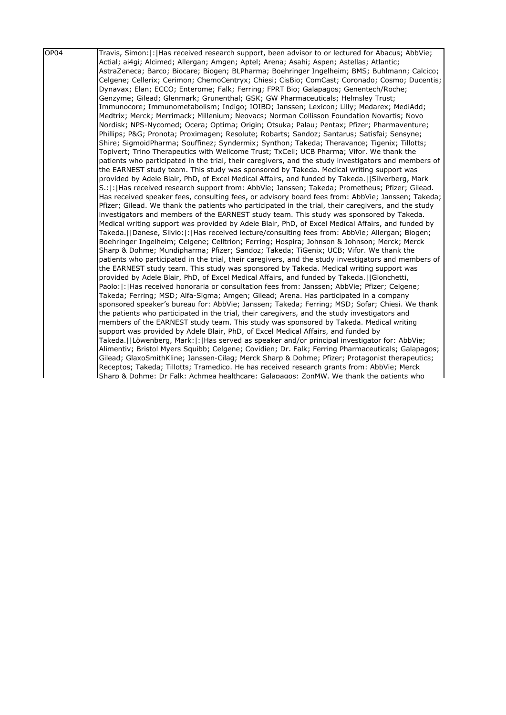| OP04 | Travis, Simon:   :   Has received research support, been advisor to or lectured for Abacus; AbbVie;  |
|------|------------------------------------------------------------------------------------------------------|
|      | Actial; ai4gi; Alcimed; Allergan; Amgen; Aptel; Arena; Asahi; Aspen; Astellas; Atlantic;             |
|      | AstraZeneca; Barco; Biocare; Biogen; BLPharma; Boehringer Ingelheim; BMS; Buhlmann; Calcico;         |
|      | Celgene; Cellerix; Cerimon; ChemoCentryx; Chiesi; CisBio; ComCast; Coronado; Cosmo; Ducentis;        |
|      | Dynavax; Elan; ECCO; Enterome; Falk; Ferring; FPRT Bio; Galapagos; Genentech/Roche;                  |
|      | Genzyme; Gilead; Glenmark; Grunenthal; GSK; GW Pharmaceuticals; Helmsley Trust;                      |
|      | Immunocore; Immunometabolism; Indigo; IOIBD; Janssen; Lexicon; Lilly; Medarex; MediAdd;              |
|      | Medtrix; Merck; Merrimack; Millenium; Neovacs; Norman Collisson Foundation Novartis; Novo            |
|      | Nordisk; NPS-Nycomed; Ocera; Optima; Origin; Otsuka; Palau; Pentax; Pfizer; Pharmaventure;           |
|      | Phillips; P&G Pronota; Proximagen; Resolute; Robarts; Sandoz; Santarus; Satisfai; Sensyne;           |
|      | Shire; SigmoidPharma; Souffinez; Syndermix; Synthon; Takeda; Theravance; Tigenix; Tillotts;          |
|      | Topivert; Trino Therapeutics with Wellcome Trust; TxCell; UCB Pharma; Vifor. We thank the            |
|      | patients who participated in the trial, their caregivers, and the study investigators and members of |
|      | the EARNEST study team. This study was sponsored by Takeda. Medical writing support was              |
|      | provided by Adele Blair, PhD, of Excel Medical Affairs, and funded by Takeda.[[Silverberg, Mark      |
|      | S.:  :  Has received research support from: AbbVie; Janssen; Takeda; Prometheus; Pfizer; Gilead.     |
|      | Has received speaker fees, consulting fees, or advisory board fees from: AbbVie; Janssen; Takeda;    |
|      | Pfizer; Gilead. We thank the patients who participated in the trial, their caregivers, and the study |
|      | investigators and members of the EARNEST study team. This study was sponsored by Takeda.             |
|      | Medical writing support was provided by Adele Blair, PhD, of Excel Medical Affairs, and funded by    |
|      | Takeda.   Danese, Silvio:   :   Has received lecture/consulting fees from: AbbVie; Allergan; Biogen; |
|      | Boehringer Ingelheim; Celgene; Celltrion; Ferring; Hospira; Johnson & Johnson; Merck; Merck          |
|      | Sharp & Dohme; Mundipharma; Pfizer; Sandoz; Takeda; TiGenix; UCB; Vifor. We thank the                |
|      | patients who participated in the trial, their caregivers, and the study investigators and members of |
|      | the EARNEST study team. This study was sponsored by Takeda. Medical writing support was              |
|      | provided by Adele Blair, PhD, of Excel Medical Affairs, and funded by Takeda.  Gionchetti,           |
|      | Paolo:  :  Has received honoraria or consultation fees from: Janssen; AbbVie; Pfizer; Celgene;       |
|      | Takeda; Ferring; MSD; Alfa-Sigma; Amgen; Gilead; Arena. Has participated in a company                |
|      | sponsored speaker's bureau for: AbbVie; Janssen; Takeda; Ferring; MSD; Sofar; Chiesi. We thank       |
|      | the patients who participated in the trial, their caregivers, and the study investigators and        |
|      | members of the EARNEST study team. This study was sponsored by Takeda. Medical writing               |
|      | support was provided by Adele Blair, PhD, of Excel Medical Affairs, and funded by                    |
|      | Takeda.  Löwenberg, Mark: : Has served as speaker and/or principal investigator for: AbbVie;         |
|      | Alimentiv; Bristol Myers Squibb; Celgene; Covidien; Dr. Falk; Ferring Pharmaceuticals; Galapagos;    |
|      | Gilead; GlaxoSmithKline; Janssen-Cilag; Merck Sharp & Dohme; Pfizer; Protagonist therapeutics;       |
|      | Receptos; Takeda; Tillotts; Tramedico. He has received research grants from: AbbVie; Merck           |
|      | <b>I</b> Sharp & Dohme: Dr Falk: Achmea healthcare: Galapagos: ZonMW. We thank the patients who      |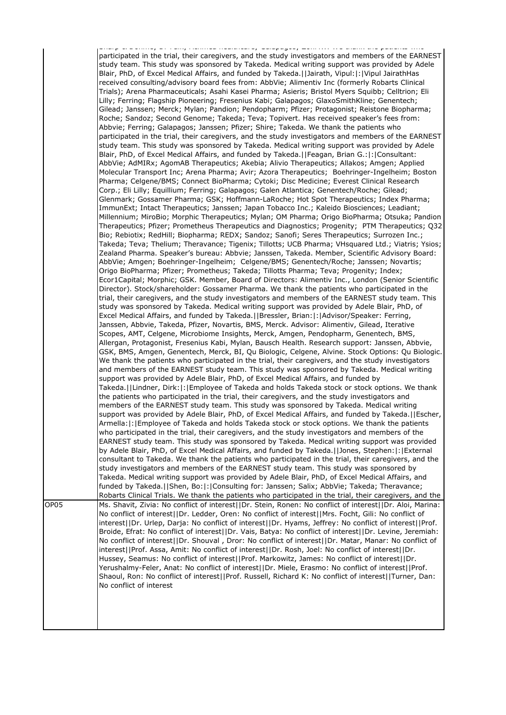| participated in the trial, their caregivers, and the study investigators and members of the EARNEST<br>study team. This study was sponsored by Takeda. Medical writing support was provided by Adele<br>Blair, PhD, of Excel Medical Affairs, and funded by Takeda.[JJairath, Vipul: [:   Vipul Jairath Has<br>received consulting/advisory board fees from: AbbVie; Alimentiv Inc (formerly Robarts Clinical<br>Trials); Arena Pharmaceuticals; Asahi Kasei Pharma; Asieris; Bristol Myers Squibb; Celltrion; Eli<br>Lilly; Ferring; Flagship Pioneering; Fresenius Kabi; Galapagos; GlaxoSmithKline; Genentech;<br>Gilead; Janssen; Merck; Mylan; Pandion; Pendopharm; Pfizer; Protagonist; Reistone Biopharma;<br>Roche; Sandoz; Second Genome; Takeda; Teva; Topivert. Has received speaker's fees from:<br>Abbvie; Ferring; Galapagos; Janssen; Pfizer; Shire; Takeda. We thank the patients who<br>participated in the trial, their caregivers, and the study investigators and members of the EARNEST<br>study team. This study was sponsored by Takeda. Medical writing support was provided by Adele<br>Blair, PhD, of Excel Medical Affairs, and funded by Takeda.   Feagan, Brian G.:  :  Consultant:<br>AbbVie; AdMIRx; AgomAB Therapeutics; Akebia; Alivio Therapeutics; Allakos; Amgen; Applied<br>Molecular Transport Inc; Arena Pharma; Avir; Azora Therapeutics; Boehringer-Ingelheim; Boston<br>Pharma; Celgene/BMS; Connect BioPharma; Cytoki; Disc Medicine; Everest Clinical Research<br>Corp.; Eli Lilly; Equillium; Ferring; Galapagos; Galen Atlantica; Genentech/Roche; Gilead;<br>Glenmark; Gossamer Pharma; GSK; Hoffmann-LaRoche; Hot Spot Therapeutics; Index Pharma;<br>ImmunExt; Intact Therapeutics; Janssen; Japan Tobacco Inc.; Kaleido Biosciences; Leadiant;<br>Millennium; MiroBio; Morphic Therapeutics; Mylan; OM Pharma; Origo BioPharma; Otsuka; Pandion<br>Therapeutics; Pfizer; Prometheus Therapeutics and Diagnostics; Progenity; PTM Therapeutics; Q32<br>Bio; Rebiotix; RedHill; Biopharma; REDX; Sandoz; Sanofi; Seres Therapeutics; Surrozen Inc.;<br>Takeda; Teva; Thelium; Theravance; Tigenix; Tillotts; UCB Pharma; VHsquared Ltd.; Viatris; Ysios;<br>Zealand Pharma. Speaker's bureau: Abbvie; Janssen, Takeda. Member, Scientific Advisory Board:<br>AbbVie; Amgen; Boehringer-Ingelheim; Celgene/BMS; Genentech/Roche; Janssen; Novartis;<br>Origo BioPharma; Pfizer; Prometheus; Takeda; Tillotts Pharma; Teva; Progenity; Index;<br>Ecor1Capital; Morphic; GSK. Member, Board of Directors: Alimentiv Inc., London (Senior Scientific<br>Director). Stock/shareholder: Gossamer Pharma. We thank the patients who participated in the<br>trial, their caregivers, and the study investigators and members of the EARNEST study team. This<br>study was sponsored by Takeda. Medical writing support was provided by Adele Blair, PhD, of<br>Excel Medical Affairs, and funded by Takeda.  Bressler, Brian: :   Advisor/Speaker: Ferring,<br>Janssen, Abbvie, Takeda, Pfizer, Novartis, BMS, Merck. Advisor: Alimentiv, Gilead, Iterative<br>Scopes, AMT, Celgene, Microbiome Insights, Merck, Amgen, Pendopharm, Genentech, BMS,<br>Allergan, Protagonist, Fresenius Kabi, Mylan, Bausch Health. Research support: Janssen, Abbvie,<br>GSK, BMS, Amgen, Genentech, Merck, BI, Qu Biologic, Celgene, Alvine. Stock Options: Qu Biologic.<br>We thank the patients who participated in the trial, their caregivers, and the study investigators<br>and members of the EARNEST study team. This study was sponsored by Takeda. Medical writing<br>support was provided by Adele Blair, PhD, of Excel Medical Affairs, and funded by<br>Takeda.  Lindner, Dirk: : Employee of Takeda and holds Takeda stock or stock options. We thank<br>the patients who participated in the trial, their caregivers, and the study investigators and<br>members of the EARNEST study team. This study was sponsored by Takeda. Medical writing<br>support was provided by Adele Blair, PhD, of Excel Medical Affairs, and funded by Takeda.  Escher,<br>Armella:  :   Employee of Takeda and holds Takeda stock or stock options. We thank the patients<br>who participated in the trial, their caregivers, and the study investigators and members of the<br>EARNEST study team. This study was sponsored by Takeda. Medical writing support was provided<br>by Adele Blair, PhD, of Excel Medical Affairs, and funded by Takeda.  Jones, Stephen: : External<br>consultant to Takeda. We thank the patients who participated in the trial, their caregivers, and the<br>study investigators and members of the EARNEST study team. This study was sponsored by<br>Takeda. Medical writing support was provided by Adele Blair, PhD, of Excel Medical Affairs, and<br>funded by Takeda.   Shen, Bo:   :   Consulting for: Janssen; Salix; AbbVie; Takeda; Theravance;<br>Robarts Clinical Trials. We thank the patients who participated in the trial, their caregivers, and the<br>Ms. Shavit, Zivia: No conflict of interest  Dr. Stein, Ronen: No conflict of interest  Dr. Aloi, Marina:<br>No conflict of interest  Dr. Ledder, Oren: No conflict of interest  Mrs. Focht, Gili: No conflict of<br>interest  Dr. Urlep, Darja: No conflict of interest  Dr. Hyams, Jeffrey: No conflict of interest  Prof.<br>Broide, Efrat: No conflict of interest  Dr. Vais, Batya: No conflict of interest  Dr. Levine, Jeremiah:<br>No conflict of interest  Dr. Shouval, Dror: No conflict of interest  Dr. Matar, Manar: No conflict of<br>interest  Prof. Assa, Amit: No conflict of interest  Dr. Rosh, Joel: No conflict of interest  Dr.<br>Hussey, Seamus: No conflict of interest  Prof. Markowitz, James: No conflict of interest  Dr.<br>Yerushalmy-Feler, Anat: No conflict of interest  Dr. Miele, Erasmo: No conflict of interest  Prof.<br>Shaoul, Ron: No conflict of interest  Prof. Russell, Richard K: No conflict of interest  Turner, Dan:<br>No conflict of interest |      |                                                                                                              |
|--------------------------------------------------------------------------------------------------------------------------------------------------------------------------------------------------------------------------------------------------------------------------------------------------------------------------------------------------------------------------------------------------------------------------------------------------------------------------------------------------------------------------------------------------------------------------------------------------------------------------------------------------------------------------------------------------------------------------------------------------------------------------------------------------------------------------------------------------------------------------------------------------------------------------------------------------------------------------------------------------------------------------------------------------------------------------------------------------------------------------------------------------------------------------------------------------------------------------------------------------------------------------------------------------------------------------------------------------------------------------------------------------------------------------------------------------------------------------------------------------------------------------------------------------------------------------------------------------------------------------------------------------------------------------------------------------------------------------------------------------------------------------------------------------------------------------------------------------------------------------------------------------------------------------------------------------------------------------------------------------------------------------------------------------------------------------------------------------------------------------------------------------------------------------------------------------------------------------------------------------------------------------------------------------------------------------------------------------------------------------------------------------------------------------------------------------------------------------------------------------------------------------------------------------------------------------------------------------------------------------------------------------------------------------------------------------------------------------------------------------------------------------------------------------------------------------------------------------------------------------------------------------------------------------------------------------------------------------------------------------------------------------------------------------------------------------------------------------------------------------------------------------------------------------------------------------------------------------------------------------------------------------------------------------------------------------------------------------------------------------------------------------------------------------------------------------------------------------------------------------------------------------------------------------------------------------------------------------------------------------------------------------------------------------------------------------------------------------------------------------------------------------------------------------------------------------------------------------------------------------------------------------------------------------------------------------------------------------------------------------------------------------------------------------------------------------------------------------------------------------------------------------------------------------------------------------------------------------------------------------------------------------------------------------------------------------------------------------------------------------------------------------------------------------------------------------------------------------------------------------------------------------------------------------------------------------------------------------------------------------------------------------------------------------------------------------------------------------------------------------------------------------------------------------------------------------------------------------------------------------------------------------------------------------------------------------------------------------------------------------------------------------------------------------------------------------------------------------------------------------------------------------------------------------------------------------------------------------------------------------------------------------------------------------------------------------------------------------------------------------------------------------------------------------------------------------------------------------------------------------------------------------------------------------------------------------------------------------------------------------------------------------------------------------------------------------------------------------------------------------------------------------------------------------------------------------------------------------------------------------------------------------------------------------------------------------------------------------------------------------------------------------------|------|--------------------------------------------------------------------------------------------------------------|
|                                                                                                                                                                                                                                                                                                                                                                                                                                                                                                                                                                                                                                                                                                                                                                                                                                                                                                                                                                                                                                                                                                                                                                                                                                                                                                                                                                                                                                                                                                                                                                                                                                                                                                                                                                                                                                                                                                                                                                                                                                                                                                                                                                                                                                                                                                                                                                                                                                                                                                                                                                                                                                                                                                                                                                                                                                                                                                                                                                                                                                                                                                                                                                                                                                                                                                                                                                                                                                                                                                                                                                                                                                                                                                                                                                                                                                                                                                                                                                                                                                                                                                                                                                                                                                                                                                                                                                                                                                                                                                                                                                                                                                                                                                                                                                                                                                                                                                                                                                                                                                                                                                                                                                                                                                                                                                                                                                                                                                                                                                                                                                                                                                                                                                                                                                                                                                                                                                                                                                                                                                |      | complex with a positive provided interesting weakening and the company of the second service powerful critic |
|                                                                                                                                                                                                                                                                                                                                                                                                                                                                                                                                                                                                                                                                                                                                                                                                                                                                                                                                                                                                                                                                                                                                                                                                                                                                                                                                                                                                                                                                                                                                                                                                                                                                                                                                                                                                                                                                                                                                                                                                                                                                                                                                                                                                                                                                                                                                                                                                                                                                                                                                                                                                                                                                                                                                                                                                                                                                                                                                                                                                                                                                                                                                                                                                                                                                                                                                                                                                                                                                                                                                                                                                                                                                                                                                                                                                                                                                                                                                                                                                                                                                                                                                                                                                                                                                                                                                                                                                                                                                                                                                                                                                                                                                                                                                                                                                                                                                                                                                                                                                                                                                                                                                                                                                                                                                                                                                                                                                                                                                                                                                                                                                                                                                                                                                                                                                                                                                                                                                                                                                                                |      |                                                                                                              |
|                                                                                                                                                                                                                                                                                                                                                                                                                                                                                                                                                                                                                                                                                                                                                                                                                                                                                                                                                                                                                                                                                                                                                                                                                                                                                                                                                                                                                                                                                                                                                                                                                                                                                                                                                                                                                                                                                                                                                                                                                                                                                                                                                                                                                                                                                                                                                                                                                                                                                                                                                                                                                                                                                                                                                                                                                                                                                                                                                                                                                                                                                                                                                                                                                                                                                                                                                                                                                                                                                                                                                                                                                                                                                                                                                                                                                                                                                                                                                                                                                                                                                                                                                                                                                                                                                                                                                                                                                                                                                                                                                                                                                                                                                                                                                                                                                                                                                                                                                                                                                                                                                                                                                                                                                                                                                                                                                                                                                                                                                                                                                                                                                                                                                                                                                                                                                                                                                                                                                                                                                                | OP05 |                                                                                                              |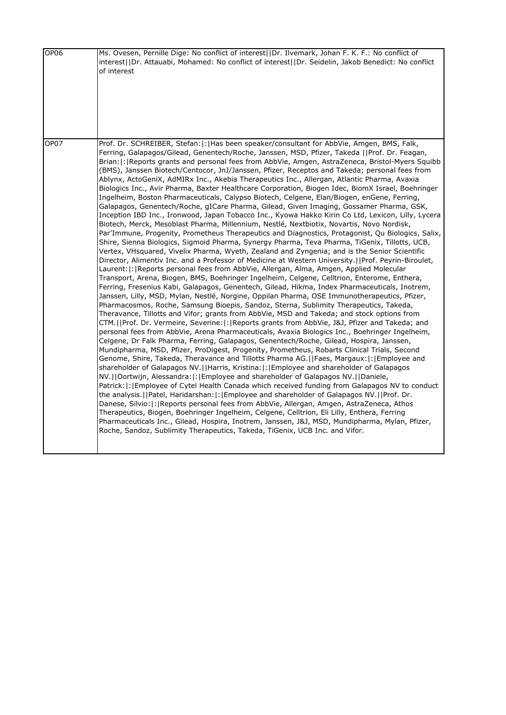| OP <sub>06</sub> | Ms. Ovesen, Pernille Dige: No conflict of interest  Dr. Ilvemark, Johan F. K. F.: No conflict of<br>interest  Dr. Attauabi, Mohamed: No conflict of interest  Dr. Seidelin, Jakob Benedict: No conflict<br>of interest                                                                                                                                                                                                                                                                                                                                                                                                                                                                                                                                                                                                                                                                                                                                                                                                                                                                                                                                                                                                                                                                                                                                                                                                                                                                                                                                                                                                                                                                                                                                                                                                                                                                                                                                                                                                                                                                                                                                                                                                                                                                                                                                                                                                                                                                                                                                                                                                                                                                                                                                                                                                                                                                                                                                                                                                                                                                                                                                                                                                                                                 |
|------------------|------------------------------------------------------------------------------------------------------------------------------------------------------------------------------------------------------------------------------------------------------------------------------------------------------------------------------------------------------------------------------------------------------------------------------------------------------------------------------------------------------------------------------------------------------------------------------------------------------------------------------------------------------------------------------------------------------------------------------------------------------------------------------------------------------------------------------------------------------------------------------------------------------------------------------------------------------------------------------------------------------------------------------------------------------------------------------------------------------------------------------------------------------------------------------------------------------------------------------------------------------------------------------------------------------------------------------------------------------------------------------------------------------------------------------------------------------------------------------------------------------------------------------------------------------------------------------------------------------------------------------------------------------------------------------------------------------------------------------------------------------------------------------------------------------------------------------------------------------------------------------------------------------------------------------------------------------------------------------------------------------------------------------------------------------------------------------------------------------------------------------------------------------------------------------------------------------------------------------------------------------------------------------------------------------------------------------------------------------------------------------------------------------------------------------------------------------------------------------------------------------------------------------------------------------------------------------------------------------------------------------------------------------------------------------------------------------------------------------------------------------------------------------------------------------------------------------------------------------------------------------------------------------------------------------------------------------------------------------------------------------------------------------------------------------------------------------------------------------------------------------------------------------------------------------------------------------------------------------------------------------------------------|
| OP07             | Prof. Dr. SCHREIBER, Stefan:  :   Has been speaker/consultant for AbbVie, Amgen, BMS, Falk,<br>Ferring, Galapagos/Gilead, Genentech/Roche, Janssen, MSD, Pfizer, Takeda   Prof. Dr. Feagan,<br>Brian:  :   Reports grants and personal fees from AbbVie, Amgen, AstraZeneca, Bristol-Myers Squibb<br>(BMS), Janssen Biotech/Centocor, JnJ/Janssen, Pfizer, Receptos and Takeda; personal fees from<br>Ablynx, ActoGeniX, AdMIRx Inc., Akebia Therapeutics Inc., Allergan, Atlantic Pharma, Avaxia<br>Biologics Inc., Avir Pharma, Baxter Healthcare Corporation, Biogen Idec, BiomX Israel, Boehringer<br>Ingelheim, Boston Pharmaceuticals, Calypso Biotech, Celgene, Elan/Biogen, enGene, Ferring,<br>Galapagos, Genentech/Roche, gICare Pharma, Gilead, Given Imaging, Gossamer Pharma, GSK,<br>Inception IBD Inc., Ironwood, Japan Tobacco Inc., Kyowa Hakko Kirin Co Ltd, Lexicon, Lilly, Lycera<br>Biotech, Merck, Mesoblast Pharma, Millennium, Nestlé, Nextbiotix, Novartis, Novo Nordisk,<br>Par'Immune, Progenity, Prometheus Therapeutics and Diagnostics, Protagonist, Qu Biologics, Salix,<br>Shire, Sienna Biologics, Sigmoid Pharma, Synergy Pharma, Teva Pharma, TiGenix, Tillotts, UCB,<br>Vertex, VHsquared, Vivelix Pharma, Wyeth, Zealand and Zyngenia; and is the Senior Scientific<br>Director, Alimentiv Inc. and a Professor of Medicine at Western University.  Prof. Peyrin-Biroulet,<br>Laurent:  :   Reports personal fees from AbbVie, Allergan, Alma, Amgen, Applied Molecular<br>Transport, Arena, Biogen, BMS, Boehringer Ingelheim, Celgene, Celltrion, Enterome, Enthera,<br>Ferring, Fresenius Kabi, Galapagos, Genentech, Gilead, Hikma, Index Pharmaceuticals, Inotrem,<br>Janssen, Lilly, MSD, Mylan, Nestlé, Norgine, Oppilan Pharma, OSE Immunotherapeutics, Pfizer,<br>Pharmacosmos, Roche, Samsung Bioepis, Sandoz, Sterna, Sublimity Therapeutics, Takeda,<br>Theravance, Tillotts and Vifor; grants from AbbVie, MSD and Takeda; and stock options from<br>CTM.  Prof. Dr. Vermeire, Severine: : Reports grants from AbbVie, J&J, Pfizer and Takeda; and<br>personal fees from AbbVie, Arena Pharmaceuticals, Avaxia Biologics Inc., Boehringer Ingelheim,<br>Celgene, Dr Falk Pharma, Ferring, Galapagos, Genentech/Roche, Gilead, Hospira, Janssen,<br>Mundipharma, MSD, Pfizer, ProDigest, Progenity, Prometheus, Robarts Clinical Trials, Second<br>Genome, Shire, Takeda, Theravance and Tillotts Pharma AG.  Faes, Margaux: : Employee and<br>shareholder of Galapagos NV.  Harris, Kristina: : Employee and shareholder of Galapagos<br>NV.  Oortwijn, Alessandra: : Employee and shareholder of Galapagos NV.  Daniele,<br>Patrick:  :   Employee of Cytel Health Canada which received funding from Galapagos NV to conduct<br>the analysis.     Patel, Haridarshan:   :   Employee and shareholder of Galapagos NV.     Prof. Dr.<br>Danese, Silvio:  :   Reports personal fees from AbbVie, Allergan, Amgen, AstraZeneca, Athos<br>Therapeutics, Biogen, Boehringer Ingelheim, Celgene, Celltrion, Eli Lilly, Enthera, Ferring<br>Pharmaceuticals Inc., Gilead, Hospira, Inotrem, Janssen, J&J, MSD, Mundipharma, Mylan, Pfizer,<br>Roche, Sandoz, Sublimity Therapeutics, Takeda, TiGenix, UCB Inc. and Vifor. |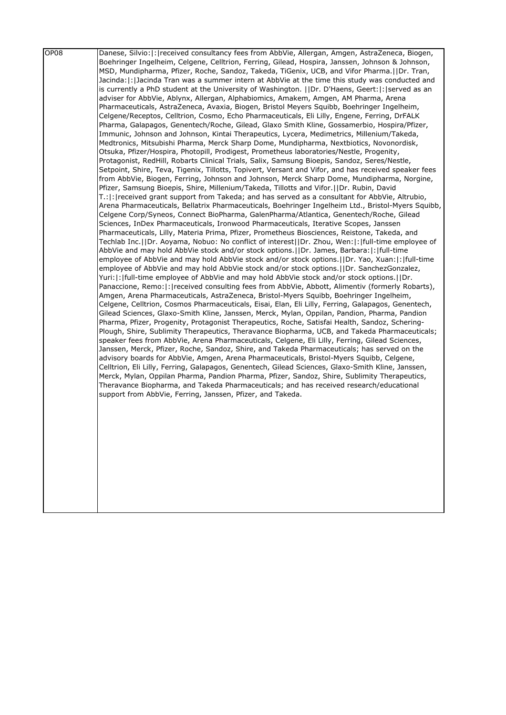| OP <sub>08</sub> | Danese, Silvio:  :   received consultancy fees from AbbVie, Allergan, Amgen, AstraZeneca, Biogen,<br>Boehringer Ingelheim, Celgene, Celltrion, Ferring, Gilead, Hospira, Janssen, Johnson & Johnson,<br>MSD, Mundipharma, Pfizer, Roche, Sandoz, Takeda, TiGenix, UCB, and Vifor Pharma.   IDr. Tran,<br>Jacinda:  :  Jacinda Tran was a summer intern at AbbVie at the time this study was conducted and<br>is currently a PhD student at the University of Washington. [IDr. D'Haens, Geert:  :   served as an<br>adviser for AbbVie, Ablynx, Allergan, Alphabiomics, Amakem, Amgen, AM Pharma, Arena<br>Pharmaceuticals, AstraZeneca, Avaxia, Biogen, Bristol Meyers Squibb, Boehringer Ingelheim,<br>Celgene/Receptos, Celltrion, Cosmo, Echo Pharmaceuticals, Eli Lilly, Engene, Ferring, DrFALK<br>Pharma, Galapagos, Genentech/Roche, Gilead, Glaxo Smith Kline, Gossamerbio, Hospira/Pfizer,<br>Immunic, Johnson and Johnson, Kintai Therapeutics, Lycera, Medimetrics, Millenium/Takeda,<br>Medtronics, Mitsubishi Pharma, Merck Sharp Dome, Mundipharma, Nextbiotics, Novonordisk,<br>Otsuka, Pfizer/Hospira, Photopill, Prodigest, Prometheus laboratories/Nestle, Progenity,                                                                                                                                                                                                                                                                                                                                                                                 |
|------------------|--------------------------------------------------------------------------------------------------------------------------------------------------------------------------------------------------------------------------------------------------------------------------------------------------------------------------------------------------------------------------------------------------------------------------------------------------------------------------------------------------------------------------------------------------------------------------------------------------------------------------------------------------------------------------------------------------------------------------------------------------------------------------------------------------------------------------------------------------------------------------------------------------------------------------------------------------------------------------------------------------------------------------------------------------------------------------------------------------------------------------------------------------------------------------------------------------------------------------------------------------------------------------------------------------------------------------------------------------------------------------------------------------------------------------------------------------------------------------------------------------------------------------------------------------------------------------|
|                  | Protagonist, RedHill, Robarts Clinical Trials, Salix, Samsung Bioepis, Sandoz, Seres/Nestle,<br>Setpoint, Shire, Teva, Tigenix, Tillotts, Topivert, Versant and Vifor, and has received speaker fees<br>from AbbVie, Biogen, Ferring, Johnson and Johnson, Merck Sharp Dome, Mundipharma, Norgine,<br>Pfizer, Samsung Bioepis, Shire, Millenium/Takeda, Tillotts and Vifor.  Dr. Rubin, David<br>T.:  :   received grant support from Takeda; and has served as a consultant for AbbVie, Altrubio,<br>Arena Pharmaceuticals, Bellatrix Pharmaceuticals, Boehringer Ingelheim Ltd., Bristol-Myers Squibb,                                                                                                                                                                                                                                                                                                                                                                                                                                                                                                                                                                                                                                                                                                                                                                                                                                                                                                                                                                 |
|                  | Celgene Corp/Syneos, Connect BioPharma, GalenPharma/Atlantica, Genentech/Roche, Gilead<br>Sciences, InDex Pharmaceuticals, Ironwood Pharmaceuticals, Iterative Scopes, Janssen<br>Pharmaceuticals, Lilly, Materia Prima, Pfizer, Prometheus Biosciences, Reistone, Takeda, and<br>Techlab Inc.     Dr. Aoyama, Nobuo: No conflict of interest     Dr. Zhou, Wen:   :   full-time employee of<br>AbbVie and may hold AbbVie stock and/or stock options.     Dr. James, Barbara:   :   full-time                                                                                                                                                                                                                                                                                                                                                                                                                                                                                                                                                                                                                                                                                                                                                                                                                                                                                                                                                                                                                                                                           |
|                  | employee of AbbVie and may hold AbbVie stock and/or stock options.     Dr. Yao, Xuan:   :   full-time<br>employee of AbbVie and may hold AbbVie stock and/or stock options.     Dr. SanchezGonzalez,<br>Yuri:  :  full-time employee of AbbVie and may hold AbbVie stock and/or stock options.   Dr.<br>Panaccione, Remo:  :   received consulting fees from AbbVie, Abbott, Alimentiv (formerly Robarts),<br>Amgen, Arena Pharmaceuticals, AstraZeneca, Bristol-Myers Squibb, Boehringer Ingelheim,<br>Celgene, Celltrion, Cosmos Pharmaceuticals, Eisai, Elan, Eli Lilly, Ferring, Galapagos, Genentech,<br>Gilead Sciences, Glaxo-Smith Kline, Janssen, Merck, Mylan, Oppilan, Pandion, Pharma, Pandion<br>Pharma, Pfizer, Progenity, Protagonist Therapeutics, Roche, Satisfai Health, Sandoz, Schering-<br>Plough, Shire, Sublimity Therapeutics, Theravance Biopharma, UCB, and Takeda Pharmaceuticals;<br>speaker fees from AbbVie, Arena Pharmaceuticals, Celgene, Eli Lilly, Ferring, Gilead Sciences,<br>Janssen, Merck, Pfizer, Roche, Sandoz, Shire, and Takeda Pharmaceuticals; has served on the<br>advisory boards for AbbVie, Amgen, Arena Pharmaceuticals, Bristol-Myers Squibb, Celgene,<br>Celltrion, Eli Lilly, Ferring, Galapagos, Genentech, Gilead Sciences, Glaxo-Smith Kline, Janssen,<br>Merck, Mylan, Oppilan Pharma, Pandion Pharma, Pfizer, Sandoz, Shire, Sublimity Therapeutics,<br>Theravance Biopharma, and Takeda Pharmaceuticals; and has received research/educational<br>support from AbbVie, Ferring, Janssen, Pfizer, and Takeda. |
|                  |                                                                                                                                                                                                                                                                                                                                                                                                                                                                                                                                                                                                                                                                                                                                                                                                                                                                                                                                                                                                                                                                                                                                                                                                                                                                                                                                                                                                                                                                                                                                                                          |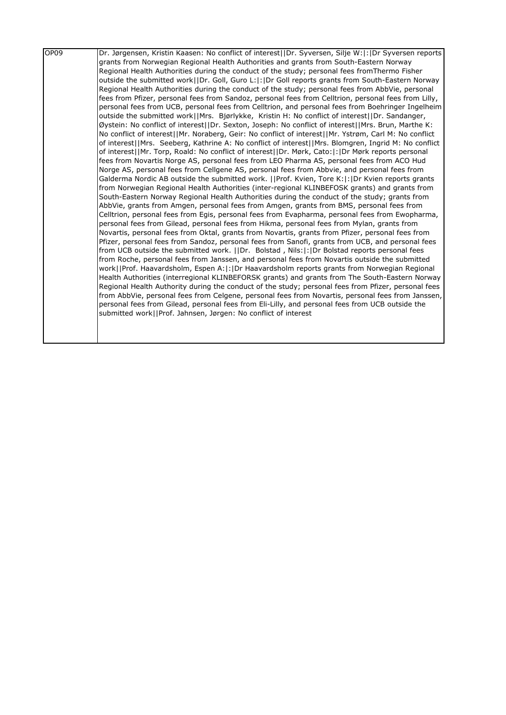| OP <sub>09</sub> | Dr. Jørgensen, Kristin Kaasen: No conflict of interest  Dr. Syversen, Silje W: : Dr Syversen reports                                                                                               |
|------------------|----------------------------------------------------------------------------------------------------------------------------------------------------------------------------------------------------|
|                  | grants from Norwegian Regional Health Authorities and grants from South-Eastern Norway                                                                                                             |
|                  | Regional Health Authorities during the conduct of the study; personal fees fromThermo Fisher                                                                                                       |
|                  | outside the submitted work  Dr. Goll, Guro L: : Dr Goll reports grants from South-Eastern Norway                                                                                                   |
|                  | Regional Health Authorities during the conduct of the study; personal fees from AbbVie, personal                                                                                                   |
|                  | fees from Pfizer, personal fees from Sandoz, personal fees from Celltrion, personal fees from Lilly,                                                                                               |
|                  | personal fees from UCB, personal fees from Celltrion, and personal fees from Boehringer Ingelheim                                                                                                  |
|                  | outside the submitted work  Mrs. Bjørlykke, Kristin H: No conflict of interest  Dr. Sandanger,                                                                                                     |
|                  | Øystein: No conflict of interest  Dr. Sexton, Joseph: No conflict of interest  Mrs. Brun, Marthe K:                                                                                                |
|                  | No conflict of interest  Mr. Noraberg, Geir: No conflict of interest  Mr. Ystrøm, Carl M: No conflict                                                                                              |
|                  | of interest  Mrs. Seeberg, Kathrine A: No conflict of interest  Mrs. Blomgren, Ingrid M: No conflict                                                                                               |
|                  | of interest  Mr. Torp, Roald: No conflict of interest  Dr. Mørk, Cato: : Dr Mørk reports personal                                                                                                  |
|                  | fees from Novartis Norge AS, personal fees from LEO Pharma AS, personal fees from ACO Hud                                                                                                          |
|                  | Norge AS, personal fees from Cellgene AS, personal fees from Abbvie, and personal fees from                                                                                                        |
|                  | Galderma Nordic AB outside the submitted work.   Prof. Kvien, Tore K: : Dr Kvien reports grants                                                                                                    |
|                  | from Norwegian Regional Health Authorities (inter-regional KLINBEFOSK grants) and grants from                                                                                                      |
|                  | South-Eastern Norway Regional Health Authorities during the conduct of the study; grants from                                                                                                      |
|                  | AbbVie, grants from Amgen, personal fees from Amgen, grants from BMS, personal fees from                                                                                                           |
|                  | Celltrion, personal fees from Egis, personal fees from Evapharma, personal fees from Ewopharma,                                                                                                    |
|                  | personal fees from Gilead, personal fees from Hikma, personal fees from Mylan, grants from                                                                                                         |
|                  | Novartis, personal fees from Oktal, grants from Novartis, grants from Pfizer, personal fees from                                                                                                   |
|                  | Pfizer, personal fees from Sandoz, personal fees from Sanofi, grants from UCB, and personal fees<br>from UCB outside the submitted work. [IDr. Bolstad, Nils:  :  Dr Bolstad reports personal fees |
|                  | from Roche, personal fees from Janssen, and personal fees from Novartis outside the submitted                                                                                                      |
|                  | work  Prof. Haavardsholm, Espen A: : Dr Haavardsholm reports grants from Norwegian Regional                                                                                                        |
|                  | Health Authorities (interregional KLINBEFORSK grants) and grants from The South-Eastern Norway                                                                                                     |
|                  | Regional Health Authority during the conduct of the study; personal fees from Pfizer, personal fees                                                                                                |
|                  | from AbbVie, personal fees from Celgene, personal fees from Novartis, personal fees from Janssen,                                                                                                  |
|                  | personal fees from Gilead, personal fees from Eli-Lilly, and personal fees from UCB outside the                                                                                                    |
|                  | submitted work  Prof. Jahnsen, Jørgen: No conflict of interest                                                                                                                                     |
|                  |                                                                                                                                                                                                    |
|                  |                                                                                                                                                                                                    |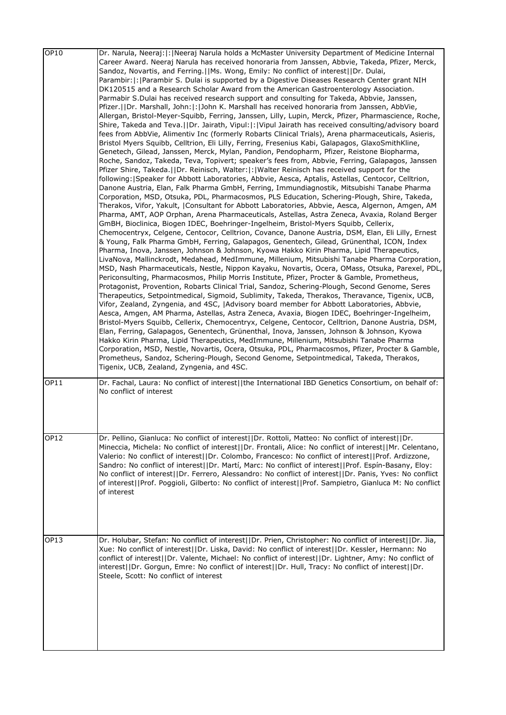| OP10        | Dr. Narula, Neeraj:  :  Neeraj Narula holds a McMaster University Department of Medicine Internal                                                                                                           |
|-------------|-------------------------------------------------------------------------------------------------------------------------------------------------------------------------------------------------------------|
|             | Career Award. Neeraj Narula has received honoraria from Janssen, Abbvie, Takeda, Pfizer, Merck,<br>Sandoz, Novartis, and Ferring.  Ms. Wong, Emily: No conflict of interest  Dr. Dulai,                     |
|             | Parambir:   :   Parambir S. Dulai is supported by a Digestive Diseases Research Center grant NIH                                                                                                            |
|             | DK120515 and a Research Scholar Award from the American Gastroenterology Association.                                                                                                                       |
|             | Parmabir S.Dulai has received research support and consulting for Takeda, Abbvie, Janssen,                                                                                                                  |
|             | Pfizer.  Dr. Marshall, John: : John K. Marshall has received honoraria from Janssen, AbbVie,                                                                                                                |
|             | Allergan, Bristol-Meyer-Squibb, Ferring, Janssen, Lilly, Lupin, Merck, Pfizer, Pharmascience, Roche,                                                                                                        |
|             | Shire, Takeda and Teva.  Dr. Jairath, Vipul: : Vipul Jairath has received consulting/advisory board<br>fees from AbbVie, Alimentiv Inc (formerly Robarts Clinical Trials), Arena pharmaceuticals, Asieris,  |
|             | Bristol Myers Squibb, Celltrion, Eli Lilly, Ferring, Fresenius Kabi, Galapagos, GlaxoSmithKline,                                                                                                            |
|             | Genetech, Gilead, Janssen, Merck, Mylan, Pandion, Pendopharm, Pfizer, Reistone Biopharma,                                                                                                                   |
|             | Roche, Sandoz, Takeda, Teva, Topivert; speaker's fees from, Abbvie, Ferring, Galapagos, Janssen                                                                                                             |
|             | Pfizer Shire, Takeda.  Dr. Reinisch, Walter: : Walter Reinisch has received support for the                                                                                                                 |
|             | following: Speaker for Abbott Laboratories, Abbvie, Aesca, Aptalis, Astellas, Centocor, Celltrion,                                                                                                          |
|             | Danone Austria, Elan, Falk Pharma GmbH, Ferring, Immundiagnostik, Mitsubishi Tanabe Pharma<br>Corporation, MSD, Otsuka, PDL, Pharmacosmos, PLS Education, Schering-Plough, Shire, Takeda,                   |
|             | Therakos, Vifor, Yakult,  Consultant for Abbott Laboratories, Abbvie, Aesca, Algernon, Amgen, AM                                                                                                            |
|             | Pharma, AMT, AOP Orphan, Arena Pharmaceuticals, Astellas, Astra Zeneca, Avaxia, Roland Berger                                                                                                               |
|             | GmBH, Bioclinica, Biogen IDEC, Boehringer-Ingelheim, Bristol-Myers Squibb, Cellerix,                                                                                                                        |
|             | Chemocentryx, Celgene, Centocor, Celltrion, Covance, Danone Austria, DSM, Elan, Eli Lilly, Ernest                                                                                                           |
|             | & Young, Falk Pharma GmbH, Ferring, Galapagos, Genentech, Gilead, Grünenthal, ICON, Index                                                                                                                   |
|             | Pharma, Inova, Janssen, Johnson & Johnson, Kyowa Hakko Kirin Pharma, Lipid Therapeutics,<br>LivaNova, Mallinckrodt, Medahead, MedImmune, Millenium, Mitsubishi Tanabe Pharma Corporation,                   |
|             | MSD, Nash Pharmaceuticals, Nestle, Nippon Kayaku, Novartis, Ocera, OMass, Otsuka, Parexel, PDL,                                                                                                             |
|             | Periconsulting, Pharmacosmos, Philip Morris Institute, Pfizer, Procter & Gamble, Prometheus,                                                                                                                |
|             | Protagonist, Provention, Robarts Clinical Trial, Sandoz, Schering-Plough, Second Genome, Seres                                                                                                              |
|             | Therapeutics, Setpointmedical, Sigmoid, Sublimity, Takeda, Therakos, Theravance, Tigenix, UCB,                                                                                                              |
|             | Vifor, Zealand, Zyngenia, and 4SC,  Advisory board member for Abbott Laboratories, Abbvie,<br>Aesca, Amgen, AM Pharma, Astellas, Astra Zeneca, Avaxia, Biogen IDEC, Boehringer-Ingelheim,                   |
|             | Bristol-Myers Squibb, Cellerix, Chemocentryx, Celgene, Centocor, Celltrion, Danone Austria, DSM,                                                                                                            |
|             | Elan, Ferring, Galapagos, Genentech, Grünenthal, Inova, Janssen, Johnson & Johnson, Kyowa                                                                                                                   |
|             | Hakko Kirin Pharma, Lipid Therapeutics, MedImmune, Millenium, Mitsubishi Tanabe Pharma                                                                                                                      |
|             | Corporation, MSD, Nestle, Novartis, Ocera, Otsuka, PDL, Pharmacosmos, Pfizer, Procter & Gamble,                                                                                                             |
|             | Prometheus, Sandoz, Schering-Plough, Second Genome, Setpointmedical, Takeda, Therakos,                                                                                                                      |
|             | Tigenix, UCB, Zealand, Zyngenia, and 4SC.                                                                                                                                                                   |
| OP11        | Dr. Fachal, Laura: No conflict of interest  the International IBD Genetics Consortium, on behalf of:<br>No conflict of interest                                                                             |
|             |                                                                                                                                                                                                             |
|             |                                                                                                                                                                                                             |
|             |                                                                                                                                                                                                             |
|             |                                                                                                                                                                                                             |
| <b>OP12</b> | Dr. Pellino, Gianluca: No conflict of interest  Dr. Rottoli, Matteo: No conflict of interest  Dr.                                                                                                           |
|             | Mineccia, Michela: No conflict of interest  Dr. Frontali, Alice: No conflict of interest  Mr. Celentano,                                                                                                    |
|             | Valerio: No conflict of interest  Dr. Colombo, Francesco: No conflict of interest  Prof. Ardizzone,<br>Sandro: No conflict of interest  Dr. Martí, Marc: No conflict of interest  Prof. Espín-Basany, Eloy: |
|             | No conflict of interest  Dr. Ferrero, Alessandro: No conflict of interest  Dr. Panis, Yves: No conflict                                                                                                     |
|             | of interest  Prof. Poggioli, Gilberto: No conflict of interest  Prof. Sampietro, Gianluca M: No conflict                                                                                                    |
|             | of interest                                                                                                                                                                                                 |
|             |                                                                                                                                                                                                             |
|             |                                                                                                                                                                                                             |
|             |                                                                                                                                                                                                             |
| OP13        | Dr. Holubar, Stefan: No conflict of interest  Dr. Prien, Christopher: No conflict of interest  Dr. Jia,                                                                                                     |
|             | Xue: No conflict of interest  Dr. Liska, David: No conflict of interest  Dr. Kessler, Hermann: No                                                                                                           |
|             | conflict of interest  Dr. Valente, Michael: No conflict of interest  Dr. Lightner, Amy: No conflict of                                                                                                      |
|             | interest  Dr. Gorgun, Emre: No conflict of interest  Dr. Hull, Tracy: No conflict of interest  Dr.                                                                                                          |
|             | Steele, Scott: No conflict of interest                                                                                                                                                                      |
|             |                                                                                                                                                                                                             |
|             |                                                                                                                                                                                                             |
|             |                                                                                                                                                                                                             |
|             |                                                                                                                                                                                                             |
|             |                                                                                                                                                                                                             |
|             |                                                                                                                                                                                                             |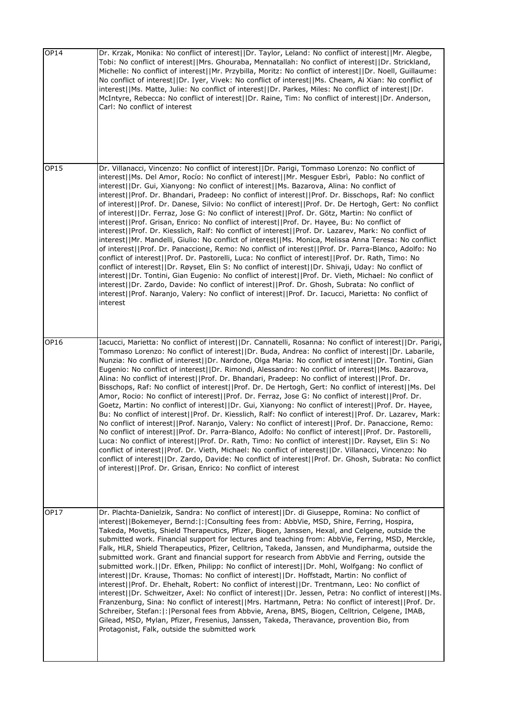| <b>OP14</b> | Dr. Krzak, Monika: No conflict of interest  Dr. Taylor, Leland: No conflict of interest  Mr. Alegbe,<br>Tobi: No conflict of interest  Mrs. Ghouraba, Mennatallah: No conflict of interest  Dr. Strickland,<br>Michelle: No conflict of interest  Mr. Przybilla, Moritz: No conflict of interest  Dr. Noell, Guillaume:<br>No conflict of interest  Dr. Iyer, Vivek: No conflict of interest  Ms. Cheam, Ai Xian: No conflict of<br>interest  Ms. Matte, Julie: No conflict of interest  Dr. Parkes, Miles: No conflict of interest  Dr.<br>McIntyre, Rebecca: No conflict of interest  Dr. Raine, Tim: No conflict of interest  Dr. Anderson,<br>Carl: No conflict of interest                                                                                                                                                                                                                                                                                                                                                                                                                                                                                                                                                                                                                                                                                                                                                                                                                                                                                                                    |
|-------------|----------------------------------------------------------------------------------------------------------------------------------------------------------------------------------------------------------------------------------------------------------------------------------------------------------------------------------------------------------------------------------------------------------------------------------------------------------------------------------------------------------------------------------------------------------------------------------------------------------------------------------------------------------------------------------------------------------------------------------------------------------------------------------------------------------------------------------------------------------------------------------------------------------------------------------------------------------------------------------------------------------------------------------------------------------------------------------------------------------------------------------------------------------------------------------------------------------------------------------------------------------------------------------------------------------------------------------------------------------------------------------------------------------------------------------------------------------------------------------------------------------------------------------------------------------------------------------------------------|
| <b>OP15</b> | Dr. Villanacci, Vincenzo: No conflict of interest  Dr. Parigi, Tommaso Lorenzo: No conflict of<br>interest  Ms. Del Amor, Rocío: No conflict of interest  Mr. Mesguer Esbrì,  Pablo: No conflict of<br>interest  Dr. Gui, Xianyong: No conflict of interest  Ms. Bazarova, Alina: No conflict of<br>interest  Prof. Dr. Bhandari, Pradeep: No conflict of interest  Prof. Dr. Bisschops, Raf: No conflict<br>of interest  Prof. Dr. Danese, Silvio: No conflict of interest  Prof. Dr. De Hertogh, Gert: No conflict<br>of interest  Dr. Ferraz, Jose G: No conflict of interest  Prof. Dr. Götz, Martin: No conflict of<br>interest  Prof. Grisan, Enrico: No conflict of interest  Prof. Dr. Hayee, Bu: No conflict of<br>interest  Prof. Dr. Kiesslich, Ralf: No conflict of interest  Prof. Dr. Lazarev, Mark: No conflict of<br>interest  Mr. Mandelli, Giulio: No conflict of interest  Ms. Monica, Melissa Anna Teresa: No conflict<br>of interest  Prof. Dr. Panaccione, Remo: No conflict of interest  Prof. Dr. Parra-Blanco, Adolfo: No<br>conflict of interest  Prof. Dr. Pastorelli, Luca: No conflict of interest  Prof. Dr. Rath, Timo: No<br>conflict of interest  Dr. Røyset, Elin S: No conflict of interest  Dr. Shivaji, Uday: No conflict of<br>interest  Dr. Tontini, Gian Eugenio: No conflict of interest  Prof. Dr. Vieth, Michael: No conflict of<br>interest  Dr. Zardo, Davide: No conflict of interest  Prof. Dr. Ghosh, Subrata: No conflict of<br>interest  Prof. Naranjo, Valery: No conflict of interest  Prof. Dr. Iacucci, Marietta: No conflict of<br>interest |
| OP16        | Iacucci, Marietta: No conflict of interest  Dr. Cannatelli, Rosanna: No conflict of interest  Dr. Parigi,<br>Tommaso Lorenzo: No conflict of interest  Dr. Buda, Andrea: No conflict of interest  Dr. Labarile,<br>Nunzia: No conflict of interest  Dr. Nardone, Olga Maria: No conflict of interest  Dr. Tontini, Gian<br>Eugenio: No conflict of interest  Dr. Rimondi, Alessandro: No conflict of interest  Ms. Bazarova,<br>Alina: No conflict of interest  Prof. Dr. Bhandari, Pradeep: No conflict of interest  Prof. Dr.<br>Bisschops, Raf: No conflict of interest  Prof. Dr. De Hertogh, Gert: No conflict of interest  Ms. Del<br>Amor, Rocio: No conflict of interest  Prof. Dr. Ferraz, Jose G: No conflict of interest  Prof. Dr.<br>Goetz, Martin: No conflict of interest  Dr. Gui, Xianyong: No conflict of interest  Prof. Dr. Hayee,<br>Bu: No conflict of interest  Prof. Dr. Kiesslich, Ralf: No conflict of interest  Prof. Dr. Lazarev, Mark:<br>No conflict of interest  Prof. Naranjo, Valery: No conflict of interest  Prof. Dr. Panaccione, Remo:<br>No conflict of interest  Prof. Dr. Parra-Blanco, Adolfo: No conflict of interest  Prof. Dr. Pastorelli,<br>Luca: No conflict of interest  Prof. Dr. Rath, Timo: No conflict of interest  Dr. Røyset, Elin S: No<br>conflict of interest  Prof. Dr. Vieth, Michael: No conflict of interest  Dr. Villanacci, Vincenzo: No<br>conflict of interest  Dr. Zardo, Davide: No conflict of interest  Prof. Dr. Ghosh, Subrata: No conflict<br>of interest  Prof. Dr. Grisan, Enrico: No conflict of interest               |
| OP17        | Dr. Plachta-Danielzik, Sandra: No conflict of interest  Dr. di Giuseppe, Romina: No conflict of<br>interest  Bokemeyer, Bernd: : Consulting fees from: AbbVie, MSD, Shire, Ferring, Hospira,<br>Takeda, Movetis, Shield Therapeutics, Pfizer, Biogen, Janssen, Hexal, and Celgene, outside the<br>submitted work. Financial support for lectures and teaching from: AbbVie, Ferring, MSD, Merckle,<br>Falk, HLR, Shield Therapeutics, Pfizer, Celltrion, Takeda, Janssen, and Mundipharma, outside the<br>submitted work. Grant and financial support for research from AbbVie and Ferring, outside the<br>submitted work.  Dr. Efken, Philipp: No conflict of interest  Dr. Mohl, Wolfgang: No conflict of<br>interest  Dr. Krause, Thomas: No conflict of interest  Dr. Hoffstadt, Martin: No conflict of<br>interest  Prof. Dr. Ehehalt, Robert: No conflict of interest  Dr. Trentmann, Leo: No conflict of<br>interest  Dr. Schweitzer, Axel: No conflict of interest  Dr. Jessen, Petra: No conflict of interest  Ms.<br>Franzenburg, Sina: No conflict of interest  Mrs. Hartmann, Petra: No conflict of interest  Prof. Dr.<br>Schreiber, Stefan:  :  Personal fees from Abbvie, Arena, BMS, Biogen, Celltrion, Celgene, IMAB,<br>Gilead, MSD, Mylan, Pfizer, Fresenius, Janssen, Takeda, Theravance, provention Bio, from<br>Protagonist, Falk, outside the submitted work                                                                                                                                                                                                                |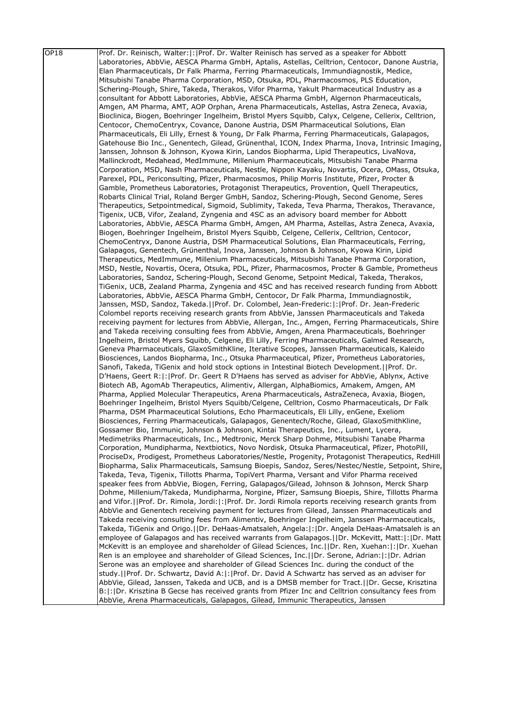| OP18 | Prof. Dr. Reinisch, Walter:  :   Prof. Dr. Walter Reinisch has served as a speaker for Abbott         |
|------|-------------------------------------------------------------------------------------------------------|
|      | Laboratories, AbbVie, AESCA Pharma GmbH, Aptalis, Astellas, Celltrion, Centocor, Danone Austria,      |
|      | Elan Pharmaceuticals, Dr Falk Pharma, Ferring Pharmaceuticals, Immundiagnostik, Medice,               |
|      | Mitsubishi Tanabe Pharma Corporation, MSD, Otsuka, PDL, Pharmacosmos, PLS Education,                  |
|      | Schering-Plough, Shire, Takeda, Therakos, Vifor Pharma, Yakult Pharmaceutical Industry as a           |
|      | consultant for Abbott Laboratories, AbbVie, AESCA Pharma GmbH, Algernon Pharmaceuticals,              |
|      | Amgen, AM Pharma, AMT, AOP Orphan, Arena Pharmaceuticals, Astellas, Astra Zeneca, Avaxia,             |
|      | Bioclinica, Biogen, Boehringer Ingelheim, Bristol Myers Squibb, Calyx, Celgene, Cellerix, Celltrion,  |
|      |                                                                                                       |
|      | Centocor, ChemoCentryx, Covance, Danone Austria, DSM Pharmaceutical Solutions, Elan                   |
|      | Pharmaceuticals, Eli Lilly, Ernest & Young, Dr Falk Pharma, Ferring Pharmaceuticals, Galapagos,       |
|      | Gatehouse Bio Inc., Genentech, Gilead, Grünenthal, ICON, Index Pharma, Inova, Intrinsic Imaging,      |
|      | Janssen, Johnson & Johnson, Kyowa Kirin, Landos Biopharma, Lipid Therapeutics, LivaNova,              |
|      | Mallinckrodt, Medahead, MedImmune, Millenium Pharmaceuticals, Mitsubishi Tanabe Pharma                |
|      | Corporation, MSD, Nash Pharmaceuticals, Nestle, Nippon Kayaku, Novartis, Ocera, OMass, Otsuka,        |
|      | Parexel, PDL, Periconsulting, Pfizer, Pharmacosmos, Philip Morris Institute, Pfizer, Procter &        |
|      | Gamble, Prometheus Laboratories, Protagonist Therapeutics, Provention, Quell Therapeutics,            |
|      | Robarts Clinical Trial, Roland Berger GmbH, Sandoz, Schering-Plough, Second Genome, Seres             |
|      | Therapeutics, Setpointmedical, Sigmoid, Sublimity, Takeda, Teva Pharma, Therakos, Theravance,         |
|      | Tigenix, UCB, Vifor, Zealand, Zyngenia and 4SC as an advisory board member for Abbott                 |
|      | Laboratories, AbbVie, AESCA Pharma GmbH, Amgen, AM Pharma, Astellas, Astra Zeneca, Avaxia,            |
|      | Biogen, Boehringer Ingelheim, Bristol Myers Squibb, Celgene, Cellerix, Celltrion, Centocor,           |
|      | ChemoCentryx, Danone Austria, DSM Pharmaceutical Solutions, Elan Pharmaceuticals, Ferring,            |
|      | Galapagos, Genentech, Grünenthal, Inova, Janssen, Johnson & Johnson, Kyowa Kirin, Lipid               |
|      | Therapeutics, MedImmune, Millenium Pharmaceuticals, Mitsubishi Tanabe Pharma Corporation,             |
|      | MSD, Nestle, Novartis, Ocera, Otsuka, PDL, Pfizer, Pharmacosmos, Procter & Gamble, Prometheus         |
|      | Laboratories, Sandoz, Schering-Plough, Second Genome, Setpoint Medical, Takeda, Therakos,             |
|      | TiGenix, UCB, Zealand Pharma, Zyngenia and 4SC and has received research funding from Abbott          |
|      | Laboratories, AbbVie, AESCA Pharma GmbH, Centocor, Dr Falk Pharma, Immundiagnostik,                   |
|      | Janssen, MSD, Sandoz, Takeda.  Prof. Dr. Colombel, Jean-Frederic: : Prof. Dr. Jean-Frederic           |
|      | Colombel reports receiving research grants from AbbVie, Janssen Pharmaceuticals and Takeda            |
|      | receiving payment for lectures from AbbVie, Allergan, Inc., Amgen, Ferring Pharmaceuticals, Shire     |
|      | and Takeda receiving consulting fees from AbbVie, Amgen, Arena Pharmaceuticals, Boehringer            |
|      | Ingelheim, Bristol Myers Squibb, Celgene, Eli Lilly, Ferring Pharmaceuticals, Galmed Research,        |
|      | Geneva Pharmaceuticals, GlaxoSmithKline, Iterative Scopes, Janssen Pharmaceuticals, Kaleido           |
|      | Biosciences, Landos Biopharma, Inc., Otsuka Pharmaceutical, Pfizer, Prometheus Laboratories,          |
|      | Sanofi, Takeda, TiGenix and hold stock options in Intestinal Biotech Development.     Prof. Dr.       |
|      | D'Haens, Geert R: :  Prof. Dr. Geert R D'Haens has served as adviser for AbbVie, Ablynx, Active       |
|      | Biotech AB, AgomAb Therapeutics, Alimentiv, Allergan, AlphaBiomics, Amakem, Amgen, AM                 |
|      | Pharma, Applied Molecular Therapeutics, Arena Pharmaceuticals, AstraZeneca, Avaxia, Biogen,           |
|      | Boehringer Ingelheim, Bristol Myers Squibb/Celgene, Celltrion, Cosmo Pharmaceuticals, Dr Falk         |
|      | Pharma, DSM Pharmaceutical Solutions, Echo Pharmaceuticals, Eli Lilly, enGene, Exeliom                |
|      | Biosciences, Ferring Pharmaceuticals, Galapagos, Genentech/Roche, Gilead, GlaxoSmithKline,            |
|      | Gossamer Bio, Immunic, Johnson & Johnson, Kintai Therapeutics, Inc., Lument, Lycera,                  |
|      | Medimetriks Pharmaceuticals, Inc., Medtronic, Merck Sharp Dohme, Mitsubishi Tanabe Pharma             |
|      | Corporation, Mundipharma, Nextbiotics, Novo Nordisk, Otsuka Pharmaceutical, Pfizer, PhotoPill,        |
|      | ProciseDx, Prodigest, Prometheus Laboratories/Nestle, Progenity, Protagonist Therapeutics, RedHill    |
|      | Biopharma, Salix Pharmaceuticals, Samsung Bioepis, Sandoz, Seres/Nestec/Nestle, Setpoint, Shire,      |
|      | Takeda, Teva, Tigenix, Tillotts Pharma, TopiVert Pharma, Versant and Vifor Pharma received            |
|      | speaker fees from AbbVie, Biogen, Ferring, Galapagos/Gilead, Johnson & Johnson, Merck Sharp           |
|      | Dohme, Millenium/Takeda, Mundipharma, Norgine, Pfizer, Samsung Bioepis, Shire, Tillotts Pharma        |
|      | and Vifor.  Prof. Dr. Rimola, Jordi: : Prof. Dr. Jordi Rimola reports receiving research grants from  |
|      | AbbVie and Genentech receiving payment for lectures from Gilead, Janssen Pharmaceuticals and          |
|      | Takeda receiving consulting fees from Alimentiv, Boehringer Ingelheim, Janssen Pharmaceuticals,       |
|      | Takeda, TiGenix and Origo.  Dr. DeHaas-Amatsaleh, Angela: : Dr. Angela DeHaas-Amatsaleh is an         |
|      | employee of Galapagos and has received warrants from Galapagos. [IDr. McKevitt, Matt:  :  Dr. Matt    |
|      | McKevitt is an employee and shareholder of Gilead Sciences, Inc.  Dr. Ren, Xuehan: : Dr. Xuehan       |
|      | Ren is an employee and shareholder of Gilead Sciences, Inc.  Dr. Serone, Adrian: : Dr. Adrian         |
|      | Serone was an employee and shareholder of Gilead Sciences Inc. during the conduct of the              |
|      | study.  Prof. Dr. Schwartz, David A: : Prof. Dr. David A Schwartz has served as an adviser for        |
|      | AbbVie, Gilead, Janssen, Takeda and UCB, and is a DMSB member for Tract.   Dr. Gecse, Krisztina       |
|      | B:  :   Dr. Krisztina B Gecse has received grants from Pfizer Inc and Celltrion consultancy fees from |
|      | AbbVie, Arena Pharmaceuticals, Galapagos, Gilead, Immunic Therapeutics, Janssen                       |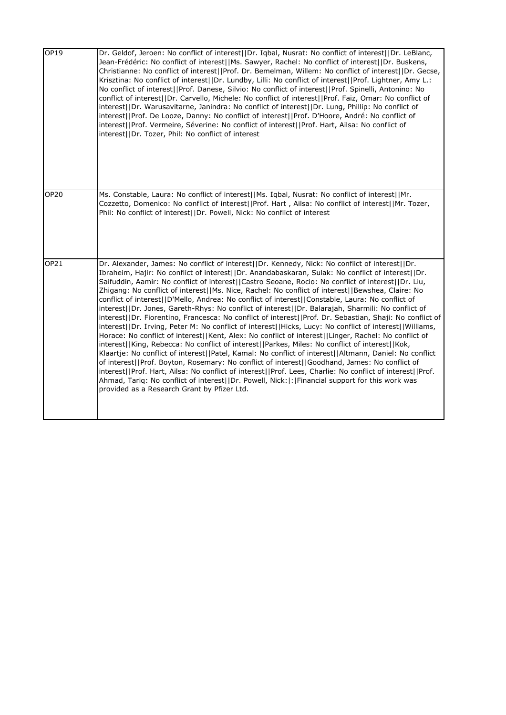| OP19        | Dr. Geldof, Jeroen: No conflict of interest  Dr. Iqbal, Nusrat: No conflict of interest  Dr. LeBlanc,<br>Jean-Frédéric: No conflict of interest  Ms. Sawyer, Rachel: No conflict of interest  Dr. Buskens,<br>Christianne: No conflict of interest  Prof. Dr. Bemelman, Willem: No conflict of interest  Dr. Gecse,<br>Krisztina: No conflict of interest  Dr. Lundby, Lilli: No conflict of interest  Prof. Lightner, Amy L.:<br>No conflict of interest  Prof. Danese, Silvio: No conflict of interest  Prof. Spinelli, Antonino: No<br>conflict of interest  Dr. Carvello, Michele: No conflict of interest  Prof. Faiz, Omar: No conflict of<br>interest  Dr. Warusavitarne, Janindra: No conflict of interest  Dr. Lung, Phillip: No conflict of<br>interest  Prof. De Looze, Danny: No conflict of interest  Prof. D'Hoore, André: No conflict of<br>interest  Prof. Vermeire, Séverine: No conflict of interest  Prof. Hart, Ailsa: No conflict of<br>interest  Dr. Tozer, Phil: No conflict of interest                                                                                                                                                                                                                                                                                                                                                                                                                                                                                                                   |
|-------------|-----------------------------------------------------------------------------------------------------------------------------------------------------------------------------------------------------------------------------------------------------------------------------------------------------------------------------------------------------------------------------------------------------------------------------------------------------------------------------------------------------------------------------------------------------------------------------------------------------------------------------------------------------------------------------------------------------------------------------------------------------------------------------------------------------------------------------------------------------------------------------------------------------------------------------------------------------------------------------------------------------------------------------------------------------------------------------------------------------------------------------------------------------------------------------------------------------------------------------------------------------------------------------------------------------------------------------------------------------------------------------------------------------------------------------------------------------------------------------------------------------------------------------------|
| <b>OP20</b> | Ms. Constable, Laura: No conflict of interest  Ms. Iqbal, Nusrat: No conflict of interest  Mr.<br>Cozzetto, Domenico: No conflict of interest  Prof. Hart, Ailsa: No conflict of interest  Mr. Tozer,<br>Phil: No conflict of interest  Dr. Powell, Nick: No conflict of interest                                                                                                                                                                                                                                                                                                                                                                                                                                                                                                                                                                                                                                                                                                                                                                                                                                                                                                                                                                                                                                                                                                                                                                                                                                                 |
| OP21        | Dr. Alexander, James: No conflict of interest  Dr. Kennedy, Nick: No conflict of interest  Dr.<br>Ibraheim, Hajir: No conflict of interest  Dr. Anandabaskaran, Sulak: No conflict of interest  Dr.<br>Saifuddin, Aamir: No conflict of interest  Castro Seoane, Rocio: No conflict of interest  Dr. Liu,<br>Zhigang: No conflict of interest  Ms. Nice, Rachel: No conflict of interest  Bewshea, Claire: No<br>conflict of interest  D'Mello, Andrea: No conflict of interest  Constable, Laura: No conflict of<br>interest  Dr. Jones, Gareth-Rhys: No conflict of interest  Dr. Balarajah, Sharmili: No conflict of<br>interest  Dr. Fiorentino, Francesca: No conflict of interest  Prof. Dr. Sebastian, Shaji: No conflict of<br>interest  Dr. Irving, Peter M: No conflict of interest  Hicks, Lucy: No conflict of interest  Williams,<br>Horace: No conflict of interest  Kent, Alex: No conflict of interest  Linger, Rachel: No conflict of<br>interest  King, Rebecca: No conflict of interest  Parkes, Miles: No conflict of interest  Kok,<br>Klaartje: No conflict of interest  Patel, Kamal: No conflict of interest  Altmann, Daniel: No conflict<br>of interest  Prof. Boyton, Rosemary: No conflict of interest  Goodhand, James: No conflict of<br>interest  Prof. Hart, Ailsa: No conflict of interest  Prof. Lees, Charlie: No conflict of interest  Prof.<br>Ahmad, Tariq: No conflict of interest  Dr. Powell, Nick: : Financial support for this work was<br>provided as a Research Grant by Pfizer Ltd. |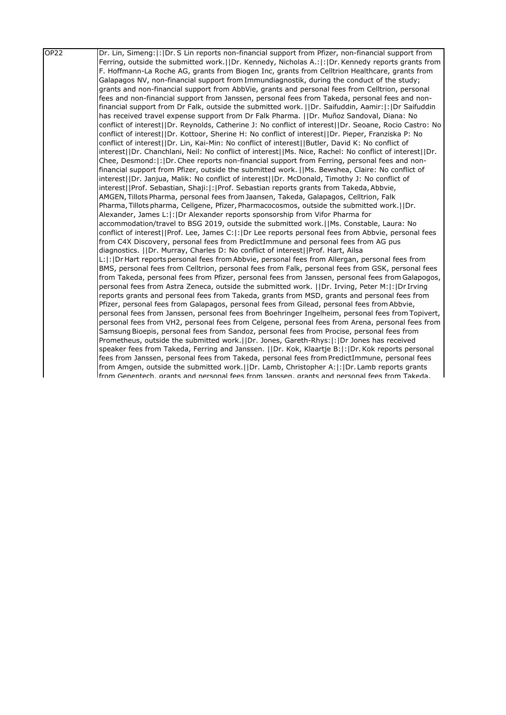| OP <sub>22</sub> | Dr. Lin, Simeng:  :  Dr. S Lin reports non-financial support from Pfizer, non-financial support from     |
|------------------|----------------------------------------------------------------------------------------------------------|
|                  | Ferring, outside the submitted work.     Dr. Kennedy, Nicholas A.:   :   Dr. Kennedy reports grants from |
|                  | F. Hoffmann-La Roche AG, grants from Biogen Inc, grants from Celltrion Healthcare, grants from           |
|                  | Galapagos NV, non-financial support from Immundiagnostik, during the conduct of the study;               |
|                  | grants and non-financial support from AbbVie, grants and personal fees from Celltrion, personal          |
|                  | fees and non-financial support from Janssen, personal fees from Takeda, personal fees and non-           |
|                  | financial support from Dr Falk, outside the submitted work. [JDr. Saifuddin, Aamir: [: ]Dr Saifuddin     |
|                  | has received travel expense support from Dr Falk Pharma.   Dr. Muñoz Sandoval, Diana: No                 |
|                  | conflict of interest  Dr. Reynolds, Catherine J: No conflict of interest  Dr. Seoane, Rocio Castro: No   |
|                  | conflict of interest  Dr. Kottoor, Sherine H: No conflict of interest  Dr. Pieper, Franziska P: No       |
|                  | conflict of interest  Dr. Lin, Kai-Min: No conflict of interest  Butler, David K: No conflict of         |
|                  | interest  Dr. Chanchlani, Neil: No conflict of interest  Ms. Nice, Rachel: No conflict of interest  Dr.  |
|                  | Chee, Desmond:  :  Dr. Chee reports non-financial support from Ferring, personal fees and non-           |
|                  | financial support from Pfizer, outside the submitted work. [IMs. Bewshea, Claire: No conflict of         |
|                  | interest (IDr. Janjua, Malik: No conflict of interest (IDr. McDonald, Timothy J: No conflict of          |
|                  | interest  Prof. Sebastian, Shaji: : Prof. Sebastian reports grants from Takeda, Abbvie,                  |
|                  | AMGEN, Tillots Pharma, personal fees from Jaansen, Takeda, Galapagos, Celltrion, Falk                    |
|                  | Pharma, Tillots pharma, Cellgene, Pfizer, Pharmacocosmos, outside the submitted work. (IDr.              |
|                  | Alexander, James L:  :  Dr Alexander reports sponsorship from Vifor Pharma for                           |
|                  | accommodation/travel to BSG 2019, outside the submitted work.  Ms. Constable, Laura: No                  |
|                  | conflict of interest  Prof. Lee, James C: : Dr Lee reports personal fees from Abbvie, personal fees      |
|                  | from C4X Discovery, personal fees from PredictImmune and personal fees from AG pus                       |
|                  | diagnostics.   Dr. Murray, Charles D: No conflict of interest  Prof. Hart, Ailsa                         |
|                  | L:  :   Dr Hart reports personal fees from Abbvie, personal fees from Allergan, personal fees from       |
|                  | BMS, personal fees from Celltrion, personal fees from Falk, personal fees from GSK, personal fees        |
|                  | from Takeda, personal fees from Pfizer, personal fees from Janssen, personal fees from Galapogos,        |
|                  | personal fees from Astra Zeneca, outside the submitted work.     Dr. Irving, Peter M:   :   Dr Irving    |
|                  | reports grants and personal fees from Takeda, grants from MSD, grants and personal fees from             |
|                  | Pfizer, personal fees from Galapagos, personal fees from Gilead, personal fees from Abbvie,              |
|                  | personal fees from Janssen, personal fees from Boehringer Ingelheim, personal fees from Topivert,        |
|                  | personal fees from VH2, personal fees from Celgene, personal fees from Arena, personal fees from         |
|                  | Samsung Bioepis, personal fees from Sandoz, personal fees from Procise, personal fees from               |
|                  | Prometheus, outside the submitted work.     Dr. Jones, Gareth-Rhys:  :   Dr Jones has received           |
|                  | speaker fees from Takeda, Ferring and Janssen.   Dr. Kok, Klaartje B: : Dr. Kok reports personal         |
|                  | fees from Janssen, personal fees from Takeda, personal fees from PredictImmune, personal fees            |
|                  | from Amgen, outside the submitted work. I IDr. Lamb, Christopher A:  : IDr. Lamb reports grants          |
|                  | lfrom Genentech, grants and personal fees from Janssen, grants and personal fees from Takeda.            |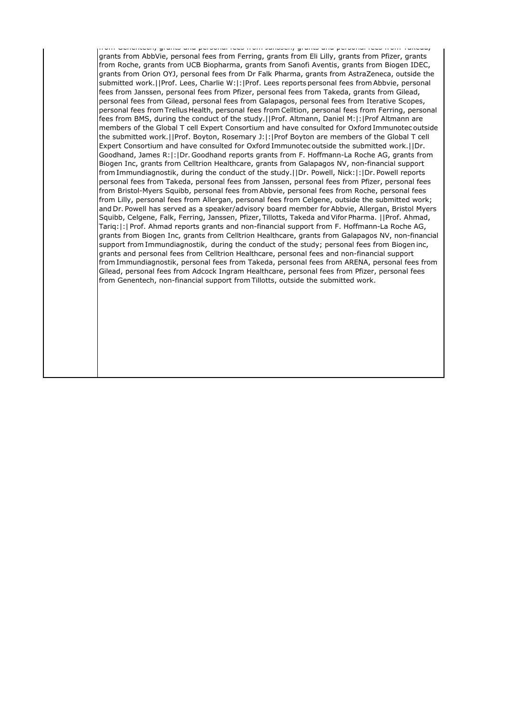from Genentech, grants and personal fees from Janssen, grants and personal fees from Takeda, grants from AbbVie, personal fees from Ferring, grants from Eli Lilly, grants from Pfizer, grants from Roche, grants from UCB Biopharma, grants from Sanofi Aventis, grants from Biogen IDEC, grants from Orion OYJ, personal fees from Dr Falk Pharma, grants from AstraZeneca, outside the submitted work.||Prof. Lees, Charlie W:|:|Prof. Lees reports personal fees from Abbvie, personal fees from Janssen, personal fees from Pfizer, personal fees from Takeda, grants from Gilead, personal fees from Gilead, personal fees from Galapagos, personal fees from Iterative Scopes, personal fees from Trellus Health, personal fees from Celltion, personal fees from Ferring, personal fees from BMS, during the conduct of the study.||Prof. Altmann, Daniel M:|:|Prof Altmann are members of the Global T cell Expert Consortium and have consulted for Oxford Immunotec outside the submitted work.||Prof. Boyton, Rosemary J:|:|Prof Boyton are members of the Global T cell Expert Consortium and have consulted for Oxford Immunotec outside the submitted work.||Dr. Goodhand, James R:|:|Dr. Goodhand reports grants from F. Hoffmann-La Roche AG, grants from Biogen Inc, grants from Celltrion Healthcare, grants from Galapagos NV, non-financial support from Immundiagnostik, during the conduct of the study.||Dr. Powell, Nick:|:|Dr. Powell reports personal fees from Takeda, personal fees from Janssen, personal fees from Pfizer, personal fees from Bristol-Myers Squibb, personal fees from Abbvie, personal fees from Roche, personal fees from Lilly, personal fees from Allergan, personal fees from Celgene, outside the submitted work; and Dr. Powell has served as a speaker/advisory board member for Abbvie, Allergan, Bristol Myers Squibb, Celgene, Falk, Ferring, Janssen, Pfizer, Tillotts, Takeda and Vifor Pharma.  ||Prof. Ahmad, Tariq:|:| Prof. Ahmad reports grants and non-financial support from F. Hoffmann-La Roche AG, grants from Biogen Inc, grants from Celltrion Healthcare, grants from Galapagos NV, non-financial support from Immundiagnostik,  during the conduct of the study; personal fees from Biogen inc, grants and personal fees from Celltrion Healthcare, personal fees and non-financial support from Immundiagnostik, personal fees from Takeda, personal fees from ARENA, personal fees from Gilead, personal fees from Adcock Ingram Healthcare, personal fees from Pfizer, personal fees from Genentech, non-financial support from Tillotts, outside the submitted work.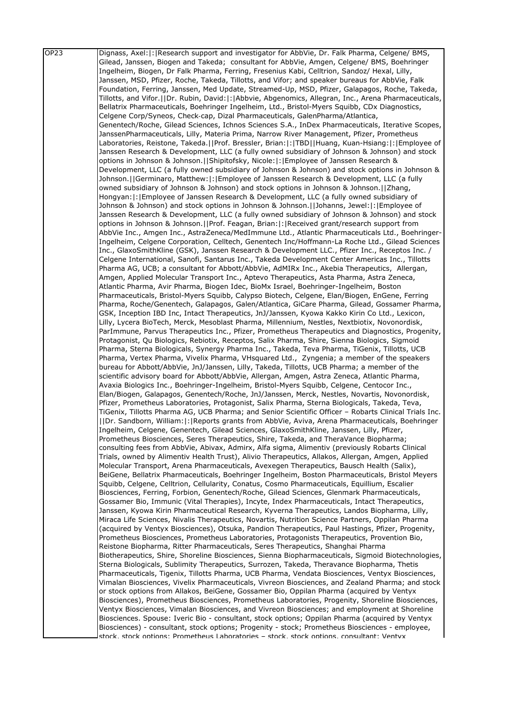| OP <sub>23</sub> | Dignass, Axel:  :   Research support and investigator for AbbVie, Dr. Falk Pharma, Celgene/ BMS,                                                                                                 |
|------------------|--------------------------------------------------------------------------------------------------------------------------------------------------------------------------------------------------|
|                  | Gilead, Janssen, Biogen and Takeda; consultant for AbbVie, Amgen, Celgene/ BMS, Boehringer                                                                                                       |
|                  | Ingelheim, Biogen, Dr Falk Pharma, Ferring, Fresenius Kabi, Celltrion, Sandoz/ Hexal, Lilly,                                                                                                     |
|                  | Janssen, MSD, Pfizer, Roche, Takeda, Tillotts, and Vifor; and speaker bureaus for AbbVie, Falk                                                                                                   |
|                  | Foundation, Ferring, Janssen, Med Update, Streamed-Up, MSD, Pfizer, Galapagos, Roche, Takeda,                                                                                                    |
|                  | Tillotts, and Vifor.     Dr. Rubin, David:  :   Abbvie, Abgenomics, Allegran, Inc., Arena Pharmaceuticals,                                                                                       |
|                  | Bellatrix Pharmaceuticals, Boehringer Ingelheim, Ltd., Bristol-Myers Squibb, CDx Diagnostics,                                                                                                    |
|                  | Celgene Corp/Syneos, Check-cap, Dizal Pharmaceuticals, GalenPharma/Atlantica,                                                                                                                    |
|                  | Genentech/Roche, Gilead Sciences, Ichnos Sciences S.A., InDex Pharmaceuticals, Iterative Scopes,                                                                                                 |
|                  | JanssenPharmaceuticals, Lilly, Materia Prima, Narrow River Management, Pfizer, Prometheus                                                                                                        |
|                  | Laboratories, Reistone, Takeda.  Prof. Bressler, Brian: : TBD  Huang, Kuan-Hsiang: : Employee of                                                                                                 |
|                  | Janssen Research & Development, LLC (a fully owned subsidiary of Johnson & Johnson) and stock                                                                                                    |
|                  | options in Johnson & Johnson.   Shipitofsky, Nicole:   :   Employee of Janssen Research &                                                                                                        |
|                  | Development, LLC (a fully owned subsidiary of Johnson & Johnson) and stock options in Johnson &                                                                                                  |
|                  | Johnson.   Germinaro, Matthew:  :   Employee of Janssen Research & Development, LLC (a fully                                                                                                     |
|                  | owned subsidiary of Johnson & Johnson) and stock options in Johnson & Johnson.   [Zhang,                                                                                                         |
|                  | Hongyan:  :   Employee of Janssen Research & Development, LLC (a fully owned subsidiary of                                                                                                       |
|                  | Johnson & Johnson) and stock options in Johnson & Johnson.[JJohanns, Jewel: : : [Employee of                                                                                                     |
|                  | Janssen Research & Development, LLC (a fully owned subsidiary of Johnson & Johnson) and stock<br>options in Johnson & Johnson.   Prof. Feagan, Brian:  :  Received grant/research support from   |
|                  | AbbVie Inc., Amgen Inc., AstraZeneca/MedImmune Ltd., Atlantic Pharmaceuticals Ltd., Boehringer-                                                                                                  |
|                  | Ingelheim, Celgene Corporation, Celltech, Genentech Inc/Hoffmann-La Roche Ltd., Gilead Sciences                                                                                                  |
|                  | Inc., GlaxoSmithKline (GSK), Janssen Research & Development LLC., Pfizer Inc., Receptos Inc. /                                                                                                   |
|                  | Celgene International, Sanofi, Santarus Inc., Takeda Development Center Americas Inc., Tillotts                                                                                                  |
|                  | Pharma AG, UCB; a consultant for Abbott/AbbVie, AdMIRx Inc., Akebia Therapeutics, Allergan,                                                                                                      |
|                  | Amgen, Applied Molecular Transport Inc., Aptevo Therapeutics, Asta Pharma, Astra Zeneca,                                                                                                         |
|                  | Atlantic Pharma, Avir Pharma, Biogen Idec, BioMx Israel, Boehringer-Ingelheim, Boston                                                                                                            |
|                  | Pharmaceuticals, Bristol-Myers Squibb, Calypso Biotech, Celgene, Elan/Biogen, EnGene, Ferring                                                                                                    |
|                  | Pharma, Roche/Genentech, Galapagos, Galen/Atlantica, GiCare Pharma, Gilead, Gossamer Pharma,                                                                                                     |
|                  | GSK, Inception IBD Inc, Intact Therapeutics, JnJ/Janssen, Kyowa Kakko Kirin Co Ltd., Lexicon,                                                                                                    |
|                  | Lilly, Lycera BioTech, Merck, Mesoblast Pharma, Millennium, Nestles, Nextbiotix, Novonordisk,                                                                                                    |
|                  | ParImmune, Parvus Therapeutics Inc., Pfizer, Prometheus Therapeutics and Diagnostics, Progenity,                                                                                                 |
|                  | Protagonist, Qu Biologics, Rebiotix, Receptos, Salix Pharma, Shire, Sienna Biologics, Sigmoid                                                                                                    |
|                  | Pharma, Sterna Biologicals, Synergy Pharma Inc., Takeda, Teva Pharma, TiGenix, Tillotts, UCB                                                                                                     |
|                  | Pharma, Vertex Pharma, Vivelix Pharma, VHsquared Ltd., Zyngenia; a member of the speakers                                                                                                        |
|                  | bureau for Abbott/AbbVie, JnJ/Janssen, Lilly, Takeda, Tillotts, UCB Pharma; a member of the                                                                                                      |
|                  | scientific advisory board for Abbott/AbbVie, Allergan, Amgen, Astra Zeneca, Atlantic Pharma,                                                                                                     |
|                  | Avaxia Biologics Inc., Boehringer-Ingelheim, Bristol-Myers Squibb, Celgene, Centocor Inc.,<br>Elan/Biogen, Galapagos, Genentech/Roche, JnJ/Janssen, Merck, Nestles, Novartis, Novonordisk,       |
|                  | Pfizer, Prometheus Laboratories, Protagonist, Salix Pharma, Sterna Biologicals, Takeda, Teva,                                                                                                    |
|                  | TiGenix, Tillotts Pharma AG, UCB Pharma; and Senior Scientific Officer - Robarts Clinical Trials Inc.                                                                                            |
|                  | Dr. Sandborn, William: : Reports grants from AbbVie, Aviva, Arena Pharmaceuticals, Boehringer                                                                                                    |
|                  | Ingelheim, Celgene, Genentech, Gilead Sciences, GlaxoSmithKline, Janssen, Lilly, Pfizer,                                                                                                         |
|                  | Prometheus Biosciences, Seres Therapeutics, Shire, Takeda, and TheraVance Biopharma;                                                                                                             |
|                  | consulting fees from AbbVie, Abivax, Admirx, Alfa sigma, Alimentiv (previously Robarts Clinical                                                                                                  |
|                  | Trials, owned by Alimentiv Health Trust), Alivio Therapeutics, Allakos, Allergan, Amgen, Applied                                                                                                 |
|                  | Molecular Transport, Arena Pharmaceuticals, Avexegen Therapeutics, Bausch Health (Salix),                                                                                                        |
|                  | BeiGene, Bellatrix Pharmaceuticals, Boehringer Ingelheim, Boston Pharmaceuticals, Bristol Meyers                                                                                                 |
|                  | Squibb, Celgene, Celltrion, Cellularity, Conatus, Cosmo Pharmaceuticals, Equillium, Escalier                                                                                                     |
|                  | Biosciences, Ferring, Forbion, Genentech/Roche, Gilead Sciences, Glenmark Pharmaceuticals,                                                                                                       |
|                  | Gossamer Bio, Immunic (Vital Therapies), Incyte, Index Pharmaceuticals, Intact Therapeutics,                                                                                                     |
|                  | Janssen, Kyowa Kirin Pharmaceutical Research, Kyverna Therapeutics, Landos Biopharma, Lilly,                                                                                                     |
|                  | Miraca Life Sciences, Nivalis Therapeutics, Novartis, Nutrition Science Partners, Oppilan Pharma                                                                                                 |
|                  | (acquired by Ventyx Biosciences), Otsuka, Pandion Therapeutics, Paul Hastings, Pfizer, Progenity,                                                                                                |
|                  | Prometheus Biosciences, Prometheus Laboratories, Protagonists Therapeutics, Provention Bio,                                                                                                      |
|                  | Reistone Biopharma, Ritter Pharmaceuticals, Seres Therapeutics, Shanghai Pharma                                                                                                                  |
|                  | Biotherapeutics, Shire, Shoreline Biosciences, Sienna Biopharmaceuticals, Sigmoid Biotechnologies,<br>Sterna Biologicals, Sublimity Therapeutics, Surrozen, Takeda, Theravance Biopharma, Thetis |
|                  | Pharmaceuticals, Tigenix, Tillotts Pharma, UCB Pharma, Vendata Biosciences, Ventyx Biosciences,                                                                                                  |
|                  | Vimalan Biosciences, Vivelix Pharmaceuticals, Vivreon Biosciences, and Zealand Pharma; and stock                                                                                                 |
|                  | or stock options from Allakos, BeiGene, Gossamer Bio, Oppilan Pharma (acquired by Ventyx                                                                                                         |
|                  | Biosciences), Prometheus Biosciences, Prometheus Laboratories, Progenity, Shoreline Biosciences,                                                                                                 |
|                  | Ventyx Biosciences, Vimalan Biosciences, and Vivreon Biosciences; and employment at Shoreline                                                                                                    |
|                  | Biosciences. Spouse: Iveric Bio - consultant, stock options; Oppilan Pharma (acquired by Ventyx                                                                                                  |
|                  | Biosciences) - consultant, stock options; Progenity - stock; Prometheus Biosciences - employee,                                                                                                  |
|                  | stock. stock options: Prometheus Laboratories - stock. stock options. consultant: Ventvx                                                                                                         |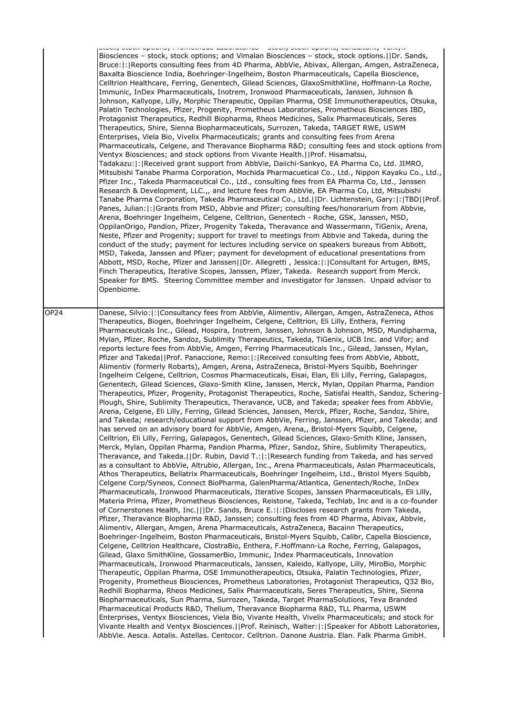|      | <b>TERMINIST CONTROLLER</b><br>acading acadis appliancy componeding validing<br>Biosciences - stock, stock options; and Vimalan Biosciences - stock, stock options.     Dr. Sands,<br>Bruce:  :   Reports consulting fees from 4D Pharma, AbbVie, Abivax, Allergan, Amgen, AstraZeneca,<br>Baxalta Bioscience India, Boehringer-Ingelheim, Boston Pharmaceuticals, Capella Bioscience,<br>Celltrion Healthcare, Ferring, Genentech, Gilead Sciences, GlaxoSmithKline, Hoffmann-La Roche,<br>Immunic, InDex Pharmaceuticals, Inotrem, Ironwood Pharmaceuticals, Janssen, Johnson &<br>Johnson, Kallyope, Lilly, Morphic Therapeutic, Oppilan Pharma, OSE Immunotherapeutics, Otsuka,<br>Palatin Technologies, Pfizer, Progenity, Prometheus Laboratories, Prometheus Biosciences IBD,<br>Protagonist Therapeutics, Redhill Biopharma, Rheos Medicines, Salix Pharmaceuticals, Seres<br>Therapeutics, Shire, Sienna Biopharmaceuticals, Surrozen, Takeda, TARGET RWE, USWM<br>Enterprises, Viela Bio, Vivelix Pharmaceuticals; grants and consulting fees from Arena<br>Pharmaceuticals, Celgene, and Theravance Biopharma R&D consulting fees and stock options from<br>Ventyx Biosciences; and stock options from Vivante Health.     Prof. Hisamatsu,<br>Tadakazu:   :   Received grant support from AbbVie, Daiichi-Sankyo, EA Pharma Co, Ltd. JIMRO,<br>Mitsubishi Tanabe Pharma Corporation, Mochida Pharmacuetical Co., Ltd., Nippon Kayaku Co., Ltd.,<br>Pfizer Inc., Takeda Pharmaceutical Co., Ltd., consulting fees from EA Pharma Co, Ltd., Janssen<br>Research & Development, LLC.,, and lecture fees from AbbVie, EA Pharma Co, Ltd, Mitsubishi<br>Tanabe Pharma Corporation, Takeda Pharmaceutical Co., Ltd.  Dr. Lichtenstein, Gary: : TBD  Prof.<br>Panes, Julian:  :  Grants from MSD, Abbvie and Pfizer; consulting fees/honorarium from Abbvie,<br>Arena, Boehringer Ingelheim, Celgene, Celltrion, Genentech - Roche, GSK, Janssen, MSD,<br>OppilanOrigo, Pandion, Pfizer, Progenity Takeda, Theravance and Wassermann, TiGenix, Arena,<br>Neste, Pfizer and Progenity; support for travel to meetings from Abbvie and Takeda, during the<br>conduct of the study; payment for lectures including service on speakers bureaus from Abbott,<br>MSD, Takeda, Janssen and Pfizer; payment for development of educational presentations from<br>Abbott, MSD, Roche, Pfizer and Janssen  Dr. Allegretti, Jessica: : Consultant for Artugen, BMS,<br>Finch Therapeutics, Iterative Scopes, Janssen, Pfizer, Takeda. Research support from Merck.<br>Speaker for BMS. Steering Committee member and investigator for Janssen. Unpaid advisor to<br>Openbiome. |
|------|---------------------------------------------------------------------------------------------------------------------------------------------------------------------------------------------------------------------------------------------------------------------------------------------------------------------------------------------------------------------------------------------------------------------------------------------------------------------------------------------------------------------------------------------------------------------------------------------------------------------------------------------------------------------------------------------------------------------------------------------------------------------------------------------------------------------------------------------------------------------------------------------------------------------------------------------------------------------------------------------------------------------------------------------------------------------------------------------------------------------------------------------------------------------------------------------------------------------------------------------------------------------------------------------------------------------------------------------------------------------------------------------------------------------------------------------------------------------------------------------------------------------------------------------------------------------------------------------------------------------------------------------------------------------------------------------------------------------------------------------------------------------------------------------------------------------------------------------------------------------------------------------------------------------------------------------------------------------------------------------------------------------------------------------------------------------------------------------------------------------------------------------------------------------------------------------------------------------------------------------------------------------------------------------------------------------------------------------------------------------------------------------------------------------------------------------------------------------------------------------------------------------------------------------------------------------------------------------------------------------------------------------------------------------------|
| OP24 | Danese, Silvio:  :  Consultancy fees from AbbVie, Alimentiv, Allergan, Amgen, AstraZeneca, Athos<br>Therapeutics, Biogen, Boehringer Ingelheim, Celgene, Celltrion, Eli Lilly, Enthera, Ferring<br>Pharmaceuticals Inc., Gilead, Hospira, Inotrem, Janssen, Johnson & Johnson, MSD, Mundipharma,                                                                                                                                                                                                                                                                                                                                                                                                                                                                                                                                                                                                                                                                                                                                                                                                                                                                                                                                                                                                                                                                                                                                                                                                                                                                                                                                                                                                                                                                                                                                                                                                                                                                                                                                                                                                                                                                                                                                                                                                                                                                                                                                                                                                                                                                                                                                                                          |
|      | Mylan, Pfizer, Roche, Sandoz, Sublimity Therapeutics, Takeda, TiGenix, UCB Inc. and Vifor; and                                                                                                                                                                                                                                                                                                                                                                                                                                                                                                                                                                                                                                                                                                                                                                                                                                                                                                                                                                                                                                                                                                                                                                                                                                                                                                                                                                                                                                                                                                                                                                                                                                                                                                                                                                                                                                                                                                                                                                                                                                                                                                                                                                                                                                                                                                                                                                                                                                                                                                                                                                            |
|      | reports lecture fees from AbbVie, Amgen, Ferring Pharmaceuticals Inc., Gilead, Janssen, Mylan,<br>Pfizer and Takeda  Prof. Panaccione, Remo: : Received consulting fees from AbbVie, Abbott,<br>Alimentiv (formerly Robarts), Amgen, Arena, AstraZeneca, Bristol-Myers Squibb, Boehringer<br>Ingelheim Celgene, Celltrion, Cosmos Pharmaceuticals, Eisai, Elan, Eli Lilly, Ferring, Galapagos,<br>Genentech, Gilead Sciences, Glaxo-Smith Kline, Janssen, Merck, Mylan, Oppilan Pharma, Pandion                                                                                                                                                                                                                                                                                                                                                                                                                                                                                                                                                                                                                                                                                                                                                                                                                                                                                                                                                                                                                                                                                                                                                                                                                                                                                                                                                                                                                                                                                                                                                                                                                                                                                                                                                                                                                                                                                                                                                                                                                                                                                                                                                                           |
|      | Therapeutics, Pfizer, Progenity, Protagonist Therapeutics, Roche, Satisfai Health, Sandoz, Schering-<br>Plough, Shire, Sublimity Therapeutics, Theravance, UCB, and Takeda; speaker fees from AbbVie,<br>Arena, Celgene, Eli Lilly, Ferring, Gilead Sciences, Janssen, Merck, Pfizer, Roche, Sandoz, Shire,                                                                                                                                                                                                                                                                                                                                                                                                                                                                                                                                                                                                                                                                                                                                                                                                                                                                                                                                                                                                                                                                                                                                                                                                                                                                                                                                                                                                                                                                                                                                                                                                                                                                                                                                                                                                                                                                                                                                                                                                                                                                                                                                                                                                                                                                                                                                                               |
|      | and Takeda; research/educational support from AbbVie, Ferring, Janssen, Pfizer, and Takeda; and<br>has served on an advisory board for AbbVie, Amgen, Arena,, Bristol-Myers Squibb, Celgene,<br>Celltrion, Eli Lilly, Ferring, Galapagos, Genentech, Gilead Sciences, Glaxo-Smith Kline, Janssen,                                                                                                                                                                                                                                                                                                                                                                                                                                                                                                                                                                                                                                                                                                                                                                                                                                                                                                                                                                                                                                                                                                                                                                                                                                                                                                                                                                                                                                                                                                                                                                                                                                                                                                                                                                                                                                                                                                                                                                                                                                                                                                                                                                                                                                                                                                                                                                         |
|      | Merck, Mylan, Oppilan Pharma, Pandion Pharma, Pfizer, Sandoz, Shire, Sublimity Therapeutics,<br>Theravance, and Takeda.     Dr. Rubin, David T.:  :   Research funding from Takeda, and has served                                                                                                                                                                                                                                                                                                                                                                                                                                                                                                                                                                                                                                                                                                                                                                                                                                                                                                                                                                                                                                                                                                                                                                                                                                                                                                                                                                                                                                                                                                                                                                                                                                                                                                                                                                                                                                                                                                                                                                                                                                                                                                                                                                                                                                                                                                                                                                                                                                                                        |
|      | as a consultant to AbbVie, Altrubio, Allergan, Inc., Arena Pharmaceuticals, Aslan Pharmaceuticals,<br>Athos Therapeutics, Bellatrix Pharmaceuticals, Boehringer Ingelheim, Ltd., Bristol Myers Squibb,                                                                                                                                                                                                                                                                                                                                                                                                                                                                                                                                                                                                                                                                                                                                                                                                                                                                                                                                                                                                                                                                                                                                                                                                                                                                                                                                                                                                                                                                                                                                                                                                                                                                                                                                                                                                                                                                                                                                                                                                                                                                                                                                                                                                                                                                                                                                                                                                                                                                    |
|      | Celgene Corp/Syneos, Connect BioPharma, GalenPharma/Atlantica, Genentech/Roche, InDex<br>Pharmaceuticals, Ironwood Pharmaceuticals, Iterative Scopes, Janssen Pharmaceuticals, Eli Lilly,<br>Materia Prima, Pfizer, Prometheus Biosciences, Reistone, Takeda, Techlab, Inc and is a co-founder                                                                                                                                                                                                                                                                                                                                                                                                                                                                                                                                                                                                                                                                                                                                                                                                                                                                                                                                                                                                                                                                                                                                                                                                                                                                                                                                                                                                                                                                                                                                                                                                                                                                                                                                                                                                                                                                                                                                                                                                                                                                                                                                                                                                                                                                                                                                                                            |
|      | of Cornerstones Health, Inc.   Dr. Sands, Bruce E.: : Discloses research grants from Takeda,<br>Pfizer, Theravance Biopharma R&D, Janssen; consulting fees from 4D Pharma, Abivax, Abbvie,                                                                                                                                                                                                                                                                                                                                                                                                                                                                                                                                                                                                                                                                                                                                                                                                                                                                                                                                                                                                                                                                                                                                                                                                                                                                                                                                                                                                                                                                                                                                                                                                                                                                                                                                                                                                                                                                                                                                                                                                                                                                                                                                                                                                                                                                                                                                                                                                                                                                                |
|      | Alimentiv, Allergan, Amgen, Arena Pharmaceuticals, AstraZeneca, Bacainn Therapeutics,<br>Boehringer-Ingelheim, Boston Pharmaceuticals, Bristol-Myers Squibb, Calibr, Capella Bioscience,                                                                                                                                                                                                                                                                                                                                                                                                                                                                                                                                                                                                                                                                                                                                                                                                                                                                                                                                                                                                                                                                                                                                                                                                                                                                                                                                                                                                                                                                                                                                                                                                                                                                                                                                                                                                                                                                                                                                                                                                                                                                                                                                                                                                                                                                                                                                                                                                                                                                                  |
|      | Celgene, Celltrion Healthcare, ClostraBio, Enthera, F.Hoffmann-La Roche, Ferring, Galapagos,<br>Gilead, Glaxo SmithKline, GossamerBio, Immunic, Index Pharmaceuticals, Innovation                                                                                                                                                                                                                                                                                                                                                                                                                                                                                                                                                                                                                                                                                                                                                                                                                                                                                                                                                                                                                                                                                                                                                                                                                                                                                                                                                                                                                                                                                                                                                                                                                                                                                                                                                                                                                                                                                                                                                                                                                                                                                                                                                                                                                                                                                                                                                                                                                                                                                         |
|      | Pharmaceuticals, Ironwood Pharmaceuticals, Janssen, Kaleido, Kallyope, Lilly, MiroBio, Morphic<br>Therapeutic, Oppilan Pharma, OSE Immunotherapeutics, Otsuka, Palatin Technologies, Pfizer,                                                                                                                                                                                                                                                                                                                                                                                                                                                                                                                                                                                                                                                                                                                                                                                                                                                                                                                                                                                                                                                                                                                                                                                                                                                                                                                                                                                                                                                                                                                                                                                                                                                                                                                                                                                                                                                                                                                                                                                                                                                                                                                                                                                                                                                                                                                                                                                                                                                                              |
|      | Progenity, Prometheus Biosciences, Prometheus Laboratories, Protagonist Therapeutics, Q32 Bio,<br>Redhill Biopharma, Rheos Medicines, Salix Pharmaceuticals, Seres Therapeutics, Shire, Sienna                                                                                                                                                                                                                                                                                                                                                                                                                                                                                                                                                                                                                                                                                                                                                                                                                                                                                                                                                                                                                                                                                                                                                                                                                                                                                                                                                                                                                                                                                                                                                                                                                                                                                                                                                                                                                                                                                                                                                                                                                                                                                                                                                                                                                                                                                                                                                                                                                                                                            |
|      | Biopharmaceuticals, Sun Pharma, Surrozen, Takeda, Target PharmaSolutions, Teva Branded<br>Pharmaceutical Products R&D, Thelium, Theravance Biopharma R&D, TLL Pharma, USWM                                                                                                                                                                                                                                                                                                                                                                                                                                                                                                                                                                                                                                                                                                                                                                                                                                                                                                                                                                                                                                                                                                                                                                                                                                                                                                                                                                                                                                                                                                                                                                                                                                                                                                                                                                                                                                                                                                                                                                                                                                                                                                                                                                                                                                                                                                                                                                                                                                                                                                |
|      | Enterprises, Ventyx Biosciences, Viela Bio, Vivante Health, Vivelix Pharmaceuticals; and stock for<br>Vivante Health and Ventyx Biosciences.   Prof. Reinisch, Walter:  :   Speaker for Abbott Laboratories,                                                                                                                                                                                                                                                                                                                                                                                                                                                                                                                                                                                                                                                                                                                                                                                                                                                                                                                                                                                                                                                                                                                                                                                                                                                                                                                                                                                                                                                                                                                                                                                                                                                                                                                                                                                                                                                                                                                                                                                                                                                                                                                                                                                                                                                                                                                                                                                                                                                              |
|      | lAbbVie. Aesca. Aptalis. Astellas. Centocor. Celltrion. Danone Austria. Elan. Falk Pharma GmbH.                                                                                                                                                                                                                                                                                                                                                                                                                                                                                                                                                                                                                                                                                                                                                                                                                                                                                                                                                                                                                                                                                                                                                                                                                                                                                                                                                                                                                                                                                                                                                                                                                                                                                                                                                                                                                                                                                                                                                                                                                                                                                                                                                                                                                                                                                                                                                                                                                                                                                                                                                                           |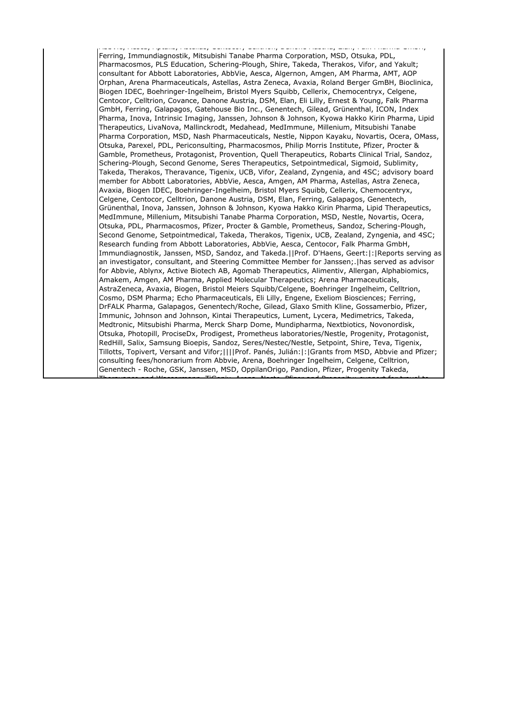AbbVie, Aesca, Aptalis, Astellas, Centocor, Celltrion, Danone Austria, Elan, Falk Pharma GmbH, Ferring, Immundiagnostik, Mitsubishi Tanabe Pharma Corporation, MSD, Otsuka, PDL, Pharmacosmos, PLS Education, Schering-Plough, Shire, Takeda, Therakos, Vifor, and Yakult; consultant for Abbott Laboratories, AbbVie, Aesca, Algernon, Amgen, AM Pharma, AMT, AOP Orphan, Arena Pharmaceuticals, Astellas, Astra Zeneca, Avaxia, Roland Berger GmBH, Bioclinica, Biogen IDEC, Boehringer-Ingelheim, Bristol Myers Squibb, Cellerix, Chemocentryx, Celgene, Centocor, Celltrion, Covance, Danone Austria, DSM, Elan, Eli Lilly, Ernest & Young, Falk Pharma GmbH, Ferring, Galapagos, Gatehouse Bio Inc., Genentech, Gilead, Grünenthal, ICON, Index Pharma, Inova, Intrinsic Imaging, Janssen, Johnson & Johnson, Kyowa Hakko Kirin Pharma, Lipid Therapeutics, LivaNova, Mallinckrodt, Medahead, MedImmune, Millenium, Mitsubishi Tanabe Pharma Corporation, MSD, Nash Pharmaceuticals, Nestle, Nippon Kayaku, Novartis, Ocera, OMass, Otsuka, Parexel, PDL, Periconsulting, Pharmacosmos, Philip Morris Institute, Pfizer, Procter & Gamble, Prometheus, Protagonist, Provention, Quell Therapeutics, Robarts Clinical Trial, Sandoz, Schering-Plough, Second Genome, Seres Therapeutics, Setpointmedical, Sigmoid, Sublimity, Takeda, Therakos, Theravance, Tigenix, UCB, Vifor, Zealand, Zyngenia, and 4SC; advisory board member for Abbott Laboratories, AbbVie, Aesca, Amgen, AM Pharma, Astellas, Astra Zeneca, Avaxia, Biogen IDEC, Boehringer-Ingelheim, Bristol Myers Squibb, Cellerix, Chemocentryx, Celgene, Centocor, Celltrion, Danone Austria, DSM, Elan, Ferring, Galapagos, Genentech, Grünenthal, Inova, Janssen, Johnson & Johnson, Kyowa Hakko Kirin Pharma, Lipid Therapeutics, MedImmune, Millenium, Mitsubishi Tanabe Pharma Corporation, MSD, Nestle, Novartis, Ocera, Otsuka, PDL, Pharmacosmos, Pfizer, Procter & Gamble, Prometheus, Sandoz, Schering-Plough, Second Genome, Setpointmedical, Takeda, Therakos, Tigenix, UCB, Zealand, Zyngenia, and 4SC; Research funding from Abbott Laboratories, AbbVie, Aesca, Centocor, Falk Pharma GmbH, Immundiagnostik, Janssen, MSD, Sandoz, and Takeda.||Prof. D'Haens, Geert:|:|Reports serving as an investigator, consultant, and Steering Committee Member for Janssen;.|has served as advisor for Abbvie, Ablynx, Active Biotech AB, Agomab Therapeutics, Alimentiv, Allergan, Alphabiomics, Amakem, Amgen, AM Pharma, Applied Molecular Therapeutics; Arena Pharmaceuticals, AstraZeneca, Avaxia, Biogen, Bristol Meiers Squibb/Celgene, Boehringer Ingelheim, Celltrion, Cosmo, DSM Pharma; Echo Pharmaceuticals, Eli Lilly, Engene, Exeliom Biosciences; Ferring, DrFALK Pharma, Galapagos, Genentech/Roche, Gilead, Glaxo Smith Kline, Gossamerbio, Pfizer, Immunic, Johnson and Johnson, Kintai Therapeutics, Lument, Lycera, Medimetrics, Takeda, Medtronic, Mitsubishi Pharma, Merck Sharp Dome, Mundipharma, Nextbiotics, Novonordisk, Otsuka, Photopill, ProciseDx, Prodigest, Prometheus laboratories/Nestle, Progenity, Protagonist, RedHill, Salix, Samsung Bioepis, Sandoz, Seres/Nestec/Nestle, Setpoint, Shire, Teva, Tigenix, Tillotts, Topivert, Versant and Vifor;||||Prof. Panés, Julián:|:|Grants from MSD, Abbvie and Pfizer; consulting fees/honorarium from Abbvie, Arena, Boehringer Ingelheim, Celgene, Celltrion, Genentech - Roche, GSK, Janssen, MSD, OppilanOrigo, Pandion, Pfizer, Progenity Takeda,

Theravance and Wassermann, TiGenix, Arena, Neste, Pfizer and Progenity; support for travel to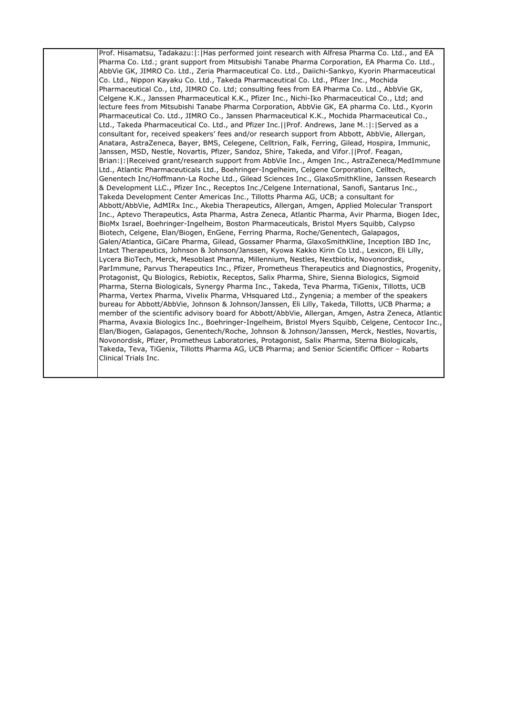Prof. Hisamatsu, Tadakazu:|:|Has performed joint research with Alfresa Pharma Co. Ltd., and EA Pharma Co. Ltd.; grant support from Mitsubishi Tanabe Pharma Corporation, EA Pharma Co. Ltd., AbbVie GK, JIMRO Co. Ltd., Zeria Pharmaceutical Co. Ltd., Daiichi-Sankyo, Kyorin Pharmaceutical Co. Ltd., Nippon Kayaku Co. Ltd., Takeda Pharmaceutical Co. Ltd., Pfizer Inc., Mochida Pharmaceutical Co., Ltd, JIMRO Co. Ltd; consulting fees from EA Pharma Co. Ltd., AbbVie GK, Celgene K.K., Janssen Pharmaceutical K.K., Pfizer Inc., Nichi-Iko Pharmaceutical Co., Ltd; and lecture fees from Mitsubishi Tanabe Pharma Corporation, AbbVie GK, EA pharma Co. Ltd., Kyorin Pharmaceutical Co. Ltd., JIMRO Co., Janssen Pharmaceutical K.K., Mochida Pharmaceutical Co., Ltd., Takeda Pharmaceutical Co. Ltd., and Pfizer Inc.||Prof. Andrews, Jane M.:|:|Served as a consultant for, received speakers' fees and/or research support from Abbott, AbbVie, Allergan, Anatara, AstraZeneca, Bayer, BMS, Celegene, Celltrion, Falk, Ferring, Gilead, Hospira, Immunic, Janssen, MSD, Nestle, Novartis, Pfizer, Sandoz, Shire, Takeda, and Vifor.||Prof. Feagan, Brian:|:|Received grant/research support from AbbVie Inc., Amgen Inc., AstraZeneca/MedImmune Ltd., Atlantic Pharmaceuticals Ltd., Boehringer-Ingelheim, Celgene Corporation, Celltech, Genentech Inc/Hoffmann-La Roche Ltd., Gilead Sciences Inc., GlaxoSmithKline, Janssen Research & Development LLC., Pfizer Inc., Receptos Inc./Celgene International, Sanofi, Santarus Inc., Takeda Development Center Americas Inc., Tillotts Pharma AG, UCB; a consultant for Abbott/AbbVie, AdMIRx Inc., Akebia Therapeutics, Allergan, Amgen, Applied Molecular Transport Inc., Aptevo Therapeutics, Asta Pharma, Astra Zeneca, Atlantic Pharma, Avir Pharma, Biogen Idec, BioMx Israel, Boehringer-Ingelheim, Boston Pharmaceuticals, Bristol Myers Squibb, Calypso Biotech, Celgene, Elan/Biogen, EnGene, Ferring Pharma, Roche/Genentech, Galapagos, Galen/Atlantica, GiCare Pharma, Gilead, Gossamer Pharma, GlaxoSmithKline, Inception IBD Inc, Intact Therapeutics, Johnson & Johnson/Janssen, Kyowa Kakko Kirin Co Ltd., Lexicon, Eli Lilly, Lycera BioTech, Merck, Mesoblast Pharma, Millennium, Nestles, Nextbiotix, Novonordisk, ParImmune, Parvus Therapeutics Inc., Pfizer, Prometheus Therapeutics and Diagnostics, Progenity, Protagonist, Qu Biologics, Rebiotix, Receptos, Salix Pharma, Shire, Sienna Biologics, Sigmoid Pharma, Sterna Biologicals, Synergy Pharma Inc., Takeda, Teva Pharma, TiGenix, Tillotts, UCB Pharma, Vertex Pharma, Vivelix Pharma, VHsquared Ltd., Zyngenia; a member of the speakers bureau for Abbott/AbbVie, Johnson & Johnson/Janssen, Eli Lilly, Takeda, Tillotts, UCB Pharma; a member of the scientific advisory board for Abbott/AbbVie, Allergan, Amgen, Astra Zeneca, Atlantic Pharma, Avaxia Biologics Inc., Boehringer-Ingelheim, Bristol Myers Squibb, Celgene, Centocor Inc., Elan/Biogen, Galapagos, Genentech/Roche, Johnson & Johnson/Janssen, Merck, Nestles, Novartis, Novonordisk, Pfizer, Prometheus Laboratories, Protagonist, Salix Pharma, Sterna Biologicals, Takeda, Teva, TiGenix, Tillotts Pharma AG, UCB Pharma; and Senior Scientific Officer – Robarts Clinical Trials Inc.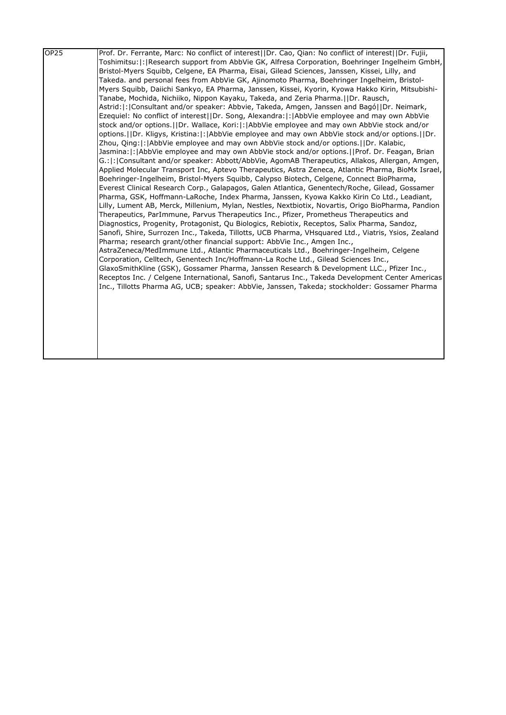| OP <sub>25</sub> | Prof. Dr. Ferrante, Marc: No conflict of interest (IDr. Cao, Qian: No conflict of interest (IDr. Fujii, |
|------------------|---------------------------------------------------------------------------------------------------------|
|                  | Toshimitsu:  :   Research support from AbbVie GK, Alfresa Corporation, Boehringer Ingelheim GmbH,       |
|                  | Bristol-Myers Squibb, Celgene, EA Pharma, Eisai, Gilead Sciences, Janssen, Kissei, Lilly, and           |
|                  | Takeda. and personal fees from AbbVie GK, Ajinomoto Pharma, Boehringer Ingelheim, Bristol-              |
|                  | Myers Squibb, Daiichi Sankyo, EA Pharma, Janssen, Kissei, Kyorin, Kyowa Hakko Kirin, Mitsubishi-        |
|                  | Tanabe, Mochida, Nichiiko, Nippon Kayaku, Takeda, and Zeria Pharma. IDr. Rausch,                        |
|                  | Astrid:   :   Consultant and/or speaker: Abbvie, Takeda, Amgen, Janssen and Bagó    Dr. Neimark,        |
|                  | Ezequiel: No conflict of interest  Dr. Song, Alexandra: : AbbVie employee and may own AbbVie            |
|                  | stock and/or options.     Dr. Wallace, Kori:  :   AbbVie employee and may own AbbVie stock and/or       |
|                  | options. IDr. Kligys, Kristina:  : AbbVie employee and may own AbbVie stock and/or options. IDr.        |
|                  | Zhou, Qing:  :   AbbVie employee and may own AbbVie stock and/or options.     Dr. Kalabic,              |
|                  | Jasmina:  :   AbbVie employee and may own AbbVie stock and/or options.     Prof. Dr. Feagan, Brian      |
|                  | G.:  :  Consultant and/or speaker: Abbott/AbbVie, AgomAB Therapeutics, Allakos, Allergan, Amgen,        |
|                  | Applied Molecular Transport Inc, Aptevo Therapeutics, Astra Zeneca, Atlantic Pharma, BioMx Israel,      |
|                  | Boehringer-Ingelheim, Bristol-Myers Squibb, Calypso Biotech, Celgene, Connect BioPharma,                |
|                  | Everest Clinical Research Corp., Galapagos, Galen Atlantica, Genentech/Roche, Gilead, Gossamer          |
|                  | Pharma, GSK, Hoffmann-LaRoche, Index Pharma, Janssen, Kyowa Kakko Kirin Co Ltd., Leadiant,              |
|                  | Lilly, Lument AB, Merck, Millenium, Mylan, Nestles, Nextbiotix, Novartis, Origo BioPharma, Pandion      |
|                  | Therapeutics, ParImmune, Parvus Therapeutics Inc., Pfizer, Prometheus Therapeutics and                  |
|                  | Diagnostics, Progenity, Protagonist, Qu Biologics, Rebiotix, Receptos, Salix Pharma, Sandoz,            |
|                  | Sanofi, Shire, Surrozen Inc., Takeda, Tillotts, UCB Pharma, VHsquared Ltd., Viatris, Ysios, Zealand     |
|                  | Pharma; research grant/other financial support: AbbVie Inc., Amgen Inc.,                                |
|                  | AstraZeneca/MedImmune Ltd., Atlantic Pharmaceuticals Ltd., Boehringer-Ingelheim, Celgene                |
|                  | Corporation, Celltech, Genentech Inc/Hoffmann-La Roche Ltd., Gilead Sciences Inc.,                      |
|                  | GlaxoSmithKline (GSK), Gossamer Pharma, Janssen Research & Development LLC., Pfizer Inc.,               |
|                  | Receptos Inc. / Celgene International, Sanofi, Santarus Inc., Takeda Development Center Americas        |
|                  | Inc., Tillotts Pharma AG, UCB; speaker: AbbVie, Janssen, Takeda; stockholder: Gossamer Pharma           |
|                  |                                                                                                         |
|                  |                                                                                                         |
|                  |                                                                                                         |
|                  |                                                                                                         |
|                  |                                                                                                         |
|                  |                                                                                                         |
|                  |                                                                                                         |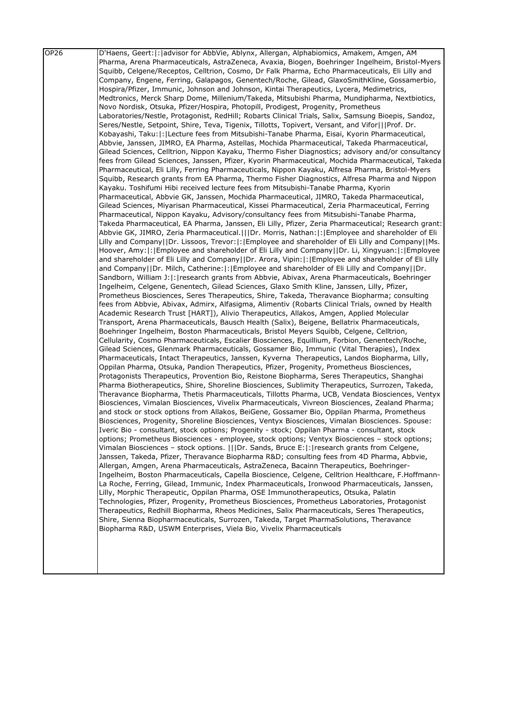| OP26 | D'Haens, Geert:  :  advisor for AbbVie, Ablynx, Allergan, Alphabiomics, Amakem, Amgen, AM                |
|------|----------------------------------------------------------------------------------------------------------|
|      | Pharma, Arena Pharmaceuticals, AstraZeneca, Avaxia, Biogen, Boehringer Ingelheim, Bristol-Myers          |
|      | Squibb, Celgene/Receptos, Celltrion, Cosmo, Dr Falk Pharma, Echo Pharmaceuticals, Eli Lilly and          |
|      | Company, Engene, Ferring, Galapagos, Genentech/Roche, Gilead, GlaxoSmithKline, Gossamerbio,              |
|      | Hospira/Pfizer, Immunic, Johnson and Johnson, Kintai Therapeutics, Lycera, Medimetrics,                  |
|      | Medtronics, Merck Sharp Dome, Millenium/Takeda, Mitsubishi Pharma, Mundipharma, Nextbiotics,             |
|      | Novo Nordisk, Otsuka, Pfizer/Hospira, Photopill, Prodigest, Progenity, Prometheus                        |
|      | Laboratories/Nestle, Protagonist, RedHill; Robarts Clinical Trials, Salix, Samsung Bioepis, Sandoz,      |
|      | Seres/Nestle, Setpoint, Shire, Teva, Tigenix, Tillotts, Topivert, Versant, and Vifor   Prof. Dr.         |
|      | Kobayashi, Taku:  :  Lecture fees from Mitsubishi-Tanabe Pharma, Eisai, Kyorin Pharmaceutical,           |
|      | Abbvie, Janssen, JIMRO, EA Pharma, Astellas, Mochida Pharmaceutical, Takeda Pharmaceutical,              |
|      | Gilead Sciences, Celltrion, Nippon Kayaku, Thermo Fisher Diagnostics; advisory and/or consultancy        |
|      | fees from Gilead Sciences, Janssen, Pfizer, Kyorin Pharmaceutical, Mochida Pharmaceutical, Takeda        |
|      | Pharmaceutical, Eli Lilly, Ferring Pharmaceuticals, Nippon Kayaku, Alfresa Pharma, Bristol-Myers         |
|      |                                                                                                          |
|      | Squibb, Research grants from EA Pharma, Thermo Fisher Diagnostics, Alfresa Pharma and Nippon             |
|      | Kayaku. Toshifumi Hibi received lecture fees from Mitsubishi-Tanabe Pharma, Kyorin                       |
|      | Pharmaceutical, Abbvie GK, Janssen, Mochida Pharmaceutical, JIMRO, Takeda Pharmaceutical,                |
|      | Gilead Sciences, Miyarisan Pharmaceutical, Kissei Pharmaceutical, Zeria Pharmaceutical, Ferring          |
|      | Pharmaceutical, Nippon Kayaku, Advisory/consultancy fees from Mitsubishi-Tanabe Pharma,                  |
|      | Takeda Pharmaceutical, EA Pharma, Janssen, Eli Lilly, Pfizer, Zeria Pharmaceutical; Research grant:      |
|      | Abbvie GK, JIMRO, Zeria Pharmaceutical.       Dr. Morris, Nathan:   :   Employee and shareholder of Eli  |
|      | Lilly and Company  Dr. Lissoos, Trevor: : Employee and shareholder of Eli Lilly and Company  Ms.         |
|      | Hoover, Amy:  :   Employee and shareholder of Eli Lilly and Company     Dr. Li, Xingyuan:   :   Employee |
|      | and shareholder of Eli Lilly and Company  Dr. Arora, Vipin: : Employee and shareholder of Eli Lilly      |
|      | and Company  Dr. Milch, Catherine: : Employee and shareholder of Eli Lilly and Company  Dr.              |
|      | Sandborn, William J: :   research grants from Abbvie, Abivax, Arena Pharmaceuticals, Boehringer          |
|      | Ingelheim, Celgene, Genentech, Gilead Sciences, Glaxo Smith Kline, Janssen, Lilly, Pfizer,               |
|      | Prometheus Biosciences, Seres Therapeutics, Shire, Takeda, Theravance Biopharma; consulting              |
|      | fees from Abbvie, Abivax, Admirx, Alfasigma, Alimentiv (Robarts Clinical Trials, owned by Health         |
|      | Academic Research Trust [HART]), Alivio Therapeutics, Allakos, Amgen, Applied Molecular                  |
|      | Transport, Arena Pharmaceuticals, Bausch Health (Salix), Beigene, Bellatrix Pharmaceuticals,             |
|      | Boehringer Ingelheim, Boston Pharmaceuticals, Bristol Meyers Squibb, Celgene, Celltrion,                 |
|      | Cellularity, Cosmo Pharmaceuticals, Escalier Biosciences, Equillium, Forbion, Genentech/Roche,           |
|      | Gilead Sciences, Glenmark Pharmaceuticals, Gossamer Bio, Immunic (Vital Therapies), Index                |
|      | Pharmaceuticals, Intact Therapeutics, Janssen, Kyverna Therapeutics, Landos Biopharma, Lilly,            |
|      | Oppilan Pharma, Otsuka, Pandion Therapeutics, Pfizer, Progenity, Prometheus Biosciences,                 |
|      | Protagonists Therapeutics, Provention Bio, Reistone Biopharma, Seres Therapeutics, Shanghai              |
|      | Pharma Biotherapeutics, Shire, Shoreline Biosciences, Sublimity Therapeutics, Surrozen, Takeda,          |
|      | Theravance Biopharma, Thetis Pharmaceuticals, Tillotts Pharma, UCB, Vendata Biosciences, Ventyx          |
|      | Biosciences, Vimalan Biosciences, Vivelix Pharmaceuticals, Vivreon Biosciences, Zealand Pharma;          |
|      | and stock or stock options from Allakos, BeiGene, Gossamer Bio, Oppilan Pharma, Prometheus               |
|      | Biosciences, Progenity, Shoreline Biosciences, Ventyx Biosciences, Vimalan Biosciences. Spouse:          |
|      | Iveric Bio - consultant, stock options; Progenity - stock; Oppilan Pharma - consultant, stock            |
|      | options; Prometheus Biosciences - employee, stock options; Ventyx Biosciences - stock options;           |
|      | Vimalan Biosciences - stock options.    Dr. Sands, Bruce E: : research grants from Celgene,              |
|      | Janssen, Takeda, Pfizer, Theravance Biopharma R&D consulting fees from 4D Pharma, Abbvie,                |
|      | Allergan, Amgen, Arena Pharmaceuticals, AstraZeneca, Bacainn Therapeutics, Boehringer-                   |
|      | Ingelheim, Boston Pharmaceuticals, Capella Bioscience, Celgene, Celltrion Healthcare, F.Hoffmann-        |
|      | La Roche, Ferring, Gilead, Immunic, Index Pharmaceuticals, Ironwood Pharmaceuticals, Janssen,            |
|      | Lilly, Morphic Therapeutic, Oppilan Pharma, OSE Immunotherapeutics, Otsuka, Palatin                      |
|      | Technologies, Pfizer, Progenity, Prometheus Biosciences, Prometheus Laboratories, Protagonist            |
|      | Therapeutics, Redhill Biopharma, Rheos Medicines, Salix Pharmaceuticals, Seres Therapeutics,             |
|      | Shire, Sienna Biopharmaceuticals, Surrozen, Takeda, Target PharmaSolutions, Theravance                   |
|      | Biopharma R&D, USWM Enterprises, Viela Bio, Vivelix Pharmaceuticals                                      |
|      |                                                                                                          |
|      |                                                                                                          |
|      |                                                                                                          |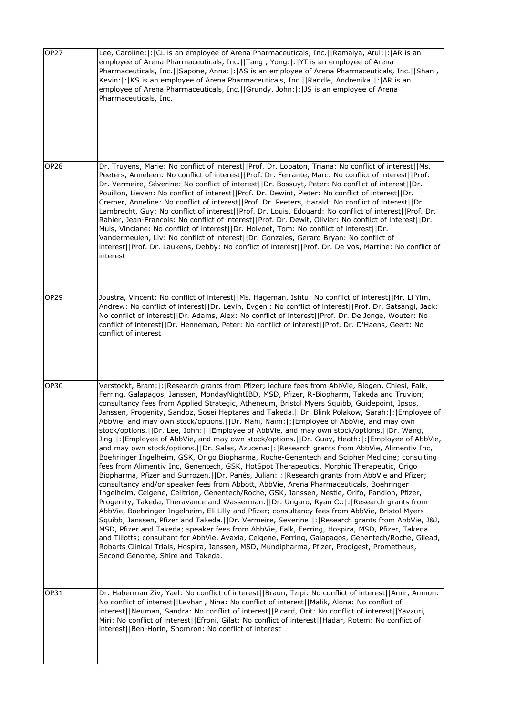| OP27        | Lee, Caroline:  :  CL is an employee of Arena Pharmaceuticals, Inc.     Ramaiya, Atul:   :   AR is an<br>employee of Arena Pharmaceuticals, Inc.  Tang, Yong: : YT is an employee of Arena<br>Pharmaceuticals, Inc.  Sapone, Anna: : AS is an employee of Arena Pharmaceuticals, Inc.  Shan,<br>Kevin: : KS is an employee of Arena Pharmaceuticals, Inc.  Randle, Andrenika: : AR is an<br>employee of Arena Pharmaceuticals, Inc.  Grundy, John: : JS is an employee of Arena<br>Pharmaceuticals, Inc.                                                                                                                                                                                                                                                                                                                                                                                                                                                                                                                                                                                                                                                                                                                                                                                                                                                                                                                                                                                                                                                                                                                                                                                                                                                                                                                                                                                                                                                    |
|-------------|-------------------------------------------------------------------------------------------------------------------------------------------------------------------------------------------------------------------------------------------------------------------------------------------------------------------------------------------------------------------------------------------------------------------------------------------------------------------------------------------------------------------------------------------------------------------------------------------------------------------------------------------------------------------------------------------------------------------------------------------------------------------------------------------------------------------------------------------------------------------------------------------------------------------------------------------------------------------------------------------------------------------------------------------------------------------------------------------------------------------------------------------------------------------------------------------------------------------------------------------------------------------------------------------------------------------------------------------------------------------------------------------------------------------------------------------------------------------------------------------------------------------------------------------------------------------------------------------------------------------------------------------------------------------------------------------------------------------------------------------------------------------------------------------------------------------------------------------------------------------------------------------------------------------------------------------------------------|
| <b>OP28</b> | Dr. Truyens, Marie: No conflict of interest  Prof. Dr. Lobaton, Triana: No conflict of interest  Ms.<br>Peeters, Anneleen: No conflict of interest  Prof. Dr. Ferrante, Marc: No conflict of interest  Prof.<br>Dr. Vermeire, Séverine: No conflict of interest  Dr. Bossuyt, Peter: No conflict of interest  Dr.<br>Pouillon, Lieven: No conflict of interest  Prof. Dr. Dewint, Pieter: No conflict of interest  Dr.<br>Cremer, Anneline: No conflict of interest  Prof. Dr. Peeters, Harald: No conflict of interest  Dr.<br>Lambrecht, Guy: No conflict of interest  Prof. Dr. Louis, Edouard: No conflict of interest  Prof. Dr.<br>Rahier, Jean-Francois: No conflict of interest  Prof. Dr. Dewit, Olivier: No conflict of interest  Dr.<br>Muls, Vinciane: No conflict of interest  Dr. Holvoet, Tom: No conflict of interest  Dr.<br>Vandermeulen, Liv: No conflict of interest  Dr. Gonzales, Gerard Bryan: No conflict of<br>interest  Prof. Dr. Laukens, Debby: No conflict of interest  Prof. Dr. De Vos, Martine: No conflict of<br>interest                                                                                                                                                                                                                                                                                                                                                                                                                                                                                                                                                                                                                                                                                                                                                                                                                                                                                                  |
| OP29        | Joustra, Vincent: No conflict of interest  Ms. Hageman, Ishtu: No conflict of interest  Mr. Li Yim,<br>Andrew: No conflict of interest  Dr. Levin, Evgeni: No conflict of interest  Prof. Dr. Satsangi, Jack:<br>No conflict of interest  Dr. Adams, Alex: No conflict of interest  Prof. Dr. De Jonge, Wouter: No<br>conflict of interest  Dr. Henneman, Peter: No conflict of interest  Prof. Dr. D'Haens, Geert: No<br>conflict of interest                                                                                                                                                                                                                                                                                                                                                                                                                                                                                                                                                                                                                                                                                                                                                                                                                                                                                                                                                                                                                                                                                                                                                                                                                                                                                                                                                                                                                                                                                                              |
| <b>OP30</b> | Verstockt, Bram:  :   Research grants from Pfizer; lecture fees from AbbVie, Biogen, Chiesi, Falk,<br>Ferring, Galapagos, Janssen, MondayNightIBD, MSD, Pfizer, R-Biopharm, Takeda and Truvion;<br>consultancy fees from Applied Strategic, Atheneum, Bristol Myers Squibb, Guidepoint, Ipsos,<br>Janssen, Progenity, Sandoz, Sosei Heptares and Takeda. IDr. Blink Polakow, Sarah:  :   Employee of<br>AbbVie, and may own stock/options.     Dr. Mahi, Naim:   :   Employee of AbbVie, and may own<br>stock/options.  Dr. Lee, John: : Employee of AbbVie, and may own stock/options.  Dr. Wang,<br>Jing: : Employee of AbbVie, and may own stock/options.  Dr. Guay, Heath: : Employee of AbbVie,<br>and may own stock/options.     Dr. Salas, Azucena:   :   Research grants from AbbVie, Alimentiv Inc,<br>Boehringer Ingelheim, GSK, Origo Biopharma, Roche-Genentech and Scipher Medicine; consulting<br>fees from Alimentiv Inc, Genentech, GSK, HotSpot Therapeutics, Morphic Therapeutic, Origo<br>Biopharma, Pfizer and Surrozen.  Dr. Panés, Julian: : Research grants from AbbVie and Pfizer;<br>consultancy and/or speaker fees from Abbott, AbbVie, Arena Pharmaceuticals, Boehringer<br>Ingelheim, Celgene, Celltrion, Genentech/Roche, GSK, Janssen, Nestle, Orifo, Pandion, Pfizer,<br>Progenity, Takeda, Theravance and Wasserman.     Dr. Ungaro, Ryan C.:   :   Research grants from<br>AbbVie, Boehringer Ingelheim, Eli Lilly and Pfizer; consultancy fees from AbbVie, Bristol Myers<br>Squibb, Janssen, Pfizer and Takeda.  Dr. Vermeire, Severine: :  Research grants from AbbVie, J&J,<br>MSD, Pfizer and Takeda; speaker fees from AbbVie, Falk, Ferring, Hospira, MSD, Pfizer, Takeda<br>and Tillotts; consultant for AbbVie, Avaxia, Celgene, Ferring, Galapagos, Genentech/Roche, Gilead,<br>Robarts Clinical Trials, Hospira, Janssen, MSD, Mundipharma, Pfizer, Prodigest, Prometheus,<br>Second Genome, Shire and Takeda. |
| OP31        | Dr. Haberman Ziv, Yael: No conflict of interest  Braun, Tzipi: No conflict of interest  Amir, Amnon:<br>No conflict of interest  Levhar, Nina: No conflict of interest  Malik, Alona: No conflict of<br>interest  Neuman, Sandra: No conflict of interest  Picard, Orit: No conflict of interest  Yavzuri,<br>Miri: No conflict of interest  Efroni, Gilat: No conflict of interest  Hadar, Rotem: No conflict of<br>interest  Ben-Horin, Shomron: No conflict of interest                                                                                                                                                                                                                                                                                                                                                                                                                                                                                                                                                                                                                                                                                                                                                                                                                                                                                                                                                                                                                                                                                                                                                                                                                                                                                                                                                                                                                                                                                  |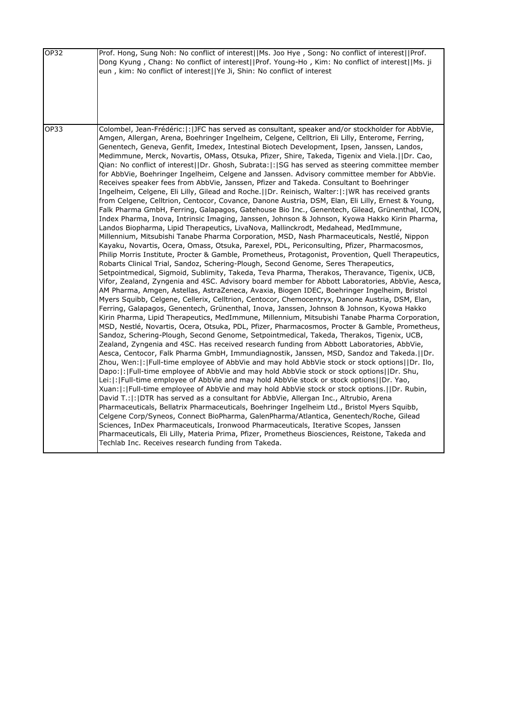| OP32 | Prof. Hong, Sung Noh: No conflict of interest  Ms. Joo Hye, Song: No conflict of interest  Prof.<br>Dong Kyung, Chang: No conflict of interest  Prof. Young-Ho, Kim: No conflict of interest  Ms. ji<br>eun, kim: No conflict of interest  Ye Ji, Shin: No conflict of interest                                                                                                                                                                                                                                                                                                                                                                                                                                                                                                                                                                                                                                                                                                                                                                                                                                                                                                                                                                                                                                                                                                                                                                                                                                                                                                                                                                                                                                                                                                                                                                                                                                                                                                                                                                                                                                                                                                                                                                                                                                                                                                                                                                                                                                                                                                                                                                                                                                                                                                                                                                                                                                                                                                                                                                                                                                                                                                                                                                                                                                                                                                                                                                                                                                                             |
|------|---------------------------------------------------------------------------------------------------------------------------------------------------------------------------------------------------------------------------------------------------------------------------------------------------------------------------------------------------------------------------------------------------------------------------------------------------------------------------------------------------------------------------------------------------------------------------------------------------------------------------------------------------------------------------------------------------------------------------------------------------------------------------------------------------------------------------------------------------------------------------------------------------------------------------------------------------------------------------------------------------------------------------------------------------------------------------------------------------------------------------------------------------------------------------------------------------------------------------------------------------------------------------------------------------------------------------------------------------------------------------------------------------------------------------------------------------------------------------------------------------------------------------------------------------------------------------------------------------------------------------------------------------------------------------------------------------------------------------------------------------------------------------------------------------------------------------------------------------------------------------------------------------------------------------------------------------------------------------------------------------------------------------------------------------------------------------------------------------------------------------------------------------------------------------------------------------------------------------------------------------------------------------------------------------------------------------------------------------------------------------------------------------------------------------------------------------------------------------------------------------------------------------------------------------------------------------------------------------------------------------------------------------------------------------------------------------------------------------------------------------------------------------------------------------------------------------------------------------------------------------------------------------------------------------------------------------------------------------------------------------------------------------------------------------------------------------------------------------------------------------------------------------------------------------------------------------------------------------------------------------------------------------------------------------------------------------------------------------------------------------------------------------------------------------------------------------------------------------------------------------------------------------------------------|
| OP33 | Colombel, Jean-Frédéric:  :  JFC has served as consultant, speaker and/or stockholder for AbbVie,<br>Amgen, Allergan, Arena, Boehringer Ingelheim, Celgene, Celltrion, Eli Lilly, Enterome, Ferring,<br>Genentech, Geneva, Genfit, Imedex, Intestinal Biotech Development, Ipsen, Janssen, Landos,<br>Medimmune, Merck, Novartis, OMass, Otsuka, Pfizer, Shire, Takeda, Tigenix and Viela.     Dr. Cao,<br>Qian: No conflict of interest  Dr. Ghosh, Subrata: : SG has served as steering committee member<br>for AbbVie, Boehringer Ingelheim, Celgene and Janssen. Advisory committee member for AbbVie.<br>Receives speaker fees from AbbVie, Janssen, Pfizer and Takeda. Consultant to Boehringer<br>Ingelheim, Celgene, Eli Lilly, Gilead and Roche.    Dr. Reinisch, Walter:  :  WR has received grants<br>from Celgene, Celltrion, Centocor, Covance, Danone Austria, DSM, Elan, Eli Lilly, Ernest & Young,<br>Falk Pharma GmbH, Ferring, Galapagos, Gatehouse Bio Inc., Genentech, Gilead, Grünenthal, ICON,<br>Index Pharma, Inova, Intrinsic Imaging, Janssen, Johnson & Johnson, Kyowa Hakko Kirin Pharma,<br>Landos Biopharma, Lipid Therapeutics, LivaNova, Mallinckrodt, Medahead, MedImmune,<br>Millennium, Mitsubishi Tanabe Pharma Corporation, MSD, Nash Pharmaceuticals, Nestlé, Nippon<br>Kayaku, Novartis, Ocera, Omass, Otsuka, Parexel, PDL, Periconsulting, Pfizer, Pharmacosmos,<br>Philip Morris Institute, Procter & Gamble, Prometheus, Protagonist, Provention, Quell Therapeutics,<br>Robarts Clinical Trial, Sandoz, Schering-Plough, Second Genome, Seres Therapeutics,<br>Setpointmedical, Sigmoid, Sublimity, Takeda, Teva Pharma, Therakos, Theravance, Tigenix, UCB,<br>Vifor, Zealand, Zyngenia and 4SC. Advisory board member for Abbott Laboratories, AbbVie, Aesca,<br>AM Pharma, Amgen, Astellas, AstraZeneca, Avaxia, Biogen IDEC, Boehringer Ingelheim, Bristol<br>Myers Squibb, Celgene, Cellerix, Celltrion, Centocor, Chemocentryx, Danone Austria, DSM, Elan,<br>Ferring, Galapagos, Genentech, Grünenthal, Inova, Janssen, Johnson & Johnson, Kyowa Hakko<br>Kirin Pharma, Lipid Therapeutics, MedImmune, Millennium, Mitsubishi Tanabe Pharma Corporation,<br>MSD, Nestlé, Novartis, Ocera, Otsuka, PDL, Pfizer, Pharmacosmos, Procter & Gamble, Prometheus,<br>Sandoz, Schering-Plough, Second Genome, Setpointmedical, Takeda, Therakos, Tigenix, UCB,<br>Zealand, Zyngenia and 4SC. Has received research funding from Abbott Laboratories, AbbVie,<br>Aesca, Centocor, Falk Pharma GmbH, Immundiagnostik, Janssen, MSD, Sandoz and Takeda.  Dr.<br>Zhou, Wen: : Full-time employee of AbbVie and may hold AbbVie stock or stock options  Dr. Ilo,<br>Dapo:  :  Full-time employee of AbbVie and may hold AbbVie stock or stock options  Dr. Shu,<br>Lei:  :  Full-time employee of AbbVie and may hold AbbVie stock or stock options  Dr. Yao,<br>Xuan: : Full-time employee of AbbVie and may hold AbbVie stock or stock options.  Dr. Rubin,<br>David T.:  :   DTR has served as a consultant for AbbVie, Allergan Inc., Altrubio, Arena<br>Pharmaceuticals, Bellatrix Pharmaceuticals, Boehringer Ingelheim Ltd., Bristol Myers Squibb,<br>Celgene Corp/Syneos, Connect BioPharma, GalenPharma/Atlantica, Genentech/Roche, Gilead<br>Sciences, InDex Pharmaceuticals, Ironwood Pharmaceuticals, Iterative Scopes, Janssen<br>Pharmaceuticals, Eli Lilly, Materia Prima, Pfizer, Prometheus Biosciences, Reistone, Takeda and<br>Techlab Inc. Receives research funding from Takeda. |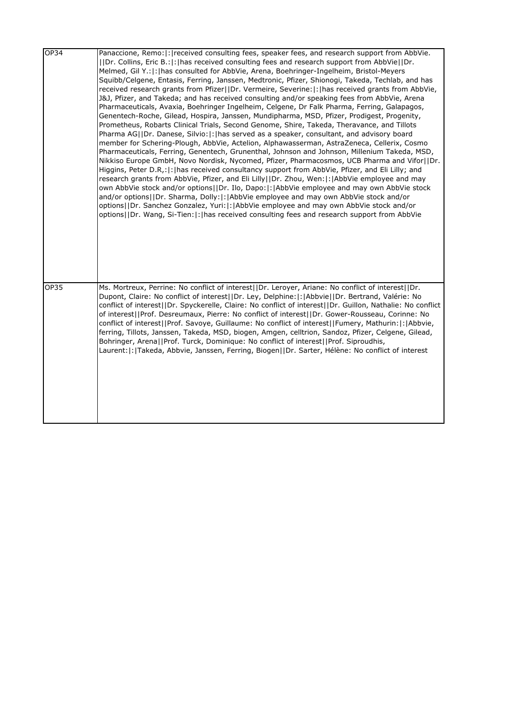| OP34        | Panaccione, Remo:  :   received consulting fees, speaker fees, and research support from AbbVie.<br>[Dr. Collins, Eric B.:  :   has received consulting fees and research support from AbbVie  Dr.<br>Melmed, Gil Y.:  :   has consulted for AbbVie, Arena, Boehringer-Ingelheim, Bristol-Meyers<br>Squibb/Celgene, Entasis, Ferring, Janssen, Medtronic, Pfizer, Shionogi, Takeda, Techlab, and has<br>received research grants from Pfizer  Dr. Vermeire, Severine: : has received grants from AbbVie,<br>J&J, Pfizer, and Takeda; and has received consulting and/or speaking fees from AbbVie, Arena<br>Pharmaceuticals, Avaxia, Boehringer Ingelheim, Celgene, Dr Falk Pharma, Ferring, Galapagos,<br>Genentech-Roche, Gilead, Hospira, Janssen, Mundipharma, MSD, Pfizer, Prodigest, Progenity,<br>Prometheus, Robarts Clinical Trials, Second Genome, Shire, Takeda, Theravance, and Tillots<br>Pharma AG  Dr. Danese, Silvio: : has served as a speaker, consultant, and advisory board<br>member for Schering-Plough, AbbVie, Actelion, Alphawasserman, AstraZeneca, Cellerix, Cosmo<br>Pharmaceuticals, Ferring, Genentech, Grunenthal, Johnson and Johnson, Millenium Takeda, MSD,<br>Nikkiso Europe GmbH, Novo Nordisk, Nycomed, Pfizer, Pharmacosmos, UCB Pharma and Vifor  Dr.<br>Higgins, Peter D.R,:  :   has received consultancy support from AbbVie, Pfizer, and Eli Lilly; and<br>research grants from AbbVie, Pfizer, and Eli Lilly  Dr. Zhou, Wen: :  AbbVie employee and may<br>own AbbVie stock and/or options  Dr. Ilo, Dapo: : AbbVie employee and may own AbbVie stock<br>and/or options  Dr. Sharma, Dolly: : AbbVie employee and may own AbbVie stock and/or<br>options  Dr. Sanchez Gonzalez, Yuri: : AbbVie employee and may own AbbVie stock and/or<br>options  Dr. Wang, Si-Tien: : has received consulting fees and research support from AbbVie |
|-------------|------------------------------------------------------------------------------------------------------------------------------------------------------------------------------------------------------------------------------------------------------------------------------------------------------------------------------------------------------------------------------------------------------------------------------------------------------------------------------------------------------------------------------------------------------------------------------------------------------------------------------------------------------------------------------------------------------------------------------------------------------------------------------------------------------------------------------------------------------------------------------------------------------------------------------------------------------------------------------------------------------------------------------------------------------------------------------------------------------------------------------------------------------------------------------------------------------------------------------------------------------------------------------------------------------------------------------------------------------------------------------------------------------------------------------------------------------------------------------------------------------------------------------------------------------------------------------------------------------------------------------------------------------------------------------------------------------------------------------------------------------------------------------------------------------------------------------------------------------------------------------------|
| <b>OP35</b> | Ms. Mortreux, Perrine: No conflict of interest  Dr. Leroyer, Ariane: No conflict of interest  Dr.<br>Dupont, Claire: No conflict of interest  Dr. Ley, Delphine: : Abbvie  Dr. Bertrand, Valérie: No<br>conflict of interest  Dr. Spyckerelle, Claire: No conflict of interest  Dr. Guillon, Nathalie: No conflict<br>of interest  Prof. Desreumaux, Pierre: No conflict of interest  Dr. Gower-Rousseau, Corinne: No<br>conflict of interest  Prof. Savoye, Guillaume: No conflict of interest  Fumery, Mathurin: : Abbvie,<br>ferring, Tillots, Janssen, Takeda, MSD, biogen, Amgen, celltrion, Sandoz, Pfizer, Celgene, Gilead,<br>Bohringer, Arena  Prof. Turck, Dominique: No conflict of interest  Prof. Siproudhis,<br>Laurent:  :  Takeda, Abbvie, Janssen, Ferring, Biogen  Dr. Sarter, Hélène: No conflict of interest                                                                                                                                                                                                                                                                                                                                                                                                                                                                                                                                                                                                                                                                                                                                                                                                                                                                                                                                                                                                                                                   |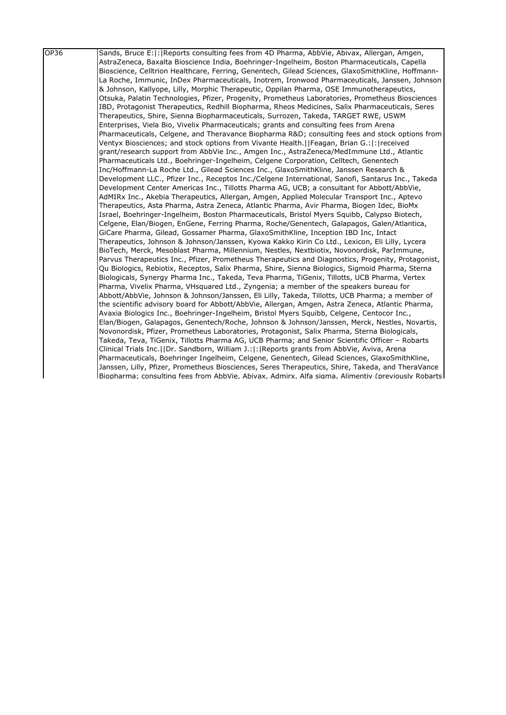| OP36 | Sands, Bruce E: : Reports consulting fees from 4D Pharma, AbbVie, Abivax, Allergan, Amgen,         |
|------|----------------------------------------------------------------------------------------------------|
|      | AstraZeneca, Baxalta Bioscience India, Boehringer-Ingelheim, Boston Pharmaceuticals, Capella       |
|      | Bioscience, Celltrion Healthcare, Ferring, Genentech, Gilead Sciences, GlaxoSmithKline, Hoffmann-  |
|      | La Roche, Immunic, InDex Pharmaceuticals, Inotrem, Ironwood Pharmaceuticals, Janssen, Johnson      |
|      | & Johnson, Kallyope, Lilly, Morphic Therapeutic, Oppilan Pharma, OSE Immunotherapeutics,           |
|      | Otsuka, Palatin Technologies, Pfizer, Progenity, Prometheus Laboratories, Prometheus Biosciences   |
|      | IBD, Protagonist Therapeutics, Redhill Biopharma, Rheos Medicines, Salix Pharmaceuticals, Seres    |
|      | Therapeutics, Shire, Sienna Biopharmaceuticals, Surrozen, Takeda, TARGET RWE, USWM                 |
|      | Enterprises, Viela Bio, Vivelix Pharmaceuticals; grants and consulting fees from Arena             |
|      | Pharmaceuticals, Celgene, and Theravance Biopharma R&D consulting fees and stock options from      |
|      | Ventyx Biosciences; and stock options from Vivante Health.[[Feagan, Brian G.: : :   received       |
|      | grant/research support from AbbVie Inc., Amgen Inc., AstraZeneca/MedImmune Ltd., Atlantic          |
|      | Pharmaceuticals Ltd., Boehringer-Ingelheim, Celgene Corporation, Celltech, Genentech               |
|      | Inc/Hoffmann-La Roche Ltd., Gilead Sciences Inc., GlaxoSmithKline, Janssen Research &              |
|      | Development LLC., Pfizer Inc., Receptos Inc./Celgene International, Sanofi, Santarus Inc., Takeda  |
|      | Development Center Americas Inc., Tillotts Pharma AG, UCB; a consultant for Abbott/AbbVie,         |
|      | AdMIRx Inc., Akebia Therapeutics, Allergan, Amgen, Applied Molecular Transport Inc., Aptevo        |
|      | Therapeutics, Asta Pharma, Astra Zeneca, Atlantic Pharma, Avir Pharma, Biogen Idec, BioMx          |
|      | Israel, Boehringer-Ingelheim, Boston Pharmaceuticals, Bristol Myers Squibb, Calypso Biotech,       |
|      | Celgene, Elan/Biogen, EnGene, Ferring Pharma, Roche/Genentech, Galapagos, Galen/Atlantica,         |
|      | GiCare Pharma, Gilead, Gossamer Pharma, GlaxoSmithKline, Inception IBD Inc, Intact                 |
|      | Therapeutics, Johnson & Johnson/Janssen, Kyowa Kakko Kirin Co Ltd., Lexicon, Eli Lilly, Lycera     |
|      | BioTech, Merck, Mesoblast Pharma, Millennium, Nestles, Nextbiotix, Novonordisk, ParImmune,         |
|      | Parvus Therapeutics Inc., Pfizer, Prometheus Therapeutics and Diagnostics, Progenity, Protagonist, |
|      | Qu Biologics, Rebiotix, Receptos, Salix Pharma, Shire, Sienna Biologics, Sigmoid Pharma, Sterna    |
|      | Biologicals, Synergy Pharma Inc., Takeda, Teva Pharma, TiGenix, Tillotts, UCB Pharma, Vertex       |
|      | Pharma, Vivelix Pharma, VHsquared Ltd., Zyngenia; a member of the speakers bureau for              |
|      | Abbott/AbbVie, Johnson & Johnson/Janssen, Eli Lilly, Takeda, Tillotts, UCB Pharma; a member of     |
|      | the scientific advisory board for Abbott/AbbVie, Allergan, Amgen, Astra Zeneca, Atlantic Pharma,   |
|      | Avaxia Biologics Inc., Boehringer-Ingelheim, Bristol Myers Squibb, Celgene, Centocor Inc.,         |
|      | Elan/Biogen, Galapagos, Genentech/Roche, Johnson & Johnson/Janssen, Merck, Nestles, Novartis,      |
|      | Novonordisk, Pfizer, Prometheus Laboratories, Protagonist, Salix Pharma, Sterna Biologicals,       |
|      | Takeda, Teva, TiGenix, Tillotts Pharma AG, UCB Pharma; and Senior Scientific Officer - Robarts     |
|      | Clinical Trials Inc.  Dr. Sandborn, William J.: : Reports grants from AbbVie, Aviva, Arena         |
|      | Pharmaceuticals, Boehringer Ingelheim, Celgene, Genentech, Gilead Sciences, GlaxoSmithKline,       |
|      | Janssen, Lilly, Pfizer, Prometheus Biosciences, Seres Therapeutics, Shire, Takeda, and TheraVance  |
|      | Biopharma; consulting fees from AbbVie, Abivax, Admirx, Alfa sigma, Alimentiv (previously Robarts) |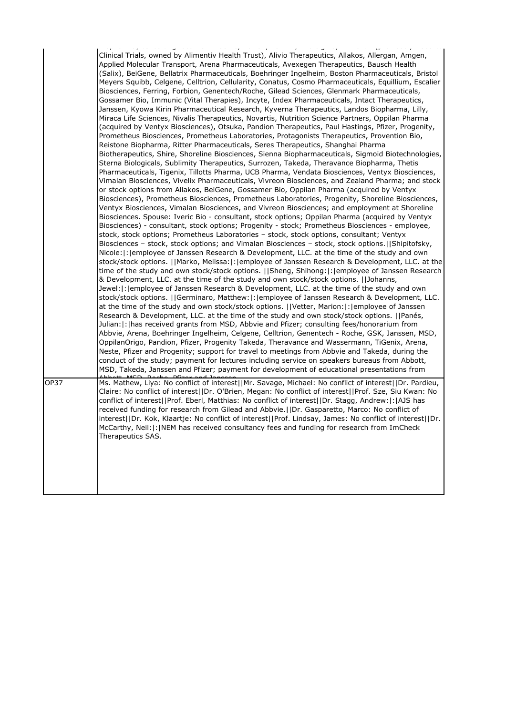|      | راجع جالاجاتهن المستجلسات وعليلوك عاشا وللسياعية والعاليقات وجالا عاعدا البيحان حججا والمتعقلية وعشائمها وحاليته                                                                                                                                                                                                                                                                                                                                                                                                                                                                                                                                                                                                                                                                                                                                                                                                                                                                                                                                                                                                                                                                                                                                                                                                                                                                                                                                                                                                                                                                                                                                                                                                                                                                                                                                                                                                                                                                                                                                                                                                                                                                                                                                                                                                                                                                                                                                                                                                                                                                                                                                                                                                                                                                                                                                                                                                                                                                                                                                                                                                                                                                                                                                                                                                                                                                                                                                                                                                                                                                                                             |
|------|------------------------------------------------------------------------------------------------------------------------------------------------------------------------------------------------------------------------------------------------------------------------------------------------------------------------------------------------------------------------------------------------------------------------------------------------------------------------------------------------------------------------------------------------------------------------------------------------------------------------------------------------------------------------------------------------------------------------------------------------------------------------------------------------------------------------------------------------------------------------------------------------------------------------------------------------------------------------------------------------------------------------------------------------------------------------------------------------------------------------------------------------------------------------------------------------------------------------------------------------------------------------------------------------------------------------------------------------------------------------------------------------------------------------------------------------------------------------------------------------------------------------------------------------------------------------------------------------------------------------------------------------------------------------------------------------------------------------------------------------------------------------------------------------------------------------------------------------------------------------------------------------------------------------------------------------------------------------------------------------------------------------------------------------------------------------------------------------------------------------------------------------------------------------------------------------------------------------------------------------------------------------------------------------------------------------------------------------------------------------------------------------------------------------------------------------------------------------------------------------------------------------------------------------------------------------------------------------------------------------------------------------------------------------------------------------------------------------------------------------------------------------------------------------------------------------------------------------------------------------------------------------------------------------------------------------------------------------------------------------------------------------------------------------------------------------------------------------------------------------------------------------------------------------------------------------------------------------------------------------------------------------------------------------------------------------------------------------------------------------------------------------------------------------------------------------------------------------------------------------------------------------------------------------------------------------------------------------------------------------------|
|      | Clinical Trials, owned by Alimentiv Health Trust), Alivio Therapeutics, Allakos, Allergan, Amgen,<br>Applied Molecular Transport, Arena Pharmaceuticals, Avexegen Therapeutics, Bausch Health<br>(Salix), BeiGene, Bellatrix Pharmaceuticals, Boehringer Ingelheim, Boston Pharmaceuticals, Bristol<br>Meyers Squibb, Celgene, Celltrion, Cellularity, Conatus, Cosmo Pharmaceuticals, Equillium, Escalier<br>Biosciences, Ferring, Forbion, Genentech/Roche, Gilead Sciences, Glenmark Pharmaceuticals,<br>Gossamer Bio, Immunic (Vital Therapies), Incyte, Index Pharmaceuticals, Intact Therapeutics,<br>Janssen, Kyowa Kirin Pharmaceutical Research, Kyverna Therapeutics, Landos Biopharma, Lilly,<br>Miraca Life Sciences, Nivalis Therapeutics, Novartis, Nutrition Science Partners, Oppilan Pharma<br>(acquired by Ventyx Biosciences), Otsuka, Pandion Therapeutics, Paul Hastings, Pfizer, Progenity,<br>Prometheus Biosciences, Prometheus Laboratories, Protagonists Therapeutics, Provention Bio,<br>Reistone Biopharma, Ritter Pharmaceuticals, Seres Therapeutics, Shanghai Pharma<br>Biotherapeutics, Shire, Shoreline Biosciences, Sienna Biopharmaceuticals, Sigmoid Biotechnologies,<br>Sterna Biologicals, Sublimity Therapeutics, Surrozen, Takeda, Theravance Biopharma, Thetis<br>Pharmaceuticals, Tigenix, Tillotts Pharma, UCB Pharma, Vendata Biosciences, Ventyx Biosciences,<br>Vimalan Biosciences, Vivelix Pharmaceuticals, Vivreon Biosciences, and Zealand Pharma; and stock<br>or stock options from Allakos, BeiGene, Gossamer Bio, Oppilan Pharma (acquired by Ventyx<br>Biosciences), Prometheus Biosciences, Prometheus Laboratories, Progenity, Shoreline Biosciences,<br>Ventyx Biosciences, Vimalan Biosciences, and Vivreon Biosciences; and employment at Shoreline<br>Biosciences. Spouse: Iveric Bio - consultant, stock options; Oppilan Pharma (acquired by Ventyx<br>Biosciences) - consultant, stock options; Progenity - stock; Prometheus Biosciences - employee,<br>stock, stock options; Prometheus Laboratories - stock, stock options, consultant; Ventyx<br>Biosciences - stock, stock options; and Vimalan Biosciences - stock, stock options.  Shipitofsky,<br>Nicole:  :   employee of Janssen Research & Development, LLC. at the time of the study and own<br>stock/stock options. [[Marko, Melissa: [: [employee of Janssen Research & Development, LLC. at the<br>time of the study and own stock/stock options. [Sheng, Shihong: [: ]employee of Janssen Research<br>& Development, LLC. at the time of the study and own stock/stock options. [JJohanns,<br>Jewel:  :   employee of Janssen Research & Development, LLC. at the time of the study and own<br>stock/stock options.   Germinaro, Matthew: : employee of Janssen Research & Development, LLC.<br>at the time of the study and own stock/stock options.   Vetter, Marion: : employee of Janssen<br>Research & Development, LLC. at the time of the study and own stock/stock options. IlPanés,<br>Julian: : has received grants from MSD, Abbvie and Pfizer; consulting fees/honorarium from<br>Abbvie, Arena, Boehringer Ingelheim, Celgene, Celltrion, Genentech - Roche, GSK, Janssen, MSD,<br>OppilanOrigo, Pandion, Pfizer, Progenity Takeda, Theravance and Wassermann, TiGenix, Arena,<br>Neste, Pfizer and Progenity; support for travel to meetings from Abbvie and Takeda, during the<br>conduct of the study; payment for lectures including service on speakers bureaus from Abbott,<br>MSD, Takeda, Janssen and Pfizer; payment for development of educational presentations from |
|      |                                                                                                                                                                                                                                                                                                                                                                                                                                                                                                                                                                                                                                                                                                                                                                                                                                                                                                                                                                                                                                                                                                                                                                                                                                                                                                                                                                                                                                                                                                                                                                                                                                                                                                                                                                                                                                                                                                                                                                                                                                                                                                                                                                                                                                                                                                                                                                                                                                                                                                                                                                                                                                                                                                                                                                                                                                                                                                                                                                                                                                                                                                                                                                                                                                                                                                                                                                                                                                                                                                                                                                                                                              |
| OP37 | Ms. Mathew, Liya: No conflict of interest  Mr. Savage, Michael: No conflict of interest  Dr. Pardieu,<br>Claire: No conflict of interest  Dr. O'Brien, Megan: No conflict of interest  Prof. Sze, Siu Kwan: No<br>conflict of interest  Prof. Eberl, Matthias: No conflict of interest  Dr. Stagg, Andrew: : AJS has<br>received funding for research from Gilead and Abbvie. [IDr. Gasparetto, Marco: No conflict of<br>interest  Dr. Kok, Klaartje: No conflict of interest  Prof. Lindsay, James: No conflict of interest  Dr.<br>McCarthy, Neil: : NEM has received consultancy fees and funding for research from ImCheck<br>Therapeutics SAS.                                                                                                                                                                                                                                                                                                                                                                                                                                                                                                                                                                                                                                                                                                                                                                                                                                                                                                                                                                                                                                                                                                                                                                                                                                                                                                                                                                                                                                                                                                                                                                                                                                                                                                                                                                                                                                                                                                                                                                                                                                                                                                                                                                                                                                                                                                                                                                                                                                                                                                                                                                                                                                                                                                                                                                                                                                                                                                                                                                          |
|      |                                                                                                                                                                                                                                                                                                                                                                                                                                                                                                                                                                                                                                                                                                                                                                                                                                                                                                                                                                                                                                                                                                                                                                                                                                                                                                                                                                                                                                                                                                                                                                                                                                                                                                                                                                                                                                                                                                                                                                                                                                                                                                                                                                                                                                                                                                                                                                                                                                                                                                                                                                                                                                                                                                                                                                                                                                                                                                                                                                                                                                                                                                                                                                                                                                                                                                                                                                                                                                                                                                                                                                                                                              |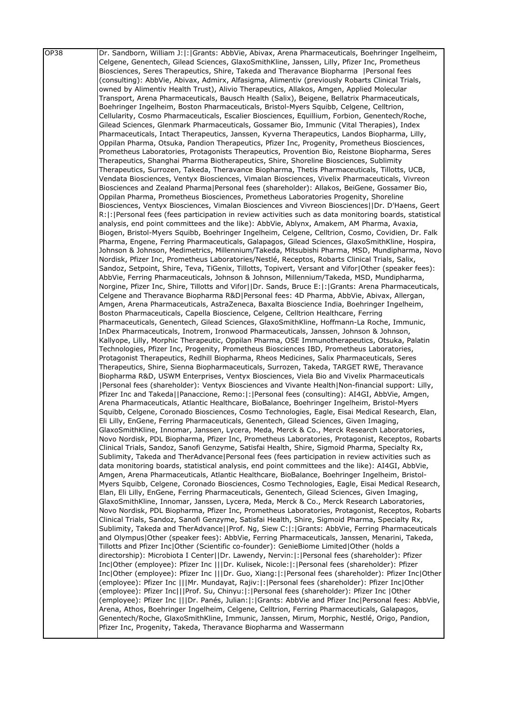| OP38 | Dr. Sandborn, William J: :   Grants: AbbVie, Abivax, Arena Pharmaceuticals, Boehringer Ingelheim,                                                                                                 |
|------|---------------------------------------------------------------------------------------------------------------------------------------------------------------------------------------------------|
|      | Celgene, Genentech, Gilead Sciences, GlaxoSmithKline, Janssen, Lilly, Pfizer Inc, Prometheus                                                                                                      |
|      | Biosciences, Seres Therapeutics, Shire, Takeda and Theravance Biopharma   Personal fees                                                                                                           |
|      | (consulting): AbbVie, Abivax, Admirx, Alfasigma, Alimentiv (previously Robarts Clinical Trials,                                                                                                   |
|      | owned by Alimentiv Health Trust), Alivio Therapeutics, Allakos, Amgen, Applied Molecular                                                                                                          |
|      | Transport, Arena Pharmaceuticals, Bausch Health (Salix), Beigene, Bellatrix Pharmaceuticals,                                                                                                      |
|      | Boehringer Ingelheim, Boston Pharmaceuticals, Bristol-Myers Squibb, Celgene, Celltrion,                                                                                                           |
|      | Cellularity, Cosmo Pharmaceuticals, Escalier Biosciences, Equillium, Forbion, Genentech/Roche,                                                                                                    |
|      | Gilead Sciences, Glenmark Pharmaceuticals, Gossamer Bio, Immunic (Vital Therapies), Index                                                                                                         |
|      | Pharmaceuticals, Intact Therapeutics, Janssen, Kyverna Therapeutics, Landos Biopharma, Lilly,                                                                                                     |
|      | Oppilan Pharma, Otsuka, Pandion Therapeutics, Pfizer Inc, Progenity, Prometheus Biosciences,                                                                                                      |
|      | Prometheus Laboratories, Protagonists Therapeutics, Provention Bio, Reistone Biopharma, Seres                                                                                                     |
|      | Therapeutics, Shanghai Pharma Biotherapeutics, Shire, Shoreline Biosciences, Sublimity                                                                                                            |
|      | Therapeutics, Surrozen, Takeda, Theravance Biopharma, Thetis Pharmaceuticals, Tillotts, UCB,                                                                                                      |
|      | Vendata Biosciences, Ventyx Biosciences, Vimalan Biosciences, Vivelix Pharmaceuticals, Vivreon                                                                                                    |
|      | Biosciences and Zealand Pharma Personal fees (shareholder): Allakos, BeiGene, Gossamer Bio,<br>Oppilan Pharma, Prometheus Biosciences, Prometheus Laboratories Progenity, Shoreline               |
|      | Biosciences, Ventyx Biosciences, Vimalan Biosciences and Vivreon Biosciences  Dr. D'Haens, Geert                                                                                                  |
|      | R:  :   Personal fees (fees participation in review activities such as data monitoring boards, statistical                                                                                        |
|      | analysis, end point committees and the like): AbbVie, Ablynx, Amakem, AM Pharma, Avaxia,                                                                                                          |
|      | Biogen, Bristol-Myers Squibb, Boehringer Ingelheim, Celgene, Celltrion, Cosmo, Covidien, Dr. Falk                                                                                                 |
|      | Pharma, Engene, Ferring Pharmaceuticals, Galapagos, Gilead Sciences, GlaxoSmithKline, Hospira,                                                                                                    |
|      | Johnson & Johnson, Medimetrics, Millennium/Takeda, Mitsubishi Pharma, MSD, Mundipharma, Novo                                                                                                      |
|      | Nordisk, Pfizer Inc, Prometheus Laboratories/Nestlé, Receptos, Robarts Clinical Trials, Salix,                                                                                                    |
|      | Sandoz, Setpoint, Shire, Teva, TiGenix, Tillotts, Topivert, Versant and Vifor Other (speaker fees):                                                                                               |
|      | AbbVie, Ferring Pharmaceuticals, Johnson & Johnson, Millennium/Takeda, MSD, Mundipharma,                                                                                                          |
|      | Norgine, Pfizer Inc, Shire, Tillotts and Vifor  Dr. Sands, Bruce E: : Grants: Arena Pharmaceuticals,                                                                                              |
|      | Celgene and Theravance Biopharma R&D Personal fees: 4D Pharma, AbbVie, Abivax, Allergan,                                                                                                          |
|      | Amgen, Arena Pharmaceuticals, AstraZeneca, Baxalta Bioscience India, Boehringer Ingelheim,                                                                                                        |
|      | Boston Pharmaceuticals, Capella Bioscience, Celgene, Celltrion Healthcare, Ferring                                                                                                                |
|      | Pharmaceuticals, Genentech, Gilead Sciences, GlaxoSmithKline, Hoffmann-La Roche, Immunic,                                                                                                         |
|      | InDex Pharmaceuticals, Inotrem, Ironwood Pharmaceuticals, Janssen, Johnson & Johnson,                                                                                                             |
|      | Kallyope, Lilly, Morphic Therapeutic, Oppilan Pharma, OSE Immunotherapeutics, Otsuka, Palatin                                                                                                     |
|      | Technologies, Pfizer Inc, Progenity, Prometheus Biosciences IBD, Prometheus Laboratories,                                                                                                         |
|      | Protagonist Therapeutics, Redhill Biopharma, Rheos Medicines, Salix Pharmaceuticals, Seres                                                                                                        |
|      | Therapeutics, Shire, Sienna Biopharmaceuticals, Surrozen, Takeda, TARGET RWE, Theravance                                                                                                          |
|      | Biopharma R&D, USWM Enterprises, Ventyx Biosciences, Viela Bio and Vivelix Pharmaceuticals<br>[Personal fees (shareholder): Ventyx Biosciences and Vivante Health   Non-financial support: Lilly, |
|      | Pfizer Inc and Takeda  Panaccione, Remo: :  Personal fees (consulting): AI4GI, AbbVie, Amgen,                                                                                                     |
|      | Arena Pharmaceuticals, Atlantic Healthcare, BioBalance, Boehringer Ingelheim, Bristol-Myers                                                                                                       |
|      | Squibb, Celgene, Coronado Biosciences, Cosmo Technologies, Eagle, Eisai Medical Research, Elan,                                                                                                   |
|      | Eli Lilly, EnGene, Ferring Pharmaceuticals, Genentech, Gilead Sciences, Given Imaging,                                                                                                            |
|      | GlaxoSmithKline, Innomar, Janssen, Lycera, Meda, Merck & Co., Merck Research Laboratories,                                                                                                        |
|      | Novo Nordisk, PDL Biopharma, Pfizer Inc, Prometheus Laboratories, Protagonist, Receptos, Robarts                                                                                                  |
|      | Clinical Trials, Sandoz, Sanofi Genzyme, Satisfai Health, Shire, Sigmoid Pharma, Specialty Rx,                                                                                                    |
|      | Sublimity, Takeda and TherAdvance Personal fees (fees participation in review activities such as                                                                                                  |
|      | data monitoring boards, statistical analysis, end point committees and the like): AI4GI, AbbVie,                                                                                                  |
|      | Amgen, Arena Pharmaceuticals, Atlantic Healthcare, BioBalance, Boehringer Ingelheim, Bristol-                                                                                                     |
|      | Myers Squibb, Celgene, Coronado Biosciences, Cosmo Technologies, Eagle, Eisai Medical Research,                                                                                                   |
|      | Elan, Eli Lilly, EnGene, Ferring Pharmaceuticals, Genentech, Gilead Sciences, Given Imaging,                                                                                                      |
|      | GlaxoSmithKline, Innomar, Janssen, Lycera, Meda, Merck & Co., Merck Research Laboratories,                                                                                                        |
|      | Novo Nordisk, PDL Biopharma, Pfizer Inc, Prometheus Laboratories, Protagonist, Receptos, Robarts                                                                                                  |
|      | Clinical Trials, Sandoz, Sanofi Genzyme, Satisfai Health, Shire, Sigmoid Pharma, Specialty Rx,                                                                                                    |
|      | Sublimity, Takeda and TherAdvance  Prof. Ng, Siew C: : Grants: AbbVie, Ferring Pharmaceuticals                                                                                                    |
|      | and Olympus Other (speaker fees): AbbVie, Ferring Pharmaceuticals, Janssen, Menarini, Takeda,                                                                                                     |
|      | Tillotts and Pfizer Inc Other (Scientific co-founder): GenieBiome Limited Other (holds a                                                                                                          |
|      | directorship): Microbiota I Center  Dr. Lawendy, Nervin: : Personal fees (shareholder): Pfizer                                                                                                    |
|      | Inc Other (employee): Pfizer Inc    Dr. Kulisek, Nicole: : Personal fees (shareholder): Pfizer                                                                                                    |
|      | Inc Other (employee): Pfizer Inc    Dr. Guo, Xiang: : Personal fees (shareholder): Pfizer Inc Other                                                                                               |
|      | (employee): Pfizer Inc    Mr. Mundayat, Rajiv: :  Personal fees (shareholder): Pfizer Inc Other<br>(employee): Pfizer Inc   Prof. Su, Chinyu: : Personal fees (shareholder): Pfizer Inc  Other    |
|      | (employee): Pfizer Inc    Dr. Panés, Julian: :  Grants: AbbVie and Pfizer Inc Personal fees: AbbVie,                                                                                              |
|      | Arena, Athos, Boehringer Ingelheim, Celgene, Celltrion, Ferring Pharmaceuticals, Galapagos,                                                                                                       |
|      | Genentech/Roche, GlaxoSmithKline, Immunic, Janssen, Mirum, Morphic, Nestlé, Origo, Pandion,                                                                                                       |
|      | Pfizer Inc, Progenity, Takeda, Theravance Biopharma and Wassermann                                                                                                                                |
|      |                                                                                                                                                                                                   |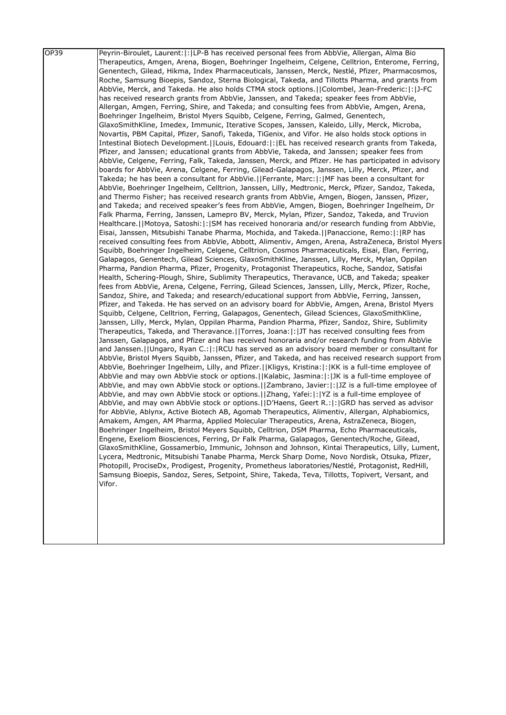| OP39 | Peyrin-Biroulet, Laurent:  :  LP-B has received personal fees from AbbVie, Allergan, Alma Bio<br>Therapeutics, Amgen, Arena, Biogen, Boehringer Ingelheim, Celgene, Celltrion, Enterome, Ferring,<br>Genentech, Gilead, Hikma, Index Pharmaceuticals, Janssen, Merck, Nestlé, Pfizer, Pharmacosmos,<br>Roche, Samsung Bioepis, Sandoz, Sterna Biological, Takeda, and Tillotts Pharma, and grants from<br>AbbVie, Merck, and Takeda. He also holds CTMA stock options. [Colombel, Jean-Frederic: [: [J-FC]<br>has received research grants from AbbVie, Janssen, and Takeda; speaker fees from AbbVie,<br>Allergan, Amgen, Ferring, Shire, and Takeda; and consulting fees from AbbVie, Amgen, Arena,<br>Boehringer Ingelheim, Bristol Myers Squibb, Celgene, Ferring, Galmed, Genentech,<br>GlaxoSmithKline, Imedex, Immunic, Iterative Scopes, Janssen, Kaleido, Lilly, Merck, Microba,<br>Novartis, PBM Capital, Pfizer, Sanofi, Takeda, TiGenix, and Vifor. He also holds stock options in<br>Intestinal Biotech Development.   Louis, Edouard:   :   EL has received research grants from Takeda,<br>Pfizer, and Janssen; educational grants from AbbVie, Takeda, and Janssen; speaker fees from<br>AbbVie, Celgene, Ferring, Falk, Takeda, Janssen, Merck, and Pfizer. He has participated in advisory<br>boards for AbbVie, Arena, Celgene, Ferring, Gilead-Galapagos, Janssen, Lilly, Merck, Pfizer, and<br>Takeda; he has been a consultant for AbbVie.  Ferrante, Marc: : MF has been a consultant for<br>AbbVie, Boehringer Ingelheim, Celltrion, Janssen, Lilly, Medtronic, Merck, Pfizer, Sandoz, Takeda,<br>and Thermo Fisher; has received research grants from AbbVie, Amgen, Biogen, Janssen, Pfizer,<br>and Takeda; and received speaker's fees from AbbVie, Amgen, Biogen, Boehringer Ingelheim, Dr<br>Falk Pharma, Ferring, Janssen, Lamepro BV, Merck, Mylan, Pfizer, Sandoz, Takeda, and Truvion<br>Healthcare.  Motoya, Satoshi: : SM has received honoraria and/or research funding from AbbVie,<br>Eisai, Janssen, Mitsubishi Tanabe Pharma, Mochida, and Takeda. [Panaccione, Remo: [: [RP has<br>received consulting fees from AbbVie, Abbott, Alimentiv, Amgen, Arena, AstraZeneca, Bristol Myers<br>Squibb, Boehringer Ingelheim, Celgene, Celltrion, Cosmos Pharmaceuticals, Eisai, Elan, Ferring,<br>Galapagos, Genentech, Gilead Sciences, GlaxoSmithKline, Janssen, Lilly, Merck, Mylan, Oppilan<br>Pharma, Pandion Pharma, Pfizer, Progenity, Protagonist Therapeutics, Roche, Sandoz, Satisfai<br>Health, Schering-Plough, Shire, Sublimity Therapeutics, Theravance, UCB, and Takeda; speaker<br>fees from AbbVie, Arena, Celgene, Ferring, Gilead Sciences, Janssen, Lilly, Merck, Pfizer, Roche,<br>Sandoz, Shire, and Takeda; and research/educational support from AbbVie, Ferring, Janssen,<br>Pfizer, and Takeda. He has served on an advisory board for AbbVie, Amgen, Arena, Bristol Myers<br>Squibb, Celgene, Celltrion, Ferring, Galapagos, Genentech, Gilead Sciences, GlaxoSmithKline,<br>Janssen, Lilly, Merck, Mylan, Oppilan Pharma, Pandion Pharma, Pfizer, Sandoz, Shire, Sublimity<br>Therapeutics, Takeda, and Theravance. I Torres, Joana: I: JJT has received consulting fees from<br>Janssen, Galapagos, and Pfizer and has received honoraria and/or research funding from AbbVie<br>and Janssen. [JUngaro, Ryan C.:  : RCU has served as an advisory board member or consultant for<br>AbbVie, Bristol Myers Squibb, Janssen, Pfizer, and Takeda, and has received research support from<br>AbbVie, Boehringer Ingelheim, Lilly, and Pfizer.  Kligys, Kristina: : KK is a full-time employee of<br>AbbVie and may own AbbVie stock or options.     Kalabic, Jasmina:   :   JK is a full-time employee of<br>AbbVie, and may own AbbVie stock or options.  Zambrano, Javier: : JZ is a full-time employee of<br>AbbVie, and may own AbbVie stock or options.   [Zhang, Yafei:   :   YZ is a full-time employee of<br>AbbVie, and may own AbbVie stock or options. I D'Haens, Geert R.:   :   GRD has served as advisor<br>for AbbVie, Ablynx, Active Biotech AB, Agomab Therapeutics, Alimentiv, Allergan, Alphabiomics,<br>Amakem, Amgen, AM Pharma, Applied Molecular Therapeutics, Arena, AstraZeneca, Biogen, |
|------|------------------------------------------------------------------------------------------------------------------------------------------------------------------------------------------------------------------------------------------------------------------------------------------------------------------------------------------------------------------------------------------------------------------------------------------------------------------------------------------------------------------------------------------------------------------------------------------------------------------------------------------------------------------------------------------------------------------------------------------------------------------------------------------------------------------------------------------------------------------------------------------------------------------------------------------------------------------------------------------------------------------------------------------------------------------------------------------------------------------------------------------------------------------------------------------------------------------------------------------------------------------------------------------------------------------------------------------------------------------------------------------------------------------------------------------------------------------------------------------------------------------------------------------------------------------------------------------------------------------------------------------------------------------------------------------------------------------------------------------------------------------------------------------------------------------------------------------------------------------------------------------------------------------------------------------------------------------------------------------------------------------------------------------------------------------------------------------------------------------------------------------------------------------------------------------------------------------------------------------------------------------------------------------------------------------------------------------------------------------------------------------------------------------------------------------------------------------------------------------------------------------------------------------------------------------------------------------------------------------------------------------------------------------------------------------------------------------------------------------------------------------------------------------------------------------------------------------------------------------------------------------------------------------------------------------------------------------------------------------------------------------------------------------------------------------------------------------------------------------------------------------------------------------------------------------------------------------------------------------------------------------------------------------------------------------------------------------------------------------------------------------------------------------------------------------------------------------------------------------------------------------------------------------------------------------------------------------------------------------------------------------------------------------------------------------------------------------------------------------------------------------------------------------------------------------------------------------------------------------------------------------------------------------------------------------------------------------------------------------------------------------------------------------------------------------------------------------------------------------------------------------------------------------------------------------------------------------------------------------------------------------------------|
|      | Boehringer Ingelheim, Bristol Meyers Squibb, Celltrion, DSM Pharma, Echo Pharmaceuticals,                                                                                                                                                                                                                                                                                                                                                                                                                                                                                                                                                                                                                                                                                                                                                                                                                                                                                                                                                                                                                                                                                                                                                                                                                                                                                                                                                                                                                                                                                                                                                                                                                                                                                                                                                                                                                                                                                                                                                                                                                                                                                                                                                                                                                                                                                                                                                                                                                                                                                                                                                                                                                                                                                                                                                                                                                                                                                                                                                                                                                                                                                                                                                                                                                                                                                                                                                                                                                                                                                                                                                                                                                                                                                                                                                                                                                                                                                                                                                                                                                                                                                                                                                                                    |
|      | Engene, Exeliom Biosciences, Ferring, Dr Falk Pharma, Galapagos, Genentech/Roche, Gilead,<br>GlaxoSmithKline, Gossamerbio, Immunic, Johnson and Johnson, Kintai Therapeutics, Lilly, Lument,<br>Lycera, Medtronic, Mitsubishi Tanabe Pharma, Merck Sharp Dome, Novo Nordisk, Otsuka, Pfizer,<br>Photopill, ProciseDx, Prodigest, Progenity, Prometheus laboratories/Nestlé, Protagonist, RedHill,<br>Samsung Bioepis, Sandoz, Seres, Setpoint, Shire, Takeda, Teva, Tillotts, Topivert, Versant, and<br>Vifor.                                                                                                                                                                                                                                                                                                                                                                                                                                                                                                                                                                                                                                                                                                                                                                                                                                                                                                                                                                                                                                                                                                                                                                                                                                                                                                                                                                                                                                                                                                                                                                                                                                                                                                                                                                                                                                                                                                                                                                                                                                                                                                                                                                                                                                                                                                                                                                                                                                                                                                                                                                                                                                                                                                                                                                                                                                                                                                                                                                                                                                                                                                                                                                                                                                                                                                                                                                                                                                                                                                                                                                                                                                                                                                                                                               |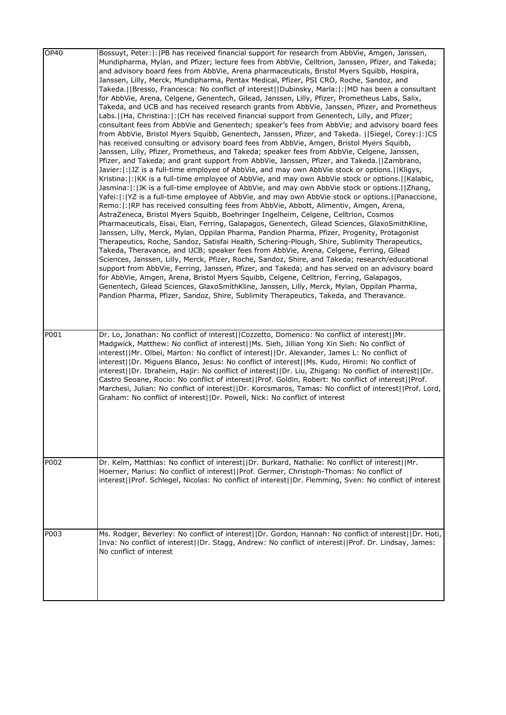| <b>OP40</b> | Bossuyt, Peter:  :  PB has received financial support for research from AbbVie, Amgen, Janssen,         |
|-------------|---------------------------------------------------------------------------------------------------------|
|             | Mundipharma, Mylan, and Pfizer; lecture fees from AbbVie, Celltrion, Janssen, Pfizer, and Takeda;       |
|             | and advisory board fees from AbbVie, Arena pharmaceuticals, Bristol Myers Squibb, Hospira,              |
|             | Janssen, Lilly, Merck, Mundipharma, Pentax Medical, Pfizer, PSI CRO, Roche, Sandoz, and                 |
|             | Takeda.  Bresso, Francesca: No conflict of interest  Dubinsky, Marla: : MD has been a consultant        |
|             | for AbbVie, Arena, Celgene, Genentech, Gilead, Janssen, Lilly, Pfizer, Prometheus Labs, Salix,          |
|             | Takeda, and UCB and has received research grants from AbbVie, Janssen, Pfizer, and Prometheus           |
|             | Labs.  Ha, Christina: : CH has received financial support from Genentech, Lilly, and Pfizer;            |
|             | consultant fees from AbbVie and Genentech; speaker's fees from AbbVie; and advisory board fees          |
|             | from AbbVie, Bristol Myers Squibb, Genentech, Janssen, Pfizer, and Takeda. [[Siegel, Corey: [: CS]      |
|             | has received consulting or advisory board fees from AbbVie, Amgen, Bristol Myers Squibb,                |
|             | Janssen, Lilly, Pfizer, Prometheus, and Takeda; speaker fees from AbbVie, Celgene, Janssen,             |
|             | Pfizer, and Takeda; and grant support from AbbVie, Janssen, Pfizer, and Takeda.[[Zambrano,              |
|             | Javier:  :  JZ is a full-time employee of AbbVie, and may own AbbVie stock or options.   Kligys,        |
|             | Kristina:  :   KK is a full-time employee of AbbVie, and may own AbbVie stock or options.     Kalabic,  |
|             | Jasmina:  :  JK is a full-time employee of AbbVie, and may own AbbVie stock or options.   Zhang,        |
|             | Yafei:  :  YZ is a full-time employee of AbbVie, and may own AbbVie stock or options.     Panaccione,   |
|             | Remo:  :  RP has received consulting fees from AbbVie, Abbott, Alimentiv, Amgen, Arena,                 |
|             | AstraZeneca, Bristol Myers Squibb, Boehringer Ingelheim, Celgene, Celltrion, Cosmos                     |
|             | Pharmaceuticals, Eisai, Elan, Ferring, Galapagos, Genentech, Gilead Sciences, GlaxoSmithKline,          |
|             | Janssen, Lilly, Merck, Mylan, Oppilan Pharma, Pandion Pharma, Pfizer, Progenity, Protagonist            |
|             | Therapeutics, Roche, Sandoz, Satisfai Health, Schering-Plough, Shire, Sublimity Therapeutics,           |
|             | Takeda, Theravance, and UCB; speaker fees from AbbVie, Arena, Celgene, Ferring, Gilead                  |
|             | Sciences, Janssen, Lilly, Merck, Pfizer, Roche, Sandoz, Shire, and Takeda; research/educational         |
|             | support from AbbVie, Ferring, Janssen, Pfizer, and Takeda; and has served on an advisory board          |
|             | for AbbVie, Amgen, Arena, Bristol Myers Squibb, Celgene, Celltrion, Ferring, Galapagos,                 |
|             | Genentech, Gilead Sciences, GlaxoSmithKline, Janssen, Lilly, Merck, Mylan, Oppilan Pharma,              |
|             | Pandion Pharma, Pfizer, Sandoz, Shire, Sublimity Therapeutics, Takeda, and Theravance.                  |
|             |                                                                                                         |
|             |                                                                                                         |
| P001        | Dr. Lo, Jonathan: No conflict of interest  Cozzetto, Domenico: No conflict of interest  Mr.             |
|             | Madgwick, Matthew: No conflict of interest  Ms. Sieh, Jillian Yong Xin Sieh: No conflict of             |
|             | interest  Mr. Olbei, Marton: No conflict of interest  Dr. Alexander, James L: No conflict of            |
|             | interest  Dr. Miguens Blanco, Jesus: No conflict of interest  Ms. Kudo, Hiromi: No conflict of          |
|             | interest  Dr. Ibraheim, Hajir: No conflict of interest  Dr. Liu, Zhigang: No conflict of interest  Dr.  |
|             |                                                                                                         |
|             | Castro Seoane, Rocio: No conflict of interest  Prof. Goldin, Robert: No conflict of interest  Prof.     |
|             | Marchesi, Julian: No conflict of interest  Dr. Korcsmaros, Tamas: No conflict of interest  Prof. Lord,  |
|             | Graham: No conflict of interest  Dr. Powell, Nick: No conflict of interest                              |
|             |                                                                                                         |
|             |                                                                                                         |
|             |                                                                                                         |
|             |                                                                                                         |
|             |                                                                                                         |
|             |                                                                                                         |
| P002        | Dr. Kelm, Matthias: No conflict of interest  Dr. Burkard, Nathalie: No conflict of interest  Mr.        |
|             | Hoerner, Marius: No conflict of interest  Prof. Germer, Christoph-Thomas: No conflict of                |
|             | interest  Prof. Schlegel, Nicolas: No conflict of interest  Dr. Flemming, Sven: No conflict of interest |
|             |                                                                                                         |
|             |                                                                                                         |
|             |                                                                                                         |
|             |                                                                                                         |
| P003        | Ms. Rodger, Beverley: No conflict of interest  Dr. Gordon, Hannah: No conflict of interest  Dr. Hoti,   |
|             | Inva: No conflict of interest  Dr. Stagg, Andrew: No conflict of interest  Prof. Dr. Lindsay, James:    |
|             | No conflict of interest                                                                                 |
|             |                                                                                                         |
|             |                                                                                                         |
|             |                                                                                                         |
|             |                                                                                                         |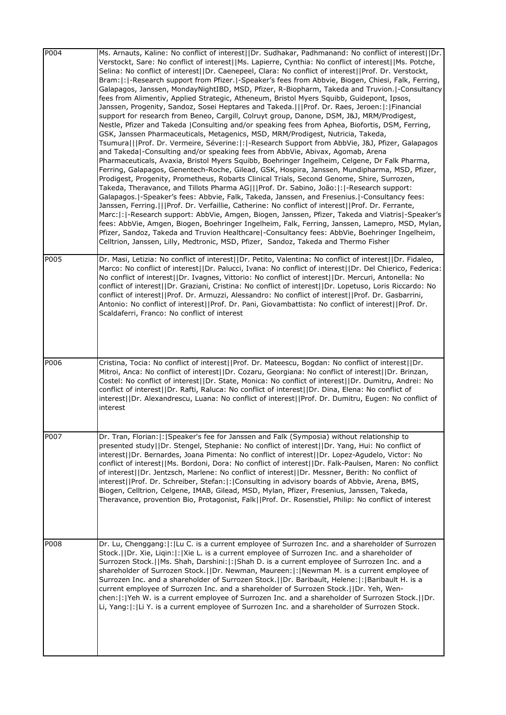| P004 | Ms. Arnauts, Kaline: No conflict of interest  Dr. Sudhakar, Padhmanand: No conflict of interest  Dr.<br>Verstockt, Sare: No conflict of interest  Ms. Lapierre, Cynthia: No conflict of interest  Ms. Potche,<br>Selina: No conflict of interest  Dr. Caenepeel, Clara: No conflict of interest  Prof. Dr. Verstockt,<br>Bram:  :  -Research support from Pfizer.  -Speaker's fees from Abbvie, Biogen, Chiesi, Falk, Ferring,<br>Galapagos, Janssen, MondayNightIBD, MSD, Pfizer, R-Biopharm, Takeda and Truvion. -Consultancy<br>fees from Alimentiv, Applied Strategic, Atheneum, Bristol Myers Squibb, Guidepont, Ipsos,<br>Janssen, Progenity, Sandoz, Sosei Heptares and Takeda.   Prof. Dr. Raes, Jeroen:  :  Financial<br>support for research from Beneo, Cargill, Colruyt group, Danone, DSM, J&J, MRM/Prodigest,<br>Nestle, Pfizer and Takeda   Consulting and/or speaking fees from Aphea, Biofortis, DSM, Ferring,<br>GSK, Janssen Pharmaceuticals, Metagenics, MSD, MRM/Prodigest, Nutricia, Takeda,<br>Tsumura   Prof. Dr. Vermeire, Séverine: : -Research Support from AbbVie, J&J, Pfizer, Galapagos<br>and Takeda -Consulting and/or speaking fees from AbbVie, Abivax, Agomab, Arena<br>Pharmaceuticals, Avaxia, Bristol Myers Squibb, Boehringer Ingelheim, Celgene, Dr Falk Pharma,<br>Ferring, Galapagos, Genentech-Roche, Gilead, GSK, Hospira, Janssen, Mundipharma, MSD, Pfizer,<br>Prodigest, Progenity, Prometheus, Robarts Clinical Trials, Second Genome, Shire, Surrozen,<br>Takeda, Theravance, and Tillots Pharma AG   Prof. Dr. Sabino, João: : -Research support:<br>Galapagos.   - Speaker's fees: Abbvie, Falk, Takeda, Janssen, and Fresenius.   - Consultancy fees:<br>Janssen, Ferring.   Prof. Dr. Verfaillie, Catherine: No conflict of interest  Prof. Dr. Ferrante,<br>Marc:  :  -Research support: AbbVie, Amgen, Biogen, Janssen, Pfizer, Takeda and Viatris -Speaker's<br>fees: AbbVie, Amgen, Biogen, Boehringer Ingelheim, Falk, Ferring, Janssen, Lamepro, MSD, Mylan,<br>Pfizer, Sandoz, Takeda and Truvion Healthcare -Consultancy fees: AbbVie, Boehringer Ingelheim,<br>Celltrion, Janssen, Lilly, Medtronic, MSD, Pfizer, Sandoz, Takeda and Thermo Fisher |
|------|------------------------------------------------------------------------------------------------------------------------------------------------------------------------------------------------------------------------------------------------------------------------------------------------------------------------------------------------------------------------------------------------------------------------------------------------------------------------------------------------------------------------------------------------------------------------------------------------------------------------------------------------------------------------------------------------------------------------------------------------------------------------------------------------------------------------------------------------------------------------------------------------------------------------------------------------------------------------------------------------------------------------------------------------------------------------------------------------------------------------------------------------------------------------------------------------------------------------------------------------------------------------------------------------------------------------------------------------------------------------------------------------------------------------------------------------------------------------------------------------------------------------------------------------------------------------------------------------------------------------------------------------------------------------------------------------------------------------------------------------------------------------------------------------------------------------------------------------------------------------------------------------------------------------------------------------------------------------------------------------------------------------------------------------------------------------------------------------------------------------------------------------------------------------------------------------------------------|
| P005 | Dr. Masi, Letizia: No conflict of interest  Dr. Petito, Valentina: No conflict of interest  Dr. Fidaleo,<br>Marco: No conflict of interest  Dr. Palucci, Ivana: No conflict of interest  Dr. Del Chierico, Federica:<br>No conflict of interest  Dr. Ivagnes, Vittorio: No conflict of interest  Dr. Mercuri, Antonella: No<br>conflict of interest  Dr. Graziani, Cristina: No conflict of interest  Dr. Lopetuso, Loris Riccardo: No<br>conflict of interest  Prof. Dr. Armuzzi, Alessandro: No conflict of interest  Prof. Dr. Gasbarrini,<br>Antonio: No conflict of interest  Prof. Dr. Pani, Giovambattista: No conflict of interest  Prof. Dr.<br>Scaldaferri, Franco: No conflict of interest                                                                                                                                                                                                                                                                                                                                                                                                                                                                                                                                                                                                                                                                                                                                                                                                                                                                                                                                                                                                                                                                                                                                                                                                                                                                                                                                                                                                                                                                                                            |
| P006 | Cristina, Tocia: No conflict of interest  Prof. Dr. Mateescu, Bogdan: No conflict of interest  Dr.<br>Mitroi, Anca: No conflict of interest  Dr. Cozaru, Georgiana: No conflict of interest  Dr. Brinzan,<br>Costel: No conflict of interest  Dr. State, Monica: No conflict of interest  Dr. Dumitru, Andrei: No<br>conflict of interest  Dr. Rafti, Raluca: No conflict of interest  Dr. Dina, Elena: No conflict of<br>interest  Dr. Alexandrescu, Luana: No conflict of interest  Prof. Dr. Dumitru, Eugen: No conflict of<br>interest                                                                                                                                                                                                                                                                                                                                                                                                                                                                                                                                                                                                                                                                                                                                                                                                                                                                                                                                                                                                                                                                                                                                                                                                                                                                                                                                                                                                                                                                                                                                                                                                                                                                       |
| P007 | Dr. Tran, Florian:  :   Speaker's fee for Janssen and Falk (Symposia) without relationship to<br>presented study  Dr. Stengel, Stephanie: No conflict of interest  Dr. Yang, Hui: No conflict of<br>interest  Dr. Bernardes, Joana Pimenta: No conflict of interest  Dr. Lopez-Agudelo, Victor: No<br>conflict of interest  Ms. Bordoni, Dora: No conflict of interest  Dr. Falk-Paulsen, Maren: No conflict<br>of interest  Dr. Jentzsch, Marlene: No conflict of interest  Dr. Messner, Berith: No conflict of<br>interest  Prof. Dr. Schreiber, Stefan: : Consulting in advisory boards of Abbvie, Arena, BMS,<br>Biogen, Celltrion, Celgene, IMAB, Gilead, MSD, Mylan, Pfizer, Fresenius, Janssen, Takeda,<br>Theravance, provention Bio, Protagonist, Falk  Prof. Dr. Rosenstiel, Philip: No conflict of interest                                                                                                                                                                                                                                                                                                                                                                                                                                                                                                                                                                                                                                                                                                                                                                                                                                                                                                                                                                                                                                                                                                                                                                                                                                                                                                                                                                                           |
| P008 | Dr. Lu, Chenggang:  :  Lu C. is a current employee of Surrozen Inc. and a shareholder of Surrozen<br>Stock.  Dr. Xie, Ligin: : Xie L. is a current employee of Surrozen Inc. and a shareholder of<br>Surrozen Stock.  Ms. Shah, Darshini: : Shah D. is a current employee of Surrozen Inc. and a<br>shareholder of Surrozen Stock.  Dr. Newman, Maureen: : Newman M. is a current employee of<br>Surrozen Inc. and a shareholder of Surrozen Stock.  Dr. Baribault, Helene: :  Baribault H. is a<br>current employee of Surrozen Inc. and a shareholder of Surrozen Stock.  Dr. Yeh, Wen-<br>chen:  :  Yeh W. is a current employee of Surrozen Inc. and a shareholder of Surrozen Stock.    Dr.<br>Li, Yang:  :  Li Y. is a current employee of Surrozen Inc. and a shareholder of Surrozen Stock.                                                                                                                                                                                                                                                                                                                                                                                                                                                                                                                                                                                                                                                                                                                                                                                                                                                                                                                                                                                                                                                                                                                                                                                                                                                                                                                                                                                                              |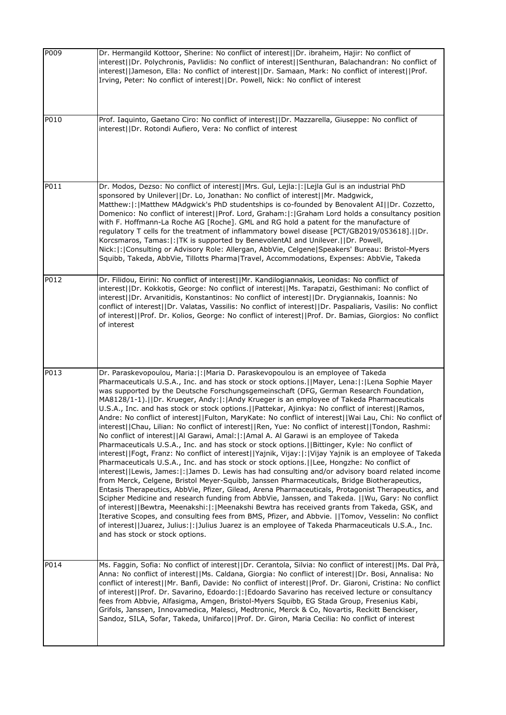| P009 | Dr. Hermangild Kottoor, Sherine: No conflict of interest  Dr. ibraheim, Hajir: No conflict of<br>interest  Dr. Polychronis, Pavlidis: No conflict of interest  Senthuran, Balachandran: No conflict of<br>interest  Jameson, Ella: No conflict of interest  Dr. Samaan, Mark: No conflict of interest  Prof.<br>Irving, Peter: No conflict of interest  Dr. Powell, Nick: No conflict of interest                                                                                                                                                                                                                                                                                                                                                                                                                                                                                                                                                                                                                                                                                                                                                                                                                                                                                                                                                                                                                                                                                                                                                                                                                                                                                                                                                                                                                                                                      |
|------|------------------------------------------------------------------------------------------------------------------------------------------------------------------------------------------------------------------------------------------------------------------------------------------------------------------------------------------------------------------------------------------------------------------------------------------------------------------------------------------------------------------------------------------------------------------------------------------------------------------------------------------------------------------------------------------------------------------------------------------------------------------------------------------------------------------------------------------------------------------------------------------------------------------------------------------------------------------------------------------------------------------------------------------------------------------------------------------------------------------------------------------------------------------------------------------------------------------------------------------------------------------------------------------------------------------------------------------------------------------------------------------------------------------------------------------------------------------------------------------------------------------------------------------------------------------------------------------------------------------------------------------------------------------------------------------------------------------------------------------------------------------------------------------------------------------------------------------------------------------------|
| P010 | Prof. Iaquinto, Gaetano Ciro: No conflict of interest  Dr. Mazzarella, Giuseppe: No conflict of<br>interest  Dr. Rotondi Aufiero, Vera: No conflict of interest                                                                                                                                                                                                                                                                                                                                                                                                                                                                                                                                                                                                                                                                                                                                                                                                                                                                                                                                                                                                                                                                                                                                                                                                                                                                                                                                                                                                                                                                                                                                                                                                                                                                                                        |
| P011 | Dr. Modos, Dezso: No conflict of interest  Mrs. Gul, Lejla: : Lejla Gul is an industrial PhD<br>sponsored by Unilever  Dr. Lo, Jonathan: No conflict of interest  Mr. Madgwick,<br>Matthew:  :   Matthew MAdgwick's PhD studentships is co-founded by Benovalent AI  Dr. Cozzetto,<br>Domenico: No conflict of interest  Prof. Lord, Graham: :  Graham Lord holds a consultancy position<br>with F. Hoffmann-La Roche AG [Roche]. GML and RG hold a patent for the manufacture of<br>regulatory T cells for the treatment of inflammatory bowel disease [PCT/GB2019/053618].  Dr.<br>Korcsmaros, Tamas:  :   TK is supported by BenevolentAI and Unilever.     Dr. Powell,<br>Nick:  :  Consulting or Advisory Role: Allergan, AbbVie, Celgene   Speakers' Bureau: Bristol-Myers<br>Squibb, Takeda, AbbVie, Tillotts Pharma Travel, Accommodations, Expenses: AbbVie, Takeda                                                                                                                                                                                                                                                                                                                                                                                                                                                                                                                                                                                                                                                                                                                                                                                                                                                                                                                                                                                           |
| P012 | Dr. Filidou, Eirini: No conflict of interest  Mr. Kandilogiannakis, Leonidas: No conflict of<br>interest  Dr. Kokkotis, George: No conflict of interest  Ms. Tarapatzi, Gesthimani: No conflict of<br>interest  Dr. Arvanitidis, Konstantinos: No conflict of interest  Dr. Drygiannakis, Ioannis: No<br>conflict of interest  Dr. Valatas, Vassilis: No conflict of interest  Dr. Paspaliaris, Vasilis: No conflict<br>of interest  Prof. Dr. Kolios, George: No conflict of interest  Prof. Dr. Bamias, Giorgios: No conflict<br>of interest                                                                                                                                                                                                                                                                                                                                                                                                                                                                                                                                                                                                                                                                                                                                                                                                                                                                                                                                                                                                                                                                                                                                                                                                                                                                                                                         |
| P013 | Dr. Paraskevopoulou, Maria:  :   Maria D. Paraskevopoulou is an employee of Takeda<br>Pharmaceuticals U.S.A., Inc. and has stock or stock options.   Mayer, Lena:  :  Lena Sophie Mayer<br>was supported by the Deutsche Forschungsgemeinschaft (DFG, German Research Foundation,<br>MA8128/1-1).  Dr. Krueger, Andy: : Andy Krueger is an employee of Takeda Pharmaceuticals<br>U.S.A., Inc. and has stock or stock options.   Pattekar, Ajinkya: No conflict of interest  Ramos,<br>Andre: No conflict of interest  Fulton, MaryKate: No conflict of interest  Wai Lau, Chi: No conflict of<br>interest  Chau, Lilian: No conflict of interest  Ren, Yue: No conflict of interest  Tondon, Rashmi:<br>No conflict of interest  Al Garawi, Amal: : Amal A. Al Garawi is an employee of Takeda<br>Pharmaceuticals U.S.A., Inc. and has stock or stock options.     Bittinger, Kyle: No conflict of<br>interest  Fogt, Franz: No conflict of interest  Yajnik, Vijay: : Vijay Yajnik is an employee of Takeda<br>Pharmaceuticals U.S.A., Inc. and has stock or stock options.   Lee, Hongzhe: No conflict of<br>interest  Lewis, James: : James D. Lewis has had consulting and/or advisory board related income<br>from Merck, Celgene, Bristol Meyer-Squibb, Janssen Pharmaceuticals, Bridge Biotherapeutics,<br>Entasis Therapeutics, AbbVie, Pfizer, Gilead, Arena Pharmaceuticals, Protagonist Therapeutics, and<br>Scipher Medicine and research funding from AbbVie, Janssen, and Takeda.   Wu, Gary: No conflict<br>of interest  Bewtra, Meenakshi: : Meenakshi Bewtra has received grants from Takeda, GSK, and<br>Iterative Scopes, and consulting fees from BMS, Pfizer, and Abbvie.   Tomov, Vesselin: No conflict<br>of interest  Juarez, Julius: : Julius Juarez is an employee of Takeda Pharmaceuticals U.S.A., Inc.<br>and has stock or stock options. |
| P014 | Ms. Faggin, Sofia: No conflict of interest  Dr. Cerantola, Silvia: No conflict of interest  Ms. Dal Prà,<br>Anna: No conflict of interest  Ms. Caldana, Giorgia: No conflict of interest  Dr. Bosi, Annalisa: No<br>conflict of interest  Mr. Banfi, Davide: No conflict of interest  Prof. Dr. Giaroni, Cristina: No conflict<br>of interest  Prof. Dr. Savarino, Edoardo: : Edoardo Savarino has received lecture or consultancy<br>fees from Abbvie, Alfasigma, Amgen, Bristol-Myers Squibb, EG Stada Group, Fresenius Kabi,<br>Grifols, Janssen, Innovamedica, Malesci, Medtronic, Merck & Co, Novartis, Reckitt Benckiser,<br>Sandoz, SILA, Sofar, Takeda, Unifarco  Prof. Dr. Giron, Maria Cecilia: No conflict of interest                                                                                                                                                                                                                                                                                                                                                                                                                                                                                                                                                                                                                                                                                                                                                                                                                                                                                                                                                                                                                                                                                                                                      |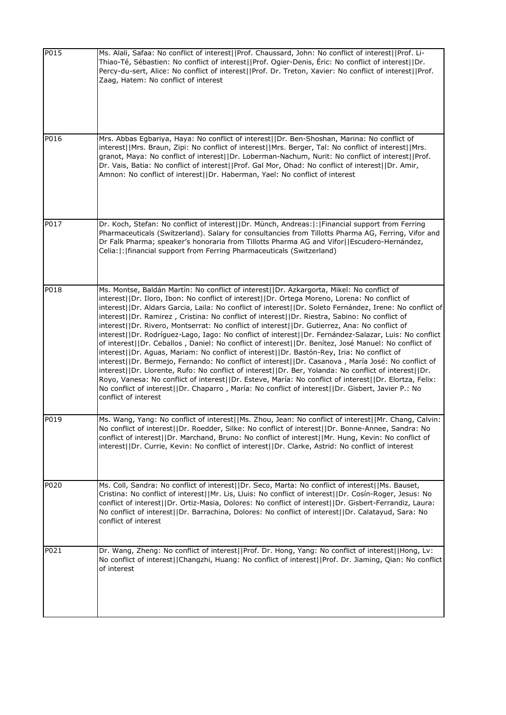| P015 | Ms. Alali, Safaa: No conflict of interest  Prof. Chaussard, John: No conflict of interest  Prof. Li-<br>Thiao-Té, Sébastien: No conflict of interest  Prof. Ogier-Denis, Éric: No conflict of interest  Dr.<br>Percy-du-sert, Alice: No conflict of interest  Prof. Dr. Treton, Xavier: No conflict of interest  Prof.<br>Zaag, Hatem: No conflict of interest                                                                                                                                                                                                                                                                                                                                                                                                                                                                                                                                                                                                                                                                                                                                                                                                                                                                                                                |
|------|-------------------------------------------------------------------------------------------------------------------------------------------------------------------------------------------------------------------------------------------------------------------------------------------------------------------------------------------------------------------------------------------------------------------------------------------------------------------------------------------------------------------------------------------------------------------------------------------------------------------------------------------------------------------------------------------------------------------------------------------------------------------------------------------------------------------------------------------------------------------------------------------------------------------------------------------------------------------------------------------------------------------------------------------------------------------------------------------------------------------------------------------------------------------------------------------------------------------------------------------------------------------------------|
| P016 | Mrs. Abbas Egbariya, Haya: No conflict of interest  Dr. Ben-Shoshan, Marina: No conflict of<br>interest  Mrs. Braun, Zipi: No conflict of interest  Mrs. Berger, Tal: No conflict of interest  Mrs.<br>granot, Maya: No conflict of interest  Dr. Loberman-Nachum, Nurit: No conflict of interest  Prof.<br>Dr. Vais, Batia: No conflict of interest  Prof. Gal Mor, Ohad: No conflict of interest  Dr. Amir,<br>Amnon: No conflict of interest  Dr. Haberman, Yael: No conflict of interest                                                                                                                                                                                                                                                                                                                                                                                                                                                                                                                                                                                                                                                                                                                                                                                  |
| P017 | Dr. Koch, Stefan: No conflict of interest  Dr. Münch, Andreas: : Financial support from Ferring<br>Pharmaceuticals (Switzerland). Salary for consultancies from Tillotts Pharma AG, Ferring, Vifor and<br>Dr Falk Pharma; speaker's honoraria from Tillotts Pharma AG and Vifor  Escudero-Hernández,<br>Celia:  :   financial support from Ferring Pharmaceuticals (Switzerland)                                                                                                                                                                                                                                                                                                                                                                                                                                                                                                                                                                                                                                                                                                                                                                                                                                                                                              |
| P018 | Ms. Montse, Baldán Martín: No conflict of interest  Dr. Azkargorta, Mikel: No conflict of<br>interest  Dr. Iloro, Ibon: No conflict of interest  Dr. Ortega Moreno, Lorena: No conflict of<br>interest  Dr. Aldars Garcia, Laila: No conflict of interest  Dr. Soleto Fernández, Irene: No conflict of<br>interest  Dr. Ramirez, Cristina: No conflict of interest  Dr. Riestra, Sabino: No conflict of<br>interest  Dr. Rivero, Montserrat: No conflict of interest  Dr. Gutierrez, Ana: No conflict of<br>interest  Dr. Rodríguez-Lago, Iago: No conflict of interest  Dr. Fernández-Salazar, Luis: No conflict<br>of interest  Dr. Ceballos, Daniel: No conflict of interest  Dr. Benítez, José Manuel: No conflict of<br>interest  Dr. Aguas, Mariam: No conflict of interest  Dr. Bastón-Rey, Iria: No conflict of<br>interest  Dr. Bermejo, Fernando: No conflict of interest  Dr. Casanova, María José: No conflict of<br>interest  Dr. Llorente, Rufo: No conflict of interest  Dr. Ber, Yolanda: No conflict of interest  Dr.<br>Royo, Vanesa: No conflict of interest  Dr. Esteve, María: No conflict of interest  Dr. Elortza, Felix:<br>No conflict of interest  Dr. Chaparro, María: No conflict of interest  Dr. Gisbert, Javier P.: No<br>conflict of interest |
| P019 | Ms. Wang, Yang: No conflict of interest  Ms. Zhou, Jean: No conflict of interest  Mr. Chang, Calvin:<br>No conflict of interest  Dr. Roedder, Silke: No conflict of interest  Dr. Bonne-Annee, Sandra: No<br>conflict of interest  Dr. Marchand, Bruno: No conflict of interest  Mr. Hung, Kevin: No conflict of<br>interest  Dr. Currie, Kevin: No conflict of interest  Dr. Clarke, Astrid: No conflict of interest                                                                                                                                                                                                                                                                                                                                                                                                                                                                                                                                                                                                                                                                                                                                                                                                                                                         |
| P020 | Ms. Coll, Sandra: No conflict of interest  Dr. Seco, Marta: No conflict of interest  Ms. Bauset,<br>Cristina: No conflict of interest  Mr. Lis, Lluis: No conflict of interest  Dr. Cosín-Roger, Jesus: No<br>conflict of interest  Dr. Ortiz-Masia, Dolores: No conflict of interest  Dr. Gisbert-Ferrandiz, Laura:<br>No conflict of interest  Dr. Barrachina, Dolores: No conflict of interest  Dr. Calatayud, Sara: No<br>conflict of interest                                                                                                                                                                                                                                                                                                                                                                                                                                                                                                                                                                                                                                                                                                                                                                                                                            |
| P021 | Dr. Wang, Zheng: No conflict of interest  Prof. Dr. Hong, Yang: No conflict of interest  Hong, Lv:<br>No conflict of interest  Changzhi, Huang: No conflict of interest  Prof. Dr. Jiaming, Qian: No conflict<br>of interest                                                                                                                                                                                                                                                                                                                                                                                                                                                                                                                                                                                                                                                                                                                                                                                                                                                                                                                                                                                                                                                  |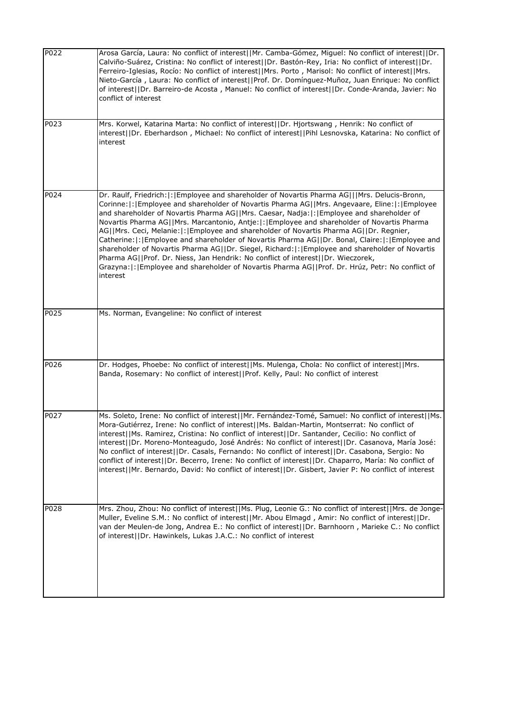| P <sub>022</sub> | Arosa García, Laura: No conflict of interest  Mr. Camba-Gómez, Miguel: No conflict of interest  Dr.<br>Calviño-Suárez, Cristina: No conflict of interest  Dr. Bastón-Rey, Iria: No conflict of interest  Dr.<br>Ferreiro-Iglesias, Rocío: No conflict of interest  Mrs. Porto, Marisol: No conflict of interest  Mrs.<br>Nieto-García, Laura: No conflict of interest  Prof. Dr. Domínguez-Muñoz, Juan Enrique: No conflict<br>of interest  Dr. Barreiro-de Acosta, Manuel: No conflict of interest  Dr. Conde-Aranda, Javier: No<br>conflict of interest                                                                                                                                                                                                                                                                                                                                          |
|------------------|----------------------------------------------------------------------------------------------------------------------------------------------------------------------------------------------------------------------------------------------------------------------------------------------------------------------------------------------------------------------------------------------------------------------------------------------------------------------------------------------------------------------------------------------------------------------------------------------------------------------------------------------------------------------------------------------------------------------------------------------------------------------------------------------------------------------------------------------------------------------------------------------------|
| P023             | Mrs. Korwel, Katarina Marta: No conflict of interest  Dr. Hjortswang, Henrik: No conflict of<br>interest  Dr. Eberhardson, Michael: No conflict of interest  Pihl Lesnovska, Katarina: No conflict of<br>interest                                                                                                                                                                                                                                                                                                                                                                                                                                                                                                                                                                                                                                                                                  |
| P024             | Dr. Raulf, Friedrich:  :   Employee and shareholder of Novartis Pharma AG   Mrs. Delucis-Bronn,<br>Corinne: : Employee and shareholder of Novartis Pharma AG  Mrs. Angevaare, Eline: : Employee<br>and shareholder of Novartis Pharma AG  Mrs. Caesar, Nadja: : Employee and shareholder of<br>Novartis Pharma AG  Mrs. Marcantonio, Antje: : Employee and shareholder of Novartis Pharma<br>AG  Mrs. Ceci, Melanie: : Employee and shareholder of Novartis Pharma AG  Dr. Regnier,<br>Catherine:  :   Employee and shareholder of Novartis Pharma AG    Dr. Bonal, Claire:  :   Employee and<br>shareholder of Novartis Pharma AG  Dr. Siegel, Richard: : Employee and shareholder of Novartis<br>Pharma AG  Prof. Dr. Niess, Jan Hendrik: No conflict of interest  Dr. Wieczorek,<br>Grazyna: : Employee and shareholder of Novartis Pharma AG  Prof. Dr. Hrúz, Petr: No conflict of<br>interest |
| P025             | Ms. Norman, Evangeline: No conflict of interest                                                                                                                                                                                                                                                                                                                                                                                                                                                                                                                                                                                                                                                                                                                                                                                                                                                    |
| P026             | Dr. Hodges, Phoebe: No conflict of interest  Ms. Mulenga, Chola: No conflict of interest  Mrs.<br>Banda, Rosemary: No conflict of interest  Prof. Kelly, Paul: No conflict of interest                                                                                                                                                                                                                                                                                                                                                                                                                                                                                                                                                                                                                                                                                                             |
| P027             | Ms. Soleto, Irene: No conflict of interest  Mr. Fernández-Tomé, Samuel: No conflict of interest  Ms.<br>Mora-Gutiérrez, Irene: No conflict of interest  Ms. Baldan-Martin, Montserrat: No conflict of<br>interest  Ms. Ramirez, Cristina: No conflict of interest  Dr. Santander, Cecilio: No conflict of<br>interest  Dr. Moreno-Monteagudo, José Andrés: No conflict of interest  Dr. Casanova, María José:<br>No conflict of interest  Dr. Casals, Fernando: No conflict of interest  Dr. Casabona, Sergio: No<br>conflict of interest  Dr. Becerro, Irene: No conflict of interest  Dr. Chaparro, María: No conflict of<br>interest  Mr. Bernardo, David: No conflict of interest  Dr. Gisbert, Javier P: No conflict of interest                                                                                                                                                              |
| P028             | Mrs. Zhou, Zhou: No conflict of interest  Ms. Plug, Leonie G.: No conflict of interest  Mrs. de Jonge-<br>Muller, Eveline S.M.: No conflict of interest  Mr. Abou Elmagd, Amir: No conflict of interest  Dr.<br>van der Meulen-de Jong, Andrea E.: No conflict of interest  Dr. Barnhoorn, Marieke C.: No conflict<br>of interest  Dr. Hawinkels, Lukas J.A.C.: No conflict of interest                                                                                                                                                                                                                                                                                                                                                                                                                                                                                                            |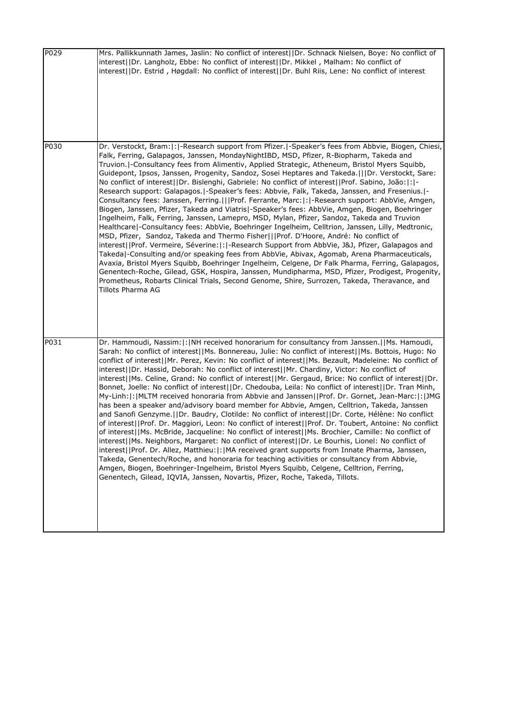| P029 | Mrs. Pallikkunnath James, Jaslin: No conflict of interest  Dr. Schnack Nielsen, Boye: No conflict of<br>interest  Dr. Langholz, Ebbe: No conflict of interest  Dr. Mikkel, Malham: No conflict of<br>interest  Dr. Estrid, Høgdall: No conflict of interest  Dr. Buhl Riis, Lene: No conflict of interest                                                                                                                                                                                                                                                                                                                                                                                                                                                                                                                                                                                                                                                                                                                                                                                                                                                                                                                                                                                                                                                                                                                                                                                                                                                                                                                                              |
|------|--------------------------------------------------------------------------------------------------------------------------------------------------------------------------------------------------------------------------------------------------------------------------------------------------------------------------------------------------------------------------------------------------------------------------------------------------------------------------------------------------------------------------------------------------------------------------------------------------------------------------------------------------------------------------------------------------------------------------------------------------------------------------------------------------------------------------------------------------------------------------------------------------------------------------------------------------------------------------------------------------------------------------------------------------------------------------------------------------------------------------------------------------------------------------------------------------------------------------------------------------------------------------------------------------------------------------------------------------------------------------------------------------------------------------------------------------------------------------------------------------------------------------------------------------------------------------------------------------------------------------------------------------------|
| P030 | Dr. Verstockt, Bram:  :  -Research support from Pfizer.  -Speaker's fees from Abbvie, Biogen, Chiesi,<br>Falk, Ferring, Galapagos, Janssen, MondayNightIBD, MSD, Pfizer, R-Biopharm, Takeda and<br>Truvion.   Consultancy fees from Alimentiv, Applied Strategic, Atheneum, Bristol Myers Squibb,<br>Guidepont, Ipsos, Janssen, Progenity, Sandoz, Sosei Heptares and Takeda.   Dr. Verstockt, Sare:<br>No conflict of interest  Dr. Bislenghi, Gabriele: No conflict of interest  Prof. Sabino, João: : -<br>Research support: Galapagos.   - Speaker's fees: Abbvie, Falk, Takeda, Janssen, and Fresenius.   -<br>Consultancy fees: Janssen, Ferring.   Prof. Ferrante, Marc: : -Research support: AbbVie, Amgen,<br>Biogen, Janssen, Pfizer, Takeda and Viatris -Speaker's fees: AbbVie, Amgen, Biogen, Boehringer<br>Ingelheim, Falk, Ferring, Janssen, Lamepro, MSD, Mylan, Pfizer, Sandoz, Takeda and Truvion<br>Healthcare -Consultancy fees: AbbVie, Boehringer Ingelheim, Celltrion, Janssen, Lilly, Medtronic,<br>MSD, Pfizer, Sandoz, Takeda and Thermo Fisher   Prof. D'Hoore, André: No conflict of<br>interest  Prof. Vermeire, Séverine: : -Research Support from AbbVie, J&J, Pfizer, Galapagos and<br>Takeda -Consulting and/or speaking fees from AbbVie, Abivax, Agomab, Arena Pharmaceuticals,<br>Avaxia, Bristol Myers Squibb, Boehringer Ingelheim, Celgene, Dr Falk Pharma, Ferring, Galapagos,<br>Genentech-Roche, Gilead, GSK, Hospira, Janssen, Mundipharma, MSD, Pfizer, Prodigest, Progenity,<br>Prometheus, Robarts Clinical Trials, Second Genome, Shire, Surrozen, Takeda, Theravance, and<br>Tillots Pharma AG         |
| P031 | Dr. Hammoudi, Nassim:  :   NH received honorarium for consultancy from Janssen.     Ms. Hamoudi,<br>Sarah: No conflict of interest  Ms. Bonnereau, Julie: No conflict of interest  Ms. Bottois, Hugo: No<br>conflict of interest  Mr. Perez, Kevin: No conflict of interest  Ms. Bezault, Madeleine: No conflict of<br>interest  Dr. Hassid, Deborah: No conflict of interest  Mr. Chardiny, Victor: No conflict of<br>interest  Ms. Celine, Grand: No conflict of interest  Mr. Gergaud, Brice: No conflict of interest  Dr.<br>Bonnet, Joelle: No conflict of interest  Dr. Chedouba, Leila: No conflict of interest  Dr. Tran Minh,<br>My-Linh: : MLTM received honoraria from Abbvie and Janssen  Prof. Dr. Gornet, Jean-Marc: : JMG<br>has been a speaker and/advisory board member for Abbvie, Amgen, Celltrion, Takeda, Janssen<br>and Sanofi Genzyme.     Dr. Baudry, Clotilde: No conflict of interest     Dr. Corte, Hélène: No conflict<br>of interest  Prof. Dr. Maggiori, Leon: No conflict of interest  Prof. Dr. Toubert, Antoine: No conflict<br>of interest  Ms. McBride, Jacqueline: No conflict of interest  Ms. Brochier, Camille: No conflict of<br>interest  Ms. Neighbors, Margaret: No conflict of interest  Dr. Le Bourhis, Lionel: No conflict of<br>interest  Prof. Dr. Allez, Matthieu: : MA received grant supports from Innate Pharma, Janssen,<br>Takeda, Genentech/Roche, and honoraria for teaching activities or consultancy from Abbvie,<br>Amgen, Biogen, Boehringer-Ingelheim, Bristol Myers Squibb, Celgene, Celltrion, Ferring,<br>Genentech, Gilead, IQVIA, Janssen, Novartis, Pfizer, Roche, Takeda, Tillots. |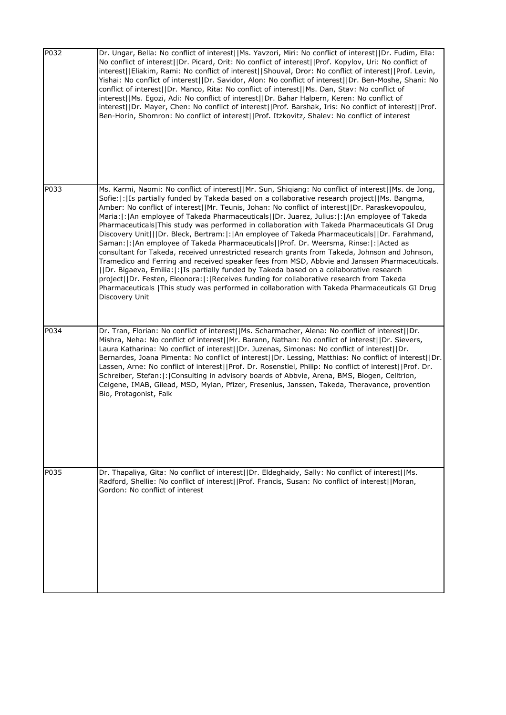| P032 | Dr. Ungar, Bella: No conflict of interest  Ms. Yavzori, Miri: No conflict of interest  Dr. Fudim, Ella:<br>No conflict of interest  Dr. Picard, Orit: No conflict of interest  Prof. Kopylov, Uri: No conflict of<br>interest  Eliakim, Rami: No conflict of interest  Shouval, Dror: No conflict of interest  Prof. Levin,<br>Yishai: No conflict of interest  Dr. Savidor, Alon: No conflict of interest  Dr. Ben-Moshe, Shani: No<br>conflict of interest  Dr. Manco, Rita: No conflict of interest  Ms. Dan, Stav: No conflict of<br>interest  Ms. Egozi, Adi: No conflict of interest  Dr. Bahar Halpern, Keren: No conflict of<br>interest  Dr. Mayer, Chen: No conflict of interest  Prof. Barshak, Iris: No conflict of interest  Prof.<br>Ben-Horin, Shomron: No conflict of interest  Prof. Itzkovitz, Shalev: No conflict of interest                                                                                                                                                                                                                                                                                                                                                                                 |
|------|----------------------------------------------------------------------------------------------------------------------------------------------------------------------------------------------------------------------------------------------------------------------------------------------------------------------------------------------------------------------------------------------------------------------------------------------------------------------------------------------------------------------------------------------------------------------------------------------------------------------------------------------------------------------------------------------------------------------------------------------------------------------------------------------------------------------------------------------------------------------------------------------------------------------------------------------------------------------------------------------------------------------------------------------------------------------------------------------------------------------------------------------------------------------------------------------------------------------------------|
| P033 | Ms. Karmi, Naomi: No conflict of interest  Mr. Sun, Shiqiang: No conflict of interest  Ms. de Jong,<br>Sofie:  :   Is partially funded by Takeda based on a collaborative research project  Ms. Bangma,<br>Amber: No conflict of interest  Mr. Teunis, Johan: No conflict of interest  Dr. Paraskevopoulou,<br>Maria:  :  An employee of Takeda Pharmaceuticals  Dr. Juarez, Julius:  :  An employee of Takeda<br>Pharmaceuticals   This study was performed in collaboration with Takeda Pharmaceuticals GI Drug<br>Discovery Unit   Dr. Bleck, Bertram: :  An employee of Takeda Pharmaceuticals  Dr. Farahmand,<br>Saman:  :   An employee of Takeda Pharmaceuticals  Prof. Dr. Weersma, Rinse:  :   Acted as<br>consultant for Takeda, received unrestricted research grants from Takeda, Johnson and Johnson,<br>Tramedico and Ferring and received speaker fees from MSD, Abbvie and Janssen Pharmaceuticals.<br>  Dr. Bigaeva, Emilia: : Is partially funded by Takeda based on a collaborative research<br>project  Dr. Festen, Eleonora: : Receives funding for collaborative research from Takeda<br>Pharmaceuticals   This study was performed in collaboration with Takeda Pharmaceuticals GI Drug<br>Discovery Unit |
| P034 | Dr. Tran, Florian: No conflict of interest  Ms. Scharmacher, Alena: No conflict of interest  Dr.<br>Mishra, Neha: No conflict of interest  Mr. Barann, Nathan: No conflict of interest  Dr. Sievers,<br>Laura Katharina: No conflict of interest  Dr. Juzenas, Simonas: No conflict of interest  Dr.<br>Bernardes, Joana Pimenta: No conflict of interest  Dr. Lessing, Matthias: No conflict of interest  Dr.<br>Lassen, Arne: No conflict of interest  Prof. Dr. Rosenstiel, Philip: No conflict of interest  Prof. Dr.<br>Schreiber, Stefan:  :   Consulting in advisory boards of Abbvie, Arena, BMS, Biogen, Celltrion,<br>Celgene, IMAB, Gilead, MSD, Mylan, Pfizer, Fresenius, Janssen, Takeda, Theravance, provention<br>Bio, Protagonist, Falk                                                                                                                                                                                                                                                                                                                                                                                                                                                                          |
| P035 | Dr. Thapaliya, Gita: No conflict of interest  Dr. Eldeghaidy, Sally: No conflict of interest  Ms.<br>Radford, Shellie: No conflict of interest  Prof. Francis, Susan: No conflict of interest  Moran,<br>Gordon: No conflict of interest                                                                                                                                                                                                                                                                                                                                                                                                                                                                                                                                                                                                                                                                                                                                                                                                                                                                                                                                                                                         |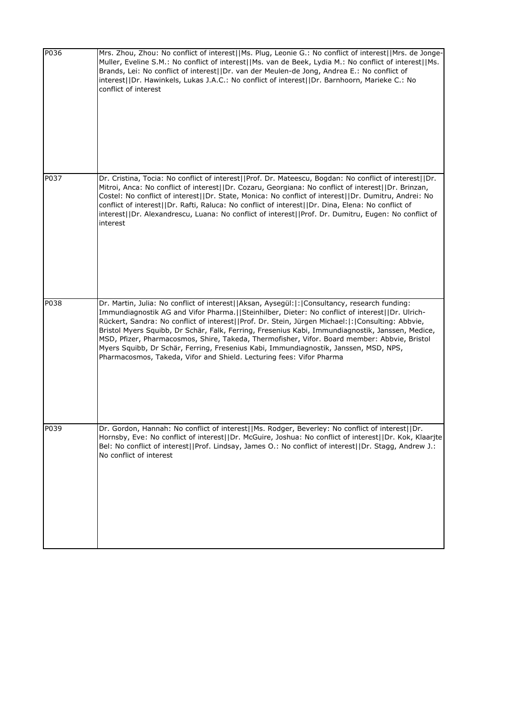| P036 | Mrs. Zhou, Zhou: No conflict of interest  Ms. Plug, Leonie G.: No conflict of interest  Mrs. de Jonge-<br>Muller, Eveline S.M.: No conflict of interest  Ms. van de Beek, Lydia M.: No conflict of interest  Ms.<br>Brands, Lei: No conflict of interest  Dr. van der Meulen-de Jong, Andrea E.: No conflict of<br>interest  Dr. Hawinkels, Lukas J.A.C.: No conflict of interest  Dr. Barnhoorn, Marieke C.: No<br>conflict of interest                                                                                                                                                                                                                                 |
|------|--------------------------------------------------------------------------------------------------------------------------------------------------------------------------------------------------------------------------------------------------------------------------------------------------------------------------------------------------------------------------------------------------------------------------------------------------------------------------------------------------------------------------------------------------------------------------------------------------------------------------------------------------------------------------|
| P037 | Dr. Cristina, Tocia: No conflict of interest  Prof. Dr. Mateescu, Bogdan: No conflict of interest  Dr.<br>Mitroi, Anca: No conflict of interest  Dr. Cozaru, Georgiana: No conflict of interest  Dr. Brinzan,<br>Costel: No conflict of interest  Dr. State, Monica: No conflict of interest  Dr. Dumitru, Andrei: No<br>conflict of interest  Dr. Rafti, Raluca: No conflict of interest  Dr. Dina, Elena: No conflict of<br>interest  Dr. Alexandrescu, Luana: No conflict of interest  Prof. Dr. Dumitru, Eugen: No conflict of<br>interest                                                                                                                           |
| P038 | Dr. Martin, Julia: No conflict of interest  Aksan, Aysegül: : Consultancy, research funding:<br>Immundiagnostik AG and Vifor Pharma.   Steinhilber, Dieter: No conflict of interest  Dr. Ulrich-<br>Rückert, Sandra: No conflict of interest  Prof. Dr. Stein, Jürgen Michael: : Consulting: Abbvie,<br>Bristol Myers Squibb, Dr Schär, Falk, Ferring, Fresenius Kabi, Immundiagnostik, Janssen, Medice,<br>MSD, Pfizer, Pharmacosmos, Shire, Takeda, Thermofisher, Vifor. Board member: Abbvie, Bristol<br>Myers Squibb, Dr Schär, Ferring, Fresenius Kabi, Immundiagnostik, Janssen, MSD, NPS,<br>Pharmacosmos, Takeda, Vifor and Shield. Lecturing fees: Vifor Pharma |
| P039 | Dr. Gordon, Hannan: No conflict of interest  Ms. Rodger, Beverley: No conflict of interest  Dr.<br>Hornsby, Eve: No conflict of interest  Dr. McGuire, Joshua: No conflict of interest  Dr. Kok, Klaarjte<br>Bel: No conflict of interest  Prof. Lindsay, James O.: No conflict of interest  Dr. Stagg, Andrew J.:<br>No conflict of interest                                                                                                                                                                                                                                                                                                                            |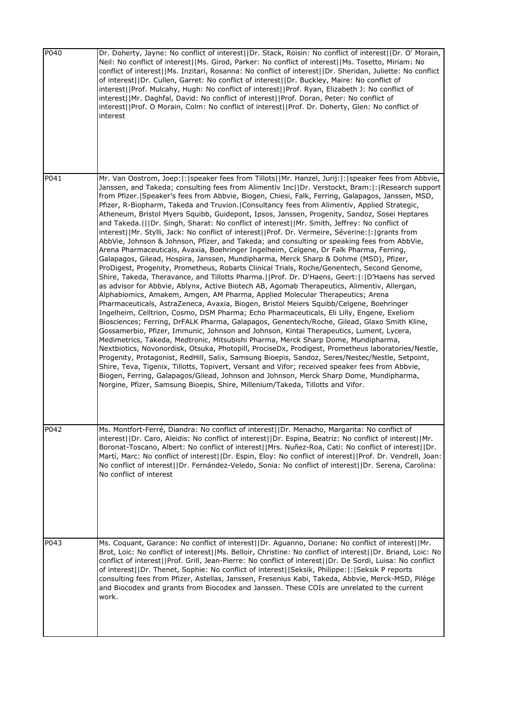| P040 | Dr. Doherty, Jayne: No conflict of interest  Dr. Stack, Roisin: No conflict of interest  Dr. O' Morain,<br>Neil: No conflict of interest  Ms. Girod, Parker: No conflict of interest  Ms. Tosetto, Miriam: No<br>conflict of interest  Ms. Inzitari, Rosanna: No conflict of interest  Dr. Sheridan, Juliette: No conflict<br>of interest  Dr. Cullen, Garret: No conflict of interest  Dr. Buckley, Maire: No conflict of<br>interest  Prof. Mulcahy, Hugh: No conflict of interest  Prof. Ryan, Elizabeth J: No conflict of<br>interest  Mr. Daghfal, David: No conflict of interest  Prof. Doran, Peter: No conflict of<br>interest  Prof. O Morain, Colm: No conflict of interest  Prof. Dr. Doherty, Glen: No conflict of<br>interest                                                                                                                                                                                                                                                                                                                                                                                                                                                                                                                                                                                                                                                                                                                                                                                                                                                                                                                                                                                                                                                                                                                                                                                                                                                                                                                                                                                                                                                                                                                                                                                                                  |
|------|-------------------------------------------------------------------------------------------------------------------------------------------------------------------------------------------------------------------------------------------------------------------------------------------------------------------------------------------------------------------------------------------------------------------------------------------------------------------------------------------------------------------------------------------------------------------------------------------------------------------------------------------------------------------------------------------------------------------------------------------------------------------------------------------------------------------------------------------------------------------------------------------------------------------------------------------------------------------------------------------------------------------------------------------------------------------------------------------------------------------------------------------------------------------------------------------------------------------------------------------------------------------------------------------------------------------------------------------------------------------------------------------------------------------------------------------------------------------------------------------------------------------------------------------------------------------------------------------------------------------------------------------------------------------------------------------------------------------------------------------------------------------------------------------------------------------------------------------------------------------------------------------------------------------------------------------------------------------------------------------------------------------------------------------------------------------------------------------------------------------------------------------------------------------------------------------------------------------------------------------------------------------------------------------------------------------------------------------------------------|
| P041 | Mr. Van Oostrom, Joep: : speaker fees from Tillots  Mr. Hanzel, Jurij: : speaker fees from Abbvie,<br>Janssen, and Takeda; consulting fees from Alimentiv Inc  Dr. Verstockt, Bram: : Research support<br>from Pfizer.   Speaker's fees from Abbvie, Biogen, Chiesi, Falk, Ferring, Galapagos, Janssen, MSD,<br>Pfizer, R-Biopharm, Takeda and Truvion.   Consultancy fees from Alimentiv, Applied Strategic,<br>Atheneum, Bristol Myers Squibb, Guidepont, Ipsos, Janssen, Progenity, Sandoz, Sosei Heptares<br>and Takeda.      Dr. Singh, Sharat: No conflict of interest    Mr. Smith, Jeffrey: No conflict of<br>interest  Mr. Stylli, Jack: No conflict of interest  Prof. Dr. Vermeire, Séverine: : grants from<br>AbbVie, Johnson & Johnson, Pfizer, and Takeda; and consulting or speaking fees from AbbVie,<br>Arena Pharmaceuticals, Avaxia, Boehringer Ingelheim, Celgene, Dr Falk Pharma, Ferring,<br>Galapagos, Gilead, Hospira, Janssen, Mundipharma, Merck Sharp & Dohme (MSD), Pfizer,<br>ProDigest, Progenity, Prometheus, Robarts Clinical Trials, Roche/Genentech, Second Genome,<br>Shire, Takeda, Theravance, and Tillotts Pharma.   Prof. Dr. D'Haens, Geert:  :   D'Haens has served<br>as advisor for Abbvie, Ablynx, Active Biotech AB, Agomab Therapeutics, Alimentiv, Allergan,<br>Alphabiomics, Amakem, Amgen, AM Pharma, Applied Molecular Therapeutics; Arena<br>Pharmaceuticals, AstraZeneca, Avaxia, Biogen, Bristol Meiers Squibb/Celgene, Boehringer<br>Ingelheim, Celltrion, Cosmo, DSM Pharma; Echo Pharmaceuticals, Eli Lilly, Engene, Exeliom<br>Biosciences; Ferring, DrFALK Pharma, Galapagos, Genentech/Roche, Gilead, Glaxo Smith Kline,<br>Gossamerbio, Pfizer, Immunic, Johnson and Johnson, Kintai Therapeutics, Lument, Lycera,<br>Medimetrics, Takeda, Medtronic, Mitsubishi Pharma, Merck Sharp Dome, Mundipharma,<br>Nextbiotics, Novonordisk, Otsuka, Photopill, ProciseDx, Prodigest, Prometheus laboratories/Nestle,<br>Progenity, Protagonist, RedHill, Salix, Samsung Bioepis, Sandoz, Seres/Nestec/Nestle, Setpoint,<br>Shire, Teva, Tigenix, Tillotts, Topivert, Versant and Vifor; received speaker fees from Abbvie,<br>Biogen, Ferring, Galapagos/Gilead, Johnson and Johnson, Merck Sharp Dome, Mundipharma,<br>Norgine, Pfizer, Samsung Bioepis, Shire, Millenium/Takeda, Tillotts and Vifor. |
| P042 | MS. Montfort-Ferre, Diandra: No conflict of interest  Dr. Menacho, Margarita: No conflict of<br>interest  Dr. Caro, Aleidis: No conflict of interest  Dr. Espina, Beatriz: No conflict of interest  Mr.<br>Boronat-Toscano, Albert: No conflict of interest  Mrs. Nuñez-Roa, Cati: No conflict of interest  Dr.<br>Martí, Marc: No conflict of interest  Dr. Espin, Eloy: No conflict of interest  Prof. Dr. Vendrell, Joan:<br>No conflict of interest  Dr. Fernández-Veledo, Sonia: No conflict of interest  Dr. Serena, Carolina:<br>No conflict of interest                                                                                                                                                                                                                                                                                                                                                                                                                                                                                                                                                                                                                                                                                                                                                                                                                                                                                                                                                                                                                                                                                                                                                                                                                                                                                                                                                                                                                                                                                                                                                                                                                                                                                                                                                                                             |
| P043 | Ms. Coquant, Garance: No conflict of interest  Dr. Aguanno, Doriane: No conflict of interest  Mr.<br>Brot, Loic: No conflict of interest  Ms. Belloir, Christine: No conflict of interest  Dr. Briand, Loic: No<br>conflict of interest  Prof. Grill, Jean-Pierre: No conflict of interest  Dr. De Sordi, Luisa: No conflict<br>of interest  Dr. Thenet, Sophie: No conflict of interest  Seksik, Philippe: : Seksik P reports<br>consulting fees from Pfizer, Astellas, Janssen, Fresenius Kabi, Takeda, Abbvie, Merck-MSD, Pilège<br>and Biocodex and grants from Biocodex and Janssen. These COIs are unrelated to the current<br>work.                                                                                                                                                                                                                                                                                                                                                                                                                                                                                                                                                                                                                                                                                                                                                                                                                                                                                                                                                                                                                                                                                                                                                                                                                                                                                                                                                                                                                                                                                                                                                                                                                                                                                                                  |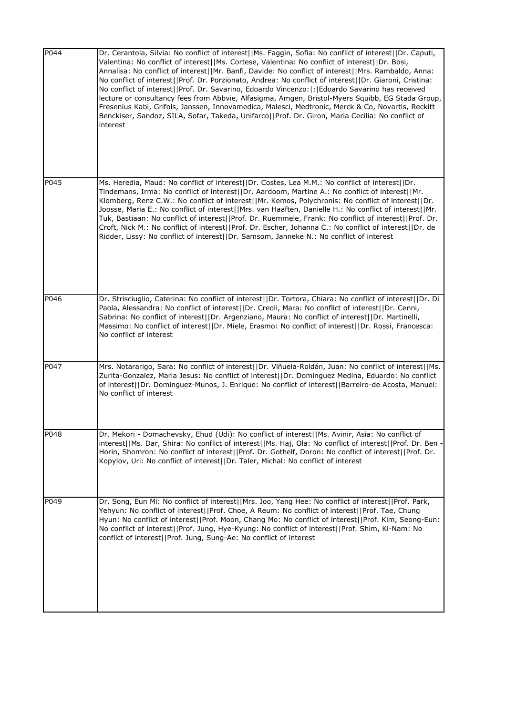| P044 | Dr. Cerantola, Silvia: No conflict of interest  Ms. Faggin, Sofia: No conflict of interest  Dr. Caputi,<br>Valentina: No conflict of interest  Ms. Cortese, Valentina: No conflict of interest  Dr. Bosi,<br>Annalisa: No conflict of interest  Mr. Banfi, Davide: No conflict of interest  Mrs. Rambaldo, Anna:<br>No conflict of interest  Prof. Dr. Porzionato, Andrea: No conflict of interest  Dr. Giaroni, Cristina:<br>No conflict of interest  Prof. Dr. Savarino, Edoardo Vincenzo: : Edoardo Savarino has received<br>lecture or consultancy fees from Abbvie, Alfasigma, Amgen, Bristol-Myers Squibb, EG Stada Group,<br>Fresenius Kabi, Grifols, Janssen, Innovamedica, Malesci, Medtronic, Merck & Co, Novartis, Reckitt<br>Benckiser, Sandoz, SILA, Sofar, Takeda, Unifarco  Prof. Dr. Giron, Maria Cecilia: No conflict of<br>interest |
|------|-------------------------------------------------------------------------------------------------------------------------------------------------------------------------------------------------------------------------------------------------------------------------------------------------------------------------------------------------------------------------------------------------------------------------------------------------------------------------------------------------------------------------------------------------------------------------------------------------------------------------------------------------------------------------------------------------------------------------------------------------------------------------------------------------------------------------------------------------------|
| P045 | Ms. Heredia, Maud: No conflict of interest  Dr. Costes, Lea M.M.: No conflict of interest  Dr.<br>Tindemans, Irma: No conflict of interest  Dr. Aardoom, Martine A.: No conflict of interest  Mr.<br>Klomberg, Renz C.W.: No conflict of interest  Mr. Kemos, Polychronis: No conflict of interest  Dr.<br>Joosse, Maria E.: No conflict of interest  Mrs. van Haaften, Danielle H.: No conflict of interest  Mr.<br>Tuk, Bastiaan: No conflict of interest  Prof. Dr. Ruemmele, Frank: No conflict of interest  Prof. Dr.<br>Croft, Nick M.: No conflict of interest  Prof. Dr. Escher, Johanna C.: No conflict of interest  Dr. de<br>Ridder, Lissy: No conflict of interest  Dr. Samsom, Janneke N.: No conflict of interest                                                                                                                       |
| P046 | Dr. Strisciuglio, Caterina: No conflict of interest  Dr. Tortora, Chiara: No conflict of interest  Dr. Di<br>Paola, Alessandra: No conflict of interest  Dr. Creoli, Mara: No conflict of interest  Dr. Cenni,<br>Sabrina: No conflict of interest  Dr. Argenziano, Maura: No conflict of interest  Dr. Martinelli,<br>Massimo: No conflict of interest  Dr. Miele, Erasmo: No conflict of interest  Dr. Rossi, Francesca:<br>No conflict of interest                                                                                                                                                                                                                                                                                                                                                                                                 |
| P047 | Mrs. Notararigo, Sara: No conflict of interest  Dr. Viñuela-Roldán, Juan: No conflict of interest  Ms.<br>Zurita-Gonzalez, Maria Jesus: No conflict of interest  Dr. Dominguez Medina, Eduardo: No conflict<br>of interest  Dr. Dominguez-Munos, J. Enrique: No conflict of interest  Barreiro-de Acosta, Manuel:<br>No conflict of interest                                                                                                                                                                                                                                                                                                                                                                                                                                                                                                          |
| P048 | Dr. Mekori - Domachevsky, Ehud (Udi): No conflict of interest  Ms. Avinir, Asia: No conflict of<br>interest  Ms. Dar, Shira: No conflict of interest  Ms. Haj, Ola: No conflict of interest  Prof. Dr. Ben<br>Horin, Shomron: No conflict of interest  Prof. Dr. Gothelf, Doron: No conflict of interest  Prof. Dr.<br>Kopylov, Uri: No conflict of interest  Dr. Taler, Michal: No conflict of interest                                                                                                                                                                                                                                                                                                                                                                                                                                              |
| P049 | Dr. Song, Eun Mi: No conflict of interest  Mrs. Joo, Yang Hee: No conflict of interest  Prof. Park,<br>Yehyun: No conflict of interest  Prof. Choe, A Reum: No conflict of interest  Prof. Tae, Chung<br>Hyun: No conflict of interest  Prof. Moon, Chang Mo: No conflict of interest  Prof. Kim, Seong-Eun:<br>No conflict of interest  Prof. Jung, Hye-Kyung: No conflict of interest  Prof. Shim, Ki-Nam: No<br>conflict of interest  Prof. Jung, Sung-Ae: No conflict of interest                                                                                                                                                                                                                                                                                                                                                                 |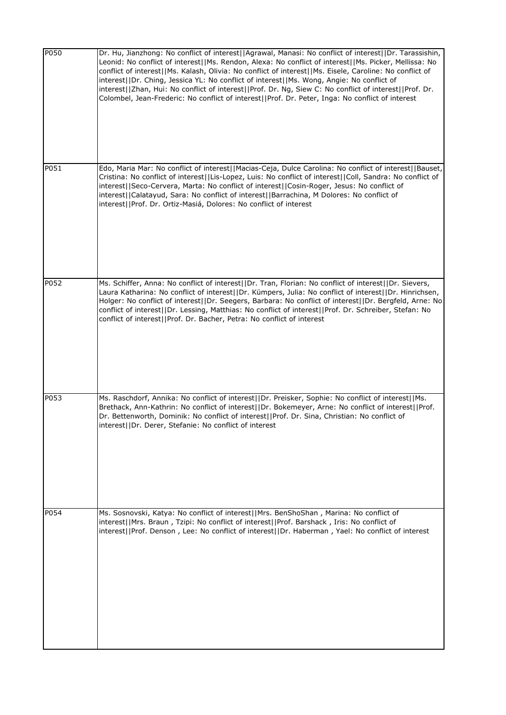| P050 | Dr. Hu, Jianzhong: No conflict of interest  Agrawal, Manasi: No conflict of interest  Dr. Tarassishin,<br>Leonid: No conflict of interest  Ms. Rendon, Alexa: No conflict of interest  Ms. Picker, Mellissa: No<br>conflict of interest  Ms. Kalash, Olivia: No conflict of interest  Ms. Eisele, Caroline: No conflict of<br>interest  Dr. Ching, Jessica YL: No conflict of interest  Ms. Wong, Angie: No conflict of<br>interest  Zhan, Hui: No conflict of interest  Prof. Dr. Ng, Siew C: No conflict of interest  Prof. Dr.<br>Colombel, Jean-Frederic: No conflict of interest  Prof. Dr. Peter, Inga: No conflict of interest |
|------|---------------------------------------------------------------------------------------------------------------------------------------------------------------------------------------------------------------------------------------------------------------------------------------------------------------------------------------------------------------------------------------------------------------------------------------------------------------------------------------------------------------------------------------------------------------------------------------------------------------------------------------|
| P051 | Edo, Maria Mar: No conflict of interest  Macias-Ceja, Dulce Carolina: No conflict of interest  Bauset,<br>Cristina: No conflict of interest  Lis-Lopez, Luis: No conflict of interest  Coll, Sandra: No conflict of<br>interest  Seco-Cervera, Marta: No conflict of interest  Cosin-Roger, Jesus: No conflict of<br>interest  Calatayud, Sara: No conflict of interest  Barrachina, M Dolores: No conflict of<br>interest  Prof. Dr. Ortiz-Masiá, Dolores: No conflict of interest                                                                                                                                                   |
| P052 | Ms. Schiffer, Anna: No conflict of interest  Dr. Tran, Florian: No conflict of interest  Dr. Sievers,<br>Laura Katharina: No conflict of interest  Dr. Kümpers, Julia: No conflict of interest  Dr. Hinrichsen,<br>Holger: No conflict of interest  Dr. Seegers, Barbara: No conflict of interest  Dr. Bergfeld, Arne: No<br>conflict of interest  Dr. Lessing, Matthias: No conflict of interest  Prof. Dr. Schreiber, Stefan: No<br>conflict of interest  Prof. Dr. Bacher, Petra: No conflict of interest                                                                                                                          |
| P053 | Ms. Raschdorf, Annika: No conflict of interest  Dr. Preisker, Sophie: No conflict of interest  Ms.<br>Brethack, Ann-Kathrin: No conflict of interest  Dr. Bokemeyer, Arne: No conflict of interest  Prof.<br>Dr. Bettenworth, Dominik: No conflict of interest  Prof. Dr. Sina, Christian: No conflict of<br>interest  Dr. Derer, Stefanie: No conflict of interest                                                                                                                                                                                                                                                                   |
| P054 | Ms. Sosnovski, Katya: No conflict of interest  Mrs. BenShoShan, Marina: No conflict of<br>interest  Mrs. Braun, Tzipi: No conflict of interest  Prof. Barshack, Iris: No conflict of<br>interest  Prof. Denson, Lee: No conflict of interest  Dr. Haberman, Yael: No conflict of interest                                                                                                                                                                                                                                                                                                                                             |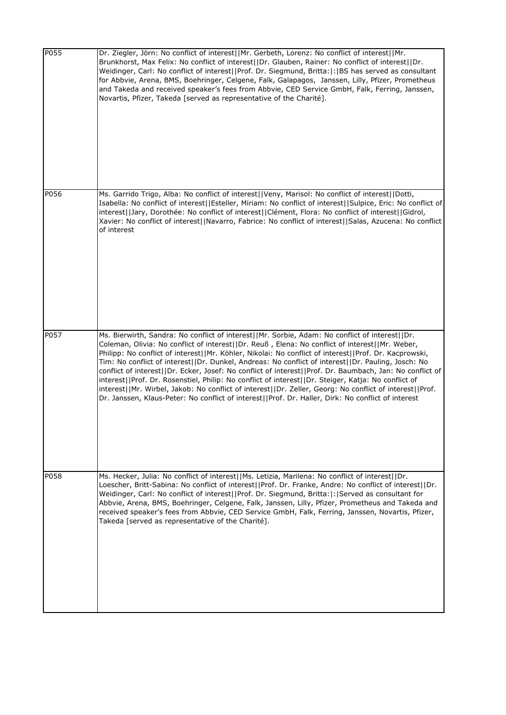| P055 | Dr. Ziegler, Jörn: No conflict of interest  Mr. Gerbeth, Lorenz: No conflict of interest  Mr.<br>Brunkhorst, Max Felix: No conflict of interest  Dr. Glauben, Rainer: No conflict of interest  Dr.<br>Weidinger, Carl: No conflict of interest  Prof. Dr. Siegmund, Britta: : BS has served as consultant<br>for Abbvie, Arena, BMS, Boehringer, Celgene, Falk, Galapagos, Janssen, Lilly, Pfizer, Prometheus<br>and Takeda and received speaker's fees from Abbvie, CED Service GmbH, Falk, Ferring, Janssen,<br>Novartis, Pfizer, Takeda [served as representative of the Charité].                                                                                                                                                                                                                                                               |
|------|-----------------------------------------------------------------------------------------------------------------------------------------------------------------------------------------------------------------------------------------------------------------------------------------------------------------------------------------------------------------------------------------------------------------------------------------------------------------------------------------------------------------------------------------------------------------------------------------------------------------------------------------------------------------------------------------------------------------------------------------------------------------------------------------------------------------------------------------------------|
| P056 | Ms. Garrido Trigo, Alba: No conflict of interest  Veny, Marisol: No conflict of interest  Dotti,<br>Isabella: No conflict of interest  Esteller, Miriam: No conflict of interest  Sulpice, Eric: No conflict of<br>interest  Jary, Dorothée: No conflict of interest  Clément, Flora: No conflict of interest  Gidrol,<br>Xavier: No conflict of interest  Navarro, Fabrice: No conflict of interest  Salas, Azucena: No conflict<br>of interest                                                                                                                                                                                                                                                                                                                                                                                                    |
| P057 | Ms. Bierwirth, Sandra: No conflict of interest  Mr. Sorbie, Adam: No conflict of interest  Dr.<br>Coleman, Olivia: No conflict of interest  Dr. Reuß, Elena: No conflict of interest  Mr. Weber,<br>Philipp: No conflict of interest  Mr. Köhler, Nikolai: No conflict of interest  Prof. Dr. Kacprowski,<br>Tim: No conflict of interest  Dr. Dunkel, Andreas: No conflict of interest  Dr. Pauling, Josch: No<br>conflict of interest  Dr. Ecker, Josef: No conflict of interest  Prof. Dr. Baumbach, Jan: No conflict of<br>interest  Prof. Dr. Rosenstiel, Philip: No conflict of interest  Dr. Steiger, Katja: No conflict of<br>interest  Mr. Wirbel, Jakob: No conflict of interest  Dr. Zeller, Georg: No conflict of interest  Prof.<br>Dr. Janssen, Klaus-Peter: No conflict of interest  Prof. Dr. Haller, Dirk: No conflict of interest |
| P058 | Ms. Hecker, Julia: No conflict of interest  Ms. Letizia, Marilena: No conflict of interest  Dr.<br>Loescher, Britt-Sabina: No conflict of interest  Prof. Dr. Franke, Andre: No conflict of interest  Dr.<br>Weidinger, Carl: No conflict of interest  Prof. Dr. Siegmund, Britta: : Served as consultant for<br>Abbvie, Arena, BMS, Boehringer, Celgene, Falk, Janssen, Lilly, Pfizer, Prometheus and Takeda and<br>received speaker's fees from Abbvie, CED Service GmbH, Falk, Ferring, Janssen, Novartis, Pfizer,<br>Takeda [served as representative of the Charité].                                                                                                                                                                                                                                                                          |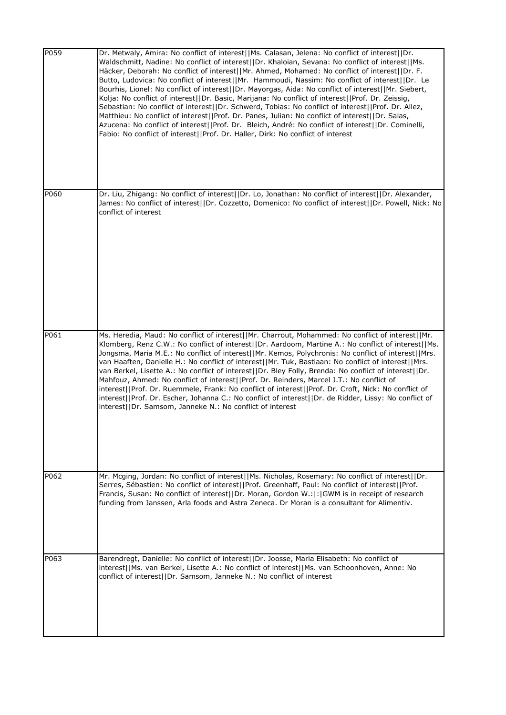| P059 | Dr. Metwaly, Amira: No conflict of interest  Ms. Calasan, Jelena: No conflict of interest  Dr.<br>Waldschmitt, Nadine: No conflict of interest  Dr. Khaloian, Sevana: No conflict of interest  Ms.<br>Häcker, Deborah: No conflict of interest  Mr. Ahmed, Mohamed: No conflict of interest  Dr. F.<br>Butto, Ludovica: No conflict of interest  Mr. Hammoudi, Nassim: No conflict of interest  Dr. Le<br>Bourhis, Lionel: No conflict of interest  Dr. Mayorgas, Aida: No conflict of interest  Mr. Siebert,<br>Kolja: No conflict of interest  Dr. Basic, Marijana: No conflict of interest  Prof. Dr. Zeissig,<br>Sebastian: No conflict of interest  Dr. Schwerd, Tobias: No conflict of interest  Prof. Dr. Allez,<br>Matthieu: No conflict of interest  Prof. Dr. Panes, Julian: No conflict of interest  Dr. Salas,<br>Azucena: No conflict of interest  Prof. Dr. Bleich, André: No conflict of interest  Dr. Cominelli,<br>Fabio: No conflict of interest  Prof. Dr. Haller, Dirk: No conflict of interest |
|------|---------------------------------------------------------------------------------------------------------------------------------------------------------------------------------------------------------------------------------------------------------------------------------------------------------------------------------------------------------------------------------------------------------------------------------------------------------------------------------------------------------------------------------------------------------------------------------------------------------------------------------------------------------------------------------------------------------------------------------------------------------------------------------------------------------------------------------------------------------------------------------------------------------------------------------------------------------------------------------------------------------------------|
| P060 | Dr. Liu, Zhigang: No conflict of interest  Dr. Lo, Jonathan: No conflict of interest  Dr. Alexander,<br>James: No conflict of interest  Dr. Cozzetto, Domenico: No conflict of interest  Dr. Powell, Nick: No<br>conflict of interest                                                                                                                                                                                                                                                                                                                                                                                                                                                                                                                                                                                                                                                                                                                                                                               |
| P061 | Ms. Heredia, Maud: No conflict of interest  Mr. Charrout, Mohammed: No conflict of interest  Mr.<br>Klomberg, Renz C.W.: No conflict of interest  Dr. Aardoom, Martine A.: No conflict of interest  Ms.<br>Jongsma, Maria M.E.: No conflict of interest  Mr. Kemos, Polychronis: No conflict of interest  Mrs.<br>van Haaften, Danielle H.: No conflict of interest  Mr. Tuk, Bastiaan: No conflict of interest  Mrs.<br>van Berkel, Lisette A.: No conflict of interest  Dr. Bley Folly, Brenda: No conflict of interest  Dr.<br>Mahfouz, Ahmed: No conflict of interest  Prof. Dr. Reinders, Marcel J.T.: No conflict of<br>interest  Prof. Dr. Ruemmele, Frank: No conflict of interest  Prof. Dr. Croft, Nick: No conflict of<br>interest  Prof. Dr. Escher, Johanna C.: No conflict of interest  Dr. de Ridder, Lissy: No conflict of<br>interest  Dr. Samsom, Janneke N.: No conflict of interest                                                                                                             |
| P062 | Mr. Mcging, Jordan: No conflict of interest  Ms. Nicholas, Rosemary: No conflict of interest  Dr.<br>Serres, Sébastien: No conflict of interest  Prof. Greenhaff, Paul: No conflict of interest  Prof.<br>Francis, Susan: No conflict of interest  Dr. Moran, Gordon W.: : GWM is in receipt of research<br>funding from Janssen, Arla foods and Astra Zeneca. Dr Moran is a consultant for Alimentiv.                                                                                                                                                                                                                                                                                                                                                                                                                                                                                                                                                                                                              |
| P063 | Barendregt, Danielle: No conflict of interest  Dr. Joosse, Maria Elisabeth: No conflict of<br>interest  Ms. van Berkel, Lisette A.: No conflict of interest  Ms. van Schoonhoven, Anne: No<br>conflict of interest   Dr. Samsom, Janneke N.: No conflict of interest                                                                                                                                                                                                                                                                                                                                                                                                                                                                                                                                                                                                                                                                                                                                                |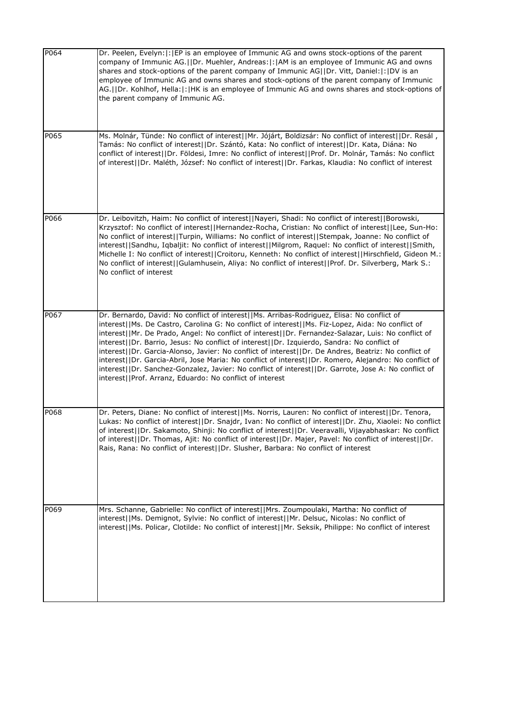| P064 | Dr. Peelen, Evelyn:  :   EP is an employee of Immunic AG and owns stock-options of the parent<br>company of Immunic AG.  Dr. Muehler, Andreas: : AM is an employee of Immunic AG and owns<br>shares and stock-options of the parent company of Immunic AG  Dr. Vitt, Daniel: : DV is an<br>employee of Immunic AG and owns shares and stock-options of the parent company of Immunic<br>AG.  Dr. Kohlhof, Hella: : HK is an employee of Immunic AG and owns shares and stock-options of<br>the parent company of Immunic AG.                                                                                                                                                                                                                                                                |
|------|---------------------------------------------------------------------------------------------------------------------------------------------------------------------------------------------------------------------------------------------------------------------------------------------------------------------------------------------------------------------------------------------------------------------------------------------------------------------------------------------------------------------------------------------------------------------------------------------------------------------------------------------------------------------------------------------------------------------------------------------------------------------------------------------|
| P065 | Ms. Molnár, Tünde: No conflict of interest  Mr. Jójárt, Boldizsár: No conflict of interest  Dr. Resál,<br>Tamás: No conflict of interest  Dr. Szántó, Kata: No conflict of interest  Dr. Kata, Diána: No<br>conflict of interest  Dr. Földesi, Imre: No conflict of interest  Prof. Dr. Molnár, Tamás: No conflict<br>of interest  Dr. Maléth, József: No conflict of interest  Dr. Farkas, Klaudia: No conflict of interest                                                                                                                                                                                                                                                                                                                                                                |
| P066 | Dr. Leibovitzh, Haim: No conflict of interest  Nayeri, Shadi: No conflict of interest  Borowski,<br>Krzysztof: No conflict of interest  Hernandez-Rocha, Cristian: No conflict of interest  Lee, Sun-Ho:<br>No conflict of interest  Turpin, Williams: No conflict of interest  Stempak, Joanne: No conflict of<br>interest  Sandhu, Iqbaljit: No conflict of interest  Milgrom, Raquel: No conflict of interest  Smith,<br>Michelle I: No conflict of interest  Croitoru, Kenneth: No conflict of interest  Hirschfield, Gideon M.:<br>No conflict of interest  Gulamhusein, Aliya: No conflict of interest  Prof. Dr. Silverberg, Mark S.:<br>No conflict of interest                                                                                                                     |
| P067 | Dr. Bernardo, David: No conflict of interest  Ms. Arribas-Rodriguez, Elisa: No conflict of<br>interest  Ms. De Castro, Carolina G: No conflict of interest  Ms. Fiz-Lopez, Aida: No conflict of<br>interest  Mr. De Prado, Angel: No conflict of interest  Dr. Fernandez-Salazar, Luis: No conflict of<br>interest  Dr. Barrio, Jesus: No conflict of interest  Dr. Izquierdo, Sandra: No conflict of<br>interest  Dr. Garcia-Alonso, Javier: No conflict of interest  Dr. De Andres, Beatriz: No conflict of<br>interest  Dr. Garcia-Abril, Jose Maria: No conflict of interest  Dr. Romero, Alejandro: No conflict of<br>interest  Dr. Sanchez-Gonzalez, Javier: No conflict of interest  Dr. Garrote, Jose A: No conflict of<br>interest  Prof. Arranz, Eduardo: No conflict of interest |
| P068 | Dr. Peters, Diane: No conflict of interest  Ms. Norris, Lauren: No conflict of interest  Dr. Tenora,<br>Lukas: No conflict of interest  Dr. Snajdr, Ivan: No conflict of interest  Dr. Zhu, Xiaolei: No conflict<br>of interest  Dr. Sakamoto, Shinji: No conflict of interest  Dr. Veeravalli, Vijayabhaskar: No conflict<br>of interest  Dr. Thomas, Ajit: No conflict of interest  Dr. Majer, Pavel: No conflict of interest  Dr.<br>Rais, Rana: No conflict of interest  Dr. Slusher, Barbara: No conflict of interest                                                                                                                                                                                                                                                                  |
| P069 | Mrs. Schanne, Gabrielle: No conflict of interest  Mrs. Zoumpoulaki, Martha: No conflict of<br>interest  Ms. Demignot, Sylvie: No conflict of interest  Mr. Delsuc, Nicolas: No conflict of<br>interest  Ms. Policar, Clotilde: No conflict of interest  Mr. Seksik, Philippe: No conflict of interest                                                                                                                                                                                                                                                                                                                                                                                                                                                                                       |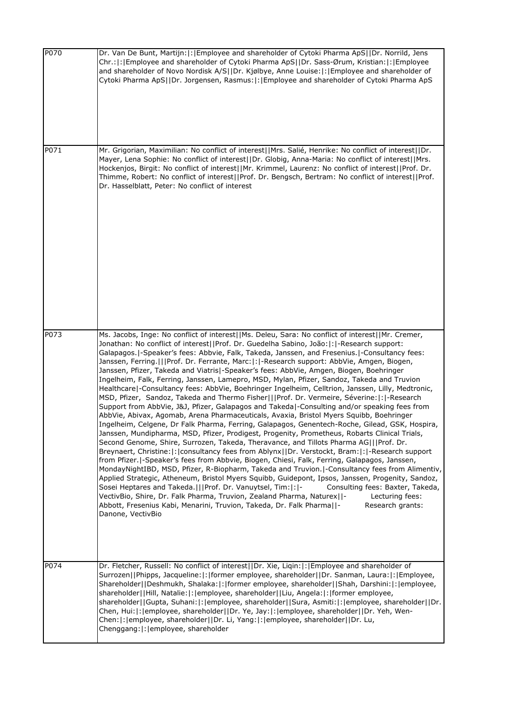| P070 | Dr. Van De Bunt, Martijn: : Employee and shareholder of Cytoki Pharma ApS  Dr. Norrild, Jens<br>Chr.:  :   Employee and shareholder of Cytoki Pharma ApS  Dr. Sass-Ørum, Kristian:  :   Employee<br>and shareholder of Novo Nordisk A/S  Dr. Kjølbye, Anne Louise: : [Employee and shareholder of<br>Cytoki Pharma ApS  Dr. Jorgensen, Rasmus: : Employee and shareholder of Cytoki Pharma ApS                                                                                                                                                                                                                                                                                                                                                                                                                                                                                                                                                                                                                                                                                                                                                                                                                                                                                                                                                                                                                                                                                                                                                                                                                                                                                                                                                                                                                                                                                                                                                                                                                          |
|------|-------------------------------------------------------------------------------------------------------------------------------------------------------------------------------------------------------------------------------------------------------------------------------------------------------------------------------------------------------------------------------------------------------------------------------------------------------------------------------------------------------------------------------------------------------------------------------------------------------------------------------------------------------------------------------------------------------------------------------------------------------------------------------------------------------------------------------------------------------------------------------------------------------------------------------------------------------------------------------------------------------------------------------------------------------------------------------------------------------------------------------------------------------------------------------------------------------------------------------------------------------------------------------------------------------------------------------------------------------------------------------------------------------------------------------------------------------------------------------------------------------------------------------------------------------------------------------------------------------------------------------------------------------------------------------------------------------------------------------------------------------------------------------------------------------------------------------------------------------------------------------------------------------------------------------------------------------------------------------------------------------------------------|
| P071 | Mr. Grigorian, Maximilian: No conflict of interest  Mrs. Salié, Henrike: No conflict of interest  Dr.<br>Mayer, Lena Sophie: No conflict of interest  Dr. Globig, Anna-Maria: No conflict of interest  Mrs.<br>Hockenjos, Birgit: No conflict of interest  Mr. Krimmel, Laurenz: No conflict of interest  Prof. Dr.<br>Thimme, Robert: No conflict of interest  Prof. Dr. Bengsch, Bertram: No conflict of interest  Prof.<br>Dr. Hasselblatt, Peter: No conflict of interest                                                                                                                                                                                                                                                                                                                                                                                                                                                                                                                                                                                                                                                                                                                                                                                                                                                                                                                                                                                                                                                                                                                                                                                                                                                                                                                                                                                                                                                                                                                                           |
| P073 | Ms. Jacobs, Inge: No conflict of interest  Ms. Deleu, Sara: No conflict of interest  Mr. Cremer,<br>Jonathan: No conflict of interest  Prof. Dr. Guedelha Sabino, João: : -Research support:<br>Galapagos.   - Speaker's fees: Abbvie, Falk, Takeda, Janssen, and Fresenius.   - Consultancy fees:<br>Janssen, Ferring.   Prof. Dr. Ferrante, Marc: : -Research support: AbbVie, Amgen, Biogen,<br>Janssen, Pfizer, Takeda and Viatris -Speaker's fees: AbbVie, Amgen, Biogen, Boehringer<br>Ingelheim, Falk, Ferring, Janssen, Lamepro, MSD, Mylan, Pfizer, Sandoz, Takeda and Truvion<br>Healthcare -Consultancy fees: AbbVie, Boehringer Ingelheim, Celltrion, Janssen, Lilly, Medtronic,<br>MSD, Pfizer, Sandoz, Takeda and Thermo Fisher   Prof. Dr. Vermeire, Séverine: : -Research<br>Support from AbbVie, J&J, Pfizer, Galapagos and Takeda -Consulting and/or speaking fees from<br>AbbVie, Abivax, Agomab, Arena Pharmaceuticals, Avaxia, Bristol Myers Squibb, Boehringer<br>Ingelheim, Celgene, Dr Falk Pharma, Ferring, Galapagos, Genentech-Roche, Gilead, GSK, Hospira,<br>Janssen, Mundipharma, MSD, Pfizer, Prodigest, Progenity, Prometheus, Robarts Clinical Trials,<br>Second Genome, Shire, Surrozen, Takeda, Theravance, and Tillots Pharma AG   Prof. Dr.<br>Breynaert, Christine:  :   consultancy fees from Ablynx     Dr. Verstockt, Bram:  :   - Research support<br>from Pfizer.  -Speaker's fees from Abbvie, Biogen, Chiesi, Falk, Ferring, Galapagos, Janssen,<br>MondayNightIBD, MSD, Pfizer, R-Biopharm, Takeda and Truvion. -Consultancy fees from Alimentiv,<br>Applied Strategic, Atheneum, Bristol Myers Squibb, Guidepont, Ipsos, Janssen, Progenity, Sandoz,<br>Sosei Heptares and Takeda.    Prof. Dr. Vanuytsel, Tim:  :  -<br>Consulting fees: Baxter, Takeda,<br>VectivBio, Shire, Dr. Falk Pharma, Truvion, Zealand Pharma, Naturex  -<br>Lecturing fees:<br>Abbott, Fresenius Kabi, Menarini, Truvion, Takeda, Dr. Falk Pharma  -<br>Research grants:<br>Danone, VectivBio |
| P074 | Dr. Fletcher, Russell: No conflict of interest  Dr. Xie, Liqin: : Employee and shareholder of<br>Surrozen  Phipps, Jacqueline: : former employee, shareholder  Dr. Sanman, Laura: : Employee,<br>Shareholder  Deshmukh, Shalaka: : former employee, shareholder  Shah, Darshini: : employee,<br>shareholder  Hill, Natalie: : employee, shareholder  Liu, Angela: : former employee,<br>shareholder  Gupta, Suhani: : employee, shareholder  Sura, Asmiti: : employee, shareholder  Dr.<br>Chen, Hui: : employee, shareholder  Dr. Ye, Jay: : employee, shareholder  Dr. Yeh, Wen-<br>Chen: : employee, shareholder  Dr. Li, Yang: : employee, shareholder  Dr. Lu,<br>Chenggang:  :   employee, shareholder                                                                                                                                                                                                                                                                                                                                                                                                                                                                                                                                                                                                                                                                                                                                                                                                                                                                                                                                                                                                                                                                                                                                                                                                                                                                                                            |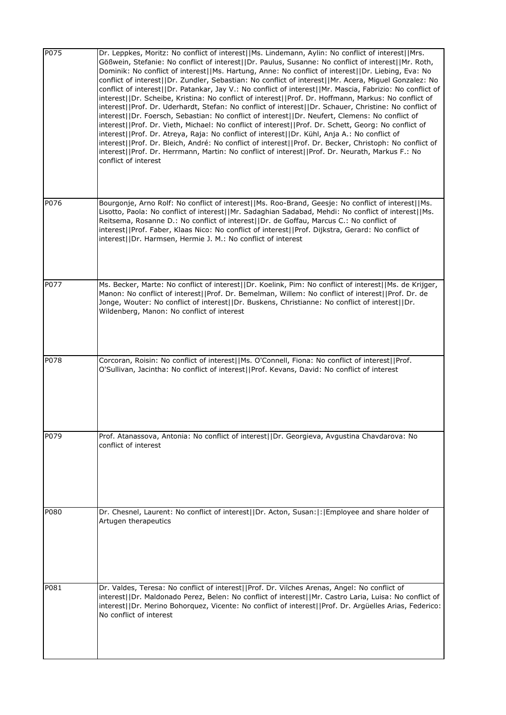| P075              | Dr. Leppkes, Moritz: No conflict of interest  Ms. Lindemann, Aylin: No conflict of interest  Mrs.<br>Gößwein, Stefanie: No conflict of interest  Dr. Paulus, Susanne: No conflict of interest  Mr. Roth,<br>Dominik: No conflict of interest  Ms. Hartung, Anne: No conflict of interest  Dr. Liebing, Eva: No<br>conflict of interest  Dr. Zundler, Sebastian: No conflict of interest  Mr. Acera, Miguel Gonzalez: No<br>conflict of interest  Dr. Patankar, Jay V.: No conflict of interest  Mr. Mascia, Fabrizio: No conflict of<br>interest  Dr. Scheibe, Kristina: No conflict of interest  Prof. Dr. Hoffmann, Markus: No conflict of<br>interest  Prof. Dr. Uderhardt, Stefan: No conflict of interest  Dr. Schauer, Christine: No conflict of<br>interest  Dr. Foersch, Sebastian: No conflict of interest  Dr. Neufert, Clemens: No conflict of<br>interest  Prof. Dr. Vieth, Michael: No conflict of interest  Prof. Dr. Schett, Georg: No conflict of<br>interest  Prof. Dr. Atreya, Raja: No conflict of interest  Dr. Kühl, Anja A.: No conflict of<br>interest  Prof. Dr. Bleich, André: No conflict of interest  Prof. Dr. Becker, Christoph: No conflict of<br>interest  Prof. Dr. Herrmann, Martin: No conflict of interest  Prof. Dr. Neurath, Markus F.: No<br>conflict of interest |
|-------------------|---------------------------------------------------------------------------------------------------------------------------------------------------------------------------------------------------------------------------------------------------------------------------------------------------------------------------------------------------------------------------------------------------------------------------------------------------------------------------------------------------------------------------------------------------------------------------------------------------------------------------------------------------------------------------------------------------------------------------------------------------------------------------------------------------------------------------------------------------------------------------------------------------------------------------------------------------------------------------------------------------------------------------------------------------------------------------------------------------------------------------------------------------------------------------------------------------------------------------------------------------------------------------------------------------------|
| P076              | Bourgonje, Arno Rolf: No conflict of interest  Ms. Roo-Brand, Geesje: No conflict of interest  Ms.<br>Lisotto, Paola: No conflict of interest  Mr. Sadaghian Sadabad, Mehdi: No conflict of interest  Ms.<br>Reitsema, Rosanne D.: No conflict of interest  Dr. de Goffau, Marcus C.: No conflict of<br>interest  Prof. Faber, Klaas Nico: No conflict of interest  Prof. Dijkstra, Gerard: No conflict of<br>interest  Dr. Harmsen, Hermie J. M.: No conflict of interest                                                                                                                                                                                                                                                                                                                                                                                                                                                                                                                                                                                                                                                                                                                                                                                                                              |
| P077              | Ms. Becker, Marte: No conflict of interest  Dr. Koelink, Pim: No conflict of interest  Ms. de Krijger,<br>Manon: No conflict of interest  Prof. Dr. Bemelman, Willem: No conflict of interest  Prof. Dr. de<br>Jonge, Wouter: No conflict of interest  Dr. Buskens, Christianne: No conflict of interest  Dr.<br>Wildenberg, Manon: No conflict of interest                                                                                                                                                                                                                                                                                                                                                                                                                                                                                                                                                                                                                                                                                                                                                                                                                                                                                                                                             |
| P <sub>0</sub> 78 | Corcoran, Roisin: No conflict of interest  Ms. O'Connell, Fiona: No conflict of interest  Prof.<br>O'Sullivan, Jacintha: No conflict of interest  Prof. Kevans, David: No conflict of interest                                                                                                                                                                                                                                                                                                                                                                                                                                                                                                                                                                                                                                                                                                                                                                                                                                                                                                                                                                                                                                                                                                          |
| P079              | Prof. Atanassova, Antonia: No conflict of interest  Dr. Georgieva, Avgustina Chavdarova: No<br>conflict of interest                                                                                                                                                                                                                                                                                                                                                                                                                                                                                                                                                                                                                                                                                                                                                                                                                                                                                                                                                                                                                                                                                                                                                                                     |
| P080              | Dr. Chesnel, Laurent: No conflict of interest  Dr. Acton, Susan: : Employee and share holder of<br>Artugen therapeutics                                                                                                                                                                                                                                                                                                                                                                                                                                                                                                                                                                                                                                                                                                                                                                                                                                                                                                                                                                                                                                                                                                                                                                                 |
| P081              | Dr. Valdes, Teresa: No conflict of interest  Prof. Dr. Vilches Arenas, Angel: No conflict of<br>interest  Dr. Maldonado Perez, Belen: No conflict of interest  Mr. Castro Laria, Luisa: No conflict of<br>interest  Dr. Merino Bohorquez, Vicente: No conflict of interest  Prof. Dr. Argüelles Arias, Federico:<br>No conflict of interest                                                                                                                                                                                                                                                                                                                                                                                                                                                                                                                                                                                                                                                                                                                                                                                                                                                                                                                                                             |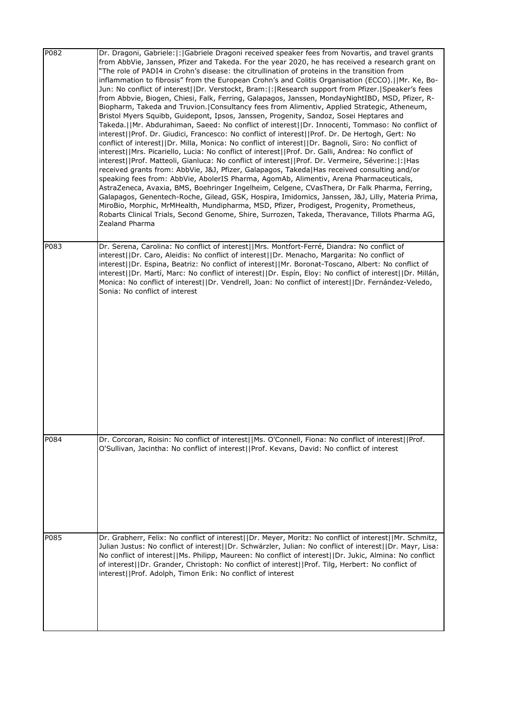| P082 | Dr. Dragoni, Gabriele:  :  Gabriele Dragoni received speaker fees from Novartis, and travel grants<br>from AbbVie, Janssen, Pfizer and Takeda. For the year 2020, he has received a research grant on<br>"The role of PADI4 in Crohn's disease: the citrullination of proteins in the transition from<br>inflammation to fibrosis" from the European Crohn's and Colitis Organisation (ECCO). [Mr. Ke, Bo-<br>Jun: No conflict of interest  Dr. Verstockt, Bram: : Research support from Pfizer. Speaker's fees<br>from Abbvie, Biogen, Chiesi, Falk, Ferring, Galapagos, Janssen, MondayNightIBD, MSD, Pfizer, R-<br>Biopharm, Takeda and Truvion.   Consultancy fees from Alimentiv, Applied Strategic, Atheneum,<br>Bristol Myers Squibb, Guidepont, Ipsos, Janssen, Progenity, Sandoz, Sosei Heptares and<br>Takeda.  Mr. Abdurahiman, Saeed: No conflict of interest  Dr. Innocenti, Tommaso: No conflict of<br>interest  Prof. Dr. Giudici, Francesco: No conflict of interest  Prof. Dr. De Hertogh, Gert: No<br>conflict of interest  Dr. Milla, Monica: No conflict of interest  Dr. Bagnoli, Siro: No conflict of<br>interest  Mrs. Picariello, Lucia: No conflict of interest  Prof. Dr. Galli, Andrea: No conflict of<br>interest  Prof. Matteoli, Gianluca: No conflict of interest  Prof. Dr. Vermeire, Séverine: : Has<br>received grants from: AbbVie, J&J, Pfizer, Galapagos, Takeda Has received consulting and/or<br>speaking fees from: AbbVie, AbolerIS Pharma, AgomAb, Alimentiv, Arena Pharmaceuticals,<br>AstraZeneca, Avaxia, BMS, Boehringer Ingelheim, Celgene, CVasThera, Dr Falk Pharma, Ferring,<br>Galapagos, Genentech-Roche, Gilead, GSK, Hospira, Imidomics, Janssen, J&J, Lilly, Materia Prima,<br>MiroBio, Morphic, MrMHealth, Mundipharma, MSD, Pfizer, Prodigest, Progenity, Prometheus,<br>Robarts Clinical Trials, Second Genome, Shire, Surrozen, Takeda, Theravance, Tillots Pharma AG,<br>Zealand Pharma |
|------|-----------------------------------------------------------------------------------------------------------------------------------------------------------------------------------------------------------------------------------------------------------------------------------------------------------------------------------------------------------------------------------------------------------------------------------------------------------------------------------------------------------------------------------------------------------------------------------------------------------------------------------------------------------------------------------------------------------------------------------------------------------------------------------------------------------------------------------------------------------------------------------------------------------------------------------------------------------------------------------------------------------------------------------------------------------------------------------------------------------------------------------------------------------------------------------------------------------------------------------------------------------------------------------------------------------------------------------------------------------------------------------------------------------------------------------------------------------------------------------------------------------------------------------------------------------------------------------------------------------------------------------------------------------------------------------------------------------------------------------------------------------------------------------------------------------------------------------------------------------------------------------------------------------------------------------------------------|
| P083 | Dr. Serena, Carolina: No conflict of interest  Mrs. Montfort-Ferré, Diandra: No conflict of<br>interest  Dr. Caro, Aleidis: No conflict of interest  Dr. Menacho, Margarita: No conflict of<br>interest  Dr. Espina, Beatriz: No conflict of interest  Mr. Boronat-Toscano, Albert: No conflict of<br>interest  Dr. Martí, Marc: No conflict of interest  Dr. Espín, Eloy: No conflict of interest  Dr. Millán,<br>Monica: No conflict of interest  Dr. Vendrell, Joan: No conflict of interest  Dr. Fernández-Veledo,<br>Sonia: No conflict of interest                                                                                                                                                                                                                                                                                                                                                                                                                                                                                                                                                                                                                                                                                                                                                                                                                                                                                                                                                                                                                                                                                                                                                                                                                                                                                                                                                                                            |
| P084 | Dr. Corcoran, Roisin: No conflict of interest  Ms. O'Connell, Fiona: No conflict of interest  Prof.<br>O'Sullivan, Jacintha: No conflict of interest  Prof. Kevans, David: No conflict of interest                                                                                                                                                                                                                                                                                                                                                                                                                                                                                                                                                                                                                                                                                                                                                                                                                                                                                                                                                                                                                                                                                                                                                                                                                                                                                                                                                                                                                                                                                                                                                                                                                                                                                                                                                  |
| P085 | Dr. Grabherr, Felix: No conflict of interest  Dr. Meyer, Moritz: No conflict of interest  Mr. Schmitz,<br>Julian Justus: No conflict of interest  Dr. Schwärzler, Julian: No conflict of interest  Dr. Mayr, Lisa:<br>No conflict of interest  Ms. Philipp, Maureen: No conflict of interest  Dr. Jukic, Almina: No conflict<br>of interest  Dr. Grander, Christoph: No conflict of interest  Prof. Tilg, Herbert: No conflict of<br>interest  Prof. Adolph, Timon Erik: No conflict of interest                                                                                                                                                                                                                                                                                                                                                                                                                                                                                                                                                                                                                                                                                                                                                                                                                                                                                                                                                                                                                                                                                                                                                                                                                                                                                                                                                                                                                                                    |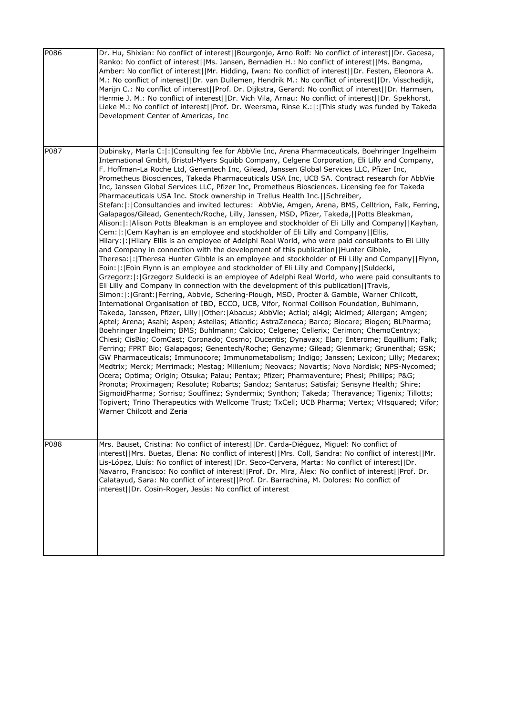| P086 | Dr. Hu, Shixian: No conflict of interest  Bourgonje, Arno Rolf: No conflict of interest  Dr. Gacesa,<br>Ranko: No conflict of interest  Ms. Jansen, Bernadien H.: No conflict of interest  Ms. Bangma,<br>Amber: No conflict of interest  Mr. Hidding, Iwan: No conflict of interest  Dr. Festen, Eleonora A.<br>M.: No conflict of interest  Dr. van Dullemen, Hendrik M.: No conflict of interest  Dr. Visschedijk,<br>Marijn C.: No conflict of interest  Prof. Dr. Dijkstra, Gerard: No conflict of interest  Dr. Harmsen,<br>Hermie J. M.: No conflict of interest  Dr. Vich Vila, Arnau: No conflict of interest  Dr. Spekhorst,<br>Lieke M.: No conflict of interest  Prof. Dr. Weersma, Rinse K.: : This study was funded by Takeda<br>Development Center of Americas, Inc                                                                                                                                                                                                                                                                                                                                                                                                                                                                                                                                                                                                                                                                                                                                                                                                                                                                                                                                                                                                                                                                                                                                                                                                                                                                                                                                                                                                                                                                                                                                                                                                                                                                                                                                                                                                                                                                                                                                                                                                                                                                                                                              |
|------|-----------------------------------------------------------------------------------------------------------------------------------------------------------------------------------------------------------------------------------------------------------------------------------------------------------------------------------------------------------------------------------------------------------------------------------------------------------------------------------------------------------------------------------------------------------------------------------------------------------------------------------------------------------------------------------------------------------------------------------------------------------------------------------------------------------------------------------------------------------------------------------------------------------------------------------------------------------------------------------------------------------------------------------------------------------------------------------------------------------------------------------------------------------------------------------------------------------------------------------------------------------------------------------------------------------------------------------------------------------------------------------------------------------------------------------------------------------------------------------------------------------------------------------------------------------------------------------------------------------------------------------------------------------------------------------------------------------------------------------------------------------------------------------------------------------------------------------------------------------------------------------------------------------------------------------------------------------------------------------------------------------------------------------------------------------------------------------------------------------------------------------------------------------------------------------------------------------------------------------------------------------------------------------------------------------------------------------------------------------------------------------------------------------------------------------------------------------------------------------------------------------------------------------------------------------------------------------------------------------------------------------------------------------------------------------------------------------------------------------------------------------------------------------------------------------------------------------------------------------------------------------------------------------------|
| P087 | Dubinsky, Marla C:  :   Consulting fee for AbbVie Inc, Arena Pharmaceuticals, Boehringer Ingelheim<br>International GmbH, Bristol-Myers Squibb Company, Celgene Corporation, Eli Lilly and Company,<br>F. Hoffman-La Roche Ltd, Genentech Inc, Gilead, Janssen Global Services LLC, Pfizer Inc,<br>Prometheus Biosciences, Takeda Pharmaceuticals USA Inc, UCB SA. Contract research for AbbVie<br>Inc, Janssen Global Services LLC, Pfizer Inc, Prometheus Biosciences. Licensing fee for Takeda<br>Pharmaceuticals USA Inc. Stock ownership in Trellus Health Inc.  Schreiber,<br>Stefan:  :   Consultancies and invited lectures: AbbVie, Amgen, Arena, BMS, Celltrion, Falk, Ferring,<br>Galapagos/Gilead, Genentech/Roche, Lilly, Janssen, MSD, Pfizer, Takeda,  Potts Bleakman,<br>Alison:  :  Alison Potts Bleakman is an employee and stockholder of Eli Lilly and Company     Kayhan,<br>Cem:  :  Cem Kayhan is an employee and stockholder of Eli Lilly and Company  Ellis,<br>Hilary:  :   Hilary Ellis is an employee of Adelphi Real World, who were paid consultants to Eli Lilly<br>and Company in connection with the development of this publication  Hunter Gibble,<br>Theresa:  :  Theresa Hunter Gibble is an employee and stockholder of Eli Lilly and Company     Flynn,<br>Eoin:  :   Eoin Flynn is an employee and stockholder of Eli Lilly and Company   Suldecki,<br>Grzegorz:  :   Grzegorz Suldecki is an employee of Adelphi Real World, who were paid consultants to<br>Eli Lilly and Company in connection with the development of this publication  Travis,<br>Simon: : Grant: Ferring, Abbvie, Schering-Plough, MSD, Procter & Gamble, Warner Chilcott,<br>International Organisation of IBD, ECCO, UCB, Vifor, Normal Collison Foundation, Buhlmann,<br>Takeda, Janssen, Pfizer, Lilly  Other: Abacus; AbbVie; Actial; ai4gi; Alcimed; Allergan; Amgen;<br>Aptel; Arena; Asahi; Aspen; Astellas; Atlantic; AstraZeneca; Barco; Biocare; Biogen; BLPharma;<br>Boehringer Ingelheim; BMS; Buhlmann; Calcico; Celgene; Cellerix; Cerimon; ChemoCentryx;<br>Chiesi; CisBio; ComCast; Coronado; Cosmo; Ducentis; Dynavax; Elan; Enterome; Equillium; Falk;<br>Ferring; FPRT Bio; Galapagos; Genentech/Roche; Genzyme; Gilead; Glenmark; Grunenthal; GSK;<br>GW Pharmaceuticals; Immunocore; Immunometabolism; Indigo; Janssen; Lexicon; Lilly; Medarex;<br>Medtrix; Merck; Merrimack; Mestag; Millenium; Neovacs; Novartis; Novo Nordisk; NPS-Nycomed;<br>Ocera; Optima; Origin; Otsuka; Palau; Pentax; Pfizer; Pharmaventure; Phesi; Phillips; P&G<br>Pronota; Proximagen; Resolute; Robarts; Sandoz; Santarus; Satisfai; Sensyne Health; Shire;<br>SigmoidPharma; Sorriso; Souffinez; Syndermix; Synthon; Takeda; Theravance; Tigenix; Tillotts;<br>Topivert; Trino Therapeutics with Wellcome Trust; TxCell; UCB Pharma; Vertex; VHsquared; Vifor;<br>Warner Chilcott and Zeria |
| P088 | Mrs. Bauset, Cristina: No conflict of interest  Dr. Carda-Diéguez, Miguel: No conflict of<br>interest  Mrs. Buetas, Elena: No conflict of interest  Mrs. Coll, Sandra: No conflict of interest  Mr.<br>Lis-López, Lluís: No conflict of interest  Dr. Seco-Cervera, Marta: No conflict of interest  Dr.<br>Navarro, Francisco: No conflict of interest  Prof. Dr. Mira, Álex: No conflict of interest  Prof. Dr.<br>Calatayud, Sara: No conflict of interest  Prof. Dr. Barrachina, M. Dolores: No conflict of<br>interest  Dr. Cosín-Roger, Jesús: No conflict of interest                                                                                                                                                                                                                                                                                                                                                                                                                                                                                                                                                                                                                                                                                                                                                                                                                                                                                                                                                                                                                                                                                                                                                                                                                                                                                                                                                                                                                                                                                                                                                                                                                                                                                                                                                                                                                                                                                                                                                                                                                                                                                                                                                                                                                                                                                                                                     |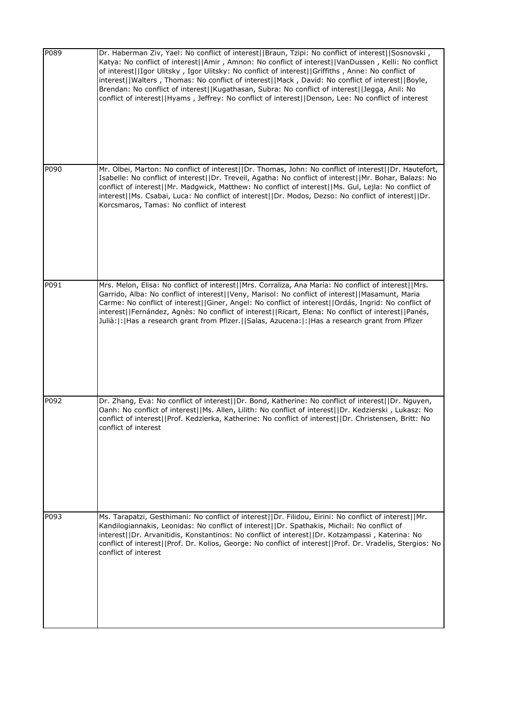| P089 | Dr. Haberman Ziv, Yael: No conflict of interest  Braun, Tzipi: No conflict of interest  Sosnovski,<br>Katya: No conflict of interest  Amir, Amnon: No conflict of interest  VanDussen, Kelli: No conflict<br>of interest  Igor Ulitsky, Igor Ulitsky: No conflict of interest  Griffiths, Anne: No conflict of<br>interest  Walters, Thomas: No conflict of interest  Mack, David: No conflict of interest  Boyle,<br>Brendan: No conflict of interest  Kugathasan, Subra: No conflict of interest  Jegga, Anil: No<br>conflict of interest  Hyams, Jeffrey: No conflict of interest  Denson, Lee: No conflict of interest |
|------|----------------------------------------------------------------------------------------------------------------------------------------------------------------------------------------------------------------------------------------------------------------------------------------------------------------------------------------------------------------------------------------------------------------------------------------------------------------------------------------------------------------------------------------------------------------------------------------------------------------------------|
| P090 | Mr. Olbei, Marton: No conflict of interest  Dr. Thomas, John: No conflict of interest  Dr. Hautefort,<br>Isabelle: No conflict of interest  Dr. Treveil, Agatha: No conflict of interest  Mr. Bohar, Balazs: No<br>conflict of interest  Mr. Madgwick, Matthew: No conflict of interest  Ms. Gul, Lejla: No conflict of<br>interest  Ms. Csabai, Luca: No conflict of interest  Dr. Modos, Dezso: No conflict of interest  Dr.<br>Korcsmaros, Tamas: No conflict of interest                                                                                                                                               |
| P091 | Mrs. Melon, Elisa: No conflict of interest  Mrs. Corraliza, Ana María: No conflict of interest  Mrs.<br>Garrido, Alba: No conflict of interest  Veny, Marisol: No conflict of interest  Masamunt, Maria<br>Carme: No conflict of interest  Giner, Angel: No conflict of interest  Ordás, Ingrid: No conflict of<br>interest  Fernández, Agnès: No conflict of interest  Ricart, Elena: No conflict of interest  Panés,<br>Julià: : Has a research grant from Pfizer.  Salas, Azucena: : Has a research grant from Pfizer                                                                                                   |
| P092 | Dr. Zhang, Eva: No conflict of interest  Dr. Bond, Katherine: No conflict of interest  Dr. Nguyen,<br>Oanh: No conflict of interest  Ms. Allen, Lilith: No conflict of interest  Dr. Kedzierski, Lukasz: No<br>conflict of interest  Prof. Kedzierka, Katherine: No conflict of interest  Dr. Christensen, Britt: No<br>conflict of interest                                                                                                                                                                                                                                                                               |
| P093 | Ms. Tarapatzi, Gesthimani: No conflict of interest  Dr. Filidou, Eirini: No conflict of interest  Mr.<br>Kandilogiannakis, Leonidas: No conflict of interest  Dr. Spathakis, Michail: No conflict of<br>interest  Dr. Arvanitidis, Konstantinos: No conflict of interest  Dr. Kotzampassi, Katerina: No<br>conflict of interest  Prof. Dr. Kolios, George: No conflict of interest  Prof. Dr. Vradelis, Stergios: No<br>conflict of interest                                                                                                                                                                               |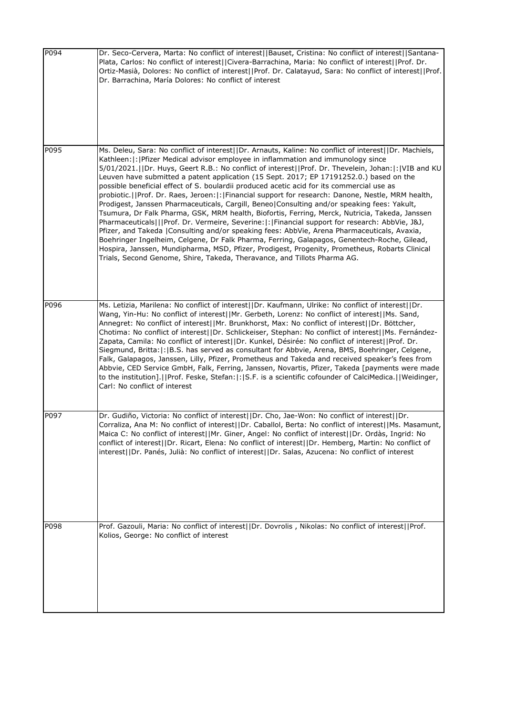| P094 | Dr. Seco-Cervera, Marta: No conflict of interest  Bauset, Cristina: No conflict of interest  Santana-<br>Plata, Carlos: No conflict of interest  Civera-Barrachina, Maria: No conflict of interest  Prof. Dr.<br>Ortiz-Masià, Dolores: No conflict of interest  Prof. Dr. Calatayud, Sara: No conflict of interest  Prof.<br>Dr. Barrachina, María Dolores: No conflict of interest                                                                                                                                                                                                                                                                                                                                                                                                                                                                                                                                                                                                                                                                                                                                                                                                                                                                                              |
|------|----------------------------------------------------------------------------------------------------------------------------------------------------------------------------------------------------------------------------------------------------------------------------------------------------------------------------------------------------------------------------------------------------------------------------------------------------------------------------------------------------------------------------------------------------------------------------------------------------------------------------------------------------------------------------------------------------------------------------------------------------------------------------------------------------------------------------------------------------------------------------------------------------------------------------------------------------------------------------------------------------------------------------------------------------------------------------------------------------------------------------------------------------------------------------------------------------------------------------------------------------------------------------------|
| P095 | Ms. Deleu, Sara: No conflict of interest  Dr. Arnauts, Kaline: No conflict of interest  Dr. Machiels,<br>Kathleen:  :   Pfizer Medical advisor employee in inflammation and immunology since<br>5/01/2021.  Dr. Huys, Geert R.B.: No conflict of interest  Prof. Dr. Thevelein, Johan: : VIB and KU<br>Leuven have submitted a patent application (15 Sept. 2017; EP 17191252.0.) based on the<br>possible beneficial effect of S. boulardii produced acetic acid for its commercial use as<br>probiotic.  Prof. Dr. Raes, Jeroen: : Financial support for research: Danone, Nestle, MRM health,<br>Prodigest, Janssen Pharmaceuticals, Cargill, Beneo Consulting and/or speaking fees: Yakult,<br>Tsumura, Dr Falk Pharma, GSK, MRM health, Biofortis, Ferring, Merck, Nutricia, Takeda, Janssen<br>Pharmaceuticals   Prof. Dr. Vermeire, Severine: : Financial support for research: AbbVie, J&J,<br>Pfizer, and Takeda   Consulting and/or speaking fees: AbbVie, Arena Pharmaceuticals, Avaxia,<br>Boehringer Ingelheim, Celgene, Dr Falk Pharma, Ferring, Galapagos, Genentech-Roche, Gilead,<br>Hospira, Janssen, Mundipharma, MSD, Pfizer, Prodigest, Progenity, Prometheus, Robarts Clinical<br>Trials, Second Genome, Shire, Takeda, Theravance, and Tillots Pharma AG. |
| P096 | Ms. Letizia, Marilena: No conflict of interest  Dr. Kaufmann, Ulrike: No conflict of interest  Dr.<br>Wang, Yin-Hu: No conflict of interest  Mr. Gerbeth, Lorenz: No conflict of interest  Ms. Sand,<br>Annegret: No conflict of interest  Mr. Brunkhorst, Max: No conflict of interest  Dr. Böttcher,<br>Chotima: No conflict of interest  Dr. Schlickeiser, Stephan: No conflict of interest  Ms. Fernández-<br>Zapata, Camila: No conflict of interest  Dr. Kunkel, Désirée: No conflict of interest  Prof. Dr.<br>Siegmund, Britta:  :  B.S. has served as consultant for Abbvie, Arena, BMS, Boehringer, Celgene,<br>Falk, Galapagos, Janssen, Lilly, Pfizer, Prometheus and Takeda and received speaker's fees from<br>Abbvie, CED Service GmbH, Falk, Ferring, Janssen, Novartis, Pfizer, Takeda [payments were made<br>to the institution].  Prof. Feske, Stefan: : S.F. is a scientific cofounder of CalciMedica.  Weidinger,<br>Carl: No conflict of interest                                                                                                                                                                                                                                                                                                          |
| P097 | Dr. Gudiño, Victoria: No conflict of interest  Dr. Cho, Jae-Won: No conflict of interest  Dr.<br>Corraliza, Ana M: No conflict of interest  Dr. Caballol, Berta: No conflict of interest  Ms. Masamunt,<br>Maica C: No conflict of interest  Mr. Giner, Angel: No conflict of interest  Dr. Ordàs, Ingrid: No<br>conflict of interest  Dr. Ricart, Elena: No conflict of interest  Dr. Hemberg, Martin: No conflict of<br>interest  Dr. Panés, Julià: No conflict of interest  Dr. Salas, Azucena: No conflict of interest                                                                                                                                                                                                                                                                                                                                                                                                                                                                                                                                                                                                                                                                                                                                                       |
| P098 | Prof. Gazouli, Maria: No conflict of interest  Dr. Dovrolis, Nikolas: No conflict of interest  Prof.<br>Kolios, George: No conflict of interest                                                                                                                                                                                                                                                                                                                                                                                                                                                                                                                                                                                                                                                                                                                                                                                                                                                                                                                                                                                                                                                                                                                                  |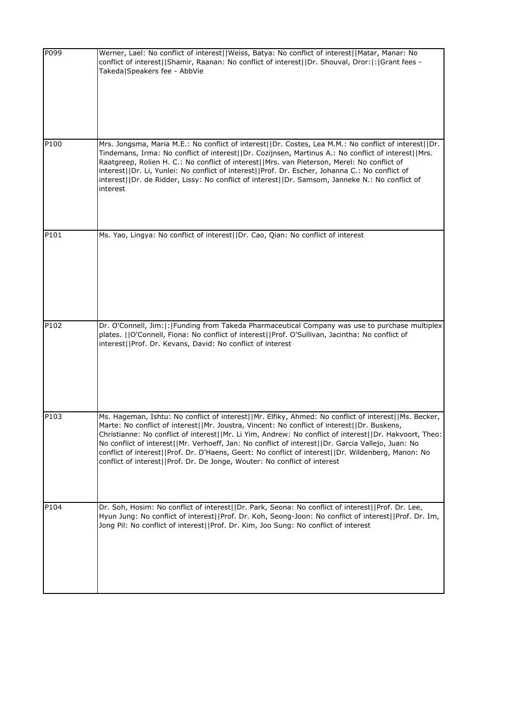| P099 | Werner, Lael: No conflict of interest  Weiss, Batya: No conflict of interest  Matar, Manar: No<br>conflict of interest  Shamir, Raanan: No conflict of interest  Dr. Shouval, Dror: : Grant fees -<br>Takeda Speakers fee - AbbVie                                                                                                                                                                                                                                                                                                                                                                    |
|------|-------------------------------------------------------------------------------------------------------------------------------------------------------------------------------------------------------------------------------------------------------------------------------------------------------------------------------------------------------------------------------------------------------------------------------------------------------------------------------------------------------------------------------------------------------------------------------------------------------|
| P100 | Mrs. Jongsma, Maria M.E.: No conflict of interest  Dr. Costes, Lea M.M.: No conflict of interest  Dr.<br>Tindemans, Irma: No conflict of interest  Dr. Cozijnsen, Martinus A.: No conflict of interest  Mrs.<br>Raatgreep, Rolien H. C.: No conflict of interest  Mrs. van Pieterson, Merel: No conflict of<br>interest  Dr. Li, Yunlei: No conflict of interest  Prof. Dr. Escher, Johanna C.: No conflict of<br>interest  Dr. de Ridder, Lissy: No conflict of interest  Dr. Samsom, Janneke N.: No conflict of<br>interest                                                                         |
| P101 | Ms. Yao, Lingya: No conflict of interest  Dr. Cao, Qian: No conflict of interest                                                                                                                                                                                                                                                                                                                                                                                                                                                                                                                      |
| P102 | Dr. O'Connell, Jim:  :  Funding from Takeda Pharmaceutical Company was use to purchase multiplex<br>plates. []O'Connell, Fiona: No conflict of interest[]Prof. O'Sullivan, Jacintha: No conflict of<br>interest  Prof. Dr. Kevans, David: No conflict of interest                                                                                                                                                                                                                                                                                                                                     |
| P103 | Ms. Hageman, Ishtu: No conflict of interest  Mr. Elfiky, Ahmed: No conflict of interest  Ms. Becker,<br>Marte: No conflict of interest  Mr. Joustra, Vincent: No conflict of interest  Dr. Buskens,<br>Christianne: No conflict of interest  Mr. Li Yim, Andrew: No conflict of interest  Dr. Hakvoort, Theo:<br>No conflict of interest  Mr. Verhoeff, Jan: No conflict of interest  Dr. Garcia Vallejo, Juan: No<br>conflict of interest  Prof. Dr. D'Haens, Geert: No conflict of interest  Dr. Wildenberg, Manon: No<br>conflict of interest  Prof. Dr. De Jonge, Wouter: No conflict of interest |
| P104 | Dr. Soh, Hosim: No conflict of interest  Dr. Park, Seona: No conflict of interest  Prof. Dr. Lee,<br>Hyun Jung: No conflict of interest  Prof. Dr. Koh, Seong-Joon: No conflict of interest  Prof. Dr. Im,<br>Jong Pil: No conflict of interest  Prof. Dr. Kim, Joo Sung: No conflict of interest                                                                                                                                                                                                                                                                                                     |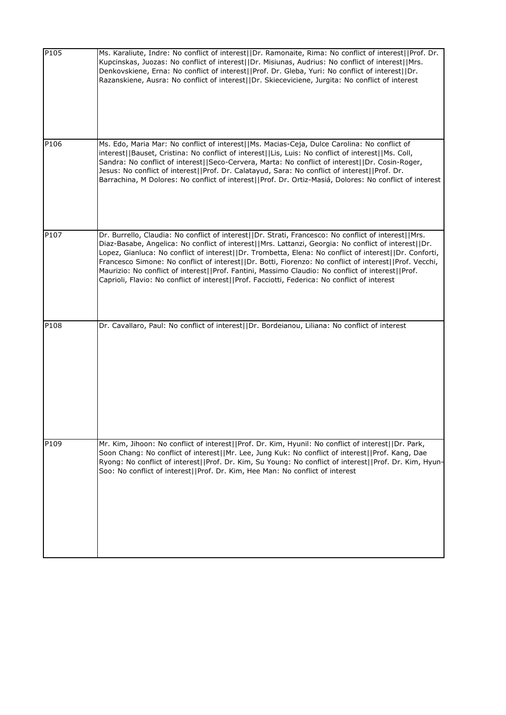| P105 | Ms. Karaliute, Indre: No conflict of interest  Dr. Ramonaite, Rima: No conflict of interest  Prof. Dr.<br>Kupcinskas, Juozas: No conflict of interest  Dr. Misiunas, Audrius: No conflict of interest  Mrs.<br>Denkovskiene, Erna: No conflict of interest  Prof. Dr. Gleba, Yuri: No conflict of interest  Dr.<br>Razanskiene, Ausra: No conflict of interest  Dr. Skieceviciene, Jurgita: No conflict of interest                                                                                                                                                                                                                    |
|------|----------------------------------------------------------------------------------------------------------------------------------------------------------------------------------------------------------------------------------------------------------------------------------------------------------------------------------------------------------------------------------------------------------------------------------------------------------------------------------------------------------------------------------------------------------------------------------------------------------------------------------------|
| P106 | Ms. Edo, Maria Mar: No conflict of interest  Ms. Macias-Ceja, Dulce Carolina: No conflict of<br>interest  Bauset, Cristina: No conflict of interest  Lis, Luis: No conflict of interest  Ms. Coll,<br>Sandra: No conflict of interest  Seco-Cervera, Marta: No conflict of interest  Dr. Cosin-Roger,<br>Jesus: No conflict of interest  Prof. Dr. Calatayud, Sara: No conflict of interest  Prof. Dr.<br>Barrachina, M Dolores: No conflict of interest  Prof. Dr. Ortiz-Masiá, Dolores: No conflict of interest                                                                                                                      |
| P107 | Dr. Burrello, Claudia: No conflict of interest  Dr. Strati, Francesco: No conflict of interest  Mrs.<br>Diaz-Basabe, Angelica: No conflict of interest  Mrs. Lattanzi, Georgia: No conflict of interest  Dr.<br>Lopez, Gianluca: No conflict of interest  Dr. Trombetta, Elena: No conflict of interest  Dr. Conforti,<br>Francesco Simone: No conflict of interest  Dr. Botti, Fiorenzo: No conflict of interest  Prof. Vecchi,<br>Maurizio: No conflict of interest  Prof. Fantini, Massimo Claudio: No conflict of interest  Prof.<br>Caprioli, Flavio: No conflict of interest  Prof. Facciotti, Federica: No conflict of interest |
| P108 | Dr. Cavallaro, Paul: No conflict of interest  Dr. Bordeianou, Liliana: No conflict of interest                                                                                                                                                                                                                                                                                                                                                                                                                                                                                                                                         |
| P109 | Mr. Kim, Jihoon: No conflict of interest  Prof. Dr. Kim, Hyunil: No conflict of interest  Dr. Park,<br>Soon Chang: No conflict of interest  Mr. Lee, Jung Kuk: No conflict of interest  Prof. Kang, Dae<br>Ryong: No conflict of interest  Prof. Dr. Kim, Su Young: No conflict of interest  Prof. Dr. Kim, Hyun-<br>Soo: No conflict of interest  Prof. Dr. Kim, Hee Man: No conflict of interest                                                                                                                                                                                                                                     |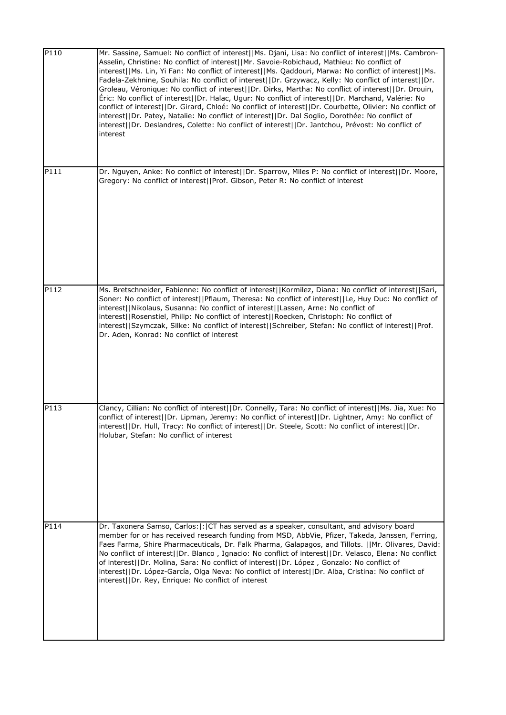| P110 | Mr. Sassine, Samuel: No conflict of interest  Ms. Djani, Lisa: No conflict of interest  Ms. Cambron-<br>Asselin, Christine: No conflict of interest  Mr. Savoie-Robichaud, Mathieu: No conflict of<br>interest  Ms. Lin, Yi Fan: No conflict of interest  Ms. Qaddouri, Marwa: No conflict of interest  Ms.<br>Fadela-Zekhnine, Souhila: No conflict of interest  Dr. Grzywacz, Kelly: No conflict of interest  Dr.<br>Groleau, Véronique: No conflict of interest  Dr. Dirks, Martha: No conflict of interest  Dr. Drouin,<br>Eric: No conflict of interest  Dr. Halac, Ugur: No conflict of interest  Dr. Marchand, Valérie: No<br>conflict of interest  Dr. Girard, Chloé: No conflict of interest  Dr. Courbette, Olivier: No conflict of<br>interest  Dr. Patey, Natalie: No conflict of interest  Dr. Dal Soglio, Dorothée: No conflict of<br>interest  Dr. Deslandres, Colette: No conflict of interest  Dr. Jantchou, Prévost: No conflict of<br>interest |
|------|-------------------------------------------------------------------------------------------------------------------------------------------------------------------------------------------------------------------------------------------------------------------------------------------------------------------------------------------------------------------------------------------------------------------------------------------------------------------------------------------------------------------------------------------------------------------------------------------------------------------------------------------------------------------------------------------------------------------------------------------------------------------------------------------------------------------------------------------------------------------------------------------------------------------------------------------------------------------|
| P111 | Dr. Nguyen, Anke: No conflict of interest  Dr. Sparrow, Miles P: No conflict of interest  Dr. Moore,<br>Gregory: No conflict of interest  Prof. Gibson, Peter R: No conflict of interest                                                                                                                                                                                                                                                                                                                                                                                                                                                                                                                                                                                                                                                                                                                                                                          |
| P112 | Ms. Bretschneider, Fabienne: No conflict of interest  Kormilez, Diana: No conflict of interest  Sari,<br>Soner: No conflict of interest  Pflaum, Theresa: No conflict of interest  Le, Huy Duc: No conflict of<br>interest  Nikolaus, Susanna: No conflict of interest  Lassen, Arne: No conflict of<br>interest  Rosenstiel, Philip: No conflict of interest  Roecken, Christoph: No conflict of<br>interest  Szymczak, Silke: No conflict of interest  Schreiber, Stefan: No conflict of interest  Prof.<br>Dr. Aden, Konrad: No conflict of interest                                                                                                                                                                                                                                                                                                                                                                                                           |
| P113 | Clancy, Cillian: No conflict of interest  Dr. Connelly, Tara: No conflict of interest  Ms. Jia, Xue: No<br>conflict of interest  Dr. Lipman, Jeremy: No conflict of interest  Dr. Lightner, Amy: No conflict of<br>interest  Dr. Hull, Tracy: No conflict of interest  Dr. Steele, Scott: No conflict of interest  Dr.<br>Holubar, Stefan: No conflict of interest                                                                                                                                                                                                                                                                                                                                                                                                                                                                                                                                                                                                |
| P114 | Dr. Taxonera Samso, Carlos:  :  CT has served as a speaker, consultant, and advisory board<br>member for or has received research funding from MSD, AbbVie, Pfizer, Takeda, Janssen, Ferring,<br>Faes Farma, Shire Pharmaceuticals, Dr. Falk Pharma, Galapagos, and Tillots.   Mr. Olivares, David:<br>No conflict of interest  Dr. Blanco, Ignacio: No conflict of interest  Dr. Velasco, Elena: No conflict<br>of interest  Dr. Molina, Sara: No conflict of interest  Dr. López, Gonzalo: No conflict of<br>interest  Dr. López-García, Olga Neva: No conflict of interest  Dr. Alba, Cristina: No conflict of<br>interest  Dr. Rey, Enrique: No conflict of interest                                                                                                                                                                                                                                                                                          |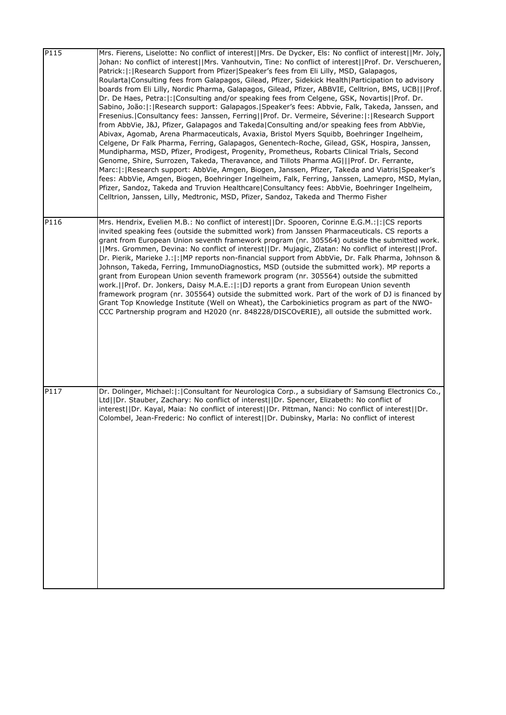| P115 | Mrs. Fierens, Liselotte: No conflict of interest  Mrs. De Dycker, Els: No conflict of interest  Mr. Joly,<br>Johan: No conflict of interest  Mrs. Vanhoutvin, Tine: No conflict of interest  Prof. Dr. Verschueren,<br>Patrick:  :   Research Support from Pfizer  Speaker's fees from Eli Lilly, MSD, Galapagos,<br>Roularta   Consulting fees from Galapagos, Gilead, Pfizer, Sidekick Health   Participation to advisory<br>boards from Eli Lilly, Nordic Pharma, Galapagos, Gilead, Pfizer, ABBVIE, Celltrion, BMS, UCB   Prof.<br>Dr. De Haes, Petra:  :   Consulting and/or speaking fees from Celgene, GSK, Novartis  Prof. Dr.<br>Sabino, João:  :  Research support: Galapagos.  Speaker's fees: Abbvie, Falk, Takeda, Janssen, and<br>Fresenius.   Consultancy fees: Janssen, Ferring  Prof. Dr. Vermeire, Séverine:  :   Research Support<br>from AbbVie, J&J, Pfizer, Galapagos and Takeda Consulting and/or speaking fees from AbbVie,<br>Abivax, Agomab, Arena Pharmaceuticals, Avaxia, Bristol Myers Squibb, Boehringer Ingelheim,<br>Celgene, Dr Falk Pharma, Ferring, Galapagos, Genentech-Roche, Gilead, GSK, Hospira, Janssen,<br>Mundipharma, MSD, Pfizer, Prodigest, Progenity, Prometheus, Robarts Clinical Trials, Second<br>Genome, Shire, Surrozen, Takeda, Theravance, and Tillots Pharma AG   Prof. Dr. Ferrante,<br>Marc:  :  Research support: AbbVie, Amgen, Biogen, Janssen, Pfizer, Takeda and Viatris Speaker's<br>fees: AbbVie, Amgen, Biogen, Boehringer Ingelheim, Falk, Ferring, Janssen, Lamepro, MSD, Mylan,<br>Pfizer, Sandoz, Takeda and Truvion Healthcare Consultancy fees: AbbVie, Boehringer Ingelheim,<br>Celltrion, Janssen, Lilly, Medtronic, MSD, Pfizer, Sandoz, Takeda and Thermo Fisher |
|------|---------------------------------------------------------------------------------------------------------------------------------------------------------------------------------------------------------------------------------------------------------------------------------------------------------------------------------------------------------------------------------------------------------------------------------------------------------------------------------------------------------------------------------------------------------------------------------------------------------------------------------------------------------------------------------------------------------------------------------------------------------------------------------------------------------------------------------------------------------------------------------------------------------------------------------------------------------------------------------------------------------------------------------------------------------------------------------------------------------------------------------------------------------------------------------------------------------------------------------------------------------------------------------------------------------------------------------------------------------------------------------------------------------------------------------------------------------------------------------------------------------------------------------------------------------------------------------------------------------------------------------------------------------------------------------------------------------------------------------------------|
| P116 | Mrs. Hendrix, Evelien M.B.: No conflict of interest  Dr. Spooren, Corinne E.G.M.: :  CS reports<br>invited speaking fees (outside the submitted work) from Janssen Pharmaceuticals. CS reports a<br>grant from European Union seventh framework program (nr. 305564) outside the submitted work.<br>[ Mrs. Grommen, Devina: No conflict of interest  Dr. Mujagic, Zlatan: No conflict of interest  Prof.<br>Dr. Pierik, Marieke J.:  :   MP reports non-financial support from AbbVie, Dr. Falk Pharma, Johnson &<br>Johnson, Takeda, Ferring, ImmunoDiagnostics, MSD (outside the submitted work). MP reports a<br>grant from European Union seventh framework program (nr. 305564) outside the submitted<br>work.   Prof. Dr. Jonkers, Daisy M.A.E.:  :   DJ reports a grant from European Union seventh<br>framework program (nr. 305564) outside the submitted work. Part of the work of DJ is financed by<br>Grant Top Knowledge Institute (Well on Wheat), the Carbokinietics program as part of the NWO-<br>CCC Partnership program and H2020 (nr. 848228/DISCOvERIE), all outside the submitted work.                                                                                                                                                                                                                                                                                                                                                                                                                                                                                                                                                                                                                               |
| P117 | Dr. Dolinger, Michael:  :  Consultant for Neurologica Corp., a subsidiary of Samsung Electronics Co.,<br>Ltd  Dr. Stauber, Zachary: No conflict of interest  Dr. Spencer, Elizabeth: No conflict of<br>interest  Dr. Kayal, Maia: No conflict of interest  Dr. Pittman, Nanci: No conflict of interest  Dr.<br>Colombel, Jean-Frederic: No conflict of interest  Dr. Dubinsky, Marla: No conflict of interest                                                                                                                                                                                                                                                                                                                                                                                                                                                                                                                                                                                                                                                                                                                                                                                                                                                                                                                                                                                                                                                                                                                                                                                                                                                                                                                               |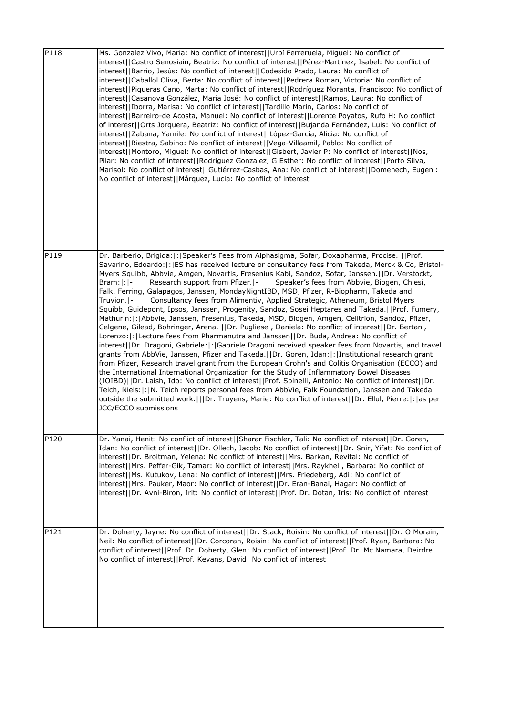| P118 | Ms. Gonzalez Vivo, Maria: No conflict of interest  Urpí Ferreruela, Miguel: No conflict of<br>interest  Castro Senosiain, Beatriz: No conflict of interest  Pérez-Martínez, Isabel: No conflict of<br>interest  Barrio, Jesús: No conflict of interest  Codesido Prado, Laura: No conflict of<br>interest  Caballol Oliva, Berta: No conflict of interest  Pedrera Roman, Victoria: No conflict of<br>interest  Piqueras Cano, Marta: No conflict of interest  Rodríguez Moranta, Francisco: No conflict of<br>interest  Casanova González, Maria José: No conflict of interest  Ramos, Laura: No conflict of<br>interest  Iborra, Marisa: No conflict of interest  Tardillo Marin, Carlos: No conflict of<br>interest  Barreiro-de Acosta, Manuel: No conflict of interest  Lorente Poyatos, Rufo H: No conflict<br>of interest  Orts Jorquera, Beatriz: No conflict of interest  Bujanda Fernández, Luis: No conflict of<br>interest  Zabana, Yamile: No conflict of interest  López-García, Alicia: No conflict of<br>interest  Riestra, Sabino: No conflict of interest  Vega-Villaamil, Pablo: No conflict of<br>interest  Montoro, Miguel: No conflict of interest  Gisbert, Javier P: No conflict of interest  Nos,<br>Pilar: No conflict of interest  Rodriguez Gonzalez, G Esther: No conflict of interest  Porto Silva,<br>Marisol: No conflict of interest  Gutiérrez-Casbas, Ana: No conflict of interest  Domenech, Eugeni:<br>No conflict of interest  Márquez, Lucia: No conflict of interest                                                                                                                                                                                                                                                                       |
|------|------------------------------------------------------------------------------------------------------------------------------------------------------------------------------------------------------------------------------------------------------------------------------------------------------------------------------------------------------------------------------------------------------------------------------------------------------------------------------------------------------------------------------------------------------------------------------------------------------------------------------------------------------------------------------------------------------------------------------------------------------------------------------------------------------------------------------------------------------------------------------------------------------------------------------------------------------------------------------------------------------------------------------------------------------------------------------------------------------------------------------------------------------------------------------------------------------------------------------------------------------------------------------------------------------------------------------------------------------------------------------------------------------------------------------------------------------------------------------------------------------------------------------------------------------------------------------------------------------------------------------------------------------------------------------------------------------------------------------------------------------------------------------------|
| P119 | Dr. Barberio, Brigida:  :   Speaker's Fees from Alphasigma, Sofar, Doxapharma, Procise.     Prof.<br>Savarino, Edoardo:   :   ES has received lecture or consultancy fees from Takeda, Merck & Co, Bristol-<br>Myers Squibb, Abbvie, Amgen, Novartis, Fresenius Kabi, Sandoz, Sofar, Janssen.  Dr. Verstockt,<br>$Bram: : -$<br>Research support from Pfizer.  -<br>Speaker's fees from Abbvie, Biogen, Chiesi,<br>Falk, Ferring, Galapagos, Janssen, MondayNightIBD, MSD, Pfizer, R-Biopharm, Takeda and<br>Consultancy fees from Alimentiv, Applied Strategic, Atheneum, Bristol Myers<br>Truvion. I-<br>Squibb, Guidepont, Ipsos, Janssen, Progenity, Sandoz, Sosei Heptares and Takeda.   Prof. Fumery,<br>Mathurin:  :   Abbvie, Janssen, Fresenius, Takeda, MSD, Biogen, Amgen, Celltrion, Sandoz, Pfizer,<br>Celgene, Gilead, Bohringer, Arena.   Dr. Pugliese, Daniela: No conflict of interest  Dr. Bertani,<br>Lorenzo:  :  Lecture fees from Pharmanutra and Janssen  Dr. Buda, Andrea: No conflict of<br>interest  Dr. Dragoni, Gabriele: : Gabriele Dragoni received speaker fees from Novartis, and travel<br>grants from AbbVie, Janssen, Pfizer and Takeda.   Dr. Goren, Idan:  :  Institutional research grant<br>from Pfizer, Research travel grant from the European Crohn's and Colitis Organisation (ECCO) and<br>the International International Organization for the Study of Inflammatory Bowel Diseases<br>(IOIBD)  Dr. Laish, Ido: No conflict of interest  Prof. Spinelli, Antonio: No conflict of interest  Dr.<br>Teich, Niels:  :  N. Teich reports personal fees from AbbVie, Falk Foundation, Janssen and Takeda<br>outside the submitted work.   Dr. Truyens, Marie: No conflict of interest  Dr. Ellul, Pierre: : as per<br>JCC/ECCO submissions |
| P120 | Dr. Yanai, Henit: No conflict of interest  Sharar Fischler, Tali: No conflict of interest  Dr. Goren,<br>Idan: No conflict of interest  Dr. Ollech, Jacob: No conflict of interest  Dr. Snir, Yifat: No conflict of<br>interest  Dr. Broitman, Yelena: No conflict of interest  Mrs. Barkan, Revital: No conflict of<br>interest  Mrs. Peffer-Gik, Tamar: No conflict of interest  Mrs. Raykhel, Barbara: No conflict of<br>interest  Ms. Kutukov, Lena: No conflict of interest  Mrs. Friedeberg, Adi: No conflict of<br>interest  Mrs. Pauker, Maor: No conflict of interest  Dr. Eran-Banai, Hagar: No conflict of<br>interest  Dr. Avni-Biron, Irit: No conflict of interest  Prof. Dr. Dotan, Iris: No conflict of interest                                                                                                                                                                                                                                                                                                                                                                                                                                                                                                                                                                                                                                                                                                                                                                                                                                                                                                                                                                                                                                                   |
| P121 | Dr. Doherty, Jayne: No conflict of interest  Dr. Stack, Roisin: No conflict of interest  Dr. O Morain,<br>Neil: No conflict of interest  Dr. Corcoran, Roisin: No conflict of interest  Prof. Ryan, Barbara: No<br>conflict of interest  Prof. Dr. Doherty, Glen: No conflict of interest  Prof. Dr. Mc Namara, Deirdre:<br>No conflict of interest  Prof. Kevans, David: No conflict of interest                                                                                                                                                                                                                                                                                                                                                                                                                                                                                                                                                                                                                                                                                                                                                                                                                                                                                                                                                                                                                                                                                                                                                                                                                                                                                                                                                                                  |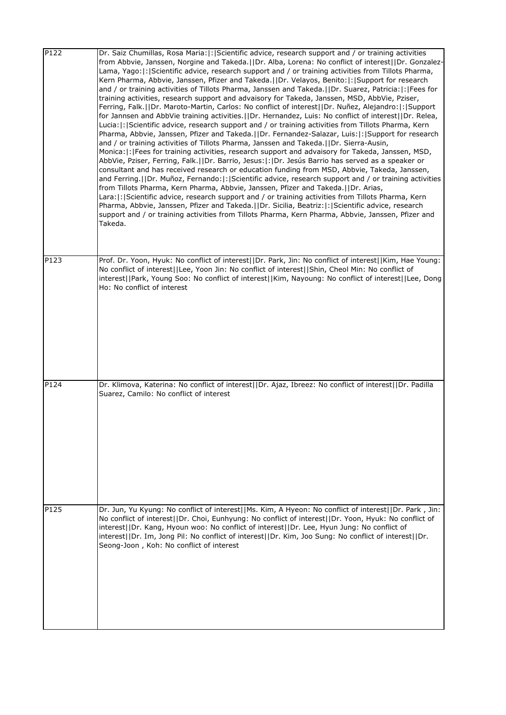| P122 | Dr. Saiz Chumillas, Rosa Maria:  :   Scientific advice, research support and / or training activities<br>from Abbvie, Janssen, Norgine and Takeda.  Dr. Alba, Lorena: No conflict of interest  Dr. Gonzalez-<br>Lama, Yago:  :   Scientific advice, research support and / or training activities from Tillots Pharma,<br>Kern Pharma, Abbvie, Janssen, Pfizer and Takeda.     Dr. Velayos, Benito:   :   Support for research<br>and / or training activities of Tillots Pharma, Janssen and Takeda.  Dr. Suarez, Patricia: : Fees for<br>training activities, research support and advaisory for Takeda, Janssen, MSD, AbbVie, Pziser,<br>Ferring, Falk.  Dr. Maroto-Martin, Carlos: No conflict of interest  Dr. Nuñez, Alejandro: : Support<br>for Jannsen and AbbVie training activities.  Dr. Hernandez, Luis: No conflict of interest  Dr. Relea,<br>Lucia:  :  Scientific advice, research support and / or training activities from Tillots Pharma, Kern<br>Pharma, Abbvie, Janssen, Pfizer and Takeda.   Dr. Fernandez-Salazar, Luis:  :   Support for research<br>and / or training activities of Tillots Pharma, Janssen and Takeda.     Dr. Sierra-Ausin,<br>Monica:  :  Fees for training activities, research support and advaisory for Takeda, Janssen, MSD,<br>AbbVie, Pziser, Ferring, Falk.  Dr. Barrio, Jesus: : Dr. Jesús Barrio has served as a speaker or<br>consultant and has received research or education funding from MSD, Abbvie, Takeda, Janssen,<br>and Ferring.  Dr. Muñoz, Fernando: : Scientific advice, research support and / or training activities<br>from Tillots Pharma, Kern Pharma, Abbvie, Janssen, Pfizer and Takeda.  Dr. Arias,<br>Lara:  :  Scientific advice, research support and / or training activities from Tillots Pharma, Kern<br>Pharma, Abbvie, Janssen, Pfizer and Takeda.  Dr. Sicilia, Beatriz: : Scientific advice, research<br>support and / or training activities from Tillots Pharma, Kern Pharma, Abbvie, Janssen, Pfizer and<br>Takeda. |
|------|-------------------------------------------------------------------------------------------------------------------------------------------------------------------------------------------------------------------------------------------------------------------------------------------------------------------------------------------------------------------------------------------------------------------------------------------------------------------------------------------------------------------------------------------------------------------------------------------------------------------------------------------------------------------------------------------------------------------------------------------------------------------------------------------------------------------------------------------------------------------------------------------------------------------------------------------------------------------------------------------------------------------------------------------------------------------------------------------------------------------------------------------------------------------------------------------------------------------------------------------------------------------------------------------------------------------------------------------------------------------------------------------------------------------------------------------------------------------------------------------------------------------------------------------------------------------------------------------------------------------------------------------------------------------------------------------------------------------------------------------------------------------------------------------------------------------------------------------------------------------------------------------------------------------------------------------------------------------------------------------------------------|
| P123 | Prof. Dr. Yoon, Hyuk: No conflict of interest  Dr. Park, Jin: No conflict of interest  Kim, Hae Young:<br>No conflict of interest  Lee, Yoon Jin: No conflict of interest  Shin, Cheol Min: No conflict of<br>interest  Park, Young Soo: No conflict of interest  Kim, Nayoung: No conflict of interest  Lee, Dong                                                                                                                                                                                                                                                                                                                                                                                                                                                                                                                                                                                                                                                                                                                                                                                                                                                                                                                                                                                                                                                                                                                                                                                                                                                                                                                                                                                                                                                                                                                                                                                                                                                                                          |
|      | Ho: No conflict of interest                                                                                                                                                                                                                                                                                                                                                                                                                                                                                                                                                                                                                                                                                                                                                                                                                                                                                                                                                                                                                                                                                                                                                                                                                                                                                                                                                                                                                                                                                                                                                                                                                                                                                                                                                                                                                                                                                                                                                                                 |
| P124 | Dr. Klimova, Katerina: No conflict of interest  Dr. Ajaz, Ibreez: No conflict of interest  Dr. Padilla<br>Suarez, Camilo: No conflict of interest                                                                                                                                                                                                                                                                                                                                                                                                                                                                                                                                                                                                                                                                                                                                                                                                                                                                                                                                                                                                                                                                                                                                                                                                                                                                                                                                                                                                                                                                                                                                                                                                                                                                                                                                                                                                                                                           |
| P125 | Dr. Jun, Yu Kyung: No conflict of interest  Ms. Kim, A Hyeon: No conflict of interest  Dr. Park, Jin:<br>No conflict of interest  Dr. Choi, Eunhyung: No conflict of interest  Dr. Yoon, Hyuk: No conflict of<br>interest  Dr. Kang, Hyoun woo: No conflict of interest  Dr. Lee, Hyun Jung: No conflict of<br>interest  Dr. Im, Jong Pil: No conflict of interest  Dr. Kim, Joo Sung: No conflict of interest  Dr.<br>Seong-Joon, Koh: No conflict of interest                                                                                                                                                                                                                                                                                                                                                                                                                                                                                                                                                                                                                                                                                                                                                                                                                                                                                                                                                                                                                                                                                                                                                                                                                                                                                                                                                                                                                                                                                                                                             |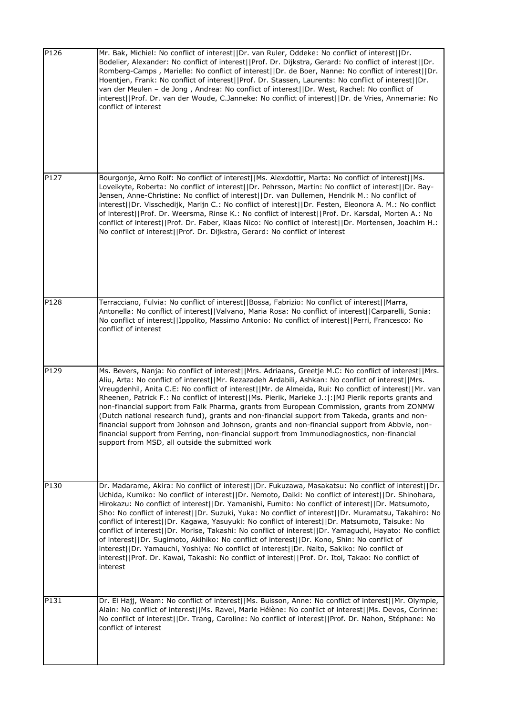| P126 | Mr. Bak, Michiel: No conflict of interest  Dr. van Ruler, Oddeke: No conflict of interest  Dr.<br>Bodelier, Alexander: No conflict of interest  Prof. Dr. Dijkstra, Gerard: No conflict of interest  Dr.<br>Romberg-Camps, Marielle: No conflict of interest  Dr. de Boer, Nanne: No conflict of interest  Dr.<br>Hoentjen, Frank: No conflict of interest  Prof. Dr. Stassen, Laurents: No conflict of interest  Dr.<br>van der Meulen - de Jong, Andrea: No conflict of interest  Dr. West, Rachel: No conflict of<br>interest  Prof. Dr. van der Woude, C.Janneke: No conflict of interest  Dr. de Vries, Annemarie: No<br>conflict of interest                                                                                                                                                                                                                                                                                                   |
|------|------------------------------------------------------------------------------------------------------------------------------------------------------------------------------------------------------------------------------------------------------------------------------------------------------------------------------------------------------------------------------------------------------------------------------------------------------------------------------------------------------------------------------------------------------------------------------------------------------------------------------------------------------------------------------------------------------------------------------------------------------------------------------------------------------------------------------------------------------------------------------------------------------------------------------------------------------|
| P127 | Bourgonje, Arno Rolf: No conflict of interest  Ms. Alexdottir, Marta: No conflict of interest  Ms.<br>Loveikyte, Roberta: No conflict of interest  Dr. Pehrsson, Martin: No conflict of interest  Dr. Bay-<br>Jensen, Anne-Christine: No conflict of interest  Dr. van Dullemen, Hendrik M.: No conflict of<br>interest  Dr. Visschedijk, Marijn C.: No conflict of interest  Dr. Festen, Eleonora A. M.: No conflict<br>of interest  Prof. Dr. Weersma, Rinse K.: No conflict of interest  Prof. Dr. Karsdal, Morten A.: No<br>conflict of interest  Prof. Dr. Faber, Klaas Nico: No conflict of interest  Dr. Mortensen, Joachim H.:<br>No conflict of interest  Prof. Dr. Dijkstra, Gerard: No conflict of interest                                                                                                                                                                                                                               |
| P128 | Terracciano, Fulvia: No conflict of interest  Bossa, Fabrizio: No conflict of interest  Marra,<br>Antonella: No conflict of interest  Valvano, Maria Rosa: No conflict of interest  Carparelli, Sonia:<br>No conflict of interest  Ippolito, Massimo Antonio: No conflict of interest  Perri, Francesco: No<br>conflict of interest                                                                                                                                                                                                                                                                                                                                                                                                                                                                                                                                                                                                                  |
| P129 | Ms. Bevers, Nanja: No conflict of interest  Mrs. Adriaans, Greetje M.C: No conflict of interest  Mrs.<br>Aliu, Arta: No conflict of interest  Mr. Rezazadeh Ardabili, Ashkan: No conflict of interest  Mrs.<br>Vreugdenhil, Anita C.E: No conflict of interest  Mr. de Almeida, Rui: No conflict of interest  Mr. van<br>Rheenen, Patrick F.: No conflict of interest  Ms. Pierik, Marieke J.: : MJ Pierik reports grants and<br>non-financial support from Falk Pharma, grants from European Commission, grants from ZONMW<br>(Dutch national research fund), grants and non-financial support from Takeda, grants and non-<br>financial support from Johnson and Johnson, grants and non-financial support from Abbvie, non-<br>financial support from Ferring, non-financial support from Immunodiagnostics, non-financial<br>support from MSD, all outside the submitted work                                                                    |
| P130 | Dr. Madarame, Akira: No conflict of interest  Dr. Fukuzawa, Masakatsu: No conflict of interest  Dr.<br>Uchida, Kumiko: No conflict of interest  Dr. Nemoto, Daiki: No conflict of interest  Dr. Shinohara,<br>Hirokazu: No conflict of interest  Dr. Yamanishi, Fumito: No conflict of interest  Dr. Matsumoto,<br>Sho: No conflict of interest  Dr. Suzuki, Yuka: No conflict of interest  Dr. Muramatsu, Takahiro: No<br>conflict of interest  Dr. Kagawa, Yasuyuki: No conflict of interest  Dr. Matsumoto, Taisuke: No<br>conflict of interest  Dr. Morise, Takashi: No conflict of interest  Dr. Yamaguchi, Hayato: No conflict<br>of interest  Dr. Sugimoto, Akihiko: No conflict of interest  Dr. Kono, Shin: No conflict of<br>interest  Dr. Yamauchi, Yoshiya: No conflict of interest  Dr. Naito, Sakiko: No conflict of<br>interest  Prof. Dr. Kawai, Takashi: No conflict of interest  Prof. Dr. Itoi, Takao: No conflict of<br>interest |
| P131 | Dr. El Hajj, Weam: No conflict of interest  Ms. Buisson, Anne: No conflict of interest  Mr. Olympie,<br>Alain: No conflict of interest  Ms. Ravel, Marie Hélène: No conflict of interest  Ms. Devos, Corinne:<br>No conflict of interest  Dr. Trang, Caroline: No conflict of interest  Prof. Dr. Nahon, Stéphane: No<br>conflict of interest                                                                                                                                                                                                                                                                                                                                                                                                                                                                                                                                                                                                        |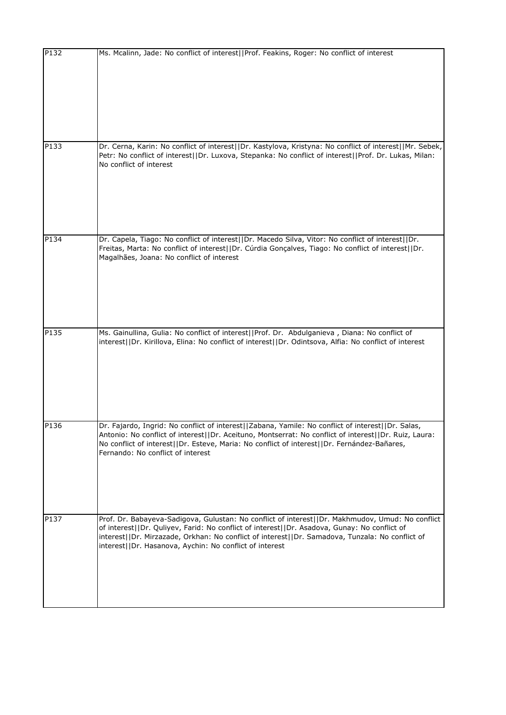| Ms. Mcalinn, Jade: No conflict of interest  Prof. Feakins, Roger: No conflict of interest                                                                                                                                                                                                                                                                      |
|----------------------------------------------------------------------------------------------------------------------------------------------------------------------------------------------------------------------------------------------------------------------------------------------------------------------------------------------------------------|
|                                                                                                                                                                                                                                                                                                                                                                |
| Dr. Cerna, Karin: No conflict of interest  Dr. Kastylova, Kristyna: No conflict of interest  Mr. Sebek,<br>Petr: No conflict of interest  Dr. Luxova, Stepanka: No conflict of interest  Prof. Dr. Lukas, Milan:<br>No conflict of interest                                                                                                                    |
| Dr. Capela, Tiago: No conflict of interest  Dr. Macedo Silva, Vitor: No conflict of interest  Dr.<br>Freitas, Marta: No conflict of interest  Dr. Cúrdia Gonçalves, Tiago: No conflict of interest  Dr.<br>Magalhães, Joana: No conflict of interest                                                                                                           |
| Ms. Gainullina, Gulia: No conflict of interest  Prof. Dr. Abdulganieva, Diana: No conflict of<br>interest  Dr. Kirillova, Elina: No conflict of interest  Dr. Odintsova, Alfia: No conflict of interest                                                                                                                                                        |
| Dr. Fajardo, Ingrid: No conflict of interest  Zabana, Yamile: No conflict of interest  Dr. Salas,<br>Antonio: No conflict of interest  Dr. Aceituno, Montserrat: No conflict of interest  Dr. Ruiz, Laura:<br>No conflict of interest  Dr. Esteve, Maria: No conflict of interest  Dr. Fernández-Bañares,<br>Fernando: No conflict of interest                 |
| Prof. Dr. Babayeva-Sadigova, Gulustan: No conflict of interest  Dr. Makhmudov, Umud: No conflict<br>of interest  Dr. Quliyev, Farid: No conflict of interest  Dr. Asadova, Gunay: No conflict of<br>interest  Dr. Mirzazade, Orkhan: No conflict of interest  Dr. Samadova, Tunzala: No conflict of<br>interest  Dr. Hasanova, Aychin: No conflict of interest |
|                                                                                                                                                                                                                                                                                                                                                                |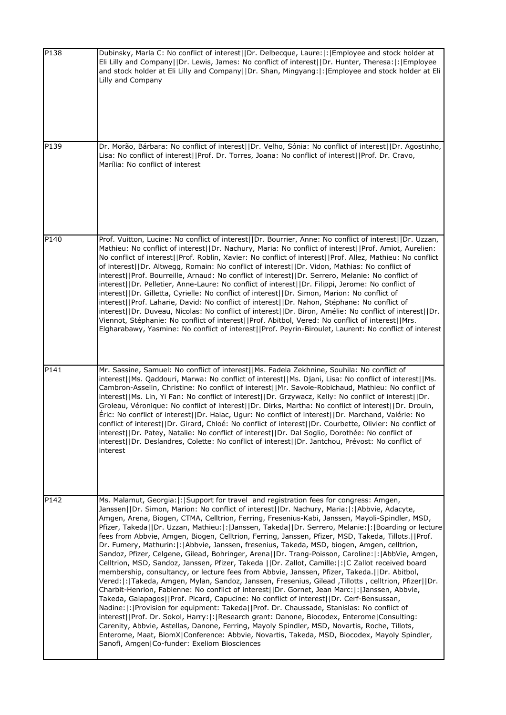| P138             | Dubinsky, Marla C: No conflict of interest  Dr. Delbecque, Laure: : [Employee and stock holder at<br>Eli Lilly and Company  Dr. Lewis, James: No conflict of interest  Dr. Hunter, Theresa: : Employee<br>and stock holder at Eli Lilly and Company  Dr. Shan, Mingyang: : Employee and stock holder at Eli<br>Lilly and Company                                                                                                                                                                                                                                                                                                                                                                                                                                                                                                                                                                                                                                                                                                                                                                                                                                                                                                                                                                                                                                                                                                                                                                                                                                                                                                                                  |
|------------------|-------------------------------------------------------------------------------------------------------------------------------------------------------------------------------------------------------------------------------------------------------------------------------------------------------------------------------------------------------------------------------------------------------------------------------------------------------------------------------------------------------------------------------------------------------------------------------------------------------------------------------------------------------------------------------------------------------------------------------------------------------------------------------------------------------------------------------------------------------------------------------------------------------------------------------------------------------------------------------------------------------------------------------------------------------------------------------------------------------------------------------------------------------------------------------------------------------------------------------------------------------------------------------------------------------------------------------------------------------------------------------------------------------------------------------------------------------------------------------------------------------------------------------------------------------------------------------------------------------------------------------------------------------------------|
| P <sub>139</sub> | Dr. Morão, Bárbara: No conflict of interest  Dr. Velho, Sónia: No conflict of interest  Dr. Agostinho,<br>Lisa: No conflict of interest  Prof. Dr. Torres, Joana: No conflict of interest  Prof. Dr. Cravo,<br>Marília: No conflict of interest                                                                                                                                                                                                                                                                                                                                                                                                                                                                                                                                                                                                                                                                                                                                                                                                                                                                                                                                                                                                                                                                                                                                                                                                                                                                                                                                                                                                                   |
| P140             | Prof. Vuitton, Lucine: No conflict of interest  Dr. Bourrier, Anne: No conflict of interest  Dr. Uzzan,<br>Mathieu: No conflict of interest  Dr. Nachury, Maria: No conflict of interest  Prof. Amiot, Aurelien:<br>No conflict of interest  Prof. Roblin, Xavier: No conflict of interest  Prof. Allez, Mathieu: No conflict<br>of interest  Dr. Altwegg, Romain: No conflict of interest  Dr. Vidon, Mathias: No conflict of<br>interest  Prof. Bourreille, Arnaud: No conflict of interest  Dr. Serrero, Melanie: No conflict of<br>interest  Dr. Pelletier, Anne-Laure: No conflict of interest  Dr. Filippi, Jerome: No conflict of<br>interest  Dr. Gilletta, Cyrielle: No conflict of interest  Dr. Simon, Marion: No conflict of<br>interest  Prof. Laharie, David: No conflict of interest  Dr. Nahon, Stéphane: No conflict of<br>interest  Dr. Duveau, Nicolas: No conflict of interest  Dr. Biron, Amélie: No conflict of interest  Dr.<br>Viennot, Stéphanie: No conflict of interest  Prof. Abitbol, Vered: No conflict of interest  Mrs.<br>Elgharabawy, Yasmine: No conflict of interest  Prof. Peyrin-Biroulet, Laurent: No conflict of interest                                                                                                                                                                                                                                                                                                                                                                                                                                                                                                 |
| P141             | Mr. Sassine, Samuel: No conflict of interest  Ms. Fadela Zekhnine, Souhila: No conflict of<br>interest  Ms. Qaddouri, Marwa: No conflict of interest  Ms. Djani, Lisa: No conflict of interest  Ms.<br>Cambron-Asselin, Christine: No conflict of interest  Mr. Savoie-Robichaud, Mathieu: No conflict of<br>interest  Ms. Lin, Yi Fan: No conflict of interest  Dr. Grzywacz, Kelly: No conflict of interest  Dr.<br>Groleau, Véronique: No conflict of interest  Dr. Dirks, Martha: No conflict of interest  Dr. Drouin,<br>Éric: No conflict of interest  Dr. Halac, Ugur: No conflict of interest  Dr. Marchand, Valérie: No<br>conflict of interest  Dr. Girard, Chloé: No conflict of interest  Dr. Courbette, Olivier: No conflict of<br>interest  Dr. Patey, Natalie: No conflict of interest  Dr. Dal Soglio, Dorothée: No conflict of<br>interest  Dr. Deslandres, Colette: No conflict of interest  Dr. Jantchou, Prévost: No conflict of<br>interest                                                                                                                                                                                                                                                                                                                                                                                                                                                                                                                                                                                                                                                                                                  |
| P142             | Ms. Malamut, Georgia:  :   Support for travel and registration fees for congress: Amgen,<br>Janssen  Dr. Simon, Marion: No conflict of interest  Dr. Nachury, Maria: : Abbvie, Adacyte,<br>Amgen, Arena, Biogen, CTMA, Celltrion, Ferring, Fresenius-Kabi, Janssen, Mayoli-Spindler, MSD,<br>Pfizer, Takeda  Dr. Uzzan, Mathieu: : Janssen, Takeda  Dr. Serrero, Melanie: : Boarding or lecture<br>fees from Abbvie, Amgen, Biogen, Celltrion, Ferring, Janssen, Pfizer, MSD, Takeda, Tillots.  Prof.<br>Dr. Fumery, Mathurin:  :   Abbvie, Janssen, fresenius, Takeda, MSD, biogen, Amgen, celltrion,<br>Sandoz, Pfizer, Celgene, Gilead, Bohringer, Arena  Dr. Trang-Poisson, Caroline: : AbbVie, Amgen,<br>Celltrion, MSD, Sandoz, Janssen, Pfizer, Takeda   Dr. Zallot, Camille: : C Zallot received board<br>membership, consultancy, or lecture fees from Abbvie, Janssen, Pfizer, Takeda.  Dr. Abitbol,<br>.Vered: : Takeda, Amgen, Mylan, Sandoz, Janssen, Fresenius, Gilead ,Tillotts , celltrion, Pfizer  Dr<br>Charbit-Henrion, Fabienne: No conflict of interest  Dr. Gornet, Jean Marc: : Janssen, Abbvie,<br>Takeda, Galapagos  Prof. Picard, Capucine: No conflict of interest  Dr. Cerf-Bensussan,<br>Nadine:  :   Provision for equipment: Takeda    Prof. Dr. Chaussade, Stanislas: No conflict of<br>interest  Prof. Dr. Sokol, Harry: : Research grant: Danone, Biocodex, Enterome Consulting:<br>Carenity, Abbvie, Astellas, Danone, Ferring, Mayoly Spindler, MSD, Novartis, Roche, Tillots,<br>Enterome, Maat, BiomX Conference: Abbvie, Novartis, Takeda, MSD, Biocodex, Mayoly Spindler,<br>Sanofi, Amgen Co-funder: Exeliom Biosciences |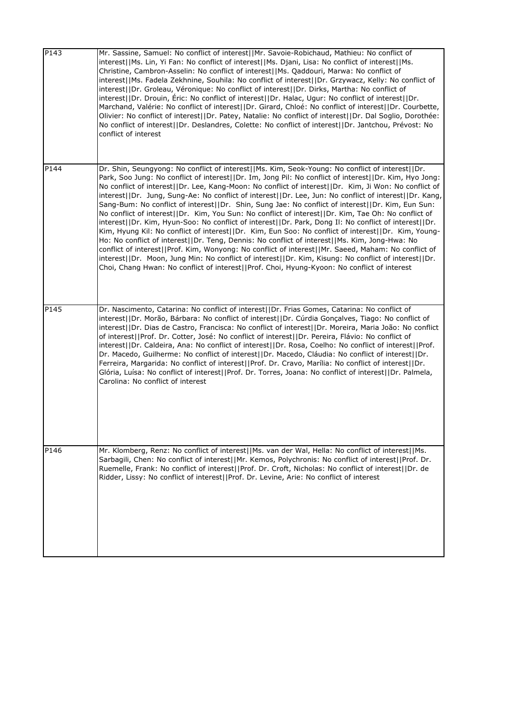| P143             | Mr. Sassine, Samuel: No conflict of interest  Mr. Savoie-Robichaud, Mathieu: No conflict of<br>interest  Ms. Lin, Yi Fan: No conflict of interest  Ms. Djani, Lisa: No conflict of interest  Ms.<br>Christine, Cambron-Asselin: No conflict of interest  Ms. Qaddouri, Marwa: No conflict of<br>interest  Ms. Fadela Zekhnine, Souhila: No conflict of interest  Dr. Grzywacz, Kelly: No conflict of<br>interest  Dr. Groleau, Véronique: No conflict of interest  Dr. Dirks, Martha: No conflict of<br>interest  Dr. Drouin, Éric: No conflict of interest  Dr. Halac, Ugur: No conflict of interest  Dr.<br>Marchand, Valérie: No conflict of interest  Dr. Girard, Chloé: No conflict of interest  Dr. Courbette,<br>Olivier: No conflict of interest  Dr. Patey, Natalie: No conflict of interest  Dr. Dal Soglio, Dorothée:<br>No conflict of interest  Dr. Deslandres, Colette: No conflict of interest  Dr. Jantchou, Prévost: No<br>conflict of interest                                                                                                                                                                                                                                                                                                        |
|------------------|-------------------------------------------------------------------------------------------------------------------------------------------------------------------------------------------------------------------------------------------------------------------------------------------------------------------------------------------------------------------------------------------------------------------------------------------------------------------------------------------------------------------------------------------------------------------------------------------------------------------------------------------------------------------------------------------------------------------------------------------------------------------------------------------------------------------------------------------------------------------------------------------------------------------------------------------------------------------------------------------------------------------------------------------------------------------------------------------------------------------------------------------------------------------------------------------------------------------------------------------------------------------------|
| P144             | Dr. Shin, Seungyong: No conflict of interest  Ms. Kim, Seok-Young: No conflict of interest  Dr.<br>Park, Soo Jung: No conflict of interest  Dr. Im, Jong Pil: No conflict of interest  Dr. Kim, Hyo Jong:<br>No conflict of interest  Dr. Lee, Kang-Moon: No conflict of interest  Dr. Kim, Ji Won: No conflict of<br>interest  Dr. Jung, Sung-Ae: No conflict of interest  Dr. Lee, Jun: No conflict of interest  Dr. Kang,<br>Sang-Bum: No conflict of interest  Dr. Shin, Sung Jae: No conflict of interest  Dr. Kim, Eun Sun:<br>No conflict of interest  Dr. Kim, You Sun: No conflict of interest  Dr. Kim, Tae Oh: No conflict of<br>interest  Dr. Kim, Hyun-Soo: No conflict of interest  Dr. Park, Dong II: No conflict of interest  Dr.<br>Kim, Hyung Kil: No conflict of interest  Dr. Kim, Eun Soo: No conflict of interest  Dr. Kim, Young-<br>Ho: No conflict of interest  Dr. Teng, Dennis: No conflict of interest  Ms. Kim, Jong-Hwa: No<br>conflict of interest  Prof. Kim, Wonyong: No conflict of interest  Mr. Saeed, Maham: No conflict of<br>interest  Dr. Moon, Jung Min: No conflict of interest  Dr. Kim, Kisung: No conflict of interest  Dr.<br>Choi, Chang Hwan: No conflict of interest  Prof. Choi, Hyung-Kyoon: No conflict of interest |
| P <sub>145</sub> | Dr. Nascimento, Catarina: No conflict of interest  Dr. Frias Gomes, Catarina: No conflict of<br>interest  Dr. Morão, Bárbara: No conflict of interest  Dr. Cúrdia Gonçalves, Tiago: No conflict of<br>interest  Dr. Dias de Castro, Francisca: No conflict of interest  Dr. Moreira, Maria João: No conflict<br>of interest  Prof. Dr. Cotter, José: No conflict of interest  Dr. Pereira, Flávio: No conflict of<br>interest  Dr. Caldeira, Ana: No conflict of interest  Dr. Rosa, Coelho: No conflict of interest  Prof.<br>Dr. Macedo, Guilherme: No conflict of interest  Dr. Macedo, Cláudia: No conflict of interest  Dr.<br>Ferreira, Margarida: No conflict of interest  Prof. Dr. Cravo, Marília: No conflict of interest  Dr.<br>Glória, Luísa: No conflict of interest  Prof. Dr. Torres, Joana: No conflict of interest  Dr. Palmela,<br>Carolina: No conflict of interest                                                                                                                                                                                                                                                                                                                                                                                 |
| P146             | Mr. Klomberg, Renz: No conflict of interest  Ms. van der Wal, Hella: No conflict of interest  Ms.<br>Sarbagili, Chen: No conflict of interest  Mr. Kemos, Polychronis: No conflict of interest  Prof. Dr.<br>Ruemelle, Frank: No conflict of interest  Prof. Dr. Croft, Nicholas: No conflict of interest  Dr. de<br>Ridder, Lissy: No conflict of interest  Prof. Dr. Levine, Arie: No conflict of interest                                                                                                                                                                                                                                                                                                                                                                                                                                                                                                                                                                                                                                                                                                                                                                                                                                                            |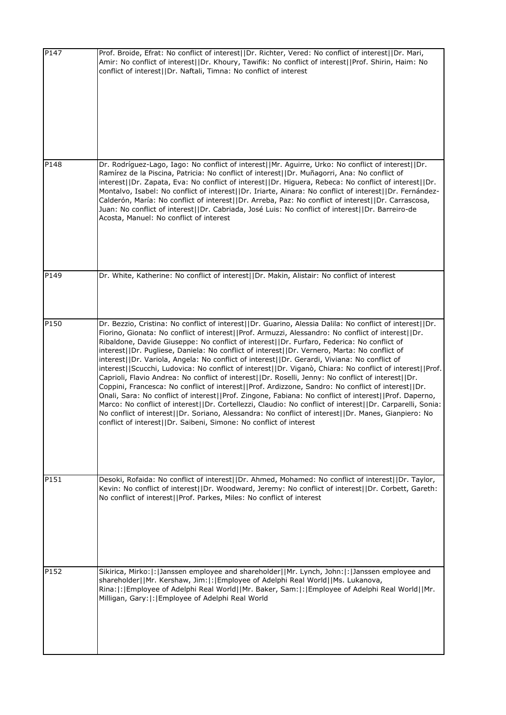| Prof. Broide, Efrat: No conflict of interest  Dr. Richter, Vered: No conflict of interest  Dr. Mari,<br>Amir: No conflict of interest  Dr. Khoury, Tawifik: No conflict of interest  Prof. Shirin, Haim: No<br>conflict of interest  Dr. Naftali, Timna: No conflict of interest                                                                                                                                                                                                                                                                                                                                                                                                                                                                                                                                                                                                                                                                                                                                                                                                                                                                                                                                                        |
|-----------------------------------------------------------------------------------------------------------------------------------------------------------------------------------------------------------------------------------------------------------------------------------------------------------------------------------------------------------------------------------------------------------------------------------------------------------------------------------------------------------------------------------------------------------------------------------------------------------------------------------------------------------------------------------------------------------------------------------------------------------------------------------------------------------------------------------------------------------------------------------------------------------------------------------------------------------------------------------------------------------------------------------------------------------------------------------------------------------------------------------------------------------------------------------------------------------------------------------------|
| Dr. Rodríguez-Lago, Iago: No conflict of interest  Mr. Aguirre, Urko: No conflict of interest  Dr.<br>Ramírez de la Piscina, Patricia: No conflict of interest  Dr. Muñagorri, Ana: No conflict of<br>interest  Dr. Zapata, Eva: No conflict of interest  Dr. Higuera, Rebeca: No conflict of interest  Dr.<br>Montalvo, Isabel: No conflict of interest  Dr. Iriarte, Ainara: No conflict of interest  Dr. Fernández-<br>Calderón, María: No conflict of interest  Dr. Arreba, Paz: No conflict of interest  Dr. Carrascosa,<br>Juan: No conflict of interest  Dr. Cabriada, José Luis: No conflict of interest  Dr. Barreiro-de<br>Acosta, Manuel: No conflict of interest                                                                                                                                                                                                                                                                                                                                                                                                                                                                                                                                                            |
| Dr. White, Katherine: No conflict of interest  Dr. Makin, Alistair: No conflict of interest                                                                                                                                                                                                                                                                                                                                                                                                                                                                                                                                                                                                                                                                                                                                                                                                                                                                                                                                                                                                                                                                                                                                             |
| Dr. Bezzio, Cristina: No conflict of interest  Dr. Guarino, Alessia Dalila: No conflict of interest  Dr.<br>Fiorino, Gionata: No conflict of interest  Prof. Armuzzi, Alessandro: No conflict of interest  Dr.<br>Ribaldone, Davide Giuseppe: No conflict of interest  Dr. Furfaro, Federica: No conflict of<br>interest  Dr. Pugliese, Daniela: No conflict of interest  Dr. Vernero, Marta: No conflict of<br>interest  Dr. Variola, Angela: No conflict of interest  Dr. Gerardi, Viviana: No conflict of<br>interest  Scucchi, Ludovica: No conflict of interest  Dr. Viganò, Chiara: No conflict of interest  Prof.<br>Caprioli, Flavio Andrea: No conflict of interest  Dr. Roselli, Jenny: No conflict of interest  Dr.<br>Coppini, Francesca: No conflict of interest  Prof. Ardizzone, Sandro: No conflict of interest  Dr.<br>Onali, Sara: No conflict of interest  Prof. Zingone, Fabiana: No conflict of interest  Prof. Daperno,<br>Marco: No conflict of interest  Dr. Cortellezzi, Claudio: No conflict of interest  Dr. Carparelli, Sonia:<br>No conflict of interest  Dr. Soriano, Alessandra: No conflict of interest  Dr. Manes, Gianpiero: No<br>conflict of interest  Dr. Saibeni, Simone: No conflict of interest |
| Desoki, Rofaida: No conflict of interest  Dr. Ahmed, Mohamed: No conflict of interest  Dr. Taylor,<br>Kevin: No conflict of interest  Dr. Woodward, Jeremy: No conflict of interest  Dr. Corbett, Gareth:<br>No conflict of interest  Prof. Parkes, Miles: No conflict of interest                                                                                                                                                                                                                                                                                                                                                                                                                                                                                                                                                                                                                                                                                                                                                                                                                                                                                                                                                      |
| Sikirica, Mirko: : : Janssen employee and shareholder  Mr. Lynch, John: : :  Janssen employee and<br>shareholder  Mr. Kershaw, Jim: : Employee of Adelphi Real World  Ms. Lukanova,<br>Rina:  :   Employee of Adelphi Real World  Mr. Baker, Sam:  :   Employee of Adelphi Real World  Mr.<br>Milligan, Gary:  :   Employee of Adelphi Real World                                                                                                                                                                                                                                                                                                                                                                                                                                                                                                                                                                                                                                                                                                                                                                                                                                                                                       |
|                                                                                                                                                                                                                                                                                                                                                                                                                                                                                                                                                                                                                                                                                                                                                                                                                                                                                                                                                                                                                                                                                                                                                                                                                                         |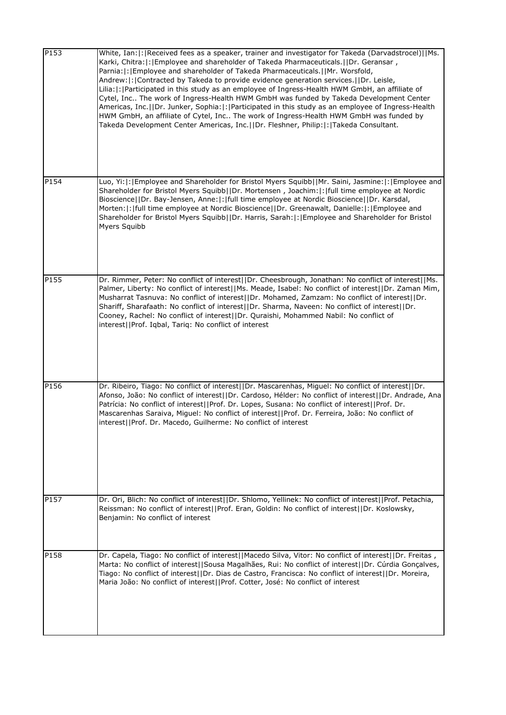| P153 | White, Ian: : Received fees as a speaker, trainer and investigator for Takeda (Darvadstrocel)  Ms.<br>Karki, Chitra: : Employee and shareholder of Takeda Pharmaceuticals.  Dr. Geransar,<br>Parnia:  :   Employee and shareholder of Takeda Pharmaceuticals.     Mr. Worsfold,<br>Andrew:  :   Contracted by Takeda to provide evidence generation services.     Dr. Leisle,<br>Lilia:  :   Participated in this study as an employee of Ingress-Health HWM GmbH, an affiliate of<br>Cytel, Inc The work of Ingress-Health HWM GmbH was funded by Takeda Development Center<br>Americas, Inc.  Dr. Junker, Sophia: : Participated in this study as an employee of Ingress-Health<br>HWM GmbH, an affiliate of Cytel, Inc The work of Ingress-Health HWM GmbH was funded by<br>Takeda Development Center Americas, Inc.  Dr. Fleshner, Philip: : Takeda Consultant. |
|------|---------------------------------------------------------------------------------------------------------------------------------------------------------------------------------------------------------------------------------------------------------------------------------------------------------------------------------------------------------------------------------------------------------------------------------------------------------------------------------------------------------------------------------------------------------------------------------------------------------------------------------------------------------------------------------------------------------------------------------------------------------------------------------------------------------------------------------------------------------------------|
| P154 | Luo, Yi: : Employee and Shareholder for Bristol Myers Squibb  Mr. Saini, Jasmine: : Employee and<br>Shareholder for Bristol Myers Squibb  Dr. Mortensen, Joachim: : full time employee at Nordic<br>Bioscience  Dr. Bay-Jensen, Anne: : full time employee at Nordic Bioscience  Dr. Karsdal,<br>Morten:  :  full time employee at Nordic Bioscience  Dr. Greenawalt, Danielle:  :  Employee and<br>Shareholder for Bristol Myers Squibb  Dr. Harris, Sarah: : Employee and Shareholder for Bristol<br>Myers Squibb                                                                                                                                                                                                                                                                                                                                                 |
| P155 | Dr. Rimmer, Peter: No conflict of interest  Dr. Cheesbrough, Jonathan: No conflict of interest  Ms.<br>Palmer, Liberty: No conflict of interest  Ms. Meade, Isabel: No conflict of interest  Dr. Zaman Mim,<br>Musharrat Tasnuva: No conflict of interest  Dr. Mohamed, Zamzam: No conflict of interest  Dr.<br>Shariff, Sharafaath: No conflict of interest  Dr. Sharma, Naveen: No conflict of interest  Dr.<br>Cooney, Rachel: No conflict of interest  Dr. Quraishi, Mohammed Nabil: No conflict of<br>interest  Prof. Iqbal, Tariq: No conflict of interest                                                                                                                                                                                                                                                                                                    |
| P156 | Dr. Ribeiro, Tiago: No conflict of interest  Dr. Mascarenhas, Miguel: No conflict of interest  Dr.<br>Afonso, João: No conflict of interest  Dr. Cardoso, Hélder: No conflict of interest  Dr. Andrade, Ana<br>Patrícia: No conflict of interest  Prof. Dr. Lopes, Susana: No conflict of interest  Prof. Dr.<br>Mascarenhas Saraiva, Miguel: No conflict of interest  Prof. Dr. Ferreira, João: No conflict of<br>interest  Prof. Dr. Macedo, Guilherme: No conflict of interest                                                                                                                                                                                                                                                                                                                                                                                   |
| P157 | Dr. Ori, Blich: No conflict of interest  Dr. Shlomo, Yellinek: No conflict of interest  Prof. Petachia,<br>Reissman: No conflict of interest  Prof. Eran, Goldin: No conflict of interest  Dr. Koslowsky,<br>Benjamin: No conflict of interest                                                                                                                                                                                                                                                                                                                                                                                                                                                                                                                                                                                                                      |
| P158 | Dr. Capela, Tiago: No conflict of interest  Macedo Silva, Vitor: No conflict of interest  Dr. Freitas,<br>Marta: No conflict of interest  Sousa Magalhães, Rui: No conflict of interest  Dr. Cúrdia Gonçalves,<br>Tiago: No conflict of interest  Dr. Dias de Castro, Francisca: No conflict of interest  Dr. Moreira,<br>Maria João: No conflict of interest  Prof. Cotter, José: No conflict of interest                                                                                                                                                                                                                                                                                                                                                                                                                                                          |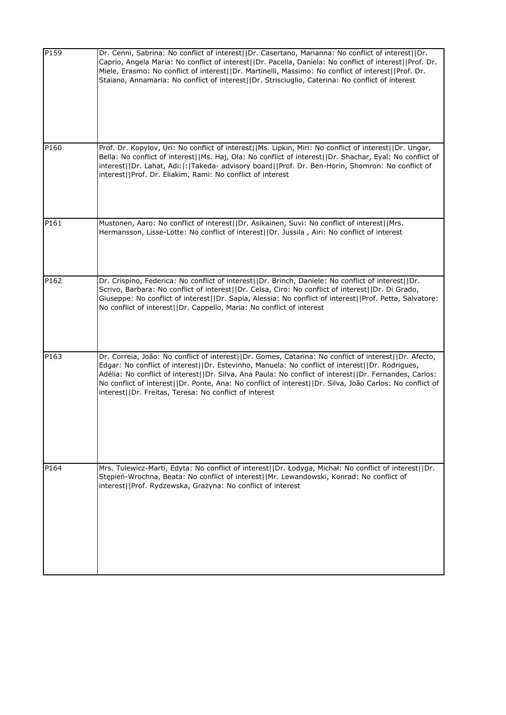| P159 | Dr. Cenni, Sabrina: No conflict of interest  Dr. Casertano, Marianna: No conflict of interest  Dr.<br>Caprio, Angela Maria: No conflict of interest  Dr. Pacella, Daniela: No conflict of interest  Prof. Dr.<br>Miele, Erasmo: No conflict of interest  Dr. Martinelli, Massimo: No conflict of interest  Prof. Dr.<br>Staiano, Annamaria: No conflict of interest  Dr. Strisciuglio, Caterina: No conflict of interest                                                                 |
|------|------------------------------------------------------------------------------------------------------------------------------------------------------------------------------------------------------------------------------------------------------------------------------------------------------------------------------------------------------------------------------------------------------------------------------------------------------------------------------------------|
| P160 | Prof. Dr. Kopylov, Uri: No conflict of interest  Ms. Lipkin, Miri: No conflict of interest  Dr. Ungar,<br>Bella: No conflict of interest  Ms. Haj, Ola: No conflict of interest  Dr. Shachar, Eyal: No conflict of<br>interest  Dr. Lahat, Adi: : Takeda- advisory board  Prof. Dr. Ben-Horin, Shomron: No conflict of<br>interest  Prof. Dr. Eliakim, Rami: No conflict of interest                                                                                                     |
| P161 | Mustonen, Aaro: No conflict of interest  Dr. Asikainen, Suvi: No conflict of interest  Mrs.<br>Hermansson, Lisse-Lotte: No conflict of interest  Dr. Jussila, Airi: No conflict of interest                                                                                                                                                                                                                                                                                              |
| P162 | Dr. Crispino, Federica: No conflict of interest  Dr. Brinch, Daniele: No conflict of interest  Dr.<br>Scrivo, Barbara: No conflict of interest  Dr. Celsa, Ciro: No conflict of interest  Dr. Di Grado,<br>Giuseppe: No conflict of interest  Dr. Sapia, Alessia: No conflict of interest  Prof. Petta, Salvatore:<br>No conflict of interest  Dr. Cappello, Maria: No conflict of interest                                                                                              |
| P163 | Dr. Correia, João: No conflict of interest  Dr. Gomes, Catarina: No conflict of interest  Dr. Afecto,<br>Edgar: No conflict of interest  Dr. Estevinho, Manuela: No conflict of interest  Dr. Rodrigues,<br>Adélia: No conflict of interest  Dr. Silva, Ana Paula: No conflict of interest  Dr. Fernandes, Carlos:<br>No conflict of interest  Dr. Ponte, Ana: No conflict of interest  Dr. Silva, João Carlos: No conflict of<br>interest  Dr. Freitas, Teresa: No conflict of interest |
| P164 | Mrs. Tulewicz-Marti, Edyta: No conflict of interest  Dr. Łodyga, Michał: No conflict of interest  Dr.<br>Stępień-Wrochna, Beata: No conflict of interest  Mr. Lewandowski, Konrad: No conflict of<br>interest  Prof. Rydzewska, Grażyna: No conflict of interest                                                                                                                                                                                                                         |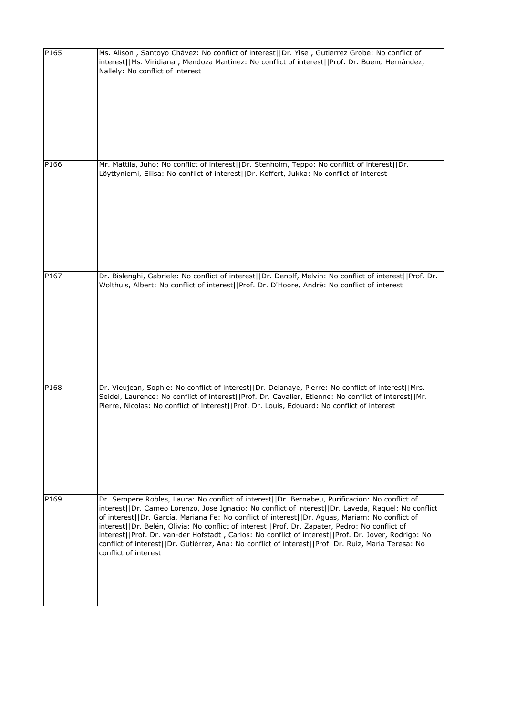| P165 | Ms. Alison, Santoyo Chávez: No conflict of interest  Dr. Ylse, Gutierrez Grobe: No conflict of<br>interest  Ms. Viridiana, Mendoza Martínez: No conflict of interest  Prof. Dr. Bueno Hernández,<br>Nallely: No conflict of interest                                                                                                                                                                                                                                                                                                                                                                                                             |
|------|--------------------------------------------------------------------------------------------------------------------------------------------------------------------------------------------------------------------------------------------------------------------------------------------------------------------------------------------------------------------------------------------------------------------------------------------------------------------------------------------------------------------------------------------------------------------------------------------------------------------------------------------------|
| P166 | Mr. Mattila, Juho: No conflict of interest  Dr. Stenholm, Teppo: No conflict of interest  Dr.<br>Löyttyniemi, Eliisa: No conflict of interest  Dr. Koffert, Jukka: No conflict of interest                                                                                                                                                                                                                                                                                                                                                                                                                                                       |
| P167 | Dr. Bislenghi, Gabriele: No conflict of interest  Dr. Denolf, Melvin: No conflict of interest  Prof. Dr.<br>Wolthuis, Albert: No conflict of interest  Prof. Dr. D'Hoore, Andrè: No conflict of interest                                                                                                                                                                                                                                                                                                                                                                                                                                         |
| P168 | Dr. Vieujean, Sophie: No conflict of interest  Dr. Delanaye, Pierre: No conflict of interest  Mrs.<br>Seidel, Laurence: No conflict of interest  Prof. Dr. Cavalier, Etienne: No conflict of interest  Mr.<br>Pierre, Nicolas: No conflict of interest  Prof. Dr. Louis, Edouard: No conflict of interest                                                                                                                                                                                                                                                                                                                                        |
| P169 | Dr. Sempere Robles, Laura: No conflict of interest  Dr. Bernabeu, Purificación: No conflict of<br>interest  Dr. Cameo Lorenzo, Jose Ignacio: No conflict of interest  Dr. Laveda, Raquel: No conflict<br>of interest  Dr. García, Mariana Fe: No conflict of interest  Dr. Aguas, Mariam: No conflict of<br>interest  Dr. Belén, Olivia: No conflict of interest  Prof. Dr. Zapater, Pedro: No conflict of<br>interest  Prof. Dr. van-der Hofstadt, Carlos: No conflict of interest  Prof. Dr. Jover, Rodrigo: No<br>conflict of interest  Dr. Gutiérrez, Ana: No conflict of interest  Prof. Dr. Ruiz, María Teresa: No<br>conflict of interest |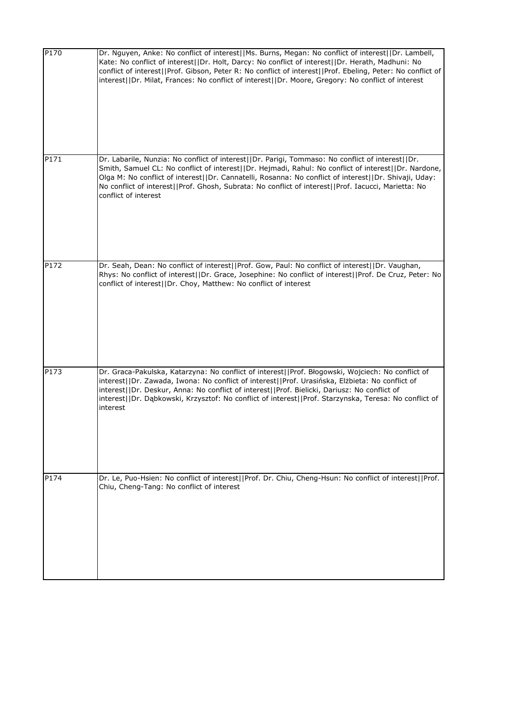| P170 | Dr. Nguyen, Anke: No conflict of interest  Ms. Burns, Megan: No conflict of interest  Dr. Lambell,<br>Kate: No conflict of interest  Dr. Holt, Darcy: No conflict of interest  Dr. Herath, Madhuni: No<br>conflict of interest  Prof. Gibson, Peter R: No conflict of interest  Prof. Ebeling, Peter: No conflict of<br>interest  Dr. Milat, Frances: No conflict of interest  Dr. Moore, Gregory: No conflict of interest                       |
|------|--------------------------------------------------------------------------------------------------------------------------------------------------------------------------------------------------------------------------------------------------------------------------------------------------------------------------------------------------------------------------------------------------------------------------------------------------|
| P171 | Dr. Labarile, Nunzia: No conflict of interest  Dr. Parigi, Tommaso: No conflict of interest  Dr.<br>Smith, Samuel CL: No conflict of interest  Dr. Hejmadi, Rahul: No conflict of interest  Dr. Nardone,<br>Olga M: No conflict of interest  Dr. Cannatelli, Rosanna: No conflict of interest  Dr. Shivaji, Uday:<br>No conflict of interest  Prof. Ghosh, Subrata: No conflict of interest  Prof. Iacucci, Marietta: No<br>conflict of interest |
| P172 | Dr. Seah, Dean: No conflict of interest  Prof. Gow, Paul: No conflict of interest  Dr. Vaughan,<br>Rhys: No conflict of interest  Dr. Grace, Josephine: No conflict of interest  Prof. De Cruz, Peter: No<br>conflict of interest  Dr. Choy, Matthew: No conflict of interest                                                                                                                                                                    |
| P173 | Dr. Graca-Pakulska, Katarzyna: No conflict of interest  Prof. Błogowski, Wojciech: No conflict of<br>interest  Dr. Zawada, Iwona: No conflict of interest  Prof. Urasińska, Elżbieta: No conflict of<br>interest  Dr. Deskur, Anna: No conflict of interest  Prof. Bielicki, Dariusz: No conflict of<br>interest  Dr. Dąbkowski, Krzysztof: No conflict of interest  Prof. Starzynska, Teresa: No conflict of<br>interest                        |
| P174 | Dr. Le, Puo-Hsien: No conflict of interest  Prof. Dr. Chiu, Cheng-Hsun: No conflict of interest  Prof.<br>Chiu, Cheng-Tang: No conflict of interest                                                                                                                                                                                                                                                                                              |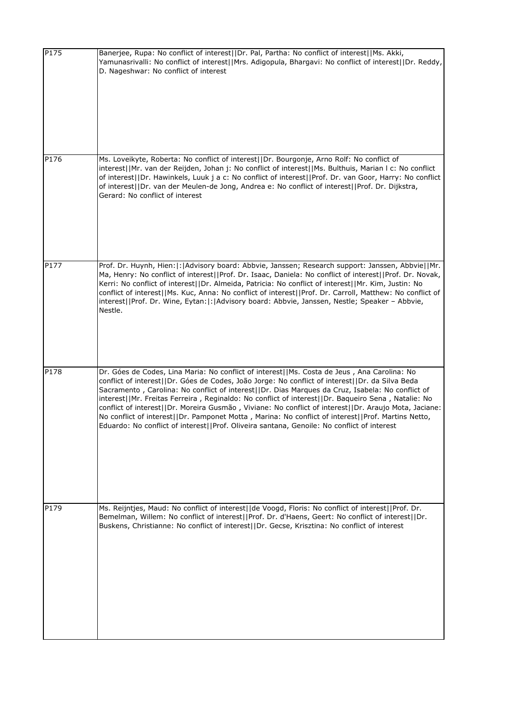| P175 | Banerjee, Rupa: No conflict of interest  Dr. Pal, Partha: No conflict of interest  Ms. Akki,<br>Yamunasrivalli: No conflict of interest  Mrs. Adigopula, Bhargavi: No conflict of interest  Dr. Reddy,<br>D. Nageshwar: No conflict of interest                                                                                                                                                                                                                                                                                                                                                                                                                                                                       |
|------|-----------------------------------------------------------------------------------------------------------------------------------------------------------------------------------------------------------------------------------------------------------------------------------------------------------------------------------------------------------------------------------------------------------------------------------------------------------------------------------------------------------------------------------------------------------------------------------------------------------------------------------------------------------------------------------------------------------------------|
| P176 | Ms. Loveikyte, Roberta: No conflict of interest  Dr. Bourgonje, Arno Rolf: No conflict of<br>interest  Mr. van der Reijden, Johan j: No conflict of interest  Ms. Bulthuis, Marian I c: No conflict<br>of interest  Dr. Hawinkels, Luuk j a c: No conflict of interest  Prof. Dr. van Goor, Harry: No conflict<br>of interest  Dr. van der Meulen-de Jong, Andrea e: No conflict of interest  Prof. Dr. Dijkstra,<br>Gerard: No conflict of interest                                                                                                                                                                                                                                                                  |
| P177 | Prof. Dr. Huynh, Hien: : Advisory board: Abbvie, Janssen; Research support: Janssen, Abbvie  Mr.<br>Ma, Henry: No conflict of interest  Prof. Dr. Isaac, Daniela: No conflict of interest  Prof. Dr. Novak,<br>Kerri: No conflict of interest  Dr. Almeida, Patricia: No conflict of interest  Mr. Kim, Justin: No<br>conflict of interest  Ms. Kuc, Anna: No conflict of interest  Prof. Dr. Carroll, Matthew: No conflict of<br>interest  Prof. Dr. Wine, Eytan: : Advisory board: Abbvie, Janssen, Nestle; Speaker - Abbvie,<br>Nestle.                                                                                                                                                                            |
| P178 | Dr. Góes de Codes, Lina Maria: No conflict of interest  Ms. Costa de Jeus, Ana Carolina: No<br>conflict of interest  Dr. Góes de Codes, João Jorge: No conflict of interest  Dr. da Silva Beda<br>Sacramento, Carolina: No conflict of interest  Dr. Dias Marques da Cruz, Isabela: No conflict of<br>interest  Mr. Freitas Ferreira, Reginaldo: No conflict of interest  Dr. Baqueiro Sena, Natalie: No<br>conflict of interest  Dr. Moreira Gusmão, Viviane: No conflict of interest  Dr. Araujo Mota, Jaciane:<br>No conflict of interest  Dr. Pamponet Motta, Marina: No conflict of interest  Prof. Martins Netto,<br>Eduardo: No conflict of interest  Prof. Oliveira santana, Genoile: No conflict of interest |
| P179 | Ms. Reijntjes, Maud: No conflict of interest  de Voogd, Floris: No conflict of interest  Prof. Dr.<br>Bemelman, Willem: No conflict of interest  Prof. Dr. d'Haens, Geert: No conflict of interest  Dr.<br>Buskens, Christianne: No conflict of interest  Dr. Gecse, Krisztina: No conflict of interest                                                                                                                                                                                                                                                                                                                                                                                                               |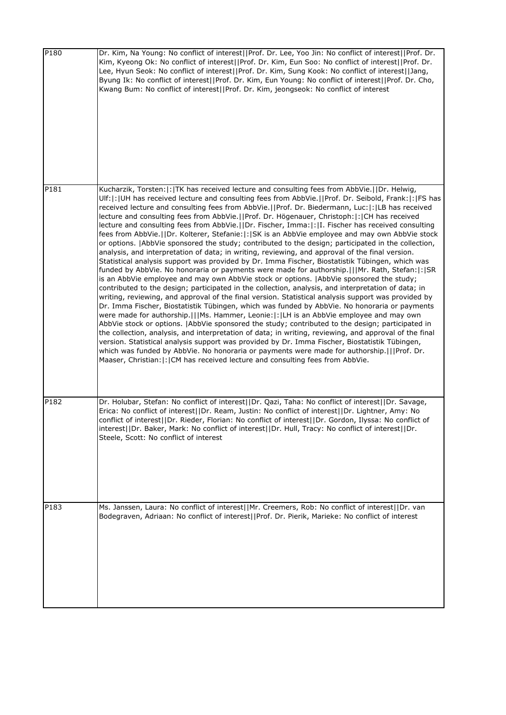| P180 | Dr. Kim, Na Young: No conflict of interest  Prof. Dr. Lee, Yoo Jin: No conflict of interest  Prof. Dr.<br>Kim, Kyeong Ok: No conflict of interest  Prof. Dr. Kim, Eun Soo: No conflict of interest  Prof. Dr.<br>Lee, Hyun Seok: No conflict of interest  Prof. Dr. Kim, Sung Kook: No conflict of interest  Jang,<br>Byung Ik: No conflict of interest  Prof. Dr. Kim, Eun Young: No conflict of interest  Prof. Dr. Cho,<br>Kwang Bum: No conflict of interest  Prof. Dr. Kim, jeongseok: No conflict of interest                                                                                                                                                                                                                                                                                                                                                                                                                                                                                                                                                                                                                                                                                                                                                                                                                                                                                                                                                                                                                                                                                                                                                                                                                                                                                                                                                                                                                                                                                                                                |
|------|----------------------------------------------------------------------------------------------------------------------------------------------------------------------------------------------------------------------------------------------------------------------------------------------------------------------------------------------------------------------------------------------------------------------------------------------------------------------------------------------------------------------------------------------------------------------------------------------------------------------------------------------------------------------------------------------------------------------------------------------------------------------------------------------------------------------------------------------------------------------------------------------------------------------------------------------------------------------------------------------------------------------------------------------------------------------------------------------------------------------------------------------------------------------------------------------------------------------------------------------------------------------------------------------------------------------------------------------------------------------------------------------------------------------------------------------------------------------------------------------------------------------------------------------------------------------------------------------------------------------------------------------------------------------------------------------------------------------------------------------------------------------------------------------------------------------------------------------------------------------------------------------------------------------------------------------------------------------------------------------------------------------------------------------------|
| P181 | Kucharzik, Torsten:  :  TK has received lecture and consulting fees from AbbVie.    Dr. Helwig,<br>Ulf: : UH has received lecture and consulting fees from AbbVie.  Prof. Dr. Seibold, Frank: : FS has<br>received lecture and consulting fees from AbbVie.     Prof. Dr. Biedermann, Luc:  :   LB has received<br>lecture and consulting fees from AbbVie. [[Prof. Dr. Högenauer, Christoph:  : CH has received<br>lecture and consulting fees from AbbVie. []Dr. Fischer, Imma: [: [I. Fischer has received consulting<br>fees from AbbVie.  Dr. Kolterer, Stefanie: : SK is an AbbVie employee and may own AbbVie stock<br>or options.   AbbVie sponsored the study; contributed to the design; participated in the collection,<br>analysis, and interpretation of data; in writing, reviewing, and approval of the final version.<br>Statistical analysis support was provided by Dr. Imma Fischer, Biostatistik Tübingen, which was<br>funded by AbbVie. No honoraria or payments were made for authorship.   Mr. Rath, Stefan: :  SR<br>is an AbbVie employee and may own AbbVie stock or options. (AbbVie sponsored the study;<br>contributed to the design; participated in the collection, analysis, and interpretation of data; in<br>writing, reviewing, and approval of the final version. Statistical analysis support was provided by<br>Dr. Imma Fischer, Biostatistik Tübingen, which was funded by AbbVie. No honoraria or payments<br>were made for authorship.   Ms. Hammer, Leonie: :  LH is an AbbVie employee and may own<br>AbbVie stock or options.   AbbVie sponsored the study; contributed to the design; participated in<br>the collection, analysis, and interpretation of data; in writing, reviewing, and approval of the final<br>version. Statistical analysis support was provided by Dr. Imma Fischer, Biostatistik Tübingen,<br>which was funded by AbbVie. No honoraria or payments were made for authorship.   Prof. Dr.<br>Maaser, Christian:  :   CM has received lecture and consulting fees from AbbVie. |
| P182 | Dr. Holubar, Stefan: No conflict of interest  Dr. Qazi, Taha: No conflict of interest  Dr. Savage,<br>Erica: No conflict of interest  Dr. Ream, Justin: No conflict of interest  Dr. Lightner, Amy: No<br>conflict of interest  Dr. Rieder, Florian: No conflict of interest  Dr. Gordon, Ilyssa: No conflict of<br>interest  Dr. Baker, Mark: No conflict of interest  Dr. Hull, Tracy: No conflict of interest  Dr.<br>Steele, Scott: No conflict of interest                                                                                                                                                                                                                                                                                                                                                                                                                                                                                                                                                                                                                                                                                                                                                                                                                                                                                                                                                                                                                                                                                                                                                                                                                                                                                                                                                                                                                                                                                                                                                                                    |
| P183 | Ms. Janssen, Laura: No conflict of interest  Mr. Creemers, Rob: No conflict of interest  Dr. van<br>Bodegraven, Adriaan: No conflict of interest  Prof. Dr. Pierik, Marieke: No conflict of interest                                                                                                                                                                                                                                                                                                                                                                                                                                                                                                                                                                                                                                                                                                                                                                                                                                                                                                                                                                                                                                                                                                                                                                                                                                                                                                                                                                                                                                                                                                                                                                                                                                                                                                                                                                                                                                               |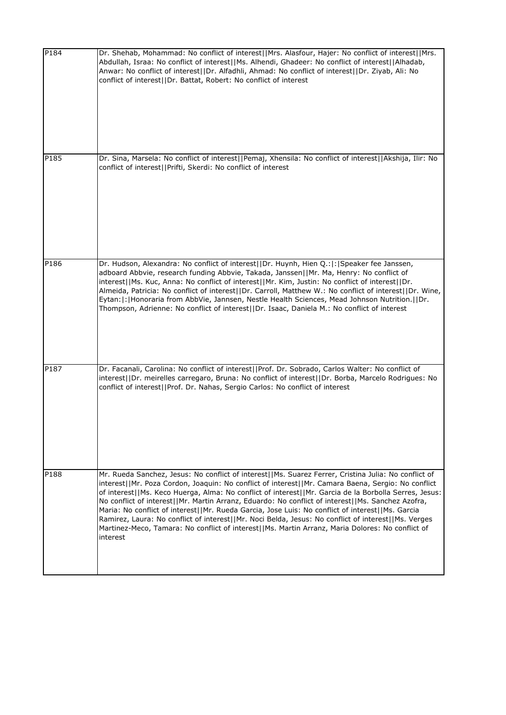| P184 | Dr. Shehab, Mohammad: No conflict of interest  Mrs. Alasfour, Hajer: No conflict of interest  Mrs.<br>Abdullah, Israa: No conflict of interest  Ms. Alhendi, Ghadeer: No conflict of interest  Alhadab,<br>Anwar: No conflict of interest  Dr. Alfadhli, Ahmad: No conflict of interest  Dr. Ziyab, Ali: No<br>conflict of interest  Dr. Battat, Robert: No conflict of interest                                                                                                                                                                                                                                                                                                                                                                    |
|------|-----------------------------------------------------------------------------------------------------------------------------------------------------------------------------------------------------------------------------------------------------------------------------------------------------------------------------------------------------------------------------------------------------------------------------------------------------------------------------------------------------------------------------------------------------------------------------------------------------------------------------------------------------------------------------------------------------------------------------------------------------|
| P185 | Dr. Sina, Marsela: No conflict of interest  Pemaj, Xhensila: No conflict of interest  Akshija, Ilir: No<br>conflict of interest  Prifti, Skerdi: No conflict of interest                                                                                                                                                                                                                                                                                                                                                                                                                                                                                                                                                                            |
|      |                                                                                                                                                                                                                                                                                                                                                                                                                                                                                                                                                                                                                                                                                                                                                     |
| P186 | Dr. Hudson, Alexandra: No conflict of interest  Dr. Huynh, Hien Q.: : Speaker fee Janssen,<br>adboard Abbvie, research funding Abbvie, Takada, Janssen  Mr. Ma, Henry: No conflict of<br>interest  Ms. Kuc, Anna: No conflict of interest  Mr. Kim, Justin: No conflict of interest  Dr.<br>Almeida, Patricia: No conflict of interest  Dr. Carroll, Matthew W.: No conflict of interest  Dr. Wine,<br>Eytan:  :   Honoraria from AbbVie, Jannsen, Nestle Health Sciences, Mead Johnson Nutrition.     Dr.<br>Thompson, Adrienne: No conflict of interest  Dr. Isaac, Daniela M.: No conflict of interest                                                                                                                                           |
| P187 | Dr. Facanali, Carolina: No conflict of interest  Prof. Dr. Sobrado, Carlos Walter: No conflict of<br>interest  Dr. meirelles carregaro, Bruna: No conflict of interest  Dr. Borba, Marcelo Rodrigues: No<br>conflict of interest  Prof. Dr. Nahas, Sergio Carlos: No conflict of interest                                                                                                                                                                                                                                                                                                                                                                                                                                                           |
| P188 | Mr. Rueda Sanchez, Jesus: No conflict of interest  Ms. Suarez Ferrer, Cristina Julia: No conflict of<br>interest  Mr. Poza Cordon, Joaquin: No conflict of interest  Mr. Camara Baena, Sergio: No conflict<br>of interest  Ms. Keco Huerga, Alma: No conflict of interest  Mr. Garcia de la Borbolla Serres, Jesus:<br>No conflict of interest  Mr. Martin Arranz, Eduardo: No conflict of interest  Ms. Sanchez Azofra,<br>Maria: No conflict of interest  Mr. Rueda Garcia, Jose Luis: No conflict of interest  Ms. Garcia<br>Ramirez, Laura: No conflict of interest  Mr. Noci Belda, Jesus: No conflict of interest  Ms. Verges<br>Martinez-Meco, Tamara: No conflict of interest  Ms. Martin Arranz, Maria Dolores: No conflict of<br>interest |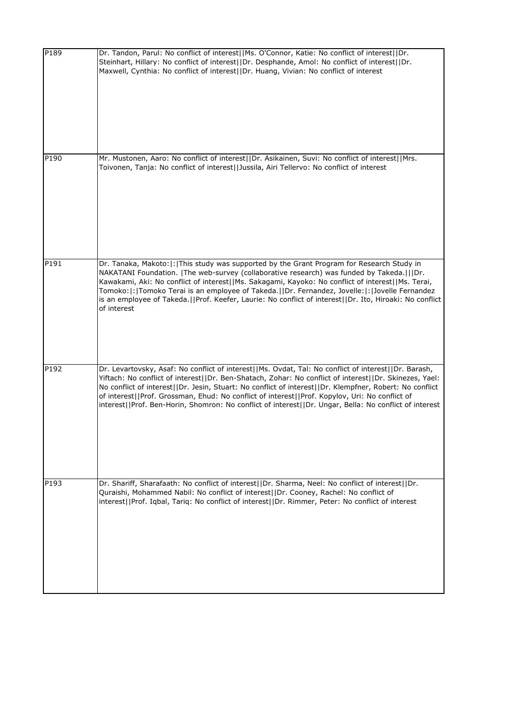| P189 | Dr. Tandon, Parul: No conflict of interest  Ms. O'Connor, Katie: No conflict of interest  Dr.<br>Steinhart, Hillary: No conflict of interest  Dr. Desphande, Amol: No conflict of interest  Dr.<br>Maxwell, Cynthia: No conflict of interest  Dr. Huang, Vivian: No conflict of interest                                                                                                                                                                                                                                              |
|------|---------------------------------------------------------------------------------------------------------------------------------------------------------------------------------------------------------------------------------------------------------------------------------------------------------------------------------------------------------------------------------------------------------------------------------------------------------------------------------------------------------------------------------------|
| P190 | Mr. Mustonen, Aaro: No conflict of interest  Dr. Asikainen, Suvi: No conflict of interest  Mrs.<br>Toivonen, Tanja: No conflict of interest  Jussila, Airi Tellervo: No conflict of interest                                                                                                                                                                                                                                                                                                                                          |
| P191 | Dr. Tanaka, Makoto:  :  This study was supported by the Grant Program for Research Study in<br>NAKATANI Foundation.   The web-survey (collaborative research) was funded by Takeda.   Dr.<br>Kawakami, Aki: No conflict of interest  Ms. Sakagami, Kayoko: No conflict of interest  Ms. Terai,<br>Tomoko: : Tomoko Terai is an employee of Takeda.  Dr. Fernandez, Jovelle: : Jovelle Fernandez<br>is an employee of Takeda.     Prof. Keefer, Laurie: No conflict of interest    Dr. Ito, Hiroaki: No conflict<br>of interest        |
| P192 | Dr. Levartovsky, Asaf: No conflict of interest  Ms. Ovdat, Tal: No conflict of interest  Dr. Barash,<br>Yiftach: No conflict of interest  Dr. Ben-Shatach, Zohar: No conflict of interest  Dr. Skinezes, Yael:<br>No conflict of interest  Dr. Jesin, Stuart: No conflict of interest  Dr. Klempfner, Robert: No conflict<br>of interest  Prof. Grossman, Ehud: No conflict of interest  Prof. Kopylov, Uri: No conflict of<br>interest  Prof. Ben-Horin, Shomron: No conflict of interest  Dr. Ungar, Bella: No conflict of interest |
| P193 | Dr. Shariff, Sharafaath: No conflict of interest  Dr. Sharma, Neel: No conflict of interest  Dr.<br>Quraishi, Mohammed Nabil: No conflict of interest  Dr. Cooney, Rachel: No conflict of<br>interest  Prof. Iqbal, Tariq: No conflict of interest  Dr. Rimmer, Peter: No conflict of interest                                                                                                                                                                                                                                        |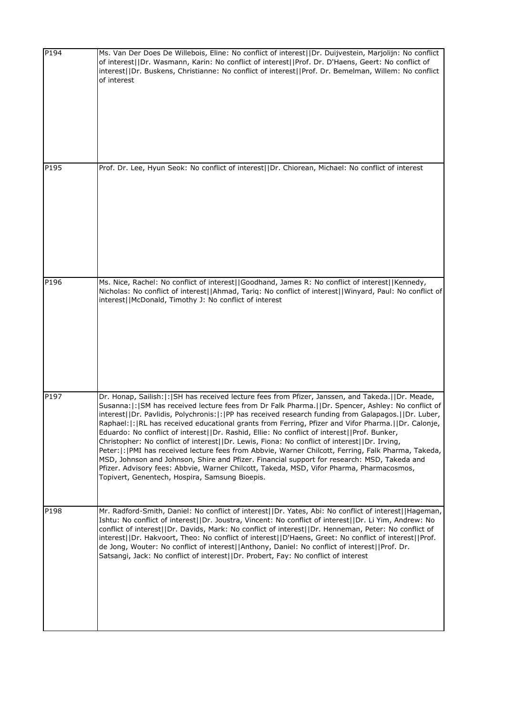| P194 | Ms. Van Der Does De Willebois, Eline: No conflict of interest  Dr. Duijvestein, Marjolijn: No conflict<br>of interest  Dr. Wasmann, Karin: No conflict of interest  Prof. Dr. D'Haens, Geert: No conflict of<br>interest  Dr. Buskens, Christianne: No conflict of interest  Prof. Dr. Bemelman, Willem: No conflict<br>of interest                                                                                                                                                                                                                                                                                                                                                                                                                                                                                                                                                                                                                                              |
|------|----------------------------------------------------------------------------------------------------------------------------------------------------------------------------------------------------------------------------------------------------------------------------------------------------------------------------------------------------------------------------------------------------------------------------------------------------------------------------------------------------------------------------------------------------------------------------------------------------------------------------------------------------------------------------------------------------------------------------------------------------------------------------------------------------------------------------------------------------------------------------------------------------------------------------------------------------------------------------------|
| P195 | Prof. Dr. Lee, Hyun Seok: No conflict of interest  Dr. Chiorean, Michael: No conflict of interest                                                                                                                                                                                                                                                                                                                                                                                                                                                                                                                                                                                                                                                                                                                                                                                                                                                                                |
| P196 | Ms. Nice, Rachel: No conflict of interest  Goodhand, James R: No conflict of interest  Kennedy,<br>Nicholas: No conflict of interest  Ahmad, Tariq: No conflict of interest  Winyard, Paul: No conflict of<br>interest  McDonald, Timothy J: No conflict of interest                                                                                                                                                                                                                                                                                                                                                                                                                                                                                                                                                                                                                                                                                                             |
| P197 | Dr. Honap, Sailish:  :  SH has received lecture fees from Pfizer, Janssen, and Takeda.    Dr. Meade,<br>Susanna: : SM has received lecture fees from Dr Falk Pharma.  Dr. Spencer, Ashley: No conflict of<br>interest  Dr. Pavlidis, Polychronis: : PP has received research funding from Galapagos.  Dr. Luber,<br>Raphael:  :   RL has received educational grants from Ferring, Pfizer and Vifor Pharma.     Dr. Calonje,<br>Eduardo: No conflict of interest  Dr. Rashid, Ellie: No conflict of interest  Prof. Bunker,<br>Christopher: No conflict of interest  Dr. Lewis, Fiona: No conflict of interest  Dr. Irving,<br>Peter:  :  PMI has received lecture fees from Abbvie, Warner Chilcott, Ferring, Falk Pharma, Takeda,<br>MSD, Johnson and Johnson, Shire and Pfizer. Financial support for research: MSD, Takeda and<br>Pfizer. Advisory fees: Abbvie, Warner Chilcott, Takeda, MSD, Vifor Pharma, Pharmacosmos,<br>Topivert, Genentech, Hospira, Samsung Bioepis. |
| P198 | Mr. Radford-Smith, Daniel: No conflict of interest  Dr. Yates, Abi: No conflict of interest  Hageman,<br>Ishtu: No conflict of interest  Dr. Joustra, Vincent: No conflict of interest  Dr. Li Yim, Andrew: No<br>conflict of interest  Dr. Davids, Mark: No conflict of interest  Dr. Henneman, Peter: No conflict of<br>interest  Dr. Hakvoort, Theo: No conflict of interest  D'Haens, Greet: No conflict of interest  Prof.<br>de Jong, Wouter: No conflict of interest  Anthony, Daniel: No conflict of interest  Prof. Dr.<br>Satsangi, Jack: No conflict of interest  Dr. Probert, Fay: No conflict of interest                                                                                                                                                                                                                                                                                                                                                           |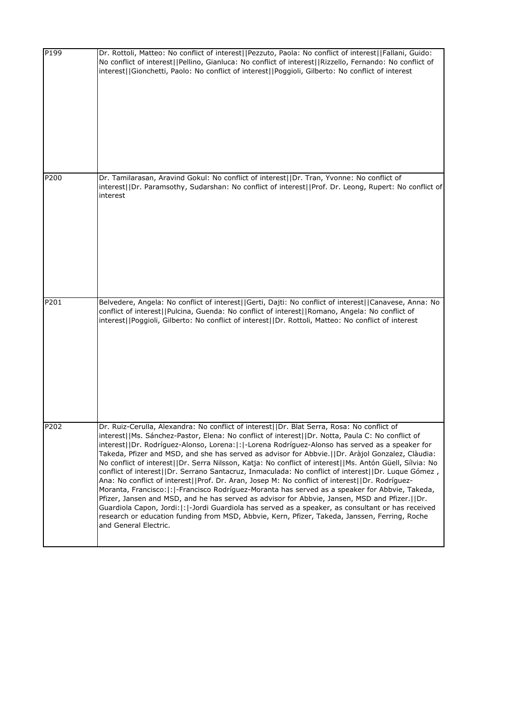| P199 | Dr. Rottoli, Matteo: No conflict of interest  Pezzuto, Paola: No conflict of interest  Fallani, Guido:<br>No conflict of interest  Pellino, Gianluca: No conflict of interest  Rizzello, Fernando: No conflict of<br>interest  Gionchetti, Paolo: No conflict of interest  Poggioli, Gilberto: No conflict of interest                                                                                                                                                                                                                                                                                                                                                                                                                                                                                                                                                                                                                                                                                                                                                                                                                                           |
|------|------------------------------------------------------------------------------------------------------------------------------------------------------------------------------------------------------------------------------------------------------------------------------------------------------------------------------------------------------------------------------------------------------------------------------------------------------------------------------------------------------------------------------------------------------------------------------------------------------------------------------------------------------------------------------------------------------------------------------------------------------------------------------------------------------------------------------------------------------------------------------------------------------------------------------------------------------------------------------------------------------------------------------------------------------------------------------------------------------------------------------------------------------------------|
| P200 | Dr. Tamilarasan, Aravind Gokul: No conflict of interest  Dr. Tran, Yvonne: No conflict of<br>interest  Dr. Paramsothy, Sudarshan: No conflict of interest  Prof. Dr. Leong, Rupert: No conflict of<br>interest                                                                                                                                                                                                                                                                                                                                                                                                                                                                                                                                                                                                                                                                                                                                                                                                                                                                                                                                                   |
| P201 | Belvedere, Angela: No conflict of interest  Gerti, Dajti: No conflict of interest  Canavese, Anna: No<br>conflict of interest  Pulcina, Guenda: No conflict of interest  Romano, Angela: No conflict of<br>interest  Poggioli, Gilberto: No conflict of interest  Dr. Rottoli, Matteo: No conflict of interest                                                                                                                                                                                                                                                                                                                                                                                                                                                                                                                                                                                                                                                                                                                                                                                                                                                   |
| P202 | Dr. Ruiz-Cerulla, Alexandra: No conflict of interest  Dr. Blat Serra, Rosa: No conflict of<br>interest  Ms. Sánchez-Pastor, Elena: No conflict of interest  Dr. Notta, Paula C: No conflict of<br>interest  Dr. Rodríguez-Alonso, Lorena: : -Lorena Rodríguez-Alonso has served as a speaker for<br>Takeda, Pfizer and MSD, and she has served as advisor for Abbvie.  Dr. Aràjol Gonzalez, Clàudia:<br>No conflict of interest  Dr. Serra Nilsson, Katja: No conflict of interest  Ms. Antón Güell, Sílvia: No<br>conflict of interest  Dr. Serrano Santacruz, Inmaculada: No conflict of interest  Dr. Luque Gómez,<br>Ana: No conflict of interest  Prof. Dr. Aran, Josep M: No conflict of interest  Dr. Rodríguez-<br>Moranta, Francisco:  :  -Francisco Rodríguez-Moranta has served as a speaker for Abbvie, Takeda,<br>Pfizer, Jansen and MSD, and he has served as advisor for Abbvie, Jansen, MSD and Pfizer.  Dr.<br>Guardiola Capon, Jordi:   :   - Jordi Guardiola has served as a speaker, as consultant or has received<br>research or education funding from MSD, Abbvie, Kern, Pfizer, Takeda, Janssen, Ferring, Roche<br>and General Electric. |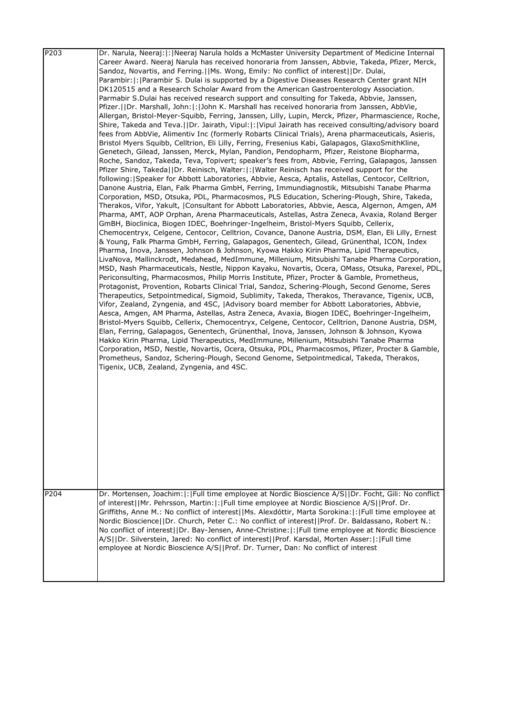| P <sub>203</sub> | Dr. Narula, Neeraj:  :  Neeraj Narula holds a McMaster University Department of Medicine Internal     |
|------------------|-------------------------------------------------------------------------------------------------------|
|                  | Career Award. Neeraj Narula has received honoraria from Janssen, Abbvie, Takeda, Pfizer, Merck,       |
|                  | Sandoz, Novartis, and Ferring.  Ms. Wong, Emily: No conflict of interest  Dr. Dulai,                  |
|                  | Parambir:  :   Parambir S. Dulai is supported by a Digestive Diseases Research Center grant NIH       |
|                  | DK120515 and a Research Scholar Award from the American Gastroenterology Association.                 |
|                  | Parmabir S.Dulai has received research support and consulting for Takeda, Abbvie, Janssen,            |
|                  | Pfizer.  Dr. Marshall, John: : John K. Marshall has received honoraria from Janssen, AbbVie,          |
|                  | Allergan, Bristol-Meyer-Squibb, Ferring, Janssen, Lilly, Lupin, Merck, Pfizer, Pharmascience, Roche,  |
|                  |                                                                                                       |
|                  | Shire, Takeda and Teva.  Dr. Jairath, Vipul: : Vipul Jairath has received consulting/advisory board   |
|                  | fees from AbbVie, Alimentiv Inc (formerly Robarts Clinical Trials), Arena pharmaceuticals, Asieris,   |
|                  | Bristol Myers Squibb, Celltrion, Eli Lilly, Ferring, Fresenius Kabi, Galapagos, GlaxoSmithKline,      |
|                  | Genetech, Gilead, Janssen, Merck, Mylan, Pandion, Pendopharm, Pfizer, Reistone Biopharma,             |
|                  | Roche, Sandoz, Takeda, Teva, Topivert; speaker's fees from, Abbvie, Ferring, Galapagos, Janssen       |
|                  | Pfizer Shire, Takeda  Dr. Reinisch, Walter: : Walter Reinisch has received support for the            |
|                  | following: Speaker for Abbott Laboratories, Abbvie, Aesca, Aptalis, Astellas, Centocor, Celltrion,    |
|                  | Danone Austria, Elan, Falk Pharma GmbH, Ferring, Immundiagnostik, Mitsubishi Tanabe Pharma            |
|                  | Corporation, MSD, Otsuka, PDL, Pharmacosmos, PLS Education, Schering-Plough, Shire, Takeda,           |
|                  | Therakos, Vifor, Yakult,  Consultant for Abbott Laboratories, Abbvie, Aesca, Algernon, Amgen, AM      |
|                  | Pharma, AMT, AOP Orphan, Arena Pharmaceuticals, Astellas, Astra Zeneca, Avaxia, Roland Berger         |
|                  | GmBH, Bioclinica, Biogen IDEC, Boehringer-Ingelheim, Bristol-Myers Squibb, Cellerix,                  |
|                  | Chemocentryx, Celgene, Centocor, Celltrion, Covance, Danone Austria, DSM, Elan, Eli Lilly, Ernest     |
|                  | & Young, Falk Pharma GmbH, Ferring, Galapagos, Genentech, Gilead, Grünenthal, ICON, Index             |
|                  | Pharma, Inova, Janssen, Johnson & Johnson, Kyowa Hakko Kirin Pharma, Lipid Therapeutics,              |
|                  | LivaNova, Mallinckrodt, Medahead, MedImmune, Millenium, Mitsubishi Tanabe Pharma Corporation,         |
|                  | MSD, Nash Pharmaceuticals, Nestle, Nippon Kayaku, Novartis, Ocera, OMass, Otsuka, Parexel, PDL,       |
|                  | Periconsulting, Pharmacosmos, Philip Morris Institute, Pfizer, Procter & Gamble, Prometheus,          |
|                  | Protagonist, Provention, Robarts Clinical Trial, Sandoz, Schering-Plough, Second Genome, Seres        |
|                  | Therapeutics, Setpointmedical, Sigmoid, Sublimity, Takeda, Therakos, Theravance, Tigenix, UCB,        |
|                  | Vifor, Zealand, Zyngenia, and 4SC,  Advisory board member for Abbott Laboratories, Abbvie,            |
|                  | Aesca, Amgen, AM Pharma, Astellas, Astra Zeneca, Avaxia, Biogen IDEC, Boehringer-Ingelheim,           |
|                  | Bristol-Myers Squibb, Cellerix, Chemocentryx, Celgene, Centocor, Celltrion, Danone Austria, DSM,      |
|                  | Elan, Ferring, Galapagos, Genentech, Grünenthal, Inova, Janssen, Johnson & Johnson, Kyowa             |
|                  |                                                                                                       |
|                  | Hakko Kirin Pharma, Lipid Therapeutics, MedImmune, Millenium, Mitsubishi Tanabe Pharma                |
|                  | Corporation, MSD, Nestle, Novartis, Ocera, Otsuka, PDL, Pharmacosmos, Pfizer, Procter & Gamble,       |
|                  | Prometheus, Sandoz, Schering-Plough, Second Genome, Setpointmedical, Takeda, Therakos,                |
|                  | Tigenix, UCB, Zealand, Zyngenia, and 4SC.                                                             |
|                  |                                                                                                       |
|                  |                                                                                                       |
|                  |                                                                                                       |
|                  |                                                                                                       |
|                  |                                                                                                       |
|                  |                                                                                                       |
|                  |                                                                                                       |
|                  |                                                                                                       |
|                  |                                                                                                       |
|                  |                                                                                                       |
|                  |                                                                                                       |
|                  |                                                                                                       |
|                  |                                                                                                       |
| P204             | Dr. Mortensen, Joachim:  :  Full time employee at Nordic Bioscience A/S  Dr. Focht, Gili: No conflict |
|                  | of interest  Mr. Pehrsson, Martin: : Full time employee at Nordic Bioscience A/S  Prof. Dr.           |
|                  |                                                                                                       |
|                  | Griffiths, Anne M.: No conflict of interest  Ms. Alexdóttir, Marta Sorokina: : Full time employee at  |
|                  | Nordic Bioscience  Dr. Church, Peter C.: No conflict of interest  Prof. Dr. Baldassano, Robert N.:    |
|                  | No conflict of interest  Dr. Bay-Jensen, Anne-Christine: : Full time employee at Nordic Bioscience    |
|                  | A/S  Dr. Silverstein, Jared: No conflict of interest  Prof. Karsdal, Morten Asser: : Full time        |
|                  | employee at Nordic Bioscience A/S  Prof. Dr. Turner, Dan: No conflict of interest                     |
|                  |                                                                                                       |
|                  |                                                                                                       |
|                  |                                                                                                       |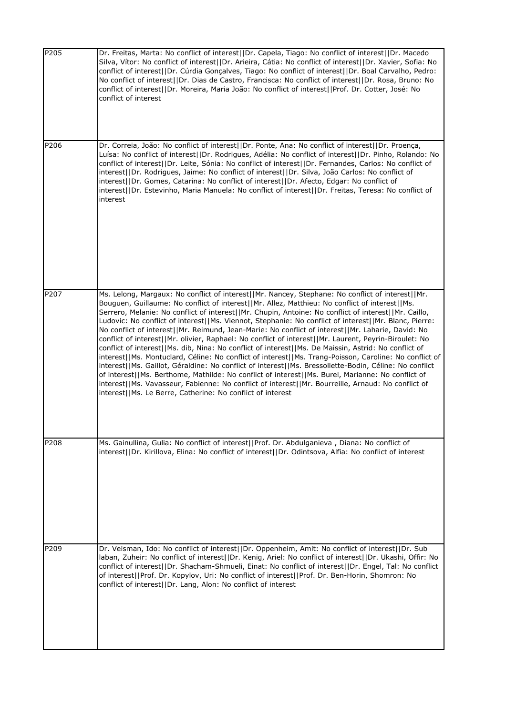| P205             | Dr. Freitas, Marta: No conflict of interest  Dr. Capela, Tiago: No conflict of interest  Dr. Macedo<br>Silva, Vítor: No conflict of interest  Dr. Arieira, Cátia: No conflict of interest  Dr. Xavier, Sofia: No<br>conflict of interest  Dr. Cúrdia Gonçalves, Tiago: No conflict of interest  Dr. Boal Carvalho, Pedro:<br>No conflict of interest  Dr. Dias de Castro, Francisca: No conflict of interest  Dr. Rosa, Bruno: No<br>conflict of interest  Dr. Moreira, Maria João: No conflict of interest  Prof. Dr. Cotter, José: No<br>conflict of interest                                                                                                                                                                                                                                                                                                                                                                                                                                                                                                                                                                                                                                                                        |
|------------------|----------------------------------------------------------------------------------------------------------------------------------------------------------------------------------------------------------------------------------------------------------------------------------------------------------------------------------------------------------------------------------------------------------------------------------------------------------------------------------------------------------------------------------------------------------------------------------------------------------------------------------------------------------------------------------------------------------------------------------------------------------------------------------------------------------------------------------------------------------------------------------------------------------------------------------------------------------------------------------------------------------------------------------------------------------------------------------------------------------------------------------------------------------------------------------------------------------------------------------------|
| P206             | Dr. Correia, João: No conflict of interest  Dr. Ponte, Ana: No conflict of interest  Dr. Proença,<br>Luísa: No conflict of interest  Dr. Rodrigues, Adélia: No conflict of interest  Dr. Pinho, Rolando: No<br>conflict of interest  Dr. Leite, Sónia: No conflict of interest  Dr. Fernandes, Carlos: No conflict of<br>interest  Dr. Rodrigues, Jaime: No conflict of interest  Dr. Silva, João Carlos: No conflict of<br>interest  Dr. Gomes, Catarina: No conflict of interest  Dr. Afecto, Edgar: No conflict of<br>interest  Dr. Estevinho, Maria Manuela: No conflict of interest  Dr. Freitas, Teresa: No conflict of<br>interest                                                                                                                                                                                                                                                                                                                                                                                                                                                                                                                                                                                              |
| P <sub>207</sub> | Ms. Lelong, Margaux: No conflict of interest  Mr. Nancey, Stephane: No conflict of interest  Mr.<br>Bouguen, Guillaume: No conflict of interest  Mr. Allez, Matthieu: No conflict of interest  Ms.<br>Serrero, Melanie: No conflict of interest  Mr. Chupin, Antoine: No conflict of interest  Mr. Caillo,<br>Ludovic: No conflict of interest  Ms. Viennot, Stephanie: No conflict of interest  Mr. Blanc, Pierre:<br>No conflict of interest  Mr. Reimund, Jean-Marie: No conflict of interest  Mr. Laharie, David: No<br>conflict of interest  Mr. olivier, Raphael: No conflict of interest  Mr. Laurent, Peyrin-Biroulet: No<br>conflict of interest  Ms. dib, Nina: No conflict of interest  Ms. De Maissin, Astrid: No conflict of<br>interest  Ms. Montuclard, Céline: No conflict of interest  Ms. Trang-Poisson, Caroline: No conflict of<br>interest  Ms. Gaillot, Géraldine: No conflict of interest  Ms. Bressollette-Bodin, Céline: No conflict<br>of interest  Ms. Berthome, Mathilde: No conflict of interest  Ms. Burel, Marianne: No conflict of<br>interest  Ms. Vavasseur, Fabienne: No conflict of interest  Mr. Bourreille, Arnaud: No conflict of<br>interest  Ms. Le Berre, Catherine: No conflict of interest |
| P208             | Ms. Gainullina, Gulia: No conflict of interest  Prof. Dr. Abdulganieva, Diana: No conflict of<br>interest  Dr. Kirillova, Elina: No conflict of interest  Dr. Odintsova, Alfia: No conflict of interest                                                                                                                                                                                                                                                                                                                                                                                                                                                                                                                                                                                                                                                                                                                                                                                                                                                                                                                                                                                                                                |
| P209             | Dr. Veisman, Ido: No conflict of interest  Dr. Oppenheim, Amit: No conflict of interest  Dr. Sub<br>laban, Zuheir: No conflict of interest  Dr. Kenig, Ariel: No conflict of interest  Dr. Ukashi, Offir: No<br>conflict of interest  Dr. Shacham-Shmueli, Einat: No conflict of interest  Dr. Engel, Tal: No conflict<br>of interest  Prof. Dr. Kopylov, Uri: No conflict of interest  Prof. Dr. Ben-Horin, Shomron: No<br>conflict of interest  Dr. Lang, Alon: No conflict of interest                                                                                                                                                                                                                                                                                                                                                                                                                                                                                                                                                                                                                                                                                                                                              |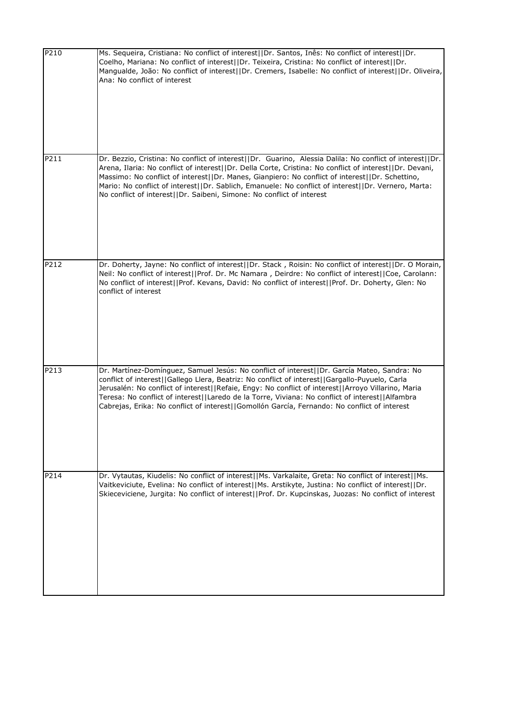| P210 | Ms. Sequeira, Cristiana: No conflict of interest  Dr. Santos, Inês: No conflict of interest  Dr.<br>Coelho, Mariana: No conflict of interest  Dr. Teixeira, Cristina: No conflict of interest  Dr.<br>Mangualde, João: No conflict of interest  Dr. Cremers, Isabelle: No conflict of interest  Dr. Oliveira,<br>Ana: No conflict of interest                                                                                                                                                          |
|------|--------------------------------------------------------------------------------------------------------------------------------------------------------------------------------------------------------------------------------------------------------------------------------------------------------------------------------------------------------------------------------------------------------------------------------------------------------------------------------------------------------|
| P211 | Dr. Bezzio, Cristina: No conflict of interest  Dr. Guarino, Alessia Dalila: No conflict of interest  Dr.<br>Arena, Ilaria: No conflict of interest  Dr. Della Corte, Cristina: No conflict of interest  Dr. Devani,<br>Massimo: No conflict of interest  Dr. Manes, Gianpiero: No conflict of interest  Dr. Schettino,<br>Mario: No conflict of interest  Dr. Sablich, Emanuele: No conflict of interest  Dr. Vernero, Marta:<br>No conflict of interest  Dr. Saibeni, Simone: No conflict of interest |
| P212 | Dr. Doherty, Jayne: No conflict of interest  Dr. Stack, Roisin: No conflict of interest  Dr. O Morain,<br>Neil: No conflict of interest  Prof. Dr. Mc Namara, Deirdre: No conflict of interest  Coe, Carolann:<br>No conflict of interest  Prof. Kevans, David: No conflict of interest  Prof. Dr. Doherty, Glen: No<br>conflict of interest                                                                                                                                                           |
| P213 | Dr. Martínez-Domínguez, Samuel Jesús: No conflict of interest  Dr. García Mateo, Sandra: No<br>conflict of interest  Gallego Llera, Beatriz: No conflict of interest  Gargallo-Puyuelo, Carla<br>Jerusalén: No conflict of interest  Refaie, Engy: No conflict of interest  Arroyo Villarino, Maria<br>Teresa: No conflict of interest  Laredo de la Torre, Viviana: No conflict of interest  Alfambra<br>Cabrejas, Erika: No conflict of interest  Gomollón García, Fernando: No conflict of interest |
| P214 | Dr. Vytautas, Kiudelis: No conflict of interest  Ms. Varkalaite, Greta: No conflict of interest  Ms.<br>Vaitkeviciute, Evelina: No conflict of interest  Ms. Arstikyte, Justina: No conflict of interest  Dr.<br>Skieceviciene, Jurgita: No conflict of interest  Prof. Dr. Kupcinskas, Juozas: No conflict of interest                                                                                                                                                                                |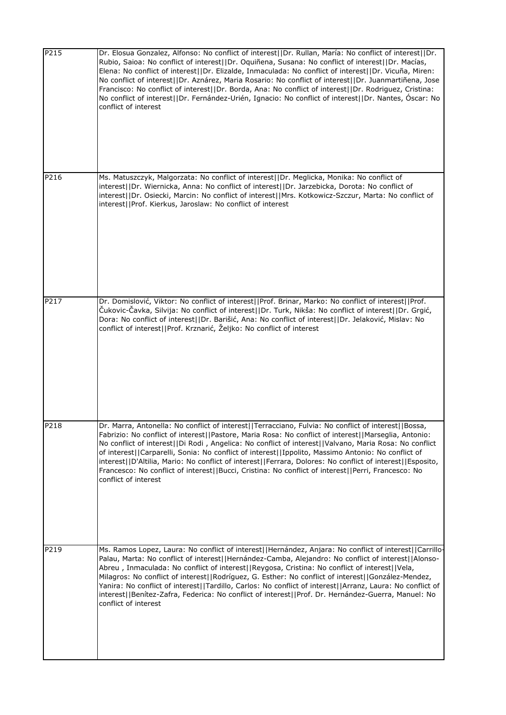| P215 | Dr. Elosua Gonzalez, Alfonso: No conflict of interest  Dr. Rullan, María: No conflict of interest  Dr.<br>Rubio, Saioa: No conflict of interest  Dr. Oquiñena, Susana: No conflict of interest  Dr. Macías,<br>Elena: No conflict of interest  Dr. Elizalde, Inmaculada: No conflict of interest  Dr. Vicuña, Miren:<br>No conflict of interest  Dr. Aznárez, Maria Rosario: No conflict of interest  Dr. Juanmartiñena, Jose<br>Francisco: No conflict of interest  Dr. Borda, Ana: No conflict of interest  Dr. Rodriguez, Cristina:<br>No conflict of interest  Dr. Fernández-Urién, Ignacio: No conflict of interest  Dr. Nantes, Óscar: No<br>conflict of interest |
|------|-------------------------------------------------------------------------------------------------------------------------------------------------------------------------------------------------------------------------------------------------------------------------------------------------------------------------------------------------------------------------------------------------------------------------------------------------------------------------------------------------------------------------------------------------------------------------------------------------------------------------------------------------------------------------|
| P216 | Ms. Matuszczyk, Malgorzata: No conflict of interest  Dr. Meglicka, Monika: No conflict of<br>interest  Dr. Wiernicka, Anna: No conflict of interest  Dr. Jarzebicka, Dorota: No conflict of<br>interest  Dr. Osiecki, Marcin: No conflict of interest  Mrs. Kotkowicz-Szczur, Marta: No conflict of<br>interest  Prof. Kierkus, Jaroslaw: No conflict of interest                                                                                                                                                                                                                                                                                                       |
| P217 | Dr. Domislović, Viktor: No conflict of interest  Prof. Brinar, Marko: No conflict of interest  Prof.<br>Čukovic-Čavka, Silvija: No conflict of interest  Dr. Turk, Nikša: No conflict of interest  Dr. Grgić,<br>Dora: No conflict of interest  Dr. Barišić, Ana: No conflict of interest  Dr. Jelaković, Mislav: No<br>conflict of interest  Prof. Krznarić, Željko: No conflict of interest                                                                                                                                                                                                                                                                           |
| P218 | Dr. Marra, Antonella: No conflict of interest   Terracciano, Fulvia: No conflict of interest   Bossa,<br>Fabrizio: No conflict of interest  Pastore, Maria Rosa: No conflict of interest  Marseglia, Antonio:<br>No conflict of interest  Di Rodi, Angelica: No conflict of interest  Valvano, Maria Rosa: No conflict<br>of interest  Carparelli, Sonia: No conflict of interest  Ippolito, Massimo Antonio: No conflict of<br>interest  D'Altilia, Mario: No conflict of interest  Ferrara, Dolores: No conflict of interest  Esposito,<br>Francesco: No conflict of interest  Bucci, Cristina: No conflict of interest  Perri, Francesco: No<br>conflict of interest |
| P219 | Ms. Ramos Lopez, Laura: No conflict of interest  Hernández, Anjara: No conflict of interest  Carrillo<br>Palau, Marta: No conflict of interest  Hernández-Camba, Alejandro: No conflict of interest  Alonso-<br>Abreu, Inmaculada: No conflict of interest  Reygosa, Cristina: No conflict of interest  Vela,<br>Milagros: No conflict of interest  Rodríguez, G. Esther: No conflict of interest  González-Mendez,<br>Yanira: No conflict of interest  Tardillo, Carlos: No conflict of interest  Arranz, Laura: No conflict of<br>interest  Benítez-Zafra, Federica: No conflict of interest  Prof. Dr. Hernández-Guerra, Manuel: No<br>conflict of interest          |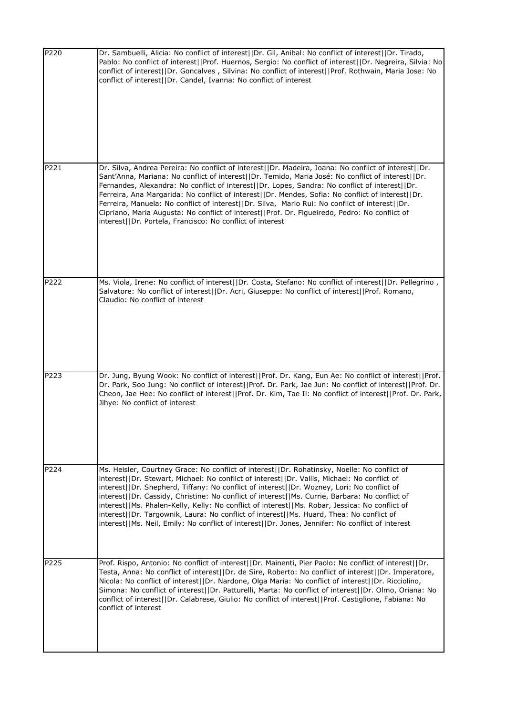| P220 | Dr. Sambuelli, Alicia: No conflict of interest  Dr. Gil, Anibal: No conflict of interest  Dr. Tirado,<br>Pablo: No conflict of interest  Prof. Huernos, Sergio: No conflict of interest  Dr. Negreira, Silvia: No<br>conflict of interest  Dr. Goncalves, Silvina: No conflict of interest  Prof. Rothwain, Maria Jose: No<br>conflict of interest  Dr. Candel, Ivanna: No conflict of interest                                                                                                                                                                                                                                                                                                |
|------|------------------------------------------------------------------------------------------------------------------------------------------------------------------------------------------------------------------------------------------------------------------------------------------------------------------------------------------------------------------------------------------------------------------------------------------------------------------------------------------------------------------------------------------------------------------------------------------------------------------------------------------------------------------------------------------------|
| P221 | Dr. Silva, Andrea Pereira: No conflict of interest  Dr. Madeira, Joana: No conflict of interest  Dr.<br>Sant'Anna, Mariana: No conflict of interest  Dr. Temido, Maria José: No conflict of interest  Dr.<br>Fernandes, Alexandra: No conflict of interest  Dr. Lopes, Sandra: No conflict of interest  Dr.<br>Ferreira, Ana Margarida: No conflict of interest  Dr. Mendes, Sofia: No conflict of interest  Dr.<br>Ferreira, Manuela: No conflict of interest  Dr. Silva, Mario Rui: No conflict of interest  Dr.<br>Cipriano, Maria Augusta: No conflict of interest  Prof. Dr. Figueiredo, Pedro: No conflict of<br>interest  Dr. Portela, Francisco: No conflict of interest               |
| P222 | Ms. Viola, Irene: No conflict of interest  Dr. Costa, Stefano: No conflict of interest  Dr. Pellegrino,<br>Salvatore: No conflict of interest  Dr. Acri, Giuseppe: No conflict of interest  Prof. Romano,<br>Claudio: No conflict of interest                                                                                                                                                                                                                                                                                                                                                                                                                                                  |
| P223 | Dr. Jung, Byung Wook: No conflict of interest  Prof. Dr. Kang, Eun Ae: No conflict of interest  Prof.<br>Dr. Park, Soo Jung: No conflict of interest  Prof. Dr. Park, Jae Jun: No conflict of interest  Prof. Dr.<br>Cheon, Jae Hee: No conflict of interest  Prof. Dr. Kim, Tae II: No conflict of interest  Prof. Dr. Park,<br>Jihye: No conflict of interest                                                                                                                                                                                                                                                                                                                                |
| P224 | Ms. Heisler, Courtney Grace: No conflict of interest  Dr. Rohatinsky, Noelle: No conflict of<br>interest  Dr. Stewart, Michael: No conflict of interest  Dr. Vallis, Michael: No conflict of<br>interest  Dr. Shepherd, Tiffany: No conflict of interest  Dr. Wozney, Lori: No conflict of<br>interest  Dr. Cassidy, Christine: No conflict of interest  Ms. Currie, Barbara: No conflict of<br>interest  Ms. Phalen-Kelly, Kelly: No conflict of interest  Ms. Robar, Jessica: No conflict of<br>interest  Dr. Targownik, Laura: No conflict of interest  Ms. Huard, Thea: No conflict of<br>interest  Ms. Neil, Emily: No conflict of interest  Dr. Jones, Jennifer: No conflict of interest |
| P225 | Prof. Rispo, Antonio: No conflict of interest  Dr. Mainenti, Pier Paolo: No conflict of interest  Dr.<br>Testa, Anna: No conflict of interest  Dr. de Sire, Roberto: No conflict of interest  Dr. Imperatore,<br>Nicola: No conflict of interest  Dr. Nardone, Olga Maria: No conflict of interest  Dr. Ricciolino,<br>Simona: No conflict of interest  Dr. Patturelli, Marta: No conflict of interest  Dr. Olmo, Oriana: No<br>conflict of interest  Dr. Calabrese, Giulio: No conflict of interest  Prof. Castiglione, Fabiana: No<br>conflict of interest                                                                                                                                   |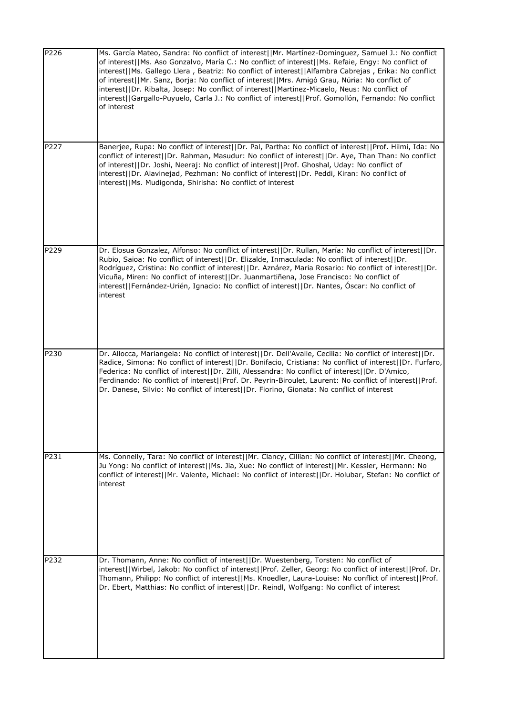| P226 | Ms. García Mateo, Sandra: No conflict of interest  Mr. Martínez-Dominguez, Samuel J.: No conflict<br>of interest  Ms. Aso Gonzalvo, María C.: No conflict of interest  Ms. Refaie, Engy: No conflict of<br>interest  Ms. Gallego Llera, Beatriz: No conflict of interest  Alfambra Cabrejas, Erika: No conflict<br>of interest  Mr. Sanz, Borja: No conflict of interest  Mrs. Amigó Grau, Núria: No conflict of<br>interest  Dr. Ribalta, Josep: No conflict of interest  Martínez-Micaelo, Neus: No conflict of<br>interest  Gargallo-Puyuelo, Carla J.: No conflict of interest  Prof. Gomollón, Fernando: No conflict<br>of interest |
|------|------------------------------------------------------------------------------------------------------------------------------------------------------------------------------------------------------------------------------------------------------------------------------------------------------------------------------------------------------------------------------------------------------------------------------------------------------------------------------------------------------------------------------------------------------------------------------------------------------------------------------------------|
| P227 | Banerjee, Rupa: No conflict of interest  Dr. Pal, Partha: No conflict of interest  Prof. Hilmi, Ida: No<br>conflict of interest  Dr. Rahman, Masudur: No conflict of interest  Dr. Aye, Than Than: No conflict<br>of interest  Dr. Joshi, Neeraj: No conflict of interest  Prof. Ghoshal, Uday: No conflict of<br>interest  Dr. Alavinejad, Pezhman: No conflict of interest  Dr. Peddi, Kiran: No conflict of<br>interest  Ms. Mudigonda, Shirisha: No conflict of interest                                                                                                                                                             |
| P229 | Dr. Elosua Gonzalez, Alfonso: No conflict of interest  Dr. Rullan, María: No conflict of interest  Dr.<br>Rubio, Saioa: No conflict of interest  Dr. Elizalde, Inmaculada: No conflict of interest  Dr.<br>Rodríguez, Cristina: No conflict of interest  Dr. Aznárez, Maria Rosario: No conflict of interest  Dr.<br>Vicuña, Miren: No conflict of interest  Dr. Juanmartiñena, Jose Francisco: No conflict of<br>interest  Fernández-Urién, Ignacio: No conflict of interest  Dr. Nantes, Óscar: No conflict of<br>interest                                                                                                             |
| P230 | Dr. Allocca, Mariangela: No conflict of interest  Dr. Dell'Avalle, Cecilia: No conflict of interest  Dr.<br>Radice, Simona: No conflict of interest  Dr. Bonifacio, Cristiana: No conflict of interest  Dr. Furfaro,<br>Federica: No conflict of interest  Dr. Zilli, Alessandra: No conflict of interest  Dr. D'Amico,<br>Ferdinando: No conflict of interest  Prof. Dr. Peyrin-Biroulet, Laurent: No conflict of interest  Prof.<br>Dr. Danese, Silvio: No conflict of interest  Dr. Fiorino, Gionata: No conflict of interest                                                                                                         |
| P231 | Ms. Connelly, Tara: No conflict of interest  Mr. Clancy, Cillian: No conflict of interest  Mr. Cheong,<br>Ju Yong: No conflict of interest  Ms. Jia, Xue: No conflict of interest  Mr. Kessler, Hermann: No<br>conflict of interest  Mr. Valente, Michael: No conflict of interest  Dr. Holubar, Stefan: No conflict of<br>interest                                                                                                                                                                                                                                                                                                      |
| P232 | Dr. Thomann, Anne: No conflict of interest  Dr. Wuestenberg, Torsten: No conflict of<br>interest  Wirbel, Jakob: No conflict of interest  Prof. Zeller, Georg: No conflict of interest  Prof. Dr.<br>Thomann, Philipp: No conflict of interest  Ms. Knoedler, Laura-Louise: No conflict of interest  Prof.<br>Dr. Ebert, Matthias: No conflict of interest  Dr. Reindl, Wolfgang: No conflict of interest                                                                                                                                                                                                                                |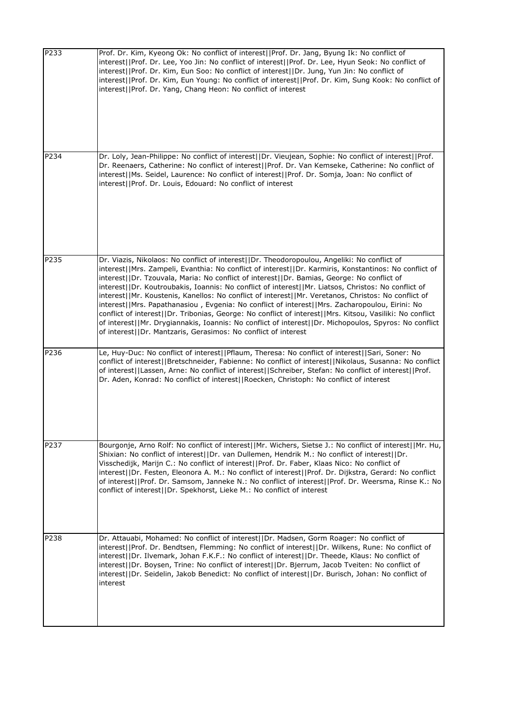| P233 | Prof. Dr. Kim, Kyeong Ok: No conflict of interest  Prof. Dr. Jang, Byung Ik: No conflict of<br>interest  Prof. Dr. Lee, Yoo Jin: No conflict of interest  Prof. Dr. Lee, Hyun Seok: No conflict of<br>interest  Prof. Dr. Kim, Eun Soo: No conflict of interest  Dr. Jung, Yun Jin: No conflict of<br>interest  Prof. Dr. Kim, Eun Young: No conflict of interest  Prof. Dr. Kim, Sung Kook: No conflict of<br>interest  Prof. Dr. Yang, Chang Heon: No conflict of interest                                                                                                                                                                                                                                                                                                                                                                                                                              |
|------|-----------------------------------------------------------------------------------------------------------------------------------------------------------------------------------------------------------------------------------------------------------------------------------------------------------------------------------------------------------------------------------------------------------------------------------------------------------------------------------------------------------------------------------------------------------------------------------------------------------------------------------------------------------------------------------------------------------------------------------------------------------------------------------------------------------------------------------------------------------------------------------------------------------|
| P234 | Dr. Loly, Jean-Philippe: No conflict of interest  Dr. Vieujean, Sophie: No conflict of interest  Prof.<br>Dr. Reenaers, Catherine: No conflict of interest  Prof. Dr. Van Kemseke, Catherine: No conflict of<br>interest  Ms. Seidel, Laurence: No conflict of interest  Prof. Dr. Somja, Joan: No conflict of<br>interest  Prof. Dr. Louis, Edouard: No conflict of interest                                                                                                                                                                                                                                                                                                                                                                                                                                                                                                                             |
| P235 | Dr. Viazis, Nikolaos: No conflict of interest  Dr. Theodoropoulou, Angeliki: No conflict of<br>interest  Mrs. Zampeli, Evanthia: No conflict of interest  Dr. Karmiris, Konstantinos: No conflict of<br>interest  Dr. Tzouvala, Maria: No conflict of interest  Dr. Bamias, George: No conflict of<br>interest  Dr. Koutroubakis, Ioannis: No conflict of interest  Mr. Liatsos, Christos: No conflict of<br>interest  Mr. Koustenis, Kanellos: No conflict of interest  Mr. Veretanos, Christos: No conflict of<br>interest  Mrs. Papathanasiou, Evgenia: No conflict of interest  Mrs. Zacharopoulou, Eirini: No<br>conflict of interest  Dr. Tribonias, George: No conflict of interest  Mrs. Kitsou, Vasiliki: No conflict<br>of interest  Mr. Drygiannakis, Ioannis: No conflict of interest  Dr. Michopoulos, Spyros: No conflict<br>of interest  Dr. Mantzaris, Gerasimos: No conflict of interest |
| P236 | Le, Huy-Duc: No conflict of interest  Pflaum, Theresa: No conflict of interest  Sari, Soner: No<br>conflict of interest  Bretschneider, Fabienne: No conflict of interest  Nikolaus, Susanna: No conflict<br>of interest  Lassen, Arne: No conflict of interest  Schreiber, Stefan: No conflict of interest  Prof.<br>Dr. Aden, Konrad: No conflict of interest  Roecken, Christoph: No conflict of interest                                                                                                                                                                                                                                                                                                                                                                                                                                                                                              |
| P237 | Bourgonje, Arno Rolf: No conflict of interest  Mr. Wichers, Sietse J.: No conflict of interest  Mr. Hu,<br>Shixian: No conflict of interest  Dr. van Dullemen, Hendrik M.: No conflict of interest  Dr.<br>Visschedijk, Marijn C.: No conflict of interest  Prof. Dr. Faber, Klaas Nico: No conflict of<br>interest  Dr. Festen, Eleonora A. M.: No conflict of interest  Prof. Dr. Dijkstra, Gerard: No conflict<br>of interest  Prof. Dr. Samsom, Janneke N.: No conflict of interest  Prof. Dr. Weersma, Rinse K.: No<br>conflict of interest  Dr. Spekhorst, Lieke M.: No conflict of interest                                                                                                                                                                                                                                                                                                        |
| P238 | Dr. Attauabi, Mohamed: No conflict of interest  Dr. Madsen, Gorm Roager: No conflict of<br>interest  Prof. Dr. Bendtsen, Flemming: No conflict of interest  Dr. Wilkens, Rune: No conflict of<br>interest  Dr. Ilvemark, Johan F.K.F.: No conflict of interest  Dr. Theede, Klaus: No conflict of<br>interest  Dr. Boysen, Trine: No conflict of interest  Dr. Bjerrum, Jacob Tveiten: No conflict of<br>interest  Dr. Seidelin, Jakob Benedict: No conflict of interest  Dr. Burisch, Johan: No conflict of<br>interest                                                                                                                                                                                                                                                                                                                                                                                  |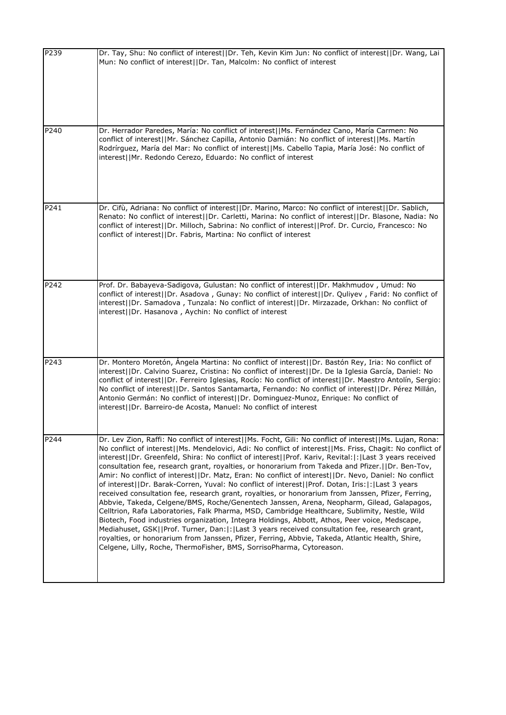| P239 | Dr. Tay, Shu: No conflict of interest  Dr. Teh, Kevin Kim Jun: No conflict of interest  Dr. Wang, Lai<br>Mun: No conflict of interest  Dr. Tan, Malcolm: No conflict of interest                                                                                                                                                                                                                                                                                                                                                                                                                                                                                                                                                                                                                                                                                                                                                                                                                                                                                                                                                                                                                                                                                                                                                  |
|------|-----------------------------------------------------------------------------------------------------------------------------------------------------------------------------------------------------------------------------------------------------------------------------------------------------------------------------------------------------------------------------------------------------------------------------------------------------------------------------------------------------------------------------------------------------------------------------------------------------------------------------------------------------------------------------------------------------------------------------------------------------------------------------------------------------------------------------------------------------------------------------------------------------------------------------------------------------------------------------------------------------------------------------------------------------------------------------------------------------------------------------------------------------------------------------------------------------------------------------------------------------------------------------------------------------------------------------------|
| P240 | Dr. Herrador Paredes, María: No conflict of interest  Ms. Fernández Cano, María Carmen: No<br>conflict of interest  Mr. Sánchez Capilla, Antonio Damián: No conflict of interest  Ms. Martín<br>Rodrírguez, María del Mar: No conflict of interest  Ms. Cabello Tapia, María José: No conflict of<br>interest  Mr. Redondo Cerezo, Eduardo: No conflict of interest                                                                                                                                                                                                                                                                                                                                                                                                                                                                                                                                                                                                                                                                                                                                                                                                                                                                                                                                                               |
| P241 | Dr. Cifù, Adriana: No conflict of interest  Dr. Marino, Marco: No conflict of interest  Dr. Sablich,<br>Renato: No conflict of interest  Dr. Carletti, Marina: No conflict of interest  Dr. Blasone, Nadia: No<br>conflict of interest  Dr. Milloch, Sabrina: No conflict of interest  Prof. Dr. Curcio, Francesco: No<br>conflict of interest  Dr. Fabris, Martina: No conflict of interest                                                                                                                                                                                                                                                                                                                                                                                                                                                                                                                                                                                                                                                                                                                                                                                                                                                                                                                                      |
| P242 | Prof. Dr. Babayeva-Sadigova, Gulustan: No conflict of interest  Dr. Makhmudov, Umud: No<br>conflict of interest  Dr. Asadova, Gunay: No conflict of interest  Dr. Quliyev, Farid: No conflict of<br>interest  Dr. Samadova, Tunzala: No conflict of interest  Dr. Mirzazade, Orkhan: No conflict of<br>interest  Dr. Hasanova, Aychin: No conflict of interest                                                                                                                                                                                                                                                                                                                                                                                                                                                                                                                                                                                                                                                                                                                                                                                                                                                                                                                                                                    |
| P243 | Dr. Montero Moretón, Ángela Martina: No conflict of interest  Dr. Bastón Rey, Iria: No conflict of<br>interest  Dr. Calvino Suarez, Cristina: No conflict of interest  Dr. De la Iglesia García, Daniel: No<br>conflict of interest  Dr. Ferreiro Iglesias, Rocío: No conflict of interest  Dr. Maestro Antolín, Sergio:<br>No conflict of interest  Dr. Santos Santamarta, Fernando: No conflict of interest  Dr. Pérez Millán,<br>Antonio Germán: No conflict of interest  Dr. Dominguez-Munoz, Enrique: No conflict of<br>interest  Dr. Barreiro-de Acosta, Manuel: No conflict of interest                                                                                                                                                                                                                                                                                                                                                                                                                                                                                                                                                                                                                                                                                                                                    |
| P244 | Dr. Lev Zion, Raffi: No conflict of interest  Ms. Focht, Gili: No conflict of interest  Ms. Lujan, Rona:<br>No conflict of interest  Ms. Mendelovici, Adi: No conflict of interest  Ms. Friss, Chagit: No conflict of<br>interest  Dr. Greenfeld, Shira: No conflict of interest  Prof. Kariv, Revital: : Last 3 years received<br>consultation fee, research grant, royalties, or honorarium from Takeda and Pfizer.  Dr. Ben-Tov,<br>Amir: No conflict of interest  Dr. Matz, Eran: No conflict of interest  Dr. Nevo, Daniel: No conflict<br>of interest  Dr. Barak-Corren, Yuval: No conflict of interest  Prof. Dotan, Iris: : Last 3 years<br>received consultation fee, research grant, royalties, or honorarium from Janssen, Pfizer, Ferring,<br>Abbvie, Takeda, Celgene/BMS, Roche/Genentech Janssen, Arena, Neopharm, Gilead, Galapagos,<br>Celltrion, Rafa Laboratories, Falk Pharma, MSD, Cambridge Healthcare, Sublimity, Nestle, Wild<br>Biotech, Food industries organization, Integra Holdings, Abbott, Athos, Peer voice, Medscape,<br>Mediahuset, GSK  Prof. Turner, Dan: : Last 3 years received consultation fee, research grant,<br>royalties, or honorarium from Janssen, Pfizer, Ferring, Abbvie, Takeda, Atlantic Health, Shire,<br>Celgene, Lilly, Roche, ThermoFisher, BMS, SorrisoPharma, Cytoreason. |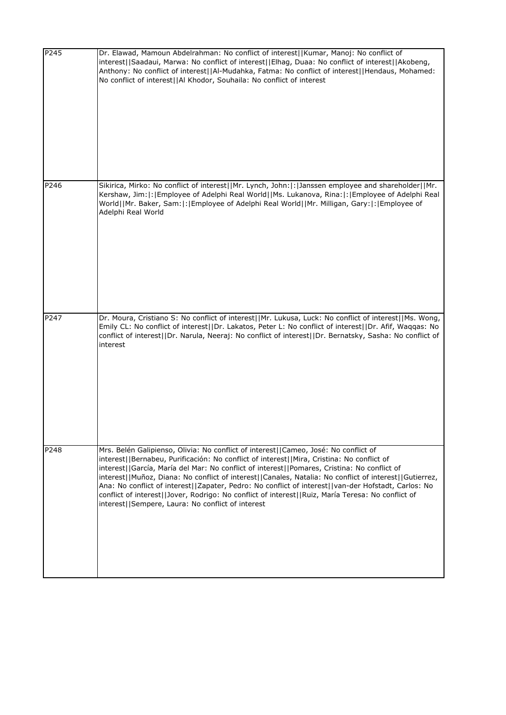| P245 | Dr. Elawad, Mamoun Abdelrahman: No conflict of interest  Kumar, Manoj: No conflict of<br>interest  Saadaui, Marwa: No conflict of interest  Elhag, Duaa: No conflict of interest  Akobeng,<br>Anthony: No conflict of interest  Al-Mudahka, Fatma: No conflict of interest  Hendaus, Mohamed:<br>No conflict of interest  Al Khodor, Souhaila: No conflict of interest                                                                                                                                                                                                                                                                                     |
|------|------------------------------------------------------------------------------------------------------------------------------------------------------------------------------------------------------------------------------------------------------------------------------------------------------------------------------------------------------------------------------------------------------------------------------------------------------------------------------------------------------------------------------------------------------------------------------------------------------------------------------------------------------------|
| P246 | Sikirica, Mirko: No conflict of interest  Mr. Lynch, John: : Janssen employee and shareholder  Mr.<br>Kershaw, Jim: : Employee of Adelphi Real World  Ms. Lukanova, Rina: : Employee of Adelphi Real<br>World  Mr. Baker, Sam: : Employee of Adelphi Real World  Mr. Milligan, Gary: : Employee of<br>Adelphi Real World                                                                                                                                                                                                                                                                                                                                   |
| P247 | Dr. Moura, Cristiano S: No conflict of interest  Mr. Lukusa, Luck: No conflict of interest  Ms. Wong,<br>Emily CL: No conflict of interest  Dr. Lakatos, Peter L: No conflict of interest  Dr. Afif, Waqqas: No<br>conflict of interest  Dr. Narula, Neeraj: No conflict of interest  Dr. Bernatsky, Sasha: No conflict of<br>interest                                                                                                                                                                                                                                                                                                                     |
| P248 | Mrs. Belén Galipienso, Olivia: No conflict of interest  Cameo, José: No conflict of<br>interest  Bernabeu, Purificación: No conflict of interest  Mira, Cristina: No conflict of<br>interest  García, María del Mar: No conflict of interest  Pomares, Cristina: No conflict of<br>interest  Muñoz, Diana: No conflict of interest  Canales, Natalia: No conflict of interest  Gutierrez,<br>Ana: No conflict of interest  Zapater, Pedro: No conflict of interest  van-der Hofstadt, Carlos: No<br>conflict of interest  Jover, Rodrigo: No conflict of interest  Ruiz, María Teresa: No conflict of<br>interest  Sempere, Laura: No conflict of interest |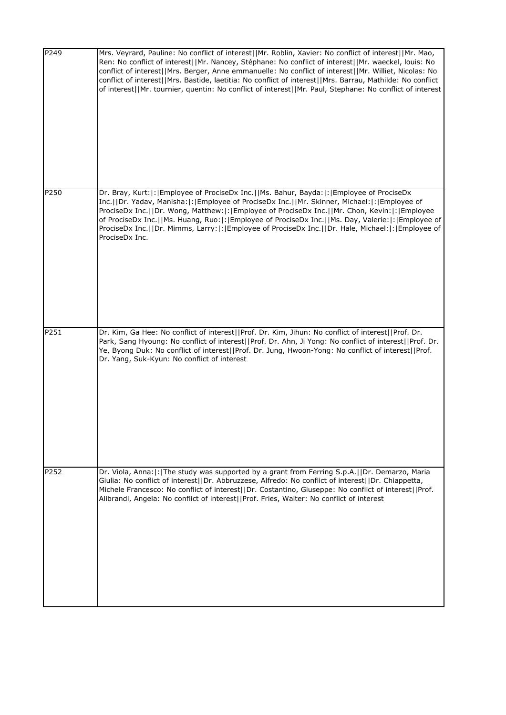| P249 | Mrs. Veyrard, Pauline: No conflict of interest  Mr. Roblin, Xavier: No conflict of interest  Mr. Mao,<br>Ren: No conflict of interest  Mr. Nancey, Stéphane: No conflict of interest  Mr. waeckel, louis: No<br>conflict of interest  Mrs. Berger, Anne emmanuelle: No conflict of interest  Mr. Williet, Nicolas: No<br>conflict of interest  Mrs. Bastide, laetitia: No conflict of interest  Mrs. Barrau, Mathilde: No conflict<br>of interest  Mr. tournier, quentin: No conflict of interest  Mr. Paul, Stephane: No conflict of interest |
|------|------------------------------------------------------------------------------------------------------------------------------------------------------------------------------------------------------------------------------------------------------------------------------------------------------------------------------------------------------------------------------------------------------------------------------------------------------------------------------------------------------------------------------------------------|
| P250 | Dr. Bray, Kurt: : Employee of ProciseDx Inc.  Ms. Bahur, Bayda: : Employee of ProciseDx<br>Inc.     Dr. Yadav, Manisha:   :   Employee of ProciseDx Inc.     Mr. Skinner, Michael:   :   Employee of<br>ProciseDx Inc.  Dr. Wong, Matthew: : Employee of ProciseDx Inc.  Mr. Chon, Kevin: : Employee<br>of ProciseDx Inc.  Ms. Huang, Ruo: : Employee of ProciseDx Inc.  Ms. Day, Valerie: : Employee of<br>ProciseDx Inc.  Dr. Mimms, Larry: : Employee of ProciseDx Inc.  Dr. Hale, Michael: : Employee of<br>ProciseDx Inc.                 |
| P251 | Dr. Kim, Ga Hee: No conflict of interest  Prof. Dr. Kim, Jihun: No conflict of interest  Prof. Dr.<br>Park, Sang Hyoung: No conflict of interest  Prof. Dr. Ahn, Ji Yong: No conflict of interest  Prof. Dr.<br>Ye, Byong Duk: No conflict of interest  Prof. Dr. Jung, Hwoon-Yong: No conflict of interest  Prof.<br>Dr. Yang, Suk-Kyun: No conflict of interest                                                                                                                                                                              |
| P252 | Dr. Viola, Anna:  :   The study was supported by a grant from Ferring S.p.A.     Dr. Demarzo, Maria<br>Giulia: No conflict of interest  Dr. Abbruzzese, Alfredo: No conflict of interest  Dr. Chiappetta,<br>Michele Francesco: No conflict of interest  Dr. Costantino, Giuseppe: No conflict of interest  Prof.<br>Alibrandi, Angela: No conflict of interest  Prof. Fries, Walter: No conflict of interest                                                                                                                                  |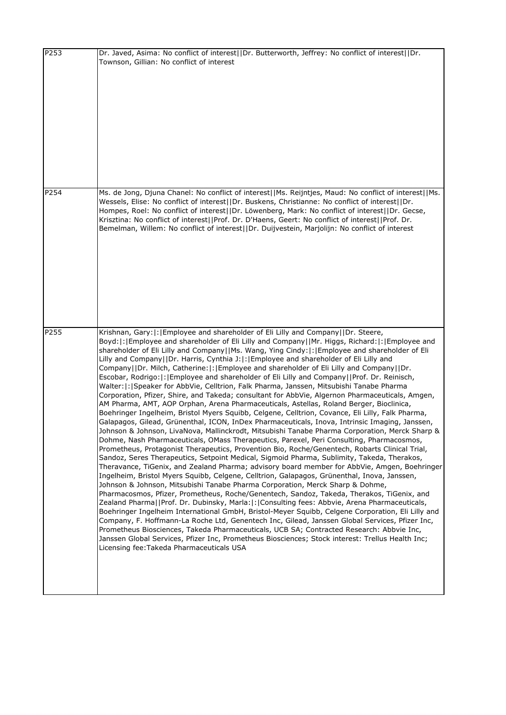| P253 | Dr. Javed, Asima: No conflict of interest  Dr. Butterworth, Jeffrey: No conflict of interest  Dr.<br>Townson, Gillian: No conflict of interest                                                                                                                                                                                                                                                                                                                                                                                                                                                                                                                                                                                                                                                                                                                                                                                                                                                                                                                                                                                                                                                                                                                                                                                                                                                                                                                                                                                                                                                                                                                                                                                                                                                                                                                                                                                                                                                                                                                                                                                                                                                                                                                                                                                                                                                                         |
|------|------------------------------------------------------------------------------------------------------------------------------------------------------------------------------------------------------------------------------------------------------------------------------------------------------------------------------------------------------------------------------------------------------------------------------------------------------------------------------------------------------------------------------------------------------------------------------------------------------------------------------------------------------------------------------------------------------------------------------------------------------------------------------------------------------------------------------------------------------------------------------------------------------------------------------------------------------------------------------------------------------------------------------------------------------------------------------------------------------------------------------------------------------------------------------------------------------------------------------------------------------------------------------------------------------------------------------------------------------------------------------------------------------------------------------------------------------------------------------------------------------------------------------------------------------------------------------------------------------------------------------------------------------------------------------------------------------------------------------------------------------------------------------------------------------------------------------------------------------------------------------------------------------------------------------------------------------------------------------------------------------------------------------------------------------------------------------------------------------------------------------------------------------------------------------------------------------------------------------------------------------------------------------------------------------------------------------------------------------------------------------------------------------------------------|
| P254 | Ms. de Jong, Djuna Chanel: No conflict of interest  Ms. Reijntjes, Maud: No conflict of interest  Ms.<br>Wessels, Elise: No conflict of interest  Dr. Buskens, Christianne: No conflict of interest  Dr.<br>Hompes, Roel: No conflict of interest  Dr. Löwenberg, Mark: No conflict of interest  Dr. Gecse,<br>Krisztina: No conflict of interest  Prof. Dr. D'Haens, Geert: No conflict of interest  Prof. Dr.<br>Bemelman, Willem: No conflict of interest  Dr. Duijvestein, Marjolijn: No conflict of interest                                                                                                                                                                                                                                                                                                                                                                                                                                                                                                                                                                                                                                                                                                                                                                                                                                                                                                                                                                                                                                                                                                                                                                                                                                                                                                                                                                                                                                                                                                                                                                                                                                                                                                                                                                                                                                                                                                      |
| P255 | Krishnan, Gary:  :   Employee and shareholder of Eli Lilly and Company    Dr. Steere,<br>Boyd:  :   Employee and shareholder of Eli Lilly and Company   Mr. Higgs, Richard:  :   Employee and<br>shareholder of Eli Lilly and Company  Ms. Wang, Ying Cindy: : Employee and shareholder of Eli<br>Lilly and Company  Dr. Harris, Cynthia J: : Employee and shareholder of Eli Lilly and<br>Company  Dr. Milch, Catherine: : Employee and shareholder of Eli Lilly and Company  Dr.<br>Escobar, Rodrigo:  :   Employee and shareholder of Eli Lilly and Company     Prof. Dr. Reinisch,<br>Walter:  :  Speaker for AbbVie, Celltrion, Falk Pharma, Janssen, Mitsubishi Tanabe Pharma<br>Corporation, Pfizer, Shire, and Takeda; consultant for AbbVie, Algernon Pharmaceuticals, Amgen,<br>AM Pharma, AMT, AOP Orphan, Arena Pharmaceuticals, Astellas, Roland Berger, Bioclinica,<br>Boehringer Ingelheim, Bristol Myers Squibb, Celgene, Celltrion, Covance, Eli Lilly, Falk Pharma,<br>Galapagos, Gilead, Grünenthal, ICON, InDex Pharmaceuticals, Inova, Intrinsic Imaging, Janssen,<br>Johnson & Johnson, LivaNova, Mallinckrodt, Mitsubishi Tanabe Pharma Corporation, Merck Sharp &<br>Dohme, Nash Pharmaceuticals, OMass Therapeutics, Parexel, Peri Consulting, Pharmacosmos,<br>Prometheus, Protagonist Therapeutics, Provention Bio, Roche/Genentech, Robarts Clinical Trial,<br>Sandoz, Seres Therapeutics, Setpoint Medical, Sigmoid Pharma, Sublimity, Takeda, Therakos,<br>Theravance, TiGenix, and Zealand Pharma; advisory board member for AbbVie, Amgen, Boehringer<br>Ingelheim, Bristol Myers Squibb, Celgene, Celltrion, Galapagos, Grünenthal, Inova, Janssen,<br>Johnson & Johnson, Mitsubishi Tanabe Pharma Corporation, Merck Sharp & Dohme,<br>Pharmacosmos, Pfizer, Prometheus, Roche/Genentech, Sandoz, Takeda, Therakos, TiGenix, and<br>Zealand Pharma  Prof. Dr. Dubinsky, Marla: : Consulting fees: Abbvie, Arena Pharmaceuticals,<br>Boehringer Ingelheim International GmbH, Bristol-Meyer Squibb, Celgene Corporation, Eli Lilly and<br>Company, F. Hoffmann-La Roche Ltd, Genentech Inc, Gilead, Janssen Global Services, Pfizer Inc,<br>Prometheus Biosciences, Takeda Pharmaceuticals, UCB SA; Contracted Research: Abbvie Inc,<br>Janssen Global Services, Pfizer Inc, Prometheus Biosciences; Stock interest: Trellus Health Inc;<br>Licensing fee: Takeda Pharmaceuticals USA |

 $\overline{\phantom{a}}$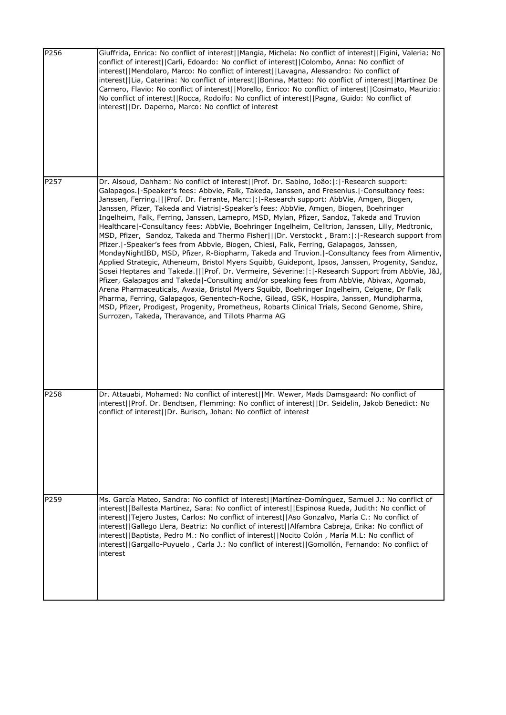| P256 | Giuffrida, Enrica: No conflict of interest  Mangia, Michela: No conflict of interest  Figini, Valeria: No<br>conflict of interest  Carli, Edoardo: No conflict of interest  Colombo, Anna: No conflict of<br>interest  Mendolaro, Marco: No conflict of interest  Lavagna, Alessandro: No conflict of<br>interest  Lia, Caterina: No conflict of interest  Bonina, Matteo: No conflict of interest  Martínez De<br>Carnero, Flavio: No conflict of interest  Morello, Enrico: No conflict of interest  Cosimato, Maurizio:<br>No conflict of interest  Rocca, Rodolfo: No conflict of interest  Pagna, Guido: No conflict of<br>interest  Dr. Daperno, Marco: No conflict of interest                                                                                                                                                                                                                                                                                                                                                                                                                                                                                                                                                                                                                                                                                                                                                                                                                                                                      |
|------|------------------------------------------------------------------------------------------------------------------------------------------------------------------------------------------------------------------------------------------------------------------------------------------------------------------------------------------------------------------------------------------------------------------------------------------------------------------------------------------------------------------------------------------------------------------------------------------------------------------------------------------------------------------------------------------------------------------------------------------------------------------------------------------------------------------------------------------------------------------------------------------------------------------------------------------------------------------------------------------------------------------------------------------------------------------------------------------------------------------------------------------------------------------------------------------------------------------------------------------------------------------------------------------------------------------------------------------------------------------------------------------------------------------------------------------------------------------------------------------------------------------------------------------------------------|
| P257 | Dr. Alsoud, Dahham: No conflict of interest  Prof. Dr. Sabino, João: : -Research support:<br>Galapagos.   - Speaker's fees: Abbvie, Falk, Takeda, Janssen, and Fresenius.   - Consultancy fees:<br>Janssen, Ferring.   Prof. Dr. Ferrante, Marc: : -Research support: AbbVie, Amgen, Biogen,<br>Janssen, Pfizer, Takeda and Viatris -Speaker's fees: AbbVie, Amgen, Biogen, Boehringer<br>Ingelheim, Falk, Ferring, Janssen, Lamepro, MSD, Mylan, Pfizer, Sandoz, Takeda and Truvion<br>Healthcare -Consultancy fees: AbbVie, Boehringer Ingelheim, Celltrion, Janssen, Lilly, Medtronic,<br>MSD, Pfizer, Sandoz, Takeda and Thermo Fisher   Dr. Verstockt, Bram: : -Research support from<br>Pfizer.  -Speaker's fees from Abbvie, Biogen, Chiesi, Falk, Ferring, Galapagos, Janssen,<br>MondayNightIBD, MSD, Pfizer, R-Biopharm, Takeda and Truvion. -Consultancy fees from Alimentiv,<br>Applied Strategic, Atheneum, Bristol Myers Squibb, Guidepont, Ipsos, Janssen, Progenity, Sandoz,<br>Sosei Heptares and Takeda.       Prof. Dr. Vermeire, Séverine:   :   - Research Support from AbbVie, J&J,<br>Pfizer, Galapagos and Takeda -Consulting and/or speaking fees from AbbVie, Abivax, Agomab,<br>Arena Pharmaceuticals, Avaxia, Bristol Myers Squibb, Boehringer Ingelheim, Celgene, Dr Falk<br>Pharma, Ferring, Galapagos, Genentech-Roche, Gilead, GSK, Hospira, Janssen, Mundipharma,<br>MSD, Pfizer, Prodigest, Progenity, Prometheus, Robarts Clinical Trials, Second Genome, Shire,<br>Surrozen, Takeda, Theravance, and Tillots Pharma AG |
| P258 | Dr. Attauabi, Mohamed: No conflict of interest  Mr. Wewer, Mads Damsgaard: No conflict of<br>interest  Prof. Dr. Bendtsen, Flemming: No conflict of interest  Dr. Seidelin, Jakob Benedict: No<br>conflict of interest  Dr. Burisch, Johan: No conflict of interest                                                                                                                                                                                                                                                                                                                                                                                                                                                                                                                                                                                                                                                                                                                                                                                                                                                                                                                                                                                                                                                                                                                                                                                                                                                                                        |
| P259 | Ms. García Mateo, Sandra: No conflict of interest  Martínez-Domínguez, Samuel J.: No conflict of<br>interest  Ballesta Martínez, Sara: No conflict of interest  Espinosa Rueda, Judith: No conflict of<br>interest  Tejero Justes, Carlos: No conflict of interest  Aso Gonzalvo, María C.: No conflict of<br>interest  Gallego Llera, Beatriz: No conflict of interest  Alfambra Cabreja, Erika: No conflict of<br>interest  Baptista, Pedro M.: No conflict of interest  Nocito Colón, María M.L: No conflict of<br>interest  Gargallo-Puyuelo, Carla J.: No conflict of interest  Gomollón, Fernando: No conflict of<br>interest                                                                                                                                                                                                                                                                                                                                                                                                                                                                                                                                                                                                                                                                                                                                                                                                                                                                                                                        |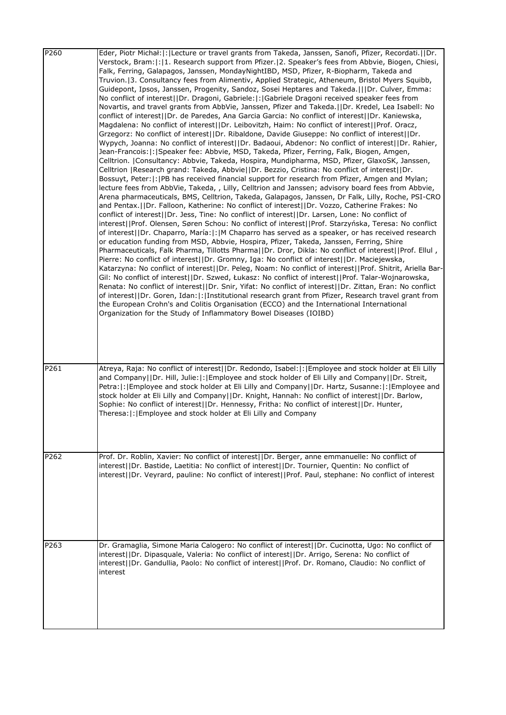| P <sub>260</sub> | Eder, Piotr Michał:  :  Lecture or travel grants from Takeda, Janssen, Sanofi, Pfizer, Recordati.     Dr.<br>Verstock, Bram:  :   1. Research support from Pfizer.   2. Speaker's fees from Abbvie, Biogen, Chiesi,<br>Falk, Ferring, Galapagos, Janssen, MondayNightIBD, MSD, Pfizer, R-Biopharm, Takeda and<br>Truvion. 3. Consultancy fees from Alimentiv, Applied Strategic, Atheneum, Bristol Myers Squibb,<br>Guidepont, Ipsos, Janssen, Progenity, Sandoz, Sosei Heptares and Takeda.   Dr. Culver, Emma:<br>No conflict of interest  Dr. Dragoni, Gabriele: : Gabriele Dragoni received speaker fees from<br>Novartis, and travel grants from AbbVie, Janssen, Pfizer and Takeda.  Dr. Kredel, Lea Isabell: No<br>conflict of interest  Dr. de Paredes, Ana Garcia Garcia: No conflict of interest  Dr. Kaniewska,<br>Magdalena: No conflict of interest  Dr. Leibovitzh, Haim: No conflict of interest  Prof. Oracz,<br>Grzegorz: No conflict of interest  Dr. Ribaldone, Davide Giuseppe: No conflict of interest  Dr.<br>Wypych, Joanna: No conflict of interest  Dr. Badaoui, Abdenor: No conflict of interest  Dr. Rahier,<br>Jean-Francois: : Speaker fee: Abbvie, MSD, Takeda, Pfizer, Ferring, Falk, Biogen, Amgen,<br>Celltrion.   Consultancy: Abbvie, Takeda, Hospira, Mundipharma, MSD, Pfizer, GlaxoSK, Janssen,<br>Celltrion   Research grand: Takeda, Abbvie  Dr. Bezzio, Cristina: No conflict of interest  Dr.<br>Bossuyt, Peter:  :  PB has received financial support for research from Pfizer, Amgen and Mylan;<br>lecture fees from AbbVie, Takeda, , Lilly, Celltrion and Janssen; advisory board fees from Abbvie,<br>Arena pharmaceuticals, BMS, Celltrion, Takeda, Galapagos, Janssen, Dr Falk, Lilly, Roche, PSI-CRO<br>and Pentax.     Dr. Falloon, Katherine: No conflict of interest  Dr. Vozzo, Catherine Frakes: No<br>conflict of interest  Dr. Jess, Tine: No conflict of interest  Dr. Larsen, Lone: No conflict of<br>interest  Prof. Olensen, Søren Schou: No conflict of interest  Prof. Starzyńska, Teresa: No conflict<br>of interest  Dr. Chaparro, María: : M Chaparro has served as a speaker, or has received research<br>or education funding from MSD, Abbvie, Hospira, Pfizer, Takeda, Janssen, Ferring, Shire<br>Pharmaceuticals, Falk Pharma, Tillotts Pharma  Dr. Dror, Dikla: No conflict of interest  Prof. Ellul,<br>Pierre: No conflict of interest  Dr. Gromny, Iga: No conflict of interest  Dr. Maciejewska,<br>Katarzyna: No conflict of interest  Dr. Peleg, Noam: No conflict of interest  Prof. Shitrit, Ariella Bar-<br>Gil: No conflict of interest  Dr. Szwed, Łukasz: No conflict of interest  Prof. Talar-Wojnarowska,<br>Renata: No conflict of interest  Dr. Snir, Yifat: No conflict of interest  Dr. Zittan, Eran: No conflict<br>of interest  Dr. Goren, Idan: : Institutional research grant from Pfizer, Research travel grant from<br>the European Crohn's and Colitis Organisation (ECCO) and the International International<br>Organization for the Study of Inflammatory Bowel Diseases (IOIBD) |
|------------------|--------------------------------------------------------------------------------------------------------------------------------------------------------------------------------------------------------------------------------------------------------------------------------------------------------------------------------------------------------------------------------------------------------------------------------------------------------------------------------------------------------------------------------------------------------------------------------------------------------------------------------------------------------------------------------------------------------------------------------------------------------------------------------------------------------------------------------------------------------------------------------------------------------------------------------------------------------------------------------------------------------------------------------------------------------------------------------------------------------------------------------------------------------------------------------------------------------------------------------------------------------------------------------------------------------------------------------------------------------------------------------------------------------------------------------------------------------------------------------------------------------------------------------------------------------------------------------------------------------------------------------------------------------------------------------------------------------------------------------------------------------------------------------------------------------------------------------------------------------------------------------------------------------------------------------------------------------------------------------------------------------------------------------------------------------------------------------------------------------------------------------------------------------------------------------------------------------------------------------------------------------------------------------------------------------------------------------------------------------------------------------------------------------------------------------------------------------------------------------------------------------------------------------------------------------------------------------------------------------------------------------------------------------------------------------------------------------------------------------------------------------------------------------------------------------------------------------------------------------------------------------------------------------------------------------------------------------------------------------------------------------------------------------------------------------------------------------------|
| P261             | Atreya, Raja: No conflict of interest  Dr. Redondo, Isabel: : Employee and stock holder at Eli Lilly<br>and Company  Dr. Hill, Julie: : Employee and stock holder of Eli Lilly and Company  Dr. Streit,<br>Petra:  :  Employee and stock holder at Eli Lilly and Company  Dr. Hartz, Susanne:  :  Employee and<br>stock holder at Eli Lilly and Company  Dr. Knight, Hannah: No conflict of interest  Dr. Barlow,<br>Sophie: No conflict of interest  Dr. Hennessy, Fritha: No conflict of interest  Dr. Hunter,<br>Theresa:  :   Employee and stock holder at Eli Lilly and Company                                                                                                                                                                                                                                                                                                                                                                                                                                                                                                                                                                                                                                                                                                                                                                                                                                                                                                                                                                                                                                                                                                                                                                                                                                                                                                                                                                                                                                                                                                                                                                                                                                                                                                                                                                                                                                                                                                                                                                                                                                                                                                                                                                                                                                                                                                                                                                                                                                                                                                 |
| P262             | Prof. Dr. Roblin, Xavier: No conflict of interest  Dr. Berger, anne emmanuelle: No conflict of<br>interest  Dr. Bastide, Laetitia: No conflict of interest  Dr. Tournier, Quentin: No conflict of<br>interest  Dr. Veyrard, pauline: No conflict of interest  Prof. Paul, stephane: No conflict of interest                                                                                                                                                                                                                                                                                                                                                                                                                                                                                                                                                                                                                                                                                                                                                                                                                                                                                                                                                                                                                                                                                                                                                                                                                                                                                                                                                                                                                                                                                                                                                                                                                                                                                                                                                                                                                                                                                                                                                                                                                                                                                                                                                                                                                                                                                                                                                                                                                                                                                                                                                                                                                                                                                                                                                                          |
| P263             | Dr. Gramaglia, Simone Maria Calogero: No conflict of interest  Dr. Cucinotta, Ugo: No conflict of<br>interest  Dr. Dipasquale, Valeria: No conflict of interest  Dr. Arrigo, Serena: No conflict of<br>interest  Dr. Gandullia, Paolo: No conflict of interest  Prof. Dr. Romano, Claudio: No conflict of<br>interest                                                                                                                                                                                                                                                                                                                                                                                                                                                                                                                                                                                                                                                                                                                                                                                                                                                                                                                                                                                                                                                                                                                                                                                                                                                                                                                                                                                                                                                                                                                                                                                                                                                                                                                                                                                                                                                                                                                                                                                                                                                                                                                                                                                                                                                                                                                                                                                                                                                                                                                                                                                                                                                                                                                                                                |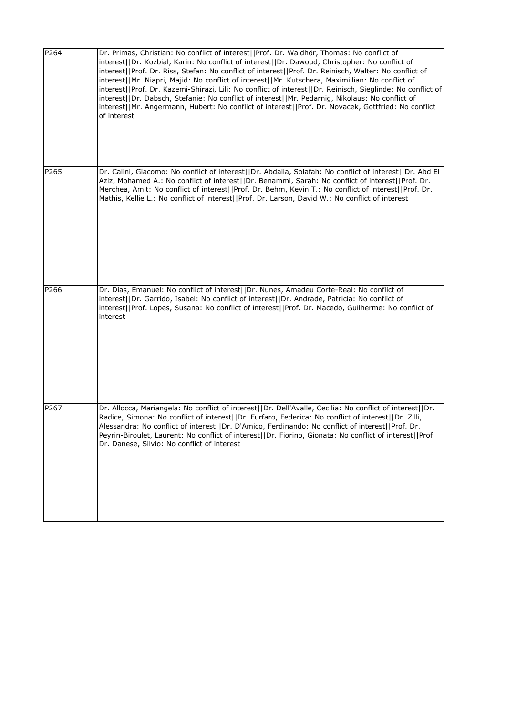| P264 | Dr. Primas, Christian: No conflict of interest  Prof. Dr. Waldhör, Thomas: No conflict of<br>interest  Dr. Kozbial, Karin: No conflict of interest  Dr. Dawoud, Christopher: No conflict of<br>interest  Prof. Dr. Riss, Stefan: No conflict of interest  Prof. Dr. Reinisch, Walter: No conflict of<br>interest  Mr. Niapri, Majid: No conflict of interest  Mr. Kutschera, Maximillian: No conflict of<br>interest  Prof. Dr. Kazemi-Shirazi, Lili: No conflict of interest  Dr. Reinisch, Sieglinde: No conflict of<br>interest  Dr. Dabsch, Stefanie: No conflict of interest  Mr. Pedarnig, Nikolaus: No conflict of<br>interest  Mr. Angermann, Hubert: No conflict of interest  Prof. Dr. Novacek, Gottfried: No conflict<br>of interest |
|------|-------------------------------------------------------------------------------------------------------------------------------------------------------------------------------------------------------------------------------------------------------------------------------------------------------------------------------------------------------------------------------------------------------------------------------------------------------------------------------------------------------------------------------------------------------------------------------------------------------------------------------------------------------------------------------------------------------------------------------------------------|
| P265 | Dr. Calini, Giacomo: No conflict of interest  Dr. Abdalla, Solafah: No conflict of interest  Dr. Abd El<br>Aziz, Mohamed A.: No conflict of interest  Dr. Benammi, Sarah: No conflict of interest  Prof. Dr.<br>Merchea, Amit: No conflict of interest  Prof. Dr. Behm, Kevin T.: No conflict of interest  Prof. Dr.<br>Mathis, Kellie L.: No conflict of interest  Prof. Dr. Larson, David W.: No conflict of interest                                                                                                                                                                                                                                                                                                                         |
| P266 | Dr. Dias, Emanuel: No conflict of interest  Dr. Nunes, Amadeu Corte-Real: No conflict of<br>interest  Dr. Garrido, Isabel: No conflict of interest  Dr. Andrade, Patrícia: No conflict of<br>interest  Prof. Lopes, Susana: No conflict of interest  Prof. Dr. Macedo, Guilherme: No conflict of<br>interest                                                                                                                                                                                                                                                                                                                                                                                                                                    |
| P267 | Dr. Allocca, Mariangela: No conflict of interest  Dr. Dell'Avalle, Cecilia: No conflict of interest  Dr.<br>Radice, Simona: No conflict of interest  Dr. Furfaro, Federica: No conflict of interest  Dr. Zilli,<br>Alessandra: No conflict of interest  Dr. D'Amico, Ferdinando: No conflict of interest  Prof. Dr.<br>Peyrin-Biroulet, Laurent: No conflict of interest  Dr. Fiorino, Gionata: No conflict of interest  Prof.<br>Dr. Danese, Silvio: No conflict of interest                                                                                                                                                                                                                                                                   |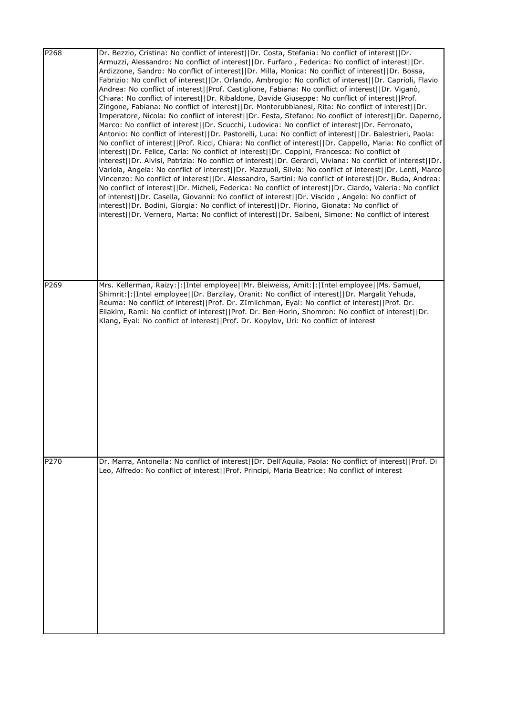| P268 | Dr. Bezzio, Cristina: No conflict of interest  Dr. Costa, Stefania: No conflict of interest  Dr.<br>Armuzzi, Alessandro: No conflict of interest  Dr. Furfaro, Federica: No conflict of interest  Dr.<br>Ardizzone, Sandro: No conflict of interest  Dr. Milla, Monica: No conflict of interest  Dr. Bossa,<br>Fabrizio: No conflict of interest  Dr. Orlando, Ambrogio: No conflict of interest  Dr. Caprioli, Flavio<br>Andrea: No conflict of interest  Prof. Castiglione, Fabiana: No conflict of interest  Dr. Viganò,<br>Chiara: No conflict of interest  Dr. Ribaldone, Davide Giuseppe: No conflict of interest  Prof.<br>Zingone, Fabiana: No conflict of interest  Dr. Monterubbianesi, Rita: No conflict of interest  Dr.<br>Imperatore, Nicola: No conflict of interest  Dr. Festa, Stefano: No conflict of interest  Dr. Daperno,<br>Marco: No conflict of interest  Dr. Scucchi, Ludovica: No conflict of interest  Dr. Ferronato,<br>Antonio: No conflict of interest  Dr. Pastorelli, Luca: No conflict of interest  Dr. Balestrieri, Paola:<br>No conflict of interest  Prof. Ricci, Chiara: No conflict of interest  Dr. Cappello, Maria: No conflict of<br>interest  Dr. Felice, Carla: No conflict of interest  Dr. Coppini, Francesca: No conflict of<br>interest  Dr. Alvisi, Patrizia: No conflict of interest  Dr. Gerardi, Viviana: No conflict of interest  Dr.<br>Variola, Angela: No conflict of interest  Dr. Mazzuoli, Silvia: No conflict of interest  Dr. Lenti, Marco<br>Vincenzo: No conflict of interest  Dr. Alessandro, Sartini: No conflict of interest  Dr. Buda, Andrea:<br>No conflict of interest  Dr. Micheli, Federica: No conflict of interest  Dr. Ciardo, Valeria: No conflict<br>of interest  Dr. Casella, Giovanni: No conflict of interest  Dr. Viscido, Angelo: No conflict of<br>interest  Dr. Bodini, Giorgia: No conflict of interest  Dr. Fiorino, Gionata: No conflict of<br>interest  Dr. Vernero, Marta: No conflict of interest  Dr. Saibeni, Simone: No conflict of interest |
|------|------------------------------------------------------------------------------------------------------------------------------------------------------------------------------------------------------------------------------------------------------------------------------------------------------------------------------------------------------------------------------------------------------------------------------------------------------------------------------------------------------------------------------------------------------------------------------------------------------------------------------------------------------------------------------------------------------------------------------------------------------------------------------------------------------------------------------------------------------------------------------------------------------------------------------------------------------------------------------------------------------------------------------------------------------------------------------------------------------------------------------------------------------------------------------------------------------------------------------------------------------------------------------------------------------------------------------------------------------------------------------------------------------------------------------------------------------------------------------------------------------------------------------------------------------------------------------------------------------------------------------------------------------------------------------------------------------------------------------------------------------------------------------------------------------------------------------------------------------------------------------------------------------------------------------------------------------------------------------------------------------------------------------------------|
| P269 | Mrs. Kellerman, Raizy:  :   Intel employee  Mr. Bleiweiss, Amit:  :   Intel employee  Ms. Samuel,<br>Shimrit:  :   Intel employee  Dr. Barzilay, Oranit: No conflict of interest  Dr. Margalit Yehuda,<br>Reuma: No conflict of interest  Prof. Dr. ZImlichman, Eyal: No conflict of interest  Prof. Dr.<br>Eliakim, Rami: No conflict of interest  Prof. Dr. Ben-Horin, Shomron: No conflict of interest  Dr.<br>Klang, Eyal: No conflict of interest  Prof. Dr. Kopylov, Uri: No conflict of interest                                                                                                                                                                                                                                                                                                                                                                                                                                                                                                                                                                                                                                                                                                                                                                                                                                                                                                                                                                                                                                                                                                                                                                                                                                                                                                                                                                                                                                                                                                                                  |
| P270 | Dr. Marra, Antonella: No conflict of interest  Dr. Dell'Aquila, Paola: No conflict of interest  Prof. Di<br>Leo, Alfredo: No conflict of interest  Prof. Principi, Maria Beatrice: No conflict of interest                                                                                                                                                                                                                                                                                                                                                                                                                                                                                                                                                                                                                                                                                                                                                                                                                                                                                                                                                                                                                                                                                                                                                                                                                                                                                                                                                                                                                                                                                                                                                                                                                                                                                                                                                                                                                               |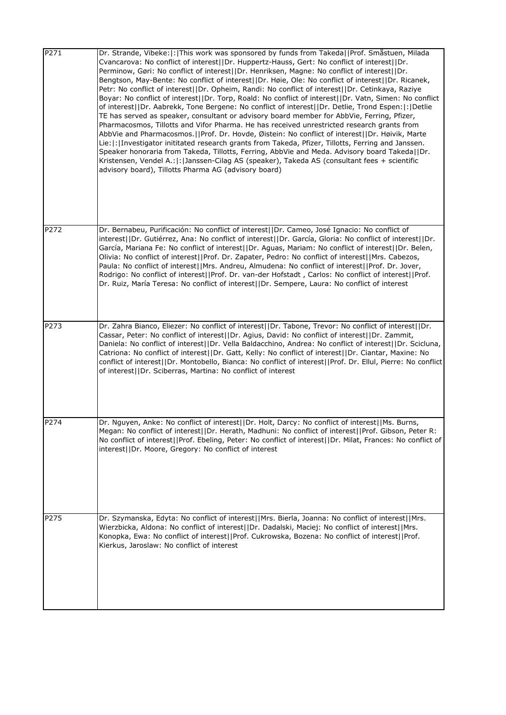| P271 | Dr. Strande, Vibeke:  :  This work was sponsored by funds from Takeda  Prof. Småstuen, Milada<br>Cvancarova: No conflict of interest  Dr. Huppertz-Hauss, Gert: No conflict of interest  Dr.<br>Perminow, Gøri: No conflict of interest  Dr. Henriksen, Magne: No conflict of interest  Dr.<br>Bengtson, May-Bente: No conflict of interest  Dr. Høie, Ole: No conflict of interest  Dr. Ricanek,<br>Petr: No conflict of interest  Dr. Opheim, Randi: No conflict of interest  Dr. Cetinkaya, Raziye<br>Boyar: No conflict of interest  Dr. Torp, Roald: No conflict of interest  Dr. Vatn, Simen: No conflict<br>of interest  Dr. Aabrekk, Tone Bergene: No conflict of interest  Dr. Detlie, Trond Espen: : Detlie<br>TE has served as speaker, consultant or advisory board member for AbbVie, Ferring, Pfizer,<br>Pharmacosmos, Tillotts and Vifor Pharma. He has received unrestricted research grants from<br>AbbVie and Pharmacosmos.   Prof. Dr. Hovde, Øistein: No conflict of interest  Dr. Høivik, Marte<br>Lie:  :   Investigator inititated research grants from Takeda, Pfizer, Tillotts, Ferring and Janssen.<br>Speaker honoraria from Takeda, Tillotts, Ferring, AbbVie and Meda. Advisory board Takeda  Dr.<br>Kristensen, Vendel A.:  :  Janssen-Cilag AS (speaker), Takeda AS (consultant fees + scientific<br>advisory board), Tillotts Pharma AG (advisory board) |
|------|------------------------------------------------------------------------------------------------------------------------------------------------------------------------------------------------------------------------------------------------------------------------------------------------------------------------------------------------------------------------------------------------------------------------------------------------------------------------------------------------------------------------------------------------------------------------------------------------------------------------------------------------------------------------------------------------------------------------------------------------------------------------------------------------------------------------------------------------------------------------------------------------------------------------------------------------------------------------------------------------------------------------------------------------------------------------------------------------------------------------------------------------------------------------------------------------------------------------------------------------------------------------------------------------------------------------------------------------------------------------------------------|
| P272 | Dr. Bernabeu, Purificación: No conflict of interest  Dr. Cameo, José Ignacio: No conflict of<br>interest  Dr. Gutiérrez, Ana: No conflict of interest  Dr. García, Gloria: No conflict of interest  Dr.<br>García, Mariana Fe: No conflict of interest  Dr. Aguas, Mariam: No conflict of interest  Dr. Belen,<br>Olivia: No conflict of interest  Prof. Dr. Zapater, Pedro: No conflict of interest  Mrs. Cabezos,<br>Paula: No conflict of interest  Mrs. Andreu, Almudena: No conflict of interest  Prof. Dr. Jover,<br>Rodrigo: No conflict of interest  Prof. Dr. van-der Hofstadt, Carlos: No conflict of interest  Prof.<br>Dr. Ruiz, María Teresa: No conflict of interest  Dr. Sempere, Laura: No conflict of interest                                                                                                                                                                                                                                                                                                                                                                                                                                                                                                                                                                                                                                                          |
| P273 | Dr. Zahra Bianco, Eliezer: No conflict of interest  Dr. Tabone, Trevor: No conflict of interest  Dr.<br>Cassar, Peter: No conflict of interest  Dr. Agius, David: No conflict of interest  Dr. Zammit,<br>Daniela: No conflict of interest  Dr. Vella Baldacchino, Andrea: No conflict of interest  Dr. Scicluna,<br>Catriona: No conflict of interest  Dr. Gatt, Kelly: No conflict of interest  Dr. Ciantar, Maxine: No<br>conflict of interest  Dr. Montobello, Bianca: No conflict of interest  Prof. Dr. Ellul, Pierre: No conflict <br>of interest  Dr. Sciberras, Martina: No conflict of interest                                                                                                                                                                                                                                                                                                                                                                                                                                                                                                                                                                                                                                                                                                                                                                                |
| P274 | Dr. Nguyen, Anke: No conflict of interest  Dr. Holt, Darcy: No conflict of interest  Ms. Burns,<br>Megan: No conflict of interest  Dr. Herath, Madhuni: No conflict of interest  Prof. Gibson, Peter R:<br>No conflict of interest  Prof. Ebeling, Peter: No conflict of interest  Dr. Milat, Frances: No conflict of<br>interest  Dr. Moore, Gregory: No conflict of interest                                                                                                                                                                                                                                                                                                                                                                                                                                                                                                                                                                                                                                                                                                                                                                                                                                                                                                                                                                                                           |
| P275 | Dr. Szymanska, Edyta: No conflict of interest  Mrs. Bierla, Joanna: No conflict of interest  Mrs.<br>Wierzbicka, Aldona: No conflict of interest  Dr. Dadalski, Maciej: No conflict of interest  Mrs.<br>Konopka, Ewa: No conflict of interest  Prof. Cukrowska, Bozena: No conflict of interest  Prof.<br>Kierkus, Jaroslaw: No conflict of interest                                                                                                                                                                                                                                                                                                                                                                                                                                                                                                                                                                                                                                                                                                                                                                                                                                                                                                                                                                                                                                    |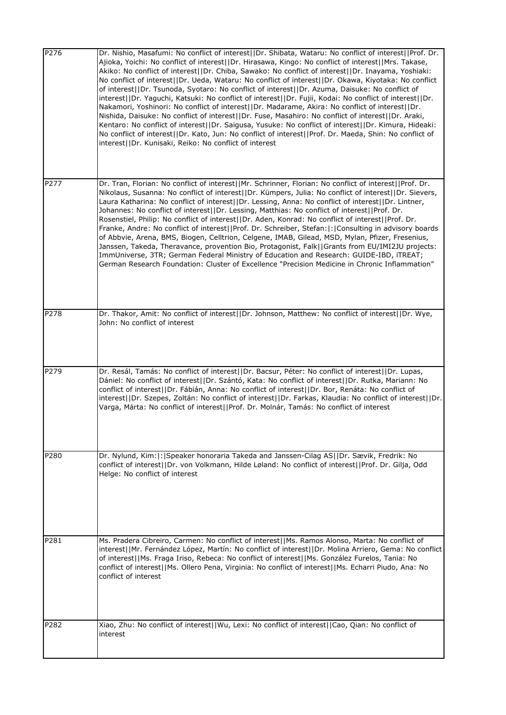| P276 | Dr. Nishio, Masafumi: No conflict of interest  Dr. Shibata, Wataru: No conflict of interest  Prof. Dr.<br>Ajioka, Yoichi: No conflict of interest  Dr. Hirasawa, Kingo: No conflict of interest  Mrs. Takase,<br>Akiko: No conflict of interest  Dr. Chiba, Sawako: No conflict of interest  Dr. Inayama, Yoshiaki:<br>No conflict of interest  Dr. Ueda, Wataru: No conflict of interest  Dr. Okawa, Kiyotaka: No conflict<br>of interest  Dr. Tsunoda, Syotaro: No conflict of interest  Dr. Azuma, Daisuke: No conflict of<br>interest  Dr. Yaguchi, Katsuki: No conflict of interest  Dr. Fujii, Kodai: No conflict of interest  Dr.<br>Nakamori, Yoshinori: No conflict of interest  Dr. Madarame, Akira: No conflict of interest  Dr.<br>Nishida, Daisuke: No conflict of interest  Dr. Fuse, Masahiro: No conflict of interest  Dr. Araki,<br>Kentaro: No conflict of interest  Dr. Saigusa, Yusuke: No conflict of interest  Dr. Kimura, Hideaki:<br>No conflict of interest  Dr. Kato, Jun: No conflict of interest  Prof. Dr. Maeda, Shin: No conflict of<br>interest  Dr. Kunisaki, Reiko: No conflict of interest |
|------|-------------------------------------------------------------------------------------------------------------------------------------------------------------------------------------------------------------------------------------------------------------------------------------------------------------------------------------------------------------------------------------------------------------------------------------------------------------------------------------------------------------------------------------------------------------------------------------------------------------------------------------------------------------------------------------------------------------------------------------------------------------------------------------------------------------------------------------------------------------------------------------------------------------------------------------------------------------------------------------------------------------------------------------------------------------------------------------------------------------------------------|
| P277 | Dr. Tran, Florian: No conflict of interest  Mr. Schrinner, Florian: No conflict of interest  Prof. Dr.<br>Nikolaus, Susanna: No conflict of interest  Dr. Kümpers, Julia: No conflict of interest  Dr. Sievers,<br>Laura Katharina: No conflict of interest  Dr. Lessing, Anna: No conflict of interest  Dr. Lintner,<br>Johannes: No conflict of interest  Dr. Lessing, Matthias: No conflict of interest  Prof. Dr.<br>Rosenstiel, Philip: No conflict of interest  Dr. Aden, Konrad: No conflict of interest  Prof. Dr.<br>Franke, Andre: No conflict of interest  Prof. Dr. Schreiber, Stefan: : Consulting in advisory boards<br>of Abbvie, Arena, BMS, Biogen, Celltrion, Celgene, IMAB, Gilead, MSD, Mylan, Pfizer, Fresenius,<br>Janssen, Takeda, Theravance, provention Bio, Protagonist, Falk  Grants from EU/IMI2JU projects:<br>ImmUniverse, 3TR; German Federal Ministry of Education and Research: GUIDE-IBD, iTREAT;<br>German Research Foundation: Cluster of Excellence "Precision Medicine in Chronic Inflammation"                                                                                         |
| P278 | Dr. Thakor, Amit: No conflict of interest  Dr. Johnson, Matthew: No conflict of interest  Dr. Wye,<br>John: No conflict of interest                                                                                                                                                                                                                                                                                                                                                                                                                                                                                                                                                                                                                                                                                                                                                                                                                                                                                                                                                                                           |
| P279 | Dr. Resál, Tamás: No conflict of interest  Dr. Bacsur, Péter: No conflict of interest  Dr. Lupas,<br>Dániel: No conflict of interest  Dr. Szántó, Kata: No conflict of interest  Dr. Rutka, Mariann: No<br>conflict of interest  Dr. Fábián, Anna: No conflict of interest  Dr. Bor, Renáta: No conflict of<br>interest  Dr. Szepes, Zoltán: No conflict of interest  Dr. Farkas, Klaudia: No conflict of interest  Dr.<br>Varga, Márta: No conflict of interest  Prof. Dr. Molnár, Tamás: No conflict of interest                                                                                                                                                                                                                                                                                                                                                                                                                                                                                                                                                                                                            |
| P280 | Dr. Nylund, Kim: : Speaker honoraria Takeda and Janssen-Cilag AS  Dr. Sævik, Fredrik: No<br>conflict of interest  Dr. von Volkmann, Hilde Løland: No conflict of interest  Prof. Dr. Gilja, Odd<br>Helge: No conflict of interest                                                                                                                                                                                                                                                                                                                                                                                                                                                                                                                                                                                                                                                                                                                                                                                                                                                                                             |
| P281 | Ms. Pradera Cibreiro, Carmen: No conflict of interest  Ms. Ramos Alonso, Marta: No conflict of<br>interest  Mr. Fernández López, Martín: No conflict of interest  Dr. Molina Arriero, Gema: No conflict<br>of interest  Ms. Fraga Iriso, Rebeca: No conflict of interest  Ms. González Furelos, Tania: No<br>conflict of interest  Ms. Ollero Pena, Virginia: No conflict of interest  Ms. Echarri Piudo, Ana: No<br>conflict of interest                                                                                                                                                                                                                                                                                                                                                                                                                                                                                                                                                                                                                                                                                     |
| P282 | Xiao, Zhu: No conflict of interest  Wu, Lexi: No conflict of interest  Cao, Qian: No conflict of<br>interest                                                                                                                                                                                                                                                                                                                                                                                                                                                                                                                                                                                                                                                                                                                                                                                                                                                                                                                                                                                                                  |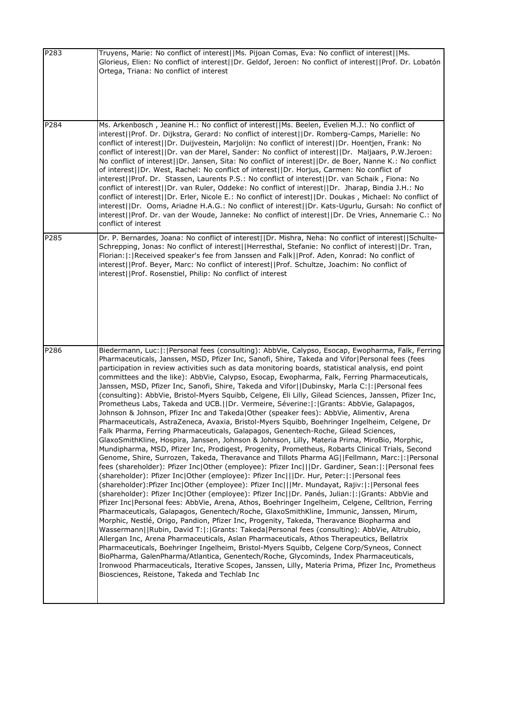| P283 | Truyens, Marie: No conflict of interest  Ms. Pijoan Comas, Eva: No conflict of interest  Ms.<br>Glorieus, Elien: No conflict of interest  Dr. Geldof, Jeroen: No conflict of interest  Prof. Dr. Lobatón<br>Ortega, Triana: No conflict of interest                                                                                                                                                                                                                                                                                                                                                                                                                                                                                                                                                                                                                                                                                                                                                                                                                                                                                                                                                                                                                                                                                                                                                                                                                                                                                                                                                                                                                                                                                                                                                                                                                                                                                                                                                                                                                                                                                                                                                                                                                                                                                                                                                                                                                                                                                          |
|------|----------------------------------------------------------------------------------------------------------------------------------------------------------------------------------------------------------------------------------------------------------------------------------------------------------------------------------------------------------------------------------------------------------------------------------------------------------------------------------------------------------------------------------------------------------------------------------------------------------------------------------------------------------------------------------------------------------------------------------------------------------------------------------------------------------------------------------------------------------------------------------------------------------------------------------------------------------------------------------------------------------------------------------------------------------------------------------------------------------------------------------------------------------------------------------------------------------------------------------------------------------------------------------------------------------------------------------------------------------------------------------------------------------------------------------------------------------------------------------------------------------------------------------------------------------------------------------------------------------------------------------------------------------------------------------------------------------------------------------------------------------------------------------------------------------------------------------------------------------------------------------------------------------------------------------------------------------------------------------------------------------------------------------------------------------------------------------------------------------------------------------------------------------------------------------------------------------------------------------------------------------------------------------------------------------------------------------------------------------------------------------------------------------------------------------------------------------------------------------------------------------------------------------------------|
| P284 | Ms. Arkenbosch, Jeanine H.: No conflict of interest  Ms. Beelen, Evelien M.J.: No conflict of<br>interest  Prof. Dr. Dijkstra, Gerard: No conflict of interest  Dr. Romberg-Camps, Marielle: No<br>conflict of interest  Dr. Duijvestein, Marjolijn: No conflict of interest  Dr. Hoentjen, Frank: No<br>conflict of interest  Dr. van der Marel, Sander: No conflict of interest  Dr. Maljaars, P.W.Jeroen:<br>No conflict of interest  Dr. Jansen, Sita: No conflict of interest  Dr. de Boer, Nanne K.: No conflict<br>of interest  Dr. West, Rachel: No conflict of interest  Dr. Horjus, Carmen: No conflict of<br>interest  Prof. Dr. Stassen, Laurents P.S.: No conflict of interest  Dr. van Schaik, Fiona: No<br>conflict of interest  Dr. van Ruler, Oddeke: No conflict of interest  Dr. Jharap, Bindia J.H.: No<br>conflict of interest  Dr. Erler, Nicole E.: No conflict of interest  Dr. Doukas, Michael: No conflict of<br>interest  Dr. Ooms, Ariadne H.A.G.: No conflict of interest  Dr. Kats-Ugurlu, Gursah: No conflict of<br>interest  Prof. Dr. van der Woude, Janneke: No conflict of interest  Dr. De Vries, Annemarie C.: No<br>conflict of interest                                                                                                                                                                                                                                                                                                                                                                                                                                                                                                                                                                                                                                                                                                                                                                                                                                                                                                                                                                                                                                                                                                                                                                                                                                                                                                                                                               |
| P285 | Dr. P. Bernardes, Joana: No conflict of interest  Dr. Mishra, Neha: No conflict of interest  Schulte-<br>Schrepping, Jonas: No conflict of interest  Herresthal, Stefanie: No conflict of interest  Dr. Tran,<br>Florian:  :   Received speaker's fee from Janssen and Falk  Prof. Aden, Konrad: No conflict of<br>interest  Prof. Beyer, Marc: No conflict of interest  Prof. Schultze, Joachim: No conflict of<br>interest  Prof. Rosenstiel, Philip: No conflict of interest                                                                                                                                                                                                                                                                                                                                                                                                                                                                                                                                                                                                                                                                                                                                                                                                                                                                                                                                                                                                                                                                                                                                                                                                                                                                                                                                                                                                                                                                                                                                                                                                                                                                                                                                                                                                                                                                                                                                                                                                                                                              |
| P286 | Biedermann, Luc:  :  Personal fees (consulting): AbbVie, Calypso, Esocap, Ewopharma, Falk, Ferring<br>Pharmaceuticals, Janssen, MSD, Pfizer Inc, Sanofi, Shire, Takeda and Vifor Personal fees (fees<br>participation in review activities such as data monitoring boards, statistical analysis, end point<br>committees and the like): AbbVie, Calypso, Esocap, Ewopharma, Falk, Ferring Pharmaceuticals,<br>Janssen, MSD, Pfizer Inc, Sanofi, Shire, Takeda and Vifor  Dubinsky, Marla C: : Personal fees<br>(consulting): AbbVie, Bristol-Myers Squibb, Celgene, Eli Lilly, Gilead Sciences, Janssen, Pfizer Inc,<br>Prometheus Labs, Takeda and UCB.  Dr. Vermeire, Séverine: : Grants: AbbVie, Galapagos,<br>Johnson & Johnson, Pfizer Inc and Takeda Other (speaker fees): AbbVie, Alimentiv, Arena<br>Pharmaceuticals, AstraZeneca, Avaxia, Bristol-Myers Squibb, Boehringer Ingelheim, Celgene, Dr<br>Falk Pharma, Ferring Pharmaceuticals, Galapagos, Genentech-Roche, Gilead Sciences,<br>GlaxoSmithKline, Hospira, Janssen, Johnson & Johnson, Lilly, Materia Prima, MiroBio, Morphic,<br>Mundipharma, MSD, Pfizer Inc, Prodigest, Progenity, Prometheus, Robarts Clinical Trials, Second<br>Genome, Shire, Surrozen, Takeda, Theravance and Tillots Pharma AG  Fellmann, Marc: :  Personal<br>fees (shareholder): Pfizer Inc Other (employee): Pfizer Inc   Dr. Gardiner, Sean: : Personal fees<br>(shareholder): Pfizer Inc Other (employee): Pfizer Inc   Dr. Hur, Peter: : Personal fees<br>(shareholder):Pfizer Inc Other (employee): Pfizer Inc   Mr. Mundayat, Rajiv: : Personal fees<br>(shareholder): Pfizer Inc Other (employee): Pfizer Inc  Dr. Panés, Julian: : Grants: AbbVie and<br>Pfizer Inc Personal fees: AbbVie, Arena, Athos, Boehringer Ingelheim, Celgene, Celltrion, Ferring<br>Pharmaceuticals, Galapagos, Genentech/Roche, GlaxoSmithKline, Immunic, Janssen, Mirum,<br>Morphic, Nestlé, Origo, Pandion, Pfizer Inc, Progenity, Takeda, Theravance Biopharma and<br>Wassermann  Rubin, David T: : Grants: Takeda Personal fees (consulting): AbbVie, Altrubio,<br>Allergan Inc, Arena Pharmaceuticals, Aslan Pharmaceuticals, Athos Therapeutics, Bellatrix<br>Pharmaceuticals, Boehringer Ingelheim, Bristol-Myers Squibb, Celgene Corp/Syneos, Connect<br>BioPharma, GalenPharma/Atlantica, Genentech/Roche, Glycominds, Index Pharmaceuticals,<br>Ironwood Pharmaceuticals, Iterative Scopes, Janssen, Lilly, Materia Prima, Pfizer Inc, Prometheus<br>Biosciences, Reistone, Takeda and Techlab Inc |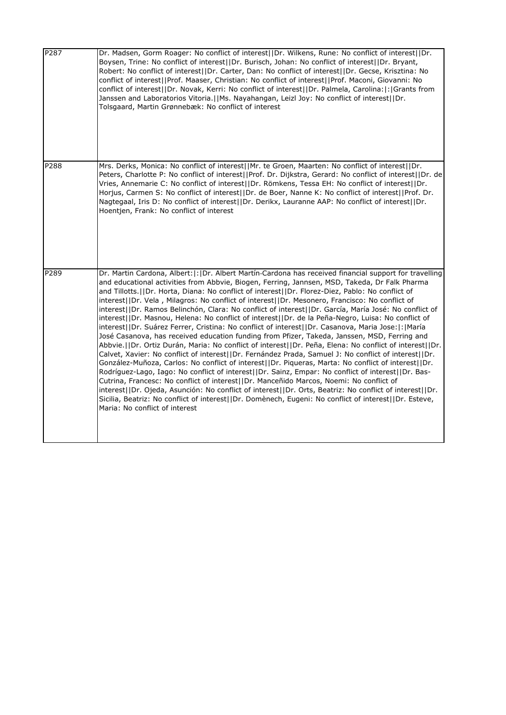| P287 | Dr. Madsen, Gorm Roager: No conflict of interest  Dr. Wilkens, Rune: No conflict of interest  Dr.<br>Boysen, Trine: No conflict of interest  Dr. Burisch, Johan: No conflict of interest  Dr. Bryant,<br>Robert: No conflict of interest  Dr. Carter, Dan: No conflict of interest  Dr. Gecse, Krisztina: No<br>conflict of interest  Prof. Maaser, Christian: No conflict of interest  Prof. Maconi, Giovanni: No<br>conflict of interest  Dr. Novak, Kerri: No conflict of interest  Dr. Palmela, Carolina: : Grants from<br>Janssen and Laboratorios Vitoria.  Ms. Nayahangan, Leizl Joy: No conflict of interest  Dr.<br>Tolsgaard, Martin Grønnebæk: No conflict of interest                                                                                                                                                                                                                                                                                                                                                                                                                                                                                                                                                                                                                                                                                                                                                                                                                                                                                                                                         |
|------|---------------------------------------------------------------------------------------------------------------------------------------------------------------------------------------------------------------------------------------------------------------------------------------------------------------------------------------------------------------------------------------------------------------------------------------------------------------------------------------------------------------------------------------------------------------------------------------------------------------------------------------------------------------------------------------------------------------------------------------------------------------------------------------------------------------------------------------------------------------------------------------------------------------------------------------------------------------------------------------------------------------------------------------------------------------------------------------------------------------------------------------------------------------------------------------------------------------------------------------------------------------------------------------------------------------------------------------------------------------------------------------------------------------------------------------------------------------------------------------------------------------------------------------------------------------------------------------------------------------------------|
| P288 | Mrs. Derks, Monica: No conflict of interest  Mr. te Groen, Maarten: No conflict of interest  Dr.<br>Peters, Charlotte P: No conflict of interest  Prof. Dr. Dijkstra, Gerard: No conflict of interest  Dr. de<br>Vries, Annemarie C: No conflict of interest  Dr. Römkens, Tessa EH: No conflict of interest  Dr.<br>Horjus, Carmen S: No conflict of interest  Dr. de Boer, Nanne K: No conflict of interest  Prof. Dr.<br>Nagtegaal, Iris D: No conflict of interest  Dr. Derikx, Lauranne AAP: No conflict of interest  Dr.<br>Hoentjen, Frank: No conflict of interest                                                                                                                                                                                                                                                                                                                                                                                                                                                                                                                                                                                                                                                                                                                                                                                                                                                                                                                                                                                                                                                |
| P289 | Dr. Martin Cardona, Albert:  :  Dr. Albert Martín-Cardona has received financial support for travelling<br>and educational activities from Abbvie, Biogen, Ferring, Jannsen, MSD, Takeda, Dr Falk Pharma<br>and Tillotts.     Dr. Horta, Diana: No conflict of interest    Dr. Florez-Diez, Pablo: No conflict of<br>interest  Dr. Vela, Milagros: No conflict of interest  Dr. Mesonero, Francisco: No conflict of<br>interest  Dr. Ramos Belinchón, Clara: No conflict of interest  Dr. García, María José: No conflict of<br>interest  Dr. Masnou, Helena: No conflict of interest  Dr. de la Peña-Negro, Luisa: No conflict of<br>interest  Dr. Suárez Ferrer, Cristina: No conflict of interest  Dr. Casanova, Maria Jose: : María<br>José Casanova, has received education funding from Pfizer, Takeda, Janssen, MSD, Ferring and<br>Abbvie.  Dr. Ortiz Durán, Maria: No conflict of interest  Dr. Peña, Elena: No conflict of interest  Dr.<br>Calvet, Xavier: No conflict of interest  Dr. Fernández Prada, Samuel J: No conflict of interest  Dr.<br>González-Muñoza, Carlos: No conflict of interest  Dr. Piqueras, Marta: No conflict of interest  Dr.<br>Rodríguez-Lago, Iago: No conflict of interest  Dr. Sainz, Empar: No conflict of interest  Dr. Bas-<br>Cutrina, Francesc: No conflict of interest   Dr. Manceñido Marcos, Noemi: No conflict of<br>interest  Dr. Ojeda, Asunción: No conflict of interest  Dr. Orts, Beatriz: No conflict of interest  Dr.<br>Sicilia, Beatriz: No conflict of interest  Dr. Domènech, Eugeni: No conflict of interest  Dr. Esteve,<br>Maria: No conflict of interest |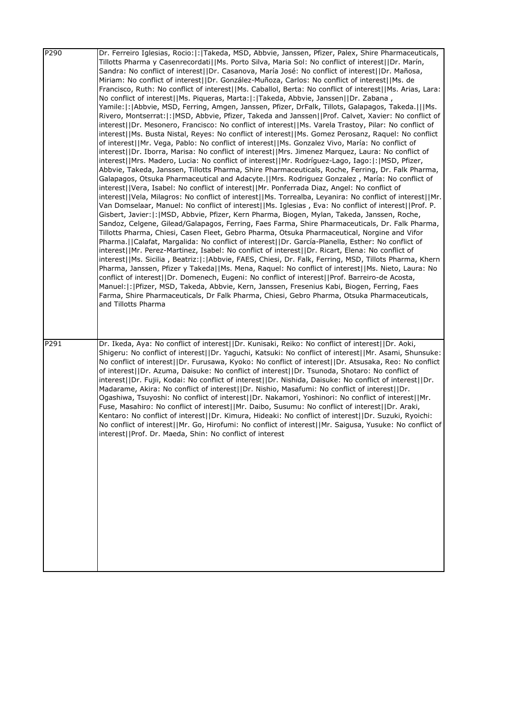| Dr. Ferreiro Iglesias, Rocio:  :  Takeda, MSD, Abbvie, Janssen, Pfizer, Palex, Shire Pharmaceuticals,<br>Tillotts Pharma y Casenrecordati  Ms. Porto Silva, Maria Sol: No conflict of interest  Dr. Marín,<br>Sandra: No conflict of interest  Dr. Casanova, María José: No conflict of interest  Dr. Mañosa,                                                                                                                                                                                                                                                                                                                                                                                                                                                                                                                                                                                                                                                                                                                                                                                                                                                                                                                                                                                                                                                                                                                                                                                                                                                                                                                                                                                                                                                                                                                                                                                                                                                                                                                                                                                                                                                                                                                                                                                                                                                                                                             |
|---------------------------------------------------------------------------------------------------------------------------------------------------------------------------------------------------------------------------------------------------------------------------------------------------------------------------------------------------------------------------------------------------------------------------------------------------------------------------------------------------------------------------------------------------------------------------------------------------------------------------------------------------------------------------------------------------------------------------------------------------------------------------------------------------------------------------------------------------------------------------------------------------------------------------------------------------------------------------------------------------------------------------------------------------------------------------------------------------------------------------------------------------------------------------------------------------------------------------------------------------------------------------------------------------------------------------------------------------------------------------------------------------------------------------------------------------------------------------------------------------------------------------------------------------------------------------------------------------------------------------------------------------------------------------------------------------------------------------------------------------------------------------------------------------------------------------------------------------------------------------------------------------------------------------------------------------------------------------------------------------------------------------------------------------------------------------------------------------------------------------------------------------------------------------------------------------------------------------------------------------------------------------------------------------------------------------------------------------------------------------------------------------------------------------|
| Miriam: No conflict of interest  Dr. González-Muñoza, Carlos: No conflict of interest  Ms. de<br>Francisco, Ruth: No conflict of interest  Ms. Caballol, Berta: No conflict of interest  Ms. Arias, Lara:                                                                                                                                                                                                                                                                                                                                                                                                                                                                                                                                                                                                                                                                                                                                                                                                                                                                                                                                                                                                                                                                                                                                                                                                                                                                                                                                                                                                                                                                                                                                                                                                                                                                                                                                                                                                                                                                                                                                                                                                                                                                                                                                                                                                                 |
| No conflict of interest  Ms. Piqueras, Marta: :  Takeda, Abbvie, Janssen  Dr. Zabana,<br>Yamile:  :  Abbvie, MSD, Ferring, Amgen, Janssen, Pfizer, DrFalk, Tillots, Galapagos, Takeda.      Ms.<br>Rivero, Montserrat:  :   MSD, Abbvie, Pfizer, Takeda and Janssen  Prof. Calvet, Xavier: No conflict of<br>interest  Dr. Mesonero, Francisco: No conflict of interest  Ms. Varela Trastoy, Pilar: No conflict of<br>interest  Ms. Busta Nistal, Reyes: No conflict of interest  Ms. Gomez Perosanz, Raquel: No conflict<br>of interest  Mr. Vega, Pablo: No conflict of interest  Ms. Gonzalez Vivo, María: No conflict of<br>interest  Dr. Iborra, Marisa: No conflict of interest  Mrs. Jimenez Marquez, Laura: No conflict of<br> interest  Mrs. Madero, Lucia: No conflict of interest  Mr. Rodríguez-Lago, Iago: : MSD, Pfizer,<br>Abbvie, Takeda, Janssen, Tillotts Pharma, Shire Pharmaceuticals, Roche, Ferring, Dr. Falk Pharma,<br>Galapagos, Otsuka Pharmaceutical and Adacyte. [IMrs. Rodriguez Gonzalez, María: No conflict of<br>interest  Vera, Isabel: No conflict of interest  Mr. Ponferrada Diaz, Angel: No conflict of<br>interest  Vela, Milagros: No conflict of interest  Ms. Torrealba, Leyanira: No conflict of interest  Mr.<br>Van Domselaar, Manuel: No conflict of interest  Ms. Iglesias, Eva: No conflict of interest  Prof. P.<br>Gisbert, Javier:  :   MSD, Abbvie, Pfizer, Kern Pharma, Biogen, Mylan, Takeda, Janssen, Roche,<br>Sandoz, Celgene, Gilead/Galapagos, Ferring, Faes Farma, Shire Pharmaceuticals, Dr. Falk Pharma,<br>Tillotts Pharma, Chiesi, Casen Fleet, Gebro Pharma, Otsuka Pharmaceutical, Norgine and Vifor<br>Pharma.   Calafat, Margalida: No conflict of interest    Dr. García-Planella, Esther: No conflict of<br>interest  Mr. Perez-Martinez, Isabel: No conflict of interest  Dr. Ricart, Elena: No conflict of<br>interest  Ms. Sicilia, Beatriz: : Abbvie, FAES, Chiesi, Dr. Falk, Ferring, MSD, Tillots Pharma, Khern<br>Pharma, Janssen, Pfizer y Takeda  Ms. Mena, Raquel: No conflict of interest  Ms. Nieto, Laura: No<br>conflict of interest  Dr. Domenech, Eugeni: No conflict of interest  Prof. Barreiro-de Acosta,<br>Manuel:  :   Pfizer, MSD, Takeda, Abbvie, Kern, Janssen, Fresenius Kabi, Biogen, Ferring, Faes<br>Farma, Shire Pharmaceuticals, Dr Falk Pharma, Chiesi, Gebro Pharma, Otsuka Pharmaceuticals,<br>and Tillotts Pharma |
| Dr. Ikeda, Aya: No conflict of interest  Dr. Kunisaki, Reiko: No conflict of interest  Dr. Aoki,<br>Shigeru: No conflict of interest  Dr. Yaguchi, Katsuki: No conflict of interest  Mr. Asami, Shunsuke:<br>No conflict of interest  Dr. Furusawa, Kyoko: No conflict of interest  Dr. Atsusaka, Reo: No conflict<br>of interest  Dr. Azuma, Daisuke: No conflict of interest  Dr. Tsunoda, Shotaro: No conflict of<br>interest  Dr. Fujii, Kodai: No conflict of interest  Dr. Nishida, Daisuke: No conflict of interest  Dr.<br>Madarame, Akira: No conflict of interest  Dr. Nishio, Masafumi: No conflict of interest  Dr.<br>Ogashiwa, Tsuyoshi: No conflict of interest  Dr. Nakamori, Yoshinori: No conflict of interest  Mr.<br>Fuse, Masahiro: No conflict of interest  Mr. Daibo, Susumu: No conflict of interest  Dr. Araki,<br>Kentaro: No conflict of interest  Dr. Kimura, Hideaki: No conflict of interest  Dr. Suzuki, Ryoichi:<br>No conflict of interest  Mr. Go, Hirofumi: No conflict of interest  Mr. Saigusa, Yusuke: No conflict of<br>interest  Prof. Dr. Maeda, Shin: No conflict of interest                                                                                                                                                                                                                                                                                                                                                                                                                                                                                                                                                                                                                                                                                                                                                                                                                                                                                                                                                                                                                                                                                                                                                                                                                                                                                                   |
|                                                                                                                                                                                                                                                                                                                                                                                                                                                                                                                                                                                                                                                                                                                                                                                                                                                                                                                                                                                                                                                                                                                                                                                                                                                                                                                                                                                                                                                                                                                                                                                                                                                                                                                                                                                                                                                                                                                                                                                                                                                                                                                                                                                                                                                                                                                                                                                                                           |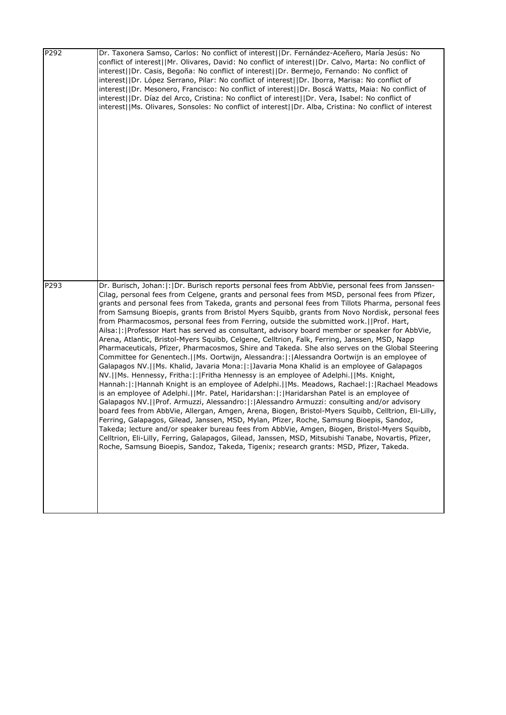| P292 | Dr. Taxonera Samso, Carlos: No conflict of interest  Dr. Fernández-Aceñero, María Jesús: No<br>conflict of interest  Mr. Olivares, David: No conflict of interest  Dr. Calvo, Marta: No conflict of<br>interest  Dr. Casis, Begoña: No conflict of interest  Dr. Bermejo, Fernando: No conflict of<br>interest  Dr. López Serrano, Pilar: No conflict of interest  Dr. Iborra, Marisa: No conflict of<br>interest  Dr. Mesonero, Francisco: No conflict of interest  Dr. Boscá Watts, Maia: No conflict of<br>interest  Dr. Díaz del Arco, Cristina: No conflict of interest  Dr. Vera, Isabel: No conflict of<br>interest  Ms. Olivares, Sonsoles: No conflict of interest  Dr. Alba, Cristina: No conflict of interest                                                                                                                                                                                                                                                                                                                                                                                                                                                                                                                                                                                                                                                                                                                                                                                                                                                                                                                                                                                                                                                                                                                                                                                           |
|------|--------------------------------------------------------------------------------------------------------------------------------------------------------------------------------------------------------------------------------------------------------------------------------------------------------------------------------------------------------------------------------------------------------------------------------------------------------------------------------------------------------------------------------------------------------------------------------------------------------------------------------------------------------------------------------------------------------------------------------------------------------------------------------------------------------------------------------------------------------------------------------------------------------------------------------------------------------------------------------------------------------------------------------------------------------------------------------------------------------------------------------------------------------------------------------------------------------------------------------------------------------------------------------------------------------------------------------------------------------------------------------------------------------------------------------------------------------------------------------------------------------------------------------------------------------------------------------------------------------------------------------------------------------------------------------------------------------------------------------------------------------------------------------------------------------------------------------------------------------------------------------------------------------------------|
| P293 | Dr. Burisch, Johan:  :  Dr. Burisch reports personal fees from AbbVie, personal fees from Janssen-<br>Cilag, personal fees from Celgene, grants and personal fees from MSD, personal fees from Pfizer,<br>grants and personal fees from Takeda, grants and personal fees from Tillots Pharma, personal fees<br>from Samsung Bioepis, grants from Bristol Myers Squibb, grants from Novo Nordisk, personal fees<br>from Pharmacosmos, personal fees from Ferring, outside the submitted work.     Prof. Hart,<br>Ailsa:  :   Professor Hart has served as consultant, advisory board member or speaker for AbbVie,<br>Arena, Atlantic, Bristol-Myers Squibb, Celgene, Celltrion, Falk, Ferring, Janssen, MSD, Napp<br>Pharmaceuticals, Pfizer, Pharmacosmos, Shire and Takeda. She also serves on the Global Steering<br>Committee for Genentech.   Ms. Oortwijn, Alessandra:  :   Alessandra Oortwijn is an employee of<br>Galapagos NV.  Ms. Khalid, Javaria Mona: : Javaria Mona Khalid is an employee of Galapagos<br>NV.  Ms. Hennessy, Fritha: : Fritha Hennessy is an employee of Adelphi.  Ms. Knight,<br>Hannah:  :  Hannah Knight is an employee of Adelphi.    Ms. Meadows, Rachael:  :  Rachael Meadows<br>is an employee of Adelphi.  Mr. Patel, Haridarshan: : Haridarshan Patel is an employee of<br>Galapagos NV.  Prof. Armuzzi, Alessandro: : Alessandro Armuzzi: consulting and/or advisory<br>board fees from AbbVie, Allergan, Amgen, Arena, Biogen, Bristol-Myers Squibb, Celltrion, Eli-Lilly,<br>Ferring, Galapagos, Gilead, Janssen, MSD, Mylan, Pfizer, Roche, Samsung Bioepis, Sandoz,<br>Takeda; lecture and/or speaker bureau fees from AbbVie, Amgen, Biogen, Bristol-Myers Squibb,<br>Celltrion, Eli-Lilly, Ferring, Galapagos, Gilead, Janssen, MSD, Mitsubishi Tanabe, Novartis, Pfizer,<br>Roche, Samsung Bioepis, Sandoz, Takeda, Tigenix; research grants: MSD, Pfizer, Takeda. |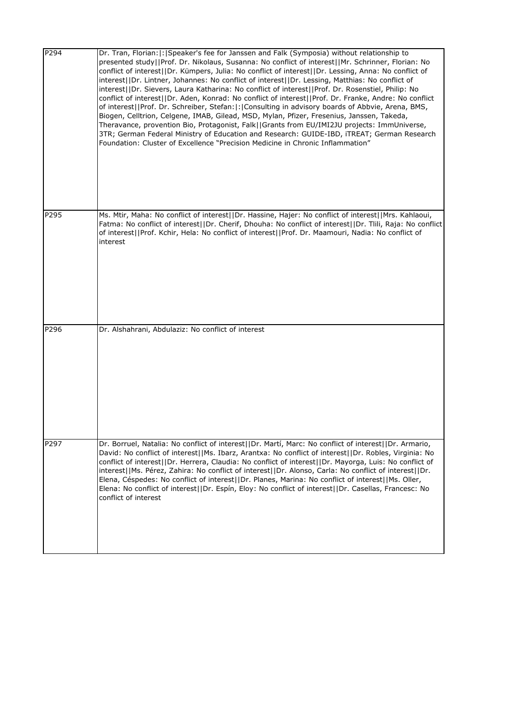| P294 | Dr. Tran, Florian:  :  Speaker's fee for Janssen and Falk (Symposia) without relationship to<br>presented study  Prof. Dr. Nikolaus, Susanna: No conflict of interest  Mr. Schrinner, Florian: No<br>conflict of interest  Dr. Kümpers, Julia: No conflict of interest  Dr. Lessing, Anna: No conflict of<br>interest  Dr. Lintner, Johannes: No conflict of interest  Dr. Lessing, Matthias: No conflict of<br>interest  Dr. Sievers, Laura Katharina: No conflict of interest  Prof. Dr. Rosenstiel, Philip: No<br>conflict of interest  Dr. Aden, Konrad: No conflict of interest  Prof. Dr. Franke, Andre: No conflict<br>of interest  Prof. Dr. Schreiber, Stefan: : Consulting in advisory boards of Abbvie, Arena, BMS,<br>Biogen, Celltrion, Celgene, IMAB, Gilead, MSD, Mylan, Pfizer, Fresenius, Janssen, Takeda,<br>Theravance, provention Bio, Protagonist, Falk  Grants from EU/IMI2JU projects: ImmUniverse,<br>3TR; German Federal Ministry of Education and Research: GUIDE-IBD, iTREAT; German Research<br>Foundation: Cluster of Excellence "Precision Medicine in Chronic Inflammation" |
|------|------------------------------------------------------------------------------------------------------------------------------------------------------------------------------------------------------------------------------------------------------------------------------------------------------------------------------------------------------------------------------------------------------------------------------------------------------------------------------------------------------------------------------------------------------------------------------------------------------------------------------------------------------------------------------------------------------------------------------------------------------------------------------------------------------------------------------------------------------------------------------------------------------------------------------------------------------------------------------------------------------------------------------------------------------------------------------------------------------------|
| P295 | Ms. Mtir, Maha: No conflict of interest  Dr. Hassine, Hajer: No conflict of interest  Mrs. Kahlaoui,<br>Fatma: No conflict of interest  Dr. Cherif, Dhouha: No conflict of interest  Dr. Tlili, Raja: No conflict<br>of interest  Prof. Kchir, Hela: No conflict of interest  Prof. Dr. Maamouri, Nadia: No conflict of<br>interest                                                                                                                                                                                                                                                                                                                                                                                                                                                                                                                                                                                                                                                                                                                                                                        |
| P296 | Dr. Alshahrani, Abdulaziz: No conflict of interest                                                                                                                                                                                                                                                                                                                                                                                                                                                                                                                                                                                                                                                                                                                                                                                                                                                                                                                                                                                                                                                         |
| P297 | Dr. Borruel, Natalia: No conflict of interest  Dr. Martí, Marc: No conflict of interest  Dr. Armario,<br>David: No conflict of interest  Ms. Ibarz, Arantxa: No conflict of interest  Dr. Robles, Virginia: No<br>conflict of interest  Dr. Herrera, Claudia: No conflict of interest  Dr. Mayorga, Luis: No conflict of<br>interest  Ms. Pérez, Zahira: No conflict of interest  Dr. Alonso, Carla: No conflict of interest  Dr.<br>Elena, Céspedes: No conflict of interest  Dr. Planes, Marina: No conflict of interest  Ms. Oller,<br>Elena: No conflict of interest  Dr. Espín, Eloy: No conflict of interest  Dr. Casellas, Francesc: No<br>conflict of interest                                                                                                                                                                                                                                                                                                                                                                                                                                     |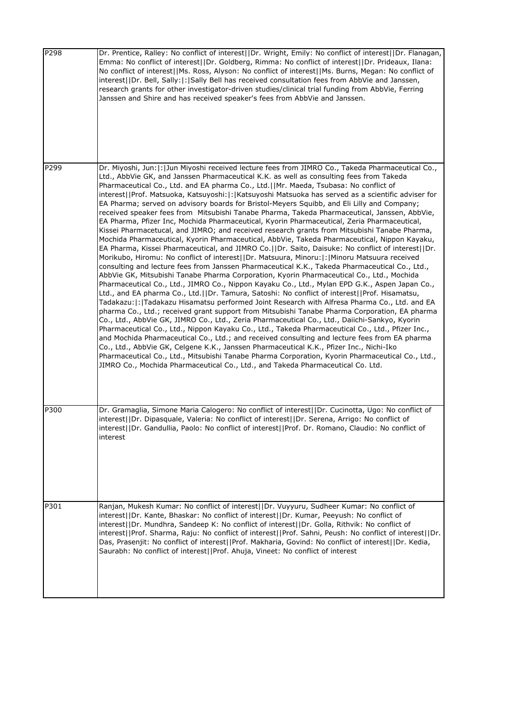| P298 | Dr. Prentice, Ralley: No conflict of interest  Dr. Wright, Emily: No conflict of interest  Dr. Flanagan,<br>Emma: No conflict of interest  Dr. Goldberg, Rimma: No conflict of interest  Dr. Prideaux, Ilana:<br>No conflict of interest  Ms. Ross, Alyson: No conflict of interest  Ms. Burns, Megan: No conflict of<br>interest  Dr. Bell, Sally: : Sally Bell has received consultation fees from AbbVie and Janssen,<br>research grants for other investigator-driven studies/clinical trial funding from AbbVie, Ferring<br>Janssen and Shire and has received speaker's fees from AbbVie and Janssen.                                                                                                                                                                                                                                                                                                                                                                                                                                                                                                                                                                                                                                                                                                                                                                                                                                                                                                                                                                                                                                                                                                                                                                                                                                                                                                                                                                                                                                                                                                                                                                                                                                                                                 |
|------|---------------------------------------------------------------------------------------------------------------------------------------------------------------------------------------------------------------------------------------------------------------------------------------------------------------------------------------------------------------------------------------------------------------------------------------------------------------------------------------------------------------------------------------------------------------------------------------------------------------------------------------------------------------------------------------------------------------------------------------------------------------------------------------------------------------------------------------------------------------------------------------------------------------------------------------------------------------------------------------------------------------------------------------------------------------------------------------------------------------------------------------------------------------------------------------------------------------------------------------------------------------------------------------------------------------------------------------------------------------------------------------------------------------------------------------------------------------------------------------------------------------------------------------------------------------------------------------------------------------------------------------------------------------------------------------------------------------------------------------------------------------------------------------------------------------------------------------------------------------------------------------------------------------------------------------------------------------------------------------------------------------------------------------------------------------------------------------------------------------------------------------------------------------------------------------------------------------------------------------------------------------------------------------------|
| P299 | Dr. Miyoshi, Jun:  :  Jun Miyoshi received lecture fees from JIMRO Co., Takeda Pharmaceutical Co.,<br>Ltd., AbbVie GK, and Janssen Pharmaceutical K.K. as well as consulting fees from Takeda<br>Pharmaceutical Co., Ltd. and EA pharma Co., Ltd.   Mr. Maeda, Tsubasa: No conflict of<br>interest  Prof. Matsuoka, Katsuyoshi: : Katsuyoshi Matsuoka has served as a scientific adviser for<br>EA Pharma; served on advisory boards for Bristol-Meyers Squibb, and Eli Lilly and Company;<br>received speaker fees from Mitsubishi Tanabe Pharma, Takeda Pharmaceutical, Janssen, AbbVie,<br>EA Pharma, Pfizer Inc, Mochida Pharmaceutical, Kyorin Pharmaceutical, Zeria Pharmaceutical,<br>Kissei Pharmacetucal, and JIMRO; and received research grants from Mitsubishi Tanabe Pharma,<br>Mochida Pharmaceutical, Kyorin Pharmaceutical, AbbVie, Takeda Pharmaceutical, Nippon Kayaku,<br>EA Pharma, Kissei Pharmaceutical, and JIMRO Co.   Dr. Saito, Daisuke: No conflict of interest  Dr.<br>Morikubo, Hiromu: No conflict of interest  Dr. Matsuura, Minoru: : Minoru Matsuura received<br>consulting and lecture fees from Janssen Pharmaceutical K.K., Takeda Pharmaceutical Co., Ltd.,<br>AbbVie GK, Mitsubishi Tanabe Pharma Corporation, Kyorin Pharmaceutical Co., Ltd., Mochida<br>Pharmaceutical Co., Ltd., JIMRO Co., Nippon Kayaku Co., Ltd., Mylan EPD G.K., Aspen Japan Co.,<br>Ltd., and EA pharma Co., Ltd.  Dr. Tamura, Satoshi: No conflict of interest  Prof. Hisamatsu,<br>Tadakazu:  :  Tadakazu Hisamatsu performed Joint Research with Alfresa Pharma Co., Ltd. and EA<br>pharma Co., Ltd.; received grant support from Mitsubishi Tanabe Pharma Corporation, EA pharma<br>Co., Ltd., AbbVie GK, JIMRO Co., Ltd., Zeria Pharmaceutical Co., Ltd., Daiichi-Sankyo, Kyorin<br>Pharmaceutical Co., Ltd., Nippon Kayaku Co., Ltd., Takeda Pharmaceutical Co., Ltd., Pfizer Inc.,<br>and Mochida Pharmaceutical Co., Ltd.; and received consulting and lecture fees from EA pharma<br>Co., Ltd., AbbVie GK, Celgene K.K., Janssen Pharmaceutical K.K., Pfizer Inc., Nichi-Iko<br>Pharmaceutical Co., Ltd., Mitsubishi Tanabe Pharma Corporation, Kyorin Pharmaceutical Co., Ltd.,<br>JIMRO Co., Mochida Pharmaceutical Co., Ltd., and Takeda Pharmaceutical Co. Ltd. |
| P300 | Dr. Gramaglia, Simone Maria Calogero: No conflict of interest  Dr. Cucinotta, Ugo: No conflict of<br>interest  Dr. Dipasquale, Valeria: No conflict of interest  Dr. Serena, Arrigo: No conflict of<br>interest  Dr. Gandullia, Paolo: No conflict of interest  Prof. Dr. Romano, Claudio: No conflict of<br>interest                                                                                                                                                                                                                                                                                                                                                                                                                                                                                                                                                                                                                                                                                                                                                                                                                                                                                                                                                                                                                                                                                                                                                                                                                                                                                                                                                                                                                                                                                                                                                                                                                                                                                                                                                                                                                                                                                                                                                                       |
| P301 | Ranjan, Mukesh Kumar: No conflict of interest  Dr. Vuyyuru, Sudheer Kumar: No conflict of<br>interest  Dr. Kante, Bhaskar: No conflict of interest  Dr. Kumar, Peeyush: No conflict of<br>interest  Dr. Mundhra, Sandeep K: No conflict of interest  Dr. Golla, Rithvik: No conflict of<br>interest  Prof. Sharma, Raju: No conflict of interest  Prof. Sahni, Peush: No conflict of interest  Dr.<br>Das, Prasenjit: No conflict of interest  Prof. Makharia, Govind: No conflict of interest  Dr. Kedia,<br>Saurabh: No conflict of interest  Prof. Ahuja, Vineet: No conflict of interest                                                                                                                                                                                                                                                                                                                                                                                                                                                                                                                                                                                                                                                                                                                                                                                                                                                                                                                                                                                                                                                                                                                                                                                                                                                                                                                                                                                                                                                                                                                                                                                                                                                                                                |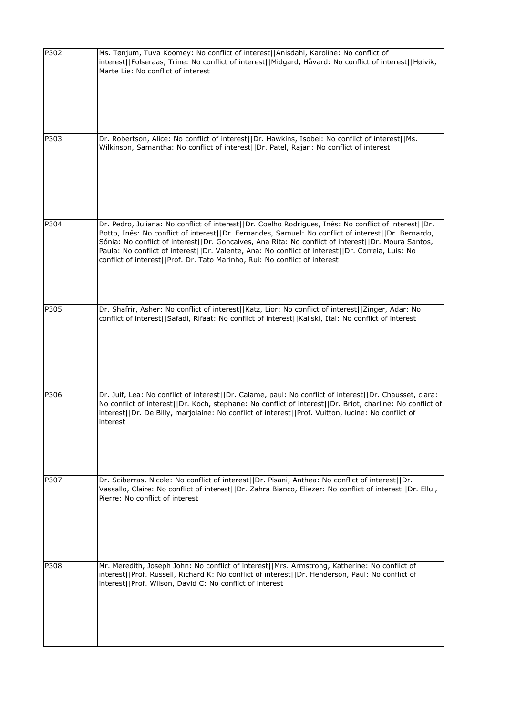| P302 | Ms. Tønjum, Tuva Koomey: No conflict of interest  Anisdahl, Karoline: No conflict of<br>interest  Folseraas, Trine: No conflict of interest  Midgard, Håvard: No conflict of interest  Høivik,<br>Marte Lie: No conflict of interest                                                                                                                                                                                                                                                                  |
|------|-------------------------------------------------------------------------------------------------------------------------------------------------------------------------------------------------------------------------------------------------------------------------------------------------------------------------------------------------------------------------------------------------------------------------------------------------------------------------------------------------------|
| P303 | Dr. Robertson, Alice: No conflict of interest  Dr. Hawkins, Isobel: No conflict of interest  Ms.<br>Wilkinson, Samantha: No conflict of interest  Dr. Patel, Rajan: No conflict of interest                                                                                                                                                                                                                                                                                                           |
| P304 | Dr. Pedro, Juliana: No conflict of interest  Dr. Coelho Rodrigues, Inês: No conflict of interest  Dr.<br>Botto, Inês: No conflict of interest  Dr. Fernandes, Samuel: No conflict of interest  Dr. Bernardo,<br>Sónia: No conflict of interest  Dr. Gonçalves, Ana Rita: No conflict of interest  Dr. Moura Santos,<br>Paula: No conflict of interest  Dr. Valente, Ana: No conflict of interest  Dr. Correia, Luis: No<br>conflict of interest  Prof. Dr. Tato Marinho, Rui: No conflict of interest |
| P305 | Dr. Shafrir, Asher: No conflict of interest  Katz, Lior: No conflict of interest  Zinger, Adar: No<br>conflict of interest  Safadi, Rifaat: No conflict of interest  Kaliski, Itai: No conflict of interest                                                                                                                                                                                                                                                                                           |
| P306 | Dr. Juif, Lea: No conflict of interest  Dr. Calame, paul: No conflict of interest  Dr. Chausset, clara:<br>No conflict of interest  Dr. Koch, stephane: No conflict of interest  Dr. Briot, charline: No conflict of<br>interest  Dr. De Billy, marjolaine: No conflict of interest  Prof. Vuitton, lucine: No conflict of<br>interest                                                                                                                                                                |
| P307 | Dr. Sciberras, Nicole: No conflict of interest  Dr. Pisani, Anthea: No conflict of interest  Dr.<br>Vassallo, Claire: No conflict of interest  Dr. Zahra Bianco, Eliezer: No conflict of interest  Dr. Ellul,<br>Pierre: No conflict of interest                                                                                                                                                                                                                                                      |
| P308 | Mr. Meredith, Joseph John: No conflict of interest  Mrs. Armstrong, Katherine: No conflict of<br>interest  Prof. Russell, Richard K: No conflict of interest  Dr. Henderson, Paul: No conflict of<br>interest  Prof. Wilson, David C: No conflict of interest                                                                                                                                                                                                                                         |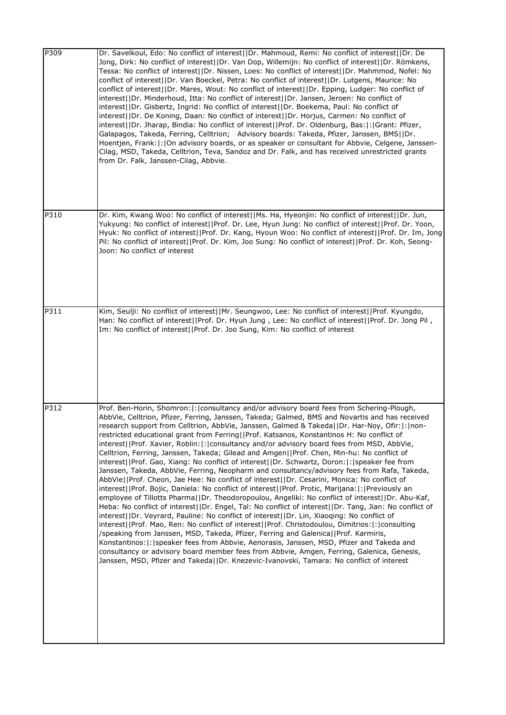| P309 | Dr. Savelkoul, Edo: No conflict of interest  Dr. Mahmoud, Remi: No conflict of interest  Dr. De<br>Jong, Dirk: No conflict of interest  Dr. Van Dop, Willemijn: No conflict of interest  Dr. Römkens,<br>Tessa: No conflict of interest  Dr. Nissen, Loes: No conflict of interest  Dr. Mahmmod, Nofel: No<br>conflict of interest  Dr. Van Boeckel, Petra: No conflict of interest  Dr. Lutgens, Maurice: No<br>conflict of interest  Dr. Mares, Wout: No conflict of interest  Dr. Epping, Ludger: No conflict of<br>interest  Dr. Minderhoud, Itta: No conflict of interest  Dr. Jansen, Jeroen: No conflict of<br>interest  Dr. Gisbertz, Ingrid: No conflict of interest  Dr. Boekema, Paul: No conflict of<br>interest  Dr. De Koning, Daan: No conflict of interest  Dr. Horjus, Carmen: No conflict of<br>interest  Dr. Jharap, Bindia: No conflict of interest  Prof. Dr. Oldenburg, Bas: : Grant: Pfizer,<br>Galapagos, Takeda, Ferring, Celltrion; Advisory boards: Takeda, Pfizer, Janssen, BMS  Dr.<br>Hoentjen, Frank:  :  On advisory boards, or as speaker or consultant for Abbvie, Celgene, Janssen-<br>Cilag, MSD, Takeda, Celltrion, Teva, Sandoz and Dr. Falk, and has received unrestricted grants<br>from Dr. Falk, Janssen-Cilag, Abbvie.                                                                                                                                                                                                                                                                                                                                                                                                                                                                                                                    |
|------|--------------------------------------------------------------------------------------------------------------------------------------------------------------------------------------------------------------------------------------------------------------------------------------------------------------------------------------------------------------------------------------------------------------------------------------------------------------------------------------------------------------------------------------------------------------------------------------------------------------------------------------------------------------------------------------------------------------------------------------------------------------------------------------------------------------------------------------------------------------------------------------------------------------------------------------------------------------------------------------------------------------------------------------------------------------------------------------------------------------------------------------------------------------------------------------------------------------------------------------------------------------------------------------------------------------------------------------------------------------------------------------------------------------------------------------------------------------------------------------------------------------------------------------------------------------------------------------------------------------------------------------------------------------------------------------------------------------------------------------------------------------------------------------|
| P310 | Dr. Kim, Kwang Woo: No conflict of interest  Ms. Ha, Hyeonjin: No conflict of interest  Dr. Jun,<br>Yukyung: No conflict of interest  Prof. Dr. Lee, Hyun Jung: No conflict of interest  Prof. Dr. Yoon,<br>Hyuk: No conflict of interest  Prof. Dr. Kang, Hyoun Woo: No conflict of interest  Prof. Dr. Im, Jong<br>Pil: No conflict of interest  Prof. Dr. Kim, Joo Sung: No conflict of interest  Prof. Dr. Koh, Seong-<br>Joon: No conflict of interest                                                                                                                                                                                                                                                                                                                                                                                                                                                                                                                                                                                                                                                                                                                                                                                                                                                                                                                                                                                                                                                                                                                                                                                                                                                                                                                          |
| P311 | Kim, Seulji: No conflict of interest  Mr. Seungwoo, Lee: No conflict of interest  Prof. Kyungdo,<br>Han: No conflict of interest  Prof. Dr. Hyun Jung, Lee: No conflict of interest  Prof. Dr. Jong Pil,<br>Im: No conflict of interest  Prof. Dr. Joo Sung, Kim: No conflict of interest                                                                                                                                                                                                                                                                                                                                                                                                                                                                                                                                                                                                                                                                                                                                                                                                                                                                                                                                                                                                                                                                                                                                                                                                                                                                                                                                                                                                                                                                                            |
| P312 | Prof. Ben-Horin, Shomron:  :   consultancy and/or advisory board fees from Schering-Plough,<br>AbbVie, Celltrion, Pfizer, Ferring, Janssen, Takeda; Galmed, BMS and Novartis and has received<br>research support from Celltrion, AbbVie, Janssen, Galmed & Takeda  Dr. Har-Noy, Ofir: : non-<br>restricted educational grant from Ferring  Prof. Katsanos, Konstantinos H: No conflict of<br>interest  Prof. Xavier, Roblin: : consultancy and/or advisory board fees from MSD, AbbVie,<br>Celltrion, Ferring, Janssen, Takeda; Gilead and Amgen  Prof. Chen, Min-hu: No conflict of<br>interest  Prof. Gao, Xiang: No conflict of interest  Dr. Schwartz, Doron: : speaker fee from<br>Janssen, Takeda, AbbVie, Ferring, Neopharm and consultancy/advisory fees from Rafa, Takeda,<br>AbbVie  Prof. Cheon, Jae Hee: No conflict of interest  Dr. Cesarini, Monica: No conflict of<br>interest  Prof. Bojic, Daniela: No conflict of interest  Prof. Protic, Marijana: : Previously an<br>employee of Tillotts Pharma  Dr. Theodoropoulou, Angeliki: No conflict of interest  Dr. Abu-Kaf,<br>Heba: No conflict of interest  Dr. Engel, Tal: No conflict of interest  Dr. Tang, Jian: No conflict of<br>interest  Dr. Veyrard, Pauline: No conflict of interest  Dr. Lin, Xiaoqing: No conflict of<br>interest  Prof. Mao, Ren: No conflict of interest  Prof. Christodoulou, Dimitrios: : consulting<br>/speaking from Janssen, MSD, Takeda, Pfizer, Ferring and Galenica  Prof. Karmiris,<br>Konstantinos:  :   speaker fees from Abbvie, Aenorasis, Janssen, MSD, Pfizer and Takeda and<br>consultancy or advisory board member fees from Abbvie, Amgen, Ferring, Galenica, Genesis,<br>Janssen, MSD, Pfizer and Takeda  Dr. Knezevic-Ivanovski, Tamara: No conflict of interest |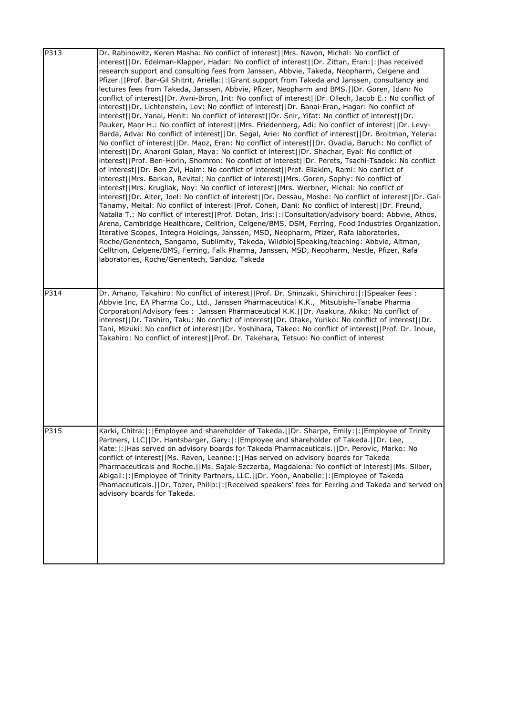| P313 | Dr. Rabinowitz, Keren Masha: No conflict of interest  Mrs. Navon, Michal: No conflict of<br>interest  Dr. Edelman-Klapper, Hadar: No conflict of interest  Dr. Zittan, Eran: : has received<br>research support and consulting fees from Janssen, Abbvie, Takeda, Neopharm, Celgene and<br>Pfizer.   Prof. Bar-Gil Shitrit, Ariella: :  Grant support from Takeda and Janssen, consultancy and<br>lectures fees from Takeda, Janssen, Abbvie, Pfizer, Neopharm and BMS.  Dr. Goren, Idan: No<br>conflict of interest  Dr. Avni-Biron, Irit: No conflict of interest  Dr. Ollech, Jacob E.: No conflict of<br>interest  Dr. Lichtenstein, Lev: No conflict of interest  Dr. Banai-Eran, Hagar: No conflict of<br>interest  Dr. Yanai, Henit: No conflict of interest  Dr. Snir, Yifat: No conflict of interest  Dr.<br>Pauker, Maor H.: No conflict of interest  Mrs. Friedenberg, Adi: No conflict of interest  Dr. Levy-<br>Barda, Adva: No conflict of interest  Dr. Segal, Arie: No conflict of interest  Dr. Broitman, Yelena:<br>No conflict of interest  Dr. Maoz, Eran: No conflict of interest  Dr. Ovadia, Baruch: No conflict of<br>interest  Dr. Aharoni Golan, Maya: No conflict of interest  Dr. Shachar, Eyal: No conflict of<br>interest  Prof. Ben-Horin, Shomron: No conflict of interest  Dr. Perets, Tsachi-Tsadok: No conflict<br>of interest  Dr. Ben Zvi, Haim: No conflict of interest  Prof. Eliakim, Rami: No conflict of<br>interest  Mrs. Barkan, Revital: No conflict of interest  Mrs. Goren, Sophy: No conflict of<br>interest  Mrs. Krugliak, Noy: No conflict of interest  Mrs. Werbner, Michal: No conflict of<br>interest  Dr. Alter, Joel: No conflict of interest  Dr. Dessau, Moshe: No conflict of interest  Dr. Gal-<br>Tanamy, Meital: No conflict of interest  Prof. Cohen, Dani: No conflict of interest  Dr. Freund,<br>Natalia T.: No conflict of interest  Prof. Dotan, Iris: : Consultation/advisory board: Abbvie, Athos,<br>Arena, Cambridge Healthcare, Celltrion, Celgene/BMS, DSM, Ferring, Food Industries Organization,<br>Iterative Scopes, Integra Holdings, Janssen, MSD, Neopharm, Pfizer, Rafa laboratories,<br>Roche/Genentech, Sangamo, Sublimity, Takeda, Wildbio Speaking/teaching: Abbvie, Altman,<br>Celltrion, Celgene/BMS, Ferring, Falk Pharma, Janssen, MSD, Neopharm, Nestle, Pfizer, Rafa<br>laboratories, Roche/Genentech, Sandoz, Takeda |
|------|------------------------------------------------------------------------------------------------------------------------------------------------------------------------------------------------------------------------------------------------------------------------------------------------------------------------------------------------------------------------------------------------------------------------------------------------------------------------------------------------------------------------------------------------------------------------------------------------------------------------------------------------------------------------------------------------------------------------------------------------------------------------------------------------------------------------------------------------------------------------------------------------------------------------------------------------------------------------------------------------------------------------------------------------------------------------------------------------------------------------------------------------------------------------------------------------------------------------------------------------------------------------------------------------------------------------------------------------------------------------------------------------------------------------------------------------------------------------------------------------------------------------------------------------------------------------------------------------------------------------------------------------------------------------------------------------------------------------------------------------------------------------------------------------------------------------------------------------------------------------------------------------------------------------------------------------------------------------------------------------------------------------------------------------------------------------------------------------------------------------------------------------------------------------------------------------------------------------------------------------------------------------------------------------------------------------------------------------------------------------------------------------------------------|
| P314 | Dr. Amano, Takahiro: No conflict of interest  Prof. Dr. Shinzaki, Shinichiro: : Speaker fees :<br>Abbvie Inc, EA Pharma Co., Ltd., Janssen Pharmaceutical K.K., Mitsubishi-Tanabe Pharma<br>Corporation   Advisory fees: Janssen Pharmaceutical K.K.     Dr. Asakura, Akiko: No conflict of<br>interest  Dr. Tashiro, Taku: No conflict of interest  Dr. Otake, Yuriko: No conflict of interest  Dr.<br>Tani, Mizuki: No conflict of interest  Dr. Yoshihara, Takeo: No conflict of interest  Prof. Dr. Inoue,<br>Takahiro: No conflict of interest  Prof. Dr. Takehara, Tetsuo: No conflict of interest                                                                                                                                                                                                                                                                                                                                                                                                                                                                                                                                                                                                                                                                                                                                                                                                                                                                                                                                                                                                                                                                                                                                                                                                                                                                                                                                                                                                                                                                                                                                                                                                                                                                                                                                                                                                         |
| P315 | Karki, Chitra: : Employee and shareholder of Takeda.  Dr. Sharpe, Emily: : Employee of Trinity <br>Partners, LLC  Dr. Hantsbarger, Gary: : Employee and shareholder of Takeda.  Dr. Lee,<br>Kate:  :  Has served on advisory boards for Takeda Pharmaceuticals.    Dr. Perovic, Marko: No<br>conflict of interest  Ms. Raven, Leanne: : Has served on advisory boards for Takeda<br>Pharmaceuticals and Roche.   Ms. Sajak-Szczerba, Magdalena: No conflict of interest  Ms. Silber,<br>Abigail:  :   Employee of Trinity Partners, LLC.     Dr. Yoon, Anabelle:  :   Employee of Takeda<br>Phamaceuticals.   IDr. Tozer, Philip:  :   Received speakers' fees for Ferring and Takeda and served on<br>advisory boards for Takeda.                                                                                                                                                                                                                                                                                                                                                                                                                                                                                                                                                                                                                                                                                                                                                                                                                                                                                                                                                                                                                                                                                                                                                                                                                                                                                                                                                                                                                                                                                                                                                                                                                                                                               |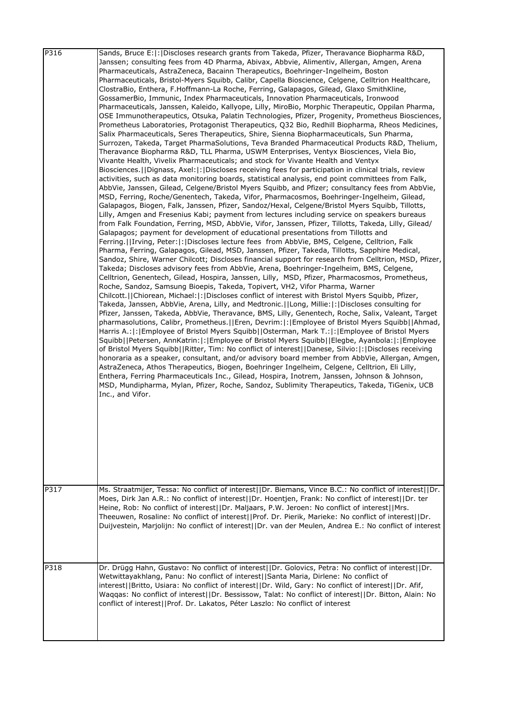| P316 | Sands, Bruce E:  :   Discloses research grants from Takeda, Pfizer, Theravance Biopharma R&D,<br>Janssen; consulting fees from 4D Pharma, Abivax, Abbvie, Alimentiv, Allergan, Amgen, Arena              |
|------|----------------------------------------------------------------------------------------------------------------------------------------------------------------------------------------------------------|
|      | Pharmaceuticals, AstraZeneca, Bacainn Therapeutics, Boehringer-Ingelheim, Boston                                                                                                                         |
|      | Pharmaceuticals, Bristol-Myers Squibb, Calibr, Capella Bioscience, Celgene, Celltrion Healthcare,<br>ClostraBio, Enthera, F.Hoffmann-La Roche, Ferring, Galapagos, Gilead, Glaxo SmithKline,             |
|      | GossamerBio, Immunic, Index Pharmaceuticals, Innovation Pharmaceuticals, Ironwood                                                                                                                        |
|      | Pharmaceuticals, Janssen, Kaleido, Kallyope, Lilly, MiroBio, Morphic Therapeutic, Oppilan Pharma,                                                                                                        |
|      | OSE Immunotherapeutics, Otsuka, Palatin Technologies, Pfizer, Progenity, Prometheus Biosciences,<br>Prometheus Laboratories, Protagonist Therapeutics, Q32 Bio, Redhill Biopharma, Rheos Medicines,      |
|      | Salix Pharmaceuticals, Seres Therapeutics, Shire, Sienna Biopharmaceuticals, Sun Pharma,                                                                                                                 |
|      | Surrozen, Takeda, Target PharmaSolutions, Teva Branded Pharmaceutical Products R&D, Thelium,                                                                                                             |
|      | Theravance Biopharma R&D, TLL Pharma, USWM Enterprises, Ventyx Biosciences, Viela Bio,<br>Vivante Health, Vivelix Pharmaceuticals; and stock for Vivante Health and Ventyx                               |
|      | Biosciences.  Dignass, Axel: : Discloses receiving fees for participation in clinical trials, review                                                                                                     |
|      | activities, such as data monitoring boards, statistical analysis, end point committees from Falk,                                                                                                        |
|      | AbbVie, Janssen, Gilead, Celgene/Bristol Myers Squibb, and Pfizer; consultancy fees from AbbVie,                                                                                                         |
|      | MSD, Ferring, Roche/Genentech, Takeda, Vifor, Pharmacosmos, Boehringer-Ingelheim, Gilead,<br>Galapagos, Biogen, Falk, Janssen, Pfizer, Sandoz/Hexal, Celgene/Bristol Myers Squibb, Tillotts,             |
|      | Lilly, Amgen and Fresenius Kabi; payment from lectures including service on speakers bureaus                                                                                                             |
|      | from Falk Foundation, Ferring, MSD, AbbVie, Vifor, Janssen, Pfizer, Tillotts, Takeda, Lilly, Gilead/                                                                                                     |
|      | Galapagos; payment for development of educational presentations from Tillotts and<br>Ferring.   Irving, Peter:  :  Discloses lecture fees from AbbVie, BMS, Celgene, Celltrion, Falk                     |
|      | Pharma, Ferring, Galapagos, Gilead, MSD, Janssen, Pfizer, Takeda, Tillotts, Sapphire Medical,                                                                                                            |
|      | Sandoz, Shire, Warner Chilcott; Discloses financial support for research from Celltrion, MSD, Pfizer,                                                                                                    |
|      | Takeda; Discloses advisory fees from AbbVie, Arena, Boehringer-Ingelheim, BMS, Celgene,                                                                                                                  |
|      | Celltrion, Genentech, Gilead, Hospira, Janssen, Lilly, MSD, Pfizer, Pharmacosmos, Prometheus,<br>Roche, Sandoz, Samsung Bioepis, Takeda, Topivert, VH2, Vifor Pharma, Warner                             |
|      | Chilcott.   Chiorean, Michael:   :   Discloses conflict of interest with Bristol Myers Squibb, Pfizer,                                                                                                   |
|      | Takeda, Janssen, AbbVie, Arena, Lilly, and Medtronic.  Long, Millie: : Discloses consulting for                                                                                                          |
|      | Pfizer, Janssen, Takeda, AbbVie, Theravance, BMS, Lilly, Genentech, Roche, Salix, Valeant, Target<br>pharmasolutions, Calibr, Prometheus. [[Eren, Devrim:  : [Employee of Bristol Myers Squibb]   Ahmad, |
|      | Harris A.:  :   Employee of Bristol Myers Squibb  Osterman, Mark T.:  :   Employee of Bristol Myers                                                                                                      |
|      | Squibb  Petersen, AnnKatrin: : Employee of Bristol Myers Squibb  Elegbe, Ayanbola: : Employee                                                                                                            |
|      | of Bristol Myers Squibb  Ritter, Tim: No conflict of interest  Danese, Silvio: : Discloses receiving                                                                                                     |
|      | honoraria as a speaker, consultant, and/or advisory board member from AbbVie, Allergan, Amgen,<br>AstraZeneca, Athos Therapeutics, Biogen, Boehringer Ingelheim, Celgene, Celltrion, Eli Lilly,          |
|      | Enthera, Ferring Pharmaceuticals Inc., Gilead, Hospira, Inotrem, Janssen, Johnson & Johnson,                                                                                                             |
|      | MSD, Mundipharma, Mylan, Pfizer, Roche, Sandoz, Sublimity Therapeutics, Takeda, TiGenix, UCB                                                                                                             |
|      | Inc., and Vifor.                                                                                                                                                                                         |
|      |                                                                                                                                                                                                          |
|      |                                                                                                                                                                                                          |
|      |                                                                                                                                                                                                          |
|      |                                                                                                                                                                                                          |
|      |                                                                                                                                                                                                          |
|      |                                                                                                                                                                                                          |
|      |                                                                                                                                                                                                          |
| P317 | Ms. Straatmijer, Tessa: No conflict of interest  Dr. Biemans, Vince B.C.: No conflict of interest  Dr.                                                                                                   |
|      | Moes, Dirk Jan A.R.: No conflict of interest  Dr. Hoentjen, Frank: No conflict of interest  Dr. ter<br>Heine, Rob: No conflict of interest  Dr. Maljaars, P.W. Jeroen: No conflict of interest  Mrs.     |
|      | Theeuwen, Rosaline: No conflict of interest  Prof. Dr. Pierik, Marieke: No conflict of interest  Dr.                                                                                                     |
|      | Duijvestein, Marjolijn: No conflict of interest  Dr. van der Meulen, Andrea E.: No conflict of interest                                                                                                  |
|      |                                                                                                                                                                                                          |
|      |                                                                                                                                                                                                          |
| P318 | Dr. Drügg Hahn, Gustavo: No conflict of interest  Dr. Golovics, Petra: No conflict of interest  Dr.                                                                                                      |
|      | Wetwittayakhlang, Panu: No conflict of interest  Santa Maria, Dirlene: No conflict of                                                                                                                    |
|      | interest  Britto, Usiara: No conflict of interest  Dr. Wild, Gary: No conflict of interest  Dr. Afif,                                                                                                    |
|      | Waqqas: No conflict of interest  Dr. Bessissow, Talat: No conflict of interest  Dr. Bitton, Alain: No                                                                                                    |
|      | conflict of interest  Prof. Dr. Lakatos, Péter Laszlo: No conflict of interest                                                                                                                           |
|      |                                                                                                                                                                                                          |
|      |                                                                                                                                                                                                          |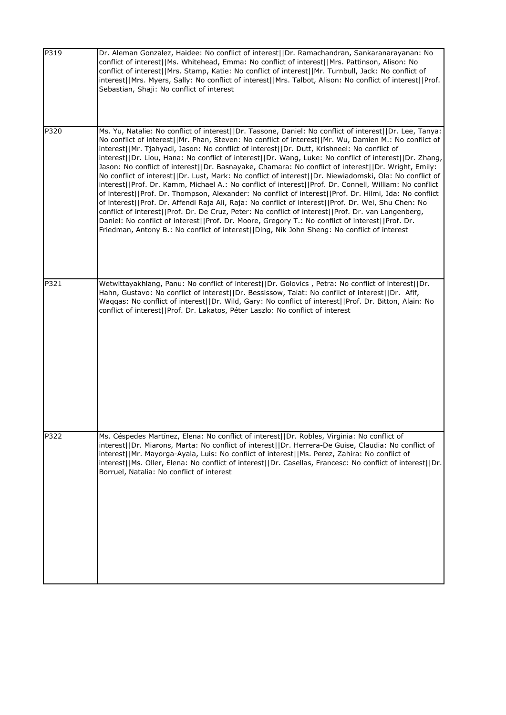| P319 | Dr. Aleman Gonzalez, Haidee: No conflict of interest  Dr. Ramachandran, Sankaranarayanan: No<br>conflict of interest  Ms. Whitehead, Emma: No conflict of interest  Mrs. Pattinson, Alison: No<br>conflict of interest  Mrs. Stamp, Katie: No conflict of interest  Mr. Turnbull, Jack: No conflict of<br>interest  Mrs. Myers, Sally: No conflict of interest  Mrs. Talbot, Alison: No conflict of interest  Prof.<br>Sebastian, Shaji: No conflict of interest                                                                                                                                                                                                                                                                                                                                                                                                                                                                                                                                                                                                                                                                                                                                                                                                                |
|------|---------------------------------------------------------------------------------------------------------------------------------------------------------------------------------------------------------------------------------------------------------------------------------------------------------------------------------------------------------------------------------------------------------------------------------------------------------------------------------------------------------------------------------------------------------------------------------------------------------------------------------------------------------------------------------------------------------------------------------------------------------------------------------------------------------------------------------------------------------------------------------------------------------------------------------------------------------------------------------------------------------------------------------------------------------------------------------------------------------------------------------------------------------------------------------------------------------------------------------------------------------------------------------|
| P320 | Ms. Yu, Natalie: No conflict of interest  Dr. Tassone, Daniel: No conflict of interest  Dr. Lee, Tanya:<br>No conflict of interest  Mr. Phan, Steven: No conflict of interest  Mr. Wu, Damien M.: No conflict of<br>interest  Mr. Tjahyadi, Jason: No conflict of interest  Dr. Dutt, Krishneel: No conflict of<br>interest  Dr. Liou, Hana: No conflict of interest  Dr. Wang, Luke: No conflict of interest  Dr. Zhang,<br>Jason: No conflict of interest  Dr. Basnayake, Chamara: No conflict of interest  Dr. Wright, Emily:<br>No conflict of interest  Dr. Lust, Mark: No conflict of interest  Dr. Niewiadomski, Ola: No conflict of<br>interest  Prof. Dr. Kamm, Michael A.: No conflict of interest  Prof. Dr. Connell, William: No conflict<br>of interest  Prof. Dr. Thompson, Alexander: No conflict of interest  Prof. Dr. Hilmi, Ida: No conflict<br>of interest  Prof. Dr. Affendi Raja Ali, Raja: No conflict of interest  Prof. Dr. Wei, Shu Chen: No<br>conflict of interest  Prof. Dr. De Cruz, Peter: No conflict of interest  Prof. Dr. van Langenberg,<br>Daniel: No conflict of interest  Prof. Dr. Moore, Gregory T.: No conflict of interest  Prof. Dr.<br>Friedman, Antony B.: No conflict of interest  Ding, Nik John Sheng: No conflict of interest |
| P321 | Wetwittayakhlang, Panu: No conflict of interest  Dr. Golovics, Petra: No conflict of interest  Dr.<br>Hahn, Gustavo: No conflict of interest  Dr. Bessissow, Talat: No conflict of interest  Dr. Afif,<br>Waqqas: No conflict of interest  Dr. Wild, Gary: No conflict of interest  Prof. Dr. Bitton, Alain: No<br>conflict of interest  Prof. Dr. Lakatos, Péter Laszlo: No conflict of interest                                                                                                                                                                                                                                                                                                                                                                                                                                                                                                                                                                                                                                                                                                                                                                                                                                                                               |
| P322 | Ms. Céspedes Martínez, Elena: No conflict of interest  Dr. Robles, Virginia: No conflict of<br>interest  Dr. Miarons, Marta: No conflict of interest  Dr. Herrera-De Guise, Claudia: No conflict of<br>interest  Mr. Mayorga-Ayala, Luis: No conflict of interest  Ms. Perez, Zahira: No conflict of<br>interest  Ms. Oller, Elena: No conflict of interest  Dr. Casellas, Francesc: No conflict of interest  Dr.<br>Borruel, Natalia: No conflict of interest                                                                                                                                                                                                                                                                                                                                                                                                                                                                                                                                                                                                                                                                                                                                                                                                                  |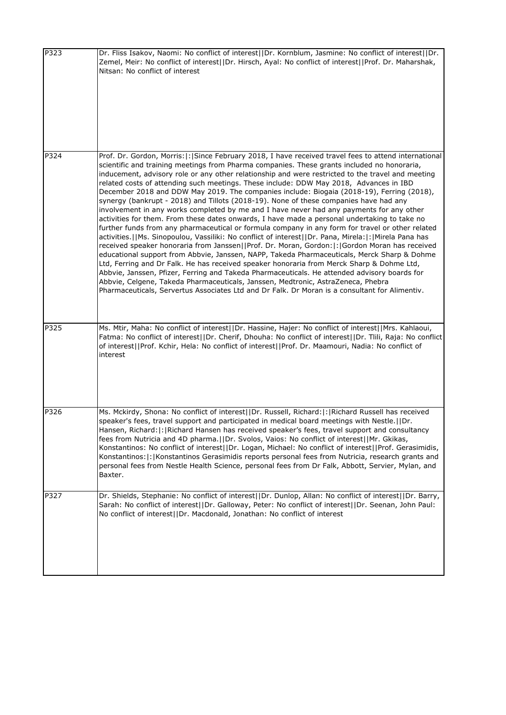| P323 | Dr. Fliss Isakov, Naomi: No conflict of interest  Dr. Kornblum, Jasmine: No conflict of interest  Dr.<br>Zemel, Meir: No conflict of interest  Dr. Hirsch, Ayal: No conflict of interest  Prof. Dr. Maharshak,<br>Nitsan: No conflict of interest                                                                                                                                                                                                                                                                                                                                                                                                                                                                                                                                                                                                                                                                                                                                                                                                                                                                                                                                                                                                                                                                                                                                                                                                                                                                                                                                              |
|------|------------------------------------------------------------------------------------------------------------------------------------------------------------------------------------------------------------------------------------------------------------------------------------------------------------------------------------------------------------------------------------------------------------------------------------------------------------------------------------------------------------------------------------------------------------------------------------------------------------------------------------------------------------------------------------------------------------------------------------------------------------------------------------------------------------------------------------------------------------------------------------------------------------------------------------------------------------------------------------------------------------------------------------------------------------------------------------------------------------------------------------------------------------------------------------------------------------------------------------------------------------------------------------------------------------------------------------------------------------------------------------------------------------------------------------------------------------------------------------------------------------------------------------------------------------------------------------------------|
| P324 | Prof. Dr. Gordon, Morris:  :   Since February 2018, I have received travel fees to attend international<br>scientific and training meetings from Pharma companies. These grants included no honoraria,<br>inducement, advisory role or any other relationship and were restricted to the travel and meeting<br>related costs of attending such meetings. These include: DDW May 2018, Advances in IBD<br>December 2018 and DDW May 2019. The companies include: Biogaia (2018-19), Ferring (2018),<br>synergy (bankrupt - 2018) and Tillots (2018-19). None of these companies have had any<br>involvement in any works completed by me and I have never had any payments for any other<br>activities for them. From these dates onwards, I have made a personal undertaking to take no<br>further funds from any pharmaceutical or formula company in any form for travel or other related<br>activities.   Ms. Sinopoulou, Vassiliki: No conflict of interest    Dr. Pana, Mirela:   :   Mirela Pana has<br>received speaker honoraria from Janssen  Prof. Dr. Moran, Gordon: :  Gordon Moran has received<br>educational support from Abbvie, Janssen, NAPP, Takeda Pharmaceuticals, Merck Sharp & Dohme<br>Ltd, Ferring and Dr Falk. He has received speaker honoraria from Merck Sharp & Dohme Ltd,<br>Abbvie, Janssen, Pfizer, Ferring and Takeda Pharmaceuticals. He attended advisory boards for<br>Abbvie, Celgene, Takeda Pharmaceuticals, Janssen, Medtronic, AstraZeneca, Phebra<br>Pharmaceuticals, Servertus Associates Ltd and Dr Falk. Dr Moran is a consultant for Alimentiv. |
| P325 | Ms. Mtir, Maha: No conflict of interest  Dr. Hassine, Hajer: No conflict of interest  Mrs. Kahlaoui,<br>Fatma: No conflict of interest  Dr. Cherif, Dhouha: No conflict of interest  Dr. Tlili, Raja: No conflict<br>of interest  Prof. Kchir, Hela: No conflict of interest  Prof. Dr. Maamouri, Nadia: No conflict of<br>interest                                                                                                                                                                                                                                                                                                                                                                                                                                                                                                                                                                                                                                                                                                                                                                                                                                                                                                                                                                                                                                                                                                                                                                                                                                                            |
| P326 | Ms. Mckirdy, Shona: No conflict of interest  Dr. Russell, Richard: : Richard Russell has received<br>speaker's fees, travel support and participated in medical board meetings with Nestle. (IDr.<br>Hansen, Richard:  :   Richard Hansen has received speaker's fees, travel support and consultancy<br>fees from Nutricia and 4D pharma.  Dr. Svolos, Vaios: No conflict of interest  Mr. Gkikas,<br>Konstantinos: No conflict of interest  Dr. Logan, Michael: No conflict of interest  Prof. Gerasimidis,<br>Konstantinos:  :   Konstantinos Gerasimidis reports personal fees from Nutricia, research grants and<br>personal fees from Nestle Health Science, personal fees from Dr Falk, Abbott, Servier, Mylan, and<br>Baxter.                                                                                                                                                                                                                                                                                                                                                                                                                                                                                                                                                                                                                                                                                                                                                                                                                                                          |
| P327 | Dr. Shields, Stephanie: No conflict of interest  Dr. Dunlop, Allan: No conflict of interest  Dr. Barry,<br>Sarah: No conflict of interest  Dr. Galloway, Peter: No conflict of interest  Dr. Seenan, John Paul:<br>No conflict of interest  Dr. Macdonald, Jonathan: No conflict of interest                                                                                                                                                                                                                                                                                                                                                                                                                                                                                                                                                                                                                                                                                                                                                                                                                                                                                                                                                                                                                                                                                                                                                                                                                                                                                                   |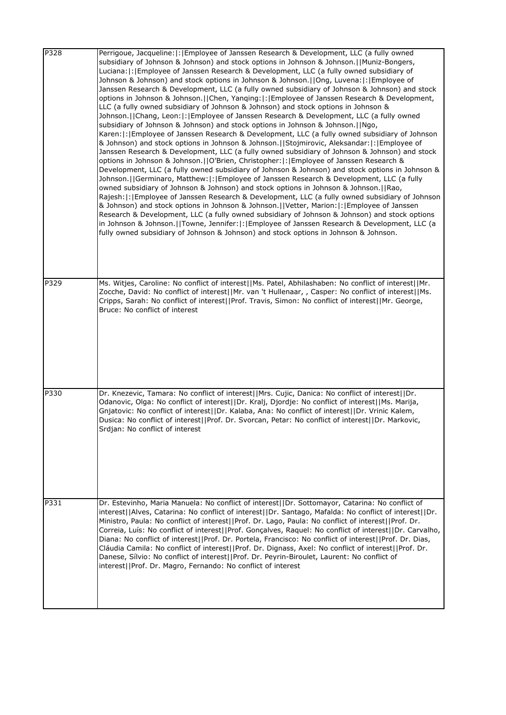| P328 | Perrigoue, Jacqueline:  :   Employee of Janssen Research & Development, LLC (a fully owned<br>subsidiary of Johnson & Johnson) and stock options in Johnson & Johnson.   Muniz-Bongers,<br>Luciana:  :   Employee of Janssen Research & Development, LLC (a fully owned subsidiary of<br>Johnson & Johnson) and stock options in Johnson & Johnson.[[Ong, Luvena:[:[Employee of<br>Janssen Research & Development, LLC (a fully owned subsidiary of Johnson & Johnson) and stock<br>options in Johnson & Johnson.   Chen, Yanqing:  :   Employee of Janssen Research & Development,<br>LLC (a fully owned subsidiary of Johnson & Johnson) and stock options in Johnson &<br>Johnson.   Chang, Leon:  :  Employee of Janssen Research & Development, LLC (a fully owned<br>subsidiary of Johnson & Johnson) and stock options in Johnson & Johnson.[ Ngo,<br>Karen:  :   Employee of Janssen Research & Development, LLC (a fully owned subsidiary of Johnson<br>& Johnson) and stock options in Johnson & Johnson.  Stojmirovic, Aleksandar: : Employee of<br>Janssen Research & Development, LLC (a fully owned subsidiary of Johnson & Johnson) and stock<br>options in Johnson & Johnson.   O'Brien, Christopher:  :   Employee of Janssen Research &<br>Development, LLC (a fully owned subsidiary of Johnson & Johnson) and stock options in Johnson &<br>Johnson.     Germinaro, Matthew:   :   Employee of Janssen Research & Development, LLC (a fully<br>owned subsidiary of Johnson & Johnson) and stock options in Johnson & Johnson.  Rao,<br>Rajesh:  :   Employee of Janssen Research & Development, LLC (a fully owned subsidiary of Johnson<br>& Johnson) and stock options in Johnson & Johnson.   Vetter, Marion:  :  Employee of Janssen<br>Research & Development, LLC (a fully owned subsidiary of Johnson & Johnson) and stock options<br>in Johnson & Johnson.   Towne, Jennifer:  :  Employee of Janssen Research & Development, LLC (a<br>fully owned subsidiary of Johnson & Johnson) and stock options in Johnson & Johnson. |
|------|----------------------------------------------------------------------------------------------------------------------------------------------------------------------------------------------------------------------------------------------------------------------------------------------------------------------------------------------------------------------------------------------------------------------------------------------------------------------------------------------------------------------------------------------------------------------------------------------------------------------------------------------------------------------------------------------------------------------------------------------------------------------------------------------------------------------------------------------------------------------------------------------------------------------------------------------------------------------------------------------------------------------------------------------------------------------------------------------------------------------------------------------------------------------------------------------------------------------------------------------------------------------------------------------------------------------------------------------------------------------------------------------------------------------------------------------------------------------------------------------------------------------------------------------------------------------------------------------------------------------------------------------------------------------------------------------------------------------------------------------------------------------------------------------------------------------------------------------------------------------------------------------------------------------------------------------------------------------------------------------------------------------------------------------------------|
| P329 | Ms. Witjes, Caroline: No conflict of interest  Ms. Patel, Abhilashaben: No conflict of interest  Mr.<br>Zocche, David: No conflict of interest  Mr. van 't Hullenaar, , Casper: No conflict of interest  Ms.<br>Cripps, Sarah: No conflict of interest  Prof. Travis, Simon: No conflict of interest  Mr. George,<br>Bruce: No conflict of interest                                                                                                                                                                                                                                                                                                                                                                                                                                                                                                                                                                                                                                                                                                                                                                                                                                                                                                                                                                                                                                                                                                                                                                                                                                                                                                                                                                                                                                                                                                                                                                                                                                                                                                      |
| P330 | Dr. Knezevic, Tamara: No conflict of interest  Mrs. Cujic, Danica: No conflict of interest  Dr.<br>Odanovic, Olga: No conflict of interest  Dr. Kralj, Djordje: No conflict of interest  Ms. Marija,<br>Gnjatovic: No conflict of interest  Dr. Kalaba, Ana: No conflict of interest  Dr. Vrinic Kalem,<br>Dusica: No conflict of interest  Prof. Dr. Svorcan, Petar: No conflict of interest  Dr. Markovic,<br>Srdjan: No conflict of interest                                                                                                                                                                                                                                                                                                                                                                                                                                                                                                                                                                                                                                                                                                                                                                                                                                                                                                                                                                                                                                                                                                                                                                                                                                                                                                                                                                                                                                                                                                                                                                                                          |
| P331 | Dr. Estevinho, Maria Manuela: No conflict of interest  Dr. Sottomayor, Catarina: No conflict of<br>interest  Alves, Catarina: No conflict of interest  Dr. Santago, Mafalda: No conflict of interest  Dr.<br>Ministro, Paula: No conflict of interest  Prof. Dr. Lago, Paula: No conflict of interest  Prof. Dr.<br>Correia, Luís: No conflict of interest  Prof. Gonçalves, Raquel: No conflict of interest  Dr. Carvalho,<br>Diana: No conflict of interest  Prof. Dr. Portela, Francisco: No conflict of interest  Prof. Dr. Dias,<br>Cláudia Camila: No conflict of interest  Prof. Dr. Dignass, Axel: No conflict of interest  Prof. Dr.<br>Danese, Sílvio: No conflict of interest  Prof. Dr. Peyrin-Biroulet, Laurent: No conflict of<br>interest  Prof. Dr. Magro, Fernando: No conflict of interest                                                                                                                                                                                                                                                                                                                                                                                                                                                                                                                                                                                                                                                                                                                                                                                                                                                                                                                                                                                                                                                                                                                                                                                                                                             |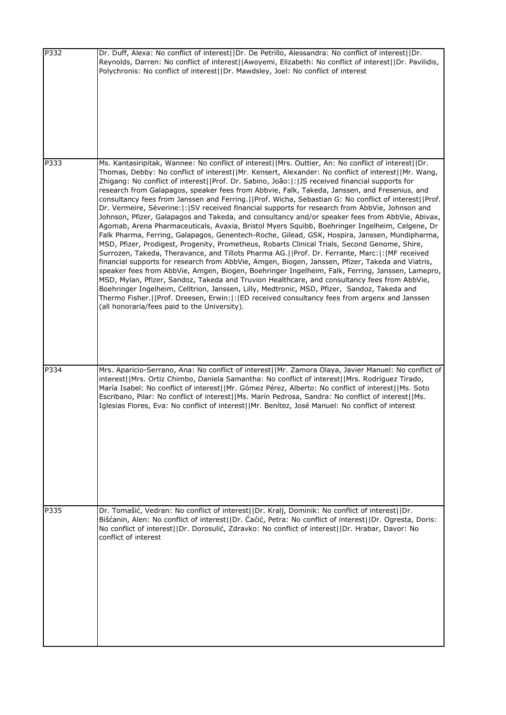| P332 | Dr. Duff, Alexa: No conflict of interest  Dr. De Petrillo, Alessandra: No conflict of interest  Dr.<br>Reynolds, Darren: No conflict of interest  Awoyemi, Elizabeth: No conflict of interest  Dr. Pavilidis,<br>Polychronis: No conflict of interest  Dr. Mawdsley, Joel: No conflict of interest                                                                                                                                                                                                                                                                                                                                                                                                                                                                                                                                                                                                                                                                                                                                                                                                                                                                                                                                                                                                                                                                                                                                                                                                                                                                                                                                                                                          |
|------|---------------------------------------------------------------------------------------------------------------------------------------------------------------------------------------------------------------------------------------------------------------------------------------------------------------------------------------------------------------------------------------------------------------------------------------------------------------------------------------------------------------------------------------------------------------------------------------------------------------------------------------------------------------------------------------------------------------------------------------------------------------------------------------------------------------------------------------------------------------------------------------------------------------------------------------------------------------------------------------------------------------------------------------------------------------------------------------------------------------------------------------------------------------------------------------------------------------------------------------------------------------------------------------------------------------------------------------------------------------------------------------------------------------------------------------------------------------------------------------------------------------------------------------------------------------------------------------------------------------------------------------------------------------------------------------------|
| P333 | Ms. Kantasiripitak, Wannee: No conflict of interest  Mrs. Outtier, An: No conflict of interest  Dr.<br>Thomas, Debby: No conflict of interest  Mr. Kensert, Alexander: No conflict of interest  Mr. Wang,<br>Zhigang: No conflict of interest  Prof. Dr. Sabino, João: :  JS received financial supports for<br>research from Galapagos, speaker fees from Abbvie, Falk, Takeda, Janssen, and Fresenius, and<br>consultancy fees from Janssen and Ferring.     Prof. Wicha, Sebastian G: No conflict of interest    Prof.<br>Dr. Vermeire, Séverine:  :  SV received financial supports for research from AbbVie, Johnson and<br>Johnson, Pfizer, Galapagos and Takeda, and consultancy and/or speaker fees from AbbVie, Abivax,<br>Agomab, Arena Pharmaceuticals, Avaxia, Bristol Myers Squibb, Boehringer Ingelheim, Celgene, Dr<br>Falk Pharma, Ferring, Galapagos, Genentech-Roche, Gilead, GSK, Hospira, Janssen, Mundipharma,<br>MSD, Pfizer, Prodigest, Progenity, Prometheus, Robarts Clinical Trials, Second Genome, Shire,<br>Surrozen, Takeda, Theravance, and Tillots Pharma AG.  Prof. Dr. Ferrante, Marc: : MF received<br>financial supports for research from AbbVie, Amgen, Biogen, Janssen, Pfizer, Takeda and Viatris,<br>speaker fees from AbbVie, Amgen, Biogen, Boehringer Ingelheim, Falk, Ferring, Janssen, Lamepro,<br>MSD, Mylan, Pfizer, Sandoz, Takeda and Truvion Healthcare, and consultancy fees from AbbVie,<br>Boehringer Ingelheim, Celltrion, Janssen, Lilly, Medtronic, MSD, Pfizer, Sandoz, Takeda and<br>Thermo Fisher.  Prof. Dreesen, Erwin: : ED received consultancy fees from argenx and Janssen<br>(all honoraria/fees paid to the University). |
| P334 | Mrs. Aparicio-Serrano, Ana: No conflict of interest  Mr. Zamora Olaya, Javier Manuel: No conflict of<br> interest  Mrs. Ortiz Chimbo, Daniela Samantha: No conflict of interest  Mrs. Rodríguez Tirado,<br>María Isabel: No conflict of interest  Mr. Gómez Pérez, Alberto: No conflict of interest  Ms. Soto<br>Escribano, Pilar: No conflict of interest  Ms. Marín Pedrosa, Sandra: No conflict of interest  Ms.<br>Iglesias Flores, Eva: No conflict of interest  Mr. Benítez, José Manuel: No conflict of interest                                                                                                                                                                                                                                                                                                                                                                                                                                                                                                                                                                                                                                                                                                                                                                                                                                                                                                                                                                                                                                                                                                                                                                     |
| P335 | Dr. Tomašić, Vedran: No conflict of interest  Dr. Kralj, Dominik: No conflict of interest  Dr.<br>Bišćanin, Alen: No conflict of interest  Dr. Caćić, Petra: No conflict of interest  Dr. Ogresta, Doris:<br>No conflict of interest  Dr. Dorosulić, Zdravko: No conflict of interest  Dr. Hrabar, Davor: No<br>conflict of interest                                                                                                                                                                                                                                                                                                                                                                                                                                                                                                                                                                                                                                                                                                                                                                                                                                                                                                                                                                                                                                                                                                                                                                                                                                                                                                                                                        |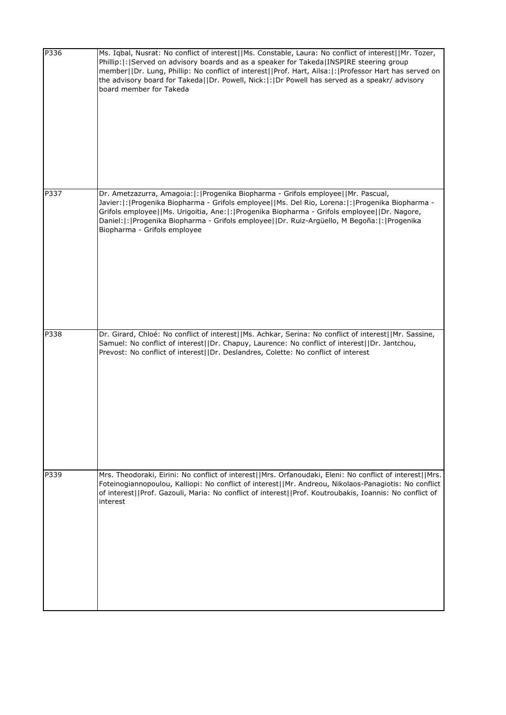| P336 | Ms. Iqbal, Nusrat: No conflict of interest  Ms. Constable, Laura: No conflict of interest  Mr. Tozer,<br>Phillip:  :   Served on advisory boards and as a speaker for Takeda   INSPIRE steering group<br>member  Dr. Lung, Phillip: No conflict of interest  Prof. Hart, Ailsa: : Professor Hart has served on<br>the advisory board for Takeda  Dr. Powell, Nick: :  Dr Powell has served as a speakr/ advisory<br>board member for Takeda |
|------|---------------------------------------------------------------------------------------------------------------------------------------------------------------------------------------------------------------------------------------------------------------------------------------------------------------------------------------------------------------------------------------------------------------------------------------------|
| P337 | Dr. Ametzazurra, Amagoia:  :   Progenika Biopharma - Grifols employee     Mr. Pascual,<br>Javier:  :  Progenika Biopharma - Grifols employee  Ms. Del Rio, Lorena:  :  Progenika Biopharma -<br>Grifols employee  Ms. Urigoitia, Ane: : Progenika Biopharma - Grifols employee  Dr. Nagore,<br>Daniel:  :   Progenika Biopharma - Grifols employee     Dr. Ruiz-Argüello, M Begoña:  :   Progenika<br>Biopharma - Grifols employee          |
| P338 | Dr. Girard, Chloé: No conflict of interest  Ms. Achkar, Serina: No conflict of interest  Mr. Sassine,<br>Samuel: No conflict of interest  Dr. Chapuy, Laurence: No conflict of interest  Dr. Jantchou,<br>Prevost: No conflict of interest  Dr. Deslandres, Colette: No conflict of interest                                                                                                                                                |
| P339 | Mrs. Theodoraki, Eirini: No conflict of interest  Mrs. Orfanoudaki, Eleni: No conflict of interest  Mrs.<br>Foteinogiannopoulou, Kalliopi: No conflict of interest  Mr. Andreou, Nikolaos-Panagiotis: No conflict<br>of interest  Prof. Gazouli, Maria: No conflict of interest  Prof. Koutroubakis, Ioannis: No conflict of<br>interest                                                                                                    |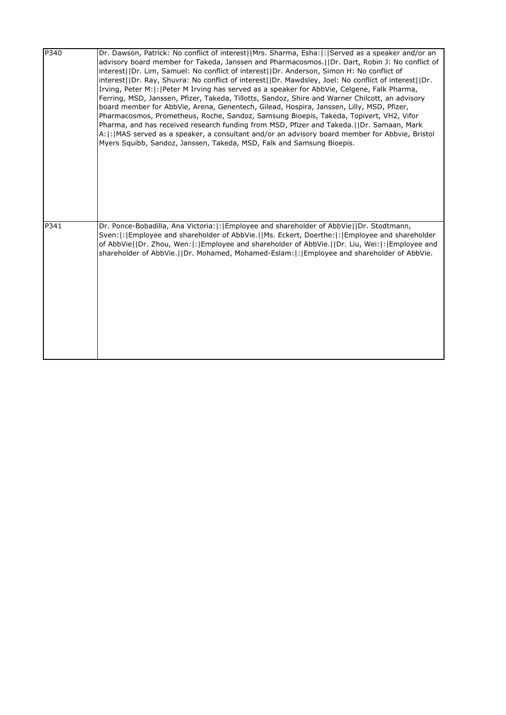| P340 | Dr. Dawson, Patrick: No conflict of interest  Mrs. Sharma, Esha: : Served as a speaker and/or an<br>advisory board member for Takeda, Janssen and Pharmacosmos. (IDr. Dart, Robin J: No conflict of<br>interest  Dr. Lim, Samuel: No conflict of interest  Dr. Anderson, Simon H: No conflict of<br>interest  Dr. Ray, Shuvra: No conflict of interest  Dr. Mawdsley, Joel: No conflict of interest  Dr.<br>Irving, Peter M: : Peter M Irving has served as a speaker for AbbVie, Celgene, Falk Pharma,<br>Ferring, MSD, Janssen, Pfizer, Takeda, Tillotts, Sandoz, Shire and Warner Chilcott, an advisory<br>board member for AbbVie, Arena, Genentech, Gilead, Hospira, Janssen, Lilly, MSD, Pfizer,<br>Pharmacosmos, Prometheus, Roche, Sandoz, Samsung Bioepis, Takeda, Topivert, VH2, Vifor<br>Pharma, and has received research funding from MSD, Pfizer and Takeda.     Dr. Samaan, Mark<br>A:  :   MAS served as a speaker, a consultant and/or an advisory board member for Abbvie, Bristol<br>Myers Squibb, Sandoz, Janssen, Takeda, MSD, Falk and Samsung Bioepis. |
|------|-------------------------------------------------------------------------------------------------------------------------------------------------------------------------------------------------------------------------------------------------------------------------------------------------------------------------------------------------------------------------------------------------------------------------------------------------------------------------------------------------------------------------------------------------------------------------------------------------------------------------------------------------------------------------------------------------------------------------------------------------------------------------------------------------------------------------------------------------------------------------------------------------------------------------------------------------------------------------------------------------------------------------------------------------------------------------------|
| P341 | Dr. Ponce-Bobadilla, Ana Victoria:  :   Employee and shareholder of AbbVie  Dr. Stodtmann,<br>Sven:  :   Employee and shareholder of AbbVie.     Ms. Eckert, Doerthe:  :   Employee and shareholder<br>of AbbVie  Dr. Zhou, Wen: : Employee and shareholder of AbbVie.  Dr. Liu, Wei: : Employee and<br>shareholder of AbbVie.  Dr. Mohamed, Mohamed-Eslam: : [Employee and shareholder of AbbVie.                                                                                                                                                                                                                                                                                                                                                                                                                                                                                                                                                                                                                                                                            |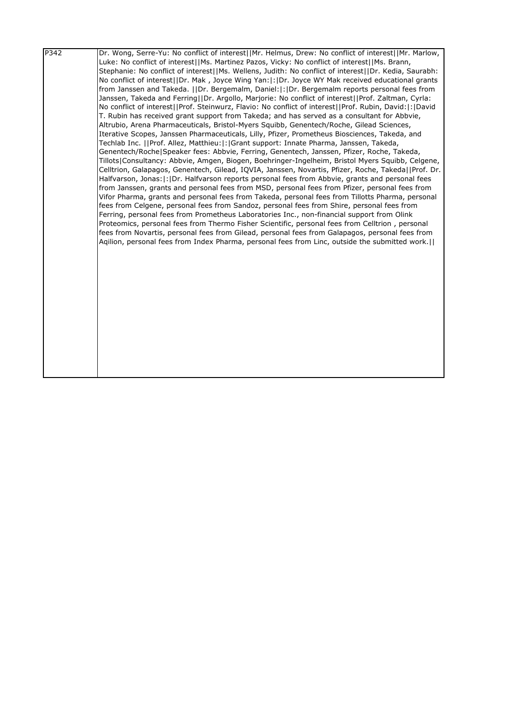| Luke: No conflict of interest  Ms. Martinez Pazos, Vicky: No conflict of interest  Ms. Brann,<br>Stephanie: No conflict of interest  Ms. Wellens, Judith: No conflict of interest  Dr. Kedia, Saurabh:<br>No conflict of interest  Dr. Mak, Joyce Wing Yan: : Dr. Joyce WY Mak received educational grants |  |
|------------------------------------------------------------------------------------------------------------------------------------------------------------------------------------------------------------------------------------------------------------------------------------------------------------|--|
|                                                                                                                                                                                                                                                                                                            |  |
|                                                                                                                                                                                                                                                                                                            |  |
|                                                                                                                                                                                                                                                                                                            |  |
| from Janssen and Takeda. IIDr. Bergemalm, Daniel:  : IDr. Bergemalm reports personal fees from                                                                                                                                                                                                             |  |
| Janssen, Takeda and Ferring  Dr. Argollo, Marjorie: No conflict of interest  Prof. Zaltman, Cyrla:                                                                                                                                                                                                         |  |
| No conflict of interest  Prof. Steinwurz, Flavio: No conflict of interest  Prof. Rubin, David: : David                                                                                                                                                                                                     |  |
| T. Rubin has received grant support from Takeda; and has served as a consultant for Abbvie,                                                                                                                                                                                                                |  |
| Altrubio, Arena Pharmaceuticals, Bristol-Myers Squibb, Genentech/Roche, Gilead Sciences,                                                                                                                                                                                                                   |  |
| Iterative Scopes, Janssen Pharmaceuticals, Lilly, Pfizer, Prometheus Biosciences, Takeda, and                                                                                                                                                                                                              |  |
| Techlab Inc.   Prof. Allez, Matthieu: : Grant support: Innate Pharma, Janssen, Takeda,                                                                                                                                                                                                                     |  |
| Genentech/Roche Speaker fees: Abbvie, Ferring, Genentech, Janssen, Pfizer, Roche, Takeda,                                                                                                                                                                                                                  |  |
| Tillots Consultancy: Abbvie, Amgen, Biogen, Boehringer-Ingelheim, Bristol Myers Squibb, Celgene,                                                                                                                                                                                                           |  |
| Celltrion, Galapagos, Genentech, Gilead, IQVIA, Janssen, Novartis, Pfizer, Roche, Takeda  Prof. Dr.                                                                                                                                                                                                        |  |
| Halfvarson, Jonas:  :  Dr. Halfvarson reports personal fees from Abbvie, grants and personal fees                                                                                                                                                                                                          |  |
| from Janssen, grants and personal fees from MSD, personal fees from Pfizer, personal fees from                                                                                                                                                                                                             |  |
| Vifor Pharma, grants and personal fees from Takeda, personal fees from Tillotts Pharma, personal                                                                                                                                                                                                           |  |
| fees from Celgene, personal fees from Sandoz, personal fees from Shire, personal fees from                                                                                                                                                                                                                 |  |
| Ferring, personal fees from Prometheus Laboratories Inc., non-financial support from Olink                                                                                                                                                                                                                 |  |
| Proteomics, personal fees from Thermo Fisher Scientific, personal fees from Celltrion, personal                                                                                                                                                                                                            |  |
| fees from Novartis, personal fees from Gilead, personal fees from Galapagos, personal fees from                                                                                                                                                                                                            |  |
| Agilion, personal fees from Index Pharma, personal fees from Linc, outside the submitted work.                                                                                                                                                                                                             |  |
|                                                                                                                                                                                                                                                                                                            |  |
|                                                                                                                                                                                                                                                                                                            |  |
|                                                                                                                                                                                                                                                                                                            |  |
|                                                                                                                                                                                                                                                                                                            |  |
|                                                                                                                                                                                                                                                                                                            |  |
|                                                                                                                                                                                                                                                                                                            |  |
|                                                                                                                                                                                                                                                                                                            |  |
|                                                                                                                                                                                                                                                                                                            |  |
|                                                                                                                                                                                                                                                                                                            |  |
|                                                                                                                                                                                                                                                                                                            |  |
|                                                                                                                                                                                                                                                                                                            |  |
|                                                                                                                                                                                                                                                                                                            |  |
|                                                                                                                                                                                                                                                                                                            |  |
|                                                                                                                                                                                                                                                                                                            |  |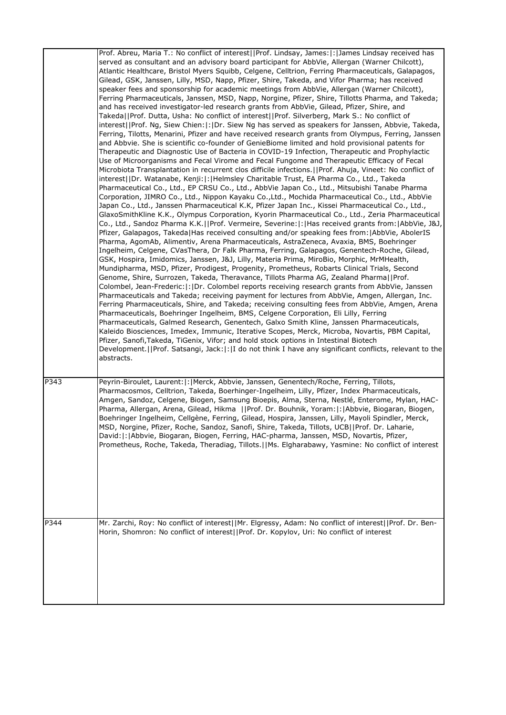|      | Prof. Abreu, Maria T.: No conflict of interest  Prof. Lindsay, James: : James Lindsay received has<br>served as consultant and an advisory board participant for AbbVie, Allergan (Warner Chilcott),<br>Atlantic Healthcare, Bristol Myers Squibb, Celgene, Celltrion, Ferring Pharmaceuticals, Galapagos,<br>Gilead, GSK, Janssen, Lilly, MSD, Napp, Pfizer, Shire, Takeda, and Vifor Pharma; has received<br>speaker fees and sponsorship for academic meetings from AbbVie, Allergan (Warner Chilcott),<br>Ferring Pharmaceuticals, Janssen, MSD, Napp, Norgine, Pfizer, Shire, Tillotts Pharma, and Takeda;<br>and has received investigator-led research grants from AbbVie, Gilead, Pfizer, Shire, and<br>Takeda  Prof. Dutta, Usha: No conflict of interest  Prof. Silverberg, Mark S.: No conflict of<br>interest  Prof. Ng, Siew Chien: : Dr. Siew Ng has served as speakers for Janssen, Abbvie, Takeda,<br>Ferring, Tilotts, Menarini, Pfizer and have received research grants from Olympus, Ferring, Janssen<br>and Abbvie. She is scientific co-founder of GenieBiome limited and hold provisional patents for<br>Therapeutic and Diagnostic Use of Bacteria in COVID-19 Infection, Therapeutic and Prophylactic<br>Use of Microorganisms and Fecal Virome and Fecal Fungome and Therapeutic Efficacy of Fecal<br>Microbiota Transplantation in recurrent clos difficile infections. []Prof. Ahuja, Vineet: No conflict of<br>interest  Dr. Watanabe, Kenji: : Helmsley Charitable Trust, EA Pharma Co., Ltd., Takeda<br>Pharmaceutical Co., Ltd., EP CRSU Co., Ltd., AbbVie Japan Co., Ltd., Mitsubishi Tanabe Pharma<br>Corporation, JIMRO Co., Ltd., Nippon Kayaku Co.,Ltd., Mochida Pharmaceutical Co., Ltd., AbbVie<br>Japan Co., Ltd., Janssen Pharmaceutical K.K, Pfizer Japan Inc., Kissei Pharmaceutical Co., Ltd.,<br>GlaxoSmithKline K.K., Olympus Corporation, Kyorin Pharmaceutical Co., Ltd., Zeria Pharmaceutical<br>Co., Ltd., Sandoz Pharma K.K.  Prof. Vermeire, Severine: : Has received grants from: AbbVie, J&J,<br>Pfizer, Galapagos, Takeda Has received consulting and/or speaking fees from:  AbbVie, AbolerIS<br>Pharma, AgomAb, Alimentiv, Arena Pharmaceuticals, AstraZeneca, Avaxia, BMS, Boehringer<br>Ingelheim, Celgene, CVasThera, Dr Falk Pharma, Ferring, Galapagos, Genentech-Roche, Gilead,<br>GSK, Hospira, Imidomics, Janssen, J&J, Lilly, Materia Prima, MiroBio, Morphic, MrMHealth,<br>Mundipharma, MSD, Pfizer, Prodigest, Progenity, Prometheus, Robarts Clinical Trials, Second<br>Genome, Shire, Surrozen, Takeda, Theravance, Tillots Pharma AG, Zealand Pharma  Prof.<br>Colombel, Jean-Frederic:  :  Dr. Colombel reports receiving research grants from AbbVie, Janssen<br>Pharmaceuticals and Takeda; receiving payment for lectures from AbbVie, Amgen, Allergan, Inc.<br>Ferring Pharmaceuticals, Shire, and Takeda; receiving consulting fees from AbbVie, Amgen, Arena<br>Pharmaceuticals, Boehringer Ingelheim, BMS, Celgene Corporation, Eli Lilly, Ferring<br>Pharmaceuticals, Galmed Research, Genentech, Galxo Smith Kline, Janssen Pharmaceuticals,<br>Kaleido Biosciences, Imedex, Immunic, Iterative Scopes, Merck, Microba, Novartis, PBM Capital,<br>Pfizer, Sanofi, Takeda, TiGenix, Vifor; and hold stock options in Intestinal Biotech<br>Development.     Prof. Satsangi, Jack:   :   I do not think I have any significant conflicts, relevant to the<br>abstracts. |
|------|---------------------------------------------------------------------------------------------------------------------------------------------------------------------------------------------------------------------------------------------------------------------------------------------------------------------------------------------------------------------------------------------------------------------------------------------------------------------------------------------------------------------------------------------------------------------------------------------------------------------------------------------------------------------------------------------------------------------------------------------------------------------------------------------------------------------------------------------------------------------------------------------------------------------------------------------------------------------------------------------------------------------------------------------------------------------------------------------------------------------------------------------------------------------------------------------------------------------------------------------------------------------------------------------------------------------------------------------------------------------------------------------------------------------------------------------------------------------------------------------------------------------------------------------------------------------------------------------------------------------------------------------------------------------------------------------------------------------------------------------------------------------------------------------------------------------------------------------------------------------------------------------------------------------------------------------------------------------------------------------------------------------------------------------------------------------------------------------------------------------------------------------------------------------------------------------------------------------------------------------------------------------------------------------------------------------------------------------------------------------------------------------------------------------------------------------------------------------------------------------------------------------------------------------------------------------------------------------------------------------------------------------------------------------------------------------------------------------------------------------------------------------------------------------------------------------------------------------------------------------------------------------------------------------------------------------------------------------------------------------------------------------------------------------------------------------------------------------------------------------------------------------------------------------------------------------------------------------------------------------------------------------------------------------------------------------------------------------------------------------------------------------------------------------------------------------------------|
| P343 | Peyrin-Biroulet, Laurent:  :   Merck, Abbvie, Janssen, Genentech/Roche, Ferring, Tillots,<br>Pharmacosmos, Celltrion, Takeda, Boerhinger-Ingelheim, Lilly, Pfizer, Index Pharmaceuticals,<br>Amgen, Sandoz, Celgene, Biogen, Samsung Bioepis, Alma, Sterna, Nestlé, Enterome, Mylan, HAC-<br>Pharma, Allergan, Arena, Gilead, Hikma   Prof. Dr. Bouhnik, Yoram: : Abbvie, Biogaran, Biogen,<br>Boehringer Ingelheim, Cellgène, Ferring, Gilead, Hospira, Janssen, Lilly, Mayoli Spindler, Merck,<br>MSD, Norgine, Pfizer, Roche, Sandoz, Sanofi, Shire, Takeda, Tillots, UCB  Prof. Dr. Laharie<br>David:  :   Abbvie, Biogaran, Biogen, Ferring, HAC-pharma, Janssen, MSD, Novartis, Pfizer,<br>Prometheus, Roche, Takeda, Theradiag, Tillots.   Ms. Elgharabawy, Yasmine: No conflict of interest                                                                                                                                                                                                                                                                                                                                                                                                                                                                                                                                                                                                                                                                                                                                                                                                                                                                                                                                                                                                                                                                                                                                                                                                                                                                                                                                                                                                                                                                                                                                                                                                                                                                                                                                                                                                                                                                                                                                                                                                                                                                                                                                                                                                                                                                                                                                                                                                                                                                                                                                                                                                                                                     |
| P344 | Mr. Zarchi, Roy: No conflict of interest  Mr. Elgressy, Adam: No conflict of interest  Prof. Dr. Ben-<br>Horin, Shomron: No conflict of interest  Prof. Dr. Kopylov, Uri: No conflict of interest                                                                                                                                                                                                                                                                                                                                                                                                                                                                                                                                                                                                                                                                                                                                                                                                                                                                                                                                                                                                                                                                                                                                                                                                                                                                                                                                                                                                                                                                                                                                                                                                                                                                                                                                                                                                                                                                                                                                                                                                                                                                                                                                                                                                                                                                                                                                                                                                                                                                                                                                                                                                                                                                                                                                                                                                                                                                                                                                                                                                                                                                                                                                                                                                                                                       |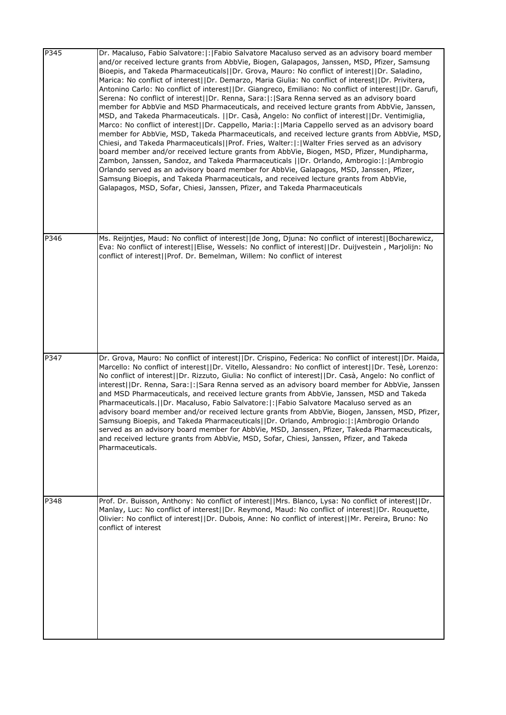| P345 | Dr. Macaluso, Fabio Salvatore:  :   Fabio Salvatore Macaluso served as an advisory board member<br>and/or received lecture grants from AbbVie, Biogen, Galapagos, Janssen, MSD, Pfizer, Samsung<br>Bioepis, and Takeda Pharmaceuticals     Dr. Grova, Mauro: No conflict of interest     Dr. Saladino,<br>Marica: No conflict of interest  Dr. Demarzo, Maria Giulia: No conflict of interest  Dr. Privitera,<br>Antonino Carlo: No conflict of interest  Dr. Giangreco, Emiliano: No conflict of interest  Dr. Garufi,<br>Serena: No conflict of interest  Dr. Renna, Sara: : Sara Renna served as an advisory board<br>member for AbbVie and MSD Pharmaceuticals, and received lecture grants from AbbVie, Janssen,<br>MSD, and Takeda Pharmaceuticals.   Dr. Casà, Angelo: No conflict of interest  Dr. Ventimiglia,<br>Marco: No conflict of interest  Dr. Cappello, Maria: : Maria Cappello served as an advisory board<br>member for AbbVie, MSD, Takeda Pharmaceuticals, and received lecture grants from AbbVie, MSD,<br>Chiesi, and Takeda Pharmaceuticals  Prof. Fries, Walter: : Walter Fries served as an advisory<br>board member and/or received lecture grants from AbbVie, Biogen, MSD, Pfizer, Mundipharma,<br>Zambon, Janssen, Sandoz, and Takeda Pharmaceuticals   Dr. Orlando, Ambrogio:   :   Ambrogio<br>Orlando served as an advisory board member for AbbVie, Galapagos, MSD, Janssen, Pfizer,<br>Samsung Bioepis, and Takeda Pharmaceuticals, and received lecture grants from AbbVie,<br>Galapagos, MSD, Sofar, Chiesi, Janssen, Pfizer, and Takeda Pharmaceuticals |
|------|-----------------------------------------------------------------------------------------------------------------------------------------------------------------------------------------------------------------------------------------------------------------------------------------------------------------------------------------------------------------------------------------------------------------------------------------------------------------------------------------------------------------------------------------------------------------------------------------------------------------------------------------------------------------------------------------------------------------------------------------------------------------------------------------------------------------------------------------------------------------------------------------------------------------------------------------------------------------------------------------------------------------------------------------------------------------------------------------------------------------------------------------------------------------------------------------------------------------------------------------------------------------------------------------------------------------------------------------------------------------------------------------------------------------------------------------------------------------------------------------------------------------------------------------------------------------------------------------------|
| P346 | Ms. Reijntjes, Maud: No conflict of interest  de Jong, Djuna: No conflict of interest  Bocharewicz,<br>Eva: No conflict of interest  Elise, Wessels: No conflict of interest  Dr. Duijvestein, Marjolijn: No<br>conflict of interest  Prof. Dr. Bemelman, Willem: No conflict of interest                                                                                                                                                                                                                                                                                                                                                                                                                                                                                                                                                                                                                                                                                                                                                                                                                                                                                                                                                                                                                                                                                                                                                                                                                                                                                                     |
| P347 | Dr. Grova, Mauro: No conflict of interest  Dr. Crispino, Federica: No conflict of interest  Dr. Maida,<br>Marcello: No conflict of interest  Dr. Vitello, Alessandro: No conflict of interest  Dr. Tesè, Lorenzo:<br>No conflict of interest  Dr. Rizzuto, Giulia: No conflict of interest  Dr. Casà, Angelo: No conflict of<br>interest  Dr. Renna, Sara: : Sara Renna served as an advisory board member for AbbVie, Janssen<br>and MSD Pharmaceuticals, and received lecture grants from AbbVie, Janssen, MSD and Takeda<br>Pharmaceuticals.   Dr. Macaluso, Fabio Salvatore:   :   Fabio Salvatore Macaluso served as an<br>advisory board member and/or received lecture grants from AbbVie, Biogen, Janssen, MSD, Pfizer,<br>Samsung Bioepis, and Takeda Pharmaceuticals  Dr. Orlando, Ambrogio: : Ambrogio Orlando<br>served as an advisory board member for AbbVie, MSD, Janssen, Pfizer, Takeda Pharmaceuticals,<br>and received lecture grants from AbbVie, MSD, Sofar, Chiesi, Janssen, Pfizer, and Takeda<br>Pharmaceuticals.                                                                                                                                                                                                                                                                                                                                                                                                                                                                                                                                                     |
| P348 | Prof. Dr. Buisson, Anthony: No conflict of interest  Mrs. Blanco, Lysa: No conflict of interest  Dr.<br>Manlay, Luc: No conflict of interest  Dr. Reymond, Maud: No conflict of interest  Dr. Rouquette,<br>Olivier: No conflict of interest  Dr. Dubois, Anne: No conflict of interest  Mr. Pereira, Bruno: No<br>conflict of interest                                                                                                                                                                                                                                                                                                                                                                                                                                                                                                                                                                                                                                                                                                                                                                                                                                                                                                                                                                                                                                                                                                                                                                                                                                                       |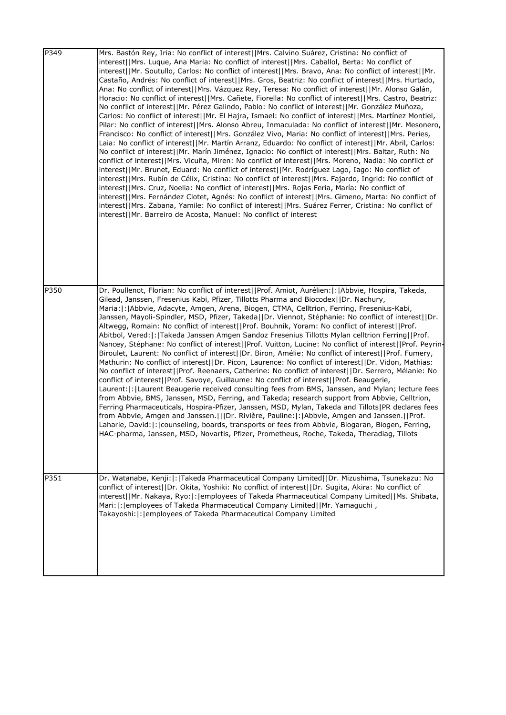| P349 | Mrs. Bastón Rey, Iria: No conflict of interest  Mrs. Calvino Suárez, Cristina: No conflict of<br>interest  Mrs. Luque, Ana Maria: No conflict of interest  Mrs. Caballol, Berta: No conflict of<br>interest  Mr. Soutullo, Carlos: No conflict of interest  Mrs. Bravo, Ana: No conflict of interest  Mr.<br>Castaño, Andrés: No conflict of interest  Mrs. Gros, Beatriz: No conflict of interest  Mrs. Hurtado,<br>Ana: No conflict of interest  Mrs. Vázquez Rey, Teresa: No conflict of interest  Mr. Alonso Galán,<br>Horacio: No conflict of interest  Mrs. Cañete, Fiorella: No conflict of interest  Mrs. Castro, Beatriz:<br>No conflict of interest  Mr. Pérez Galindo, Pablo: No conflict of interest  Mr. González Muñoza,<br>Carlos: No conflict of interest  Mr. El Hajra, Ismael: No conflict of interest  Mrs. Martínez Montiel,<br>Pilar: No conflict of interest  Mrs. Alonso Abreu, Inmaculada: No conflict of interest  Mr. Mesonero,<br>Francisco: No conflict of interest  Mrs. González Vivo, Maria: No conflict of interest  Mrs. Peries,<br>Laia: No conflict of interest  Mr. Martín Arranz, Eduardo: No conflict of interest  Mr. Abril, Carlos:<br>No conflict of interest  Mr. Marín Jiménez, Ignacio: No conflict of interest  Mrs. Baltar, Ruth: No<br>conflict of interest  Mrs. Vicuña, Miren: No conflict of interest  Mrs. Moreno, Nadia: No conflict of<br>interest  Mr. Brunet, Eduard: No conflict of interest  Mr. Rodríguez Lago, Iago: No conflict of<br>interest  Mrs. Rubín de Célix, Cristina: No conflict of interest  Mrs. Fajardo, Ingrid: No conflict of<br>interest  Mrs. Cruz, Noelia: No conflict of interest  Mrs. Rojas Feria, María: No conflict of<br>interest  Mrs. Fernández Clotet, Agnés: No conflict of interest  Mrs. Gimeno, Marta: No conflict of<br>interest  Mrs. Zabana, Yamile: No conflict of interest  Mrs. Suárez Ferrer, Cristina: No conflict of<br>interest  Mr. Barreiro de Acosta, Manuel: No conflict of interest |
|------|-----------------------------------------------------------------------------------------------------------------------------------------------------------------------------------------------------------------------------------------------------------------------------------------------------------------------------------------------------------------------------------------------------------------------------------------------------------------------------------------------------------------------------------------------------------------------------------------------------------------------------------------------------------------------------------------------------------------------------------------------------------------------------------------------------------------------------------------------------------------------------------------------------------------------------------------------------------------------------------------------------------------------------------------------------------------------------------------------------------------------------------------------------------------------------------------------------------------------------------------------------------------------------------------------------------------------------------------------------------------------------------------------------------------------------------------------------------------------------------------------------------------------------------------------------------------------------------------------------------------------------------------------------------------------------------------------------------------------------------------------------------------------------------------------------------------------------------------------------------------------------------------------------------------------------------------------------------------------------------------------|
| P350 | Dr. Poullenot, Florian: No conflict of interest  Prof. Amiot, Aurélien: : Abbvie, Hospira, Takeda,<br>Gilead, Janssen, Fresenius Kabi, Pfizer, Tillotts Pharma and Biocodex  Dr. Nachury,<br>Maria:  :   Abbvie, Adacyte, Amgen, Arena, Biogen, CTMA, Celltrion, Ferring, Fresenius-Kabi,<br>Janssen, Mayoli-Spindler, MSD, Pfizer, Takeda  Dr. Viennot, Stéphanie: No conflict of interest  Dr.<br>Altwegg, Romain: No conflict of interest  Prof. Bouhnik, Yoram: No conflict of interest  Prof.<br>Abitbol, Vered:  :  Takeda Janssen Amgen Sandoz Fresenius Tillotts Mylan celltrion Ferring  Prof.<br>Nancey, Stéphane: No conflict of interest  Prof. Vuitton, Lucine: No conflict of interest  Prof. Peyrin-<br>Biroulet, Laurent: No conflict of interest  Dr. Biron, Amélie: No conflict of interest  Prof. Fumery,<br>Mathurin: No conflict of interest  Dr. Picon, Laurence: No conflict of interest  Dr. Vidon, Mathias:<br>No conflict of interest  Prof. Reenaers, Catherine: No conflict of interest  Dr. Serrero, Mélanie: No<br>conflict of interest  Prof. Savoye, Guillaume: No conflict of interest  Prof. Beaugerie,<br>Laurent:  :   Laurent Beaugerie received consulting fees from BMS, Janssen, and Mylan; lecture fees<br>from Abbvie, BMS, Janssen, MSD, Ferring, and Takeda; research support from Abbvie, Celltrion,<br>Ferring Pharmaceuticals, Hospira-Pfizer, Janssen, MSD, Mylan, Takeda and Tillots   PR declares fees<br>from Abbvie, Amgen and Janssen.   Dr. Rivière, Pauline: : Abbvie, Amgen and Janssen.  Prof.<br>Laharie, David:  :   counseling, boards, transports or fees from Abbvie, Biogaran, Biogen, Ferring,<br>HAC-pharma, Janssen, MSD, Novartis, Pfizer, Prometheus, Roche, Takeda, Theradiag, Tillots                                                                                                                                                                                                                                   |
| P351 | Dr. Watanabe, Kenji:  :  Takeda Pharmaceutical Company Limited  Dr. Mizushima, Tsunekazu: No<br>conflict of interest  Dr. Okita, Yoshiki: No conflict of interest  Dr. Sugita, Akira: No conflict of<br>interest  Mr. Nakaya, Ryo: : employees of Takeda Pharmaceutical Company Limited  Ms. Shibata,<br>Mari: : employees of Takeda Pharmaceutical Company Limited  Mr. Yamaguchi,<br>Takayoshi:   :   employees of Takeda Pharmaceutical Company Limited                                                                                                                                                                                                                                                                                                                                                                                                                                                                                                                                                                                                                                                                                                                                                                                                                                                                                                                                                                                                                                                                                                                                                                                                                                                                                                                                                                                                                                                                                                                                    |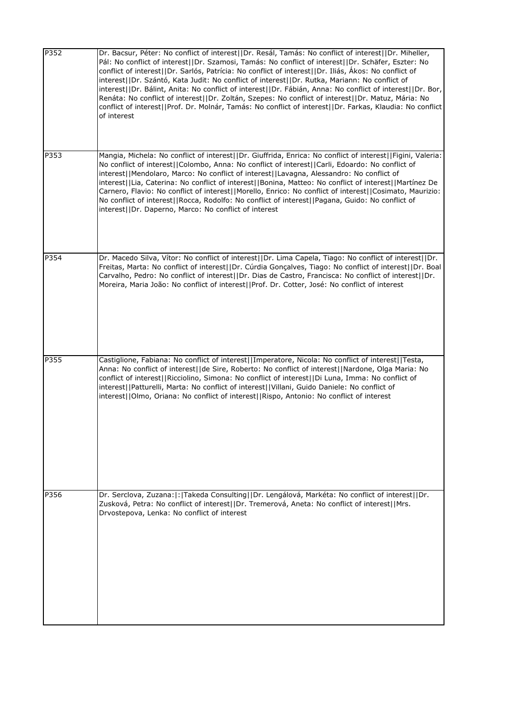| P352 | Dr. Bacsur, Péter: No conflict of interest  Dr. Resál, Tamás: No conflict of interest  Dr. Miheller,<br>Pál: No conflict of interest  Dr. Szamosi, Tamás: No conflict of interest  Dr. Schäfer, Eszter: No<br>conflict of interest  Dr. Sarlós, Patrícia: No conflict of interest  Dr. Iliás, Ákos: No conflict of<br>interest  Dr. Szántó, Kata Judit: No conflict of interest  Dr. Rutka, Mariann: No conflict of<br>interest  Dr. Bálint, Anita: No conflict of interest  Dr. Fábián, Anna: No conflict of interest  Dr. Bor,<br>Renáta: No conflict of interest  Dr. Zoltán, Szepes: No conflict of interest  Dr. Matuz, Mária: No<br>conflict of interest  Prof. Dr. Molnár, Tamás: No conflict of interest  Dr. Farkas, Klaudia: No conflict<br>of interest |
|------|-------------------------------------------------------------------------------------------------------------------------------------------------------------------------------------------------------------------------------------------------------------------------------------------------------------------------------------------------------------------------------------------------------------------------------------------------------------------------------------------------------------------------------------------------------------------------------------------------------------------------------------------------------------------------------------------------------------------------------------------------------------------|
| P353 | Mangia, Michela: No conflict of interest  Dr. Giuffrida, Enrica: No conflict of interest  Figini, Valeria:<br>No conflict of interest  Colombo, Anna: No conflict of interest  Carli, Edoardo: No conflict of<br>interest  Mendolaro, Marco: No conflict of interest  Lavagna, Alessandro: No conflict of<br>interest  Lia, Caterina: No conflict of interest  Bonina, Matteo: No conflict of interest  Martínez De<br>Carnero, Flavio: No conflict of interest  Morello, Enrico: No conflict of interest  Cosimato, Maurizio:<br>No conflict of interest  Rocca, Rodolfo: No conflict of interest  Pagana, Guido: No conflict of<br>interest  Dr. Daperno, Marco: No conflict of interest                                                                        |
| P354 | Dr. Macedo Silva, Vítor: No conflict of interest  Dr. Lima Capela, Tiago: No conflict of interest  Dr.<br>Freitas, Marta: No conflict of interest  Dr. Cúrdia Gonçalves, Tiago: No conflict of interest  Dr. Boal<br>Carvalho, Pedro: No conflict of interest  Dr. Dias de Castro, Francisca: No conflict of interest  Dr.<br>Moreira, Maria João: No conflict of interest  Prof. Dr. Cotter, José: No conflict of interest                                                                                                                                                                                                                                                                                                                                       |
| P355 | Castiglione, Fabiana: No conflict of interest  Imperatore, Nicola: No conflict of interest  Testa,<br>Anna: No conflict of interest  de Sire, Roberto: No conflict of interest  Nardone, Olga Maria: No<br>conflict of interest  Ricciolino, Simona: No conflict of interest  Di Luna, Imma: No conflict of<br>interest  Patturelli, Marta: No conflict of interest  Villani, Guido Daniele: No conflict of<br> interest  Olmo, Oriana: No conflict of interest  Rispo, Antonio: No conflict of interest                                                                                                                                                                                                                                                          |
| P356 | Dr. Serclova, Zuzana:  :  Takeda Consulting  Dr. Lengálová, Markéta: No conflict of interest  Dr.<br>Zusková, Petra: No conflict of interest  Dr. Tremerová, Aneta: No conflict of interest  Mrs.<br>Drvostepova, Lenka: No conflict of interest                                                                                                                                                                                                                                                                                                                                                                                                                                                                                                                  |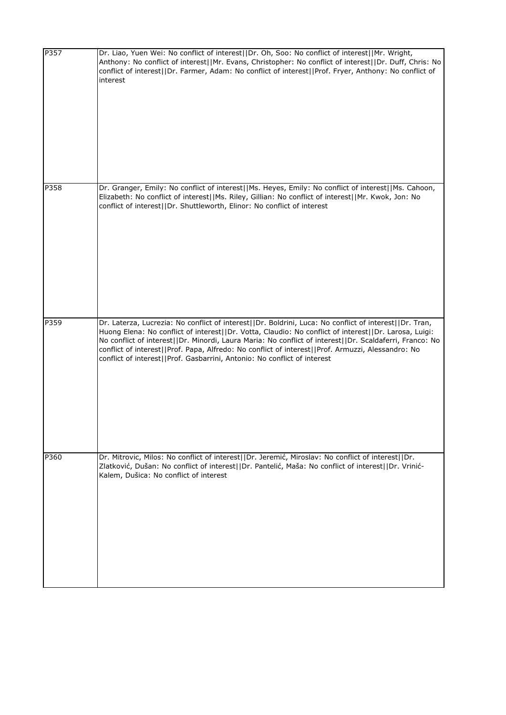| P357 | Dr. Liao, Yuen Wei: No conflict of interest  Dr. Oh, Soo: No conflict of interest  Mr. Wright,<br>Anthony: No conflict of interest  Mr. Evans, Christopher: No conflict of interest  Dr. Duff, Chris: No<br>conflict of interest  Dr. Farmer, Adam: No conflict of interest  Prof. Fryer, Anthony: No conflict of<br>interest                                                                                                                                                                               |
|------|-------------------------------------------------------------------------------------------------------------------------------------------------------------------------------------------------------------------------------------------------------------------------------------------------------------------------------------------------------------------------------------------------------------------------------------------------------------------------------------------------------------|
| P358 | Dr. Granger, Emily: No conflict of interest  Ms. Heyes, Emily: No conflict of interest  Ms. Cahoon,<br>Elizabeth: No conflict of interest  Ms. Riley, Gillian: No conflict of interest  Mr. Kwok, Jon: No<br>conflict of interest  Dr. Shuttleworth, Elinor: No conflict of interest                                                                                                                                                                                                                        |
| P359 | Dr. Laterza, Lucrezia: No conflict of interest  Dr. Boldrini, Luca: No conflict of interest  Dr. Tran,<br>Huong Elena: No conflict of interest  Dr. Votta, Claudio: No conflict of interest  Dr. Larosa, Luigi:<br>No conflict of interest  Dr. Minordi, Laura Maria: No conflict of interest  Dr. Scaldaferri, Franco: No<br>conflict of interest  Prof. Papa, Alfredo: No conflict of interest  Prof. Armuzzi, Alessandro: No<br>conflict of interest  Prof. Gasbarrini, Antonio: No conflict of interest |
| P360 | Dr. Mitrovic, Milos: No conflict of interest  Dr. Jeremić, Miroslav: No conflict of interest  Dr.<br>Zlatković, Dušan: No conflict of interest  Dr. Pantelić, Maša: No conflict of interest  Dr. Vrinić-<br>Kalem, Dušica: No conflict of interest                                                                                                                                                                                                                                                          |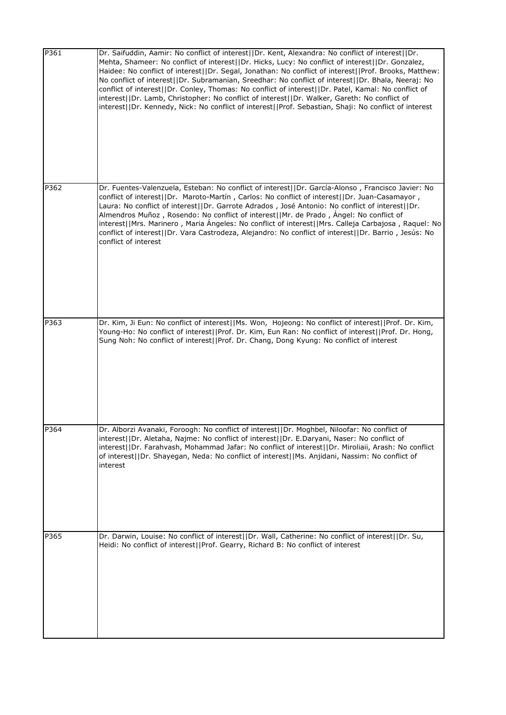| P361 | Dr. Saifuddin, Aamir: No conflict of interest  Dr. Kent, Alexandra: No conflict of interest  Dr.<br>Mehta, Shameer: No conflict of interest  Dr. Hicks, Lucy: No conflict of interest  Dr. Gonzalez,<br>Haidee: No conflict of interest  Dr. Segal, Jonathan: No conflict of interest  Prof. Brooks, Matthew:<br>No conflict of interest  Dr. Subramanian, Sreedhar: No conflict of interest  Dr. Bhala, Neeraj: No<br>conflict of interest  Dr. Conley, Thomas: No conflict of interest  Dr. Patel, Kamal: No conflict of<br>interest  Dr. Lamb, Christopher: No conflict of interest  Dr. Walker, Gareth: No conflict of<br>interest  Dr. Kennedy, Nick: No conflict of interest  Prof. Sebastian, Shaji: No conflict of interest |
|------|-------------------------------------------------------------------------------------------------------------------------------------------------------------------------------------------------------------------------------------------------------------------------------------------------------------------------------------------------------------------------------------------------------------------------------------------------------------------------------------------------------------------------------------------------------------------------------------------------------------------------------------------------------------------------------------------------------------------------------------|
| P362 | Dr. Fuentes-Valenzuela, Esteban: No conflict of interest  Dr. García-Alonso, Francisco Javier: No<br>conflict of interest  Dr. Maroto-Martín, Carlos: No conflict of interest  Dr. Juan-Casamayor,<br>Laura: No conflict of interest  Dr. Garrote Adrados, José Antonio: No conflict of interest  Dr.<br>Almendros Muñoz, Rosendo: No conflict of interest  Mr. de Prado, Ángel: No conflict of<br>interest  Mrs. Marinero, Maria Ángeles: No conflict of interest  Mrs. Calleja Carbajosa, Raquel: No<br>conflict of interest  Dr. Vara Castrodeza, Alejandro: No conflict of interest  Dr. Barrio, Jesús: No<br>conflict of interest                                                                                              |
| P363 | Dr. Kim, Ji Eun: No conflict of interest  Ms. Won, Hojeong: No conflict of interest  Prof. Dr. Kim,<br>Young-Ho: No conflict of interest  Prof. Dr. Kim, Eun Ran: No conflict of interest  Prof. Dr. Hong,<br>Sung Noh: No conflict of interest  Prof. Dr. Chang, Dong Kyung: No conflict of interest                                                                                                                                                                                                                                                                                                                                                                                                                               |
| P364 | Dr. Alborzi Avanaki, Foroogh: No conflict of interest  Dr. Moghbel, Niloofar: No conflict of<br>interest  Dr. Aletaha, Najme: No conflict of interest  Dr. E.Daryani, Naser: No conflict of<br>interest  Dr. Farahvash, Mohammad Jafar: No conflict of interest  Dr. Miroliaii, Arash: No conflict<br>of interest  Dr. Shayegan, Neda: No conflict of interest  Ms. Anjidani, Nassim: No conflict of<br>interest                                                                                                                                                                                                                                                                                                                    |
| P365 | Dr. Darwin, Louise: No conflict of interest  Dr. Wall, Catherine: No conflict of interest  Dr. Su,<br>Heidi: No conflict of interest  Prof. Gearry, Richard B: No conflict of interest                                                                                                                                                                                                                                                                                                                                                                                                                                                                                                                                              |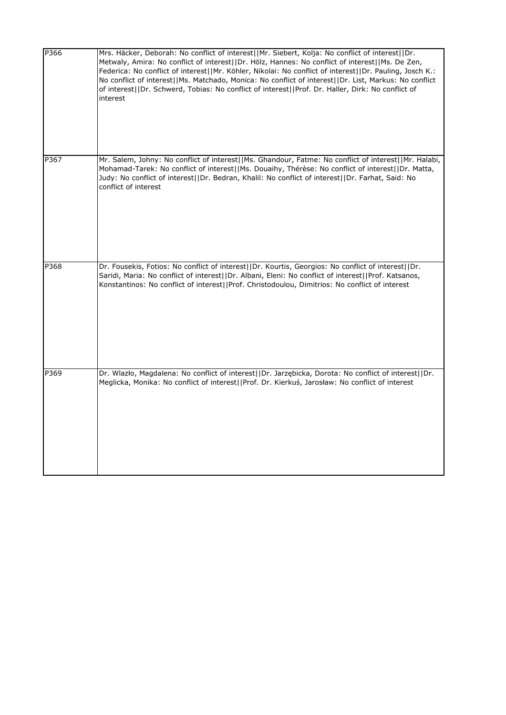| P366 | Mrs. Häcker, Deborah: No conflict of interest  Mr. Siebert, Kolja: No conflict of interest  Dr.<br>Metwaly, Amira: No conflict of interest  Dr. Hölz, Hannes: No conflict of interest  Ms. De Zen,<br>Federica: No conflict of interest  Mr. Köhler, Nikolai: No conflict of interest  Dr. Pauling, Josch K.:<br>No conflict of interest  Ms. Matchado, Monica: No conflict of interest  Dr. List, Markus: No conflict<br>of interest  Dr. Schwerd, Tobias: No conflict of interest  Prof. Dr. Haller, Dirk: No conflict of<br>interest |
|------|-----------------------------------------------------------------------------------------------------------------------------------------------------------------------------------------------------------------------------------------------------------------------------------------------------------------------------------------------------------------------------------------------------------------------------------------------------------------------------------------------------------------------------------------|
| P367 | Mr. Salem, Johny: No conflict of interest  Ms. Ghandour, Fatme: No conflict of interest  Mr. Halabi,<br>Mohamad-Tarek: No conflict of interest  Ms. Douaihy, Thérèse: No conflict of interest  Dr. Matta,<br>Judy: No conflict of interest  Dr. Bedran, Khalil: No conflict of interest  Dr. Farhat, Said: No<br>conflict of interest                                                                                                                                                                                                   |
| P368 | Dr. Fousekis, Fotios: No conflict of interest  Dr. Kourtis, Georgios: No conflict of interest  Dr.<br>Saridi, Maria: No conflict of interest  Dr. Albani, Eleni: No conflict of interest  Prof. Katsanos,<br>Konstantinos: No conflict of interest  Prof. Christodoulou, Dimitrios: No conflict of interest                                                                                                                                                                                                                             |
| P369 | Dr. Wlazło, Magdalena: No conflict of interest  Dr. Jarzębicka, Dorota: No conflict of interest  Dr.<br>Meglicka, Monika: No conflict of interest  Prof. Dr. Kierkuś, Jarosław: No conflict of interest                                                                                                                                                                                                                                                                                                                                 |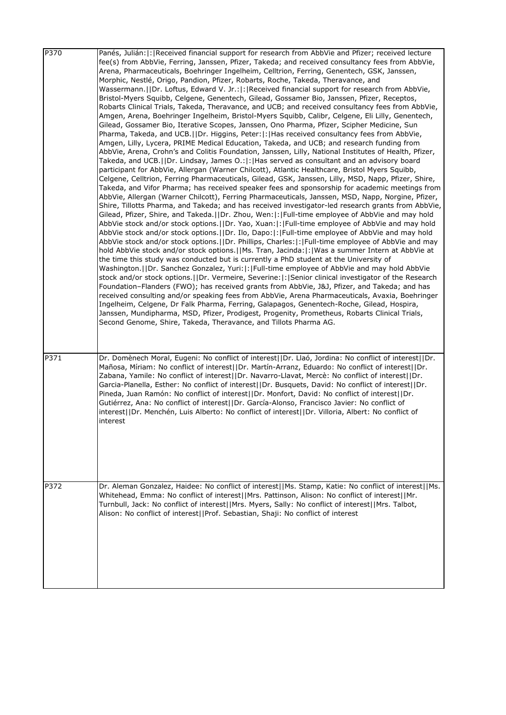| P370 | Panés, Julián:  :   Received financial support for research from AbbVie and Pfizer; received lecture<br>fee(s) from AbbVie, Ferring, Janssen, Pfizer, Takeda; and received consultancy fees from AbbVie, |
|------|----------------------------------------------------------------------------------------------------------------------------------------------------------------------------------------------------------|
|      | Arena, Pharmaceuticals, Boehringer Ingelheim, Celltrion, Ferring, Genentech, GSK, Janssen,                                                                                                               |
|      | Morphic, Nestlé, Origo, Pandion, Pfizer, Robarts, Roche, Takeda, Theravance, and                                                                                                                         |
|      | Wassermann.  Dr. Loftus, Edward V. Jr.: : Received financial support for research from AbbVie,                                                                                                           |
|      | Bristol-Myers Squibb, Celgene, Genentech, Gilead, Gossamer Bio, Janssen, Pfizer, Receptos,                                                                                                               |
|      | Robarts Clinical Trials, Takeda, Theravance, and UCB; and received consultancy fees from AbbVie,                                                                                                         |
|      | Amgen, Arena, Boehringer Ingelheim, Bristol-Myers Squibb, Calibr, Celgene, Eli Lilly, Genentech,                                                                                                         |
|      | Gilead, Gossamer Bio, Iterative Scopes, Janssen, Ono Pharma, Pfizer, Scipher Medicine, Sun                                                                                                               |
|      | Pharma, Takeda, and UCB.  Dr. Higgins, Peter: :  Has received consultancy fees from AbbVie,                                                                                                              |
|      | Amgen, Lilly, Lycera, PRIME Medical Education, Takeda, and UCB; and research funding from                                                                                                                |
|      | AbbVie, Arena, Crohn's and Colitis Foundation, Janssen, Lilly, National Institutes of Health, Pfizer,                                                                                                    |
|      | Takeda, and UCB.  Dr. Lindsay, James O.: : Has served as consultant and an advisory board                                                                                                                |
|      | participant for AbbVie, Allergan (Warner Chilcott), Atlantic Healthcare, Bristol Myers Squibb,                                                                                                           |
|      | Celgene, Celltrion, Ferring Pharmaceuticals, Gilead, GSK, Janssen, Lilly, MSD, Napp, Pfizer, Shire,                                                                                                      |
|      | Takeda, and Vifor Pharma; has received speaker fees and sponsorship for academic meetings from                                                                                                           |
|      | AbbVie, Allergan (Warner Chilcott), Ferring Pharmaceuticals, Janssen, MSD, Napp, Norgine, Pfizer,                                                                                                        |
|      | Shire, Tillotts Pharma, and Takeda; and has received investigator-led research grants from AbbVie,                                                                                                       |
|      | Gilead, Pfizer, Shire, and Takeda.  Dr. Zhou, Wen: : Full-time employee of AbbVie and may hold<br>AbbVie stock and/or stock options. [IDr. Yao, Xuan:  :  Full-time employee of AbbVie and may hold      |
|      | AbbVie stock and/or stock options.     Dr. Ilo, Dapo:  :   Full-time employee of AbbVie and may hold                                                                                                     |
|      | AbbVie stock and/or stock options. [IDr. Phillips, Charles:  : Full-time employee of AbbVie and may                                                                                                      |
|      | hold AbbVie stock and/or stock options.  Ms. Tran, Jacinda: : Was a summer Intern at AbbVie at                                                                                                           |
|      | the time this study was conducted but is currently a PhD student at the University of                                                                                                                    |
|      | Washington.   IDr. Sanchez Gonzalez, Yuri:  :   Full-time employee of AbbVie and may hold AbbVie                                                                                                         |
|      | stock and/or stock options.   IDr. Vermeire, Severine:   :   Senior clinical investigator of the Research                                                                                                |
|      | Foundation-Flanders (FWO); has received grants from AbbVie, J&J, Pfizer, and Takeda; and has                                                                                                             |
|      | received consulting and/or speaking fees from AbbVie, Arena Pharmaceuticals, Avaxia, Boehringer                                                                                                          |
|      | Ingelheim, Celgene, Dr Falk Pharma, Ferring, Galapagos, Genentech-Roche, Gilead, Hospira,                                                                                                                |
|      | Janssen, Mundipharma, MSD, Pfizer, Prodigest, Progenity, Prometheus, Robarts Clinical Trials,                                                                                                            |
|      | Second Genome, Shire, Takeda, Theravance, and Tillots Pharma AG.                                                                                                                                         |
|      |                                                                                                                                                                                                          |
|      |                                                                                                                                                                                                          |
| P371 | Dr. Domènech Moral, Eugeni: No conflict of interest  Dr. Llaó, Jordina: No conflict of interest  Dr.                                                                                                     |
|      | Mañosa, Míriam: No conflict of interest  Dr. Martín-Arranz, Eduardo: No conflict of interest  Dr.                                                                                                        |
|      | Zabana, Yamile: No conflict of interest  Dr. Navarro-Llavat, Mercè: No conflict of interest  Dr.                                                                                                         |
|      | Garcia-Planella, Esther: No conflict of interest  Dr. Busquets, David: No conflict of interest  Dr.                                                                                                      |
|      | Pineda, Juan Ramón: No conflict of interest  Dr. Monfort, David: No conflict of interest  Dr.                                                                                                            |
|      | Gutiérrez, Ana: No conflict of interest  Dr. García-Alonso, Francisco Javier: No conflict of                                                                                                             |
|      | interest  Dr. Menchén, Luis Alberto: No conflict of interest  Dr. Villoria, Albert: No conflict of<br>interest                                                                                           |
|      |                                                                                                                                                                                                          |
|      |                                                                                                                                                                                                          |
|      |                                                                                                                                                                                                          |
|      |                                                                                                                                                                                                          |
|      |                                                                                                                                                                                                          |
|      |                                                                                                                                                                                                          |
| P372 | Dr. Aleman Gonzalez, Haidee: No conflict of interest  Ms. Stamp, Katie: No conflict of interest  Ms.                                                                                                     |
|      | Whitehead, Emma: No conflict of interest  Mrs. Pattinson, Alison: No conflict of interest  Mr.                                                                                                           |
|      | Turnbull, Jack: No conflict of interest  Mrs. Myers, Sally: No conflict of interest  Mrs. Talbot,                                                                                                        |
|      | Alison: No conflict of interest  Prof. Sebastian, Shaji: No conflict of interest                                                                                                                         |
|      |                                                                                                                                                                                                          |
|      |                                                                                                                                                                                                          |
|      |                                                                                                                                                                                                          |
|      |                                                                                                                                                                                                          |
|      |                                                                                                                                                                                                          |
|      |                                                                                                                                                                                                          |
|      |                                                                                                                                                                                                          |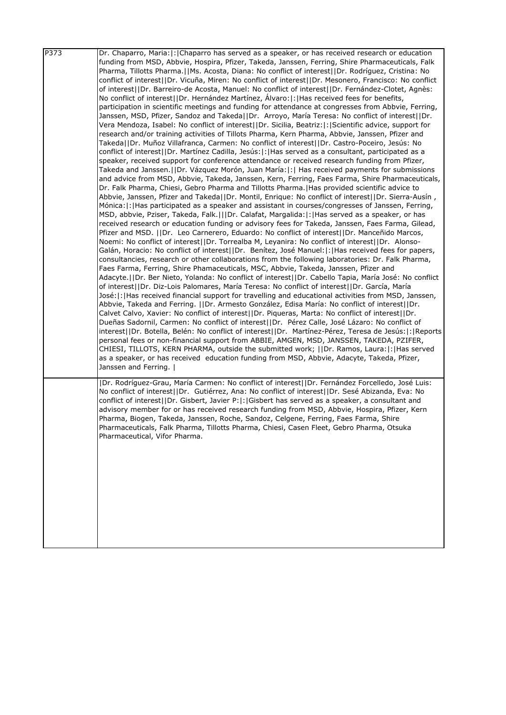| P373 | Dr. Chaparro, Maria:  :   Chaparro has served as a speaker, or has received research or education<br>funding from MSD, Abbvie, Hospira, Pfizer, Takeda, Janssen, Ferring, Shire Pharmaceuticals, Falk<br>Pharma, Tillotts Pharma.  Ms. Acosta, Diana: No conflict of interest  Dr. Rodríguez, Cristina: No<br>conflict of interest  Dr. Vicuña, Miren: No conflict of interest  Dr. Mesonero, Francisco: No conflict<br>of interest  Dr. Barreiro-de Acosta, Manuel: No conflict of interest  Dr. Fernández-Clotet, Agnès:<br>No conflict of interest  Dr. Hernández Martínez, Álvaro: :  Has received fees for benefits,<br>participation in scientific meetings and funding for attendance at congresses from Abbvie, Ferring,<br>Janssen, MSD, Pfizer, Sandoz and Takeda  Dr. Arroyo, María Teresa: No conflict of interest  Dr.<br>Vera Mendoza, Isabel: No conflict of interest  Dr. Sicilia, Beatriz: : Scientific advice, support for<br>research and/or training activities of Tillots Pharma, Kern Pharma, Abbvie, Janssen, Pfizer and<br>Takeda  Dr. Muñoz Villafranca, Carmen: No conflict of interest  Dr. Castro-Poceiro, Jesús: No<br>conflict of interest  Dr. Martínez Cadilla, Jesús: : Has served as a consultant, participated as a<br>speaker, received support for conference attendance or received research funding from Pfizer,<br>Takeda and Janssen.   Dr. Vázquez Morón, Juan María:   :   Has received payments for submissions<br>and advice from MSD, Abbvie, Takeda, Janssen, Kern, Ferring, Faes Farma, Shire Pharmaceuticals,<br>Dr. Falk Pharma, Chiesi, Gebro Pharma and Tillotts Pharma. Has provided scientific advice to<br>, Abbvie, Janssen, Pfizer and Takeda  Dr. Montil, Enrique: No conflict of interest  Dr. Sierra-Ausín<br>Mónica:  :   Has participated as a speaker and assistant in courses/congresses of Janssen, Ferring,<br>MSD, abbvie, Pziser, Takeda, Falk.   Dr. Calafat, Margalida: :  Has served as a speaker, or has<br>received research or education funding or advisory fees for Takeda, Janssen, Faes Farma, Gilead,<br>Pfizer and MSD.   Dr. Leo Carnerero, Eduardo: No conflict of interest  Dr. Manceñido Marcos,<br>Noemi: No conflict of interest  Dr. Torrealba M, Leyanira: No conflict of interest  Dr. Alonso-<br>Galán, Horacio: No conflict of interest  Dr. Benítez, José Manuel: : Has received fees for papers,<br>consultancies, research or other collaborations from the following laboratories: Dr. Falk Pharma,<br>Faes Farma, Ferring, Shire Phamaceuticals, MSC, Abbvie, Takeda, Janssen, Pfizer and<br>Adacyte.     Dr. Ber Nieto, Yolanda: No conflict of interest    Dr. Cabello Tapia, María José: No conflict<br>of interest  Dr. Diz-Lois Palomares, María Teresa: No conflict of interest  Dr. García, María<br>José:  :   Has received financial support for travelling and educational activities from MSD, Janssen,<br>Abbvie, Takeda and Ferring.   Dr. Armesto González, Edisa María: No conflict of interest  Dr.<br>Calvet Calvo, Xavier: No conflict of interest  Dr. Piqueras, Marta: No conflict of interest  Dr.<br>Dueñas Sadornil, Carmen: No conflict of interest  Dr. Pérez Calle, José Lázaro: No conflict of<br>interest  Dr. Botella, Belén: No conflict of interest  Dr. Martínez-Pérez, Teresa de Jesús: : Reports<br>personal fees or non-financial support from ABBIE, AMGEN, MSD, JANSSEN, TAKEDA, PZIFER,<br>CHIESI, TILLOTS, KERN PHARMA, outside the submitted work;   Dr. Ramos, Laura: : Has served<br>as a speaker, or has received education funding from MSD, Abbvie, Adacyte, Takeda, Pfizer,<br>Janssen and Ferring. |
|------|---------------------------------------------------------------------------------------------------------------------------------------------------------------------------------------------------------------------------------------------------------------------------------------------------------------------------------------------------------------------------------------------------------------------------------------------------------------------------------------------------------------------------------------------------------------------------------------------------------------------------------------------------------------------------------------------------------------------------------------------------------------------------------------------------------------------------------------------------------------------------------------------------------------------------------------------------------------------------------------------------------------------------------------------------------------------------------------------------------------------------------------------------------------------------------------------------------------------------------------------------------------------------------------------------------------------------------------------------------------------------------------------------------------------------------------------------------------------------------------------------------------------------------------------------------------------------------------------------------------------------------------------------------------------------------------------------------------------------------------------------------------------------------------------------------------------------------------------------------------------------------------------------------------------------------------------------------------------------------------------------------------------------------------------------------------------------------------------------------------------------------------------------------------------------------------------------------------------------------------------------------------------------------------------------------------------------------------------------------------------------------------------------------------------------------------------------------------------------------------------------------------------------------------------------------------------------------------------------------------------------------------------------------------------------------------------------------------------------------------------------------------------------------------------------------------------------------------------------------------------------------------------------------------------------------------------------------------------------------------------------------------------------------------------------------------------------------------------------------------------------------------------------------------------------------------------------------------------------------------------------------------------------------------------------------------------------------------------------------------------------------------------------------------------------------------------------------------------------------------------------------------------------------------------------------------------------------------------------------------------------------------------------|
|      | Dr. Rodríguez-Grau, María Carmen: No conflict of interest  Dr. Fernández Forcelledo, José Luis:<br>No conflict of interest  Dr. Gutiérrez, Ana: No conflict of interest  Dr. Sesé Abizanda, Eva: No<br>conflict of interest  Dr. Gisbert, Javier P: : Gisbert has served as a speaker, a consultant and<br>advisory member for or has received research funding from MSD, Abbvie, Hospira, Pfizer, Kern<br>Pharma, Biogen, Takeda, Janssen, Roche, Sandoz, Celgene, Ferring, Faes Farma, Shire<br>Pharmaceuticals, Falk Pharma, Tillotts Pharma, Chiesi, Casen Fleet, Gebro Pharma, Otsuka<br>Pharmaceutical, Vifor Pharma.                                                                                                                                                                                                                                                                                                                                                                                                                                                                                                                                                                                                                                                                                                                                                                                                                                                                                                                                                                                                                                                                                                                                                                                                                                                                                                                                                                                                                                                                                                                                                                                                                                                                                                                                                                                                                                                                                                                                                                                                                                                                                                                                                                                                                                                                                                                                                                                                                                                                                                                                                                                                                                                                                                                                                                                                                                                                                                                                                                                                                       |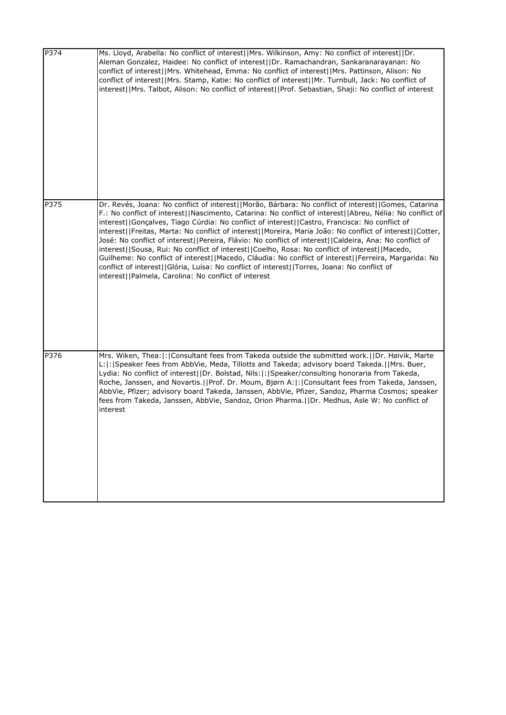| P374 | Ms. Lloyd, Arabella: No conflict of interest  Mrs. Wilkinson, Amy: No conflict of interest  Dr.<br>Aleman Gonzalez, Haidee: No conflict of interest  Dr. Ramachandran, Sankaranarayanan: No<br>conflict of interest  Mrs. Whitehead, Emma: No conflict of interest  Mrs. Pattinson, Alison: No<br>conflict of interest  Mrs. Stamp, Katie: No conflict of interest  Mr. Turnbull, Jack: No conflict of<br>interest  Mrs. Talbot, Alison: No conflict of interest  Prof. Sebastian, Shaji: No conflict of interest                                                                                                                                                                                                                                                                                                                                                                                      |
|------|--------------------------------------------------------------------------------------------------------------------------------------------------------------------------------------------------------------------------------------------------------------------------------------------------------------------------------------------------------------------------------------------------------------------------------------------------------------------------------------------------------------------------------------------------------------------------------------------------------------------------------------------------------------------------------------------------------------------------------------------------------------------------------------------------------------------------------------------------------------------------------------------------------|
| P375 | Dr. Revés, Joana: No conflict of interest  Morão, Bárbara: No conflict of interest  Gomes, Catarina<br>F.: No conflict of interest  Nascimento, Catarina: No conflict of interest  Abreu, Nélia: No conflict of<br>interest  Gonçalves, Tiago Cúrdia: No conflict of interest  Castro, Francisca: No conflict of<br>interest  Freitas, Marta: No conflict of interest  Moreira, Maria João: No conflict of interest  Cotter,<br>José: No conflict of interest  Pereira, Flávio: No conflict of interest  Caldeira, Ana: No conflict of<br>interest  Sousa, Rui: No conflict of interest  Coelho, Rosa: No conflict of interest  Macedo,<br>Guilheme: No conflict of interest  Macedo, Cláudia: No conflict of interest  Ferreira, Margarida: No<br>conflict of interest  Glória, Luísa: No conflict of interest  Torres, Joana: No conflict of<br>interest  Palmela, Carolina: No conflict of interest |
| P376 | Mrs. Wiken, Thea:  :   Consultant fees from Takeda outside the submitted work.     Dr. Høivik, Marte<br>L: : Speaker fees from AbbVie, Meda, Tillotts and Takeda; advisory board Takeda.  Mrs. Buer,<br>Lydia: No conflict of interest  Dr. Bolstad, Nils: : Speaker/consulting honoraria from Takeda,<br>Roche, Janssen, and Novartis.  Prof. Dr. Moum, Bjørn A: : Consultant fees from Takeda, Janssen,<br>AbbVie, Pfizer; advisory board Takeda, Janssen, AbbVie, Pfizer, Sandoz, Pharma Cosmos; speaker<br>fees from Takeda, Janssen, AbbVie, Sandoz, Orion Pharma.  Dr. Medhus, Asle W: No conflict of<br>interest                                                                                                                                                                                                                                                                                |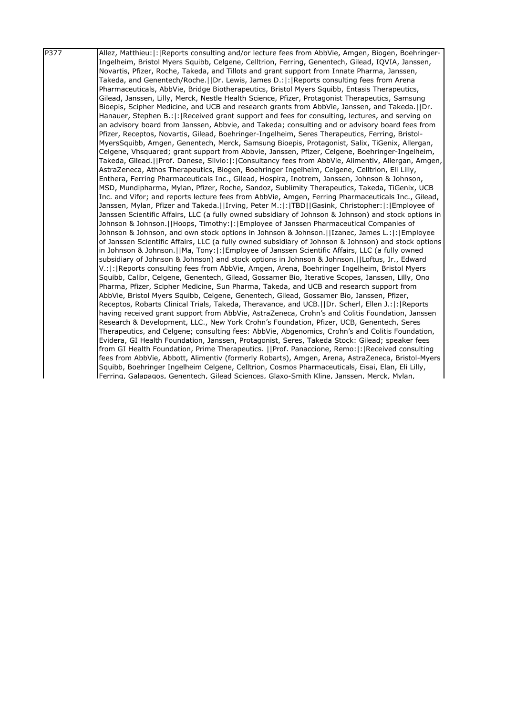| P377 | Allez, Matthieu:  :   Reports consulting and/or lecture fees from AbbVie, Amgen, Biogen, Boehringer- |
|------|------------------------------------------------------------------------------------------------------|
|      | Ingelheim, Bristol Myers Squibb, Celgene, Celltrion, Ferring, Genentech, Gilead, IQVIA, Janssen,     |
|      | Novartis, Pfizer, Roche, Takeda, and Tillots and grant support from Innate Pharma, Janssen,          |
|      | Takeda, and Genentech/Roche.  Dr. Lewis, James D.: : Reports consulting fees from Arena              |
|      | Pharmaceuticals, AbbVie, Bridge Biotherapeutics, Bristol Myers Squibb, Entasis Therapeutics,         |
|      | Gilead, Janssen, Lilly, Merck, Nestle Health Science, Pfizer, Protagonist Therapeutics, Samsung      |
|      | Bioepis, Scipher Medicine, and UCB and research grants from AbbVie, Janssen, and Takeda. [IDr.       |
|      | Hanauer, Stephen B.:  :  Received grant support and fees for consulting, lectures, and serving on    |
|      | an advisory board from Janssen, Abbvie, and Takeda; consulting and or advisory board fees from       |
|      | Pfizer, Receptos, Novartis, Gilead, Boehringer-Ingelheim, Seres Therapeutics, Ferring, Bristol-      |
|      | MyersSquibb, Amgen, Genentech, Merck, Samsung Bioepis, Protagonist, Salix, TiGenix, Allergan,        |
|      | Celgene, Vhsquared; grant support from Abbvie, Janssen, Pfizer, Celgene, Boehringer-Ingelheim,       |
|      | Takeda, Gilead.  Prof. Danese, Silvio: : Consultancy fees from AbbVie, Alimentiv, Allergan, Amgen,   |
|      | AstraZeneca, Athos Therapeutics, Biogen, Boehringer Ingelheim, Celgene, Celltrion, Eli Lilly,        |
|      | Enthera, Ferring Pharmaceuticals Inc., Gilead, Hospira, Inotrem, Janssen, Johnson & Johnson,         |
|      | MSD, Mundipharma, Mylan, Pfizer, Roche, Sandoz, Sublimity Therapeutics, Takeda, TiGenix, UCB         |
|      | Inc. and Vifor; and reports lecture fees from AbbVie, Amgen, Ferring Pharmaceuticals Inc., Gilead,   |
|      | Janssen, Mylan, Pfizer and Takeda.  Irving, Peter M.: : TBD  Gasink, Christopher: : Employee of      |
|      | Janssen Scientific Affairs, LLC (a fully owned subsidiary of Johnson & Johnson) and stock options in |
|      | Johnson & Johnson.  Hoops, Timothy: : Employee of Janssen Pharmaceutical Companies of                |
|      | Johnson & Johnson, and own stock options in Johnson & Johnson.[Izanec, James L.:  :   Employee       |
|      | of Janssen Scientific Affairs, LLC (a fully owned subsidiary of Johnson & Johnson) and stock options |
|      | in Johnson & Johnson.   Ma, Tony:   :   Employee of Janssen Scientific Affairs, LLC (a fully owned   |
|      | subsidiary of Johnson & Johnson) and stock options in Johnson & Johnson. [[Loftus, Jr., Edward       |
|      | V.: : Reports consulting fees from AbbVie, Amgen, Arena, Boehringer Ingelheim, Bristol Myers         |
|      | Squibb, Calibr, Celgene, Genentech, Gilead, Gossamer Bio, Iterative Scopes, Janssen, Lilly, Ono      |
|      | Pharma, Pfizer, Scipher Medicine, Sun Pharma, Takeda, and UCB and research support from              |
|      | AbbVie, Bristol Myers Squibb, Celgene, Genentech, Gilead, Gossamer Bio, Janssen, Pfizer,             |
|      | Receptos, Robarts Clinical Trials, Takeda, Theravance, and UCB. IDr. Scherl, Ellen J.:  :   Reports  |
|      | having received grant support from AbbVie, AstraZeneca, Crohn's and Colitis Foundation, Janssen      |
|      | Research & Development, LLC., New York Crohn's Foundation, Pfizer, UCB, Genentech, Seres             |
|      | Therapeutics, and Celgene; consulting fees: AbbVie, Abgenomics, Crohn's and Colitis Foundation,      |
|      | Evidera, GI Health Foundation, Janssen, Protagonist, Seres, Takeda Stock: Gilead; speaker fees       |
|      | from GI Health Foundation, Prime Therapeutics. [[Prof. Panaccione, Remo: [: [Received consulting]    |
|      | fees from AbbVie, Abbott, Alimentiv (formerly Robarts), Amgen, Arena, AstraZeneca, Bristol-Myers     |
|      | Squibb, Boehringer Ingelheim Celgene, Celltrion, Cosmos Pharmaceuticals, Eisai, Elan, Eli Lilly,     |
|      | IFerring, Galapagos, Genentech, Gilead Sciences, Glaxo-Smith Kline, Janssen, Merck, Mylan,           |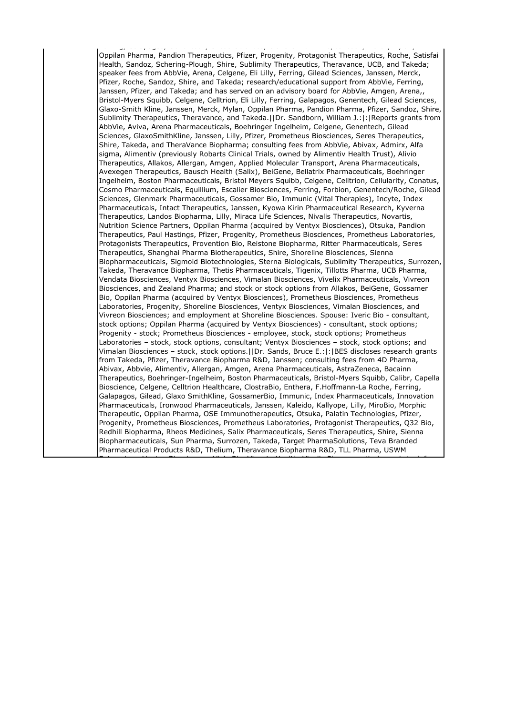Ferring, Galapagos, Genentech, Gilead Sciences, Glaxo-Smith Kline, Janssen, Merck, Mylan, Oppilan Pharma, Pandion Therapeutics, Pfizer, Progenity, Protagonist Therapeutics, Roche, Satisfai Health, Sandoz, Schering-Plough, Shire, Sublimity Therapeutics, Theravance, UCB, and Takeda; speaker fees from AbbVie, Arena, Celgene, Eli Lilly, Ferring, Gilead Sciences, Janssen, Merck, Pfizer, Roche, Sandoz, Shire, and Takeda; research/educational support from AbbVie, Ferring, Janssen, Pfizer, and Takeda; and has served on an advisory board for AbbVie, Amgen, Arena,, Bristol-Myers Squibb, Celgene, Celltrion, Eli Lilly, Ferring, Galapagos, Genentech, Gilead Sciences, Glaxo-Smith Kline, Janssen, Merck, Mylan, Oppilan Pharma, Pandion Pharma, Pfizer, Sandoz, Shire, Sublimity Therapeutics, Theravance, and Takeda.||Dr. Sandborn, William J.:|:|Reports grants from AbbVie, Aviva, Arena Pharmaceuticals, Boehringer Ingelheim, Celgene, Genentech, Gilead Sciences, GlaxoSmithKline, Janssen, Lilly, Pfizer, Prometheus Biosciences, Seres Therapeutics, Shire, Takeda, and TheraVance Biopharma; consulting fees from AbbVie, Abivax, Admirx, Alfa sigma, Alimentiv (previously Robarts Clinical Trials, owned by Alimentiv Health Trust), Alivio Therapeutics, Allakos, Allergan, Amgen, Applied Molecular Transport, Arena Pharmaceuticals, Avexegen Therapeutics, Bausch Health (Salix), BeiGene, Bellatrix Pharmaceuticals, Boehringer Ingelheim, Boston Pharmaceuticals, Bristol Meyers Squibb, Celgene, Celltrion, Cellularity, Conatus, Cosmo Pharmaceuticals, Equillium, Escalier Biosciences, Ferring, Forbion, Genentech/Roche, Gilead Sciences, Glenmark Pharmaceuticals, Gossamer Bio, Immunic (Vital Therapies), Incyte, Index Pharmaceuticals, Intact Therapeutics, Janssen, Kyowa Kirin Pharmaceutical Research, Kyverna Therapeutics, Landos Biopharma, Lilly, Miraca Life Sciences, Nivalis Therapeutics, Novartis, Nutrition Science Partners, Oppilan Pharma (acquired by Ventyx Biosciences), Otsuka, Pandion Therapeutics, Paul Hastings, Pfizer, Progenity, Prometheus Biosciences, Prometheus Laboratories, Protagonists Therapeutics, Provention Bio, Reistone Biopharma, Ritter Pharmaceuticals, Seres Therapeutics, Shanghai Pharma Biotherapeutics, Shire, Shoreline Biosciences, Sienna Biopharmaceuticals, Sigmoid Biotechnologies, Sterna Biologicals, Sublimity Therapeutics, Surrozen, Takeda, Theravance Biopharma, Thetis Pharmaceuticals, Tigenix, Tillotts Pharma, UCB Pharma, Vendata Biosciences, Ventyx Biosciences, Vimalan Biosciences, Vivelix Pharmaceuticals, Vivreon Biosciences, and Zealand Pharma; and stock or stock options from Allakos, BeiGene, Gossamer Bio, Oppilan Pharma (acquired by Ventyx Biosciences), Prometheus Biosciences, Prometheus Laboratories, Progenity, Shoreline Biosciences, Ventyx Biosciences, Vimalan Biosciences, and Vivreon Biosciences; and employment at Shoreline Biosciences. Spouse: Iveric Bio - consultant, stock options; Oppilan Pharma (acquired by Ventyx Biosciences) - consultant, stock options; Progenity - stock; Prometheus Biosciences - employee, stock, stock options; Prometheus Laboratories – stock, stock options, consultant; Ventyx Biosciences – stock, stock options; and Vimalan Biosciences – stock, stock options.||Dr. Sands, Bruce E.:|:|BES discloses research grants from Takeda, Pfizer, Theravance Biopharma R&D, Janssen; consulting fees from 4D Pharma, Abivax, Abbvie, Alimentiv, Allergan, Amgen, Arena Pharmaceuticals, AstraZeneca, Bacainn Therapeutics, Boehringer-Ingelheim, Boston Pharmaceuticals, Bristol-Myers Squibb, Calibr, Capella Bioscience, Celgene, Celltrion Healthcare, ClostraBio, Enthera, F.Hoffmann-La Roche, Ferring, Galapagos, Gilead, Glaxo SmithKline, GossamerBio, Immunic, Index Pharmaceuticals, Innovation Pharmaceuticals, Ironwood Pharmaceuticals, Janssen, Kaleido, Kallyope, Lilly, MiroBio, Morphic Therapeutic, Oppilan Pharma, OSE Immunotherapeutics, Otsuka, Palatin Technologies, Pfizer, Progenity, Prometheus Biosciences, Prometheus Laboratories, Protagonist Therapeutics, Q32 Bio, Redhill Biopharma, Rheos Medicines, Salix Pharmaceuticals, Seres Therapeutics, Shire, Sienna Biopharmaceuticals, Sun Pharma, Surrozen, Takeda, Target PharmaSolutions, Teva Branded Pharmaceutical Products R&D, Thelium, Theravance Biopharma R&D, TLL Pharma, USWM Enterprises, Ventyx Biosciences, Viela Bio, Vivante Health, Vivelix Pharmaceuticals; and stock for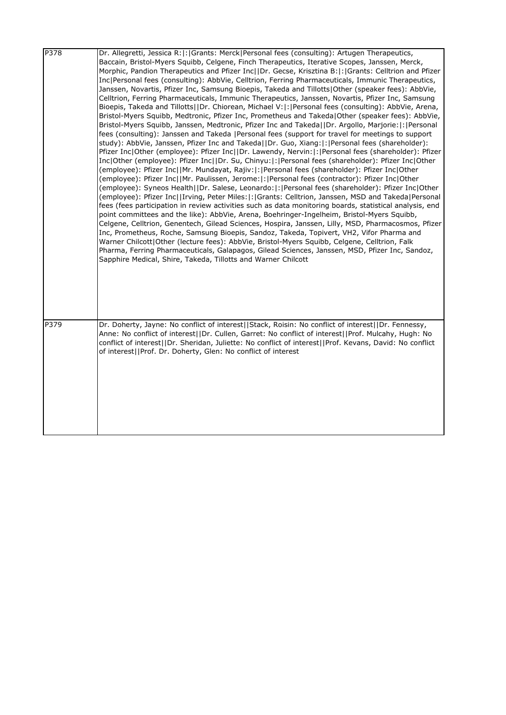| P378 | Dr. Allegretti, Jessica R: : Grants: Merck Personal fees (consulting): Artugen Therapeutics,<br>Baccain, Bristol-Myers Squibb, Celgene, Finch Therapeutics, Iterative Scopes, Janssen, Merck,<br>Morphic, Pandion Therapeutics and Pfizer Inc  Dr. Gecse, Krisztina B: : Grants: Celltrion and Pfizer<br>Inc Personal fees (consulting): AbbVie, Celltrion, Ferring Pharmaceuticals, Immunic Therapeutics,<br>Janssen, Novartis, Pfizer Inc, Samsung Bioepis, Takeda and Tillotts Other (speaker fees): AbbVie,<br>Celltrion, Ferring Pharmaceuticals, Immunic Therapeutics, Janssen, Novartis, Pfizer Inc, Samsung<br>Bioepis, Takeda and Tillotts  Dr. Chiorean, Michael V: : Personal fees (consulting): AbbVie, Arena,<br>Bristol-Myers Squibb, Medtronic, Pfizer Inc, Prometheus and Takeda Other (speaker fees): AbbVie,<br>Bristol-Myers Squibb, Janssen, Medtronic, Pfizer Inc and Takeda  Dr. Argollo, Marjorie: : Personal<br>fees (consulting): Janssen and Takeda  Personal fees (support for travel for meetings to support<br>study): AbbVie, Janssen, Pfizer Inc and Takeda  Dr. Guo, Xiang: : Personal fees (shareholder):<br>Pfizer Inc Other (employee): Pfizer Inc  Dr. Lawendy, Nervin: : Personal fees (shareholder): Pfizer<br>Inc Other (employee): Pfizer Inc  Dr. Su, Chinyu: : Personal fees (shareholder): Pfizer Inc Other<br>(employee): Pfizer Inc  Mr. Mundayat, Rajiv: : Personal fees (shareholder): Pfizer Inc Other<br>(employee): Pfizer Inc  Mr. Paulissen, Jerome: :  Personal fees (contractor): Pfizer Inc Other<br>(employee): Syneos Health  Dr. Salese, Leonardo: : Personal fees (shareholder): Pfizer Inc Other<br>(employee): Pfizer Inc  Irving, Peter Miles: : Grants: Celltrion, Janssen, MSD and Takeda Personal<br>fees (fees participation in review activities such as data monitoring boards, statistical analysis, end<br>point committees and the like): AbbVie, Arena, Boehringer-Ingelheim, Bristol-Myers Squibb,<br>Celgene, Celltrion, Genentech, Gilead Sciences, Hospira, Janssen, Lilly, MSD, Pharmacosmos, Pfizer |
|------|-----------------------------------------------------------------------------------------------------------------------------------------------------------------------------------------------------------------------------------------------------------------------------------------------------------------------------------------------------------------------------------------------------------------------------------------------------------------------------------------------------------------------------------------------------------------------------------------------------------------------------------------------------------------------------------------------------------------------------------------------------------------------------------------------------------------------------------------------------------------------------------------------------------------------------------------------------------------------------------------------------------------------------------------------------------------------------------------------------------------------------------------------------------------------------------------------------------------------------------------------------------------------------------------------------------------------------------------------------------------------------------------------------------------------------------------------------------------------------------------------------------------------------------------------------------------------------------------------------------------------------------------------------------------------------------------------------------------------------------------------------------------------------------------------------------------------------------------------------------------------------------------------------------------------------------------------------------------------------------------------------------------------------------------------------------------------------------|
|      | Inc, Prometheus, Roche, Samsung Bioepis, Sandoz, Takeda, Topivert, VH2, Vifor Pharma and<br>Warner Chilcott Other (lecture fees): AbbVie, Bristol-Myers Squibb, Celgene, Celltrion, Falk<br>Pharma, Ferring Pharmaceuticals, Galapagos, Gilead Sciences, Janssen, MSD, Pfizer Inc, Sandoz,<br>Sapphire Medical, Shire, Takeda, Tillotts and Warner Chilcott                                                                                                                                                                                                                                                                                                                                                                                                                                                                                                                                                                                                                                                                                                                                                                                                                                                                                                                                                                                                                                                                                                                                                                                                                                                                                                                                                                                                                                                                                                                                                                                                                                                                                                                       |
| P379 | Dr. Doherty, Jayne: No conflict of interest  Stack, Roisin: No conflict of interest  Dr. Fennessy,<br>Anne: No conflict of interest  Dr. Cullen, Garret: No conflict of interest  Prof. Mulcahy, Hugh: No<br>conflict of interest  Dr. Sheridan, Juliette: No conflict of interest  Prof. Kevans, David: No conflict<br>of interest  Prof. Dr. Doherty, Glen: No conflict of interest                                                                                                                                                                                                                                                                                                                                                                                                                                                                                                                                                                                                                                                                                                                                                                                                                                                                                                                                                                                                                                                                                                                                                                                                                                                                                                                                                                                                                                                                                                                                                                                                                                                                                             |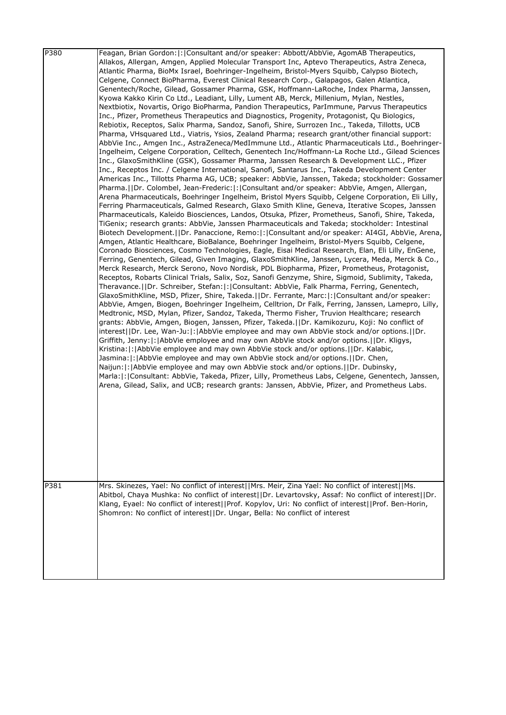| P380 | Feagan, Brian Gordon:  :   Consultant and/or speaker: Abbott/AbbVie, AgomAB Therapeutics,<br>Allakos, Allergan, Amgen, Applied Molecular Transport Inc, Aptevo Therapeutics, Astra Zeneca,<br>Atlantic Pharma, BioMx Israel, Boehringer-Ingelheim, Bristol-Myers Squibb, Calypso Biotech,<br>Celgene, Connect BioPharma, Everest Clinical Research Corp., Galapagos, Galen Atlantica,<br>Genentech/Roche, Gilead, Gossamer Pharma, GSK, Hoffmann-LaRoche, Index Pharma, Janssen,<br>Kyowa Kakko Kirin Co Ltd., Leadiant, Lilly, Lument AB, Merck, Millenium, Mylan, Nestles,<br>Nextbiotix, Novartis, Origo BioPharma, Pandion Therapeutics, ParImmune, Parvus Therapeutics<br>Inc., Pfizer, Prometheus Therapeutics and Diagnostics, Progenity, Protagonist, Qu Biologics,<br>Rebiotix, Receptos, Salix Pharma, Sandoz, Sanofi, Shire, Surrozen Inc., Takeda, Tillotts, UCB<br>Pharma, VHsquared Ltd., Viatris, Ysios, Zealand Pharma; research grant/other financial support:<br>AbbVie Inc., Amgen Inc., AstraZeneca/MedImmune Ltd., Atlantic Pharmaceuticals Ltd., Boehringer-<br>Ingelheim, Celgene Corporation, Celltech, Genentech Inc/Hoffmann-La Roche Ltd., Gilead Sciences<br>Inc., GlaxoSmithKline (GSK), Gossamer Pharma, Janssen Research & Development LLC., Pfizer<br>Inc., Receptos Inc. / Celgene International, Sanofi, Santarus Inc., Takeda Development Center<br>Americas Inc., Tillotts Pharma AG, UCB; speaker: AbbVie, Janssen, Takeda; stockholder: Gossamer<br>Pharma.     Dr. Colombel, Jean-Frederic:   :   Consultant and/or speaker: AbbVie, Amgen, Allergan,<br>Arena Pharmaceuticals, Boehringer Ingelheim, Bristol Myers Squibb, Celgene Corporation, Eli Lilly,<br>Ferring Pharmaceuticals, Galmed Research, Glaxo Smith Kline, Geneva, Iterative Scopes, Janssen<br>Pharmaceuticals, Kaleido Biosciences, Landos, Otsuka, Pfizer, Prometheus, Sanofi, Shire, Takeda,<br>TiGenix; research grants: AbbVie, Janssen Pharmaceuticals and Takeda; stockholder: Intestinal<br>Biotech Development.   Dr. Panaccione, Remo:   :   Consultant and/or speaker: AI4GI, AbbVie, Arena,<br>Amgen, Atlantic Healthcare, BioBalance, Boehringer Ingelheim, Bristol-Myers Squibb, Celgene,<br>Coronado Biosciences, Cosmo Technologies, Eagle, Eisai Medical Research, Elan, Eli Lilly, EnGene,<br>Ferring, Genentech, Gilead, Given Imaging, GlaxoSmithKline, Janssen, Lycera, Meda, Merck & Co.,<br>Merck Research, Merck Serono, Novo Nordisk, PDL Biopharma, Pfizer, Prometheus, Protagonist,<br>Receptos, Robarts Clinical Trials, Salix, Soz, Sanofi Genzyme, Shire, Sigmoid, Sublimity, Takeda,<br>Theravance.     Dr. Schreiber, Stefan:   :   Consultant: AbbVie, Falk Pharma, Ferring, Genentech,<br>GlaxoSmithKline, MSD, Pfizer, Shire, Takeda.  Dr. Ferrante, Marc: : Consultant and/or speaker:<br>AbbVie, Amgen, Biogen, Boehringer Ingelheim, Celltrion, Dr Falk, Ferring, Janssen, Lamepro, Lilly,<br>Medtronic, MSD, Mylan, Pfizer, Sandoz, Takeda, Thermo Fisher, Truvion Healthcare; research<br>grants: AbbVie, Amgen, Biogen, Janssen, Pfizer, Takeda.  Dr. Kamikozuru, Koji: No conflict of<br>interest  Dr. Lee, Wan-Ju: : AbbVie employee and may own AbbVie stock and/or options.  Dr.<br>Griffith, Jenny:  :   AbbVie employee and may own AbbVie stock and/or options.     Dr. Kligys,<br>Kristina:   :   AbbVie employee and may own AbbVie stock and/or options.     Dr. Kalabic,<br>Jasmina:   :   AbbVie employee and may own AbbVie stock and/or options.     Dr. Chen,<br>Naijun:   :   AbbVie employee and may own AbbVie stock and/or options.     Dr. Dubinsky,<br>Marla:  :  Consultant: AbbVie, Takeda, Pfizer, Lilly, Prometheus Labs, Celgene, Genentech, Janssen,<br>Arena, Gilead, Salix, and UCB; research grants: Janssen, AbbVie, Pfizer, and Prometheus Labs. |
|------|------------------------------------------------------------------------------------------------------------------------------------------------------------------------------------------------------------------------------------------------------------------------------------------------------------------------------------------------------------------------------------------------------------------------------------------------------------------------------------------------------------------------------------------------------------------------------------------------------------------------------------------------------------------------------------------------------------------------------------------------------------------------------------------------------------------------------------------------------------------------------------------------------------------------------------------------------------------------------------------------------------------------------------------------------------------------------------------------------------------------------------------------------------------------------------------------------------------------------------------------------------------------------------------------------------------------------------------------------------------------------------------------------------------------------------------------------------------------------------------------------------------------------------------------------------------------------------------------------------------------------------------------------------------------------------------------------------------------------------------------------------------------------------------------------------------------------------------------------------------------------------------------------------------------------------------------------------------------------------------------------------------------------------------------------------------------------------------------------------------------------------------------------------------------------------------------------------------------------------------------------------------------------------------------------------------------------------------------------------------------------------------------------------------------------------------------------------------------------------------------------------------------------------------------------------------------------------------------------------------------------------------------------------------------------------------------------------------------------------------------------------------------------------------------------------------------------------------------------------------------------------------------------------------------------------------------------------------------------------------------------------------------------------------------------------------------------------------------------------------------------------------------------------------------------------------------------------------------------------------------------------------------------------------------------------------------------------------------------------------------------------------------------------------------------------------------------------------------------------------------------------------------------------------------------------------------------------------------------------------------------------------------------------------------------------------------------------------------------------------------------------------------------------------------------------------------------------|
| P381 | Mrs. Skinezes, Yael: No conflict of interest  Mrs. Meir, Zina Yael: No conflict of interest  Ms.<br>Abitbol, Chaya Mushka: No conflict of interest  Dr. Levartovsky, Assaf: No conflict of interest  Dr.<br>Klang, Eyael: No conflict of interest  Prof. Kopylov, Uri: No conflict of interest  Prof. Ben-Horin,<br>Shomron: No conflict of interest  Dr. Ungar, Bella: No conflict of interest                                                                                                                                                                                                                                                                                                                                                                                                                                                                                                                                                                                                                                                                                                                                                                                                                                                                                                                                                                                                                                                                                                                                                                                                                                                                                                                                                                                                                                                                                                                                                                                                                                                                                                                                                                                                                                                                                                                                                                                                                                                                                                                                                                                                                                                                                                                                                                                                                                                                                                                                                                                                                                                                                                                                                                                                                                                                                                                                                                                                                                                                                                                                                                                                                                                                                                                                                                                                                                    |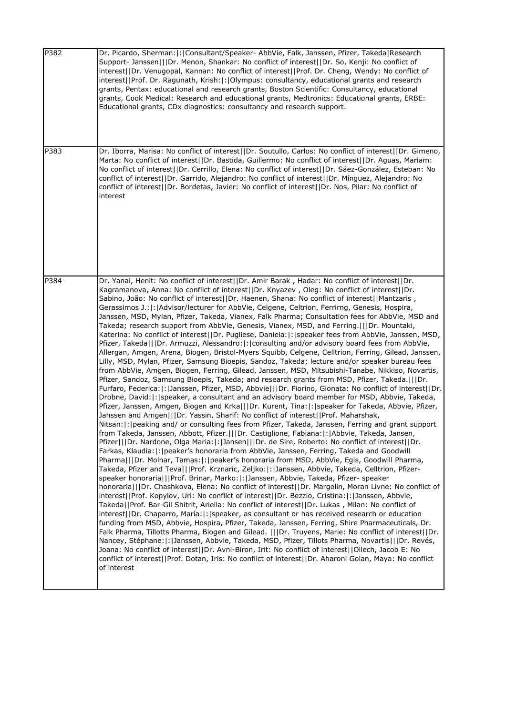| P382 | Dr. Picardo, Sherman:  :   Consultant/Speaker- AbbVie, Falk, Janssen, Pfizer, Takeda   Research<br>Support- Janssen   Dr. Menon, Shankar: No conflict of interest  Dr. So, Kenji: No conflict of<br>interest  Dr. Venugopal, Kannan: No conflict of interest  Prof. Dr. Cheng, Wendy: No conflict of<br>interest  Prof. Dr. Ragunath, Krish: : Olympus: consultancy, educational grants and research<br>grants, Pentax: educational and research grants, Boston Scientific: Consultancy, educational<br>grants, Cook Medical: Research and educational grants, Medtronics: Educational grants, ERBE:<br>Educational grants, CDx diagnostics: consultancy and research support.                                                                                                                                                                                                                                                                                                                                                                                                                                                                                                                                                                                                                                                                                                                                                                                                                                                                                                                                                                                                                                                                                                                                                                                                                                                                                                                                                                                                                                                                                                                                                                                                                                                                                                                                                                                                                                                                                                                                                                                                                                                                                                                                                                                                                                                                                                                                                                                                                                                                                                                                                                                                                     |
|------|----------------------------------------------------------------------------------------------------------------------------------------------------------------------------------------------------------------------------------------------------------------------------------------------------------------------------------------------------------------------------------------------------------------------------------------------------------------------------------------------------------------------------------------------------------------------------------------------------------------------------------------------------------------------------------------------------------------------------------------------------------------------------------------------------------------------------------------------------------------------------------------------------------------------------------------------------------------------------------------------------------------------------------------------------------------------------------------------------------------------------------------------------------------------------------------------------------------------------------------------------------------------------------------------------------------------------------------------------------------------------------------------------------------------------------------------------------------------------------------------------------------------------------------------------------------------------------------------------------------------------------------------------------------------------------------------------------------------------------------------------------------------------------------------------------------------------------------------------------------------------------------------------------------------------------------------------------------------------------------------------------------------------------------------------------------------------------------------------------------------------------------------------------------------------------------------------------------------------------------------------------------------------------------------------------------------------------------------------------------------------------------------------------------------------------------------------------------------------------------------------------------------------------------------------------------------------------------------------------------------------------------------------------------------------------------------------------------------------------------------------------------------------------------------------------------------------------------------------------------------------------------------------------------------------------------------------------------------------------------------------------------------------------------------------------------------------------------------------------------------------------------------------------------------------------------------------------------------------------------------------------------------------------------------------|
| P383 | Dr. Iborra, Marisa: No conflict of interest  Dr. Soutullo, Carlos: No conflict of interest  Dr. Gimeno,<br>Marta: No conflict of interest  Dr. Bastida, Guillermo: No conflict of interest  Dr. Aguas, Mariam:<br>No conflict of interest  Dr. Cerrillo, Elena: No conflict of interest  Dr. Sáez-González, Esteban: No<br>conflict of interest  Dr. Garrido, Alejandro: No conflict of interest  Dr. Mínguez, Alejandro: No<br>conflict of interest  Dr. Bordetas, Javier: No conflict of interest  Dr. Nos, Pilar: No conflict of<br>interest                                                                                                                                                                                                                                                                                                                                                                                                                                                                                                                                                                                                                                                                                                                                                                                                                                                                                                                                                                                                                                                                                                                                                                                                                                                                                                                                                                                                                                                                                                                                                                                                                                                                                                                                                                                                                                                                                                                                                                                                                                                                                                                                                                                                                                                                                                                                                                                                                                                                                                                                                                                                                                                                                                                                                    |
| P384 | Dr. Yanai, Henit: No conflict of interest  Dr. Amir Barak, Hadar: No conflict of interest  Dr.<br>Kagramanova, Anna: No conflict of interest  Dr. Knyazev, Oleg: No conflict of interest  Dr.<br>Sabino, João: No conflict of interest  Dr. Haenen, Shana: No conflict of interest  Mantzaris,<br>Gerassimos J.:  :   Advisor/lecturer for AbbVie, Celgene, Celtrion, Ferrirng, Genesis, Hospira,<br>Janssen, MSD, Mylan, Pfizer, Takeda, Vianex, Falk Pharma; Consultation fees for AbbVie, MSD and<br>Takeda; research support from AbbVie, Genesis, Vianex, MSD, and Ferring.   Dr. Mountaki,<br>Katerina: No conflict of interest  Dr. Pugliese, Daniela: :   speaker fees from AbbVie, Janssen, MSD,<br>Pfizer, Takeda   Dr. Armuzzi, Alessandro: : consulting and/or advisory board fees from AbbVie,<br>Allergan, Amgen, Arena, Biogen, Bristol-Myers Squibb, Celgene, Celltrion, Ferring, Gilead, Janssen,<br>Lilly, MSD, Mylan, Pfizer, Samsung Bioepis, Sandoz, Takeda; lecture and/or speaker bureau fees<br>from AbbVie, Amgen, Biogen, Ferring, Gilead, Janssen, MSD, Mitsubishi-Tanabe, Nikkiso, Novartis,<br>Pfizer, Sandoz, Samsung Bioepis, Takeda; and research grants from MSD, Pfizer, Takeda.      Dr.<br>Furfaro, Federica:  :  Janssen, Pfizer, MSD, Abbvie   Dr. Fiorino, Gionata: No conflict of interest  Dr.<br>Drobne, David:  :   speaker, a consultant and an advisory board member for MSD, Abbvie, Takeda,<br>Pfizer, Janssen, Amgen, Biogen and Krka   Dr. Kurent, Tina: : speaker for Takeda, Abbvie, Pfizer,<br>Janssen and Amgen   Dr. Yassin, Sharif: No conflict of interest  Prof. Maharshak,<br>Nitsan:  :  peaking and/ or consulting fees from Pfizer, Takeda, Janssen, Ferring and grant support<br>from Takeda, Janssen, Abbott, Pfizer.   Dr. Castiglione, Fabiana: : Abbvie, Takeda, Jansen,<br>Pfizer   Dr. Nardone, Olga Maria: : Jansen   Dr. de Sire, Roberto: No conflict of interest  Dr.<br>Farkas, Klaudia:  :  peaker's honoraria from AbbVie, Janssen, Ferring, Takeda and Goodwill<br>Pharma   Dr. Molnar, Tamas: : peaker's honoraria from MSD, AbbVie, Egis, Goodwill Pharma,<br>Takeda, Pfizer and Teva   Prof. Krznaric, Zeljko: : Janssen, Abbvie, Takeda, Celltrion, Pfizer-<br>speaker honoraria   Prof. Brinar, Marko: : Janssen, Abbvie, Takeda, Pfizer- speaker<br>honoraria   Dr. Chashkova, Elena: No conflict of interest  Dr. Margolin, Moran Livne: No conflict of<br>interest  Prof. Kopylov, Uri: No conflict of interest  Dr. Bezzio, Cristina: : Janssen, Abbvie,<br>Takeda  Prof. Bar-Gil Shitrit, Ariella: No conflict of interest  Dr. Lukas, Milan: No conflict of<br>interest  Dr. Chaparro, María: : speaker, as consultant or has received research or education<br>funding from MSD, Abbvie, Hospira, Pfizer, Takeda, Janssen, Ferring, Shire Pharmaceuticals, Dr.<br>Falk Pharma, Tillotts Pharma, Biogen and Gilead.    Dr. Truyens, Marie: No conflict of interest  Dr.<br>Nancey, Stéphane:  :  Janssen, Abbvie, Takeda, MSD, Pfizer, Tillots Pharma, Novartis   Dr. Revés,<br>Joana: No conflict of interest  Dr. Avni-Biron, Irit: No conflict of interest  Ollech, Jacob E: No<br>conflict of interest  Prof. Dotan, Iris: No conflict of interest  Dr. Aharoni Golan, Maya: No conflict<br>of interest |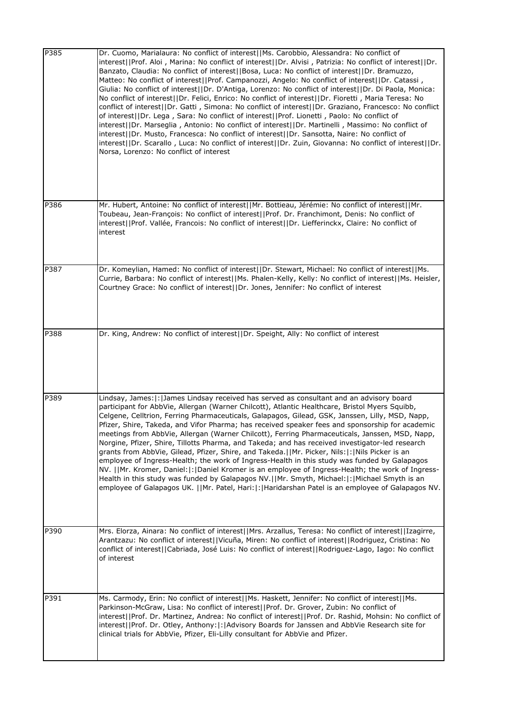| P385 | Dr. Cuomo, Marialaura: No conflict of interest  Ms. Carobbio, Alessandra: No conflict of<br>interest  Prof. Aloi, Marina: No conflict of interest  Dr. Alvisi, Patrizia: No conflict of interest  Dr.<br>Banzato, Claudia: No conflict of interest  Bosa, Luca: No conflict of interest  Dr. Bramuzzo,<br>Matteo: No conflict of interest  Prof. Campanozzi, Angelo: No conflict of interest  Dr. Catassi,<br>Giulia: No conflict of interest  Dr. D'Antiga, Lorenzo: No conflict of interest  Dr. Di Paola, Monica:<br>No conflict of interest  Dr. Felici, Enrico: No conflict of interest  Dr. Fioretti, Maria Teresa: No<br>conflict of interest  Dr. Gatti, Simona: No conflict of interest  Dr. Graziano, Francesco: No conflict<br>of interest  Dr. Lega, Sara: No conflict of interest  Prof. Lionetti, Paolo: No conflict of<br>interest  Dr. Marseglia, Antonio: No conflict of interest  Dr. Martinelli, Massimo: No conflict of<br>interest  Dr. Musto, Francesca: No conflict of interest  Dr. Sansotta, Naire: No conflict of<br>interest  Dr. Scarallo, Luca: No conflict of interest  Dr. Zuin, Giovanna: No conflict of interest  Dr.<br>Norsa, Lorenzo: No conflict of interest |
|------|---------------------------------------------------------------------------------------------------------------------------------------------------------------------------------------------------------------------------------------------------------------------------------------------------------------------------------------------------------------------------------------------------------------------------------------------------------------------------------------------------------------------------------------------------------------------------------------------------------------------------------------------------------------------------------------------------------------------------------------------------------------------------------------------------------------------------------------------------------------------------------------------------------------------------------------------------------------------------------------------------------------------------------------------------------------------------------------------------------------------------------------------------------------------------------------------------|
| P386 | Mr. Hubert, Antoine: No conflict of interest  Mr. Bottieau, Jérémie: No conflict of interest  Mr.<br>Toubeau, Jean-François: No conflict of interest  Prof. Dr. Franchimont, Denis: No conflict of<br>interest  Prof. Vallée, Francois: No conflict of interest  Dr. Liefferinckx, Claire: No conflict of<br>interest                                                                                                                                                                                                                                                                                                                                                                                                                                                                                                                                                                                                                                                                                                                                                                                                                                                                             |
| P387 | Dr. Komeylian, Hamed: No conflict of interest  Dr. Stewart, Michael: No conflict of interest  Ms.<br>Currie, Barbara: No conflict of interest  Ms. Phalen-Kelly, Kelly: No conflict of interest  Ms. Heisler,<br>Courtney Grace: No conflict of interest  Dr. Jones, Jennifer: No conflict of interest                                                                                                                                                                                                                                                                                                                                                                                                                                                                                                                                                                                                                                                                                                                                                                                                                                                                                            |
| P388 | Dr. King, Andrew: No conflict of interest  Dr. Speight, Ally: No conflict of interest                                                                                                                                                                                                                                                                                                                                                                                                                                                                                                                                                                                                                                                                                                                                                                                                                                                                                                                                                                                                                                                                                                             |
| P389 | Lindsay, James:  :  James Lindsay received has served as consultant and an advisory board<br>participant for AbbVie, Allergan (Warner Chilcott), Atlantic Healthcare, Bristol Myers Squibb,<br>Celgene, Celltrion, Ferring Pharmaceuticals, Galapagos, Gilead, GSK, Janssen, Lilly, MSD, Napp,<br>Pfizer, Shire, Takeda, and Vifor Pharma; has received speaker fees and sponsorship for academic<br>meetings from AbbVie, Allergan (Warner Chilcott), Ferring Pharmaceuticals, Janssen, MSD, Napp,<br>Norgine, Pfizer, Shire, Tillotts Pharma, and Takeda; and has received investigator-led research<br>grants from AbbVie, Gilead, Pfizer, Shire, and Takeda.  Mr. Picker, Nils: : Nils Picker is an<br>employee of Ingress-Health; the work of Ingress-Health in this study was funded by Galapagos<br>NV.   Mr. Kromer, Daniel: : Daniel Kromer is an employee of Ingress-Health; the work of Ingress-<br>Health in this study was funded by Galapagos NV.   Mr. Smyth, Michael:   :   Michael Smyth is an<br>employee of Galapagos UK.   Mr. Patel, Hari: : Haridarshan Patel is an employee of Galapagos NV.                                                                               |
| P390 | Mrs. Elorza, Ainara: No conflict of interest  Mrs. Arzallus, Teresa: No conflict of interest  Izagirre,<br>Arantzazu: No conflict of interest  Vicuña, Miren: No conflict of interest  Rodriguez, Cristina: No<br>conflict of interest  Cabriada, José Luis: No conflict of interest  Rodriguez-Lago, Iago: No conflict<br>of interest                                                                                                                                                                                                                                                                                                                                                                                                                                                                                                                                                                                                                                                                                                                                                                                                                                                            |
| P391 | Ms. Carmody, Erin: No conflict of interest  Ms. Haskett, Jennifer: No conflict of interest  Ms.<br>Parkinson-McGraw, Lisa: No conflict of interest  Prof. Dr. Grover, Zubin: No conflict of<br>interest  Prof. Dr. Martinez, Andrea: No conflict of interest  Prof. Dr. Rashid, Mohsin: No conflict of<br>interest  Prof. Dr. Otley, Anthony: : Advisory Boards for Janssen and AbbVie Research site for<br>clinical trials for AbbVie, Pfizer, Eli-Lilly consultant for AbbVie and Pfizer.                                                                                                                                                                                                                                                                                                                                                                                                                                                                                                                                                                                                                                                                                                       |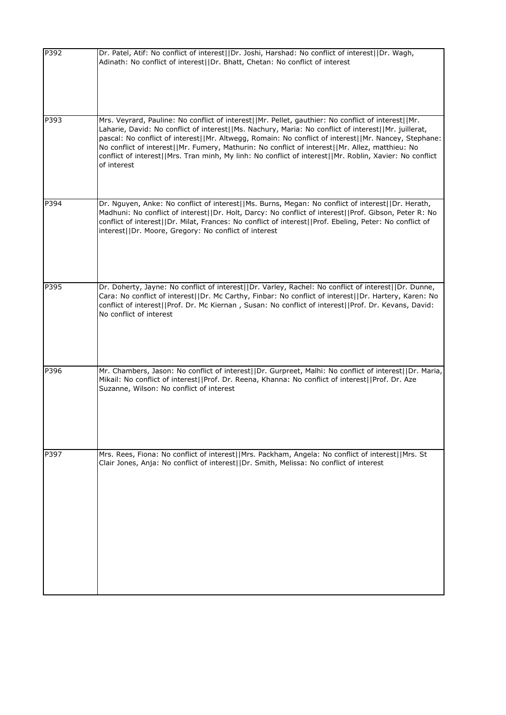| P392 | Dr. Patel, Atif: No conflict of interest  Dr. Joshi, Harshad: No conflict of interest  Dr. Wagh,<br>Adinath: No conflict of interest  Dr. Bhatt, Chetan: No conflict of interest                                                                                                                                                                                                                                                                                                                                                                |
|------|-------------------------------------------------------------------------------------------------------------------------------------------------------------------------------------------------------------------------------------------------------------------------------------------------------------------------------------------------------------------------------------------------------------------------------------------------------------------------------------------------------------------------------------------------|
| P393 | Mrs. Veyrard, Pauline: No conflict of interest  Mr. Pellet, gauthier: No conflict of interest  Mr.<br>Laharie, David: No conflict of interest  Ms. Nachury, Maria: No conflict of interest  Mr. juillerat,<br>pascal: No conflict of interest  Mr. Altwegg, Romain: No conflict of interest  Mr. Nancey, Stephane:<br>No conflict of interest  Mr. Fumery, Mathurin: No conflict of interest  Mr. Allez, matthieu: No<br>conflict of interest  Mrs. Tran minh, My linh: No conflict of interest  Mr. Roblin, Xavier: No conflict<br>of interest |
| P394 | Dr. Nguyen, Anke: No conflict of interest  Ms. Burns, Megan: No conflict of interest  Dr. Herath,<br>Madhuni: No conflict of interest  Dr. Holt, Darcy: No conflict of interest  Prof. Gibson, Peter R: No<br>conflict of interest  Dr. Milat, Frances: No conflict of interest  Prof. Ebeling, Peter: No conflict of<br>interest  Dr. Moore, Gregory: No conflict of interest                                                                                                                                                                  |
| P395 | Dr. Doherty, Jayne: No conflict of interest  Dr. Varley, Rachel: No conflict of interest  Dr. Dunne,<br>Cara: No conflict of interest  Dr. Mc Carthy, Finbar: No conflict of interest  Dr. Hartery, Karen: No<br>conflict of interest  Prof. Dr. Mc Kiernan, Susan: No conflict of interest  Prof. Dr. Kevans, David:<br>No conflict of interest                                                                                                                                                                                                |
| P396 | Mr. Chambers, Jason: No conflict of interest  Dr. Gurpreet, Malhi: No conflict of interest  Dr. Maria,<br>Mikail: No conflict of interest  Prof. Dr. Reena, Khanna: No conflict of interest  Prof. Dr. Aze<br>Suzanne, Wilson: No conflict of interest                                                                                                                                                                                                                                                                                          |
| P397 | Mrs. Rees, Fiona: No conflict of interest  Mrs. Packham, Angela: No conflict of interest  Mrs. St<br>Clair Jones, Anja: No conflict of interest  Dr. Smith, Melissa: No conflict of interest                                                                                                                                                                                                                                                                                                                                                    |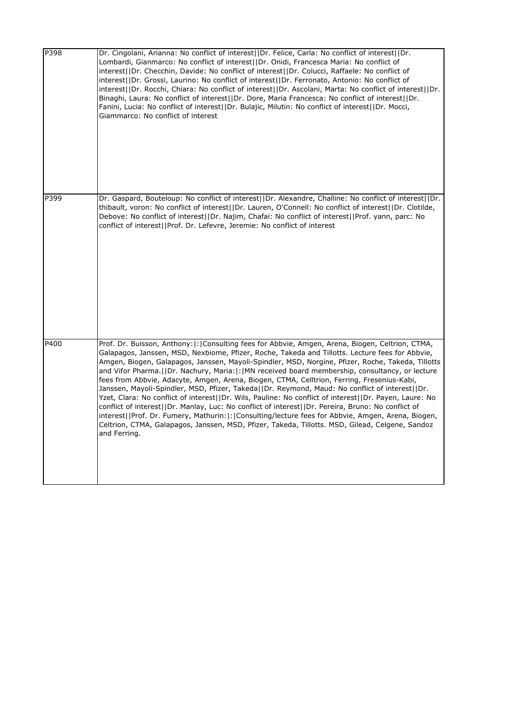| P398 | Dr. Cingolani, Arianna: No conflict of interest  Dr. Felice, Carla: No conflict of interest  Dr.<br>Lombardi, Gianmarco: No conflict of interest  Dr. Onidi, Francesca Maria: No conflict of<br>interest  Dr. Checchin, Davide: No conflict of interest  Dr. Colucci, Raffaele: No conflict of<br>interest  Dr. Grossi, Laurino: No conflict of interest  Dr. Ferronato, Antonio: No conflict of<br>interest  Dr. Rocchi, Chiara: No conflict of interest  Dr. Ascolani, Marta: No conflict of interest  Dr.<br>Binaghi, Laura: No conflict of interest  Dr. Dore, Maria Francesca: No conflict of interest  Dr.<br>Fanini, Lucia: No conflict of interest  Dr. Bulajic, Milutin: No conflict of interest  Dr. Mocci,<br>Giammarco: No conflict of interest                                                                                                                                                                                                                                                                                            |
|------|--------------------------------------------------------------------------------------------------------------------------------------------------------------------------------------------------------------------------------------------------------------------------------------------------------------------------------------------------------------------------------------------------------------------------------------------------------------------------------------------------------------------------------------------------------------------------------------------------------------------------------------------------------------------------------------------------------------------------------------------------------------------------------------------------------------------------------------------------------------------------------------------------------------------------------------------------------------------------------------------------------------------------------------------------------|
| P399 | Dr. Gaspard, Bouteloup: No conflict of interest  Dr. Alexandre, Challine: No conflict of interest  Dr.<br>thibault, voron: No conflict of interest  Dr. Lauren, O'Connell: No conflict of interest  Dr. Clotilde,<br>Debove: No conflict of interest  Dr. Najim, Chafai: No conflict of interest  Prof. yann, parc: No<br>conflict of interest  Prof. Dr. Lefevre, Jeremie: No conflict of interest                                                                                                                                                                                                                                                                                                                                                                                                                                                                                                                                                                                                                                                    |
| P400 | Prof. Dr. Buisson, Anthony:  :   Consulting fees for Abbvie, Amgen, Arena, Biogen, Celtrion, CTMA,<br>Galapagos, Janssen, MSD, Nexbiome, Pfizer, Roche, Takeda and Tillotts. Lecture fees for Abbvie,<br>Amgen, Biogen, Galapagos, Janssen, Mayoli-Spindler, MSD, Norgine, Pfizer, Roche, Takeda, Tillotts<br>and Vifor Pharma. [IDr. Nachury, Maria: [: MN received board membership, consultancy, or lecture<br>fees from Abbvie, Adacyte, Amgen, Arena, Biogen, CTMA, Celltrion, Ferring, Fresenius-Kabi,<br>Janssen, Mayoli-Spindler, MSD, Pfizer, Takeda  Dr. Reymond, Maud: No conflict of interest  Dr.<br>Yzet, Clara: No conflict of interest  Dr. Wils, Pauline: No conflict of interest  Dr. Payen, Laure: No<br>conflict of interest  Dr. Manlay, Luc: No conflict of interest  Dr. Pereira, Bruno: No conflict of<br>interest  Prof. Dr. Fumery, Mathurin: : Consulting/lecture fees for Abbvie, Amgen, Arena, Biogen,<br>Celtrion, CTMA, Galapagos, Janssen, MSD, Pfizer, Takeda, Tillotts. MSD, Gilead, Celgene, Sandoz<br>and Ferring. |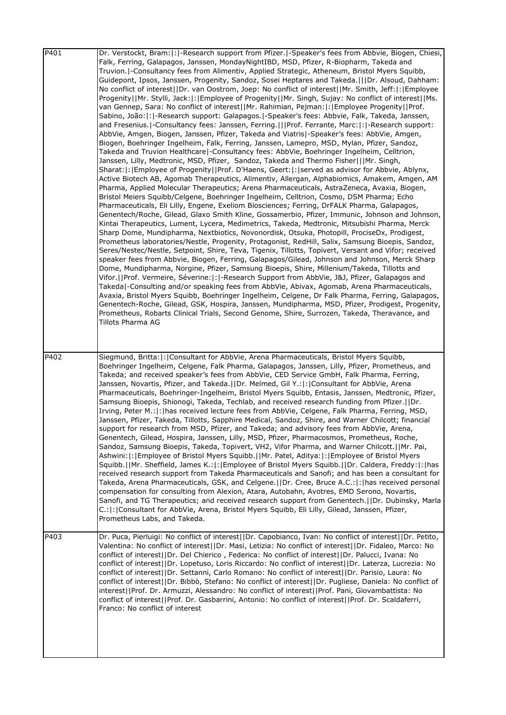| P401 | Dr. Verstockt, Bram:  :  -Research support from Pfizer.  -Speaker's fees from Abbvie, Biogen, Chiesi,<br>Falk, Ferring, Galapagos, Janssen, MondayNightIBD, MSD, Pfizer, R-Biopharm, Takeda and<br>Truvion.   Consultancy fees from Alimentiv, Applied Strategic, Atheneum, Bristol Myers Squibb,<br>Guidepont, Ipsos, Janssen, Progenity, Sandoz, Sosei Heptares and Takeda. IIDr. Alsoud, Dahham:<br>No conflict of interest  Dr. van Oostrom, Joep: No conflict of interest  Mr. Smith, Jeff: : Employee<br>Progenity  Mr. Stylli, Jack: : Employee of Progenity  Mr. Singh, Sujay: No conflict of interest  Ms.<br>van Gennep, Sara: No conflict of interest  Mr. Rahimian, Pejman: : Employee Progenity  Prof.<br>Sabino, João: : -Research support: Galapagos. -Speaker's fees: Abbvie, Falk, Takeda, Janssen,<br>and Fresenius.  -Consultancy fees: Janssen, Ferring.    Prof. Ferrante, Marc:  :  -Research support:<br>AbbVie, Amgen, Biogen, Janssen, Pfizer, Takeda and Viatris -Speaker's fees: AbbVie, Amgen,<br>Biogen, Boehringer Ingelheim, Falk, Ferring, Janssen, Lamepro, MSD, Mylan, Pfizer, Sandoz,<br>Takeda and Truvion Healthcare  -Consultancy fees: AbbVie, Boehringer Ingelheim, Celltrion,<br>Janssen, Lilly, Medtronic, MSD, Pfizer, Sandoz, Takeda and Thermo Fisher   Mr. Singh,<br>Sharat:  :   Employee of Progenity     Prof. D'Haens, Geert:   :   served as advisor for Abbvie, Ablynx,<br>Active Biotech AB, Agomab Therapeutics, Alimentiv, Allergan, Alphabiomics, Amakem, Amgen, AM<br>Pharma, Applied Molecular Therapeutics; Arena Pharmaceuticals, AstraZeneca, Avaxia, Biogen,<br>Bristol Meiers Squibb/Celgene, Boehringer Ingelheim, Celltrion, Cosmo, DSM Pharma; Echo<br>Pharmaceuticals, Eli Lilly, Engene, Exeliom Biosciences; Ferring, DrFALK Pharma, Galapagos,<br>Genentech/Roche, Gilead, Glaxo Smith Kline, Gossamerbio, Pfizer, Immunic, Johnson and Johnson,<br>Kintai Therapeutics, Lument, Lycera, Medimetrics, Takeda, Medtronic, Mitsubishi Pharma, Merck<br>Sharp Dome, Mundipharma, Nextbiotics, Novonordisk, Otsuka, Photopill, ProciseDx, Prodigest,<br>Prometheus laboratories/Nestle, Progenity, Protagonist, RedHill, Salix, Samsung Bioepis, Sandoz,<br>Seres/Nestec/Nestle, Setpoint, Shire, Teva, Tigenix, Tillotts, Topivert, Versant and Vifor; received<br>speaker fees from Abbvie, Biogen, Ferring, Galapagos/Gilead, Johnson and Johnson, Merck Sharp<br>Dome, Mundipharma, Norgine, Pfizer, Samsung Bioepis, Shire, Millenium/Takeda, Tillotts and<br>Vifor.   Prof. Vermeire, Séverine:  :  -Research Support from AbbVie, J&J, Pfizer, Galapagos and<br>Takeda -Consulting and/or speaking fees from AbbVie, Abivax, Agomab, Arena Pharmaceuticals,<br>Avaxia, Bristol Myers Squibb, Boehringer Ingelheim, Celgene, Dr Falk Pharma, Ferring, Galapagos,<br>Genentech-Roche, Gilead, GSK, Hospira, Janssen, Mundipharma, MSD, Pfizer, Prodigest, Progenity,<br>Prometheus, Robarts Clinical Trials, Second Genome, Shire, Surrozen, Takeda, Theravance, and<br>Tillots Pharma AG |
|------|------------------------------------------------------------------------------------------------------------------------------------------------------------------------------------------------------------------------------------------------------------------------------------------------------------------------------------------------------------------------------------------------------------------------------------------------------------------------------------------------------------------------------------------------------------------------------------------------------------------------------------------------------------------------------------------------------------------------------------------------------------------------------------------------------------------------------------------------------------------------------------------------------------------------------------------------------------------------------------------------------------------------------------------------------------------------------------------------------------------------------------------------------------------------------------------------------------------------------------------------------------------------------------------------------------------------------------------------------------------------------------------------------------------------------------------------------------------------------------------------------------------------------------------------------------------------------------------------------------------------------------------------------------------------------------------------------------------------------------------------------------------------------------------------------------------------------------------------------------------------------------------------------------------------------------------------------------------------------------------------------------------------------------------------------------------------------------------------------------------------------------------------------------------------------------------------------------------------------------------------------------------------------------------------------------------------------------------------------------------------------------------------------------------------------------------------------------------------------------------------------------------------------------------------------------------------------------------------------------------------------------------------------------------------------------------------------------------------------------------------------------------------------------------------------------------------------------------------------------------------------------------------------------------------------------------------------------------------------------------------------------------------------------------------------------------|
| P402 | Siegmund, Britta:  :  Consultant for AbbVie, Arena Pharmaceuticals, Bristol Myers Squibb,<br>Boehringer Ingelheim, Celgene, Falk Pharma, Galapagos, Janssen, Lilly, Pfizer, Prometheus, and<br>Takeda; and received speaker's fees from AbbVie, CED Service GmbH, Falk Pharma, Ferring,<br>Janssen, Novartis, Pfizer, and Takeda.  Dr. Melmed, Gil Y.: : Consultant for AbbVie, Arena<br>Pharmaceuticals, Boehringer-Ingelheim, Bristol Myers Squibb, Entasis, Janssen, Medtronic, Pfizer,<br>Samsung Bioepis, Shionogi, Takeda, Techlab, and received research funding from Pfizer.  Dr.<br>Irving, Peter M.:  :   has received lecture fees from AbbVie, Celgene, Falk Pharma, Ferring, MSD,<br>Janssen, Pfizer, Takeda, Tillotts, Sapphire Medical, Sandoz, Shire, and Warner Chilcott; financial<br>support for research from MSD, Pfizer, and Takeda; and advisory fees from AbbVie, Arena,<br>Genentech, Gilead, Hospira, Janssen, Lilly, MSD, Pfizer, Pharmacosmos, Prometheus, Roche,<br>Sandoz, Samsung Bioepis, Takeda, Topivert, VH2, Vifor Pharma, and Warner Chilcott.  Mr. Pai,<br>Ashwini:  :  Employee of Bristol Myers Squibb.   Mr. Patel, Aditya:  :  Employee of Bristol Myers<br>Squibb.  Mr. Sheffield, James K.: : Employee of Bristol Myers Squibb.  Dr. Caldera, Freddy: : has<br>received research support from Takeda Pharmaceuticals and Sanofi; and has been a consultant for<br>Takeda, Arena Pharmaceuticals, GSK, and Celgene.     Dr. Cree, Bruce A.C.:  :   has received personal<br>compensation for consulting from Alexion, Atara, Autobahn, Avotres, EMD Serono, Novartis,<br>Sanofi, and TG Therapeutics; and received research support from Genentech.   IDr. Dubinsky, Marla<br>C.:  :  Consultant for AbbVie, Arena, Bristol Myers Squibb, Eli Lilly, Gilead, Janssen, Pfizer,<br>Prometheus Labs, and Takeda.                                                                                                                                                                                                                                                                                                                                                                                                                                                                                                                                                                                                                                                                                                                                                                                                                                                                                                                                                                                                                                                                                                                                                                                                         |
| P403 | Dr. Puca, Pierluigi: No conflict of interest  Dr. Capobianco, Ivan: No conflict of interest  Dr. Petito,<br>Valentina: No conflict of interest  Dr. Masi, Letizia: No conflict of interest  Dr. Fidaleo, Marco: No<br>conflict of interest  Dr. Del Chierico, Federica: No conflict of interest  Dr. Palucci, Ivana: No<br>conflict of interest  Dr. Lopetuso, Loris Riccardo: No conflict of interest  Dr. Laterza, Lucrezia: No<br>conflict of interest  Dr. Settanni, Carlo Romano: No conflict of interest  Dr. Parisio, Laura: No<br>conflict of interest  Dr. Bibbò, Stefano: No conflict of interest  Dr. Pugliese, Daniela: No conflict of<br>interest  Prof. Dr. Armuzzi, Alessandro: No conflict of interest  Prof. Pani, Giovambattista: No<br>conflict of interest  Prof. Dr. Gasbarrini, Antonio: No conflict of interest  Prof. Dr. Scaldaferri,<br>Franco: No conflict of interest                                                                                                                                                                                                                                                                                                                                                                                                                                                                                                                                                                                                                                                                                                                                                                                                                                                                                                                                                                                                                                                                                                                                                                                                                                                                                                                                                                                                                                                                                                                                                                                                                                                                                                                                                                                                                                                                                                                                                                                                                                                                                                                                                                |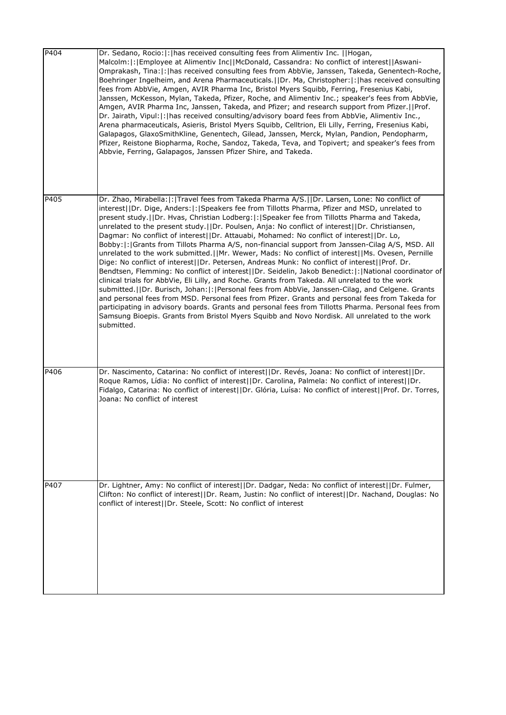| P404 | Dr. Sedano, Rocio:  :   has received consulting fees from Alimentiv Inc.     Hogan,<br>Malcolm:  :   Employee at Alimentiv Inc  McDonald, Cassandra: No conflict of interest  Aswani-<br>Omprakash, Tina:  :   has received consulting fees from AbbVie, Janssen, Takeda, Genentech-Roche,<br>Boehringer Ingelheim, and Arena Pharmaceuticals.   IDr. Ma, Christopher:  :   has received consulting<br>fees from AbbVie, Amgen, AVIR Pharma Inc, Bristol Myers Squibb, Ferring, Fresenius Kabi,<br>Janssen, McKesson, Mylan, Takeda, Pfizer, Roche, and Alimentiv Inc.; speaker's fees from AbbVie,<br>Amgen, AVIR Pharma Inc, Janssen, Takeda, and Pfizer; and research support from Pfizer.  Prof.<br>Dr. Jairath, Vipul:  :   has received consulting/advisory board fees from AbbVie, Alimentiv Inc.,<br>Arena pharmaceuticals, Asieris, Bristol Myers Squibb, Celltrion, Eli Lilly, Ferring, Fresenius Kabi,<br>Galapagos, GlaxoSmithKline, Genentech, Gilead, Janssen, Merck, Mylan, Pandion, Pendopharm,<br>Pfizer, Reistone Biopharma, Roche, Sandoz, Takeda, Teva, and Topivert; and speaker's fees from<br>Abbvie, Ferring, Galapagos, Janssen Pfizer Shire, and Takeda.                                                                                                                                                                                                                                                                          |
|------|-------------------------------------------------------------------------------------------------------------------------------------------------------------------------------------------------------------------------------------------------------------------------------------------------------------------------------------------------------------------------------------------------------------------------------------------------------------------------------------------------------------------------------------------------------------------------------------------------------------------------------------------------------------------------------------------------------------------------------------------------------------------------------------------------------------------------------------------------------------------------------------------------------------------------------------------------------------------------------------------------------------------------------------------------------------------------------------------------------------------------------------------------------------------------------------------------------------------------------------------------------------------------------------------------------------------------------------------------------------------------------------------------------------------------------------------------------------|
| P405 | Dr. Zhao, Mirabella:  :   Travel fees from Takeda Pharma A/S.     Dr. Larsen, Lone: No conflict of<br>interest  Dr. Dige, Anders: : Speakers fee from Tillotts Pharma, Pfizer and MSD, unrelated to<br>present study.  Dr. Hvas, Christian Lodberg: :  Speaker fee from Tillotts Pharma and Takeda,<br>unrelated to the present study.     Dr. Poulsen, Anja: No conflict of interest  Dr. Christiansen,<br>Dagmar: No conflict of interest  Dr. Attauabi, Mohamed: No conflict of interest  Dr. Lo,<br>Bobby:  :   Grants from Tillots Pharma A/S, non-financial support from Janssen-Cilag A/S, MSD. All<br>unrelated to the work submitted.   Mr. Wewer, Mads: No conflict of interest  Ms. Ovesen, Pernille<br>Dige: No conflict of interest  Dr. Petersen, Andreas Munk: No conflict of interest  Prof. Dr.<br>Bendtsen, Flemming: No conflict of interest  Dr. Seidelin, Jakob Benedict: : National coordinator of<br>clinical trials for AbbVie, Eli Lilly, and Roche. Grants from Takeda. All unrelated to the work<br>submitted. (IDr. Burisch, Johan:  :   Personal fees from AbbVie, Janssen-Cilag, and Celgene. Grants<br>and personal fees from MSD. Personal fees from Pfizer. Grants and personal fees from Takeda for<br>participating in advisory boards. Grants and personal fees from Tillotts Pharma. Personal fees from<br>Samsung Bioepis. Grants from Bristol Myers Squibb and Novo Nordisk. All unrelated to the work<br>submitted. |
| P406 | Dr. Nascimento, Catarina: No conflict of interest  Dr. Revés, Joana: No conflict of interest  Dr.<br>Roque Ramos, Lídia: No conflict of interest  Dr. Carolina, Palmela: No conflict of interest  Dr.<br>Fidalgo, Catarina: No conflict of interest  Dr. Glória, Luísa: No conflict of interest  Prof. Dr. Torres,<br>Joana: No conflict of interest                                                                                                                                                                                                                                                                                                                                                                                                                                                                                                                                                                                                                                                                                                                                                                                                                                                                                                                                                                                                                                                                                                        |
| P407 | Dr. Lightner, Amy: No conflict of interest  Dr. Dadgar, Neda: No conflict of interest  Dr. Fulmer,<br>Clifton: No conflict of interest  Dr. Ream, Justin: No conflict of interest  Dr. Nachand, Douglas: No<br>conflict of interest  Dr. Steele, Scott: No conflict of interest                                                                                                                                                                                                                                                                                                                                                                                                                                                                                                                                                                                                                                                                                                                                                                                                                                                                                                                                                                                                                                                                                                                                                                             |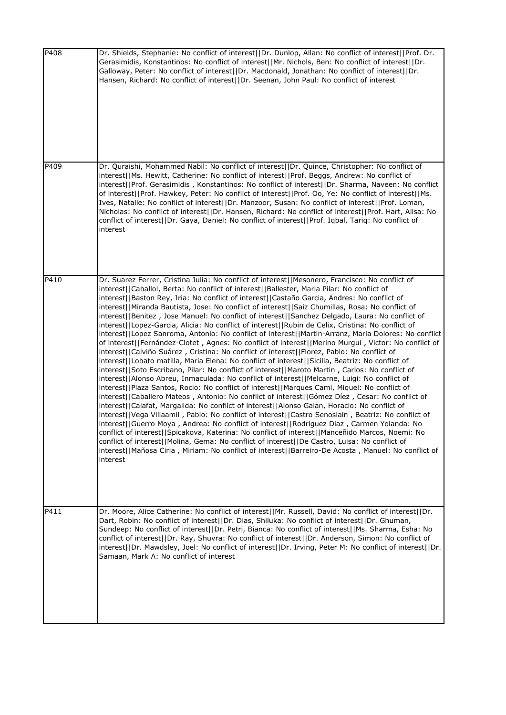| P408 | Dr. Shields, Stephanie: No conflict of interest  Dr. Dunlop, Allan: No conflict of interest  Prof. Dr.<br>Gerasimidis, Konstantinos: No conflict of interest  Mr. Nichols, Ben: No conflict of interest  Dr.<br>Galloway, Peter: No conflict of interest  Dr. Macdonald, Jonathan: No conflict of interest  Dr.<br>Hansen, Richard: No conflict of interest  Dr. Seenan, John Paul: No conflict of interest                                                                                                                                                                                                                                                                                                                                                                                                                                                                                                                                                                                                                                                                                                                                                                                                                                                                                                                                                                                                                                                                                                                                                                                                                                                                                                                                                                                                                                                                                                                                                                                                                                                 |
|------|-------------------------------------------------------------------------------------------------------------------------------------------------------------------------------------------------------------------------------------------------------------------------------------------------------------------------------------------------------------------------------------------------------------------------------------------------------------------------------------------------------------------------------------------------------------------------------------------------------------------------------------------------------------------------------------------------------------------------------------------------------------------------------------------------------------------------------------------------------------------------------------------------------------------------------------------------------------------------------------------------------------------------------------------------------------------------------------------------------------------------------------------------------------------------------------------------------------------------------------------------------------------------------------------------------------------------------------------------------------------------------------------------------------------------------------------------------------------------------------------------------------------------------------------------------------------------------------------------------------------------------------------------------------------------------------------------------------------------------------------------------------------------------------------------------------------------------------------------------------------------------------------------------------------------------------------------------------------------------------------------------------------------------------------------------------|
| P409 | Dr. Quraishi, Mohammed Nabil: No conflict of interest  Dr. Quince, Christopher: No conflict of<br>interest  Ms. Hewitt, Catherine: No conflict of interest  Prof. Beggs, Andrew: No conflict of<br>interest  Prof. Gerasimidis, Konstantinos: No conflict of interest  Dr. Sharma, Naveen: No conflict<br>of interest  Prof. Hawkey, Peter: No conflict of interest  Prof. Oo, Ye: No conflict of interest  Ms.<br>Ives, Natalie: No conflict of interest  Dr. Manzoor, Susan: No conflict of interest  Prof. Loman,<br>Nicholas: No conflict of interest  Dr. Hansen, Richard: No conflict of interest  Prof. Hart, Ailsa: No<br>conflict of interest  Dr. Gaya, Daniel: No conflict of interest  Prof. Iqbal, Tariq: No conflict of<br>interest                                                                                                                                                                                                                                                                                                                                                                                                                                                                                                                                                                                                                                                                                                                                                                                                                                                                                                                                                                                                                                                                                                                                                                                                                                                                                                           |
| P410 | Dr. Suarez Ferrer, Cristina Julia: No conflict of interest  Mesonero, Francisco: No conflict of<br>interest  Caballol, Berta: No conflict of interest  Ballester, Maria Pilar: No conflict of<br>interest  Baston Rey, Iria: No conflict of interest  Castaño Garcia, Andres: No conflict of<br>interest  Miranda Bautista, Jose: No conflict of interest  Saiz Chumillas, Rosa: No conflict of<br>interest  Benitez, Jose Manuel: No conflict of interest  Sanchez Delgado, Laura: No conflict of<br>interest  Lopez-Garcia, Alicia: No conflict of interest  Rubin de Celix, Cristina: No conflict of<br>interest  Lopez Sanroma, Antonio: No conflict of interest  Martin-Arranz, Maria Dolores: No conflict<br>of interest  Fernández-Clotet, Agnes: No conflict of interest  Merino Murgui, Victor: No conflict of<br>interest  Calviño Suárez, Cristina: No conflict of interest  Florez, Pablo: No conflict of<br>interest  Lobato matilla, Maria Elena: No conflict of interest  Sicilia, Beatriz: No conflict of<br>interest  Soto Escribano, Pilar: No conflict of interest  Maroto Martin, Carlos: No conflict of<br>interest  Alonso Abreu, Inmaculada: No conflict of interest  Melcarne, Luigi: No conflict of<br>interest  Plaza Santos, Rocio: No conflict of interest  Marques Cami, Miquel: No conflict of<br>interest  Caballero Mateos, Antonio: No conflict of interest  Gómez Díez, Cesar: No conflict of<br>interest  Calafat, Margalida: No conflict of interest  Alonso Galan, Horacio: No conflict of<br>interest  Vega Villaamil, Pablo: No conflict of interest  Castro Senosiain, Beatriz: No conflict of<br>interest  Guerro Moya, Andrea: No conflict of interest  Rodriguez Diaz, Carmen Yolanda: No<br>conflict of interest  Spicakova, Katerina: No conflict of interest  Manceñido Marcos, Noemi: No<br>conflict of interest  Molina, Gema: No conflict of interest  De Castro, Luisa: No conflict of<br>interest  Mañosa Ciria, Miriam: No conflict of interest  Barreiro-De Acosta, Manuel: No conflict of<br>interest |
| P411 | Dr. Moore, Alice Catherine: No conflict of interest  Mr. Russell, David: No conflict of interest  Dr.<br>Dart, Robin: No conflict of interest  Dr. Dias, Shiluka: No conflict of interest  Dr. Ghuman,<br>Sundeep: No conflict of interest  Dr. Petri, Bianca: No conflict of interest  Ms. Sharma, Esha: No<br>conflict of interest  Dr. Ray, Shuvra: No conflict of interest  Dr. Anderson, Simon: No conflict of<br>interest  Dr. Mawdsley, Joel: No conflict of interest  Dr. Irving, Peter M: No conflict of interest  Dr.<br>Samaan, Mark A: No conflict of interest                                                                                                                                                                                                                                                                                                                                                                                                                                                                                                                                                                                                                                                                                                                                                                                                                                                                                                                                                                                                                                                                                                                                                                                                                                                                                                                                                                                                                                                                                  |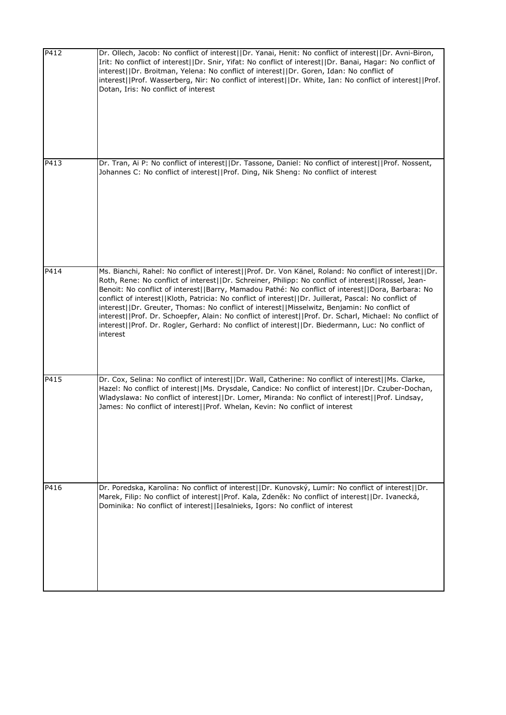| P412 | Dr. Ollech, Jacob: No conflict of interest  Dr. Yanai, Henit: No conflict of interest  Dr. Avni-Biron,<br>Irit: No conflict of interest  Dr. Snir, Yifat: No conflict of interest  Dr. Banai, Hagar: No conflict of<br>interest  Dr. Broitman, Yelena: No conflict of interest  Dr. Goren, Idan: No conflict of<br>interest  Prof. Wasserberg, Nir: No conflict of interest  Dr. White, Ian: No conflict of interest  Prof.<br>Dotan, Iris: No conflict of interest                                                                                                                                                                                                                                                                                      |
|------|----------------------------------------------------------------------------------------------------------------------------------------------------------------------------------------------------------------------------------------------------------------------------------------------------------------------------------------------------------------------------------------------------------------------------------------------------------------------------------------------------------------------------------------------------------------------------------------------------------------------------------------------------------------------------------------------------------------------------------------------------------|
| P413 | Dr. Tran, Ai P: No conflict of interest  Dr. Tassone, Daniel: No conflict of interest  Prof. Nossent,<br>Johannes C: No conflict of interest  Prof. Ding, Nik Sheng: No conflict of interest                                                                                                                                                                                                                                                                                                                                                                                                                                                                                                                                                             |
| P414 | Ms. Bianchi, Rahel: No conflict of interest  Prof. Dr. Von Känel, Roland: No conflict of interest  Dr.<br>Roth, Rene: No conflict of interest  Dr. Schreiner, Philipp: No conflict of interest  Rossel, Jean-<br>Benoit: No conflict of interest  Barry, Mamadou Pathé: No conflict of interest  Dora, Barbara: No<br>conflict of interest  Kloth, Patricia: No conflict of interest  Dr. Juillerat, Pascal: No conflict of<br>interest  Dr. Greuter, Thomas: No conflict of interest  Misselwitz, Benjamin: No conflict of<br>interest  Prof. Dr. Schoepfer, Alain: No conflict of interest  Prof. Dr. Scharl, Michael: No conflict of<br>interest  Prof. Dr. Rogler, Gerhard: No conflict of interest  Dr. Biedermann, Luc: No conflict of<br>interest |
| P415 | Dr. Cox, Selina: No conflict of interest  Dr. Wall, Catherine: No conflict of interest  Ms. Clarke,<br>Hazel: No conflict of interest  Ms. Drysdale, Candice: No conflict of interest  Dr. Czuber-Dochan,<br>Wladyslawa: No conflict of interest  Dr. Lomer, Miranda: No conflict of interest  Prof. Lindsay,<br>James: No conflict of interest  Prof. Whelan, Kevin: No conflict of interest                                                                                                                                                                                                                                                                                                                                                            |
| P416 | Dr. Poredska, Karolina: No conflict of interest  Dr. Kunovský, Lumír: No conflict of interest  Dr.<br>Marek, Filip: No conflict of interest  Prof. Kala, Zdeněk: No conflict of interest  Dr. Ivanecká,<br>Dominika: No conflict of interest  Iesalnieks, Igors: No conflict of interest                                                                                                                                                                                                                                                                                                                                                                                                                                                                 |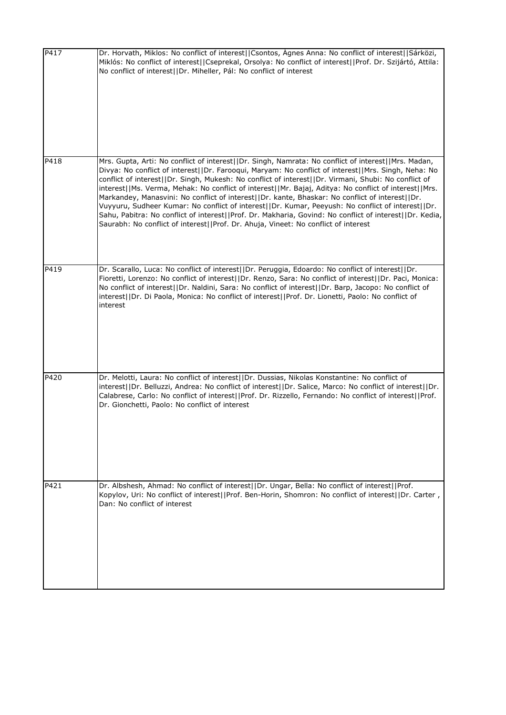| P417 | Dr. Horvath, Miklos: No conflict of interest  Csontos, Ágnes Anna: No conflict of interest  Sárközi,<br>Miklós: No conflict of interest  Cseprekal, Orsolya: No conflict of interest  Prof. Dr. Szijártó, Attila:<br>No conflict of interest  Dr. Miheller, Pál: No conflict of interest                                                                                                                                                                                                                                                                                                                                                                                                                                                                                                                                             |
|------|--------------------------------------------------------------------------------------------------------------------------------------------------------------------------------------------------------------------------------------------------------------------------------------------------------------------------------------------------------------------------------------------------------------------------------------------------------------------------------------------------------------------------------------------------------------------------------------------------------------------------------------------------------------------------------------------------------------------------------------------------------------------------------------------------------------------------------------|
| P418 | Mrs. Gupta, Arti: No conflict of interest  Dr. Singh, Namrata: No conflict of interest  Mrs. Madan,<br>Divya: No conflict of interest  Dr. Farooqui, Maryam: No conflict of interest  Mrs. Singh, Neha: No<br>conflict of interest  Dr. Singh, Mukesh: No conflict of interest  Dr. Virmani, Shubi: No conflict of<br>interest  Ms. Verma, Mehak: No conflict of interest  Mr. Bajaj, Aditya: No conflict of interest  Mrs.<br>Markandey, Manasvini: No conflict of interest  Dr. kante, Bhaskar: No conflict of interest  Dr.<br>Vuyyuru, Sudheer Kumar: No conflict of interest  Dr. Kumar, Peeyush: No conflict of interest  Dr.<br>Sahu, Pabitra: No conflict of interest  Prof. Dr. Makharia, Govind: No conflict of interest  Dr. Kedia,<br>Saurabh: No conflict of interest  Prof. Dr. Ahuja, Vineet: No conflict of interest |
| P419 | Dr. Scarallo, Luca: No conflict of interest  Dr. Peruggia, Edoardo: No conflict of interest  Dr.<br>Fioretti, Lorenzo: No conflict of interest  Dr. Renzo, Sara: No conflict of interest  Dr. Paci, Monica:<br>No conflict of interest  Dr. Naldini, Sara: No conflict of interest  Dr. Barp, Jacopo: No conflict of<br>interest  Dr. Di Paola, Monica: No conflict of interest  Prof. Dr. Lionetti, Paolo: No conflict of<br>interest                                                                                                                                                                                                                                                                                                                                                                                               |
| P420 | Dr. Melotti, Laura: No conflict of interest  Dr. Dussias, Nikolas Konstantine: No conflict of<br>interest  Dr. Belluzzi, Andrea: No conflict of interest  Dr. Salice, Marco: No conflict of interest  Dr.<br>Calabrese, Carlo: No conflict of interest  Prof. Dr. Rizzello, Fernando: No conflict of interest  Prof.<br>Dr. Gionchetti, Paolo: No conflict of interest                                                                                                                                                                                                                                                                                                                                                                                                                                                               |
| P421 | Dr. Albshesh, Ahmad: No conflict of interest  Dr. Ungar, Bella: No conflict of interest  Prof.<br>Kopylov, Uri: No conflict of interest  Prof. Ben-Horin, Shomron: No conflict of interest  Dr. Carter,<br>Dan: No conflict of interest                                                                                                                                                                                                                                                                                                                                                                                                                                                                                                                                                                                              |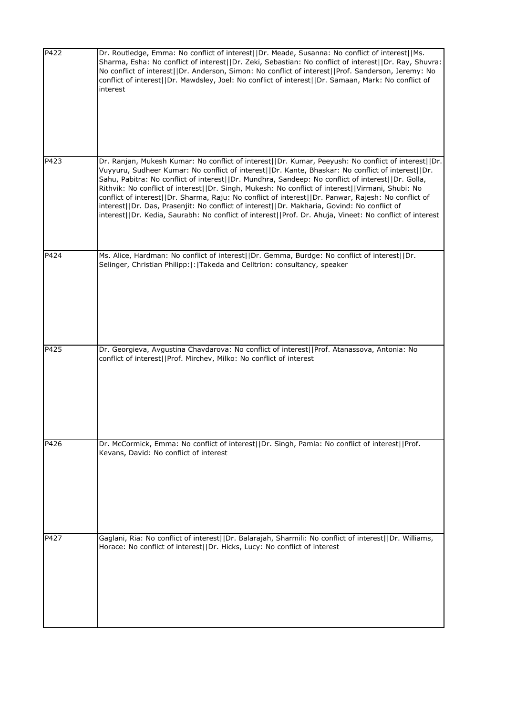| P422 | Dr. Routledge, Emma: No conflict of interest  Dr. Meade, Susanna: No conflict of interest  Ms.<br>Sharma, Esha: No conflict of interest  Dr. Zeki, Sebastian: No conflict of interest  Dr. Ray, Shuvra:<br>No conflict of interest  Dr. Anderson, Simon: No conflict of interest  Prof. Sanderson, Jeremy: No<br>conflict of interest  Dr. Mawdsley, Joel: No conflict of interest  Dr. Samaan, Mark: No conflict of<br>interest                                                                                                                                                                                                                                                                                                   |
|------|------------------------------------------------------------------------------------------------------------------------------------------------------------------------------------------------------------------------------------------------------------------------------------------------------------------------------------------------------------------------------------------------------------------------------------------------------------------------------------------------------------------------------------------------------------------------------------------------------------------------------------------------------------------------------------------------------------------------------------|
| P423 | Dr. Ranjan, Mukesh Kumar: No conflict of interest  Dr. Kumar, Peeyush: No conflict of interest  Dr.<br>Vuyyuru, Sudheer Kumar: No conflict of interest  Dr. Kante, Bhaskar: No conflict of interest  Dr.<br>Sahu, Pabitra: No conflict of interest  Dr. Mundhra, Sandeep: No conflict of interest  Dr. Golla,<br>Rithvik: No conflict of interest  Dr. Singh, Mukesh: No conflict of interest  Virmani, Shubi: No<br>conflict of interest  Dr. Sharma, Raju: No conflict of interest  Dr. Panwar, Rajesh: No conflict of<br>interest  Dr. Das, Prasenjit: No conflict of interest  Dr. Makharia, Govind: No conflict of<br>interest  Dr. Kedia, Saurabh: No conflict of interest  Prof. Dr. Ahuja, Vineet: No conflict of interest |
| P424 | Ms. Alice, Hardman: No conflict of interest  Dr. Gemma, Burdge: No conflict of interest  Dr.<br>Selinger, Christian Philipp:  :  Takeda and Celltrion: consultancy, speaker                                                                                                                                                                                                                                                                                                                                                                                                                                                                                                                                                        |
| P425 | Dr. Georgieva, Avgustina Chavdarova: No conflict of interest  Prof. Atanassova, Antonia: No<br>conflict of interest  Prof. Mirchev, Milko: No conflict of interest                                                                                                                                                                                                                                                                                                                                                                                                                                                                                                                                                                 |
| P426 | Dr. McCormick, Emma: No conflict of interest  Dr. Singh, Pamla: No conflict of interest  Prof.<br>Kevans, David: No conflict of interest                                                                                                                                                                                                                                                                                                                                                                                                                                                                                                                                                                                           |
| P427 | Gaglani, Ria: No conflict of interest  Dr. Balarajah, Sharmili: No conflict of interest  Dr. Williams,<br>Horace: No conflict of interest  Dr. Hicks, Lucy: No conflict of interest                                                                                                                                                                                                                                                                                                                                                                                                                                                                                                                                                |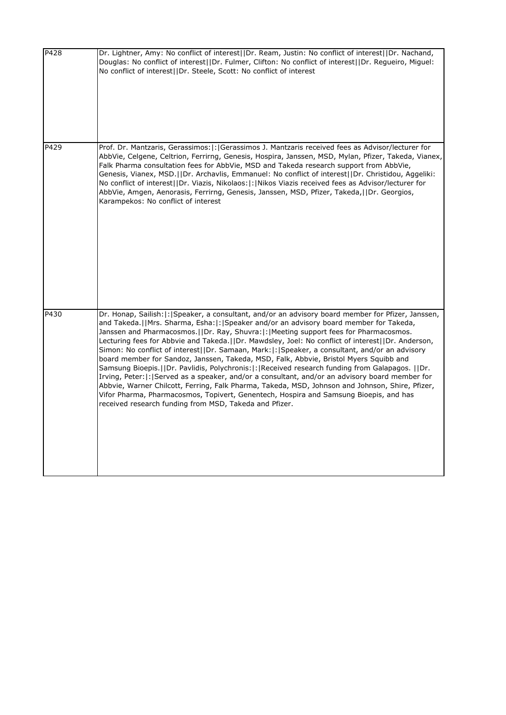| P428 | Dr. Lightner, Amy: No conflict of interest  Dr. Ream, Justin: No conflict of interest  Dr. Nachand,<br>Douglas: No conflict of interest  Dr. Fulmer, Clifton: No conflict of interest  Dr. Regueiro, Miguel:<br>No conflict of interest  Dr. Steele, Scott: No conflict of interest                                                                                                                                                                                                                                                                                                                                                                                                                                                                                                                                                                                                                                                                                                                                                                              |
|------|------------------------------------------------------------------------------------------------------------------------------------------------------------------------------------------------------------------------------------------------------------------------------------------------------------------------------------------------------------------------------------------------------------------------------------------------------------------------------------------------------------------------------------------------------------------------------------------------------------------------------------------------------------------------------------------------------------------------------------------------------------------------------------------------------------------------------------------------------------------------------------------------------------------------------------------------------------------------------------------------------------------------------------------------------------------|
| P429 | Prof. Dr. Mantzaris, Gerassimos:  :   Gerassimos J. Mantzaris received fees as Advisor/lecturer for<br>AbbVie, Celgene, Celtrion, Ferrirng, Genesis, Hospira, Janssen, MSD, Mylan, Pfizer, Takeda, Vianex,<br>Falk Pharma consultation fees for AbbVie, MSD and Takeda research support from AbbVie,<br>Genesis, Vianex, MSD.  Dr. Archavlis, Emmanuel: No conflict of interest  Dr. Christidou, Aggeliki:<br>No conflict of interest  Dr. Viazis, Nikolaos: :  Nikos Viazis received fees as Advisor/lecturer for<br>AbbVie, Amgen, Aenorasis, Ferrirng, Genesis, Janssen, MSD, Pfizer, Takeda,     Dr. Georgios,<br>Karampekos: No conflict of interest                                                                                                                                                                                                                                                                                                                                                                                                        |
| P430 | Dr. Honap, Sailish:  :  Speaker, a consultant, and/or an advisory board member for Pfizer, Janssen,<br>and Takeda.  Mrs. Sharma, Esha: : Speaker and/or an advisory board member for Takeda,<br>Janssen and Pharmacosmos.   Dr. Ray, Shuvra:  :   Meeting support fees for Pharmacosmos.<br>Lecturing fees for Abbvie and Takeda.   Dr. Mawdsley, Joel: No conflict of interest    Dr. Anderson,<br>Simon: No conflict of interest  Dr. Samaan, Mark: :  Speaker, a consultant, and/or an advisory<br>board member for Sandoz, Janssen, Takeda, MSD, Falk, Abbvie, Bristol Myers Squibb and<br>Samsung Bioepis.     Dr. Pavlidis, Polychronis:  :   Received research funding from Galapagos.     Dr.<br>Irving, Peter:  :   Served as a speaker, and/or a consultant, and/or an advisory board member for<br>Abbvie, Warner Chilcott, Ferring, Falk Pharma, Takeda, MSD, Johnson and Johnson, Shire, Pfizer,<br>Vifor Pharma, Pharmacosmos, Topivert, Genentech, Hospira and Samsung Bioepis, and has<br>received research funding from MSD, Takeda and Pfizer. |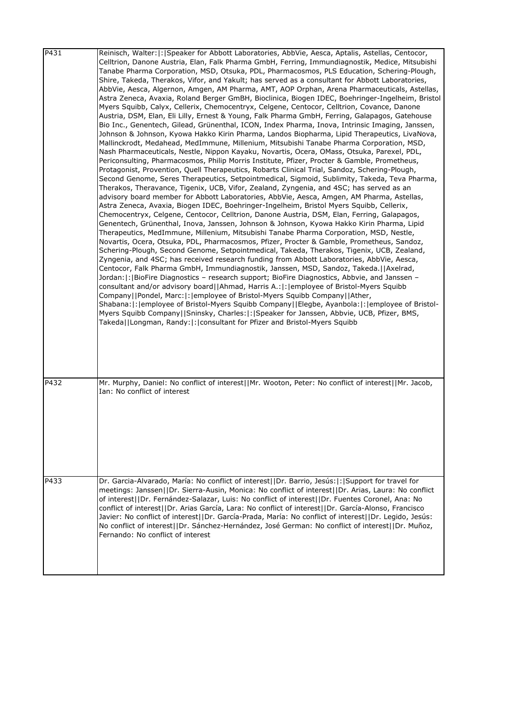| P431 | Reinisch, Walter:  :   Speaker for Abbott Laboratories, AbbVie, Aesca, Aptalis, Astellas, Centocor,<br>Celltrion, Danone Austria, Elan, Falk Pharma GmbH, Ferring, Immundiagnostik, Medice, Mitsubishi<br>Tanabe Pharma Corporation, MSD, Otsuka, PDL, Pharmacosmos, PLS Education, Schering-Plough,<br>Shire, Takeda, Therakos, Vifor, and Yakult; has served as a consultant for Abbott Laboratories,<br>AbbVie, Aesca, Algernon, Amgen, AM Pharma, AMT, AOP Orphan, Arena Pharmaceuticals, Astellas,<br>Astra Zeneca, Avaxia, Roland Berger GmBH, Bioclinica, Biogen IDEC, Boehringer-Ingelheim, Bristol<br>Myers Squibb, Calyx, Cellerix, Chemocentryx, Celgene, Centocor, Celltrion, Covance, Danone<br>Austria, DSM, Elan, Eli Lilly, Ernest & Young, Falk Pharma GmbH, Ferring, Galapagos, Gatehouse<br>Bio Inc., Genentech, Gilead, Grünenthal, ICON, Index Pharma, Inova, Intrinsic Imaging, Janssen,<br>Johnson & Johnson, Kyowa Hakko Kirin Pharma, Landos Biopharma, Lipid Therapeutics, LivaNova,<br>Mallinckrodt, Medahead, MedImmune, Millenium, Mitsubishi Tanabe Pharma Corporation, MSD,<br>Nash Pharmaceuticals, Nestle, Nippon Kayaku, Novartis, Ocera, OMass, Otsuka, Parexel, PDL,<br>Periconsulting, Pharmacosmos, Philip Morris Institute, Pfizer, Procter & Gamble, Prometheus,<br>Protagonist, Provention, Quell Therapeutics, Robarts Clinical Trial, Sandoz, Schering-Plough,<br>Second Genome, Seres Therapeutics, Setpointmedical, Sigmoid, Sublimity, Takeda, Teva Pharma,<br>Therakos, Theravance, Tigenix, UCB, Vifor, Zealand, Zyngenia, and 4SC; has served as an<br>advisory board member for Abbott Laboratories, AbbVie, Aesca, Amgen, AM Pharma, Astellas,<br>Astra Zeneca, Avaxia, Biogen IDEC, Boehringer-Ingelheim, Bristol Myers Squibb, Cellerix,<br>Chemocentryx, Celgene, Centocor, Celltrion, Danone Austria, DSM, Elan, Ferring, Galapagos,<br>Genentech, Grünenthal, Inova, Janssen, Johnson & Johnson, Kyowa Hakko Kirin Pharma, Lipid<br>Therapeutics, MedImmune, Millenium, Mitsubishi Tanabe Pharma Corporation, MSD, Nestle,<br>Novartis, Ocera, Otsuka, PDL, Pharmacosmos, Pfizer, Procter & Gamble, Prometheus, Sandoz,<br>Schering-Plough, Second Genome, Setpointmedical, Takeda, Therakos, Tigenix, UCB, Zealand,<br>Zyngenia, and 4SC; has received research funding from Abbott Laboratories, AbbVie, Aesca,<br>Centocor, Falk Pharma GmbH, Immundiagnostik, Janssen, MSD, Sandoz, Takeda.  Axelrad,<br>Jordan:  :  BioFire Diagnostics - research support; BioFire Diagnostics, Abbvie, and Janssen -<br>consultant and/or advisory board  Ahmad, Harris A.: : employee of Bristol-Myers Squibb<br>Company  Pondel, Marc: : employee of Bristol-Myers Squibb Company  Ather,<br>Shabana:  :   employee of Bristol-Myers Squibb Company     Elegbe, Ayanbola:  :   employee of Bristol-<br>Myers Squibb Company  Sninsky, Charles: : Speaker for Janssen, Abbvie, UCB, Pfizer, BMS,<br>Takeda  Longman, Randy: : consultant for Pfizer and Bristol-Myers Squibb |
|------|------------------------------------------------------------------------------------------------------------------------------------------------------------------------------------------------------------------------------------------------------------------------------------------------------------------------------------------------------------------------------------------------------------------------------------------------------------------------------------------------------------------------------------------------------------------------------------------------------------------------------------------------------------------------------------------------------------------------------------------------------------------------------------------------------------------------------------------------------------------------------------------------------------------------------------------------------------------------------------------------------------------------------------------------------------------------------------------------------------------------------------------------------------------------------------------------------------------------------------------------------------------------------------------------------------------------------------------------------------------------------------------------------------------------------------------------------------------------------------------------------------------------------------------------------------------------------------------------------------------------------------------------------------------------------------------------------------------------------------------------------------------------------------------------------------------------------------------------------------------------------------------------------------------------------------------------------------------------------------------------------------------------------------------------------------------------------------------------------------------------------------------------------------------------------------------------------------------------------------------------------------------------------------------------------------------------------------------------------------------------------------------------------------------------------------------------------------------------------------------------------------------------------------------------------------------------------------------------------------------------------------------------------------------------------------------------------------------------------------------------------------------------------------------------------------------------------------------------------------------------------------------------------------------------------------------------------------------------------------------------------------------------------|
| P432 | Mr. Murphy, Daniel: No conflict of interest  Mr. Wooton, Peter: No conflict of interest  Mr. Jacob,<br>Ian: No conflict of interest                                                                                                                                                                                                                                                                                                                                                                                                                                                                                                                                                                                                                                                                                                                                                                                                                                                                                                                                                                                                                                                                                                                                                                                                                                                                                                                                                                                                                                                                                                                                                                                                                                                                                                                                                                                                                                                                                                                                                                                                                                                                                                                                                                                                                                                                                                                                                                                                                                                                                                                                                                                                                                                                                                                                                                                                                                                                                          |
| P433 | Dr. Garcia-Alvarado, María: No conflict of interest  Dr. Barrio, Jesús: : Support for travel for<br>meetings: Janssen  Dr. Sierra-Ausin, Monica: No conflict of interest  Dr. Arias, Laura: No conflict<br>of interest  Dr. Fernández-Salazar, Luis: No conflict of interest  Dr. Fuentes Coronel, Ana: No<br>conflict of interest  Dr. Arias García, Lara: No conflict of interest  Dr. García-Alonso, Francisco<br>Javier: No conflict of interest  Dr. García-Prada, María: No conflict of interest  Dr. Legido, Jesús:<br>No conflict of interest  Dr. Sánchez-Hernández, José German: No conflict of interest  Dr. Muñoz,<br>Fernando: No conflict of interest                                                                                                                                                                                                                                                                                                                                                                                                                                                                                                                                                                                                                                                                                                                                                                                                                                                                                                                                                                                                                                                                                                                                                                                                                                                                                                                                                                                                                                                                                                                                                                                                                                                                                                                                                                                                                                                                                                                                                                                                                                                                                                                                                                                                                                                                                                                                                          |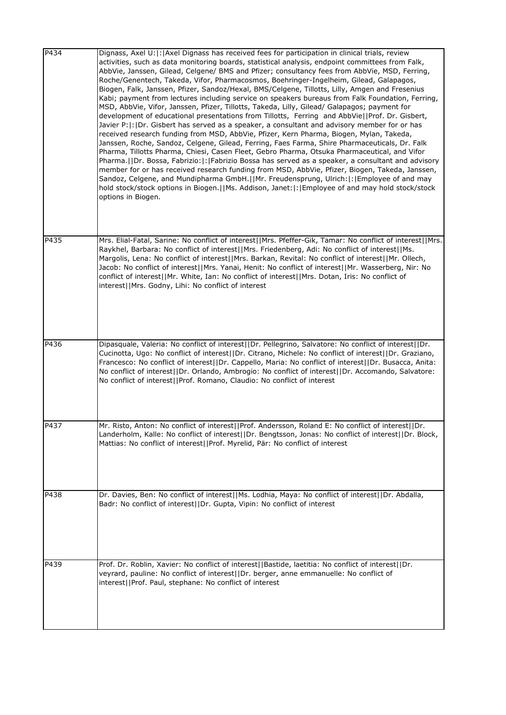| P434 | Dignass, Axel U: : Axel Dignass has received fees for participation in clinical trials, review<br>activities, such as data monitoring boards, statistical analysis, endpoint committees from Falk,<br>AbbVie, Janssen, Gilead, Celgene/ BMS and Pfizer; consultancy fees from AbbVie, MSD, Ferring,<br>Roche/Genentech, Takeda, Vifor, Pharmacosmos, Boehringer-Ingelheim, Gilead, Galapagos,<br>Biogen, Falk, Janssen, Pfizer, Sandoz/Hexal, BMS/Celgene, Tillotts, Lilly, Amgen and Fresenius<br>Kabi; payment from lectures including service on speakers bureaus from Falk Foundation, Ferring,<br>MSD, AbbVie, Vifor, Janssen, Pfizer, Tillotts, Takeda, Lilly, Gilead/ Galapagos; payment for<br>development of educational presentations from Tillotts, Ferring and AbbVie  Prof. Dr. Gisbert,<br>Javier P: :  Dr. Gisbert has served as a speaker, a consultant and advisory member for or has<br>received research funding from MSD, AbbVie, Pfizer, Kern Pharma, Biogen, Mylan, Takeda,<br>Janssen, Roche, Sandoz, Celgene, Gilead, Ferring, Faes Farma, Shire Pharmaceuticals, Dr. Falk<br>Pharma, Tillotts Pharma, Chiesi, Casen Fleet, Gebro Pharma, Otsuka Pharmaceutical, and Vifor<br>Pharma.   Dr. Bossa, Fabrizio:   :   Fabrizio Bossa has served as a speaker, a consultant and advisory<br>member for or has received research funding from MSD, AbbVie, Pfizer, Biogen, Takeda, Janssen,<br>Sandoz, Celgene, and Mundipharma GmbH.  Mr. Freudensprung, Ulrich: : Employee of and may<br>hold stock/stock options in Biogen.  Ms. Addison, Janet: : Employee of and may hold stock/stock<br>options in Biogen. |
|------|-------------------------------------------------------------------------------------------------------------------------------------------------------------------------------------------------------------------------------------------------------------------------------------------------------------------------------------------------------------------------------------------------------------------------------------------------------------------------------------------------------------------------------------------------------------------------------------------------------------------------------------------------------------------------------------------------------------------------------------------------------------------------------------------------------------------------------------------------------------------------------------------------------------------------------------------------------------------------------------------------------------------------------------------------------------------------------------------------------------------------------------------------------------------------------------------------------------------------------------------------------------------------------------------------------------------------------------------------------------------------------------------------------------------------------------------------------------------------------------------------------------------------------------------------------------------------------------------------------------------------------------|
| P435 | Mrs. Elial-Fatal, Sarine: No conflict of interest  Mrs. Pfeffer-Gik, Tamar: No conflict of interest  Mrs.<br>Raykhel, Barbara: No conflict of interest  Mrs. Friedenberg, Adi: No conflict of interest  Ms.<br>Margolis, Lena: No conflict of interest  Mrs. Barkan, Revital: No conflict of interest  Mr. Ollech,<br>Jacob: No conflict of interest  Mrs. Yanai, Henit: No conflict of interest  Mr. Wasserberg, Nir: No<br>conflict of interest  Mr. White, Ian: No conflict of interest  Mrs. Dotan, Iris: No conflict of<br>interest  Mrs. Godny, Lihi: No conflict of interest                                                                                                                                                                                                                                                                                                                                                                                                                                                                                                                                                                                                                                                                                                                                                                                                                                                                                                                                                                                                                                                 |
| P436 | Dipasquale, Valeria: No conflict of interest  Dr. Pellegrino, Salvatore: No conflict of interest  Dr.<br>Cucinotta, Ugo: No conflict of interest  Dr. Citrano, Michele: No conflict of interest  Dr. Graziano,<br>Francesco: No conflict of interest  Dr. Cappello, Maria: No conflict of interest  Dr. Busacca, Anita:<br>No conflict of interest  Dr. Orlando, Ambrogio: No conflict of interest  Dr. Accomando, Salvatore:<br>No conflict of interest  Prof. Romano, Claudio: No conflict of interest                                                                                                                                                                                                                                                                                                                                                                                                                                                                                                                                                                                                                                                                                                                                                                                                                                                                                                                                                                                                                                                                                                                            |
| P437 | Mr. Risto, Anton: No conflict of interest  Prof. Andersson, Roland E: No conflict of interest  Dr.<br>Landerholm, Kalle: No conflict of interest  Dr. Bengtsson, Jonas: No conflict of interest  Dr. Block,<br>Mattias: No conflict of interest  Prof. Myrelid, Pär: No conflict of interest                                                                                                                                                                                                                                                                                                                                                                                                                                                                                                                                                                                                                                                                                                                                                                                                                                                                                                                                                                                                                                                                                                                                                                                                                                                                                                                                        |
| P438 | Dr. Davies, Ben: No conflict of interest  Ms. Lodhia, Maya: No conflict of interest  Dr. Abdalla,<br>Badr: No conflict of interest  Dr. Gupta, Vipin: No conflict of interest                                                                                                                                                                                                                                                                                                                                                                                                                                                                                                                                                                                                                                                                                                                                                                                                                                                                                                                                                                                                                                                                                                                                                                                                                                                                                                                                                                                                                                                       |
| P439 | Prof. Dr. Roblin, Xavier: No conflict of interest  Bastide, laetitia: No conflict of interest  Dr.<br>veyrard, pauline: No conflict of interest  Dr. berger, anne emmanuelle: No conflict of<br>interest  Prof. Paul, stephane: No conflict of interest                                                                                                                                                                                                                                                                                                                                                                                                                                                                                                                                                                                                                                                                                                                                                                                                                                                                                                                                                                                                                                                                                                                                                                                                                                                                                                                                                                             |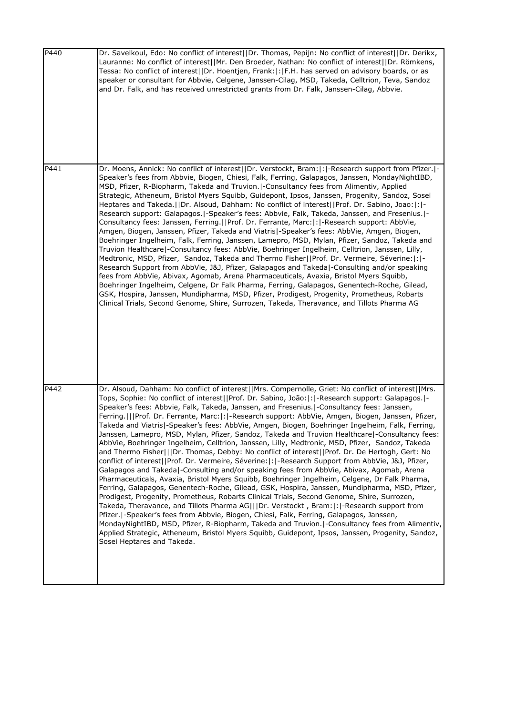| P440 | Dr. Savelkoul, Edo: No conflict of interest  Dr. Thomas, Pepijn: No conflict of interest  Dr. Derikx,<br>Lauranne: No conflict of interest  Mr. Den Broeder, Nathan: No conflict of interest  Dr. Römkens,<br>Tessa: No conflict of interest  Dr. Hoentjen, Frank: : F.H. has served on advisory boards, or as<br>speaker or consultant for Abbvie, Celgene, Janssen-Cilag, MSD, Takeda, Celltrion, Teva, Sandoz<br>and Dr. Falk, and has received unrestricted grants from Dr. Falk, Janssen-Cilag, Abbvie.                                                                                                                                                                                                                                                                                                                                                                                                                                                                                                                                                                                                                                                                                                                                                                                                                                                                                                                                                                                                                                                                                                                                                                                                                                         |
|------|------------------------------------------------------------------------------------------------------------------------------------------------------------------------------------------------------------------------------------------------------------------------------------------------------------------------------------------------------------------------------------------------------------------------------------------------------------------------------------------------------------------------------------------------------------------------------------------------------------------------------------------------------------------------------------------------------------------------------------------------------------------------------------------------------------------------------------------------------------------------------------------------------------------------------------------------------------------------------------------------------------------------------------------------------------------------------------------------------------------------------------------------------------------------------------------------------------------------------------------------------------------------------------------------------------------------------------------------------------------------------------------------------------------------------------------------------------------------------------------------------------------------------------------------------------------------------------------------------------------------------------------------------------------------------------------------------------------------------------------------------|
| P441 | Dr. Moens, Annick: No conflict of interest  Dr. Verstockt, Bram: : -Research support from Pfizer. -<br>Speaker's fees from Abbvie, Biogen, Chiesi, Falk, Ferring, Galapagos, Janssen, MondayNightIBD,<br>MSD, Pfizer, R-Biopharm, Takeda and Truvion.   - Consultancy fees from Alimentiv, Applied<br>Strategic, Atheneum, Bristol Myers Squibb, Guidepont, Ipsos, Janssen, Progenity, Sandoz, Sosei<br>Heptares and Takeda.   Dr. Alsoud, Dahham: No conflict of interest   Prof. Dr. Sabino, Joao:   :   -<br>Research support: Galapagos.   - Speaker's fees: Abbvie, Falk, Takeda, Janssen, and Fresenius.   -<br>Consultancy fees: Janssen, Ferring.  Prof. Dr. Ferrante, Marc: : -Research support: AbbVie,<br>Amgen, Biogen, Janssen, Pfizer, Takeda and Viatris -Speaker's fees: AbbVie, Amgen, Biogen,<br>Boehringer Ingelheim, Falk, Ferring, Janssen, Lamepro, MSD, Mylan, Pfizer, Sandoz, Takeda and<br>Truvion Healthcare -Consultancy fees: AbbVie, Boehringer Ingelheim, Celltrion, Janssen, Lilly,<br>Medtronic, MSD, Pfizer, Sandoz, Takeda and Thermo Fisher  Prof. Dr. Vermeire, Séverine: : -<br>Research Support from AbbVie, J&J, Pfizer, Galapagos and Takeda -Consulting and/or speaking<br>fees from AbbVie, Abivax, Agomab, Arena Pharmaceuticals, Avaxia, Bristol Myers Squibb,<br>Boehringer Ingelheim, Celgene, Dr Falk Pharma, Ferring, Galapagos, Genentech-Roche, Gilead,<br>GSK, Hospira, Janssen, Mundipharma, MSD, Pfizer, Prodigest, Progenity, Prometheus, Robarts<br>Clinical Trials, Second Genome, Shire, Surrozen, Takeda, Theravance, and Tillots Pharma AG                                                                                                                                                |
| P442 | Dr. Alsoud, Dahham: No conflict of interest  Mrs. Compernolle, Griet: No conflict of interest  Mrs.<br>Tops, Sophie: No conflict of interest  Prof. Dr. Sabino, João: : -Research support: Galapagos. -<br>Speaker's fees: Abbvie, Falk, Takeda, Janssen, and Fresenius. -Consultancy fees: Janssen,<br>Ferring.   Prof. Dr. Ferrante, Marc: : -Research support: AbbVie, Amgen, Biogen, Janssen, Pfizer,<br>Takeda and Viatris -Speaker's fees: AbbVie, Amgen, Biogen, Boehringer Ingelheim, Falk, Ferring,<br>Janssen, Lamepro, MSD, Mylan, Pfizer, Sandoz, Takeda and Truvion Healthcare -Consultancy fees:<br>AbbVie, Boehringer Ingelheim, Celltrion, Janssen, Lilly, Medtronic, MSD, Pfizer, Sandoz, Takeda<br>and Thermo Fisher   Dr. Thomas, Debby: No conflict of interest  Prof. Dr. De Hertogh, Gert: No<br>conflict of interest  Prof. Dr. Vermeire, Séverine: : -Research Support from AbbVie, J&J, Pfizer,<br>Galapagos and Takeda -Consulting and/or speaking fees from AbbVie, Abivax, Agomab, Arena<br>Pharmaceuticals, Avaxia, Bristol Myers Squibb, Boehringer Ingelheim, Celgene, Dr Falk Pharma,<br>Ferring, Galapagos, Genentech-Roche, Gilead, GSK, Hospira, Janssen, Mundipharma, MSD, Pfizer,<br>Prodigest, Progenity, Prometheus, Robarts Clinical Trials, Second Genome, Shire, Surrozen,<br>Takeda, Theravance, and Tillots Pharma AG   Dr. Verstockt, Bram: : -Research support from<br>Pfizer.   - Speaker's fees from Abbvie, Biogen, Chiesi, Falk, Ferring, Galapagos, Janssen,<br>MondayNightIBD, MSD, Pfizer, R-Biopharm, Takeda and Truvion.   Consultancy fees from Alimentiv,<br>Applied Strategic, Atheneum, Bristol Myers Squibb, Guidepont, Ipsos, Janssen, Progenity, Sandoz,<br>Sosei Heptares and Takeda. |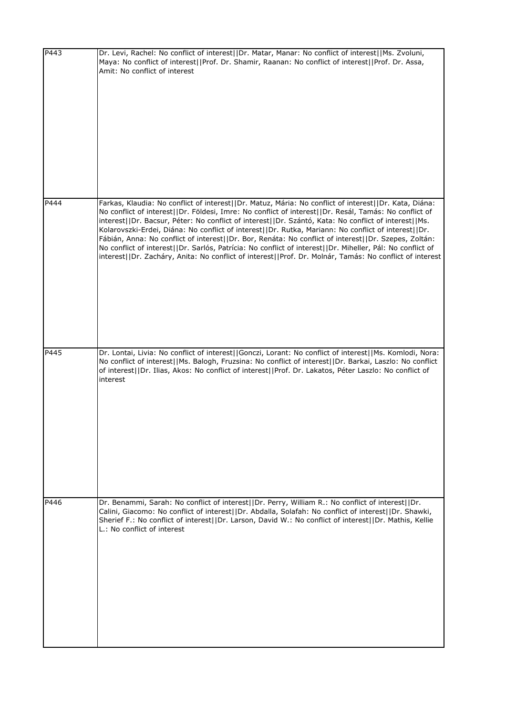| P443 | Dr. Levi, Rachel: No conflict of interest  Dr. Matar, Manar: No conflict of interest  Ms. Zvoluni,<br>Maya: No conflict of interest  Prof. Dr. Shamir, Raanan: No conflict of interest  Prof. Dr. Assa,<br>Amit: No conflict of interest                                                                                                                                                                                                                                                                                                                                                                                                                                                                                                                      |
|------|---------------------------------------------------------------------------------------------------------------------------------------------------------------------------------------------------------------------------------------------------------------------------------------------------------------------------------------------------------------------------------------------------------------------------------------------------------------------------------------------------------------------------------------------------------------------------------------------------------------------------------------------------------------------------------------------------------------------------------------------------------------|
| P444 | Farkas, Klaudia: No conflict of interest  Dr. Matuz, Mária: No conflict of interest  Dr. Kata, Diána:<br>No conflict of interest  Dr. Földesi, Imre: No conflict of interest  Dr. Resál, Tamás: No conflict of<br>interest  Dr. Bacsur, Péter: No conflict of interest  Dr. Szántó, Kata: No conflict of interest  Ms.<br>Kolarovszki-Erdei, Diána: No conflict of interest  Dr. Rutka, Mariann: No conflict of interest  Dr.<br>Fábián, Anna: No conflict of interest  Dr. Bor, Renáta: No conflict of interest  Dr. Szepes, Zoltán:<br>No conflict of interest  Dr. Sarlós, Patrícia: No conflict of interest  Dr. Miheller, Pál: No conflict of<br>interest  Dr. Zacháry, Anita: No conflict of interest  Prof. Dr. Molnár, Tamás: No conflict of interest |
| P445 | Dr. Lontai, Livia: No conflict of interest  Gonczi, Lorant: No conflict of interest  Ms. Komlodi, Nora:<br>No conflict of interest  Ms. Balogh, Fruzsina: No conflict of interest  Dr. Barkai, Laszlo: No conflict<br>of interest  Dr. Ilias, Akos: No conflict of interest  Prof. Dr. Lakatos, Péter Laszlo: No conflict of<br>interest                                                                                                                                                                                                                                                                                                                                                                                                                      |
| P446 | Dr. Benammi, Sarah: No conflict of interest  Dr. Perry, William R.: No conflict of interest  Dr.<br>Calini, Giacomo: No conflict of interest  Dr. Abdalla, Solafah: No conflict of interest  Dr. Shawki,<br>Sherief F.: No conflict of interest  Dr. Larson, David W.: No conflict of interest  Dr. Mathis, Kellie<br>L.: No conflict of interest                                                                                                                                                                                                                                                                                                                                                                                                             |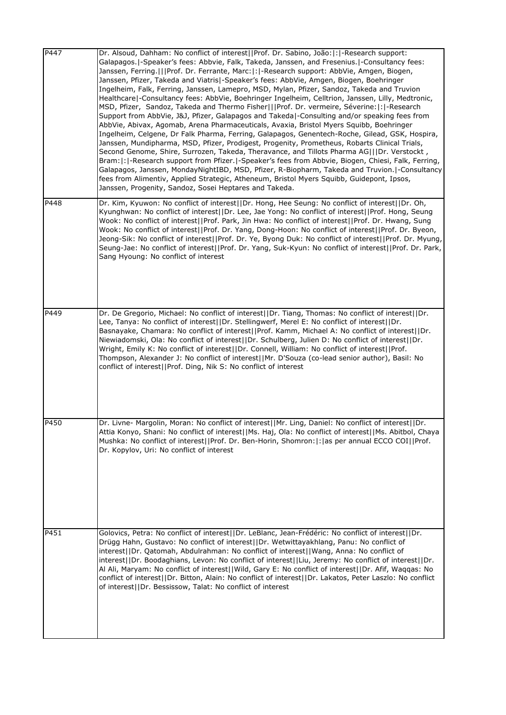| P447 | Dr. Alsoud, Dahham: No conflict of interest  Prof. Dr. Sabino, João: : -Research support:<br>Galapagos.   - Speaker's fees: Abbvie, Falk, Takeda, Janssen, and Fresenius.   - Consultancy fees:<br>Janssen, Ferring.   Prof. Dr. Ferrante, Marc: : -Research support: AbbVie, Amgen, Biogen,<br>Janssen, Pfizer, Takeda and Viatris -Speaker's fees: AbbVie, Amgen, Biogen, Boehringer<br>Ingelheim, Falk, Ferring, Janssen, Lamepro, MSD, Mylan, Pfizer, Sandoz, Takeda and Truvion<br>Healthcare   - Consultancy fees: AbbVie, Boehringer Ingelheim, Celltrion, Janssen, Lilly, Medtronic,<br>MSD, Pfizer, Sandoz, Takeda and Thermo Fisher   Prof. Dr. vermeire, Séverine: : -Research<br>Support from AbbVie, J&J, Pfizer, Galapagos and Takeda -Consulting and/or speaking fees from<br>AbbVie, Abivax, Agomab, Arena Pharmaceuticals, Avaxia, Bristol Myers Squibb, Boehringer<br>Ingelheim, Celgene, Dr Falk Pharma, Ferring, Galapagos, Genentech-Roche, Gilead, GSK, Hospira,<br>Janssen, Mundipharma, MSD, Pfizer, Prodigest, Progenity, Prometheus, Robarts Clinical Trials,<br>Second Genome, Shire, Surrozen, Takeda, Theravance, and Tillots Pharma AG   Dr. Verstockt,<br>Bram:  :  -Research support from Pfizer.  -Speaker's fees from Abbvie, Biogen, Chiesi, Falk, Ferring,<br>Galapagos, Janssen, MondayNightIBD, MSD, Pfizer, R-Biopharm, Takeda and Truvion. -Consultancy<br>fees from Alimentiv, Applied Strategic, Atheneum, Bristol Myers Squibb, Guidepont, Ipsos,<br>Janssen, Progenity, Sandoz, Sosei Heptares and Takeda. |
|------|--------------------------------------------------------------------------------------------------------------------------------------------------------------------------------------------------------------------------------------------------------------------------------------------------------------------------------------------------------------------------------------------------------------------------------------------------------------------------------------------------------------------------------------------------------------------------------------------------------------------------------------------------------------------------------------------------------------------------------------------------------------------------------------------------------------------------------------------------------------------------------------------------------------------------------------------------------------------------------------------------------------------------------------------------------------------------------------------------------------------------------------------------------------------------------------------------------------------------------------------------------------------------------------------------------------------------------------------------------------------------------------------------------------------------------------------------------------------------------------------------------------------------------------------------------|
| P448 | Dr. Kim, Kyuwon: No conflict of interest  Dr. Hong, Hee Seung: No conflict of interest  Dr. Oh,<br>Kyunghwan: No conflict of interest  Dr. Lee, Jae Yong: No conflict of interest  Prof. Hong, Seung<br>Wook: No conflict of interest  Prof. Park, Jin Hwa: No conflict of interest  Prof. Dr. Hwang, Sung<br>Wook: No conflict of interest  Prof. Dr. Yang, Dong-Hoon: No conflict of interest  Prof. Dr. Byeon,<br>Jeong-Sik: No conflict of interest  Prof. Dr. Ye, Byong Duk: No conflict of interest  Prof. Dr. Myung,<br>Seung-Jae: No conflict of interest  Prof. Dr. Yang, Suk-Kyun: No conflict of interest  Prof. Dr. Park,<br>Sang Hyoung: No conflict of interest                                                                                                                                                                                                                                                                                                                                                                                                                                                                                                                                                                                                                                                                                                                                                                                                                                                                          |
| P449 | Dr. De Gregorio, Michael: No conflict of interest  Dr. Tiang, Thomas: No conflict of interest  Dr.<br>Lee, Tanya: No conflict of interest  Dr. Stellingwerf, Merel E: No conflict of interest  Dr.<br>Basnayake, Chamara: No conflict of interest  Prof. Kamm, Michael A: No conflict of interest  Dr.<br>Niewiadomski, Ola: No conflict of interest  Dr. Schulberg, Julien D: No conflict of interest  Dr.<br>Wright, Emily K: No conflict of interest  Dr. Connell, William: No conflict of interest  Prof.<br>Thompson, Alexander J: No conflict of interest  Mr. D'Souza (co-lead senior author), Basil: No<br>conflict of interest  Prof. Ding, Nik S: No conflict of interest                                                                                                                                                                                                                                                                                                                                                                                                                                                                                                                                                                                                                                                                                                                                                                                                                                                                    |
| P450 | Dr. Livne- Margolin, Moran: No conflict of interest  Mr. Ling, Daniel: No conflict of interest  Dr.<br>Attia Konyo, Shani: No conflict of interest  Ms. Haj, Ola: No conflict of interest  Ms. Abitbol, Chaya<br>Mushka: No conflict of interest  Prof. Dr. Ben-Horin, Shomron: :  as per annual ECCO COI  Prof.<br>Dr. Kopylov, Uri: No conflict of interest                                                                                                                                                                                                                                                                                                                                                                                                                                                                                                                                                                                                                                                                                                                                                                                                                                                                                                                                                                                                                                                                                                                                                                                          |
| P451 | Golovics, Petra: No conflict of interest  Dr. LeBlanc, Jean-Frédéric: No conflict of interest  Dr.<br>Drügg Hahn, Gustavo: No conflict of interest   Dr. Wetwittayakhlang, Panu: No conflict of<br>interest  Dr. Qatomah, Abdulrahman: No conflict of interest  Wang, Anna: No conflict of<br>interest  Dr. Boodaghians, Levon: No conflict of interest  Liu, Jeremy: No conflict of interest  Dr.<br>Al Ali, Maryam: No conflict of interest  Wild, Gary E: No conflict of interest  Dr. Afif, Waqqas: No<br>conflict of interest  Dr. Bitton, Alain: No conflict of interest  Dr. Lakatos, Peter Laszlo: No conflict<br>of interest  Dr. Bessissow, Talat: No conflict of interest                                                                                                                                                                                                                                                                                                                                                                                                                                                                                                                                                                                                                                                                                                                                                                                                                                                                   |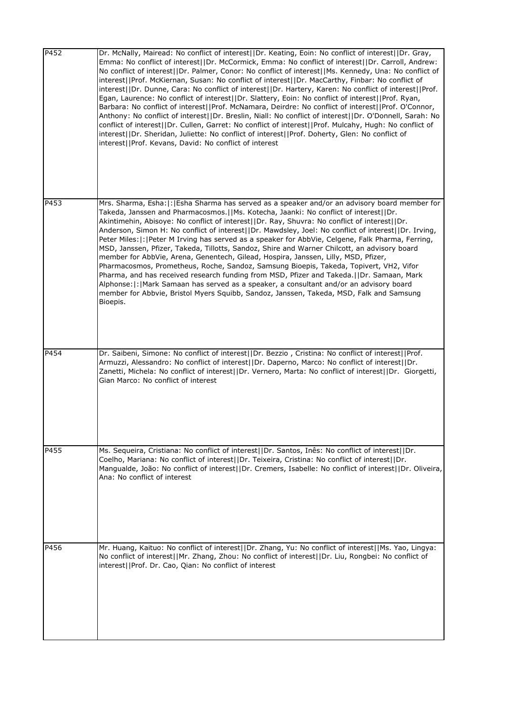| $\overline{P4}$ 52 | Dr. McNally, Mairead: No conflict of interest  Dr. Keating, Eoin: No conflict of interest  Dr. Gray,<br>Emma: No conflict of interest  Dr. McCormick, Emma: No conflict of interest  Dr. Carroll, Andrew:<br>No conflict of interest  Dr. Palmer, Conor: No conflict of interest  Ms. Kennedy, Una: No conflict of<br>interest  Prof. McKiernan, Susan: No conflict of interest  Dr. MacCarthy, Finbar: No conflict of<br>interest  Dr. Dunne, Cara: No conflict of interest  Dr. Hartery, Karen: No conflict of interest  Prof.<br>Egan, Laurence: No conflict of interest  Dr. Slattery, Eoin: No conflict of interest  Prof. Ryan,<br>Barbara: No conflict of interest  Prof. McNamara, Deirdre: No conflict of interest  Prof. O'Connor,<br>Anthony: No conflict of interest  Dr. Breslin, Niall: No conflict of interest  Dr. O'Donnell, Sarah: No<br>conflict of interest  Dr. Cullen, Garret: No conflict of interest  Prof. Mulcahy, Hugh: No conflict of<br>interest  Dr. Sheridan, Juliette: No conflict of interest  Prof. Doherty, Glen: No conflict of<br>interest  Prof. Kevans, David: No conflict of interest |
|--------------------|-------------------------------------------------------------------------------------------------------------------------------------------------------------------------------------------------------------------------------------------------------------------------------------------------------------------------------------------------------------------------------------------------------------------------------------------------------------------------------------------------------------------------------------------------------------------------------------------------------------------------------------------------------------------------------------------------------------------------------------------------------------------------------------------------------------------------------------------------------------------------------------------------------------------------------------------------------------------------------------------------------------------------------------------------------------------------------------------------------------------------------|
| P453               | Mrs. Sharma, Esha:  :   Esha Sharma has served as a speaker and/or an advisory board member for<br>Takeda, Janssen and Pharmacosmos.  Ms. Kotecha, Jaanki: No conflict of interest  Dr.<br>Akintimehin, Abisoye: No conflict of interest  Dr. Ray, Shuvra: No conflict of interest  Dr.<br>Anderson, Simon H: No conflict of interest  Dr. Mawdsley, Joel: No conflict of interest  Dr. Irving,<br>Peter Miles:  :   Peter M Irving has served as a speaker for AbbVie, Celgene, Falk Pharma, Ferring,<br>MSD, Janssen, Pfizer, Takeda, Tillotts, Sandoz, Shire and Warner Chilcott, an advisory board<br>member for AbbVie, Arena, Genentech, Gilead, Hospira, Janssen, Lilly, MSD, Pfizer,<br>Pharmacosmos, Prometheus, Roche, Sandoz, Samsung Bioepis, Takeda, Topivert, VH2, Vifor<br>Pharma, and has received research funding from MSD, Pfizer and Takeda.  Dr. Samaan, Mark<br>Alphonse:  :   Mark Samaan has served as a speaker, a consultant and/or an advisory board<br>member for Abbvie, Bristol Myers Squibb, Sandoz, Janssen, Takeda, MSD, Falk and Samsung<br>Bioepis.                                        |
| P454               | Dr. Saibeni, Simone: No conflict of interest  Dr. Bezzio, Cristina: No conflict of interest  Prof.<br>Armuzzi, Alessandro: No conflict of interest  Dr. Daperno, Marco: No conflict of interest  Dr.<br>Zanetti, Michela: No conflict of interest  Dr. Vernero, Marta: No conflict of interest  Dr. Giorgetti,<br>Gian Marco: No conflict of interest                                                                                                                                                                                                                                                                                                                                                                                                                                                                                                                                                                                                                                                                                                                                                                         |
| P455               | Ms. Sequeira, Cristiana: No conflict of interest  Dr. Santos, Inês: No conflict of interest  Dr.<br>Coelho, Mariana: No conflict of interest  Dr. Teixeira, Cristina: No conflict of interest  Dr.<br>Mangualde, João: No conflict of interest  Dr. Cremers, Isabelle: No conflict of interest  Dr. Oliveira,<br>Ana: No conflict of interest                                                                                                                                                                                                                                                                                                                                                                                                                                                                                                                                                                                                                                                                                                                                                                                 |
| P456               | Mr. Huang, Kaituo: No conflict of interest  Dr. Zhang, Yu: No conflict of interest  Ms. Yao, Lingya:<br>No conflict of interest  Mr. Zhang, Zhou: No conflict of interest  Dr. Liu, Rongbei: No conflict of<br>interest  Prof. Dr. Cao, Qian: No conflict of interest                                                                                                                                                                                                                                                                                                                                                                                                                                                                                                                                                                                                                                                                                                                                                                                                                                                         |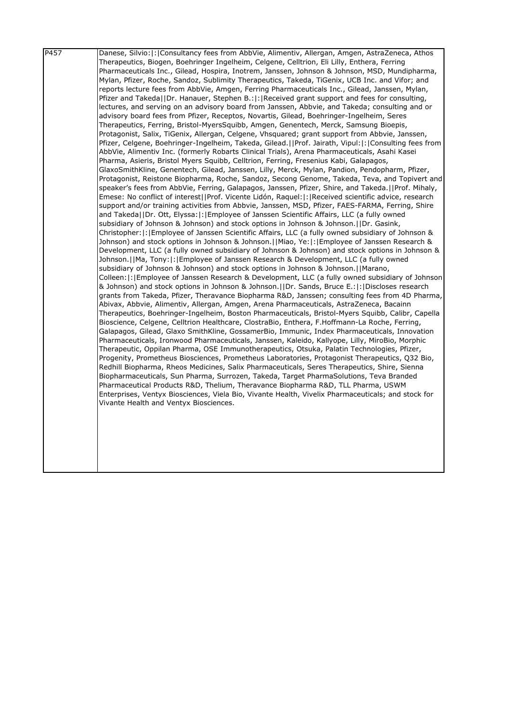| P <sub>457</sub> | Danese, Silvio:  :   Consultancy fees from AbbVie, Alimentiv, Allergan, Amgen, AstraZeneca, Athos                                                                                                  |
|------------------|----------------------------------------------------------------------------------------------------------------------------------------------------------------------------------------------------|
|                  | Therapeutics, Biogen, Boehringer Ingelheim, Celgene, Celltrion, Eli Lilly, Enthera, Ferring                                                                                                        |
|                  | Pharmaceuticals Inc., Gilead, Hospira, Inotrem, Janssen, Johnson & Johnson, MSD, Mundipharma,                                                                                                      |
|                  | Mylan, Pfizer, Roche, Sandoz, Sublimity Therapeutics, Takeda, TiGenix, UCB Inc. and Vifor; and                                                                                                     |
|                  | reports lecture fees from AbbVie, Amgen, Ferring Pharmaceuticals Inc., Gilead, Janssen, Mylan,                                                                                                     |
|                  | Pfizer and Takeda  Dr. Hanauer, Stephen B.: :   Received grant support and fees for consulting,                                                                                                    |
|                  | lectures, and serving on an advisory board from Janssen, Abbvie, and Takeda; consulting and or                                                                                                     |
|                  | advisory board fees from Pfizer, Receptos, Novartis, Gilead, Boehringer-Ingelheim, Seres                                                                                                           |
|                  | Therapeutics, Ferring, Bristol-MyersSquibb, Amgen, Genentech, Merck, Samsung Bioepis,                                                                                                              |
|                  | Protagonist, Salix, TiGenix, Allergan, Celgene, Vhsquared; grant support from Abbvie, Janssen,                                                                                                     |
|                  | Pfizer, Celgene, Boehringer-Ingelheim, Takeda, Gilead.  Prof. Jairath, Vipul: : Consulting fees from                                                                                               |
|                  | AbbVie, Alimentiv Inc. (formerly Robarts Clinical Trials), Arena Pharmaceuticals, Asahi Kasei                                                                                                      |
|                  | Pharma, Asieris, Bristol Myers Squibb, Celltrion, Ferring, Fresenius Kabi, Galapagos,                                                                                                              |
|                  | GlaxoSmithKline, Genentech, Gilead, Janssen, Lilly, Merck, Mylan, Pandion, Pendopharm, Pfizer,                                                                                                     |
|                  | Protagonist, Reistone Biopharma, Roche, Sandoz, Secong Genome, Takeda, Teva, and Topivert and                                                                                                      |
|                  | speaker's fees from AbbVie, Ferring, Galapagos, Janssen, Pfizer, Shire, and Takeda.[[Prof. Mihaly,                                                                                                 |
|                  | Emese: No conflict of interest  Prof. Vicente Lidón, Raquel: :   Received scientific advice, research                                                                                              |
|                  | support and/or training activities from Abbvie, Janssen, MSD, Pfizer, FAES-FARMA, Ferring, Shire                                                                                                   |
|                  | and Takeda  Dr. Ott, Elyssa: : Employee of Janssen Scientific Affairs, LLC (a fully owned                                                                                                          |
|                  | subsidiary of Johnson & Johnson) and stock options in Johnson & Johnson.[IDr. Gasink,                                                                                                              |
|                  | Christopher:  :   Employee of Janssen Scientific Affairs, LLC (a fully owned subsidiary of Johnson &                                                                                               |
|                  | Johnson) and stock options in Johnson & Johnson. [ Miao, Ye:  : [Employee of Janssen Research &                                                                                                    |
|                  | Development, LLC (a fully owned subsidiary of Johnson & Johnson) and stock options in Johnson &                                                                                                    |
|                  | Johnson.   Ma, Tony:   :   Employee of Janssen Research & Development, LLC (a fully owned                                                                                                          |
|                  | subsidiary of Johnson & Johnson) and stock options in Johnson & Johnson.     Marano,                                                                                                               |
|                  | Colleen:  :   Employee of Janssen Research & Development, LLC (a fully owned subsidiary of Johnson                                                                                                 |
|                  | & Johnson) and stock options in Johnson & Johnson. [IDr. Sands, Bruce E.:  :  Discloses research<br>grants from Takeda, Pfizer, Theravance Biopharma R&D, Janssen; consulting fees from 4D Pharma, |
|                  | Abivax, Abbvie, Alimentiv, Allergan, Amgen, Arena Pharmaceuticals, AstraZeneca, Bacainn                                                                                                            |
|                  | Therapeutics, Boehringer-Ingelheim, Boston Pharmaceuticals, Bristol-Myers Squibb, Calibr, Capella                                                                                                  |
|                  | Bioscience, Celgene, Celltrion Healthcare, ClostraBio, Enthera, F.Hoffmann-La Roche, Ferring,                                                                                                      |
|                  | Galapagos, Gilead, Glaxo SmithKline, GossamerBio, Immunic, Index Pharmaceuticals, Innovation                                                                                                       |
|                  | Pharmaceuticals, Ironwood Pharmaceuticals, Janssen, Kaleido, Kallyope, Lilly, MiroBio, Morphic                                                                                                     |
|                  | Therapeutic, Oppilan Pharma, OSE Immunotherapeutics, Otsuka, Palatin Technologies, Pfizer,                                                                                                         |
|                  | Progenity, Prometheus Biosciences, Prometheus Laboratories, Protagonist Therapeutics, Q32 Bio,                                                                                                     |
|                  | Redhill Biopharma, Rheos Medicines, Salix Pharmaceuticals, Seres Therapeutics, Shire, Sienna                                                                                                       |
|                  | Biopharmaceuticals, Sun Pharma, Surrozen, Takeda, Target PharmaSolutions, Teva Branded                                                                                                             |
|                  | Pharmaceutical Products R&D, Thelium, Theravance Biopharma R&D, TLL Pharma, USWM                                                                                                                   |
|                  | Enterprises, Ventyx Biosciences, Viela Bio, Vivante Health, Vivelix Pharmaceuticals; and stock for                                                                                                 |
|                  | Vivante Health and Ventyx Biosciences.                                                                                                                                                             |
|                  |                                                                                                                                                                                                    |
|                  |                                                                                                                                                                                                    |
|                  |                                                                                                                                                                                                    |
|                  |                                                                                                                                                                                                    |
|                  |                                                                                                                                                                                                    |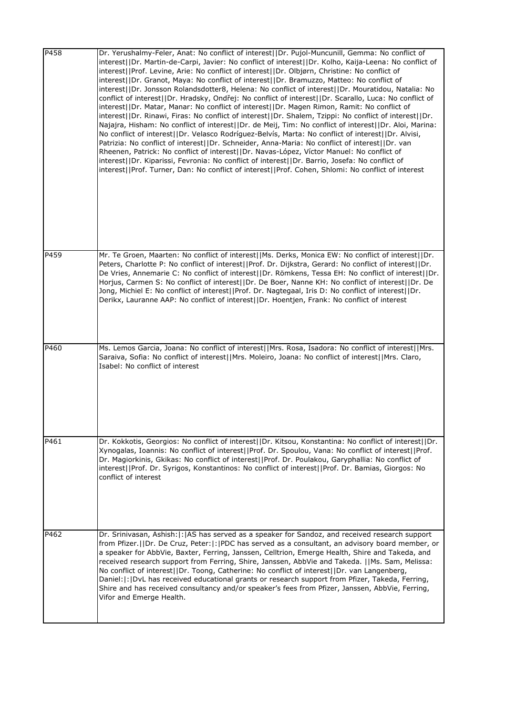| P458 | Dr. Yerushalmy-Feler, Anat: No conflict of interest  Dr. Pujol-Muncunill, Gemma: No conflict of<br>interest  Dr. Martin-de-Carpi, Javier: No conflict of interest  Dr. Kolho, Kaija-Leena: No conflict of<br>interest  Prof. Levine, Arie: No conflict of interest  Dr. Olbjørn, Christine: No conflict of<br>interest  Dr. Granot, Maya: No conflict of interest  Dr. Bramuzzo, Matteo: No conflict of<br>interest  Dr. Jonsson Rolandsdotter8, Helena: No conflict of interest  Dr. Mouratidou, Natalia: No<br>conflict of interest  Dr. Hradsky, Ondřej: No conflict of interest  Dr. Scarallo, Luca: No conflict of<br>interest  Dr. Matar, Manar: No conflict of interest  Dr. Magen Rimon, Ramit: No conflict of<br>interest  Dr. Rinawi, Firas: No conflict of interest  Dr. Shalem, Tzippi: No conflict of interest  Dr.<br>Najajra, Hisham: No conflict of interest  Dr. de Meij, Tim: No conflict of interest  Dr. Aloi, Marina:<br>No conflict of interest  Dr. Velasco Rodríguez-Belvís, Marta: No conflict of interest  Dr. Alvisi,<br>Patrizia: No conflict of interest  Dr. Schneider, Anna-Maria: No conflict of interest  Dr. van<br>Rheenen, Patrick: No conflict of interest  Dr. Navas-López, Víctor Manuel: No conflict of<br>interest  Dr. Kiparissi, Fevronia: No conflict of interest  Dr. Barrio, Josefa: No conflict of<br>interest  Prof. Turner, Dan: No conflict of interest  Prof. Cohen, Shlomi: No conflict of interest |
|------|---------------------------------------------------------------------------------------------------------------------------------------------------------------------------------------------------------------------------------------------------------------------------------------------------------------------------------------------------------------------------------------------------------------------------------------------------------------------------------------------------------------------------------------------------------------------------------------------------------------------------------------------------------------------------------------------------------------------------------------------------------------------------------------------------------------------------------------------------------------------------------------------------------------------------------------------------------------------------------------------------------------------------------------------------------------------------------------------------------------------------------------------------------------------------------------------------------------------------------------------------------------------------------------------------------------------------------------------------------------------------------------------------------------------------------------------------------|
| P459 | Mr. Te Groen, Maarten: No conflict of interest  Ms. Derks, Monica EW: No conflict of interest  Dr.<br>Peters, Charlotte P: No conflict of interest  Prof. Dr. Dijkstra, Gerard: No conflict of interest  Dr.<br>De Vries, Annemarie C: No conflict of interest  Dr. Römkens, Tessa EH: No conflict of interest  Dr.<br>Horjus, Carmen S: No conflict of interest  Dr. De Boer, Nanne KH: No conflict of interest  Dr. De<br>Jong, Michiel E: No conflict of interest  Prof. Dr. Nagtegaal, Iris D: No conflict of interest  Dr.<br>Derikx, Lauranne AAP: No conflict of interest  Dr. Hoentjen, Frank: No conflict of interest                                                                                                                                                                                                                                                                                                                                                                                                                                                                                                                                                                                                                                                                                                                                                                                                                          |
| P460 | Ms. Lemos Garcia, Joana: No conflict of interest  Mrs. Rosa, Isadora: No conflict of interest  Mrs.<br>Saraiva, Sofia: No conflict of interest  Mrs. Moleiro, Joana: No conflict of interest  Mrs. Claro,<br>Isabel: No conflict of interest                                                                                                                                                                                                                                                                                                                                                                                                                                                                                                                                                                                                                                                                                                                                                                                                                                                                                                                                                                                                                                                                                                                                                                                                            |
| P461 | Dr. Kokkotis, Georgios: No conflict of interest  Dr. Kitsou, Konstantina: No conflict of interest  Dr.<br>Xynogalas, Ioannis: No conflict of interest  Prof. Dr. Spoulou, Vana: No conflict of interest  Prof.<br>Dr. Magiorkinis, Gkikas: No conflict of interest  Prof. Dr. Poulakou, Garyphallia: No conflict of<br>interest  Prof. Dr. Syrigos, Konstantinos: No conflict of interest  Prof. Dr. Bamias, Giorgos: No<br>conflict of interest                                                                                                                                                                                                                                                                                                                                                                                                                                                                                                                                                                                                                                                                                                                                                                                                                                                                                                                                                                                                        |
| P462 | Dr. Srinivasan, Ashish:  :   AS has served as a speaker for Sandoz, and received research support<br>from Pfizer.     Dr. De Cruz, Peter:   :   PDC has served as a consultant, an advisory board member, or<br>a speaker for AbbVie, Baxter, Ferring, Janssen, Celltrion, Emerge Health, Shire and Takeda, and<br>received research support from Ferring, Shire, Janssen, AbbVie and Takeda.   Ms. Sam, Melissa:<br>No conflict of interest  Dr. Toong, Catherine: No conflict of interest  Dr. van Langenberg,<br>Daniel:  :   DvL has received educational grants or research support from Pfizer, Takeda, Ferring,<br>Shire and has received consultancy and/or speaker's fees from Pfizer, Janssen, AbbVie, Ferring,<br>Vifor and Emerge Health.                                                                                                                                                                                                                                                                                                                                                                                                                                                                                                                                                                                                                                                                                                   |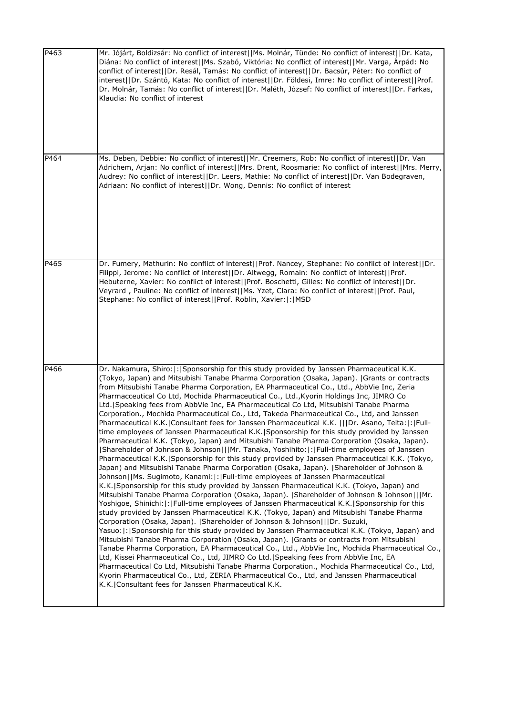| P463 | Mr. Jójárt, Boldizsár: No conflict of interest  Ms. Molnár, Tünde: No conflict of interest  Dr. Kata,<br>Diána: No conflict of interest  Ms. Szabó, Viktória: No conflict of interest  Mr. Varga, Árpád: No<br>conflict of interest  Dr. Resál, Tamás: No conflict of interest  Dr. Bacsúr, Péter: No conflict of<br>interest  Dr. Szántó, Kata: No conflict of interest  Dr. Földesi, Imre: No conflict of interest  Prof.<br>Dr. Molnár, Tamás: No conflict of interest  Dr. Maléth, József: No conflict of interest  Dr. Farkas,<br>Klaudia: No conflict of interest                                                                                                                                                                                                                                                                                                                                                                                                                                                                                                                                                                                                                                                                                                                                                                                                                                                                                                                                                                                                                                                                                                                                                                                                                                                                                                                                                                                                                                                                                                                                                                                                                                                                                                                                                                                                                                 |
|------|---------------------------------------------------------------------------------------------------------------------------------------------------------------------------------------------------------------------------------------------------------------------------------------------------------------------------------------------------------------------------------------------------------------------------------------------------------------------------------------------------------------------------------------------------------------------------------------------------------------------------------------------------------------------------------------------------------------------------------------------------------------------------------------------------------------------------------------------------------------------------------------------------------------------------------------------------------------------------------------------------------------------------------------------------------------------------------------------------------------------------------------------------------------------------------------------------------------------------------------------------------------------------------------------------------------------------------------------------------------------------------------------------------------------------------------------------------------------------------------------------------------------------------------------------------------------------------------------------------------------------------------------------------------------------------------------------------------------------------------------------------------------------------------------------------------------------------------------------------------------------------------------------------------------------------------------------------------------------------------------------------------------------------------------------------------------------------------------------------------------------------------------------------------------------------------------------------------------------------------------------------------------------------------------------------------------------------------------------------------------------------------------------------|
| P464 | Ms. Deben, Debbie: No conflict of interest  Mr. Creemers, Rob: No conflict of interest  Dr. Van<br>Adrichem, Arjan: No conflict of interest  Mrs. Drent, Roosmarie: No conflict of interest  Mrs. Merry,<br>Audrey: No conflict of interest  Dr. Leers, Mathie: No conflict of interest  Dr. Van Bodegraven,<br>Adriaan: No conflict of interest  Dr. Wong, Dennis: No conflict of interest                                                                                                                                                                                                                                                                                                                                                                                                                                                                                                                                                                                                                                                                                                                                                                                                                                                                                                                                                                                                                                                                                                                                                                                                                                                                                                                                                                                                                                                                                                                                                                                                                                                                                                                                                                                                                                                                                                                                                                                                             |
| P465 | Dr. Fumery, Mathurin: No conflict of interest  Prof. Nancey, Stephane: No conflict of interest  Dr.<br>Filippi, Jerome: No conflict of interest  Dr. Altwegg, Romain: No conflict of interest  Prof.<br>Hebuterne, Xavier: No conflict of interest  Prof. Boschetti, Gilles: No conflict of interest  Dr.<br>Veyrard, Pauline: No conflict of interest  Ms. Yzet, Clara: No conflict of interest  Prof. Paul,<br>Stephane: No conflict of interest  Prof. Roblin, Xavier: :  MSD                                                                                                                                                                                                                                                                                                                                                                                                                                                                                                                                                                                                                                                                                                                                                                                                                                                                                                                                                                                                                                                                                                                                                                                                                                                                                                                                                                                                                                                                                                                                                                                                                                                                                                                                                                                                                                                                                                                        |
| P466 | Dr. Nakamura, Shiro: : Sponsorship for this study provided by Janssen Pharmaceutical K.K.<br>(Tokyo, Japan) and Mitsubishi Tanabe Pharma Corporation (Osaka, Japan).  Grants or contracts<br>from Mitsubishi Tanabe Pharma Corporation, EA Pharmaceutical Co., Ltd., AbbVie Inc, Zeria<br>Pharmacceutical Co Ltd, Mochida Pharmaceutical Co., Ltd., Kyorin Holdings Inc, JIMRO Co<br>Ltd. Speaking fees from AbbVie Inc, EA Pharmaceutical Co Ltd, Mitsubishi Tanabe Pharma<br>Corporation., Mochida Pharmaceutical Co., Ltd, Takeda Pharmaceutical Co., Ltd, and Janssen<br>-Pharmaceutical K.K.  Consultant fees for Janssen Pharmaceutical K.K.    Dr. Asano, Teita: : Full<br>time employees of Janssen Pharmaceutical K.K. Sponsorship for this study provided by Janssen<br>Pharmaceutical K.K. (Tokyo, Japan) and Mitsubishi Tanabe Pharma Corporation (Osaka, Japan).<br>[Shareholder of Johnson & Johnson]  Mr. Tanaka, Yoshihito: : Full-time employees of Janssen<br>Pharmaceutical K.K.   Sponsorship for this study provided by Janssen Pharmaceutical K.K. (Tokyo,<br>Japan) and Mitsubishi Tanabe Pharma Corporation (Osaka, Japan).  Shareholder of Johnson &<br>Johnson  Ms. Sugimoto, Kanami: : Full-time employees of Janssen Pharmaceutical<br>K.K. (Sponsorship for this study provided by Janssen Pharmaceutical K.K. (Tokyo, Japan) and<br>Mitsubishi Tanabe Pharma Corporation (Osaka, Japan).  Shareholder of Johnson & Johnson   Mr.<br>Yoshigoe, Shinichi:  :  Full-time employees of Janssen Pharmaceutical K.K.  Sponsorship for this<br>study provided by Janssen Pharmaceutical K.K. (Tokyo, Japan) and Mitsubishi Tanabe Pharma<br>Corporation (Osaka, Japan).   Shareholder of Johnson & Johnson     Dr. Suzuki,<br>Yasuo:  :  Sponsorship for this study provided by Janssen Pharmaceutical K.K. (Tokyo, Japan) and<br>Mitsubishi Tanabe Pharma Corporation (Osaka, Japan).   Grants or contracts from Mitsubishi<br>Tanabe Pharma Corporation, EA Pharmaceutical Co., Ltd., AbbVie Inc, Mochida Pharmaceutical Co.,<br>Ltd, Kissei Pharmaceutical Co., Ltd, JIMRO Co Ltd.   Speaking fees from AbbVie Inc, EA<br>Pharmaceutical Co Ltd, Mitsubishi Tanabe Pharma Corporation., Mochida Pharmaceutical Co., Ltd,<br>Kyorin Pharmaceutical Co., Ltd, ZERIA Pharmaceutical Co., Ltd, and Janssen Pharmaceutical<br>K.K. Consultant fees for Janssen Pharmaceutical K.K. |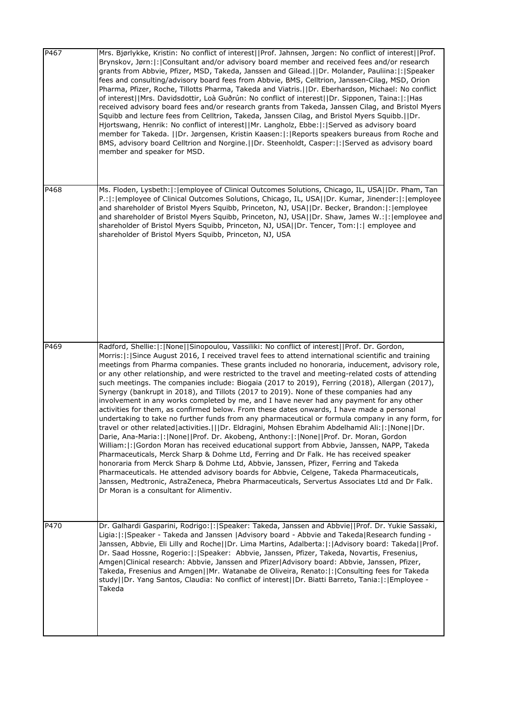| P467 | Mrs. Bjørlykke, Kristin: No conflict of interest  Prof. Jahnsen, Jørgen: No conflict of interest  Prof.<br>Brynskov, Jørn: : Consultant and/or advisory board member and received fees and/or research<br>grants from Abbvie, Pfizer, MSD, Takeda, Janssen and Gilead.  Dr. Molander, Pauliina: : Speaker<br>fees and consulting/advisory board fees from Abbvie, BMS, Celltrion, Janssen-Cilag, MSD, Orion<br>Pharma, Pfizer, Roche, Tillotts Pharma, Takeda and Viatris.     Dr. Eberhardson, Michael: No conflict<br>of interest  Mrs. Davidsdottir, Loà Guðrún: No conflict of interest  Dr. Sipponen, Taina: : Has<br>received advisory board fees and/or research grants from Takeda, Janssen Cilag, and Bristol Myers<br>Squibb and lecture fees from Celltrion, Takeda, Janssen Cilag, and Bristol Myers Squibb.  Dr.<br>Hjortswang, Henrik: No conflict of interest  Mr. Langholz, Ebbe: : Served as advisory board<br>member for Takeda.   Dr. Jørgensen, Kristin Kaasen: :  Reports speakers bureaus from Roche and<br>BMS, advisory board Celltrion and Norgine. (IDr. Steenholdt, Casper: [: Served as advisory board<br>member and speaker for MSD.                                                                                                                                                                                                                                                                                                                                                                                                                                                                                               |
|------|-----------------------------------------------------------------------------------------------------------------------------------------------------------------------------------------------------------------------------------------------------------------------------------------------------------------------------------------------------------------------------------------------------------------------------------------------------------------------------------------------------------------------------------------------------------------------------------------------------------------------------------------------------------------------------------------------------------------------------------------------------------------------------------------------------------------------------------------------------------------------------------------------------------------------------------------------------------------------------------------------------------------------------------------------------------------------------------------------------------------------------------------------------------------------------------------------------------------------------------------------------------------------------------------------------------------------------------------------------------------------------------------------------------------------------------------------------------------------------------------------------------------------------------------------------------------------------------------------------------------------------------------------------------------|
| P468 | Ms. Floden, Lysbeth:  :   employee of Clinical Outcomes Solutions, Chicago, IL, USA  Dr. Pham, Tan<br>P.:  :  employee of Clinical Outcomes Solutions, Chicago, IL, USA  Dr. Kumar, Jinender:  :  employee<br>and shareholder of Bristol Myers Squibb, Princeton, NJ, USA  Dr. Becker, Brandon: : employee<br>and shareholder of Bristol Myers Squibb, Princeton, NJ, USA  Dr. Shaw, James W.: : employee and<br>shareholder of Bristol Myers Squibb, Princeton, NJ, USA  Dr. Tencer, Tom: :  employee and<br>shareholder of Bristol Myers Squibb, Princeton, NJ, USA                                                                                                                                                                                                                                                                                                                                                                                                                                                                                                                                                                                                                                                                                                                                                                                                                                                                                                                                                                                                                                                                                           |
| P469 | Radford, Shellie:  :   None   Sinopoulou, Vassiliki: No conflict of interest   Prof. Dr. Gordon,<br>Morris:  :   Since August 2016, I received travel fees to attend international scientific and training<br>meetings from Pharma companies. These grants included no honoraria, inducement, advisory role,<br>or any other relationship, and were restricted to the travel and meeting-related costs of attending<br>such meetings. The companies include: Biogaia (2017 to 2019), Ferring (2018), Allergan (2017),<br>Synergy (bankrupt in 2018), and Tillots (2017 to 2019). None of these companies had any<br>involvement in any works completed by me, and I have never had any payment for any other<br>activities for them, as confirmed below. From these dates onwards, I have made a personal<br>undertaking to take no further funds from any pharmaceutical or formula company in any form, for<br>travel or other related activities.      Dr. Eldragini, Mohsen Ebrahim Abdelhamid Ali:   :   None     Dr.<br>Darie, Ana-Maria:   :   None     Prof. Dr. Akobeng, Anthony:   :   None     Prof. Dr. Moran, Gordon<br>William:   :   Gordon Moran has received educational support from Abbvie, Janssen, NAPP, Takeda<br>Pharmaceuticals, Merck Sharp & Dohme Ltd, Ferring and Dr Falk. He has received speaker<br>honoraria from Merck Sharp & Dohme Ltd, Abbvie, Janssen, Pfizer, Ferring and Takeda<br>Pharmaceuticals. He attended advisory boards for Abbvie, Celgene, Takeda Pharmaceuticals,<br>Janssen, Medtronic, AstraZeneca, Phebra Pharmaceuticals, Servertus Associates Ltd and Dr Falk.<br>Dr Moran is a consultant for Alimentiv. |
| P470 | Dr. Galhardi Gasparini, Rodrigo:  :   Speaker: Takeda, Janssen and Abbvie  Prof. Dr. Yukie Sassaki,<br>Ligia:  :   Speaker - Takeda and Janssen   Advisory board - Abbvie and Takeda   Research funding -<br>Janssen, Abbvie, Eli Lilly and Roche  Dr. Lima Martins, Adalberta: : Advisory board: Takeda  Prof.<br>Dr. Saad Hossne, Rogerio:  :   Speaker: Abbvie, Janssen, Pfizer, Takeda, Novartis, Fresenius,<br>Amgen Clinical research: Abbvie, Janssen and Pfizer Advisory board: Abbvie, Janssen, Pfizer,<br>Takeda, Fresenius and Amgen  Mr. Watanabe de Oliveira, Renato: : Consulting fees for Takeda<br>- study  Dr. Yang Santos, Claudia: No conflict of interest  Dr. Biatti Barreto, Tania: : Employee <br>Takeda                                                                                                                                                                                                                                                                                                                                                                                                                                                                                                                                                                                                                                                                                                                                                                                                                                                                                                                                 |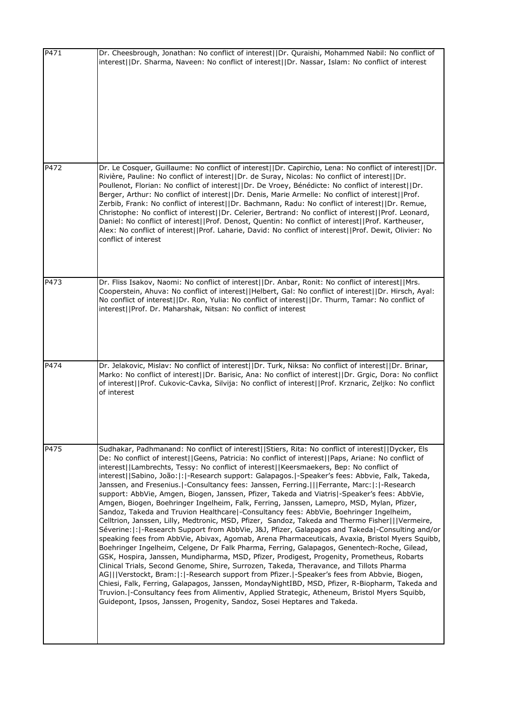| P471 | Dr. Cheesbrough, Jonathan: No conflict of interest  Dr. Quraishi, Mohammed Nabil: No conflict of<br>interest  Dr. Sharma, Naveen: No conflict of interest  Dr. Nassar, Islam: No conflict of interest                                                                                                                                                                                                                                                                                                                                                                                                                                                                                                                                                                                                                                                                                                                                                                                                                                                                                                                                                                                                                                                                                                                                                                                                                                                                                                                                                                                                                                                                                                                                                                                    |
|------|------------------------------------------------------------------------------------------------------------------------------------------------------------------------------------------------------------------------------------------------------------------------------------------------------------------------------------------------------------------------------------------------------------------------------------------------------------------------------------------------------------------------------------------------------------------------------------------------------------------------------------------------------------------------------------------------------------------------------------------------------------------------------------------------------------------------------------------------------------------------------------------------------------------------------------------------------------------------------------------------------------------------------------------------------------------------------------------------------------------------------------------------------------------------------------------------------------------------------------------------------------------------------------------------------------------------------------------------------------------------------------------------------------------------------------------------------------------------------------------------------------------------------------------------------------------------------------------------------------------------------------------------------------------------------------------------------------------------------------------------------------------------------------------|
|      |                                                                                                                                                                                                                                                                                                                                                                                                                                                                                                                                                                                                                                                                                                                                                                                                                                                                                                                                                                                                                                                                                                                                                                                                                                                                                                                                                                                                                                                                                                                                                                                                                                                                                                                                                                                          |
| P472 | Dr. Le Cosquer, Guillaume: No conflict of interest  Dr. Capirchio, Lena: No conflict of interest  Dr.<br>Rivière, Pauline: No conflict of interest  Dr. de Suray, Nicolas: No conflict of interest  Dr.<br>Poullenot, Florian: No conflict of interest  Dr. De Vroey, Bénédicte: No conflict of interest  Dr.<br>Berger, Arthur: No conflict of interest  Dr. Denis, Marie Armelle: No conflict of interest  Prof.<br>Zerbib, Frank: No conflict of interest  Dr. Bachmann, Radu: No conflict of interest  Dr. Remue,<br>Christophe: No conflict of interest  Dr. Celerier, Bertrand: No conflict of interest  Prof. Leonard,<br>Daniel: No conflict of interest  Prof. Denost, Quentin: No conflict of interest  Prof. Kartheuser,<br>Alex: No conflict of interest  Prof. Laharie, David: No conflict of interest  Prof. Dewit, Olivier: No<br>conflict of interest                                                                                                                                                                                                                                                                                                                                                                                                                                                                                                                                                                                                                                                                                                                                                                                                                                                                                                                    |
| P473 | Dr. Fliss Isakov, Naomi: No conflict of interest  Dr. Anbar, Ronit: No conflict of interest  Mrs.<br>Cooperstein, Ahuva: No conflict of interest  Helbert, Gal: No conflict of interest  Dr. Hirsch, Ayal:<br>No conflict of interest  Dr. Ron, Yulia: No conflict of interest  Dr. Thurm, Tamar: No conflict of<br>interest  Prof. Dr. Maharshak, Nitsan: No conflict of interest                                                                                                                                                                                                                                                                                                                                                                                                                                                                                                                                                                                                                                                                                                                                                                                                                                                                                                                                                                                                                                                                                                                                                                                                                                                                                                                                                                                                       |
| P474 | Dr. Jelakovic, Mislav: No conflict of interest  Dr. Turk, Niksa: No conflict of interest  Dr. Brinar,<br>Marko: No conflict of interest  Dr. Barisic, Ana: No conflict of interest  Dr. Grgic, Dora: No conflict<br>of interest  Prof. Cukovic-Cavka, Silvija: No conflict of interest  Prof. Krznaric, Zeljko: No conflict<br>of interest                                                                                                                                                                                                                                                                                                                                                                                                                                                                                                                                                                                                                                                                                                                                                                                                                                                                                                                                                                                                                                                                                                                                                                                                                                                                                                                                                                                                                                               |
| P475 | Sudhakar, Padhmanand: No conflict of interest  Stiers, Rita: No conflict of interest  Dycker, Els<br>De: No conflict of interest  Geens, Patricia: No conflict of interest  Paps, Ariane: No conflict of<br>interest  Lambrechts, Tessy: No conflict of interest  Keersmaekers, Bep: No conflict of<br>interest  Sabino, João: : -Research support: Galapagos. -Speaker's fees: Abbvie, Falk, Takeda,<br>Janssen, and Fresenius.   Consultancy fees: Janssen, Ferring.       Ferrante, Marc:   :   - Research<br>support: AbbVie, Amgen, Biogen, Janssen, Pfizer, Takeda and Viatris -Speaker's fees: AbbVie,<br>Amgen, Biogen, Boehringer Ingelheim, Falk, Ferring, Janssen, Lamepro, MSD, Mylan, Pfizer,<br>Sandoz, Takeda and Truvion Healthcare  - Consultancy fees: AbbVie, Boehringer Ingelheim,<br>Celltrion, Janssen, Lilly, Medtronic, MSD, Pfizer, Sandoz, Takeda and Thermo Fisher   Vermeire,<br>Séverine:  :  -Research Support from AbbVie, J&J, Pfizer, Galapagos and Takeda -Consulting and/or<br>speaking fees from AbbVie, Abivax, Agomab, Arena Pharmaceuticals, Avaxia, Bristol Myers Squibb,<br>Boehringer Ingelheim, Celgene, Dr Falk Pharma, Ferring, Galapagos, Genentech-Roche, Gilead,<br>GSK, Hospira, Janssen, Mundipharma, MSD, Pfizer, Prodigest, Progenity, Prometheus, Robarts<br>Clinical Trials, Second Genome, Shire, Surrozen, Takeda, Theravance, and Tillots Pharma<br>AG   Verstockt, Bram: : -Research support from Pfizer. -Speaker's fees from Abbvie, Biogen,<br>Chiesi, Falk, Ferring, Galapagos, Janssen, MondayNightIBD, MSD, Pfizer, R-Biopharm, Takeda and<br>Truvion.   Consultancy fees from Alimentiv, Applied Strategic, Atheneum, Bristol Myers Squibb,<br>Guidepont, Ipsos, Janssen, Progenity, Sandoz, Sosei Heptares and Takeda. |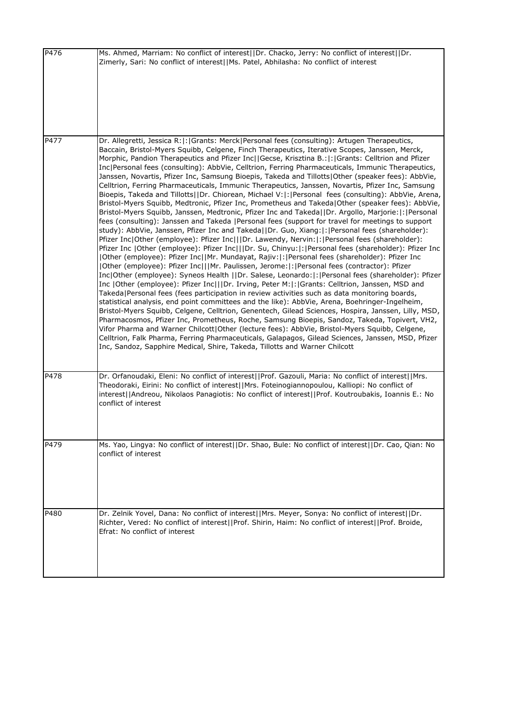| P476 | Ms. Ahmed, Marriam: No conflict of interest  Dr. Chacko, Jerry: No conflict of interest  Dr.<br>Zimerly, Sari: No conflict of interest  Ms. Patel, Abhilasha: No conflict of interest                                                                                                                                                                                                                                                                                                                                                                                                                                                                                                                                                                                                                                                                                                                                                                                                                                                                                                                                                                                                                                                                                                                                                                                                                                                                                                                                                                                                                                                                                                                                                                                                                                                                                                                                                                                                                                                                                                                                                                                                                                                                                                                                                                                                                                                                      |
|------|------------------------------------------------------------------------------------------------------------------------------------------------------------------------------------------------------------------------------------------------------------------------------------------------------------------------------------------------------------------------------------------------------------------------------------------------------------------------------------------------------------------------------------------------------------------------------------------------------------------------------------------------------------------------------------------------------------------------------------------------------------------------------------------------------------------------------------------------------------------------------------------------------------------------------------------------------------------------------------------------------------------------------------------------------------------------------------------------------------------------------------------------------------------------------------------------------------------------------------------------------------------------------------------------------------------------------------------------------------------------------------------------------------------------------------------------------------------------------------------------------------------------------------------------------------------------------------------------------------------------------------------------------------------------------------------------------------------------------------------------------------------------------------------------------------------------------------------------------------------------------------------------------------------------------------------------------------------------------------------------------------------------------------------------------------------------------------------------------------------------------------------------------------------------------------------------------------------------------------------------------------------------------------------------------------------------------------------------------------------------------------------------------------------------------------------------------------|
| P477 | Dr. Allegretti, Jessica R: : Grants: Merck Personal fees (consulting): Artugen Therapeutics,<br>Baccain, Bristol-Myers Squibb, Celgene, Finch Therapeutics, Iterative Scopes, Janssen, Merck,<br>Morphic, Pandion Therapeutics and Pfizer Inc  Gecse, Krisztina B.: : Grants: Celltrion and Pfizer<br>Inc Personal fees (consulting): AbbVie, Celltrion, Ferring Pharmaceuticals, Immunic Therapeutics,<br>Janssen, Novartis, Pfizer Inc, Samsung Bioepis, Takeda and Tillotts Other (speaker fees): AbbVie,<br>Celltrion, Ferring Pharmaceuticals, Immunic Therapeutics, Janssen, Novartis, Pfizer Inc, Samsung<br>Bioepis, Takeda and Tillotts  Dr. Chiorean, Michael V: : Personal fees (consulting): AbbVie, Arena,<br>Bristol-Myers Squibb, Medtronic, Pfizer Inc, Prometheus and Takeda Other (speaker fees): AbbVie,<br>Bristol-Myers Squibb, Janssen, Medtronic, Pfizer Inc and Takeda  Dr. Argollo, Marjorie: : Personal<br>fees (consulting): Janssen and Takeda   Personal fees (support for travel for meetings to support<br>study): AbbVie, Janssen, Pfizer Inc and Takeda  Dr. Guo, Xiang: : Personal fees (shareholder):<br>Pfizer Inc Other (employee): Pfizer Inc   Dr. Lawendy, Nervin: : Personal fees (shareholder):<br>Pfizer Inc   Other (employee): Pfizer Inc   Dr. Su, Chinyu: : Personal fees (shareholder): Pfizer Inc<br> Other (employee): Pfizer Inc  Mr. Mundayat, Rajiv: : Personal fees (shareholder): Pfizer Inc<br> Other (employee): Pfizer Inc   Mr. Paulissen, Jerome: : Personal fees (contractor): Pfizer<br>Inc Other (employee): Syneos Health   Dr. Salese, Leonardo: : Personal fees (shareholder): Pfizer<br>Inc   Other (employee): Pfizer Inc   Dr. Irving, Peter M: :   Grants: Celltrion, Janssen, MSD and<br>Takeda Personal fees (fees participation in review activities such as data monitoring boards,<br>statistical analysis, end point committees and the like): AbbVie, Arena, Boehringer-Ingelheim,<br>Bristol-Myers Squibb, Celgene, Celltrion, Genentech, Gilead Sciences, Hospira, Janssen, Lilly, MSD,<br>Pharmacosmos, Pfizer Inc, Prometheus, Roche, Samsung Bioepis, Sandoz, Takeda, Topivert, VH2,<br>Vifor Pharma and Warner Chilcott Other (lecture fees): AbbVie, Bristol-Myers Squibb, Celgene,<br>Celltrion, Falk Pharma, Ferring Pharmaceuticals, Galapagos, Gilead Sciences, Janssen, MSD, Pfizer<br>Inc, Sandoz, Sapphire Medical, Shire, Takeda, Tillotts and Warner Chilcott |
| P478 | Dr. Orfanoudaki, Eleni: No conflict of interest  Prof. Gazouli, Maria: No conflict of interest  Mrs.<br>Theodoraki, Eirini: No conflict of interest  Mrs. Foteinogiannopoulou, Kalliopi: No conflict of<br>interest  Andreou, Nikolaos Panagiotis: No conflict of interest  Prof. Koutroubakis, Ioannis E.: No<br>conflict of interest                                                                                                                                                                                                                                                                                                                                                                                                                                                                                                                                                                                                                                                                                                                                                                                                                                                                                                                                                                                                                                                                                                                                                                                                                                                                                                                                                                                                                                                                                                                                                                                                                                                                                                                                                                                                                                                                                                                                                                                                                                                                                                                     |
| P479 | Ms. Yao, Lingya: No conflict of interest  Dr. Shao, Bule: No conflict of interest  Dr. Cao, Qian: No<br>conflict of interest                                                                                                                                                                                                                                                                                                                                                                                                                                                                                                                                                                                                                                                                                                                                                                                                                                                                                                                                                                                                                                                                                                                                                                                                                                                                                                                                                                                                                                                                                                                                                                                                                                                                                                                                                                                                                                                                                                                                                                                                                                                                                                                                                                                                                                                                                                                               |
| P480 | Dr. Zelnik Yovel, Dana: No conflict of interest  Mrs. Meyer, Sonya: No conflict of interest  Dr.<br>Richter, Vered: No conflict of interest  Prof. Shirin, Haim: No conflict of interest  Prof. Broide,<br>Efrat: No conflict of interest                                                                                                                                                                                                                                                                                                                                                                                                                                                                                                                                                                                                                                                                                                                                                                                                                                                                                                                                                                                                                                                                                                                                                                                                                                                                                                                                                                                                                                                                                                                                                                                                                                                                                                                                                                                                                                                                                                                                                                                                                                                                                                                                                                                                                  |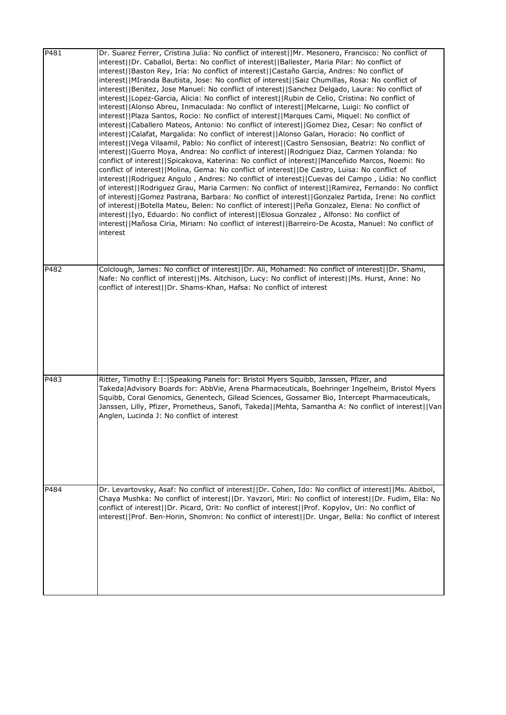| P481 | Dr. Suarez Ferrer, Cristina Julia: No conflict of interest  Mr. Mesonero, Francisco: No conflict of<br>interest  Dr. Caballol, Berta: No conflict of interest  Ballester, Maria Pilar: No conflict of<br>interest  Baston Rey, Iria: No conflict of interest  Castaño Garcia, Andres: No conflict of<br>interest  MIranda Bautista, Jose: No conflict of interest  Saiz Chumillas, Rosa: No conflict of<br>interest  Benitez, Jose Manuel: No conflict of interest  Sanchez Delgado, Laura: No conflict of<br>interest  Lopez-Garcia, Alicia: No conflict of interest  Rubin de Celio, Cristina: No conflict of<br>interest  Alonso Abreu, Inmaculada: No conflict of interest  Melcarne, Luigi: No conflict of<br>interest  Plaza Santos, Rocio: No conflict of interest  Marques Cami, Miquel: No conflict of<br>interest  Caballero Mateos, Antonio: No conflict of interest  Gomez Diez, Cesar: No conflict of<br>interest  Calafat, Margalida: No conflict of interest  Alonso Galan, Horacio: No conflict of<br>interest  Vega Vilaamil, Pablo: No conflict of interest  Castro Sensosian, Beatriz: No conflict of<br>interest  Guerro Moya, Andrea: No conflict of interest  Rodriguez Diaz, Carmen Yolanda: No<br>conflict of interest  Spicakova, Katerina: No conflict of interest  Manceñido Marcos, Noemi: No<br>conflict of interest  Molina, Gema: No conflict of interest  De Castro, Luisa: No conflict of<br>interest  Rodriguez Angulo, Andres: No conflict of interest  Cuevas del Campo, Lidia: No conflict<br>of interest  Rodriguez Grau, Maria Carmen: No conflict of interest  Ramirez, Fernando: No conflict<br>of interest  Gomez Pastrana, Barbara: No conflict of interest  Gonzalez Partida, Irene: No conflict<br>of interest  Botella Mateu, Belen: No conflict of interest  Peña Gonzalez, Elena: No conflict of<br>interest  Iyo, Eduardo: No conflict of interest  Elosua Gonzalez, Alfonso: No conflict of<br>interest  Mañosa Ciria, Miriam: No conflict of interest  Barreiro-De Acosta, Manuel: No conflict of<br>interest |
|------|------------------------------------------------------------------------------------------------------------------------------------------------------------------------------------------------------------------------------------------------------------------------------------------------------------------------------------------------------------------------------------------------------------------------------------------------------------------------------------------------------------------------------------------------------------------------------------------------------------------------------------------------------------------------------------------------------------------------------------------------------------------------------------------------------------------------------------------------------------------------------------------------------------------------------------------------------------------------------------------------------------------------------------------------------------------------------------------------------------------------------------------------------------------------------------------------------------------------------------------------------------------------------------------------------------------------------------------------------------------------------------------------------------------------------------------------------------------------------------------------------------------------------------------------------------------------------------------------------------------------------------------------------------------------------------------------------------------------------------------------------------------------------------------------------------------------------------------------------------------------------------------------------------------------------------------------------------------------------------------------------------------------------------------------------------------|
| P482 | Colclough, James: No conflict of interest  Dr. Ali, Mohamed: No conflict of interest  Dr. Shami,<br>Nafe: No conflict of interest  Ms. Aitchison, Lucy: No conflict of interest  Ms. Hurst, Anne: No<br>conflict of interest  Dr. Shams-Khan, Hafsa: No conflict of interest                                                                                                                                                                                                                                                                                                                                                                                                                                                                                                                                                                                                                                                                                                                                                                                                                                                                                                                                                                                                                                                                                                                                                                                                                                                                                                                                                                                                                                                                                                                                                                                                                                                                                                                                                                                     |
| P483 | Ritter, Timothy E:  :   Speaking Panels for: Bristol Myers Squibb, Janssen, Pfizer, and<br>Takeda Advisory Boards for: AbbVie, Arena Pharmaceuticals, Boehringer Ingelheim, Bristol Myers<br>Squibb, Coral Genomics, Genentech, Gilead Sciences, Gossamer Bio, Intercept Pharmaceuticals,<br>Janssen, Lilly, Pfizer, Prometheus, Sanofi, Takeda  Mehta, Samantha A: No conflict of interest  Van<br>Anglen, Lucinda J: No conflict of interest                                                                                                                                                                                                                                                                                                                                                                                                                                                                                                                                                                                                                                                                                                                                                                                                                                                                                                                                                                                                                                                                                                                                                                                                                                                                                                                                                                                                                                                                                                                                                                                                                   |
| P484 | Dr. Levartovsky, Asaf: No conflict of interest  Dr. Cohen, Ido: No conflict of interest  Ms. Abitbol,<br>Chaya Mushka: No conflict of interest  Dr. Yavzori, Miri: No conflict of interest  Dr. Fudim, Ella: No<br>conflict of interest  Dr. Picard, Orit: No conflict of interest  Prof. Kopylov, Uri: No conflict of<br>interest  Prof. Ben-Horin, Shomron: No conflict of interest  Dr. Ungar, Bella: No conflict of interest                                                                                                                                                                                                                                                                                                                                                                                                                                                                                                                                                                                                                                                                                                                                                                                                                                                                                                                                                                                                                                                                                                                                                                                                                                                                                                                                                                                                                                                                                                                                                                                                                                 |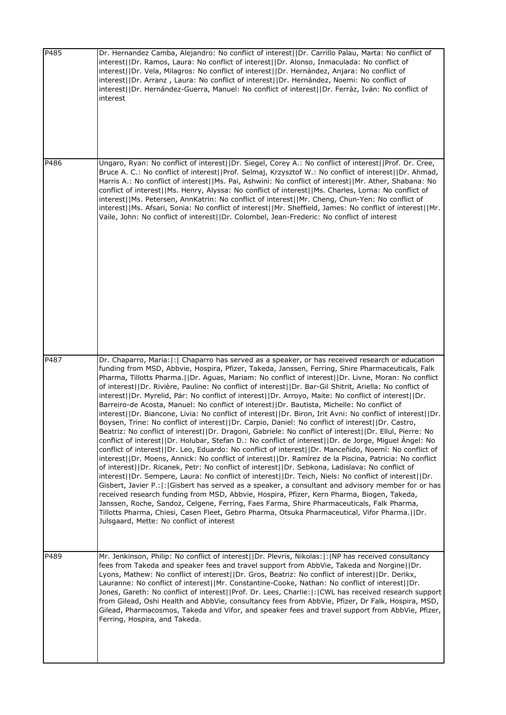| P485 | Dr. Hernandez Camba, Alejandro: No conflict of interest  Dr. Carrillo Palau, Marta: No conflict of<br>interest  Dr. Ramos, Laura: No conflict of interest  Dr. Alonso, Inmaculada: No conflict of<br>interest  Dr. Vela, Milagros: No conflict of interest  Dr. Hernández, Anjara: No conflict of<br>interest  Dr. Arranz, Laura: No conflict of interest  Dr. Hernández, Noemi: No conflict of<br>interest  Dr. Hernández-Guerra, Manuel: No conflict of interest  Dr. Ferráz, Iván: No conflict of<br>interest                                                                                                                                                                                                                                                                                                                                                                                                                                                                                                                                                                                                                                                                                                                                                                                                                                                                                                                                                                                                                                                                                                                                                                                                                                                                                                                                                                                                                                     |
|------|------------------------------------------------------------------------------------------------------------------------------------------------------------------------------------------------------------------------------------------------------------------------------------------------------------------------------------------------------------------------------------------------------------------------------------------------------------------------------------------------------------------------------------------------------------------------------------------------------------------------------------------------------------------------------------------------------------------------------------------------------------------------------------------------------------------------------------------------------------------------------------------------------------------------------------------------------------------------------------------------------------------------------------------------------------------------------------------------------------------------------------------------------------------------------------------------------------------------------------------------------------------------------------------------------------------------------------------------------------------------------------------------------------------------------------------------------------------------------------------------------------------------------------------------------------------------------------------------------------------------------------------------------------------------------------------------------------------------------------------------------------------------------------------------------------------------------------------------------------------------------------------------------------------------------------------------------|
| P486 | Ungaro, Ryan: No conflict of interest  Dr. Siegel, Corey A.: No conflict of interest  Prof. Dr. Cree,<br>Bruce A. C.: No conflict of interest  Prof. Selmaj, Krzysztof W.: No conflict of interest  Dr. Ahmad,<br>Harris A.: No conflict of interest  Ms. Pai, Ashwini: No conflict of interest  Mr. Ather, Shabana: No<br>conflict of interest  Ms. Henry, Alyssa: No conflict of interest  Ms. Charles, Lorna: No conflict of<br>interest  Ms. Petersen, AnnKatrin: No conflict of interest  Mr. Cheng, Chun-Yen: No conflict of<br>interest  Ms. Afsari, Sonia: No conflict of interest  Mr. Sheffield, James: No conflict of interest  Mr.<br>Vaile, John: No conflict of interest  Dr. Colombel, Jean-Frederic: No conflict of interest                                                                                                                                                                                                                                                                                                                                                                                                                                                                                                                                                                                                                                                                                                                                                                                                                                                                                                                                                                                                                                                                                                                                                                                                         |
| P487 | Dr. Chaparro, Maria:  :   Chaparro has served as a speaker, or has received research or education<br>funding from MSD, Abbvie, Hospira, Pfizer, Takeda, Janssen, Ferring, Shire Pharmaceuticals, Falk<br>Pharma, Tillotts Pharma.  Dr. Aguas, Mariam: No conflict of interest  Dr. Livne, Moran: No conflict<br>of interest  Dr. Rivière, Pauline: No conflict of interest  Dr. Bar-Gil Shitrit, Ariella: No conflict of<br>interest  Dr. Myrelid, Pär: No conflict of interest  Dr. Arroyo, Maite: No conflict of interest  Dr.<br>Barreiro-de Acosta, Manuel: No conflict of interest  Dr. Bautista, Michelle: No conflict of<br>interest  Dr. Biancone, Livia: No conflict of interest  Dr. Biron, Irit Avni: No conflict of interest  Dr.<br>Boysen, Trine: No conflict of interest  Dr. Carpio, Daniel: No conflict of interest  Dr. Castro,<br>Beatriz: No conflict of interest  Dr. Dragoni, Gabriele: No conflict of interest  Dr. Ellul, Pierre: No<br>conflict of interest  Dr. Holubar, Stefan D.: No conflict of interest  Dr. de Jorge, Miguel Angel: No<br>conflict of interest  Dr. Leo, Eduardo: No conflict of interest  Dr. Manceñido, Noemí: No conflict of<br>interest  Dr. Moens, Annick: No conflict of interest  Dr. Ramírez de la Piscina, Patricia: No conflict<br>of interest  Dr. Ricanek, Petr: No conflict of interest  Dr. Sebkona, Ladislava: No conflict of<br>interest  Dr. Sempere, Laura: No conflict of interest  Dr. Teich, Niels: No conflict of interest  Dr.<br>Gisbert, Javier P.:  :  Gisbert has served as a speaker, a consultant and advisory member for or has<br>received research funding from MSD, Abbvie, Hospira, Pfizer, Kern Pharma, Biogen, Takeda,<br>Janssen, Roche, Sandoz, Celgene, Ferring, Faes Farma, Shire Pharmaceuticals, Falk Pharma,<br>Tillotts Pharma, Chiesi, Casen Fleet, Gebro Pharma, Otsuka Pharmaceutical, Vifor Pharma.  Dr.<br>Julsgaard, Mette: No conflict of interest |
| P489 | Mr. Jenkinson, Philip: No conflict of interest  Dr. Plevris, Nikolas: :  NP has received consultancy<br>fees from Takeda and speaker fees and travel support from AbbVie, Takeda and Norgine  Dr.<br>Lyons, Mathew: No conflict of interest  Dr. Gros, Beatriz: No conflict of interest  Dr. Derikx,<br>Lauranne: No conflict of interest  Mr. Constantine-Cooke, Nathan: No conflict of interest  Dr.<br>Jones, Gareth: No conflict of interest  Prof. Dr. Lees, Charlie: : CWL has received research support<br>from Gilead, Oshi Health and AbbVie, consultancy fees from AbbVie, Pfizer, Dr Falk, Hospira, MSD,<br>Gilead, Pharmacosmos, Takeda and Vifor, and speaker fees and travel support from AbbVie, Pfizer,<br>Ferring, Hospira, and Takeda.                                                                                                                                                                                                                                                                                                                                                                                                                                                                                                                                                                                                                                                                                                                                                                                                                                                                                                                                                                                                                                                                                                                                                                                             |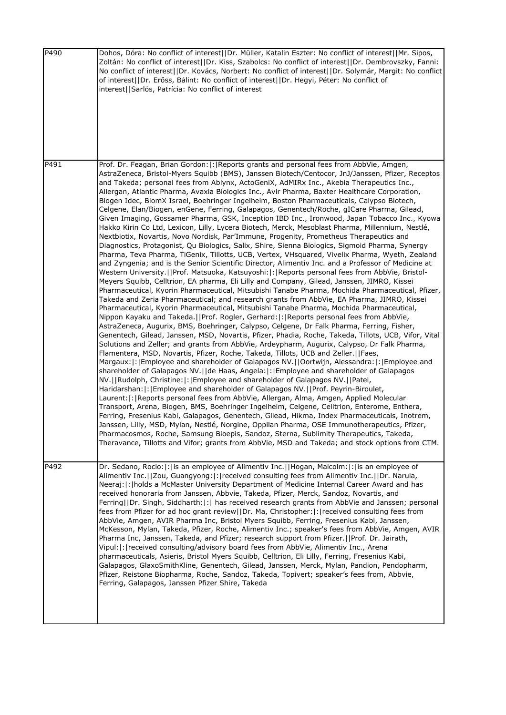| P490 | Dohos, Dóra: No conflict of interest  Dr. Müller, Katalin Eszter: No conflict of interest  Mr. Sipos,<br>Zoltán: No conflict of interest  Dr. Kiss, Szabolcs: No conflict of interest  Dr. Dembrovszky, Fanni:<br>No conflict of interest  Dr. Kovács, Norbert: No conflict of interest  Dr. Solymár, Margit: No conflict<br>of interest  Dr. Erőss, Bálint: No conflict of interest  Dr. Hegyi, Péter: No conflict of<br>interest  Sarlós, Patrícia: No conflict of interest                                                                                                                                                                                                                                                                                                                                                                                                                                                                                                                                                                                                                                                                                                                                                                                                                                                                                                                                                                                                                                                                                                                                                                                                                                                                                                                                                                                                                                                                                                                                                                                                                                                                                                                                                                                                                                                                                                                                                                                                                                                                                                                                                                                                                                                                                                                                                                                                                                                                                                                                                                                                                                                                          |
|------|--------------------------------------------------------------------------------------------------------------------------------------------------------------------------------------------------------------------------------------------------------------------------------------------------------------------------------------------------------------------------------------------------------------------------------------------------------------------------------------------------------------------------------------------------------------------------------------------------------------------------------------------------------------------------------------------------------------------------------------------------------------------------------------------------------------------------------------------------------------------------------------------------------------------------------------------------------------------------------------------------------------------------------------------------------------------------------------------------------------------------------------------------------------------------------------------------------------------------------------------------------------------------------------------------------------------------------------------------------------------------------------------------------------------------------------------------------------------------------------------------------------------------------------------------------------------------------------------------------------------------------------------------------------------------------------------------------------------------------------------------------------------------------------------------------------------------------------------------------------------------------------------------------------------------------------------------------------------------------------------------------------------------------------------------------------------------------------------------------------------------------------------------------------------------------------------------------------------------------------------------------------------------------------------------------------------------------------------------------------------------------------------------------------------------------------------------------------------------------------------------------------------------------------------------------------------------------------------------------------------------------------------------------------------------------------------------------------------------------------------------------------------------------------------------------------------------------------------------------------------------------------------------------------------------------------------------------------------------------------------------------------------------------------------------------------------------------------------------------------------------------------------------------|
| P491 | Prof. Dr. Feagan, Brian Gordon:  :   Reports grants and personal fees from AbbVie, Amgen,<br>AstraZeneca, Bristol-Myers Squibb (BMS), Janssen Biotech/Centocor, JnJ/Janssen, Pfizer, Receptos<br>and Takeda; personal fees from Ablynx, ActoGeniX, AdMIRx Inc., Akebia Therapeutics Inc.,<br>Allergan, Atlantic Pharma, Avaxia Biologics Inc., Avir Pharma, Baxter Healthcare Corporation,<br>Biogen Idec, BiomX Israel, Boehringer Ingelheim, Boston Pharmaceuticals, Calypso Biotech,<br>Celgene, Elan/Biogen, enGene, Ferring, Galapagos, Genentech/Roche, gICare Pharma, Gilead,<br>Given Imaging, Gossamer Pharma, GSK, Inception IBD Inc., Ironwood, Japan Tobacco Inc., Kyowa<br>Hakko Kirin Co Ltd, Lexicon, Lilly, Lycera Biotech, Merck, Mesoblast Pharma, Millennium, Nestlé,<br>Nextbiotix, Novartis, Novo Nordisk, Par'Immune, Progenity, Prometheus Therapeutics and<br>Diagnostics, Protagonist, Qu Biologics, Salix, Shire, Sienna Biologics, Sigmoid Pharma, Synergy<br>Pharma, Teva Pharma, TiGenix, Tillotts, UCB, Vertex, VHsquared, Vivelix Pharma, Wyeth, Zealand<br>and Zyngenia; and is the Senior Scientific Director, Alimentiv Inc. and a Professor of Medicine at<br>Western University.  Prof. Matsuoka, Katsuyoshi: : Reports personal fees from AbbVie, Bristol-<br>Meyers Squibb, Celltrion, EA pharma, Eli Lilly and Company, Gilead, Janssen, JIMRO, Kissei<br>Pharmaceutical, Kyorin Pharmaceutical, Mitsubishi Tanabe Pharma, Mochida Pharmaceutical, Pfizer,<br>Takeda and Zeria Pharmaceutical; and research grants from AbbVie, EA Pharma, JIMRO, Kissei<br>Pharmaceutical, Kyorin Pharmaceutical, Mitsubishi Tanabe Pharma, Mochida Pharmaceutical,<br>Nippon Kayaku and Takeda.  Prof. Rogler, Gerhard: : Reports personal fees from AbbVie,<br>AstraZeneca, Augurix, BMS, Boehringer, Calypso, Celgene, Dr Falk Pharma, Ferring, Fisher,<br>Genentech, Gilead, Janssen, MSD, Novartis, Pfizer, Phadia, Roche, Takeda, Tillots, UCB, Vifor, Vital<br>Solutions and Zeller; and grants from AbbVie, Ardeypharm, Augurix, Calypso, Dr Falk Pharma,<br>Flamentera, MSD, Novartis, Pfizer, Roche, Takeda, Tillots, UCB and Zeller.     Faes,<br>Margaux:  :   Employee and shareholder of Galapagos NV.     Oortwijn, Alessandra:   :   Employee and<br>shareholder of Galapagos NV.  de Haas, Angela: : Employee and shareholder of Galapagos<br>NV.  Rudolph, Christine: : Employee and shareholder of Galapagos NV.  Patel,<br>Haridarshan:  :   Employee and shareholder of Galapagos NV.     Prof. Peyrin-Biroulet,<br>Laurent:  :   Reports personal fees from AbbVie, Allergan, Alma, Amgen, Applied Molecular<br>Transport, Arena, Biogen, BMS, Boehringer Ingelheim, Celgene, Celltrion, Enterome, Enthera,<br>Ferring, Fresenius Kabi, Galapagos, Genentech, Gilead, Hikma, Index Pharmaceuticals, Inotrem,<br>Janssen, Lilly, MSD, Mylan, Nestlé, Norgine, Oppilan Pharma, OSE Immunotherapeutics, Pfizer,<br>Pharmacosmos, Roche, Samsung Bioepis, Sandoz, Sterna, Sublimity Therapeutics, Takeda,<br>Theravance, Tillotts and Vifor; grants from AbbVie, MSD and Takeda; and stock options from CTM. |
| P492 | Dr. Sedano, Rocio:  :   is an employee of Alimentiv Inc.     Hogan, Malcolm:  :   is an employee of<br>Alimentiv Inc.  Zou, Guangyong: : received consulting fees from Alimentiv Inc.  Dr. Narula,<br>Neeraj:  :   holds a McMaster University Department of Medicine Internal Career Award and has<br>received honoraria from Janssen, Abbvie, Takeda, Pfizer, Merck, Sandoz, Novartis, and<br>Ferring  Dr. Singh, Siddharth: :  has received research grants from AbbVie and Janssen; personal<br>fees from Pfizer for ad hoc grant review  Dr. Ma, Christopher: : received consulting fees from<br>AbbVie, Amgen, AVIR Pharma Inc, Bristol Myers Squibb, Ferring, Fresenius Kabi, Janssen,<br>McKesson, Mylan, Takeda, Pfizer, Roche, Alimentiv Inc.; speaker's fees from AbbVie, Amgen, AVIR<br>Pharma Inc, Janssen, Takeda, and Pfizer; research support from Pfizer.   Prof. Dr. Jairath,<br>Vipul: : received consulting/advisory board fees from AbbVie, Alimentiv Inc., Arena<br>pharmaceuticals, Asieris, Bristol Myers Squibb, Celltrion, Eli Lilly, Ferring, Fresenius Kabi,<br>Galapagos, GlaxoSmithKline, Genentech, Gilead, Janssen, Merck, Mylan, Pandion, Pendopharm,<br>Pfizer, Reistone Biopharma, Roche, Sandoz, Takeda, Topivert; speaker's fees from, Abbvie,<br>Ferring, Galapagos, Janssen Pfizer Shire, Takeda                                                                                                                                                                                                                                                                                                                                                                                                                                                                                                                                                                                                                                                                                                                                                                                                                                                                                                                                                                                                                                                                                                                                                                                                                                                                                                                                                                                                                                                                                                                                                                                                                                                                                                                                                                                                                |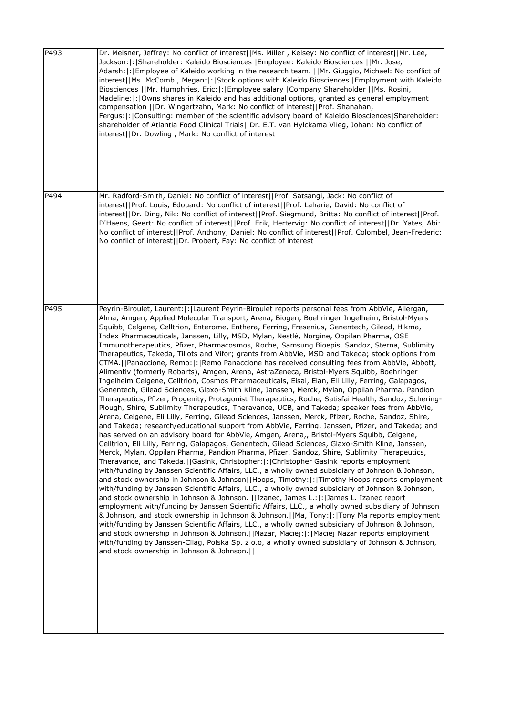| P493 | Dr. Meisner, Jeffrey: No conflict of interest  Ms. Miller, Kelsey: No conflict of interest  Mr. Lee,<br>Jackson:  :   Shareholder: Kaleido Biosciences   Employee: Kaleido Biosciences     Mr. Jose,<br>Adarsh:  :   Employee of Kaleido working in the research team.     Mr. Giuggio, Michael: No conflict of<br>interest  Ms. McComb, Megan: : Stock options with Kaleido Biosciences   Employment with Kaleido<br>Biosciences   Mr. Humphries, Eric: : Employee salary  Company Shareholder   Ms. Rosini,<br>Madeline:  :   Owns shares in Kaleido and has additional options, granted as general employment<br>compensation   Dr. Wingertzahn, Mark: No conflict of interest  Prof. Shanahan,<br>Fergus:  :  Consulting: member of the scientific advisory board of Kaleido Biosciences Shareholder:<br>shareholder of Atlantia Food Clinical Trials  Dr. E.T. van Hylckama Vlieg, Johan: No conflict of<br>interest  Dr. Dowling, Mark: No conflict of interest                                                                                                                                                                                                                                                                                                                                                                                                                                                                                                                                                                                                                                                                                                                                                                                                                                                                                                                                                                                                                                                                                                                                                                                                                                                                                                                                                                                                                                                                                                                                                                                                                                                                                                                                                                                                                           |
|------|-------------------------------------------------------------------------------------------------------------------------------------------------------------------------------------------------------------------------------------------------------------------------------------------------------------------------------------------------------------------------------------------------------------------------------------------------------------------------------------------------------------------------------------------------------------------------------------------------------------------------------------------------------------------------------------------------------------------------------------------------------------------------------------------------------------------------------------------------------------------------------------------------------------------------------------------------------------------------------------------------------------------------------------------------------------------------------------------------------------------------------------------------------------------------------------------------------------------------------------------------------------------------------------------------------------------------------------------------------------------------------------------------------------------------------------------------------------------------------------------------------------------------------------------------------------------------------------------------------------------------------------------------------------------------------------------------------------------------------------------------------------------------------------------------------------------------------------------------------------------------------------------------------------------------------------------------------------------------------------------------------------------------------------------------------------------------------------------------------------------------------------------------------------------------------------------------------------------------------------------------------------------------------------------------------------------------------------------------------------------------------------------------------------------------------------------------------------------------------------------------------------------------------------------------------------------------------------------------------------------------------------------------------------------------------------------------------------------------------------------------------------------------------------------------|
| P494 | Mr. Radford-Smith, Daniel: No conflict of interest  Prof. Satsangi, Jack: No conflict of<br>interest  Prof. Louis, Edouard: No conflict of interest  Prof. Laharie, David: No conflict of<br>interest  Dr. Ding, Nik: No conflict of interest  Prof. Siegmund, Britta: No conflict of interest  Prof.<br>D'Haens, Geert: No conflict of interest  Prof. Erik, Hertervig: No conflict of interest  Dr. Yates, Abi:<br>No conflict of interest  Prof. Anthony, Daniel: No conflict of interest  Prof. Colombel, Jean-Frederic:<br>No conflict of interest  Dr. Probert, Fay: No conflict of interest                                                                                                                                                                                                                                                                                                                                                                                                                                                                                                                                                                                                                                                                                                                                                                                                                                                                                                                                                                                                                                                                                                                                                                                                                                                                                                                                                                                                                                                                                                                                                                                                                                                                                                                                                                                                                                                                                                                                                                                                                                                                                                                                                                                              |
| P495 | Peyrin-Biroulet, Laurent:  :   Laurent Peyrin-Biroulet reports personal fees from AbbVie, Allergan,<br>Alma, Amgen, Applied Molecular Transport, Arena, Biogen, Boehringer Ingelheim, Bristol-Myers<br>Squibb, Celgene, Celltrion, Enterome, Enthera, Ferring, Fresenius, Genentech, Gilead, Hikma,<br>Index Pharmaceuticals, Janssen, Lilly, MSD, Mylan, Nestlé, Norgine, Oppilan Pharma, OSE<br>Immunotherapeutics, Pfizer, Pharmacosmos, Roche, Samsung Bioepis, Sandoz, Sterna, Sublimity<br>Therapeutics, Takeda, Tillots and Vifor; grants from AbbVie, MSD and Takeda; stock options from<br>CTMA.   Panaccione, Remo:   :   Remo Panaccione has received consulting fees from AbbVie, Abbott,<br>Alimentiv (formerly Robarts), Amgen, Arena, AstraZeneca, Bristol-Myers Squibb, Boehringer<br>Ingelheim Celgene, Celltrion, Cosmos Pharmaceuticals, Eisai, Elan, Eli Lilly, Ferring, Galapagos,<br>Genentech, Gilead Sciences, Glaxo-Smith Kline, Janssen, Merck, Mylan, Oppilan Pharma, Pandion<br>Therapeutics, Pfizer, Progenity, Protagonist Therapeutics, Roche, Satisfai Health, Sandoz, Schering-<br>Plough, Shire, Sublimity Therapeutics, Theravance, UCB, and Takeda; speaker fees from AbbVie,<br>Arena, Celgene, Eli Lilly, Ferring, Gilead Sciences, Janssen, Merck, Pfizer, Roche, Sandoz, Shire,<br>and Takeda; research/educational support from AbbVie, Ferring, Janssen, Pfizer, and Takeda; and<br>has served on an advisory board for AbbVie, Amgen, Arena,, Bristol-Myers Squibb, Celgene,<br>Celltrion, Eli Lilly, Ferring, Galapagos, Genentech, Gilead Sciences, Glaxo-Smith Kline, Janssen,<br>Merck, Mylan, Oppilan Pharma, Pandion Pharma, Pfizer, Sandoz, Shire, Sublimity Therapeutics,<br>Theravance, and Takeda.  Gasink, Christopher: : Christopher Gasink reports employment<br>with/funding by Janssen Scientific Affairs, LLC., a wholly owned subsidiary of Johnson & Johnson,<br>and stock ownership in Johnson & Johnson  Hoops, Timothy: : Timothy Hoops reports employment <br>with/funding by Janssen Scientific Affairs, LLC., a wholly owned subsidiary of Johnson & Johnson,<br>and stock ownership in Johnson & Johnson.   Izanec, James L.: :  James L. Izanec report<br>employment with/funding by Janssen Scientific Affairs, LLC., a wholly owned subsidiary of Johnson<br>& Johnson, and stock ownership in Johnson & Johnson.   Ma, Tony:  :  Tony Ma reports employment<br>with/funding by Janssen Scientific Affairs, LLC., a wholly owned subsidiary of Johnson & Johnson,<br>and stock ownership in Johnson & Johnson.     Nazar, Maciej:   :   Maciej Nazar reports employment<br>with/funding by Janssen-Cilag, Polska Sp. z o.o, a wholly owned subsidiary of Johnson & Johnson,<br>and stock ownership in Johnson & Johnson. |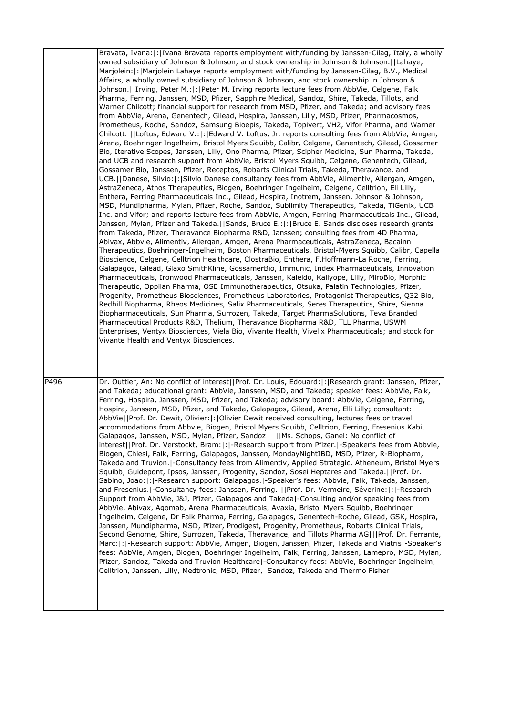|      | Bravata, Ivana:  :   Ivana Bravata reports employment with/funding by Janssen-Cilag, Italy, a wholly<br>owned subsidiary of Johnson & Johnson, and stock ownership in Johnson & Johnson.   Lahaye,<br>Marjolein:  :   Marjolein Lahaye reports employment with/funding by Janssen-Cilag, B.V., Medical<br>Affairs, a wholly owned subsidiary of Johnson & Johnson, and stock ownership in Johnson &<br>Johnson.   Irving, Peter M.:  :  Peter M. Irving reports lecture fees from AbbVie, Celgene, Falk<br>Pharma, Ferring, Janssen, MSD, Pfizer, Sapphire Medical, Sandoz, Shire, Takeda, Tillots, and<br>Warner Chilcott; financial support for research from MSD, Pfizer, and Takeda; and advisory fees<br>from AbbVie, Arena, Genentech, Gilead, Hospira, Janssen, Lilly, MSD, Pfizer, Pharmacosmos,<br>Prometheus, Roche, Sandoz, Samsung Bioepis, Takeda, Topivert, VH2, Vifor Pharma, and Warner<br>Chilcott.   Loftus, Edward V.: : Edward V. Loftus, Jr. reports consulting fees from AbbVie, Amgen,<br>Arena, Boehringer Ingelheim, Bristol Myers Squibb, Calibr, Celgene, Genentech, Gilead, Gossamer<br>Bio, Iterative Scopes, Janssen, Lilly, Ono Pharma, Pfizer, Scipher Medicine, Sun Pharma, Takeda,<br>and UCB and research support from AbbVie, Bristol Myers Squibb, Celgene, Genentech, Gilead,<br>Gossamer Bio, Janssen, Pfizer, Receptos, Robarts Clinical Trials, Takeda, Theravance, and<br>UCB.     Danese, Silvio:   :   Silvio Danese consultancy fees from AbbVie, Alimentiv, Allergan, Amgen,<br>AstraZeneca, Athos Therapeutics, Biogen, Boehringer Ingelheim, Celgene, Celltrion, Eli Lilly,<br>Enthera, Ferring Pharmaceuticals Inc., Gilead, Hospira, Inotrem, Janssen, Johnson & Johnson,<br>MSD, Mundipharma, Mylan, Pfizer, Roche, Sandoz, Sublimity Therapeutics, Takeda, TiGenix, UCB<br>Inc. and Vifor; and reports lecture fees from AbbVie, Amgen, Ferring Pharmaceuticals Inc., Gilead,<br>Janssen, Mylan, Pfizer and Takeda.   Sands, Bruce E.:   :   Bruce E. Sands discloses research grants<br>from Takeda, Pfizer, Theravance Biopharma R&D, Janssen; consulting fees from 4D Pharma,<br>Abivax, Abbvie, Alimentiv, Allergan, Amgen, Arena Pharmaceuticals, AstraZeneca, Bacainn<br>Therapeutics, Boehringer-Ingelheim, Boston Pharmaceuticals, Bristol-Myers Squibb, Calibr, Capella<br>Bioscience, Celgene, Celltrion Healthcare, ClostraBio, Enthera, F.Hoffmann-La Roche, Ferring,<br>Galapagos, Gilead, Glaxo SmithKline, GossamerBio, Immunic, Index Pharmaceuticals, Innovation<br>Pharmaceuticals, Ironwood Pharmaceuticals, Janssen, Kaleido, Kallyope, Lilly, MiroBio, Morphic<br>Therapeutic, Oppilan Pharma, OSE Immunotherapeutics, Otsuka, Palatin Technologies, Pfizer,<br>Progenity, Prometheus Biosciences, Prometheus Laboratories, Protagonist Therapeutics, Q32 Bio,<br>Redhill Biopharma, Rheos Medicines, Salix Pharmaceuticals, Seres Therapeutics, Shire, Sienna<br>Biopharmaceuticals, Sun Pharma, Surrozen, Takeda, Target PharmaSolutions, Teva Branded<br>Pharmaceutical Products R&D, Thelium, Theravance Biopharma R&D, TLL Pharma, USWM<br>Enterprises, Ventyx Biosciences, Viela Bio, Vivante Health, Vivelix Pharmaceuticals; and stock for<br>Vivante Health and Ventyx Biosciences. |
|------|-----------------------------------------------------------------------------------------------------------------------------------------------------------------------------------------------------------------------------------------------------------------------------------------------------------------------------------------------------------------------------------------------------------------------------------------------------------------------------------------------------------------------------------------------------------------------------------------------------------------------------------------------------------------------------------------------------------------------------------------------------------------------------------------------------------------------------------------------------------------------------------------------------------------------------------------------------------------------------------------------------------------------------------------------------------------------------------------------------------------------------------------------------------------------------------------------------------------------------------------------------------------------------------------------------------------------------------------------------------------------------------------------------------------------------------------------------------------------------------------------------------------------------------------------------------------------------------------------------------------------------------------------------------------------------------------------------------------------------------------------------------------------------------------------------------------------------------------------------------------------------------------------------------------------------------------------------------------------------------------------------------------------------------------------------------------------------------------------------------------------------------------------------------------------------------------------------------------------------------------------------------------------------------------------------------------------------------------------------------------------------------------------------------------------------------------------------------------------------------------------------------------------------------------------------------------------------------------------------------------------------------------------------------------------------------------------------------------------------------------------------------------------------------------------------------------------------------------------------------------------------------------------------------------------------------------------------------------------------------------------------------------------------------------------------------------------------------------------------------------------------------------------------------------------------------------------------------------------------------------------------------------------|
| P496 | Dr. Outtier, An: No conflict of interest  Prof. Dr. Louis, Edouard: : Research grant: Janssen, Pfizer,<br>and Takeda; educational grant: AbbVie, Janssen, MSD, and Takeda; speaker fees: AbbVie, Falk,<br>Ferring, Hospira, Janssen, MSD, Pfizer, and Takeda; advisory board: AbbVie, Celgene, Ferring,<br>Hospira, Janssen, MSD, Pfizer, and Takeda, Galapagos, Gilead, Arena, Elli Lilly; consultant:<br>AbbVie  Prof. Dr. Dewit, Olivier: : Olivier Dewit received consulting, lectures fees or travel<br>accommodations from Abbvie, Biogen, Bristol Myers Squibb, Celltrion, Ferring, Fresenius Kabi,<br>Galapagos, Janssen, MSD, Mylan, Pfizer, Sandoz   Ms. Schops, Ganel: No conflict of<br>interest  Prof. Dr. Verstockt, Bram: : -Research support from Pfizer. -Speaker's fees from Abbvie,<br>Biogen, Chiesi, Falk, Ferring, Galapagos, Janssen, MondayNightIBD, MSD, Pfizer, R-Biopharm,<br>Takeda and Truvion.  -Consultancy fees from Alimentiv, Applied Strategic, Atheneum, Bristol Myers<br>Squibb, Guidepont, Ipsos, Janssen, Progenity, Sandoz, Sosei Heptares and Takeda.   Prof. Dr.<br>Sabino, Joao:  :  -Research support: Galapagos.  -Speaker's fees: Abbvie, Falk, Takeda, Janssen,<br>and Fresenius.   Consultancy fees: Janssen, Ferring.    Prof. Dr. Vermeire, Séverine:  :   - Research<br>Support from AbbVie, J&J, Pfizer, Galapagos and Takeda -Consulting and/or speaking fees from<br>AbbVie, Abivax, Agomab, Arena Pharmaceuticals, Avaxia, Bristol Myers Squibb, Boehringer<br>Ingelheim, Celgene, Dr Falk Pharma, Ferring, Galapagos, Genentech-Roche, Gilead, GSK, Hospira,<br>Janssen, Mundipharma, MSD, Pfizer, Prodigest, Progenity, Prometheus, Robarts Clinical Trials,<br>Second Genome, Shire, Surrozen, Takeda, Theravance, and Tillots Pharma AG   Prof. Dr. Ferrante,<br>Marc:  :  -Research support: AbbVie, Amgen, Biogen, Janssen, Pfizer, Takeda and Viatris  -Speaker's<br>fees: AbbVie, Amgen, Biogen, Boehringer Ingelheim, Falk, Ferring, Janssen, Lamepro, MSD, Mylan,<br>Pfizer, Sandoz, Takeda and Truvion Healthcare -Consultancy fees: AbbVie, Boehringer Ingelheim,<br>Celltrion, Janssen, Lilly, Medtronic, MSD, Pfizer, Sandoz, Takeda and Thermo Fisher                                                                                                                                                                                                                                                                                                                                                                                                                                                                                                                                                                                                                                                                                                                                                                                                                                                                                                                                                                                                                                           |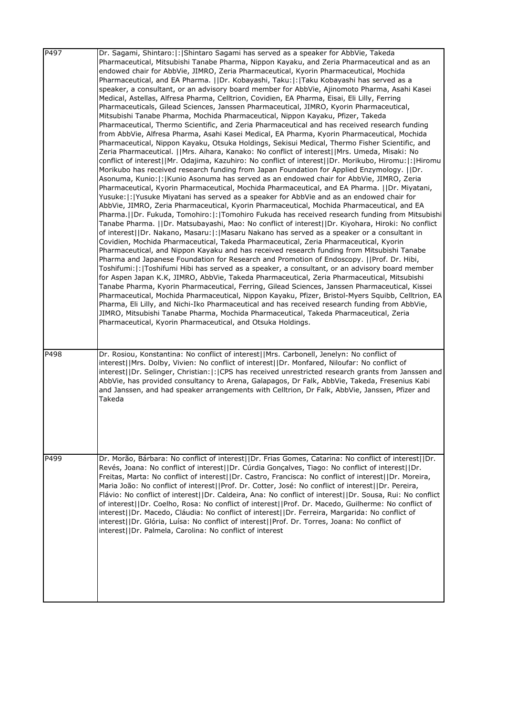| P <sub>497</sub> | Dr. Sagami, Shintaro:  :   Shintaro Sagami has served as a speaker for AbbVie, Takeda<br>Pharmaceutical, Mitsubishi Tanabe Pharma, Nippon Kayaku, and Zeria Pharmaceutical and as an<br>endowed chair for AbbVie, JIMRO, Zeria Pharmaceutical, Kyorin Pharmaceutical, Mochida<br>Pharmaceutical, and EA Pharma.     Dr. Kobayashi, Taku:   :   Taku Kobayashi has served as a<br>speaker, a consultant, or an advisory board member for AbbVie, Ajinomoto Pharma, Asahi Kasei<br>Medical, Astellas, Alfresa Pharma, Celltrion, Covidien, EA Pharma, Eisai, Eli Lilly, Ferring<br>Pharmaceuticals, Gilead Sciences, Janssen Pharmaceutical, JIMRO, Kyorin Pharmaceutical,<br>Mitsubishi Tanabe Pharma, Mochida Pharmaceutical, Nippon Kayaku, Pfizer, Takeda<br>Pharmaceutical, Thermo Scientific, and Zeria Pharmaceutical and has received research funding<br>from AbbVie, Alfresa Pharma, Asahi Kasei Medical, EA Pharma, Kyorin Pharmaceutical, Mochida<br>Pharmaceutical, Nippon Kayaku, Otsuka Holdings, Sekisui Medical, Thermo Fisher Scientific, and<br>Zeria Pharmaceutical.   Mrs. Aihara, Kanako: No conflict of interest  Mrs. Umeda, Misaki: No<br>conflict of interest  Mr. Odajima, Kazuhiro: No conflict of interest  Dr. Morikubo, Hiromu: : Hiromu<br>Morikubo has received research funding from Japan Foundation for Applied Enzymology. [IDr.<br>Asonuma, Kunio:   :   Kunio Asonuma has served as an endowed chair for AbbVie, JIMRO, Zeria<br>Pharmaceutical, Kyorin Pharmaceutical, Mochida Pharmaceutical, and EA Pharma.     Dr. Miyatani,<br>Yusuke:  :  Yusuke Miyatani has served as a speaker for AbbVie and as an endowed chair for<br>AbbVie, JIMRO, Zeria Pharmaceutical, Kyorin Pharmaceutical, Mochida Pharmaceutical, and EA<br>Pharma.   Dr. Fukuda, Tomohiro:   :   Tomohiro Fukuda has received research funding from Mitsubishi<br>Tanabe Pharma.   Dr. Matsubayashi, Mao: No conflict of interest  Dr. Kiyohara, Hiroki: No conflict<br>of interest  Dr. Nakano, Masaru: : Masaru Nakano has served as a speaker or a consultant in<br>Covidien, Mochida Pharmaceutical, Takeda Pharmaceutical, Zeria Pharmaceutical, Kyorin<br>Pharmaceutical, and Nippon Kayaku and has received research funding from Mitsubishi Tanabe<br>Pharma and Japanese Foundation for Research and Promotion of Endoscopy. [[Prof. Dr. Hibi,<br>Toshifumi:   :  Toshifumi Hibi has served as a speaker, a consultant, or an advisory board member<br>for Aspen Japan K.K, JIMRO, AbbVie, Takeda Pharmaceutical, Zeria Pharmaceutical, Mitsubishi<br>Tanabe Pharma, Kyorin Pharmaceutical, Ferring, Gilead Sciences, Janssen Pharmaceutical, Kissei<br>Pharmaceutical, Mochida Pharmaceutical, Nippon Kayaku, Pfizer, Bristol-Myers Squibb, Celltrion, EA<br>Pharma, Eli Lilly, and Nichi-Iko Pharmaceutical and has received research funding from AbbVie,<br>JIMRO, Mitsubishi Tanabe Pharma, Mochida Pharmaceutical, Takeda Pharmaceutical, Zeria<br>Pharmaceutical, Kyorin Pharmaceutical, and Otsuka Holdings. |
|------------------|-----------------------------------------------------------------------------------------------------------------------------------------------------------------------------------------------------------------------------------------------------------------------------------------------------------------------------------------------------------------------------------------------------------------------------------------------------------------------------------------------------------------------------------------------------------------------------------------------------------------------------------------------------------------------------------------------------------------------------------------------------------------------------------------------------------------------------------------------------------------------------------------------------------------------------------------------------------------------------------------------------------------------------------------------------------------------------------------------------------------------------------------------------------------------------------------------------------------------------------------------------------------------------------------------------------------------------------------------------------------------------------------------------------------------------------------------------------------------------------------------------------------------------------------------------------------------------------------------------------------------------------------------------------------------------------------------------------------------------------------------------------------------------------------------------------------------------------------------------------------------------------------------------------------------------------------------------------------------------------------------------------------------------------------------------------------------------------------------------------------------------------------------------------------------------------------------------------------------------------------------------------------------------------------------------------------------------------------------------------------------------------------------------------------------------------------------------------------------------------------------------------------------------------------------------------------------------------------------------------------------------------------------------------------------------------------------------------------------------------------------------------------------------------------------------------------------------------------------------------------------------------------------------------------------------------------------------------------------------------------------------------------------------------------|
| P498             | Dr. Rosiou, Konstantina: No conflict of interest  Mrs. Carbonell, Jenelyn: No conflict of<br>interest  Mrs. Dolby, Vivien: No conflict of interest  Dr. Monfared, Niloufar: No conflict of<br>interest  Dr. Selinger, Christian: : CPS has received unrestricted research grants from Janssen and<br>AbbVie, has provided consultancy to Arena, Galapagos, Dr Falk, AbbVie, Takeda, Fresenius Kabi<br>and Janssen, and had speaker arrangements with Celltrion, Dr Falk, AbbVie, Janssen, Pfizer and<br>Takeda                                                                                                                                                                                                                                                                                                                                                                                                                                                                                                                                                                                                                                                                                                                                                                                                                                                                                                                                                                                                                                                                                                                                                                                                                                                                                                                                                                                                                                                                                                                                                                                                                                                                                                                                                                                                                                                                                                                                                                                                                                                                                                                                                                                                                                                                                                                                                                                                                                                                                                                          |
| P499             | Dr. Morão, Bárbara: No conflict of interest  Dr. Frias Gomes, Catarina: No conflict of interest  Dr.<br>Revés, Joana: No conflict of interest  Dr. Cúrdia Gonçalves, Tiago: No conflict of interest  Dr.<br>Freitas, Marta: No conflict of interest  Dr. Castro, Francisca: No conflict of interest  Dr. Moreira,<br>Maria João: No conflict of interest  Prof. Dr. Cotter, José: No conflict of interest  Dr. Pereira,<br>Flávio: No conflict of interest  Dr. Caldeira, Ana: No conflict of interest  Dr. Sousa, Rui: No conflict<br>of interest  Dr. Coelho, Rosa: No conflict of interest  Prof. Dr. Macedo, Guilherme: No conflict of<br>interest  Dr. Macedo, Cláudia: No conflict of interest  Dr. Ferreira, Margarida: No conflict of<br>interest  Dr. Glória, Luísa: No conflict of interest  Prof. Dr. Torres, Joana: No conflict of<br>interest  Dr. Palmela, Carolina: No conflict of interest                                                                                                                                                                                                                                                                                                                                                                                                                                                                                                                                                                                                                                                                                                                                                                                                                                                                                                                                                                                                                                                                                                                                                                                                                                                                                                                                                                                                                                                                                                                                                                                                                                                                                                                                                                                                                                                                                                                                                                                                                                                                                                                              |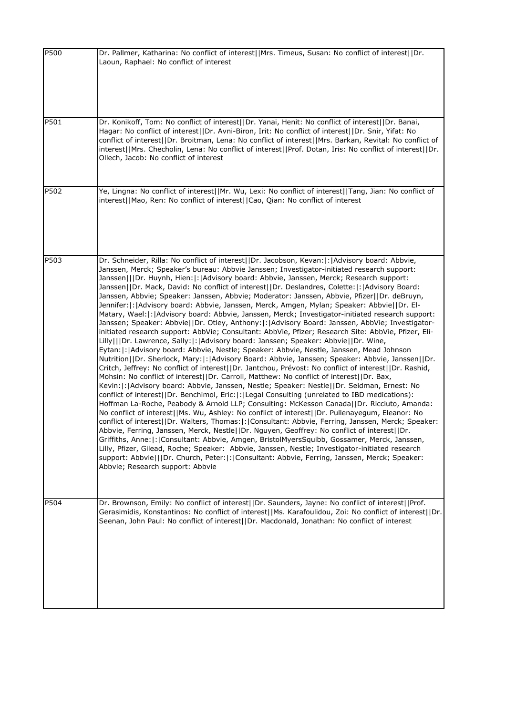| P500 | Dr. Pallmer, Katharina: No conflict of interest  Mrs. Timeus, Susan: No conflict of interest  Dr.<br>Laoun, Raphael: No conflict of interest                                                                                                                                                                                                                                                                                                                                                                                                                                                                                                                                                                                                                                                                                                                                                                                                                                                                                                                                                                                                                                                                                                                                                                                                                                                                                                                                                                                                                                                                                                                                                                                                                                                                                                                                                                                                                                                                                                                                                                                                                                                                                                                                                                                                |
|------|---------------------------------------------------------------------------------------------------------------------------------------------------------------------------------------------------------------------------------------------------------------------------------------------------------------------------------------------------------------------------------------------------------------------------------------------------------------------------------------------------------------------------------------------------------------------------------------------------------------------------------------------------------------------------------------------------------------------------------------------------------------------------------------------------------------------------------------------------------------------------------------------------------------------------------------------------------------------------------------------------------------------------------------------------------------------------------------------------------------------------------------------------------------------------------------------------------------------------------------------------------------------------------------------------------------------------------------------------------------------------------------------------------------------------------------------------------------------------------------------------------------------------------------------------------------------------------------------------------------------------------------------------------------------------------------------------------------------------------------------------------------------------------------------------------------------------------------------------------------------------------------------------------------------------------------------------------------------------------------------------------------------------------------------------------------------------------------------------------------------------------------------------------------------------------------------------------------------------------------------------------------------------------------------------------------------------------------------|
| P501 | Dr. Konikoff, Tom: No conflict of interest  Dr. Yanai, Henit: No conflict of interest  Dr. Banai,<br>Hagar: No conflict of interest  Dr. Avni-Biron, Irit: No conflict of interest  Dr. Snir, Yifat: No<br>conflict of interest  Dr. Broitman, Lena: No conflict of interest  Mrs. Barkan, Revital: No conflict of<br>interest  Mrs. Checholin, Lena: No conflict of interest  Prof. Dotan, Iris: No conflict of interest  Dr.<br>Ollech, Jacob: No conflict of interest                                                                                                                                                                                                                                                                                                                                                                                                                                                                                                                                                                                                                                                                                                                                                                                                                                                                                                                                                                                                                                                                                                                                                                                                                                                                                                                                                                                                                                                                                                                                                                                                                                                                                                                                                                                                                                                                    |
| P502 | Ye, Lingna: No conflict of interest  Mr. Wu, Lexi: No conflict of interest  Tang, Jian: No conflict of<br>interest  Mao, Ren: No conflict of interest  Cao, Qian: No conflict of interest                                                                                                                                                                                                                                                                                                                                                                                                                                                                                                                                                                                                                                                                                                                                                                                                                                                                                                                                                                                                                                                                                                                                                                                                                                                                                                                                                                                                                                                                                                                                                                                                                                                                                                                                                                                                                                                                                                                                                                                                                                                                                                                                                   |
| P503 | Dr. Schneider, Rilla: No conflict of interest  Dr. Jacobson, Kevan: :  Advisory board: Abbvie,<br>Janssen, Merck; Speaker's bureau: Abbvie Janssen; Investigator-initiated research support:<br>Janssen   Dr. Huynh, Hien: :   Advisory board: Abbvie, Janssen, Merck; Research support:<br>Janssen  Dr. Mack, David: No conflict of interest  Dr. Deslandres, Colette: : Advisory Board:<br>Janssen, Abbvie; Speaker: Janssen, Abbvie; Moderator: Janssen, Abbvie, Pfizer  Dr. deBruyn,<br>Jennifer: :   Advisory board: Abbvie, Janssen, Merck, Amgen, Mylan; Speaker: Abbvie  Dr. El-<br>Matary, Wael: : Advisory board: Abbvie, Janssen, Merck; Investigator-initiated research support:<br>Janssen; Speaker: Abbvie  Dr. Otley, Anthony: : Advisory Board: Janssen, AbbVie; Investigator-<br>initiated research support: AbbVie; Consultant: AbbVie, Pfizer; Research Site: AbbVie, Pfizer, Eli-<br>Lilly   Dr. Lawrence, Sally: : Advisory board: Janssen; Speaker: Abbvie  Dr. Wine,<br>Eytan: : Advisory board: Abbvie, Nestle; Speaker: Abbvie, Nestle, Janssen, Mead Johnson<br>Nutrition  Dr. Sherlock, Mary: : Advisory Board: Abbvie, Janssen; Speaker: Abbvie, Janssen  Dr.<br>Critch, Jeffrey: No conflict of interest  Dr. Jantchou, Prévost: No conflict of interest  Dr. Rashid,<br>Mohsin: No conflict of interest  Dr. Carroll, Matthew: No conflict of interest  Dr. Bax,<br>Kevin: :   Advisory board: Abbvie, Janssen, Nestle; Speaker: Nestle  Dr. Seidman, Ernest: No<br>conflict of interest  Dr. Benchimol, Eric: : Legal Consulting (unrelated to IBD medications):<br>Hoffman La-Roche, Peabody & Arnold LLP; Consulting: McKesson Canada  Dr. Ricciuto, Amanda:<br>No conflict of interest  Ms. Wu, Ashley: No conflict of interest  Dr. Pullenayegum, Eleanor: No<br>conflict of interest  Dr. Walters, Thomas: : Consultant: Abbvie, Ferring, Janssen, Merck; Speaker:<br>Abbvie, Ferring, Janssen, Merck, Nestle  Dr. Nguyen, Geoffrey: No conflict of interest  Dr.<br>Griffiths, Anne: : Consultant: Abbvie, Amgen, BristolMyersSquibb, Gossamer, Merck, Janssen,<br>Lilly, Pfizer, Gilead, Roche; Speaker: Abbvie, Janssen, Nestle; Investigator-initiated research<br>support: Abbvie   Dr. Church, Peter: : Consultant: Abbvie, Ferring, Janssen, Merck; Speaker:<br>Abbvie; Research support: Abbvie |
| P504 | Dr. Brownson, Emily: No conflict of interest  Dr. Saunders, Jayne: No conflict of interest  Prof.<br>Gerasimidis, Konstantinos: No conflict of interest  Ms. Karafoulidou, Zoi: No conflict of interest  Dr.<br>Seenan, John Paul: No conflict of interest  Dr. Macdonald, Jonathan: No conflict of interest                                                                                                                                                                                                                                                                                                                                                                                                                                                                                                                                                                                                                                                                                                                                                                                                                                                                                                                                                                                                                                                                                                                                                                                                                                                                                                                                                                                                                                                                                                                                                                                                                                                                                                                                                                                                                                                                                                                                                                                                                                |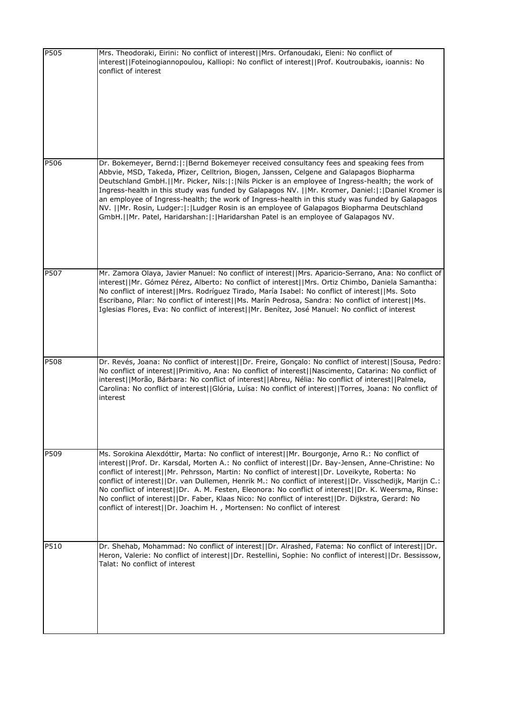| P505 | Mrs. Theodoraki, Eirini: No conflict of interest  Mrs. Orfanoudaki, Eleni: No conflict of<br>interest  Foteinogiannopoulou, Kalliopi: No conflict of interest  Prof. Koutroubakis, ioannis: No<br>conflict of interest                                                                                                                                                                                                                                                                                                                                                                                                                                                                                        |
|------|---------------------------------------------------------------------------------------------------------------------------------------------------------------------------------------------------------------------------------------------------------------------------------------------------------------------------------------------------------------------------------------------------------------------------------------------------------------------------------------------------------------------------------------------------------------------------------------------------------------------------------------------------------------------------------------------------------------|
| P506 | Dr. Bokemeyer, Bernd: : Bernd Bokemeyer received consultancy fees and speaking fees from<br>Abbvie, MSD, Takeda, Pfizer, Celltrion, Biogen, Janssen, Celgene and Galapagos Biopharma<br>Deutschland GmbH.  Mr. Picker, Nils: : Nils Picker is an employee of Ingress-health; the work of<br>Ingress-health in this study was funded by Galapagos NV.   Mr. Kromer, Daniel: : Daniel Kromer is<br>an employee of Ingress-health; the work of Ingress-health in this study was funded by Galapagos<br>NV.   Mr. Rosin, Ludger: : Ludger Rosin is an employee of Galapagos Biopharma Deutschland<br>GmbH.  Mr. Patel, Haridarshan: : Haridarshan Patel is an employee of Galapagos NV.                           |
| P507 | Mr. Zamora Olaya, Javier Manuel: No conflict of interest  Mrs. Aparicio-Serrano, Ana: No conflict of<br>interest  Mr. Gómez Pérez, Alberto: No conflict of interest  Mrs. Ortiz Chimbo, Daniela Samantha:<br>No conflict of interest  Mrs. Rodríguez Tirado, María Isabel: No conflict of interest  Ms. Soto<br>Escribano, Pilar: No conflict of interest  Ms. Marín Pedrosa, Sandra: No conflict of interest  Ms.<br>Iglesias Flores, Eva: No conflict of interest  Mr. Benítez, José Manuel: No conflict of interest                                                                                                                                                                                        |
| P508 | Dr. Revés, Joana: No conflict of interest  Dr. Freire, Gonçalo: No conflict of interest  Sousa, Pedro:<br>No conflict of interest  Primitivo, Ana: No conflict of interest  Nascimento, Catarina: No conflict of<br>interest  Morão, Bárbara: No conflict of interest  Abreu, Nélia: No conflict of interest  Palmela,<br>Carolina: No conflict of interest  Glória, Luísa: No conflict of interest  Torres, Joana: No conflict of<br>interest                                                                                                                                                                                                                                                                |
| P509 | Ms. Sorokina Alexdóttir, Marta: No conflict of interest  Mr. Bourgonje, Arno R.: No conflict of<br>interest  Prof. Dr. Karsdal, Morten A.: No conflict of interest  Dr. Bay-Jensen, Anne-Christine: No<br>conflict of interest  Mr. Pehrsson, Martin: No conflict of interest  Dr. Loveikyte, Roberta: No<br>conflict of interest  Dr. van Dullemen, Henrik M.: No conflict of interest  Dr. Visschedijk, Marijn C.:<br>No conflict of interest  Dr. A. M. Festen, Eleonora: No conflict of interest  Dr. K. Weersma, Rinse:<br>No conflict of interest  Dr. Faber, Klaas Nico: No conflict of interest  Dr. Dijkstra, Gerard: No<br>conflict of interest  Dr. Joachim H., Mortensen: No conflict of interest |
| P510 | Dr. Shehab, Mohammad: No conflict of interest  Dr. Alrashed, Fatema: No conflict of interest  Dr.<br>Heron, Valerie: No conflict of interest  Dr. Restellini, Sophie: No conflict of interest  Dr. Bessissow,<br>Talat: No conflict of interest                                                                                                                                                                                                                                                                                                                                                                                                                                                               |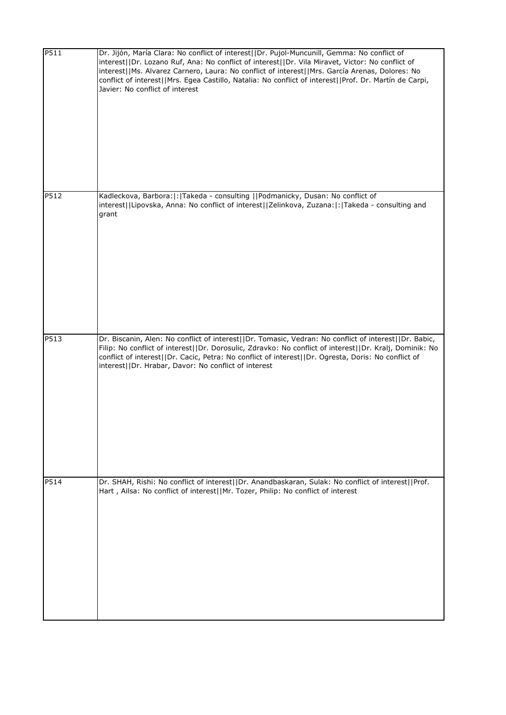| P511 | Dr. Jijón, María Clara: No conflict of interest  Dr. Pujol-Muncunill, Gemma: No conflict of<br>interest  Dr. Lozano Ruf, Ana: No conflict of interest  Dr. Vila Miravet, Victor: No conflict of<br>interest  Ms. Alvarez Carnero, Laura: No conflict of interest  Mrs. García Arenas, Dolores: No<br>conflict of interest  Mrs. Egea Castillo, Natalia: No conflict of interest  Prof. Dr. Martín de Carpi,<br>Javier: No conflict of interest |
|------|------------------------------------------------------------------------------------------------------------------------------------------------------------------------------------------------------------------------------------------------------------------------------------------------------------------------------------------------------------------------------------------------------------------------------------------------|
| P512 | Kadleckova, Barbora: : Takeda - consulting   Podmanicky, Dusan: No conflict of<br>interest  Lipovska, Anna: No conflict of interest  Zelinkova, Zuzana: : Takeda - consulting and<br>grant                                                                                                                                                                                                                                                     |
| P513 | Dr. Biscanin, Alen: No conflict of interest  Dr. Tomasic, Vedran: No conflict of interest  Dr. Babic,<br>Filip: No conflict of interest  Dr. Dorosulic, Zdravko: No conflict of interest  Dr. Kralj, Dominik: No<br>conflict of interest  Dr. Cacic, Petra: No conflict of interest  Dr. Ogresta, Doris: No conflict of<br>interest  Dr. Hrabar, Davor: No conflict of interest                                                                |
| P514 | Dr. SHAH, Rishi: No conflict of interest  Dr. Anandbaskaran, Sulak: No conflict of interest  Prof.<br>Hart, Ailsa: No conflict of interest  Mr. Tozer, Philip: No conflict of interest                                                                                                                                                                                                                                                         |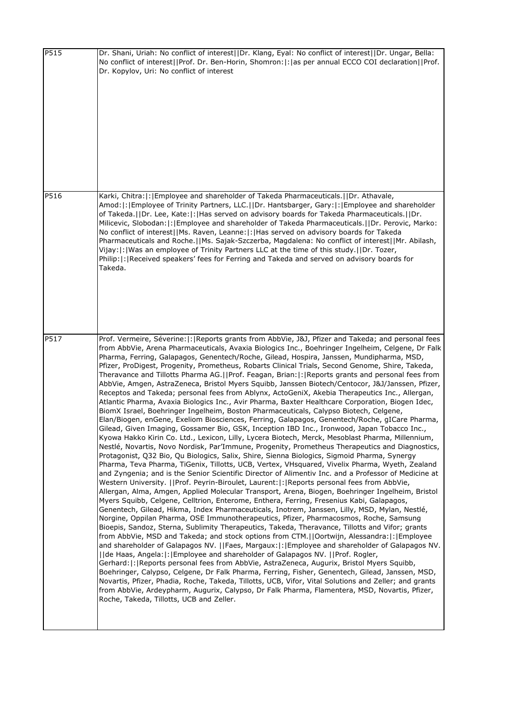| P515 | Dr. Shani, Uriah: No conflict of interest  Dr. Klang, Eyal: No conflict of interest  Dr. Ungar, Bella:<br>No conflict of interest  Prof. Dr. Ben-Horin, Shomron: : as per annual ECCO COI declaration  Prof.<br>Dr. Kopylov, Uri: No conflict of interest                                                                                                                                                                                                                                                                                                                                                                                                                                                                                                                                                                                                                                                                                                                                                                                                                                                                                                                                                                                                                                                                                                                                                                                                                                                                                                                                                                                                                                                                                                                                                                                                                                                                                                                                                                                                                                                                                                                                                                                                                                                                                                                                                                                                                                                                                                                                                                                                                                                                                                                                                                                                                                                                                                                   |
|------|-----------------------------------------------------------------------------------------------------------------------------------------------------------------------------------------------------------------------------------------------------------------------------------------------------------------------------------------------------------------------------------------------------------------------------------------------------------------------------------------------------------------------------------------------------------------------------------------------------------------------------------------------------------------------------------------------------------------------------------------------------------------------------------------------------------------------------------------------------------------------------------------------------------------------------------------------------------------------------------------------------------------------------------------------------------------------------------------------------------------------------------------------------------------------------------------------------------------------------------------------------------------------------------------------------------------------------------------------------------------------------------------------------------------------------------------------------------------------------------------------------------------------------------------------------------------------------------------------------------------------------------------------------------------------------------------------------------------------------------------------------------------------------------------------------------------------------------------------------------------------------------------------------------------------------------------------------------------------------------------------------------------------------------------------------------------------------------------------------------------------------------------------------------------------------------------------------------------------------------------------------------------------------------------------------------------------------------------------------------------------------------------------------------------------------------------------------------------------------------------------------------------------------------------------------------------------------------------------------------------------------------------------------------------------------------------------------------------------------------------------------------------------------------------------------------------------------------------------------------------------------------------------------------------------------------------------------------------------------|
| P516 | Karki, Chitra:  :   Employee and shareholder of Takeda Pharmaceuticals.     Dr. Athavale,<br>Amod:  :   Employee of Trinity Partners, LLC.     Dr. Hantsbarger, Gary:  :   Employee and shareholder<br>of Takeda.  Dr. Lee, Kate: : Has served on advisory boards for Takeda Pharmaceuticals.  Dr.<br>Milicevic, Slobodan:  :   Employee and shareholder of Takeda Pharmaceuticals.     Dr. Perovic, Marko:<br>No conflict of interest  Ms. Raven, Leanne: :  Has served on advisory boards for Takeda<br>Pharmaceuticals and Roche.  Ms. Sajak-Szczerba, Magdalena: No conflict of interest  Mr. Abilash,<br>Vijay:  :   Was an employee of Trinity Partners LLC at the time of this study.     Dr. Tozer,<br>Philip:  :   Received speakers' fees for Ferring and Takeda and served on advisory boards for<br>Takeda.                                                                                                                                                                                                                                                                                                                                                                                                                                                                                                                                                                                                                                                                                                                                                                                                                                                                                                                                                                                                                                                                                                                                                                                                                                                                                                                                                                                                                                                                                                                                                                                                                                                                                                                                                                                                                                                                                                                                                                                                                                                                                                                                                     |
| P517 | Prof. Vermeire, Séverine:  :   Reports grants from AbbVie, J&J, Pfizer and Takeda; and personal fees<br>from AbbVie, Arena Pharmaceuticals, Avaxia Biologics Inc., Boehringer Ingelheim, Celgene, Dr Falk<br>Pharma, Ferring, Galapagos, Genentech/Roche, Gilead, Hospira, Janssen, Mundipharma, MSD,<br>Pfizer, ProDigest, Progenity, Prometheus, Robarts Clinical Trials, Second Genome, Shire, Takeda,<br>Theravance and Tillotts Pharma AG.  Prof. Feagan, Brian: : Reports grants and personal fees from<br>AbbVie, Amgen, AstraZeneca, Bristol Myers Squibb, Janssen Biotech/Centocor, J&J/Janssen, Pfizer,<br>Receptos and Takeda; personal fees from Ablynx, ActoGeniX, Akebia Therapeutics Inc., Allergan,<br>Atlantic Pharma, Avaxia Biologics Inc., Avir Pharma, Baxter Healthcare Corporation, Biogen Idec,<br>BiomX Israel, Boehringer Ingelheim, Boston Pharmaceuticals, Calypso Biotech, Celgene,<br>Elan/Biogen, enGene, Exeliom Biosciences, Ferring, Galapagos, Genentech/Roche, gICare Pharma,<br>Gilead, Given Imaging, Gossamer Bio, GSK, Inception IBD Inc., Ironwood, Japan Tobacco Inc.,<br>Kyowa Hakko Kirin Co. Ltd., Lexicon, Lilly, Lycera Biotech, Merck, Mesoblast Pharma, Millennium,<br>Nestlé, Novartis, Novo Nordisk, Par'Immune, Progenity, Prometheus Therapeutics and Diagnostics,<br>Protagonist, Q32 Bio, Qu Biologics, Salix, Shire, Sienna Biologics, Sigmoid Pharma, Synergy<br>Pharma, Teva Pharma, TiGenix, Tillotts, UCB, Vertex, VHsquared, Vivelix Pharma, Wyeth, Zealand<br>and Zyngenia; and is the Senior Scientific Director of Alimentiv Inc. and a Professor of Medicine at<br>Western University.   Prof. Peyrin-Biroulet, Laurent: : Reports personal fees from AbbVie,<br>Allergan, Alma, Amgen, Applied Molecular Transport, Arena, Biogen, Boehringer Ingelheim, Bristol<br>Myers Squibb, Celgene, Celltrion, Enterome, Enthera, Ferring, Fresenius Kabi, Galapagos,<br>Genentech, Gilead, Hikma, Index Pharmaceuticals, Inotrem, Janssen, Lilly, MSD, Mylan, Nestlé,<br>Norgine, Oppilan Pharma, OSE Immunotherapeutics, Pfizer, Pharmacosmos, Roche, Samsung<br>Bioepis, Sandoz, Sterna, Sublimity Therapeutics, Takeda, Theravance, Tillotts and Vifor; grants<br>from AbbVie, MSD and Takeda; and stock options from CTM.  Oortwijn, Alessandra: : Employee<br>and shareholder of Galapagos NV.     Faes, Margaux:   :   Employee and shareholder of Galapagos NV.<br>  de Haas, Angela: : Employee and shareholder of Galapagos NV.   Prof. Rogler,<br>Gerhard:  :   Reports personal fees from AbbVie, AstraZeneca, Augurix, Bristol Myers Squibb,<br>Boehringer, Calypso, Celgene, Dr Falk Pharma, Ferring, Fisher, Genentech, Gilead, Janssen, MSD,<br>Novartis, Pfizer, Phadia, Roche, Takeda, Tillotts, UCB, Vifor, Vital Solutions and Zeller; and grants<br>from AbbVie, Ardeypharm, Augurix, Calypso, Dr Falk Pharma, Flamentera, MSD, Novartis, Pfizer,<br>Roche, Takeda, Tillotts, UCB and Zeller. |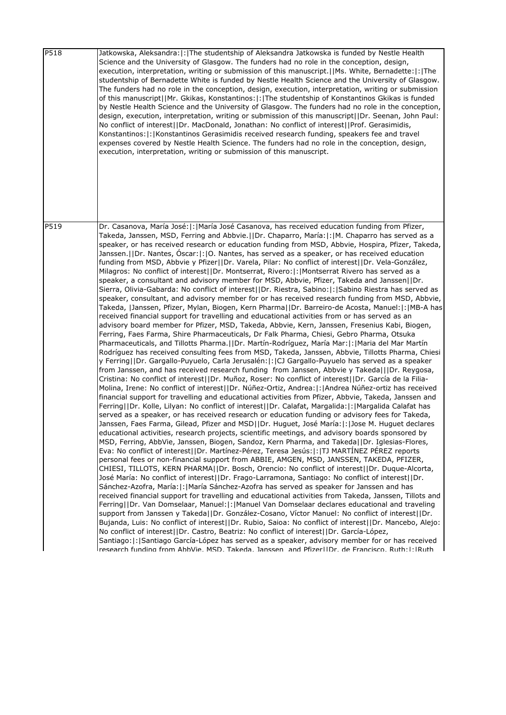| P518 | Jatkowska, Aleksandra:  :  The studentship of Aleksandra Jatkowska is funded by Nestle Health<br>Science and the University of Glasgow. The funders had no role in the conception, design,<br>execution, interpretation, writing or submission of this manuscript.   Ms. White, Bernadette:   :   The<br>studentship of Bernadette White is funded by Nestle Health Science and the University of Glasgow.<br>The funders had no role in the conception, design, execution, interpretation, writing or submission<br>of this manuscript  Mr. Gkikas, Konstantinos: : The studentship of Konstantinos Gkikas is funded<br>by Nestle Health Science and the University of Glasgow. The funders had no role in the conception,<br>design, execution, interpretation, writing or submission of this manuscript  Dr. Seenan, John Paul:<br>No conflict of interest  Dr. MacDonald, Jonathan: No conflict of interest  Prof. Gerasimidis,<br>Konstantinos:  :   Konstantinos Gerasimidis received research funding, speakers fee and travel<br>expenses covered by Nestle Health Science. The funders had no role in the conception, design,<br>execution, interpretation, writing or submission of this manuscript.                                                                                                                                                                                                                                                                                                                                                                                                                                                                                                                                                                                                                                                                                                                                                                                                                                                                                                                                                                                                                                                                                                                                                                                                                                                                                                                                                                                                                                                                                                                                                                                                                                                                                                                                                                                                                                                                                                                                                                                                                                                                                                                                                                                                                                                                                                                                                                                                                                                                                                                                                                                            |
|------|-----------------------------------------------------------------------------------------------------------------------------------------------------------------------------------------------------------------------------------------------------------------------------------------------------------------------------------------------------------------------------------------------------------------------------------------------------------------------------------------------------------------------------------------------------------------------------------------------------------------------------------------------------------------------------------------------------------------------------------------------------------------------------------------------------------------------------------------------------------------------------------------------------------------------------------------------------------------------------------------------------------------------------------------------------------------------------------------------------------------------------------------------------------------------------------------------------------------------------------------------------------------------------------------------------------------------------------------------------------------------------------------------------------------------------------------------------------------------------------------------------------------------------------------------------------------------------------------------------------------------------------------------------------------------------------------------------------------------------------------------------------------------------------------------------------------------------------------------------------------------------------------------------------------------------------------------------------------------------------------------------------------------------------------------------------------------------------------------------------------------------------------------------------------------------------------------------------------------------------------------------------------------------------------------------------------------------------------------------------------------------------------------------------------------------------------------------------------------------------------------------------------------------------------------------------------------------------------------------------------------------------------------------------------------------------------------------------------------------------------------------------------------------------------------------------------------------------------------------------------------------------------------------------------------------------------------------------------------------------------------------------------------------------------------------------------------------------------------------------------------------------------------------------------------------------------------------------------------------------------------------------------------------------------------------------------------------------------------------------------------------------------------------------------------------------------------------------------------------------------------------------------------------------------------------------------------------------------------------------------------------------------------------------------------------------------------------------------------------------------------------------------------------------------------------------|
| P519 | Dr. Casanova, María José:  :   María José Casanova, has received education funding from Pfizer,<br>Takeda, Janssen, MSD, Ferring and Abbvie.  Dr. Chaparro, María: : M. Chaparro has served as a<br>speaker, or has received research or education funding from MSD, Abbvie, Hospira, Pfizer, Takeda,<br>Janssen.   Dr. Nantes, Oscar:  :  O. Nantes, has served as a speaker, or has received education<br>funding from MSD, Abbvie y Pfizer  Dr. Varela, Pilar: No conflict of interest  Dr. Vela-González,<br>Milagros: No conflict of interest  Dr. Montserrat, Rivero: : Montserrat Rivero has served as a<br>speaker, a consultant and advisory member for MSD, Abbvie, Pfizer, Takeda and Janssen  Dr.<br>Sierra, Olivia-Gabarda: No conflict of interest  Dr. Riestra, Sabino: : Sabino Riestra has served as<br>speaker, consultant, and advisory member for or has received research funding from MSD, Abbvie,<br>Takeda,  Janssen, Pfizer, Mylan, Biogen, Kern Pharma  Dr. Barreiro-de Acosta, Manuel: : MB-A has<br>received financial support for travelling and educational activities from or has served as an<br>advisory board member for Pfizer, MSD, Takeda, Abbvie, Kern, Janssen, Fresenius Kabi, Biogen,<br>Ferring, Faes Farma, Shire Pharmaceuticals, Dr Falk Pharma, Chiesi, Gebro Pharma, Otsuka<br>Pharmaceuticals, and Tillotts Pharma.   Dr. Martín-Rodríguez, María Mar:   :   Maria del Mar Martín<br>Rodríguez has received consulting fees from MSD, Takeda, Janssen, Abbvie, Tillotts Pharma, Chiesi<br>y Ferring  Dr. Gargallo-Puyuelo, Carla Jerusalén: : CJ Gargallo-Puyuelo has served as a speaker<br>from Janssen, and has received research funding from Janssen, Abbvie y Takeda   Dr. Reygosa,<br>Cristina: No conflict of interest  Dr. Muñoz, Roser: No conflict of interest  Dr. García de la Filia-<br>Molina, Irene: No conflict of interest  Dr. Núñez-Ortiz, Andrea: : Andrea Núñez-ortiz has received<br>financial support for travelling and educational activities from Pfizer, Abbvie, Takeda, Janssen and<br>Ferring  Dr. Kolle, Lilyan: No conflict of interest  Dr. Calafat, Margalida: : Margalida Calafat has<br>served as a speaker, or has received research or education funding or advisory fees for Takeda,<br>Janssen, Faes Farma, Gilead, Pfizer and MSD  Dr. Huguet, José María: : Jose M. Huguet declares<br>educational activities, research projects, scientific meetings, and advisory boards sponsored by<br>MSD, Ferring, AbbVie, Janssen, Biogen, Sandoz, Kern Pharma, and Takeda  Dr. Iglesias-Flores,<br>Eva: No conflict of interest  Dr. Martínez-Pérez, Teresa Jesús: : TJ MARTÍNEZ PÉREZ reports<br>personal fees or non-financial support from ABBIE, AMGEN, MSD, JANSSEN, TAKEDA, PFIZER,<br>CHIESI, TILLOTS, KERN PHARMA  Dr. Bosch, Orencio: No conflict of interest  Dr. Duque-Alcorta,<br>José María: No conflict of interest  Dr. Frago-Larramona, Santiago: No conflict of interest  Dr.<br>Sánchez-Azofra, María:  :   María Sánchez-Azofra has served as speaker for Janssen and has<br>received financial support for travelling and educational activities from Takeda, Janssen, Tillots and<br>Ferring  Dr. Van Domselaar, Manuel: : Manuel Van Domselaar declares educational and traveling<br>support from Janssen y Takeda  Dr. González-Cosano, Víctor Manuel: No conflict of interest  Dr.<br>Bujanda, Luis: No conflict of interest  Dr. Rubio, Saioa: No conflict of interest  Dr. Mancebo, Alejo:<br>No conflict of interest  Dr. Castro, Beatriz: No conflict of interest  Dr. García-López,<br>Santiago:   :   Santiago García-López has served as a speaker, advisory member for or has received<br>research funding from AbbVie. MSD. Takeda. Janssen, and PfizerHDr. de Francisco. Ruth:l:IRuth |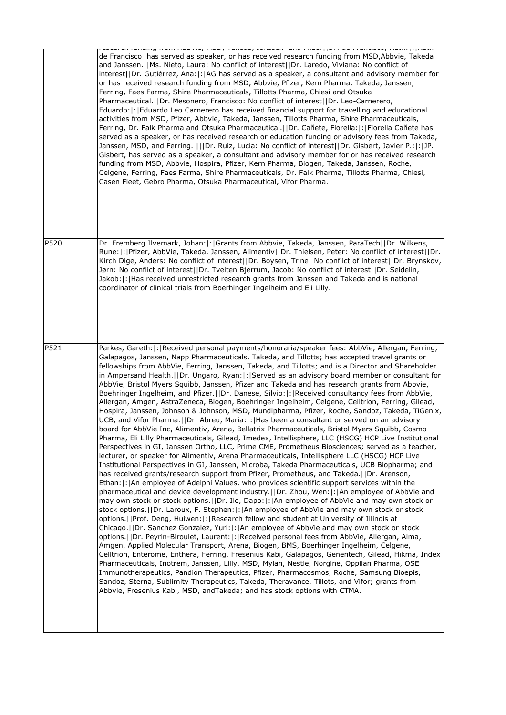|                   | cooping randing monitoacercy most randag sundoon, and miscipalities as mandidooy radinproduct<br>de Francisco has served as speaker, or has received research funding from MSD, Abbvie, Takeda<br>and Janssen.   Ms. Nieto, Laura: No conflict of interest    Dr. Laredo, Viviana: No conflict of<br>interest  Dr. Gutiérrez, Ana: :   AG has served as a speaker, a consultant and advisory member for<br>or has received research funding from MSD, Abbvie, Pfizer, Kern Pharma, Takeda, Janssen,<br>Ferring, Faes Farma, Shire Pharmaceuticals, Tillotts Pharma, Chiesi and Otsuka<br>Pharmaceutical.  Dr. Mesonero, Francisco: No conflict of interest  Dr. Leo-Carnerero,<br>Eduardo:  :   Eduardo Leo Carnerero has received financial support for travelling and educational<br>activities from MSD, Pfizer, Abbvie, Takeda, Janssen, Tillotts Pharma, Shire Pharmaceuticals,<br>Ferring, Dr. Falk Pharma and Otsuka Pharmaceutical.  Dr. Cañete, Fiorella: : Fiorella Cañete has<br>served as a speaker, or has received research or education funding or advisory fees from Takeda,<br>Janssen, MSD, and Ferring.    Dr. Ruiz, Lucía: No conflict of interest  Dr. Gisbert, Javier P.: : JP.<br>Gisbert, has served as a speaker, a consultant and advisory member for or has received research<br>funding from MSD, Abbvie, Hospira, Pfizer, Kern Pharma, Biogen, Takeda, Janssen, Roche,<br>Celgene, Ferring, Faes Farma, Shire Pharmaceuticals, Dr. Falk Pharma, Tillotts Pharma, Chiesi,<br>Casen Fleet, Gebro Pharma, Otsuka Pharmaceutical, Vifor Pharma.                                                                                                                                                                                                                                                                                                                                                                                                                                                                                                                                                                                                                                                                                                                                                                                                                                                                                                                                                                                                                                                                                                                                                                                                                                                      |
|-------------------|-------------------------------------------------------------------------------------------------------------------------------------------------------------------------------------------------------------------------------------------------------------------------------------------------------------------------------------------------------------------------------------------------------------------------------------------------------------------------------------------------------------------------------------------------------------------------------------------------------------------------------------------------------------------------------------------------------------------------------------------------------------------------------------------------------------------------------------------------------------------------------------------------------------------------------------------------------------------------------------------------------------------------------------------------------------------------------------------------------------------------------------------------------------------------------------------------------------------------------------------------------------------------------------------------------------------------------------------------------------------------------------------------------------------------------------------------------------------------------------------------------------------------------------------------------------------------------------------------------------------------------------------------------------------------------------------------------------------------------------------------------------------------------------------------------------------------------------------------------------------------------------------------------------------------------------------------------------------------------------------------------------------------------------------------------------------------------------------------------------------------------------------------------------------------------------------------------------------------------------------------------------------------------------------------------------------------------------------------------------------------------------------------------------------------------------------------------------------------------------------------------------------------------------------------------------------------------------------------------------------------------------------------------------------------------------------------------------------------------------------------------------------------------------------------------------------------------|
| P520              | Dr. Fremberg Ilvemark, Johan:  :   Grants from Abbvie, Takeda, Janssen, ParaTech  Dr. Wilkens,<br>Rune: : Pfizer, AbbVie, Takeda, Janssen, Alimentiv  Dr. Thielsen, Peter: No conflict of interest  Dr.<br>Kirch Dige, Anders: No conflict of interest  Dr. Boysen, Trine: No conflict of interest  Dr. Brynskov,<br>Jørn: No conflict of interest  Dr. Tveiten Bjerrum, Jacob: No conflict of interest  Dr. Seidelin,<br>Jakob: :  Has received unrestricted research grants from Janssen and Takeda and is national<br>coordinator of clinical trials from Boerhinger Ingelheim and Eli Lilly.                                                                                                                                                                                                                                                                                                                                                                                                                                                                                                                                                                                                                                                                                                                                                                                                                                                                                                                                                                                                                                                                                                                                                                                                                                                                                                                                                                                                                                                                                                                                                                                                                                                                                                                                                                                                                                                                                                                                                                                                                                                                                                                                                                                                                              |
| $\overline{P5}21$ | Parkes, Gareth:  :   Received personal payments/honoraria/speaker fees: AbbVie, Allergan, Ferring,<br>Galapagos, Janssen, Napp Pharmaceuticals, Takeda, and Tillotts; has accepted travel grants or<br>fellowships from AbbVie, Ferring, Janssen, Takeda, and Tillotts; and is a Director and Shareholder<br>in Ampersand Health.  Dr. Ungaro, Ryan: : Served as an advisory board member or consultant for<br>AbbVie, Bristol Myers Squibb, Janssen, Pfizer and Takeda and has research grants from Abbvie,<br>Boehringer Ingelheim, and Pfizer.   Dr. Danese, Silvio:  :   Received consultancy fees from AbbVie,<br>Allergan, Amgen, AstraZeneca, Biogen, Boehringer Ingelheim, Celgene, Celltrion, Ferring, Gilead,<br>Hospira, Janssen, Johnson & Johnson, MSD, Mundipharma, Pfizer, Roche, Sandoz, Takeda, TiGenix,<br>UCB, and Vifor Pharma.     Dr. Abreu, Maria:   :   Has been a consultant or served on an advisory<br>board for AbbVie Inc, Alimentiv, Arena, Bellatrix Pharmaceuticals, Bristol Myers Squibb, Cosmo<br>Pharma, Eli Lilly Pharmaceuticals, Gilead, Imedex, Intellisphere, LLC (HSCG) HCP Live Institutional<br>Perspectives in GI, Janssen Ortho, LLC, Prime CME, Prometheus Biosciences; served as a teacher,<br>lecturer, or speaker for Alimentiv, Arena Pharmaceuticals, Intellisphere LLC (HSCG) HCP Live<br>Institutional Perspectives in GI, Janssen, Microba, Takeda Pharmaceuticals, UCB Biopharma; and<br>has received grants/research support from Pfizer, Prometheus, and Takeda.  Dr. Arenson,<br>Ethan:  :   An employee of Adelphi Values, who provides scientific support services within the<br>pharmaceutical and device development industry. [IDr. Zhou, Wen:  : An employee of AbbVie and<br>may own stock or stock options. []Dr. Ilo, Dapo: [: ]An employee of AbbVie and may own stock or<br>stock options.     Dr. Laroux, F. Stephen:   :   An employee of AbbVie and may own stock or stock<br>options.   Prof. Deng, Huiwen:  :  Research fellow and student at University of Illinois at<br>Chicago.     Dr. Sanchez Gonzalez, Yuri:   :   An employee of AbbVie and may own stock or stock<br>options.   Dr. Peyrin-Biroulet, Laurent:  :   Received personal fees from AbbVie, Allergan, Alma,<br>Amgen, Applied Molecular Transport, Arena, Biogen, BMS, Boerhinger Ingelheim, Celgene,<br>Celltrion, Enterome, Enthera, Ferring, Fresenius Kabi, Galapagos, Genentech, Gilead, Hikma, Index<br>Pharmaceuticals, Inotrem, Janssen, Lilly, MSD, Mylan, Nestle, Norgine, Oppilan Pharma, OSE<br>Immunotherapeutics, Pandion Therapeutics, Pfizer, Pharmacosmos, Roche, Samsung Bioepis,<br>Sandoz, Sterna, Sublimity Therapeutics, Takeda, Theravance, Tillots, and Vifor; grants from<br>Abbvie, Fresenius Kabi, MSD, and Takeda; and has stock options with CTMA. |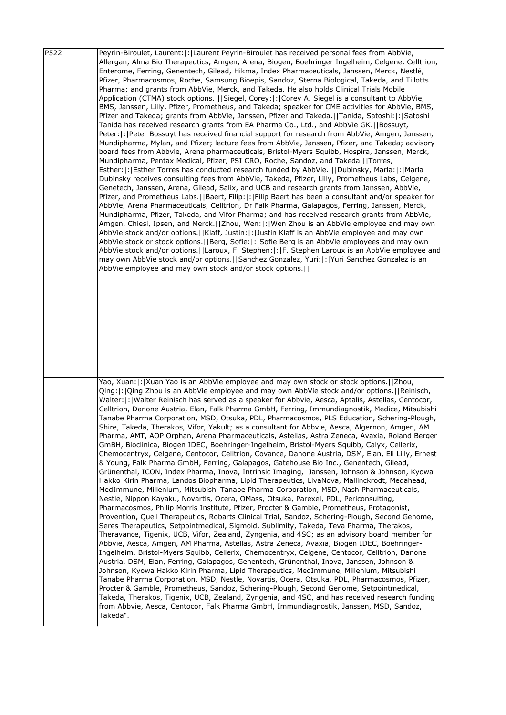| $\overline{P5}22$ | Peyrin-Biroulet, Laurent:  :   Laurent Peyrin-Biroulet has received personal fees from AbbVie,<br>Allergan, Alma Bio Therapeutics, Amgen, Arena, Biogen, Boehringer Ingelheim, Celgene, Celltrion,<br>Enterome, Ferring, Genentech, Gilead, Hikma, Index Pharmaceuticals, Janssen, Merck, Nestlé,<br>Pfizer, Pharmacosmos, Roche, Samsung Bioepis, Sandoz, Sterna Biological, Takeda, and Tillotts<br>Pharma; and grants from AbbVie, Merck, and Takeda. He also holds Clinical Trials Mobile<br>Application (CTMA) stock options.   Siegel, Corey: : Corey A. Siegel is a consultant to AbbVie,<br>BMS, Janssen, Lilly, Pfizer, Prometheus, and Takeda; speaker for CME activities for AbbVie, BMS,<br>Pfizer and Takeda; grants from AbbVie, Janssen, Pfizer and Takeda.   Tanida, Satoshi:  :  Satoshi<br>Tanida has received research grants from EA Pharma Co., Ltd., and AbbVie GK.  Bossuyt,<br>Peter:  :  Peter Bossuyt has received financial support for research from AbbVie, Amgen, Janssen,<br>Mundipharma, Mylan, and Pfizer; lecture fees from AbbVie, Janssen, Pfizer, and Takeda; advisory<br>board fees from Abbvie, Arena pharmaceuticals, Bristol-Myers Squibb, Hospira, Janssen, Merck,<br>Mundipharma, Pentax Medical, Pfizer, PSI CRO, Roche, Sandoz, and Takeda.  Torres,<br>Esther:  :   Esther Torres has conducted research funded by AbbVie.     Dubinsky, Marla:  :   Marla<br>Dubinsky receives consulting fees from AbbVie, Takeda, Pfizer, Lilly, Prometheus Labs, Celgene,<br>Genetech, Janssen, Arena, Gilead, Salix, and UCB and research grants from Janssen, AbbVie,<br>Pfizer, and Prometheus Labs.   Baert, Filip:   :   Filip Baert has been a consultant and/or speaker for<br>AbbVie, Arena Pharmaceuticals, Celltrion, Dr Falk Pharma, Galapagos, Ferring, Janssen, Merck,<br>Mundipharma, Pfizer, Takeda, and Vifor Pharma; and has received research grants from AbbVie,<br>Amgen, Chiesi, Ipsen, and Merck.   Zhou, Wen:   :   Wen Zhou is an AbbVie employee and may own<br>AbbVie stock and/or options.   Klaff, Justin:   :   Justin Klaff is an AbbVie employee and may own<br>AbbVie stock or stock options. [Berg, Sofie: [: Sofie Berg is an AbbVie employees and may own<br>AbbVie stock and/or options.   Laroux, F. Stephen:  :  F. Stephen Laroux is an AbbVie employee and<br>may own AbbVie stock and/or options.   Sanchez Gonzalez, Yuri:   :   Yuri Sanchez Gonzalez is an<br>AbbVie employee and may own stock and/or stock options.                                                                     |
|-------------------|-------------------------------------------------------------------------------------------------------------------------------------------------------------------------------------------------------------------------------------------------------------------------------------------------------------------------------------------------------------------------------------------------------------------------------------------------------------------------------------------------------------------------------------------------------------------------------------------------------------------------------------------------------------------------------------------------------------------------------------------------------------------------------------------------------------------------------------------------------------------------------------------------------------------------------------------------------------------------------------------------------------------------------------------------------------------------------------------------------------------------------------------------------------------------------------------------------------------------------------------------------------------------------------------------------------------------------------------------------------------------------------------------------------------------------------------------------------------------------------------------------------------------------------------------------------------------------------------------------------------------------------------------------------------------------------------------------------------------------------------------------------------------------------------------------------------------------------------------------------------------------------------------------------------------------------------------------------------------------------------------------------------------------------------------------------------------------------------------------------------------------------------------------------------------------------------------------------------------------------------------------------------------------------------------------------------------------------------------------------------------------------------------------------------------------------------------------------------------------------------------------------------------------------------------------------------------|
|                   |                                                                                                                                                                                                                                                                                                                                                                                                                                                                                                                                                                                                                                                                                                                                                                                                                                                                                                                                                                                                                                                                                                                                                                                                                                                                                                                                                                                                                                                                                                                                                                                                                                                                                                                                                                                                                                                                                                                                                                                                                                                                                                                                                                                                                                                                                                                                                                                                                                                                                                                                                                         |
|                   | Yao, Xuan: :   Xuan Yao is an AbbVie employee and may own stock or stock options.     Zhou,<br>Qing:  :  Qing Zhou is an AbbVie employee and may own AbbVie stock and/or options.    Reinisch,<br>Walter:  :   Walter Reinisch has served as a speaker for Abbvie, Aesca, Aptalis, Astellas, Centocor,<br>Celltrion, Danone Austria, Elan, Falk Pharma GmbH, Ferring, Immundiagnostik, Medice, Mitsubishi<br>Tanabe Pharma Corporation, MSD, Otsuka, PDL, Pharmacosmos, PLS Education, Schering-Plough,<br>Shire, Takeda, Therakos, Vifor, Yakult; as a consultant for Abbvie, Aesca, Algernon, Amgen, AM<br>Pharma, AMT, AOP Orphan, Arena Pharmaceuticals, Astellas, Astra Zeneca, Avaxia, Roland Berger<br>GmBH, Bioclinica, Biogen IDEC, Boehringer-Ingelheim, Bristol-Myers Squibb, Calyx, Cellerix,<br>Chemocentryx, Celgene, Centocor, Celltrion, Covance, Danone Austria, DSM, Elan, Eli Lilly, Ernest<br>& Young, Falk Pharma GmbH, Ferring, Galapagos, Gatehouse Bio Inc., Genentech, Gilead,<br>Grünenthal, ICON, Index Pharma, Inova, Intrinsic Imaging, Janssen, Johnson & Johnson, Kyowa<br>Hakko Kirin Pharma, Landos Biopharma, Lipid Therapeutics, LivaNova, Mallinckrodt, Medahead,<br>MedImmune, Millenium, Mitsubishi Tanabe Pharma Corporation, MSD, Nash Pharmaceuticals,<br>Nestle, Nippon Kayaku, Novartis, Ocera, OMass, Otsuka, Parexel, PDL, Periconsulting,<br>Pharmacosmos, Philip Morris Institute, Pfizer, Procter & Gamble, Prometheus, Protagonist,<br>Provention, Quell Therapeutics, Robarts Clinical Trial, Sandoz, Schering-Plough, Second Genome,<br>Seres Therapeutics, Setpointmedical, Sigmoid, Sublimity, Takeda, Teva Pharma, Therakos,<br>Theravance, Tigenix, UCB, Vifor, Zealand, Zyngenia, and 4SC; as an advisory board member for<br>Abbvie, Aesca, Amgen, AM Pharma, Astellas, Astra Zeneca, Avaxia, Biogen IDEC, Boehringer-<br>Ingelheim, Bristol-Myers Squibb, Cellerix, Chemocentryx, Celgene, Centocor, Celltrion, Danone<br>Austria, DSM, Elan, Ferring, Galapagos, Genentech, Grünenthal, Inova, Janssen, Johnson &<br>Johnson, Kyowa Hakko Kirin Pharma, Lipid Therapeutics, MedImmune, Millenium, Mitsubishi<br>Tanabe Pharma Corporation, MSD, Nestle, Novartis, Ocera, Otsuka, PDL, Pharmacosmos, Pfizer,<br>Procter & Gamble, Prometheus, Sandoz, Schering-Plough, Second Genome, Setpointmedical,<br>Takeda, Therakos, Tigenix, UCB, Zealand, Zyngenia, and 4SC, and has received research funding<br>from Abbvie, Aesca, Centocor, Falk Pharma GmbH, Immundiagnostik, Janssen, MSD, Sandoz,<br>Takeda". |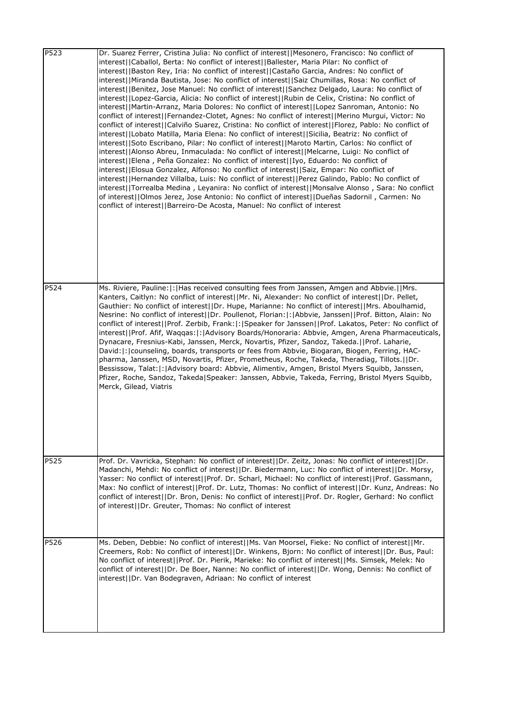| P523 | Dr. Suarez Ferrer, Cristina Julia: No conflict of interest  Mesonero, Francisco: No conflict of<br>interest  Caballol, Berta: No conflict of interest  Ballester, Maria Pilar: No conflict of<br>interest  Baston Rey, Iria: No conflict of interest  Castaño Garcia, Andres: No conflict of<br>interest  Miranda Bautista, Jose: No conflict of interest  Saiz Chumillas, Rosa: No conflict of<br>interest  Benitez, Jose Manuel: No conflict of interest  Sanchez Delgado, Laura: No conflict of<br>interest  Lopez-Garcia, Alicia: No conflict of interest  Rubin de Celix, Cristina: No conflict of<br>interest  Martin-Arranz, Maria Dolores: No conflict of interest  Lopez Sanroman, Antonio: No<br>conflict of interest  Fernandez-Clotet, Agnes: No conflict of interest  Merino Murgui, Victor: No<br>conflict of interest  Calviño Suarez, Cristina: No conflict of interest  Florez, Pablo: No conflict of<br>interest  Lobato Matilla, Maria Elena: No conflict of interest  Sicilia, Beatriz: No conflict of<br>interest  Soto Escribano, Pilar: No conflict of interest  Maroto Martin, Carlos: No conflict of<br>interest  Alonso Abreu, Inmaculada: No conflict of interest  Melcarne, Luigi: No conflict of<br> interest  Elena, Peña Gonzalez: No conflict of interest  Iyo, Eduardo: No conflict of<br>interest  Elosua Gonzalez, Alfonso: No conflict of interest  Saiz, Empar: No conflict of<br>interest  Hernandez Villalba, Luis: No conflict of interest  Perez Galindo, Pablo: No conflict of<br>interest  Torrealba Medina, Leyanira: No conflict of interest  Monsalve Alonso, Sara: No conflict<br>of interest  Olmos Jerez, Jose Antonio: No conflict of interest  Dueñas Sadornil, Carmen: No<br>conflict of interest  Barreiro-De Acosta, Manuel: No conflict of interest |
|------|------------------------------------------------------------------------------------------------------------------------------------------------------------------------------------------------------------------------------------------------------------------------------------------------------------------------------------------------------------------------------------------------------------------------------------------------------------------------------------------------------------------------------------------------------------------------------------------------------------------------------------------------------------------------------------------------------------------------------------------------------------------------------------------------------------------------------------------------------------------------------------------------------------------------------------------------------------------------------------------------------------------------------------------------------------------------------------------------------------------------------------------------------------------------------------------------------------------------------------------------------------------------------------------------------------------------------------------------------------------------------------------------------------------------------------------------------------------------------------------------------------------------------------------------------------------------------------------------------------------------------------------------------------------------------------------------------------------------------------------------------------------------------------------------------------|
| P524 | Ms. Riviere, Pauline:  :  Has received consulting fees from Janssen, Amgen and Abbvie.   Mrs.<br>Kanters, Caitlyn: No conflict of interest  Mr. Ni, Alexander: No conflict of interest  Dr. Pellet,<br>Gauthier: No conflict of interest  Dr. Hupe, Marianne: No conflict of interest  Mrs. Aboulhamid,<br>Nesrine: No conflict of interest  Dr. Poullenot, Florian: : Abbvie, Janssen  Prof. Bitton, Alain: No<br>conflict of interest  Prof. Zerbib, Frank: : Speaker for Janssen  Prof. Lakatos, Peter: No conflict of<br>interest  Prof. Afif, Waqqas: : Advisory Boards/Honoraria: Abbvie, Amgen, Arena Pharmaceuticals,<br>Dynacare, Fresnius-Kabi, Janssen, Merck, Novartis, Pfizer, Sandoz, Takeda.  Prof. Laharie,<br>David:  :   counseling, boards, transports or fees from Abbvie, Biogaran, Biogen, Ferring, HAC-<br>pharma, Janssen, MSD, Novartis, Pfizer, Prometheus, Roche, Takeda, Theradiag, Tillots.  Dr.<br>Bessissow, Talat:  :   Advisory board: Abbvie, Alimentiv, Amgen, Bristol Myers Squibb, Janssen,<br>Pfizer, Roche, Sandoz, Takeda Speaker: Janssen, Abbvie, Takeda, Ferring, Bristol Myers Squibb,<br>Merck, Gilead, Viatris                                                                                                                                                                                                                                                                                                                                                                                                                                                                                                                                                                                                                                               |
| P525 | Prof. Dr. Vavricka, Stephan: No conflict of interest  Dr. Zeitz, Jonas: No conflict of interest  Dr.<br>Madanchi, Mehdi: No conflict of interest  Dr. Biedermann, Luc: No conflict of interest  Dr. Morsy,<br>Yasser: No conflict of interest  Prof. Dr. Scharl, Michael: No conflict of interest  Prof. Gassmann,<br>Max: No conflict of interest  Prof. Dr. Lutz, Thomas: No conflict of interest  Dr. Kunz, Andreas: No<br>conflict of interest  Dr. Bron, Denis: No conflict of interest  Prof. Dr. Rogler, Gerhard: No conflict<br>of interest  Dr. Greuter, Thomas: No conflict of interest                                                                                                                                                                                                                                                                                                                                                                                                                                                                                                                                                                                                                                                                                                                                                                                                                                                                                                                                                                                                                                                                                                                                                                                                          |
| P526 | Ms. Deben, Debbie: No conflict of interest  Ms. Van Moorsel, Fieke: No conflict of interest  Mr.<br>Creemers, Rob: No conflict of interest  Dr. Winkens, Bjorn: No conflict of interest  Dr. Bus, Paul:<br>No conflict of interest  Prof. Dr. Pierik, Marieke: No conflict of interest  Ms. Simsek, Melek: No<br>conflict of interest  Dr. De Boer, Nanne: No conflict of interest  Dr. Wong, Dennis: No conflict of<br>interest  Dr. Van Bodegraven, Adriaan: No conflict of interest                                                                                                                                                                                                                                                                                                                                                                                                                                                                                                                                                                                                                                                                                                                                                                                                                                                                                                                                                                                                                                                                                                                                                                                                                                                                                                                     |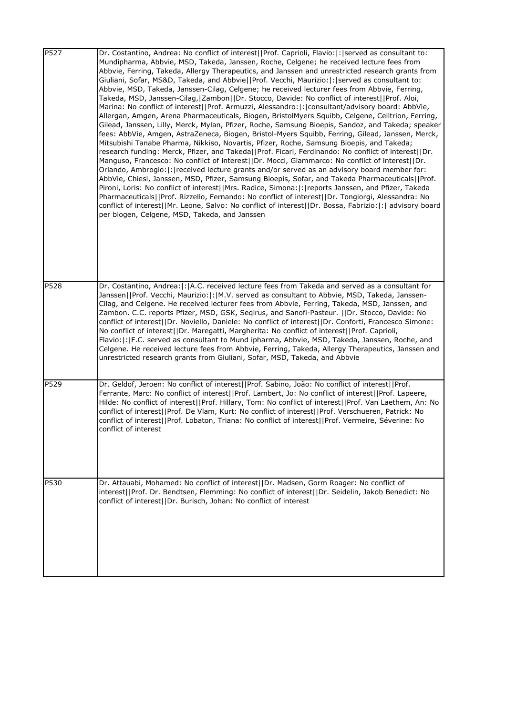| P527 | Dr. Costantino, Andrea: No conflict of interest  Prof. Caprioli, Flavio: : served as consultant to:<br>Mundipharma, Abbvie, MSD, Takeda, Janssen, Roche, Celgene; he received lecture fees from<br>Abbvie, Ferring, Takeda, Allergy Therapeutics, and Janssen and unrestricted research grants from<br>Giuliani, Sofar, MS&D, Takeda, and Abbvie  Prof. Vecchi, Maurizio: : served as consultant to:<br>Abbvie, MSD, Takeda, Janssen-Cilag, Celgene; he received lecturer fees from Abbvie, Ferring,<br>Takeda, MSD, Janssen-Cilag,   Zambon  Dr. Stocco, Davide: No conflict of interest  Prof. Aloi,<br>Marina: No conflict of interest  Prof. Armuzzi, Alessandro: : consultant/advisory board: AbbVie,<br>Allergan, Amgen, Arena Pharmaceuticals, Biogen, BristolMyers Squibb, Celgene, Celltrion, Ferring,<br>Gilead, Janssen, Lilly, Merck, Mylan, Pfizer, Roche, Samsung Bioepis, Sandoz, and Takeda; speaker<br>fees: AbbVie, Amgen, AstraZeneca, Biogen, Bristol-Myers Squibb, Ferring, Gilead, Janssen, Merck,<br>Mitsubishi Tanabe Pharma, Nikkiso, Novartis, Pfizer, Roche, Samsung Bioepis, and Takeda;<br>research funding: Merck, Pfizer, and Takeda  Prof. Ficari, Ferdinando: No conflict of interest  Dr.<br>Manguso, Francesco: No conflict of interest  Dr. Mocci, Giammarco: No conflict of interest  Dr.<br>Orlando, Ambrogio:  :   received lecture grants and/or served as an advisory board member for:<br>AbbVie, Chiesi, Janssen, MSD, Pfizer, Samsung Bioepis, Sofar, and Takeda Pharmaceuticals  Prof.<br>Pironi, Loris: No conflict of interest  Mrs. Radice, Simona: : reports Janssen, and Pfizer, Takeda<br>Pharmaceuticals  Prof. Rizzello, Fernando: No conflict of interest  Dr. Tongiorgi, Alessandra: No<br>conflict of interest  Mr. Leone, Salvo: No conflict of interest  Dr. Bossa, Fabrizio: :  advisory board<br>per biogen, Celgene, MSD, Takeda, and Janssen |
|------|------------------------------------------------------------------------------------------------------------------------------------------------------------------------------------------------------------------------------------------------------------------------------------------------------------------------------------------------------------------------------------------------------------------------------------------------------------------------------------------------------------------------------------------------------------------------------------------------------------------------------------------------------------------------------------------------------------------------------------------------------------------------------------------------------------------------------------------------------------------------------------------------------------------------------------------------------------------------------------------------------------------------------------------------------------------------------------------------------------------------------------------------------------------------------------------------------------------------------------------------------------------------------------------------------------------------------------------------------------------------------------------------------------------------------------------------------------------------------------------------------------------------------------------------------------------------------------------------------------------------------------------------------------------------------------------------------------------------------------------------------------------------------------------------------------------------------------------------------------------------------------------------------------|
| P528 | Dr. Costantino, Andrea:  :   A.C. received lecture fees from Takeda and served as a consultant for<br>Janssen  Prof. Vecchi, Maurizio: : M.V. served as consultant to Abbvie, MSD, Takeda, Janssen-<br>Cilag, and Celgene. He received lecturer fees from Abbvie, Ferring, Takeda, MSD, Janssen, and<br>Zambon. C.C. reports Pfizer, MSD, GSK, Seqirus, and Sanofi-Pasteur.   Dr. Stocco, Davide: No<br>conflict of interest  Dr. Noviello, Daniele: No conflict of interest  Dr. Conforti, Francesco Simone:<br>No conflict of interest  Dr. Maregatti, Margherita: No conflict of interest  Prof. Caprioli,<br>Flavio: : F.C. served as consultant to Mund ipharma, Abbvie, MSD, Takeda, Janssen, Roche, and<br>Celgene. He received lecture fees from Abbvie, Ferring, Takeda, Allergy Therapeutics, Janssen and<br>unrestricted research grants from Giuliani, Sofar, MSD, Takeda, and Abbvie                                                                                                                                                                                                                                                                                                                                                                                                                                                                                                                                                                                                                                                                                                                                                                                                                                                                                                                                                                                                          |
| P529 | Dr. Geldof, Jeroen: No conflict of interest  Prof. Sabino, João: No conflict of interest  Prof.<br>Ferrante, Marc: No conflict of interest  Prof. Lambert, Jo: No conflict of interest  Prof. Lapeere,<br>Hilde: No conflict of interest  Prof. Hillary, Tom: No conflict of interest  Prof. Van Laethem, An: No<br>conflict of interest  Prof. De Vlam, Kurt: No conflict of interest  Prof. Verschueren, Patrick: No<br>conflict of interest  Prof. Lobaton, Triana: No conflict of interest  Prof. Vermeire, Séverine: No<br>conflict of interest                                                                                                                                                                                                                                                                                                                                                                                                                                                                                                                                                                                                                                                                                                                                                                                                                                                                                                                                                                                                                                                                                                                                                                                                                                                                                                                                                       |
| P530 | Dr. Attauabi, Mohamed: No conflict of interest  Dr. Madsen, Gorm Roager: No conflict of<br>interest  Prof. Dr. Bendtsen, Flemming: No conflict of interest  Dr. Seidelin, Jakob Benedict: No<br>conflict of interest  Dr. Burisch, Johan: No conflict of interest                                                                                                                                                                                                                                                                                                                                                                                                                                                                                                                                                                                                                                                                                                                                                                                                                                                                                                                                                                                                                                                                                                                                                                                                                                                                                                                                                                                                                                                                                                                                                                                                                                          |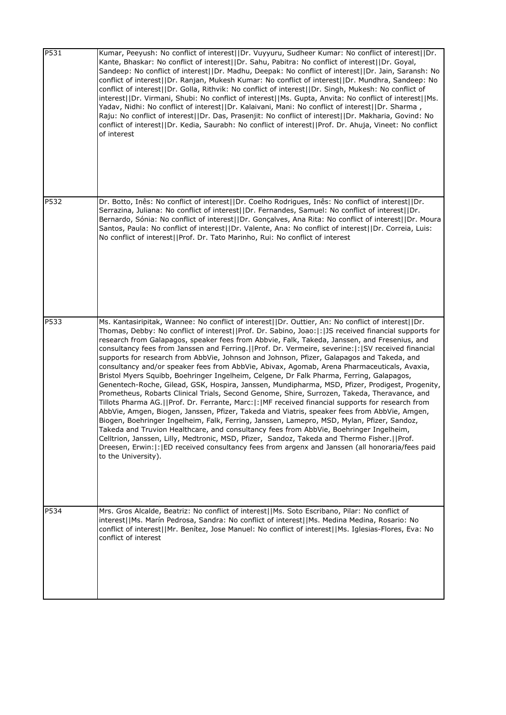| P531 | Kumar, Peeyush: No conflict of interest  Dr. Vuyyuru, Sudheer Kumar: No conflict of interest  Dr.<br>Kante, Bhaskar: No conflict of interest  Dr. Sahu, Pabitra: No conflict of interest  Dr. Goyal,<br>Sandeep: No conflict of interest  Dr. Madhu, Deepak: No conflict of interest  Dr. Jain, Saransh: No<br>conflict of interest  Dr. Ranjan, Mukesh Kumar: No conflict of interest  Dr. Mundhra, Sandeep: No<br>conflict of interest  Dr. Golla, Rithvik: No conflict of interest  Dr. Singh, Mukesh: No conflict of<br>interest  Dr. Virmani, Shubi: No conflict of interest  Ms. Gupta, Anvita: No conflict of interest  Ms.<br>Yadav, Nidhi: No conflict of interest  Dr. Kalaivani, Mani: No conflict of interest  Dr. Sharma,<br>Raju: No conflict of interest  Dr. Das, Prasenjit: No conflict of interest  Dr. Makharia, Govind: No<br>conflict of interest  Dr. Kedia, Saurabh: No conflict of interest  Prof. Dr. Ahuja, Vineet: No conflict<br>of interest                                                                                                                                                                                                                                                                                                                                                                                                                                                                                                                                                                 |
|------|------------------------------------------------------------------------------------------------------------------------------------------------------------------------------------------------------------------------------------------------------------------------------------------------------------------------------------------------------------------------------------------------------------------------------------------------------------------------------------------------------------------------------------------------------------------------------------------------------------------------------------------------------------------------------------------------------------------------------------------------------------------------------------------------------------------------------------------------------------------------------------------------------------------------------------------------------------------------------------------------------------------------------------------------------------------------------------------------------------------------------------------------------------------------------------------------------------------------------------------------------------------------------------------------------------------------------------------------------------------------------------------------------------------------------------------------------------------------------------------------------------------------------------------|
| P532 | Dr. Botto, Inês: No conflict of interest  Dr. Coelho Rodrigues, Inês: No conflict of interest  Dr.<br>Serrazina, Juliana: No conflict of interest  Dr. Fernandes, Samuel: No conflict of interest  Dr.<br>Bernardo, Sónia: No conflict of interest  Dr. Gonçalves, Ana Rita: No conflict of interest  Dr. Moura<br>Santos, Paula: No conflict of interest  Dr. Valente, Ana: No conflict of interest  Dr. Correia, Luis:<br>No conflict of interest  Prof. Dr. Tato Marinho, Rui: No conflict of interest                                                                                                                                                                                                                                                                                                                                                                                                                                                                                                                                                                                                                                                                                                                                                                                                                                                                                                                                                                                                                                |
| P533 | Ms. Kantasiripitak, Wannee: No conflict of interest  Dr. Outtier, An: No conflict of interest  Dr.<br>Thomas, Debby: No conflict of interest  Prof. Dr. Sabino, Joao: : JS received financial supports for<br>research from Galapagos, speaker fees from Abbvie, Falk, Takeda, Janssen, and Fresenius, and<br>consultancy fees from Janssen and Ferring.     Prof. Dr. Vermeire, severine:   :   SV received financial<br>supports for research from AbbVie, Johnson and Johnson, Pfizer, Galapagos and Takeda, and<br>consultancy and/or speaker fees from AbbVie, Abivax, Agomab, Arena Pharmaceuticals, Avaxia,<br>Bristol Myers Squibb, Boehringer Ingelheim, Celgene, Dr Falk Pharma, Ferring, Galapagos,<br>Genentech-Roche, Gilead, GSK, Hospira, Janssen, Mundipharma, MSD, Pfizer, Prodigest, Progenity,<br>Prometheus, Robarts Clinical Trials, Second Genome, Shire, Surrozen, Takeda, Theravance, and<br>Tillots Pharma AG.  Prof. Dr. Ferrante, Marc: : MF received financial supports for research from<br>AbbVie, Amgen, Biogen, Janssen, Pfizer, Takeda and Viatris, speaker fees from AbbVie, Amgen,<br>Biogen, Boehringer Ingelheim, Falk, Ferring, Janssen, Lamepro, MSD, Mylan, Pfizer, Sandoz,<br>Takeda and Truvion Healthcare, and consultancy fees from AbbVie, Boehringer Ingelheim,<br>Celltrion, Janssen, Lilly, Medtronic, MSD, Pfizer, Sandoz, Takeda and Thermo Fisher.  Prof.<br>Dreesen, Erwin:  : [ED received consultancy fees from argenx and Janssen (all honoraria/fees paid<br>to the University). |
| P534 | Mrs. Gros Alcalde, Beatriz: No conflict of interest  Ms. Soto Escribano, Pilar: No conflict of<br>interest  Ms. Marín Pedrosa, Sandra: No conflict of interest  Ms. Medina Medina, Rosario: No<br>conflict of interest  Mr. Benítez, Jose Manuel: No conflict of interest  Ms. Iglesias-Flores, Eva: No<br>conflict of interest                                                                                                                                                                                                                                                                                                                                                                                                                                                                                                                                                                                                                                                                                                                                                                                                                                                                                                                                                                                                                                                                                                                                                                                                          |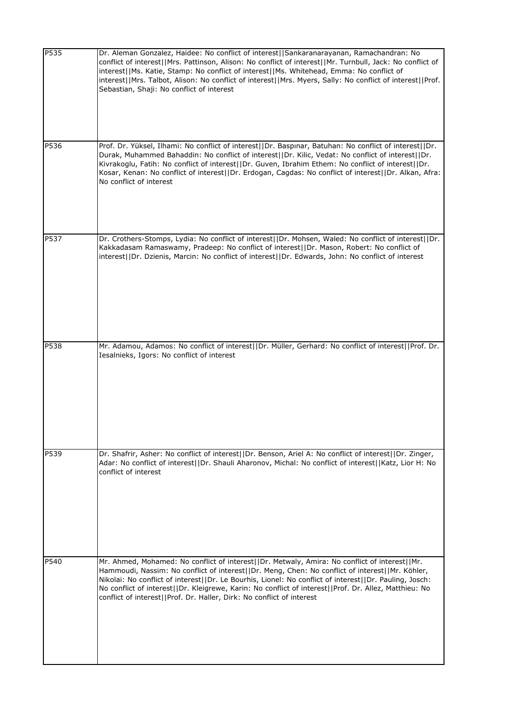| P535 | Dr. Aleman Gonzalez, Haidee: No conflict of interest  Sankaranarayanan, Ramachandran: No<br>conflict of interest  Mrs. Pattinson, Alison: No conflict of interest  Mr. Turnbull, Jack: No conflict of<br>interest  Ms. Katie, Stamp: No conflict of interest  Ms. Whitehead, Emma: No conflict of<br>interest  Mrs. Talbot, Alison: No conflict of interest  Mrs. Myers, Sally: No conflict of interest  Prof.<br>Sebastian, Shaji: No conflict of interest                                  |
|------|----------------------------------------------------------------------------------------------------------------------------------------------------------------------------------------------------------------------------------------------------------------------------------------------------------------------------------------------------------------------------------------------------------------------------------------------------------------------------------------------|
| P536 | Prof. Dr. Yüksel, Ilhami: No conflict of interest  Dr. Baspınar, Batuhan: No conflict of interest  Dr.<br>Durak, Muhammed Bahaddin: No conflict of interest  Dr. Kilic, Vedat: No conflict of interest  Dr.<br>Kivrakoglu, Fatih: No conflict of interest  Dr. Guven, Ibrahim Ethem: No conflict of interest  Dr.<br>Kosar, Kenan: No conflict of interest  Dr. Erdogan, Cagdas: No conflict of interest  Dr. Alkan, Afra:<br>No conflict of interest                                        |
| P537 | Dr. Crothers-Stomps, Lydia: No conflict of interest  Dr. Mohsen, Waled: No conflict of interest  Dr.<br>Kakkadasam Ramaswamy, Pradeep: No conflict of interest  Dr. Mason, Robert: No conflict of<br>interest  Dr. Dzienis, Marcin: No conflict of interest  Dr. Edwards, John: No conflict of interest                                                                                                                                                                                      |
| P538 | Mr. Adamou, Adamos: No conflict of interest  Dr. Müller, Gerhard: No conflict of interest  Prof. Dr.<br>Iesalnieks, Igors: No conflict of interest                                                                                                                                                                                                                                                                                                                                           |
| P539 | Dr. Shafrir, Asher: No conflict of interest  Dr. Benson, Ariel A: No conflict of interest  Dr. Zinger,<br>Adar: No conflict of interest  Dr. Shauli Aharonov, Michal: No conflict of interest  Katz, Lior H: No<br>conflict of interest                                                                                                                                                                                                                                                      |
| P540 | Mr. Ahmed, Mohamed: No conflict of interest  Dr. Metwaly, Amira: No conflict of interest  Mr.<br>Hammoudi, Nassim: No conflict of interest  Dr. Meng, Chen: No conflict of interest  Mr. Köhler,<br>Nikolai: No conflict of interest  Dr. Le Bourhis, Lionel: No conflict of interest  Dr. Pauling, Josch:<br>No conflict of interest  Dr. Kleigrewe, Karin: No conflict of interest  Prof. Dr. Allez, Matthieu: No<br>conflict of interest  Prof. Dr. Haller, Dirk: No conflict of interest |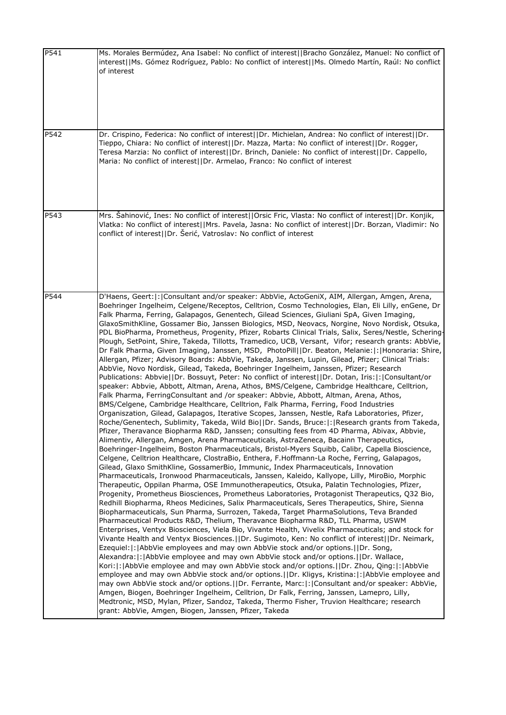| P541 | Ms. Morales Bermúdez, Ana Isabel: No conflict of interest  Bracho González, Manuel: No conflict of<br>interest  Ms. Gómez Rodríguez, Pablo: No conflict of interest  Ms. Olmedo Martín, Raúl: No conflict<br>of interest                                                                                                                                                                                                                                                                                                                                                                                                                                                                                                                                                                                                                                                                                                                                                                                                                                                                                                                                                                                                                                                                                                                                                                                                                                                                                                                                                                                                                                                                                                                                                                                                                                                                                                                                                                                                                                                                                                                                                                                                                                                                                                                                                                                                                                                                                                                                                                                                                                                                                                                                                                                                                                                                                                                                                                                                                                                                                                                                                                                                                                                                                                                                                                                                                                                                                                                          |
|------|---------------------------------------------------------------------------------------------------------------------------------------------------------------------------------------------------------------------------------------------------------------------------------------------------------------------------------------------------------------------------------------------------------------------------------------------------------------------------------------------------------------------------------------------------------------------------------------------------------------------------------------------------------------------------------------------------------------------------------------------------------------------------------------------------------------------------------------------------------------------------------------------------------------------------------------------------------------------------------------------------------------------------------------------------------------------------------------------------------------------------------------------------------------------------------------------------------------------------------------------------------------------------------------------------------------------------------------------------------------------------------------------------------------------------------------------------------------------------------------------------------------------------------------------------------------------------------------------------------------------------------------------------------------------------------------------------------------------------------------------------------------------------------------------------------------------------------------------------------------------------------------------------------------------------------------------------------------------------------------------------------------------------------------------------------------------------------------------------------------------------------------------------------------------------------------------------------------------------------------------------------------------------------------------------------------------------------------------------------------------------------------------------------------------------------------------------------------------------------------------------------------------------------------------------------------------------------------------------------------------------------------------------------------------------------------------------------------------------------------------------------------------------------------------------------------------------------------------------------------------------------------------------------------------------------------------------------------------------------------------------------------------------------------------------------------------------------------------------------------------------------------------------------------------------------------------------------------------------------------------------------------------------------------------------------------------------------------------------------------------------------------------------------------------------------------------------------------------------------------------------------------------------------------------------|
| P542 | Dr. Crispino, Federica: No conflict of interest  Dr. Michielan, Andrea: No conflict of interest  Dr.<br>Tieppo, Chiara: No conflict of interest  Dr. Mazza, Marta: No conflict of interest  Dr. Rogger,<br>Teresa Marzia: No conflict of interest  Dr. Brinch, Daniele: No conflict of interest  Dr. Cappello,<br>Maria: No conflict of interest  Dr. Armelao, Franco: No conflict of interest                                                                                                                                                                                                                                                                                                                                                                                                                                                                                                                                                                                                                                                                                                                                                                                                                                                                                                                                                                                                                                                                                                                                                                                                                                                                                                                                                                                                                                                                                                                                                                                                                                                                                                                                                                                                                                                                                                                                                                                                                                                                                                                                                                                                                                                                                                                                                                                                                                                                                                                                                                                                                                                                                                                                                                                                                                                                                                                                                                                                                                                                                                                                                    |
| P543 | Mrs. Šahinović, Ines: No conflict of interest  Orsic Fric, Vlasta: No conflict of interest  Dr. Konjik,<br>Vlatka: No conflict of interest  Mrs. Pavela, Jasna: No conflict of interest  Dr. Borzan, Vladimir: No<br>conflict of interest  Dr. Šerić, Vatroslav: No conflict of interest                                                                                                                                                                                                                                                                                                                                                                                                                                                                                                                                                                                                                                                                                                                                                                                                                                                                                                                                                                                                                                                                                                                                                                                                                                                                                                                                                                                                                                                                                                                                                                                                                                                                                                                                                                                                                                                                                                                                                                                                                                                                                                                                                                                                                                                                                                                                                                                                                                                                                                                                                                                                                                                                                                                                                                                                                                                                                                                                                                                                                                                                                                                                                                                                                                                          |
| P544 | D'Haens, Geert:  :   Consultant and/or speaker: AbbVie, ActoGeniX, AIM, Allergan, Amgen, Arena,<br>Boehringer Ingelheim, Celgene/Receptos, Celltrion, Cosmo Technologies, Elan, Eli Lilly, enGene, Dr<br>Falk Pharma, Ferring, Galapagos, Genentech, Gilead Sciences, Giuliani SpA, Given Imaging,<br>GlaxoSmithKline, Gossamer Bio, Janssen Biologics, MSD, Neovacs, Norgine, Novo Nordisk, Otsuka,<br>PDL BioPharma, Prometheus, Progenity, Pfizer, Robarts Clinical Trials, Salix, Seres/Nestle, Schering<br>Plough, SetPoint, Shire, Takeda, Tillotts, Tramedico, UCB, Versant, Vifor; research grants: AbbVie,<br>Dr Falk Pharma, Given Imaging, Janssen, MSD, PhotoPill  Dr. Beaton, Melanie: : Honoraria: Shire,<br>Allergan, Pfizer; Advisory Boards: AbbVie, Takeda, Janssen, Lupin, Gilead, Pfizer; Clinical Trials:<br>AbbVie, Novo Nordisk, Gilead, Takeda, Boehringer Ingelheim, Janssen, Pfizer; Research<br>Publications: Abbvie  Dr. Bossuyt, Peter: No conflict of interest  Dr. Dotan, Iris: : Consultant/or<br>speaker: Abbvie, Abbott, Altman, Arena, Athos, BMS/Celgene, Cambridge Healthcare, Celltrion,<br>Falk Pharma, FerringConsultant and /or speaker: Abbvie, Abbott, Altman, Arena, Athos,<br>BMS/Celgene, Cambridge Healthcare, Celltrion, Falk Pharma, Ferring, Food Industries<br>Organiszation, Gilead, Galapagos, Iterative Scopes, Janssen, Nestle, Rafa Laboratories, Pfizer,<br>Roche/Genentech, Sublimity, Takeda, Wild Bio  Dr. Sands, Bruce: : Research grants from Takeda,<br>Pfizer, Theravance Biopharma R&D, Janssen; consulting fees from 4D Pharma, Abivax, Abbvie,<br>Alimentiv, Allergan, Amgen, Arena Pharmaceuticals, AstraZeneca, Bacainn Therapeutics,<br>Boehringer-Ingelheim, Boston Pharmaceuticals, Bristol-Myers Squibb, Calibr, Capella Bioscience,<br>Celgene, Celltrion Healthcare, ClostraBio, Enthera, F.Hoffmann-La Roche, Ferring, Galapagos,<br>Gilead, Glaxo SmithKline, GossamerBio, Immunic, Index Pharmaceuticals, Innovation<br>Pharmaceuticals, Ironwood Pharmaceuticals, Janssen, Kaleido, Kallyope, Lilly, MiroBio, Morphic<br>Therapeutic, Oppilan Pharma, OSE Immunotherapeutics, Otsuka, Palatin Technologies, Pfizer,<br>Progenity, Prometheus Biosciences, Prometheus Laboratories, Protagonist Therapeutics, Q32 Bio,<br>Redhill Biopharma, Rheos Medicines, Salix Pharmaceuticals, Seres Therapeutics, Shire, Sienna<br>Biopharmaceuticals, Sun Pharma, Surrozen, Takeda, Target PharmaSolutions, Teva Branded<br>Pharmaceutical Products R&D, Thelium, Theravance Biopharma R&D, TLL Pharma, USWM<br>Enterprises, Ventyx Biosciences, Viela Bio, Vivante Health, Vivelix Pharmaceuticals; and stock for<br>Vivante Health and Ventyx Biosciences.     Dr. Sugimoto, Ken: No conflict of interest     Dr. Neimark,<br>Ezequiel:   :   AbbVie employees and may own AbbVie stock and/or options.     Dr. Song,<br>Alexandra:  :   AbbVie employee and may own AbbVie stock and/or options.     Dr. Wallace,<br>Kori: : AbbVie employee and may own AbbVie stock and/or options.  Dr. Zhou, Qing: : AbbVie<br>employee and may own AbbVie stock and/or options.  Dr. Kligys, Kristina: : AbbVie employee and<br>may own AbbVie stock and/or options.  Dr. Ferrante, Marc: : Consultant and/or speaker: AbbVie,<br>Amgen, Biogen, Boehringer Ingelheim, Celltrion, Dr Falk, Ferring, Janssen, Lamepro, Lilly,<br>Medtronic, MSD, Mylan, Pfizer, Sandoz, Takeda, Thermo Fisher, Truvion Healthcare; research<br>grant: AbbVie, Amgen, Biogen, Janssen, Pfizer, Takeda |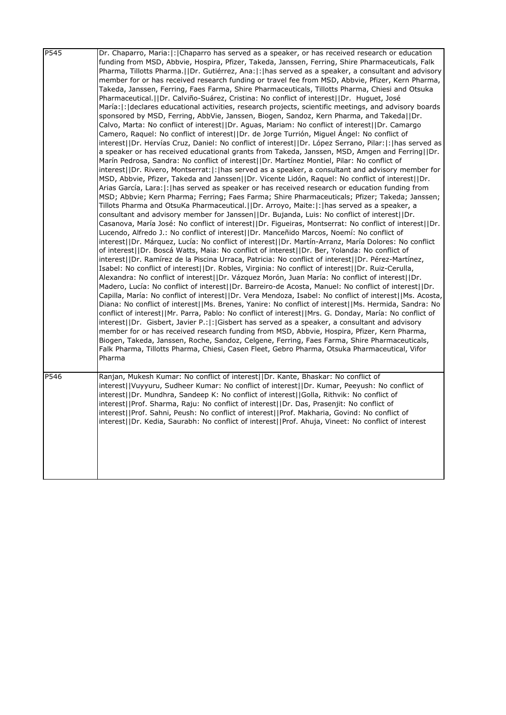| P545 | Dr. Chaparro, Maria:  :   Chaparro has served as a speaker, or has received research or education<br>funding from MSD, Abbvie, Hospira, Pfizer, Takeda, Janssen, Ferring, Shire Pharmaceuticals, Falk<br>Pharma, Tillotts Pharma.  Dr. Gutiérrez, Ana: : has served as a speaker, a consultant and advisory<br>member for or has received research funding or travel fee from MSD, Abbvie, Pfizer, Kern Pharma,<br>Takeda, Janssen, Ferring, Faes Farma, Shire Pharmaceuticals, Tillotts Pharma, Chiesi and Otsuka<br>Pharmaceutical.   Dr. Calviño-Suárez, Cristina: No conflict of interest    Dr. Huguet, José<br>María:  :   declares educational activities, research projects, scientific meetings, and advisory boards<br>sponsored by MSD, Ferring, AbbVie, Janssen, Biogen, Sandoz, Kern Pharma, and Takeda  Dr.<br>Calvo, Marta: No conflict of interest  Dr. Aguas, Mariam: No conflict of interest  Dr. Camargo<br>Camero, Raquel: No conflict of interest  Dr. de Jorge Turrión, Miguel Ángel: No conflict of<br>interest  Dr. Hervías Cruz, Daniel: No conflict of interest  Dr. López Serrano, Pilar: :  has served as<br>a speaker or has received educational grants from Takeda, Janssen, MSD, Amgen and Ferring  Dr.<br>Marín Pedrosa, Sandra: No conflict of interest  Dr. Martínez Montiel, Pilar: No conflict of<br>interest  Dr. Rivero, Montserrat: : has served as a speaker, a consultant and advisory member for<br>MSD, Abbvie, Pfizer, Takeda and Janssen  Dr. Vicente Lidón, Raquel: No conflict of interest  Dr.<br>Arias García, Lara: : has served as speaker or has received research or education funding from<br>MSD; Abbvie; Kern Pharma; Ferring; Faes Farma; Shire Pharmaceuticals; Pfizer; Takeda; Janssen;<br>Tillots Pharma and OtsuKa Pharmaceutical.  Dr. Arroyo, Maite: : has served as a speaker, a<br>consultant and advisory member for Janssen  Dr. Bujanda, Luis: No conflict of interest  Dr.<br>Casanova, María José: No conflict of interest  Dr. Figueiras, Montserrat: No conflict of interest  Dr.<br>Lucendo, Alfredo J.: No conflict of interest  Dr. Manceñido Marcos, Noemí: No conflict of<br>interest  Dr. Márquez, Lucía: No conflict of interest  Dr. Martín-Arranz, María Dolores: No conflict<br>of interest  Dr. Boscá Watts, Maia: No conflict of interest  Dr. Ber, Yolanda: No conflict of<br>interest  Dr. Ramírez de la Piscina Urraca, Patricia: No conflict of interest  Dr. Pérez-Martínez,<br>Isabel: No conflict of interest  Dr. Robles, Virginia: No conflict of interest  Dr. Ruiz-Cerulla,<br>Alexandra: No conflict of interest  Dr. Vázquez Morón, Juan María: No conflict of interest  Dr.<br>Madero, Lucía: No conflict of interest  Dr. Barreiro-de Acosta, Manuel: No conflict of interest  Dr.<br>Capilla, María: No conflict of interest  Dr. Vera Mendoza, Isabel: No conflict of interest  Ms. Acosta,<br>Diana: No conflict of interest  Ms. Brenes, Yanire: No conflict of interest  Ms. Hermida, Sandra: No<br>conflict of interest  Mr. Parra, Pablo: No conflict of interest  Mrs. G. Donday, María: No conflict of<br>interest  Dr. Gisbert, Javier P.: : Gisbert has served as a speaker, a consultant and advisory<br>member for or has received research funding from MSD, Abbvie, Hospira, Pfizer, Kern Pharma,<br>Biogen, Takeda, Janssen, Roche, Sandoz, Celgene, Ferring, Faes Farma, Shire Pharmaceuticals,<br>Falk Pharma, Tillotts Pharma, Chiesi, Casen Fleet, Gebro Pharma, Otsuka Pharmaceutical, Vifor<br>Pharma |
|------|---------------------------------------------------------------------------------------------------------------------------------------------------------------------------------------------------------------------------------------------------------------------------------------------------------------------------------------------------------------------------------------------------------------------------------------------------------------------------------------------------------------------------------------------------------------------------------------------------------------------------------------------------------------------------------------------------------------------------------------------------------------------------------------------------------------------------------------------------------------------------------------------------------------------------------------------------------------------------------------------------------------------------------------------------------------------------------------------------------------------------------------------------------------------------------------------------------------------------------------------------------------------------------------------------------------------------------------------------------------------------------------------------------------------------------------------------------------------------------------------------------------------------------------------------------------------------------------------------------------------------------------------------------------------------------------------------------------------------------------------------------------------------------------------------------------------------------------------------------------------------------------------------------------------------------------------------------------------------------------------------------------------------------------------------------------------------------------------------------------------------------------------------------------------------------------------------------------------------------------------------------------------------------------------------------------------------------------------------------------------------------------------------------------------------------------------------------------------------------------------------------------------------------------------------------------------------------------------------------------------------------------------------------------------------------------------------------------------------------------------------------------------------------------------------------------------------------------------------------------------------------------------------------------------------------------------------------------------------------------------------------------------------------------------------------------------------------------------------------------------------------------------------------------------------------------------------------------------------------------------------------------------------------------------------------------------------------------------------------------------------------------------------------------------------------------------------------------------------------------------------------------------------------|
| P546 | Ranjan, Mukesh Kumar: No conflict of interest  Dr. Kante, Bhaskar: No conflict of<br>interest  Vuyyuru, Sudheer Kumar: No conflict of interest  Dr. Kumar, Peeyush: No conflict of<br>interest  Dr. Mundhra, Sandeep K: No conflict of interest  Golla, Rithvik: No conflict of<br>interest  Prof. Sharma, Raju: No conflict of interest  Dr. Das, Prasenjit: No conflict of<br>interest  Prof. Sahni, Peush: No conflict of interest  Prof. Makharia, Govind: No conflict of<br>interest  Dr. Kedia, Saurabh: No conflict of interest  Prof. Ahuja, Vineet: No conflict of interest                                                                                                                                                                                                                                                                                                                                                                                                                                                                                                                                                                                                                                                                                                                                                                                                                                                                                                                                                                                                                                                                                                                                                                                                                                                                                                                                                                                                                                                                                                                                                                                                                                                                                                                                                                                                                                                                                                                                                                                                                                                                                                                                                                                                                                                                                                                                                                                                                                                                                                                                                                                                                                                                                                                                                                                                                                                                                                                                            |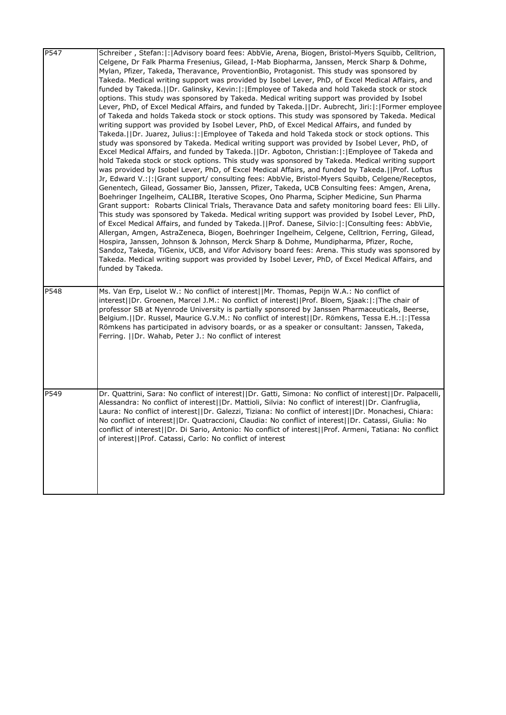| P547 | Schreiber, Stefan:  :   Advisory board fees: AbbVie, Arena, Biogen, Bristol-Myers Squibb, Celltrion,<br>Celgene, Dr Falk Pharma Fresenius, Gilead, I-Mab Biopharma, Janssen, Merck Sharp & Dohme,<br>Mylan, Pfizer, Takeda, Theravance, ProventionBio, Protagonist. This study was sponsored by<br>Takeda. Medical writing support was provided by Isobel Lever, PhD, of Excel Medical Affairs, and<br>funded by Takeda.  Dr. Galinsky, Kevin: : Employee of Takeda and hold Takeda stock or stock<br>options. This study was sponsored by Takeda. Medical writing support was provided by Isobel<br>Lever, PhD, of Excel Medical Affairs, and funded by Takeda.     Dr. Aubrecht, Jiri:   :   Former employee<br>of Takeda and holds Takeda stock or stock options. This study was sponsored by Takeda. Medical<br>writing support was provided by Isobel Lever, PhD, of Excel Medical Affairs, and funded by<br>Takeda.   Dr. Juarez, Julius:   :   Employee of Takeda and hold Takeda stock or stock options. This<br>study was sponsored by Takeda. Medical writing support was provided by Isobel Lever, PhD, of<br>Excel Medical Affairs, and funded by Takeda.  Dr. Agboton, Christian: : Employee of Takeda and<br>hold Takeda stock or stock options. This study was sponsored by Takeda. Medical writing support<br>was provided by Isobel Lever, PhD, of Excel Medical Affairs, and funded by Takeda.     Prof. Loftus<br>Jr, Edward V.:  :   Grant support/ consulting fees: AbbVie, Bristol-Myers Squibb, Celgene/Receptos,<br>Genentech, Gilead, Gossamer Bio, Janssen, Pfizer, Takeda, UCB Consulting fees: Amgen, Arena,<br>Boehringer Ingelheim, CALIBR, Iterative Scopes, Ono Pharma, Scipher Medicine, Sun Pharma<br>Grant support: Robarts Clinical Trials, Theravance Data and safety monitoring board fees: Eli Lilly.<br>This study was sponsored by Takeda. Medical writing support was provided by Isobel Lever, PhD,<br>of Excel Medical Affairs, and funded by Takeda.   Prof. Danese, Silvio:   :   Consulting fees: AbbVie,<br>Allergan, Amgen, AstraZeneca, Biogen, Boehringer Ingelheim, Celgene, Celltrion, Ferring, Gilead,<br>Hospira, Janssen, Johnson & Johnson, Merck Sharp & Dohme, Mundipharma, Pfizer, Roche,<br>Sandoz, Takeda, TiGenix, UCB, and Vifor Advisory board fees: Arena. This study was sponsored by<br>Takeda. Medical writing support was provided by Isobel Lever, PhD, of Excel Medical Affairs, and<br>funded by Takeda. |
|------|-----------------------------------------------------------------------------------------------------------------------------------------------------------------------------------------------------------------------------------------------------------------------------------------------------------------------------------------------------------------------------------------------------------------------------------------------------------------------------------------------------------------------------------------------------------------------------------------------------------------------------------------------------------------------------------------------------------------------------------------------------------------------------------------------------------------------------------------------------------------------------------------------------------------------------------------------------------------------------------------------------------------------------------------------------------------------------------------------------------------------------------------------------------------------------------------------------------------------------------------------------------------------------------------------------------------------------------------------------------------------------------------------------------------------------------------------------------------------------------------------------------------------------------------------------------------------------------------------------------------------------------------------------------------------------------------------------------------------------------------------------------------------------------------------------------------------------------------------------------------------------------------------------------------------------------------------------------------------------------------------------------------------------------------------------------------------------------------------------------------------------------------------------------------------------------------------------------------------------------------------------------------------------------------------------------------------------------------------------------------------------------------------------------------------------------------------------------------------------------|
| P548 | Ms. Van Erp, Liselot W.: No conflict of interest  Mr. Thomas, Pepijn W.A.: No conflict of<br>interest  Dr. Groenen, Marcel J.M.: No conflict of interest  Prof. Bloem, Sjaak: : The chair of<br>professor SB at Nyenrode University is partially sponsored by Janssen Pharmaceuticals, Beerse,<br>Belgium.  Dr. Russel, Maurice G.V.M.: No conflict of interest  Dr. Römkens, Tessa E.H.: : Tessa<br>Römkens has participated in advisory boards, or as a speaker or consultant: Janssen, Takeda,<br>Ferring.   Dr. Wahab, Peter J.: No conflict of interest                                                                                                                                                                                                                                                                                                                                                                                                                                                                                                                                                                                                                                                                                                                                                                                                                                                                                                                                                                                                                                                                                                                                                                                                                                                                                                                                                                                                                                                                                                                                                                                                                                                                                                                                                                                                                                                                                                                      |
| P549 | Dr. Quattrini, Sara: No conflict of interest  Dr. Gatti, Simona: No conflict of interest  Dr. Palpacelli,<br>Alessandra: No conflict of interest  Dr. Mattioli, Silvia: No conflict of interest  Dr. Cianfruglia,<br>Laura: No conflict of interest  Dr. Galezzi, Tiziana: No conflict of interest  Dr. Monachesi, Chiara:<br>No conflict of interest  Dr. Quatraccioni, Claudia: No conflict of interest  Dr. Catassi, Giulia: No<br>conflict of interest  Dr. Di Sario, Antonio: No conflict of interest  Prof. Armeni, Tatiana: No conflict<br>of interest  Prof. Catassi, Carlo: No conflict of interest                                                                                                                                                                                                                                                                                                                                                                                                                                                                                                                                                                                                                                                                                                                                                                                                                                                                                                                                                                                                                                                                                                                                                                                                                                                                                                                                                                                                                                                                                                                                                                                                                                                                                                                                                                                                                                                                      |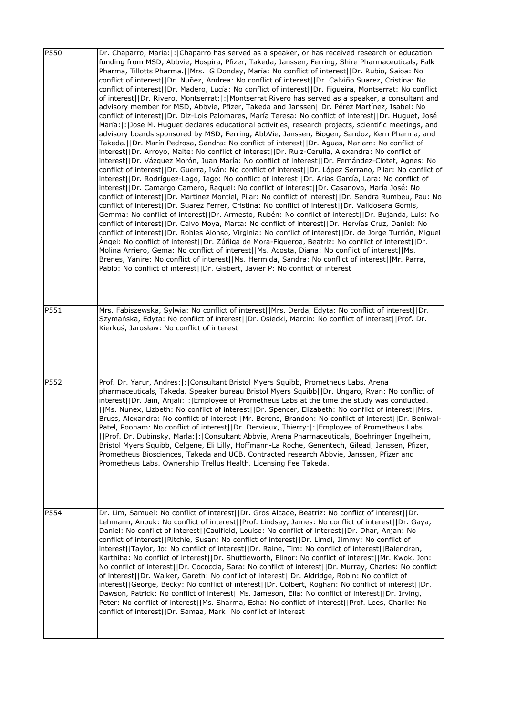| P550 | Dr. Chaparro, Maria:  :   Chaparro has served as a speaker, or has received research or education<br>funding from MSD, Abbvie, Hospira, Pfizer, Takeda, Janssen, Ferring, Shire Pharmaceuticals, Falk<br>Pharma, Tillotts Pharma.  Mrs. G Donday, María: No conflict of interest  Dr. Rubio, Saioa: No<br>conflict of interest  Dr. Nuñez, Andrea: No conflict of interest  Dr. Calviño Suarez, Cristina: No<br>conflict of interest  Dr. Madero, Lucía: No conflict of interest  Dr. Figueira, Montserrat: No conflict<br>of interest  Dr. Rivero, Montserrat: : Montserrat Rivero has served as a speaker, a consultant and<br>advisory member for MSD, Abbvie, Pfizer, Takeda and Janssen  Dr. Pérez Martínez, Isabel: No<br>conflict of interest  Dr. Diz-Lois Palomares, María Teresa: No conflict of interest  Dr. Huguet, José<br>María:  :  Jose M. Huguet declares educational activities, research projects, scientific meetings, and<br>advisory boards sponsored by MSD, Ferring, AbbVie, Janssen, Biogen, Sandoz, Kern Pharma, and<br>Takeda.  Dr. Marín Pedrosa, Sandra: No conflict of interest  Dr. Aguas, Mariam: No conflict of<br>interest  Dr. Arroyo, Maite: No conflict of interest  Dr. Ruiz-Cerulla, Alexandra: No conflict of<br>interest  Dr. Vázquez Morón, Juan María: No conflict of interest  Dr. Fernández-Clotet, Agnes: No<br>conflict of interest  Dr. Guerra, Iván: No conflict of interest  Dr. López Serrano, Pilar: No conflict of<br>interest  Dr. Rodríguez-Lago, Iago: No conflict of interest  Dr. Arias García, Lara: No conflict of<br>interest  Dr. Camargo Camero, Raquel: No conflict of interest  Dr. Casanova, María José: No<br>conflict of interest  Dr. Martínez Montiel, Pilar: No conflict of interest  Dr. Sendra Rumbeu, Pau: No<br>conflict of interest  Dr. Suarez Ferrer, Cristina: No conflict of interest  Dr. Valldosera Gomis,<br>Gemma: No conflict of interest  Dr. Armesto, Rubén: No conflict of interest  Dr. Bujanda, Luis: No<br>conflict of interest  Dr. Calvo Moya, Marta: No conflict of interest  Dr. Hervías Cruz, Daniel: No<br>conflict of interest  Dr. Robles Alonso, Virginia: No conflict of interest  Dr. de Jorge Turrión, Miguel<br>.Angel: No conflict of interest  Dr. Zúñiga de Mora-Figueroa, Beatriz: No conflict of interest  Dr.<br>Molina Arriero, Gema: No conflict of interest  Ms. Acosta, Diana: No conflict of interest  Ms.<br>Brenes, Yanire: No conflict of interest  Ms. Hermida, Sandra: No conflict of interest  Mr. Parra,<br>Pablo: No conflict of interest  Dr. Gisbert, Javier P: No conflict of interest |
|------|-----------------------------------------------------------------------------------------------------------------------------------------------------------------------------------------------------------------------------------------------------------------------------------------------------------------------------------------------------------------------------------------------------------------------------------------------------------------------------------------------------------------------------------------------------------------------------------------------------------------------------------------------------------------------------------------------------------------------------------------------------------------------------------------------------------------------------------------------------------------------------------------------------------------------------------------------------------------------------------------------------------------------------------------------------------------------------------------------------------------------------------------------------------------------------------------------------------------------------------------------------------------------------------------------------------------------------------------------------------------------------------------------------------------------------------------------------------------------------------------------------------------------------------------------------------------------------------------------------------------------------------------------------------------------------------------------------------------------------------------------------------------------------------------------------------------------------------------------------------------------------------------------------------------------------------------------------------------------------------------------------------------------------------------------------------------------------------------------------------------------------------------------------------------------------------------------------------------------------------------------------------------------------------------------------------------------------------------------------------------------------------------------------------------------------------------------------------------------------------------------------------------------------------------------------------------------------------------------------------------------|
| P551 | Mrs. Fabiszewska, Sylwia: No conflict of interest  Mrs. Derda, Edyta: No conflict of interest  Dr.<br>Szymańska, Edyta: No conflict of interest  Dr. Osiecki, Marcin: No conflict of interest  Prof. Dr.<br>Kierkuś, Jarosław: No conflict of interest                                                                                                                                                                                                                                                                                                                                                                                                                                                                                                                                                                                                                                                                                                                                                                                                                                                                                                                                                                                                                                                                                                                                                                                                                                                                                                                                                                                                                                                                                                                                                                                                                                                                                                                                                                                                                                                                                                                                                                                                                                                                                                                                                                                                                                                                                                                                                                |
| P552 | Prof. Dr. Yarur, Andres:  :   Consultant Bristol Myers Squibb, Prometheus Labs. Arena<br>pharmaceuticals, Takeda. Speaker bureau Bristol Myers Squibb  Dr. Ungaro, Ryan: No conflict of<br>interest  Dr. Jain, Anjali: : Employee of Prometheus Labs at the time the study was conducted.<br>  Ms. Nunex, Lizbeth: No conflict of interest  Dr. Spencer, Elizabeth: No conflict of interest  Mrs.<br>Bruss, Alexandra: No conflict of interest  Mr. Berens, Brandon: No conflict of interest  Dr. Beniwal-<br>Patel, Poonam: No conflict of interest  Dr. Dervieux, Thierry: : Employee of Prometheus Labs.<br>  Prof. Dr. Dubinsky, Marla: : Consultant Abbvie, Arena Pharmaceuticals, Boehringer Ingelheim,<br>Bristol Myers Squibb, Celgene, Eli Lilly, Hoffmann-La Roche, Genentech, Gilead, Janssen, Pfizer,<br>Prometheus Biosciences, Takeda and UCB. Contracted research Abbvie, Janssen, Pfizer and<br>Prometheus Labs. Ownership Trellus Health. Licensing Fee Takeda.                                                                                                                                                                                                                                                                                                                                                                                                                                                                                                                                                                                                                                                                                                                                                                                                                                                                                                                                                                                                                                                                                                                                                                                                                                                                                                                                                                                                                                                                                                                                                                                                                                      |
| P554 | Dr. Lim, Samuel: No conflict of interest  Dr. Gros Alcade, Beatriz: No conflict of interest  Dr.<br>Lehmann, Anouk: No conflict of interest  Prof. Lindsay, James: No conflict of interest  Dr. Gaya,<br>Daniel: No conflict of interest  Caulfield, Louise: No conflict of interest  Dr. Dhar, Anjan: No<br>conflict of interest  Ritchie, Susan: No conflict of interest  Dr. Limdi, Jimmy: No conflict of<br>interest  Taylor, Jo: No conflict of interest  Dr. Raine, Tim: No conflict of interest  Balendran,<br>Karthiha: No conflict of interest  Dr. Shuttleworth, Elinor: No conflict of interest  Mr. Kwok, Jon:<br>No conflict of interest  Dr. Cococcia, Sara: No conflict of interest  Dr. Murray, Charles: No conflict<br>of interest  Dr. Walker, Gareth: No conflict of interest  Dr. Aldridge, Robin: No conflict of<br>interest  George, Becky: No conflict of interest  Dr. Colbert, Roghan: No conflict of interest  Dr.<br>Dawson, Patrick: No conflict of interest  Ms. Jameson, Ella: No conflict of interest  Dr. Irving,<br>Peter: No conflict of interest  Ms. Sharma, Esha: No conflict of interest  Prof. Lees, Charlie: No<br>conflict of interest  Dr. Samaa, Mark: No conflict of interest                                                                                                                                                                                                                                                                                                                                                                                                                                                                                                                                                                                                                                                                                                                                                                                                                                                                                                                                                                                                                                                                                                                                                                                                                                                                                                                                                                                             |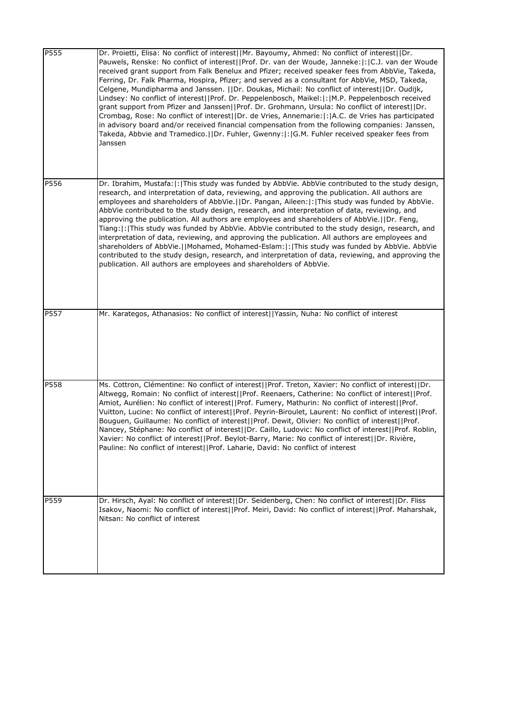| <b>P555</b> | Dr. Proietti, Elisa: No conflict of interest  Mr. Bayoumy, Ahmed: No conflict of interest  Dr.<br>Pauwels, Renske: No conflict of interest  Prof. Dr. van der Woude, Janneke: : C.J. van der Woude<br>received grant support from Falk Benelux and Pfizer; received speaker fees from AbbVie, Takeda,<br>Ferring, Dr. Falk Pharma, Hospira, Pfizer; and served as a consultant for AbbVie, MSD, Takeda,<br>Celgene, Mundipharma and Janssen.   Dr. Doukas, Michail: No conflict of interest  Dr. Oudijk,<br>Lindsey: No conflict of interest  Prof. Dr. Peppelenbosch, Maikel: : M.P. Peppelenbosch received<br>grant support from Pfizer and Janssen  Prof. Dr. Grohmann, Ursula: No conflict of interest  Dr.<br>Crombag, Rose: No conflict of interest  Dr. de Vries, Annemarie: : A.C. de Vries has participated<br>in advisory board and/or received financial compensation from the following companies: Janssen,<br>Takeda, Abbvie and Tramedico.  Dr. Fuhler, Gwenny: : G.M. Fuhler received speaker fees from<br>Janssen |
|-------------|-----------------------------------------------------------------------------------------------------------------------------------------------------------------------------------------------------------------------------------------------------------------------------------------------------------------------------------------------------------------------------------------------------------------------------------------------------------------------------------------------------------------------------------------------------------------------------------------------------------------------------------------------------------------------------------------------------------------------------------------------------------------------------------------------------------------------------------------------------------------------------------------------------------------------------------------------------------------------------------------------------------------------------------|
| P556        | Dr. Ibrahim, Mustafa: :  This study was funded by AbbVie. AbbVie contributed to the study design,<br>research, and interpretation of data, reviewing, and approving the publication. All authors are<br>employees and shareholders of AbbVie.  Dr. Pangan, Aileen: : This study was funded by AbbVie.<br>AbbVie contributed to the study design, research, and interpretation of data, reviewing, and<br>approving the publication. All authors are employees and shareholders of AbbVie. [IDr. Feng,<br>Tiang:  :  This study was funded by AbbVie. AbbVie contributed to the study design, research, and<br>interpretation of data, reviewing, and approving the publication. All authors are employees and<br>shareholders of AbbVie.  Mohamed, Mohamed-Eslam: :  This study was funded by AbbVie. AbbVie<br>contributed to the study design, research, and interpretation of data, reviewing, and approving the<br>publication. All authors are employees and shareholders of AbbVie.                                         |
| <b>P557</b> | Mr. Karategos, Athanasios: No conflict of interest  Yassin, Nuha: No conflict of interest                                                                                                                                                                                                                                                                                                                                                                                                                                                                                                                                                                                                                                                                                                                                                                                                                                                                                                                                         |
| P558        | Ms. Cottron, Clémentine: No conflict of interest  Prof. Treton, Xavier: No conflict of interest  Dr.<br>Altwegg, Romain: No conflict of interest  Prof. Reenaers, Catherine: No conflict of interest  Prof.<br>Amiot, Aurélien: No conflict of interest  Prof. Fumery, Mathurin: No conflict of interest  Prof.<br>Vuitton, Lucine: No conflict of interest  Prof. Peyrin-Biroulet, Laurent: No conflict of interest  Prof.<br>Bouguen, Guillaume: No conflict of interest  Prof. Dewit, Olivier: No conflict of interest  Prof.<br>Nancey, Stéphane: No conflict of interest  Dr. Caillo, Ludovic: No conflict of interest  Prof. Roblin,<br>Xavier: No conflict of interest  Prof. Beylot-Barry, Marie: No conflict of interest  Dr. Rivière,<br>Pauline: No conflict of interest  Prof. Laharie, David: No conflict of interest                                                                                                                                                                                                |
| P559        | Dr. Hirsch, Ayal: No conflict of interest  Dr. Seidenberg, Chen: No conflict of interest  Dr. Fliss<br>Isakov, Naomi: No conflict of interest  Prof. Meiri, David: No conflict of interest  Prof. Maharshak,<br>Nitsan: No conflict of interest                                                                                                                                                                                                                                                                                                                                                                                                                                                                                                                                                                                                                                                                                                                                                                                   |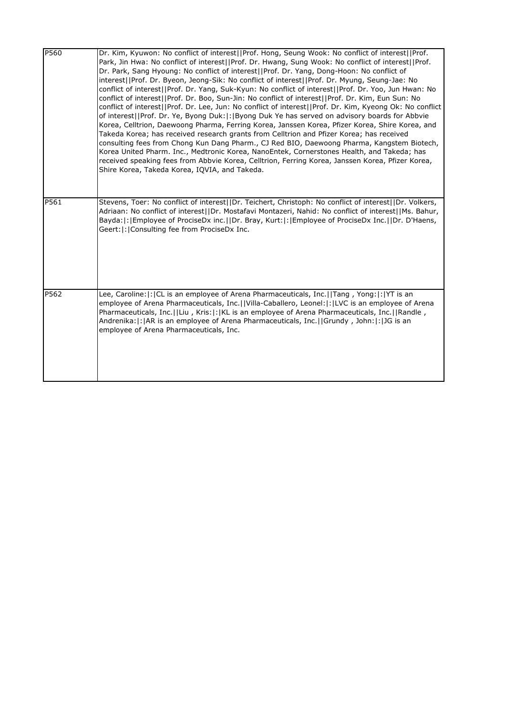| P560 | Dr. Kim, Kyuwon: No conflict of interest  Prof. Hong, Seung Wook: No conflict of interest  Prof.<br>Park, Jin Hwa: No conflict of interest  Prof. Dr. Hwang, Sung Wook: No conflict of interest  Prof.<br>Dr. Park, Sang Hyoung: No conflict of interest   Prof. Dr. Yang, Dong-Hoon: No conflict of<br>interest  Prof. Dr. Byeon, Jeong-Sik: No conflict of interest  Prof. Dr. Myung, Seung-Jae: No<br>conflict of interest  Prof. Dr. Yang, Suk-Kyun: No conflict of interest  Prof. Dr. Yoo, Jun Hwan: No<br>conflict of interest  Prof. Dr. Boo, Sun-Jin: No conflict of interest  Prof. Dr. Kim, Eun Sun: No<br>conflict of interest  Prof. Dr. Lee, Jun: No conflict of interest  Prof. Dr. Kim, Kyeong Ok: No conflict<br>of interest  Prof. Dr. Ye, Byong Duk: : Byong Duk Ye has served on advisory boards for Abbvie<br>Korea, Celltrion, Daewoong Pharma, Ferring Korea, Janssen Korea, Pfizer Korea, Shire Korea, and<br>Takeda Korea; has received research grants from Celltrion and Pfizer Korea; has received<br>consulting fees from Chong Kun Dang Pharm., CJ Red BIO, Daewoong Pharma, Kangstem Biotech,<br>Korea United Pharm. Inc., Medtronic Korea, NanoEntek, Cornerstones Health, and Takeda; has<br>received speaking fees from Abbvie Korea, Celltrion, Ferring Korea, Janssen Korea, Pfizer Korea,<br>Shire Korea, Takeda Korea, IQVIA, and Takeda. |
|------|---------------------------------------------------------------------------------------------------------------------------------------------------------------------------------------------------------------------------------------------------------------------------------------------------------------------------------------------------------------------------------------------------------------------------------------------------------------------------------------------------------------------------------------------------------------------------------------------------------------------------------------------------------------------------------------------------------------------------------------------------------------------------------------------------------------------------------------------------------------------------------------------------------------------------------------------------------------------------------------------------------------------------------------------------------------------------------------------------------------------------------------------------------------------------------------------------------------------------------------------------------------------------------------------------------------------------------------------------------------------------------|
| P561 | Stevens, Toer: No conflict of interest  Dr. Teichert, Christoph: No conflict of interest  Dr. Volkers,<br>Adriaan: No conflict of interest  Dr. Mostafavi Montazeri, Nahid: No conflict of interest  Ms. Bahur,<br>Bayda:  :   Employee of ProciseDx inc.     Dr. Bray, Kurt:  :   Employee of ProciseDx Inc.     Dr. D'Haens,<br>Geert:  :   Consulting fee from ProciseDx Inc.                                                                                                                                                                                                                                                                                                                                                                                                                                                                                                                                                                                                                                                                                                                                                                                                                                                                                                                                                                                                |
| P562 | Lee, Caroline:  :  CL is an employee of Arena Pharmaceuticals, Inc.   Tang, Yong:  :  YT is an<br>employee of Arena Pharmaceuticals, Inc.  Villa-Caballero, Leonel: : LVC is an employee of Arena<br>Pharmaceuticals, Inc.  Liu, Kris: : KL is an employee of Arena Pharmaceuticals, Inc.  Randle,<br>Andrenika:  :   AR is an employee of Arena Pharmaceuticals, Inc.     Grundy, John:   :   JG is an<br>employee of Arena Pharmaceuticals, Inc.                                                                                                                                                                                                                                                                                                                                                                                                                                                                                                                                                                                                                                                                                                                                                                                                                                                                                                                              |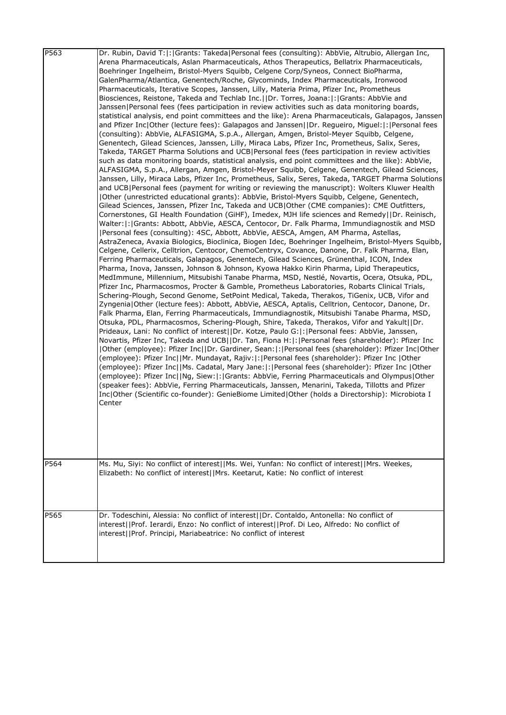| P563<br>P564 | Dr. Rubin, David T: :  Grants: Takeda Personal fees (consulting): AbbVie, Altrubio, Allergan Inc,<br>Arena Pharmaceuticals, Aslan Pharmaceuticals, Athos Therapeutics, Bellatrix Pharmaceuticals,<br>Boehringer Ingelheim, Bristol-Myers Squibb, Celgene Corp/Syneos, Connect BioPharma,<br>GalenPharma/Atlantica, Genentech/Roche, Glycominds, Index Pharmaceuticals, Ironwood<br>Pharmaceuticals, Iterative Scopes, Janssen, Lilly, Materia Prima, Pfizer Inc, Prometheus<br>Biosciences, Reistone, Takeda and Techlab Inc.  Dr. Torres, Joana: : Grants: AbbVie and<br>Janssen Personal fees (fees participation in review activities such as data monitoring boards,<br>statistical analysis, end point committees and the like): Arena Pharmaceuticals, Galapagos, Janssen<br>and Pfizer Inc Other (lecture fees): Galapagos and Janssen  Dr. Regueiro, Miguel: : Personal fees<br>(consulting): AbbVie, ALFASIGMA, S.p.A., Allergan, Amgen, Bristol-Meyer Squibb, Celgene,<br>Genentech, Gilead Sciences, Janssen, Lilly, Miraca Labs, Pfizer Inc, Prometheus, Salix, Seres,<br>Takeda, TARGET Pharma Solutions and UCB Personal fees (fees participation in review activities<br>such as data monitoring boards, statistical analysis, end point committees and the like): AbbVie,<br>ALFASIGMA, S.p.A., Allergan, Amgen, Bristol-Meyer Squibb, Celgene, Genentech, Gilead Sciences,<br>Janssen, Lilly, Miraca Labs, Pfizer Inc, Prometheus, Salix, Seres, Takeda, TARGET Pharma Solutions<br>and UCB Personal fees (payment for writing or reviewing the manuscript): Wolters Kluwer Health<br> Other (unrestricted educational grants): AbbVie, Bristol-Myers Squibb, Celgene, Genentech,<br>Gilead Sciences, Janssen, Pfizer Inc, Takeda and UCB Other (CME companies): CME Outfitters,<br>Cornerstones, GI Health Foundation (GiHF), Imedex, MJH life sciences and Remedy  Dr. Reinisch,<br>Walter: : Grants: Abbott, AbbVie, AESCA, Centocor, Dr. Falk Pharma, Immundiagnostik and MSD<br>[Personal fees (consulting): 4SC, Abbott, AbbVie, AESCA, Amgen, AM Pharma, Astellas,<br>AstraZeneca, Avaxia Biologics, Bioclinica, Biogen Idec, Boehringer Ingelheim, Bristol-Myers Squibb,<br>Celgene, Cellerix, Celltrion, Centocor, ChemoCentryx, Covance, Danone, Dr. Falk Pharma, Elan,<br>Ferring Pharmaceuticals, Galapagos, Genentech, Gilead Sciences, Grünenthal, ICON, Index<br>Pharma, Inova, Janssen, Johnson & Johnson, Kyowa Hakko Kirin Pharma, Lipid Therapeutics,<br>MedImmune, Millennium, Mitsubishi Tanabe Pharma, MSD, Nestlé, Novartis, Ocera, Otsuka, PDL,<br>Pfizer Inc, Pharmacosmos, Procter & Gamble, Prometheus Laboratories, Robarts Clinical Trials,<br>Schering-Plough, Second Genome, SetPoint Medical, Takeda, Therakos, TiGenix, UCB, Vifor and<br>Zyngenia Other (lecture fees): Abbott, AbbVie, AESCA, Aptalis, Celltrion, Centocor, Danone, Dr.<br>Falk Pharma, Elan, Ferring Pharmaceuticals, Immundiagnostik, Mitsubishi Tanabe Pharma, MSD,<br>Otsuka, PDL, Pharmacosmos, Schering-Plough, Shire, Takeda, Therakos, Vifor and Yakult  Dr.<br>Prideaux, Lani: No conflict of interest  Dr. Kotze, Paulo G: : Personal fees: AbbVie, Janssen,<br>Novartis, Pfizer Inc, Takeda and UCB  Dr. Tan, Fiona H: : Personal fees (shareholder): Pfizer Inc<br>Other (employee): Pfizer Inc  Dr. Gardiner, Sean: :  Personal fees (shareholder): Pfizer Inc Other <br>(employee): Pfizer Inc  Mr. Mundayat, Rajiv: : Personal fees (shareholder): Pfizer Inc  Other<br>(employee): Pfizer Inc  Ms. Cadatal, Mary Jane: : Personal fees (shareholder): Pfizer Inc  Other<br>(employee): Pfizer Inc  Ng, Siew: : Grants: AbbVie, Ferring Pharmaceuticals and Olympus Other<br>(speaker fees): AbbVie, Ferring Pharmaceuticals, Janssen, Menarini, Takeda, Tillotts and Pfizer<br>Inc Other (Scientific co-founder): GenieBiome Limited Other (holds a Directorship): Microbiota I<br>Center<br>Ms. Mu, Siyi: No conflict of interest  Ms. Wei, Yunfan: No conflict of interest  Mrs. Weekes, |
|--------------|--------------------------------------------------------------------------------------------------------------------------------------------------------------------------------------------------------------------------------------------------------------------------------------------------------------------------------------------------------------------------------------------------------------------------------------------------------------------------------------------------------------------------------------------------------------------------------------------------------------------------------------------------------------------------------------------------------------------------------------------------------------------------------------------------------------------------------------------------------------------------------------------------------------------------------------------------------------------------------------------------------------------------------------------------------------------------------------------------------------------------------------------------------------------------------------------------------------------------------------------------------------------------------------------------------------------------------------------------------------------------------------------------------------------------------------------------------------------------------------------------------------------------------------------------------------------------------------------------------------------------------------------------------------------------------------------------------------------------------------------------------------------------------------------------------------------------------------------------------------------------------------------------------------------------------------------------------------------------------------------------------------------------------------------------------------------------------------------------------------------------------------------------------------------------------------------------------------------------------------------------------------------------------------------------------------------------------------------------------------------------------------------------------------------------------------------------------------------------------------------------------------------------------------------------------------------------------------------------------------------------------------------------------------------------------------------------------------------------------------------------------------------------------------------------------------------------------------------------------------------------------------------------------------------------------------------------------------------------------------------------------------------------------------------------------------------------------------------------------------------------------------------------------------------------------------------------------------------------------------------------------------------------------------------------------------------------------------------------------------------------------------------------------------------------------------------------------------------------------------------------------------------------------------------------------------------------------------------------------------------------------------------------------------------------------------------------------------------------------------------------------------------------------------------------------------------------------------------------------------------------------------------------------------------------------------------------------------------------------------------------------------------------------|
|              | Elizabeth: No conflict of interest  Mrs. Keetarut, Katie: No conflict of interest                                                                                                                                                                                                                                                                                                                                                                                                                                                                                                                                                                                                                                                                                                                                                                                                                                                                                                                                                                                                                                                                                                                                                                                                                                                                                                                                                                                                                                                                                                                                                                                                                                                                                                                                                                                                                                                                                                                                                                                                                                                                                                                                                                                                                                                                                                                                                                                                                                                                                                                                                                                                                                                                                                                                                                                                                                                                                                                                                                                                                                                                                                                                                                                                                                                                                                                                                                                                                                                                                                                                                                                                                                                                                                                                                                                                                                                                                                                                              |
| P565         | Dr. Todeschini, Alessia: No conflict of interest  Dr. Contaldo, Antonella: No conflict of<br>interest  Prof. Ierardi, Enzo: No conflict of interest  Prof. Di Leo, Alfredo: No conflict of<br>interest  Prof. Principi, Mariabeatrice: No conflict of interest                                                                                                                                                                                                                                                                                                                                                                                                                                                                                                                                                                                                                                                                                                                                                                                                                                                                                                                                                                                                                                                                                                                                                                                                                                                                                                                                                                                                                                                                                                                                                                                                                                                                                                                                                                                                                                                                                                                                                                                                                                                                                                                                                                                                                                                                                                                                                                                                                                                                                                                                                                                                                                                                                                                                                                                                                                                                                                                                                                                                                                                                                                                                                                                                                                                                                                                                                                                                                                                                                                                                                                                                                                                                                                                                                                 |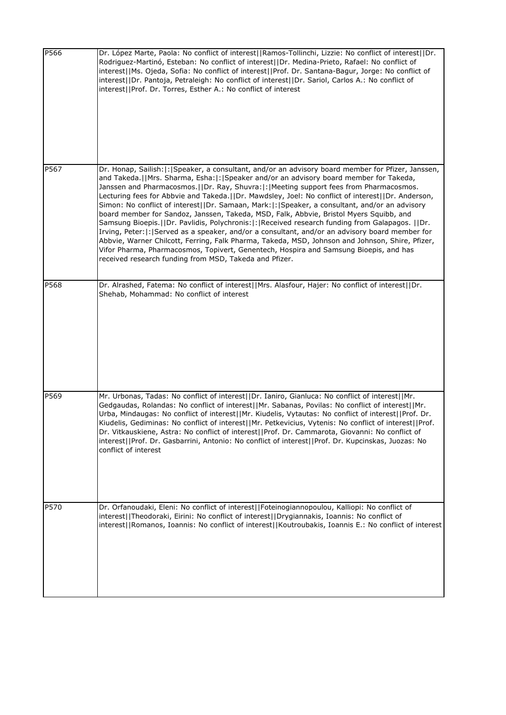| P566 | Dr. López Marte, Paola: No conflict of interest  Ramos-Tollinchi, Lizzie: No conflict of interest  Dr.<br>Rodriguez-Martinó, Esteban: No conflict of interest  Dr. Medina-Prieto, Rafael: No conflict of<br>interest  Ms. Ojeda, Sofia: No conflict of interest  Prof. Dr. Santana-Bagur, Jorge: No conflict of<br>interest  Dr. Pantoja, Petraleigh: No conflict of interest  Dr. Sariol, Carlos A.: No conflict of<br>interest  Prof. Dr. Torres, Esther A.: No conflict of interest                                                                                                                                                                                                                                                                                                                                                                                                                                                                                                                                                                          |
|------|-----------------------------------------------------------------------------------------------------------------------------------------------------------------------------------------------------------------------------------------------------------------------------------------------------------------------------------------------------------------------------------------------------------------------------------------------------------------------------------------------------------------------------------------------------------------------------------------------------------------------------------------------------------------------------------------------------------------------------------------------------------------------------------------------------------------------------------------------------------------------------------------------------------------------------------------------------------------------------------------------------------------------------------------------------------------|
| P567 | Dr. Honap, Sailish:  :   Speaker, a consultant, and/or an advisory board member for Pfizer, Janssen,<br>and Takeda.   Mrs. Sharma, Esha:   :   Speaker and/or an advisory board member for Takeda,<br>Janssen and Pharmacosmos.   Dr. Ray, Shuvra:  :   Meeting support fees from Pharmacosmos.<br>Lecturing fees for Abbvie and Takeda.  Dr. Mawdsley, Joel: No conflict of interest  Dr. Anderson,<br>Simon: No conflict of interest  Dr. Samaan, Mark: : Speaker, a consultant, and/or an advisory<br>board member for Sandoz, Janssen, Takeda, MSD, Falk, Abbvie, Bristol Myers Squibb, and<br>Samsung Bioepis. [IDr. Pavlidis, Polychronis: [: [Received research funding from Galapagos. [IDr.<br>Irving, Peter:  :   Served as a speaker, and/or a consultant, and/or an advisory board member for<br>Abbvie, Warner Chilcott, Ferring, Falk Pharma, Takeda, MSD, Johnson and Johnson, Shire, Pfizer,<br>Vifor Pharma, Pharmacosmos, Topivert, Genentech, Hospira and Samsung Bioepis, and has<br>received research funding from MSD, Takeda and Pfizer. |
| P568 | Dr. Alrashed, Fatema: No conflict of interest  Mrs. Alasfour, Hajer: No conflict of interest  Dr.<br>Shehab, Mohammad: No conflict of interest                                                                                                                                                                                                                                                                                                                                                                                                                                                                                                                                                                                                                                                                                                                                                                                                                                                                                                                  |
| P569 | Mr. Urbonas, Tadas: No conflict of interest  Dr. Ianiro, Gianluca: No conflict of interest  Mr.<br>Gedgaudas, Rolandas: No conflict of interest  Mr. Sabanas, Povilas: No conflict of interest  Mr.<br>Urba, Mindaugas: No conflict of interest  Mr. Kiudelis, Vytautas: No conflict of interest  Prof. Dr.<br>Kiudelis, Gediminas: No conflict of interest  Mr. Petkevicius, Vytenis: No conflict of interest  Prof.<br>Dr. Vitkauskiene, Astra: No conflict of interest  Prof. Dr. Cammarota, Giovanni: No conflict of<br>interest  Prof. Dr. Gasbarrini, Antonio: No conflict of interest  Prof. Dr. Kupcinskas, Juozas: No<br>conflict of interest                                                                                                                                                                                                                                                                                                                                                                                                          |
| P570 | Dr. Orfanoudaki, Eleni: No conflict of interest  Foteinogiannopoulou, Kalliopi: No conflict of<br>interest  Theodoraki, Eirini: No conflict of interest  Drygiannakis, Ioannis: No conflict of<br>interest  Romanos, Ioannis: No conflict of interest  Koutroubakis, Ioannis E.: No conflict of interest                                                                                                                                                                                                                                                                                                                                                                                                                                                                                                                                                                                                                                                                                                                                                        |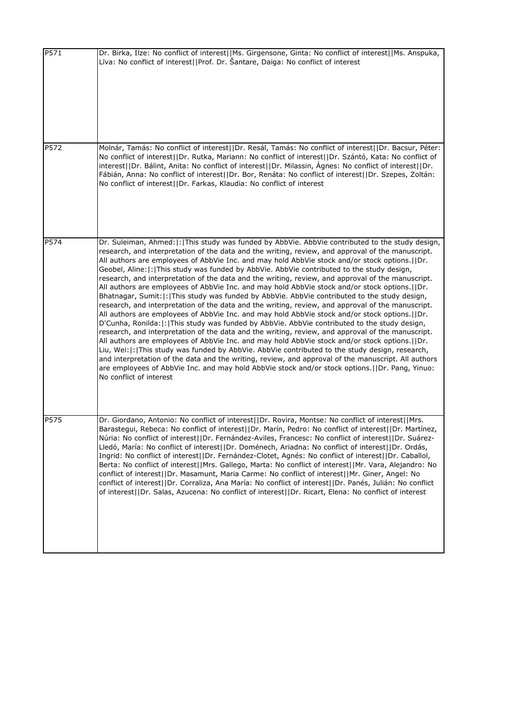| P571 | Dr. Birka, Ilze: No conflict of interest  Ms. Girgensone, Ginta: No conflict of interest  Ms. Anspuka,<br>Līva: No conflict of interest  Prof. Dr. Šantare, Daiga: No conflict of interest                                                                                                                                                                                                                                                                                                                                                                                                                                                                                                                                                                                                                                                                                                                                                                                                                                                                                                                                                                                                                                                                                                                                                                                                                                                                                                                                                                             |
|------|------------------------------------------------------------------------------------------------------------------------------------------------------------------------------------------------------------------------------------------------------------------------------------------------------------------------------------------------------------------------------------------------------------------------------------------------------------------------------------------------------------------------------------------------------------------------------------------------------------------------------------------------------------------------------------------------------------------------------------------------------------------------------------------------------------------------------------------------------------------------------------------------------------------------------------------------------------------------------------------------------------------------------------------------------------------------------------------------------------------------------------------------------------------------------------------------------------------------------------------------------------------------------------------------------------------------------------------------------------------------------------------------------------------------------------------------------------------------------------------------------------------------------------------------------------------------|
| P572 | Molnár, Tamás: No conflict of interest  Dr. Resál, Tamás: No conflict of interest  Dr. Bacsur, Péter:<br>No conflict of interest  Dr. Rutka, Mariann: No conflict of interest  Dr. Szántó, Kata: No conflict of<br>interest  Dr. Bálint, Anita: No conflict of interest  Dr. Milassin, Agnes: No conflict of interest  Dr.<br>Fábián, Anna: No conflict of interest  Dr. Bor, Renáta: No conflict of interest  Dr. Szepes, Zoltán:<br>No conflict of interest  Dr. Farkas, Klaudia: No conflict of interest                                                                                                                                                                                                                                                                                                                                                                                                                                                                                                                                                                                                                                                                                                                                                                                                                                                                                                                                                                                                                                                            |
| P574 | Dr. Suleiman, Ahmed:  :   This study was funded by AbbVie. AbbVie contributed to the study design,<br>research, and interpretation of the data and the writing, review, and approval of the manuscript.<br>All authors are employees of AbbVie Inc. and may hold AbbVie stock and/or stock options.  Dr.<br>Geobel, Aline: :  This study was funded by AbbVie. AbbVie contributed to the study design,<br>research, and interpretation of the data and the writing, review, and approval of the manuscript.<br>All authors are employees of AbbVie Inc. and may hold AbbVie stock and/or stock options.  Dr.<br>Bhatnagar, Sumit:  :  This study was funded by AbbVie. AbbVie contributed to the study design,<br>research, and interpretation of the data and the writing, review, and approval of the manuscript.<br>All authors are employees of AbbVie Inc. and may hold AbbVie stock and/or stock options.  Dr.<br>D'Cunha, Ronilda:  :  This study was funded by AbbVie. AbbVie contributed to the study design,<br>research, and interpretation of the data and the writing, review, and approval of the manuscript.<br>All authors are employees of AbbVie Inc. and may hold AbbVie stock and/or stock options.  Dr.<br>Liu, Wei:  :  This study was funded by AbbVie. AbbVie contributed to the study design, research,<br>and interpretation of the data and the writing, review, and approval of the manuscript. All authors<br>are employees of AbbVie Inc. and may hold AbbVie stock and/or stock options.   IDr. Pang, Yinuo:<br>No conflict of interest |
| P575 | Dr. Giordano, Antonio: No conflict of interest  Dr. Rovira, Montse: No conflict of interest  Mrs.<br>Barastegui, Rebeca: No conflict of interest  Dr. Marin, Pedro: No conflict of interest  Dr. Martinez,<br>Núria: No conflict of interest  Dr. Fernández-Aviles, Francesc: No conflict of interest  Dr. Suárez-<br>Lledó, María: No conflict of interest  Dr. Doménech, Ariadna: No conflict of interest  Dr. Ordás,<br>Ingrid: No conflict of interest  Dr. Fernández-Clotet, Agnés: No conflict of interest  Dr. Caballol,<br>Berta: No conflict of interest  Mrs. Gallego, Marta: No conflict of interest  Mr. Vara, Alejandro: No<br>conflict of interest  Dr. Masamunt, Maria Carme: No conflict of interest  Mr. Giner, Angel: No<br>conflict of interest  Dr. Corraliza, Ana María: No conflict of interest  Dr. Panés, Julián: No conflict<br>of interest  Dr. Salas, Azucena: No conflict of interest  Dr. Ricart, Elena: No conflict of interest                                                                                                                                                                                                                                                                                                                                                                                                                                                                                                                                                                                                          |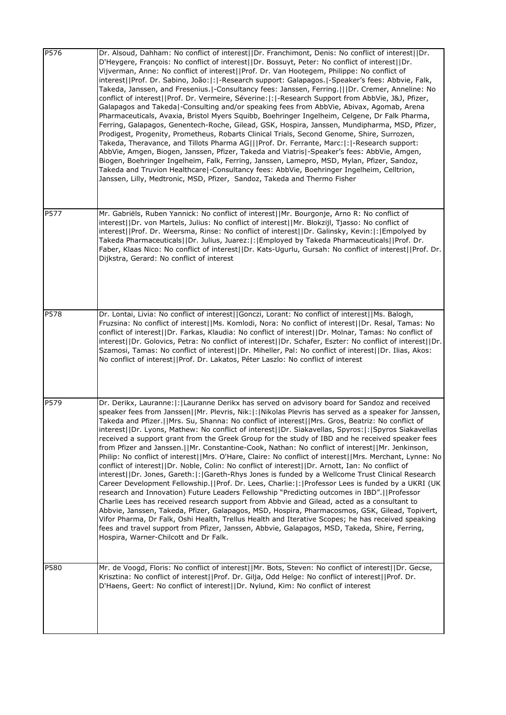| P576 | Dr. Alsoud, Dahham: No conflict of interest  Dr. Franchimont, Denis: No conflict of interest  Dr.<br>D'Heygere, François: No conflict of interest  Dr. Bossuyt, Peter: No conflict of interest  Dr.<br>Vijverman, Anne: No conflict of interest  Prof. Dr. Van Hootegem, Philippe: No conflict of<br>interest  Prof. Dr. Sabino, João: : -Research support: Galapagos. -Speaker's fees: Abbvie, Falk,<br>Takeda, Janssen, and Fresenius. -Consultancy fees: Janssen, Ferring.   Dr. Cremer, Anneline: No<br>conflict of interest  Prof. Dr. Vermeire, Séverine: : -Research Support from AbbVie, J&J, Pfizer,<br>Galapagos and Takeda -Consulting and/or speaking fees from AbbVie, Abivax, Agomab, Arena<br>Pharmaceuticals, Avaxia, Bristol Myers Squibb, Boehringer Ingelheim, Celgene, Dr Falk Pharma,<br>Ferring, Galapagos, Genentech-Roche, Gilead, GSK, Hospira, Janssen, Mundipharma, MSD, Pfizer,<br>Prodigest, Progenity, Prometheus, Robarts Clinical Trials, Second Genome, Shire, Surrozen,<br>Takeda, Theravance, and Tillots Pharma AG   Prof. Dr. Ferrante, Marc: : -Research support:<br>AbbVie, Amgen, Biogen, Janssen, Pfizer, Takeda and Viatris -Speaker's fees: AbbVie, Amgen,<br>Biogen, Boehringer Ingelheim, Falk, Ferring, Janssen, Lamepro, MSD, Mylan, Pfizer, Sandoz,<br>Takeda and Truvion Healthcare -Consultancy fees: AbbVie, Boehringer Ingelheim, Celltrion,<br>Janssen, Lilly, Medtronic, MSD, Pfizer, Sandoz, Takeda and Thermo Fisher                                                                                                                   |
|------|------------------------------------------------------------------------------------------------------------------------------------------------------------------------------------------------------------------------------------------------------------------------------------------------------------------------------------------------------------------------------------------------------------------------------------------------------------------------------------------------------------------------------------------------------------------------------------------------------------------------------------------------------------------------------------------------------------------------------------------------------------------------------------------------------------------------------------------------------------------------------------------------------------------------------------------------------------------------------------------------------------------------------------------------------------------------------------------------------------------------------------------------------------------------------------------------------------------------------------------------------------------------------------------------------------------------------------------------------------------------------------------------------------------------------------------------------------------------------------------------------------------------------------------------------------------------------------------------|
| P577 | Mr. Gabriëls, Ruben Yannick: No conflict of interest  Mr. Bourgonje, Arno R: No conflict of<br>interest  Dr. von Martels, Julius: No conflict of interest  Mr. Blokzijl, Tjasso: No conflict of<br>interest  Prof. Dr. Weersma, Rinse: No conflict of interest  Dr. Galinsky, Kevin: : Empolyed by<br>Takeda Pharmaceuticals  Dr. Julius, Juarez: : Employed by Takeda Pharmaceuticals  Prof. Dr.<br>Faber, Klaas Nico: No conflict of interest  Dr. Kats-Ugurlu, Gursah: No conflict of interest  Prof. Dr.<br>Dijkstra, Gerard: No conflict of interest                                                                                                                                                                                                                                                                                                                                                                                                                                                                                                                                                                                                                                                                                                                                                                                                                                                                                                                                                                                                                                      |
| P578 | Dr. Lontai, Livia: No conflict of interest  Gonczi, Lorant: No conflict of interest  Ms. Balogh,<br>Fruzsina: No conflict of interest  Ms. Komlodi, Nora: No conflict of interest  Dr. Resal, Tamas: No<br>conflict of interest  Dr. Farkas, Klaudia: No conflict of interest  Dr. Molnar, Tamas: No conflict of<br>interest  Dr. Golovics, Petra: No conflict of interest  Dr. Schafer, Eszter: No conflict of interest  Dr.<br>Szamosi, Tamas: No conflict of interest  Dr. Miheller, Pal: No conflict of interest  Dr. Ilias, Akos:<br>No conflict of interest  Prof. Dr. Lakatos, Péter Laszlo: No conflict of interest                                                                                                                                                                                                                                                                                                                                                                                                                                                                                                                                                                                                                                                                                                                                                                                                                                                                                                                                                                    |
| P579 | Dr. Derikx, Lauranne:  :   Lauranne Derikx has served on advisory board for Sandoz and received<br>speaker fees from Janssen  Mr. Plevris, Nik: : Nikolas Plevris has served as a speaker for Janssen,<br>Takeda and Pfizer.  Mrs. Su, Shanna: No conflict of interest  Mrs. Gros, Beatriz: No conflict of<br>interest  Dr. Lyons, Mathew: No conflict of interest  Dr. Siakavellas, Spyros: : Spyros Siakavellas<br>received a support grant from the Greek Group for the study of IBD and he received speaker fees<br>from Pfizer and Janssen.  Mr. Constantine-Cook, Nathan: No conflict of interest  Mr. Jenkinson,<br>Philip: No conflict of interest  Mrs. O'Hare, Claire: No conflict of interest  Mrs. Merchant, Lynne: No<br>conflict of interest  Dr. Noble, Colin: No conflict of interest  Dr. Arnott, Ian: No conflict of<br>interest  Dr. Jones, Gareth: : Gareth-Rhys Jones is funded by a Wellcome Trust Clinical Research<br>Career Development Fellowship.  Prof. Dr. Lees, Charlie: : Professor Lees is funded by a UKRI (UK<br>research and Innovation) Future Leaders Fellowship "Predicting outcomes in IBD".  Professor<br>Charlie Lees has received research support from Abbvie and Gilead, acted as a consultant to<br>Abbvie, Janssen, Takeda, Pfizer, Galapagos, MSD, Hospira, Pharmacosmos, GSK, Gilead, Topivert,<br>Vifor Pharma, Dr Falk, Oshi Health, Trellus Health and Iterative Scopes; he has received speaking<br>fees and travel support from Pfizer, Janssen, Abbvie, Galapagos, MSD, Takeda, Shire, Ferring,<br>Hospira, Warner-Chilcott and Dr Falk. |
| P580 | Mr. de Voogd, Floris: No conflict of interest  Mr. Bots, Steven: No conflict of interest  Dr. Gecse,<br>Krisztina: No conflict of interest  Prof. Dr. Gilja, Odd Helge: No conflict of interest  Prof. Dr.<br>D'Haens, Geert: No conflict of interest  Dr. Nylund, Kim: No conflict of interest                                                                                                                                                                                                                                                                                                                                                                                                                                                                                                                                                                                                                                                                                                                                                                                                                                                                                                                                                                                                                                                                                                                                                                                                                                                                                                |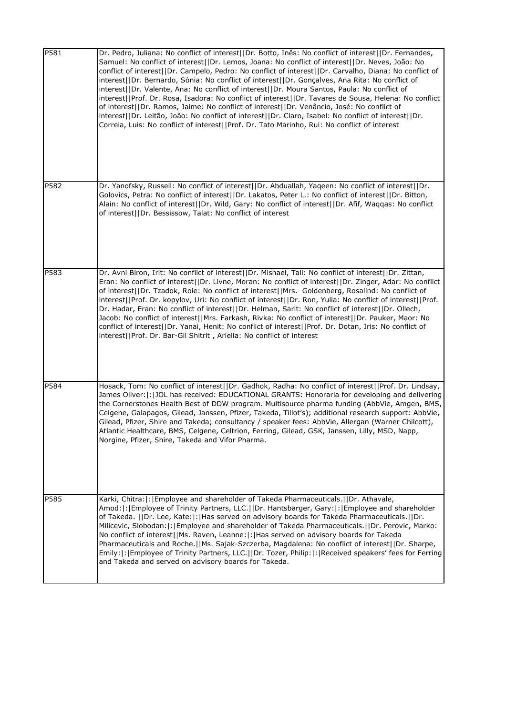| P581 | Dr. Pedro, Juliana: No conflict of interest  Dr. Botto, Inês: No conflict of interest  Dr. Fernandes,<br>Samuel: No conflict of interest  Dr. Lemos, Joana: No conflict of interest  Dr. Neves, João: No<br>conflict of interest  Dr. Campelo, Pedro: No conflict of interest  Dr. Carvalho, Diana: No conflict of<br>interest  Dr. Bernardo, Sónia: No conflict of interest  Dr. Gonçalves, Ana Rita: No conflict of<br>interest  Dr. Valente, Ana: No conflict of interest  Dr. Moura Santos, Paula: No conflict of<br>interest  Prof. Dr. Rosa, Isadora: No conflict of interest  Dr. Tavares de Sousa, Helena: No conflict<br>of interest  Dr. Ramos, Jaime: No conflict of interest  Dr. Venâncio, José: No conflict of<br>interest  Dr. Leitão, João: No conflict of interest  Dr. Claro, Isabel: No conflict of interest  Dr.<br>Correia, Luis: No conflict of interest  Prof. Dr. Tato Marinho, Rui: No conflict of interest |
|------|--------------------------------------------------------------------------------------------------------------------------------------------------------------------------------------------------------------------------------------------------------------------------------------------------------------------------------------------------------------------------------------------------------------------------------------------------------------------------------------------------------------------------------------------------------------------------------------------------------------------------------------------------------------------------------------------------------------------------------------------------------------------------------------------------------------------------------------------------------------------------------------------------------------------------------------|
| P582 | Dr. Yanofsky, Russell: No conflict of interest  Dr. Abduallah, Yaqeen: No conflict of interest  Dr.<br>Golovics, Petra: No conflict of interest  Dr. Lakatos, Peter L.: No conflict of interest  Dr. Bitton,<br>Alain: No conflict of interest  Dr. Wild, Gary: No conflict of interest  Dr. Afif, Waqqas: No conflict<br>of interest  Dr. Bessissow, Talat: No conflict of interest                                                                                                                                                                                                                                                                                                                                                                                                                                                                                                                                                 |
| P583 | Dr. Avni Biron, Irit: No conflict of interest  Dr. Mishael, Tali: No conflict of interest  Dr. Zittan,<br>Eran: No conflict of interest  Dr. Livne, Moran: No conflict of interest  Dr. Zinger, Adar: No conflict<br>of interest  Dr. Tzadok, Roie: No conflict of interest  Mrs. Goldenberg, Rosalind: No conflict of<br>interest  Prof. Dr. kopylov, Uri: No conflict of interest  Dr. Ron, Yulia: No conflict of interest  Prof.<br>Dr. Hadar, Eran: No conflict of interest  Dr. Helman, Sarit: No conflict of interest  Dr. Ollech,<br>Jacob: No conflict of interest  Mrs. Farkash, Rivka: No conflict of interest  Dr. Pauker, Maor: No<br>conflict of interest  Dr. Yanai, Henit: No conflict of interest  Prof. Dr. Dotan, Iris: No conflict of<br>interest  Prof. Dr. Bar-Gil Shitrit, Ariella: No conflict of interest                                                                                                    |
| P584 | Hosack, Tom: No conflict of interest  Dr. Gadhok, Radha: No conflict of interest  Prof. Dr. Lindsay,<br>James Oliver:  :   JOL has received: EDUCATIONAL GRANTS: Honoraria for developing and delivering<br>the Cornerstones Health Best of DDW program. Multisource pharma funding (AbbVie, Amgen, BMS,<br>Celgene, Galapagos, Gilead, Janssen, Pfizer, Takeda, Tillot's); additional research support: AbbVie,<br>Gilead, Pfizer, Shire and Takeda; consultancy / speaker fees: AbbVie, Allergan (Warner Chilcott),<br>Atlantic Healthcare, BMS, Celgene, Celtrion, Ferring, Gilead, GSK, Janssen, Lilly, MSD, Napp,<br>Norgine, Pfizer, Shire, Takeda and Vifor Pharma.                                                                                                                                                                                                                                                           |
| P585 | Karki, Chitra: : Employee and shareholder of Takeda Pharmaceuticals.  Dr. Athavale,<br>Amod:  :   Employee of Trinity Partners, LLC.     Dr. Hantsbarger, Gary:  :   Employee and shareholder<br>of Takeda.   Dr. Lee, Kate: : Has served on advisory boards for Takeda Pharmaceuticals.  Dr.<br>Milicevic, Slobodan:  :   Employee and shareholder of Takeda Pharmaceuticals.     Dr. Perovic, Marko:<br>No conflict of interest  Ms. Raven, Leanne: :  Has served on advisory boards for Takeda<br>Pharmaceuticals and Roche.  Ms. Sajak-Szczerba, Magdalena: No conflict of interest  Dr. Sharpe,<br>Emily:  :   Employee of Trinity Partners, LLC.     Dr. Tozer, Philip:  :   Received speakers' fees for Ferring<br>and Takeda and served on advisory boards for Takeda.                                                                                                                                                       |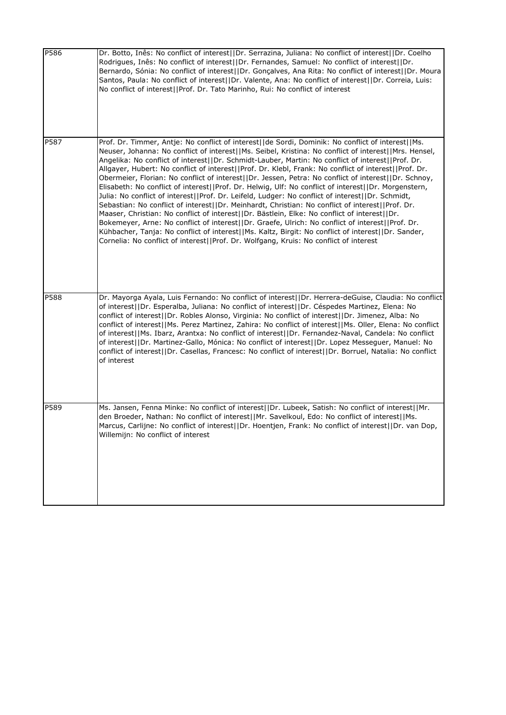| P586 | Dr. Botto, Inês: No conflict of interest  Dr. Serrazina, Juliana: No conflict of interest  Dr. Coelho<br>Rodrigues, Inês: No conflict of interest  Dr. Fernandes, Samuel: No conflict of interest  Dr.<br>Bernardo, Sónia: No conflict of interest  Dr. Gonçalves, Ana Rita: No conflict of interest  Dr. Moura<br>Santos, Paula: No conflict of interest  Dr. Valente, Ana: No conflict of interest  Dr. Correia, Luis:<br>No conflict of interest  Prof. Dr. Tato Marinho, Rui: No conflict of interest                                                                                                                                                                                                                                                                                                                                                                                                                                                                                                                                                                                                                                                                                                                                           |
|------|-----------------------------------------------------------------------------------------------------------------------------------------------------------------------------------------------------------------------------------------------------------------------------------------------------------------------------------------------------------------------------------------------------------------------------------------------------------------------------------------------------------------------------------------------------------------------------------------------------------------------------------------------------------------------------------------------------------------------------------------------------------------------------------------------------------------------------------------------------------------------------------------------------------------------------------------------------------------------------------------------------------------------------------------------------------------------------------------------------------------------------------------------------------------------------------------------------------------------------------------------------|
| P587 | Prof. Dr. Timmer, Antje: No conflict of interest  de Sordi, Dominik: No conflict of interest  Ms.<br>Neuser, Johanna: No conflict of interest  Ms. Seibel, Kristina: No conflict of interest  Mrs. Hensel,<br>Angelika: No conflict of interest  Dr. Schmidt-Lauber, Martin: No conflict of interest  Prof. Dr.<br>Allgayer, Hubert: No conflict of interest  Prof. Dr. Klebl, Frank: No conflict of interest  Prof. Dr.<br>Obermeier, Florian: No conflict of interest  Dr. Jessen, Petra: No conflict of interest  Dr. Schnoy,<br>Elisabeth: No conflict of interest  Prof. Dr. Helwig, Ulf: No conflict of interest  Dr. Morgenstern,<br>Julia: No conflict of interest  Prof. Dr. Leifeld, Ludger: No conflict of interest  Dr. Schmidt,<br>Sebastian: No conflict of interest  Dr. Meinhardt, Christian: No conflict of interest  Prof. Dr.<br>Maaser, Christian: No conflict of interest  Dr. Bästlein, Elke: No conflict of interest  Dr.<br>Bokemeyer, Arne: No conflict of interest  Dr. Graefe, Ulrich: No conflict of interest  Prof. Dr.<br>Kühbacher, Tanja: No conflict of interest  Ms. Kaltz, Birgit: No conflict of interest  Dr. Sander,<br>Cornelia: No conflict of interest  Prof. Dr. Wolfgang, Kruis: No conflict of interest |
| P588 | Dr. Mayorga Ayala, Luis Fernando: No conflict of interest  Dr. Herrera-deGuise, Claudia: No conflict<br>of interest  Dr. Esperalba, Juliana: No conflict of interest  Dr. Céspedes Martinez, Elena: No<br>conflict of interest  Dr. Robles Alonso, Virginia: No conflict of interest  Dr. Jimenez, Alba: No<br>conflict of interest  Ms. Perez Martinez, Zahira: No conflict of interest  Ms. Oller, Elena: No conflict<br>of interest  Ms. Ibarz, Arantxa: No conflict of interest  Dr. Fernandez-Naval, Candela: No conflict<br>of interest  Dr. Martinez-Gallo, Mónica: No conflict of interest  Dr. Lopez Messeguer, Manuel: No<br>conflict of interest  Dr. Casellas, Francesc: No conflict of interest  Dr. Borruel, Natalia: No conflict<br>of interest                                                                                                                                                                                                                                                                                                                                                                                                                                                                                      |
| P589 | Ms. Jansen, Fenna Minke: No conflict of interest  Dr. Lubeek, Satish: No conflict of interest  Mr.<br>den Broeder, Nathan: No conflict of interest  Mr. Savelkoul, Edo: No conflict of interest  Ms.<br>Marcus, Carlijne: No conflict of interest  Dr. Hoentjen, Frank: No conflict of interest  Dr. van Dop,<br>Willemijn: No conflict of interest                                                                                                                                                                                                                                                                                                                                                                                                                                                                                                                                                                                                                                                                                                                                                                                                                                                                                                 |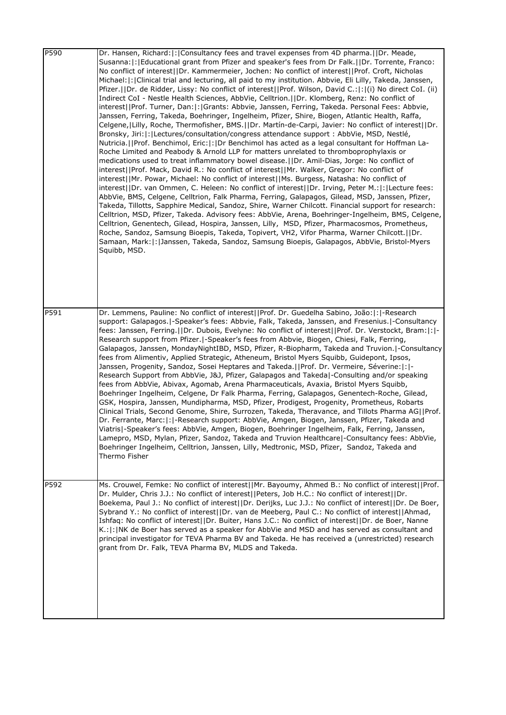| P590 | Dr. Hansen, Richard: : Consultancy fees and travel expenses from 4D pharma.  Dr. Meade,<br>Susanna:  :   Educational grant from Pfizer and speaker's fees from Dr Falk.     Dr. Torrente, Franco:<br>No conflict of interest  Dr. Kammermeier, Jochen: No conflict of interest  Prof. Croft, Nicholas<br>Michael:  :   Clinical trial and lecturing, all paid to my institution. Abbvie, Eli Lilly, Takeda, Janssen,<br>Pfizer.  Dr. de Ridder, Lissy: No conflict of interest  Prof. Wilson, David C.: : (i) No direct CoI. (ii)<br>Indirect CoI - Nestle Health Sciences, AbbVie, Celltrion.     Dr. Klomberg, Renz: No conflict of<br>interest  Prof. Turner, Dan: : Grants: Abbvie, Janssen, Ferring, Takeda. Personal Fees: Abbvie,<br>Janssen, Ferring, Takeda, Boehringer, Ingelheim, Pfizer, Shire, Biogen, Atlantic Health, Raffa,<br>Celgene,   Lilly, Roche, Thermofisher, BMS.     Dr. Martín-de-Carpi, Javier: No conflict of interest     Dr.<br>Bronsky, Jiri: : Lectures/consultation/congress attendance support : AbbVie, MSD, Nestlé,<br>Nutricia.     Prof. Benchimol, Eric:   :   Dr Benchimol has acted as a legal consultant for Hoffman La-<br>Roche Limited and Peabody & Arnold LLP for matters unrelated to thromboprophylaxis or<br>medications used to treat inflammatory bowel disease. (IDr. Amil-Dias, Jorge: No conflict of<br>interest  Prof. Mack, David R.: No conflict of interest  Mr. Walker, Gregor: No conflict of<br>interest  Mr. Powar, Michael: No conflict of interest  Ms. Burgess, Natasha: No conflict of<br>interest  Dr. van Ommen, C. Heleen: No conflict of interest  Dr. Irving, Peter M.: : Lecture fees:<br>AbbVie, BMS, Celgene, Celltrion, Falk Pharma, Ferring, Galapagos, Gilead, MSD, Janssen, Pfizer,<br>Takeda, Tillotts, Sapphire Medical, Sandoz, Shire, Warner Chilcott. Financial support for research:<br>Celltrion, MSD, Pfizer, Takeda. Advisory fees: AbbVie, Arena, Boehringer-Ingelheim, BMS, Celgene,<br>Celltrion, Genentech, Gilead, Hospira, Janssen, Lilly, MSD, Pfizer, Pharmacosmos, Prometheus,<br>Roche, Sandoz, Samsung Bioepis, Takeda, Topivert, VH2, Vifor Pharma, Warner Chilcott.  Dr.<br>Samaan, Mark:   :   Janssen, Takeda, Sandoz, Samsung Bioepis, Galapagos, AbbVie, Bristol-Myers<br>Squibb, MSD. |
|------|--------------------------------------------------------------------------------------------------------------------------------------------------------------------------------------------------------------------------------------------------------------------------------------------------------------------------------------------------------------------------------------------------------------------------------------------------------------------------------------------------------------------------------------------------------------------------------------------------------------------------------------------------------------------------------------------------------------------------------------------------------------------------------------------------------------------------------------------------------------------------------------------------------------------------------------------------------------------------------------------------------------------------------------------------------------------------------------------------------------------------------------------------------------------------------------------------------------------------------------------------------------------------------------------------------------------------------------------------------------------------------------------------------------------------------------------------------------------------------------------------------------------------------------------------------------------------------------------------------------------------------------------------------------------------------------------------------------------------------------------------------------------------------------------------------------------------------------------------------------------------------------------------------------------------------------------------------------------------------------------------------------------------------------------------------------------------------------------------------------------------------------------------------------------------------------------------------------------------------------------------------------------------------------------------|
| P591 | Dr. Lemmens, Pauline: No conflict of interest  Prof. Dr. Guedelha Sabino, João: : -Research<br>support: Galapagos.   -Speaker's fees: Abbvie, Falk, Takeda, Janssen, and Fresenius.   -Consultancy<br>fees: Janssen, Ferring.  Dr. Dubois, Evelyne: No conflict of interest  Prof. Dr. Verstockt, Bram: : -<br>Research support from Pfizer.   - Speaker's fees from Abbvie, Biogen, Chiesi, Falk, Ferring,<br>Galapagos, Janssen, MondayNightIBD, MSD, Pfizer, R-Biopharm, Takeda and Truvion. -Consultancy<br>fees from Alimentiv, Applied Strategic, Atheneum, Bristol Myers Squibb, Guidepont, Ipsos,<br>Janssen, Progenity, Sandoz, Sosei Heptares and Takeda.   Prof. Dr. Vermeire, Séverine:  :  -<br>Research Support from AbbVie, J&J, Pfizer, Galapagos and Takeda -Consulting and/or speaking<br>fees from AbbVie, Abivax, Agomab, Arena Pharmaceuticals, Avaxia, Bristol Myers Squibb,<br>Boehringer Ingelheim, Celgene, Dr Falk Pharma, Ferring, Galapagos, Genentech-Roche, Gilead,<br>GSK, Hospira, Janssen, Mundipharma, MSD, Pfizer, Prodigest, Progenity, Prometheus, Robarts<br>Clinical Trials, Second Genome, Shire, Surrozen, Takeda, Theravance, and Tillots Pharma AG  Prof.<br>Dr. Ferrante, Marc:  :  -Research support: AbbVie, Amgen, Biogen, Janssen, Pfizer, Takeda and<br>Viatris -Speaker's fees: AbbVie, Amgen, Biogen, Boehringer Ingelheim, Falk, Ferring, Janssen,<br>Lamepro, MSD, Mylan, Pfizer, Sandoz, Takeda and Truvion Healthcare  - Consultancy fees: AbbVie,<br>Boehringer Ingelheim, Celltrion, Janssen, Lilly, Medtronic, MSD, Pfizer, Sandoz, Takeda and<br>Thermo Fisher                                                                                                                                                                                                                                                                                                                                                                                                                                                                                                                                                                                                                                                                        |
| P592 | Ms. Crouwel, Femke: No conflict of interest  Mr. Bayoumy, Ahmed B.: No conflict of interest  Prof.<br>Dr. Mulder, Chris J.J.: No conflict of interest  Peters, Job H.C.: No conflict of interest  Dr.<br>Boekema, Paul J.: No conflict of interest  Dr. Derijks, Luc J.J.: No conflict of interest  Dr. De Boer,<br>Sybrand Y.: No conflict of interest  Dr. van de Meeberg, Paul C.: No conflict of interest  Ahmad,<br>Ishfaq: No conflict of interest  Dr. Buiter, Hans J.C.: No conflict of interest  Dr. de Boer, Nanne<br>K.:  :   NK de Boer has served as a speaker for AbbVie and MSD and has served as consultant and<br>principal investigator for TEVA Pharma BV and Takeda. He has received a (unrestricted) research<br>grant from Dr. Falk, TEVA Pharma BV, MLDS and Takeda.                                                                                                                                                                                                                                                                                                                                                                                                                                                                                                                                                                                                                                                                                                                                                                                                                                                                                                                                                                                                                                                                                                                                                                                                                                                                                                                                                                                                                                                                                                      |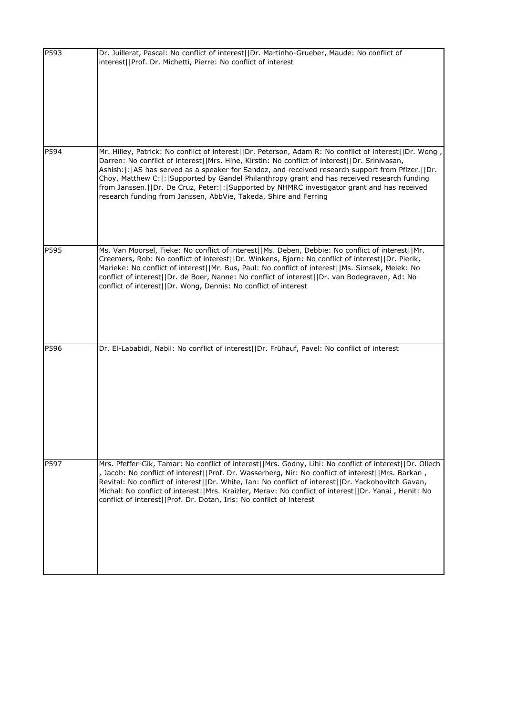| P593 | Dr. Juillerat, Pascal: No conflict of interest  Dr. Martinho-Grueber, Maude: No conflict of<br>interest  Prof. Dr. Michetti, Pierre: No conflict of interest                                                                                                                                                                                                                                                                                                                                                                                                                       |
|------|------------------------------------------------------------------------------------------------------------------------------------------------------------------------------------------------------------------------------------------------------------------------------------------------------------------------------------------------------------------------------------------------------------------------------------------------------------------------------------------------------------------------------------------------------------------------------------|
| P594 | Mr. Hilley, Patrick: No conflict of interest  Dr. Peterson, Adam R: No conflict of interest  Dr. Wong<br>Darren: No conflict of interest  Mrs. Hine, Kirstin: No conflict of interest  Dr. Srinivasan,<br>Ashish:  :   AS has served as a speaker for Sandoz, and received research support from Pfizer.     Dr.<br>Choy, Matthew C: : Supported by Gandel Philanthropy grant and has received research funding<br>from Janssen.  Dr. De Cruz, Peter: : Supported by NHMRC investigator grant and has received<br>research funding from Janssen, AbbVie, Takeda, Shire and Ferring |
| P595 | Ms. Van Moorsel, Fieke: No conflict of interest  Ms. Deben, Debbie: No conflict of interest  Mr.<br>Creemers, Rob: No conflict of interest  Dr. Winkens, Bjorn: No conflict of interest  Dr. Pierik,<br>Marieke: No conflict of interest  Mr. Bus, Paul: No conflict of interest  Ms. Simsek, Melek: No<br>conflict of interest  Dr. de Boer, Nanne: No conflict of interest  Dr. van Bodegraven, Ad: No<br>conflict of interest  Dr. Wong, Dennis: No conflict of interest                                                                                                        |
| P596 | Dr. El-Lababidi, Nabil: No conflict of interest  Dr. Frühauf, Pavel: No conflict of interest                                                                                                                                                                                                                                                                                                                                                                                                                                                                                       |
| P597 | Mrs. Pfeffer-Gik, Tamar: No conflict of interest  Mrs. Godny, Lihi: No conflict of interest  Dr. Ollech<br>, Jacob: No conflict of interest  Prof. Dr. Wasserberg, Nir: No conflict of interest  Mrs. Barkan,<br>Revital: No conflict of interest  Dr. White, Ian: No conflict of interest  Dr. Yackobovitch Gavan,<br>Michal: No conflict of interest  Mrs. Kraizler, Merav: No conflict of interest  Dr. Yanai, Henit: No<br>conflict of interest  Prof. Dr. Dotan, Iris: No conflict of interest                                                                                |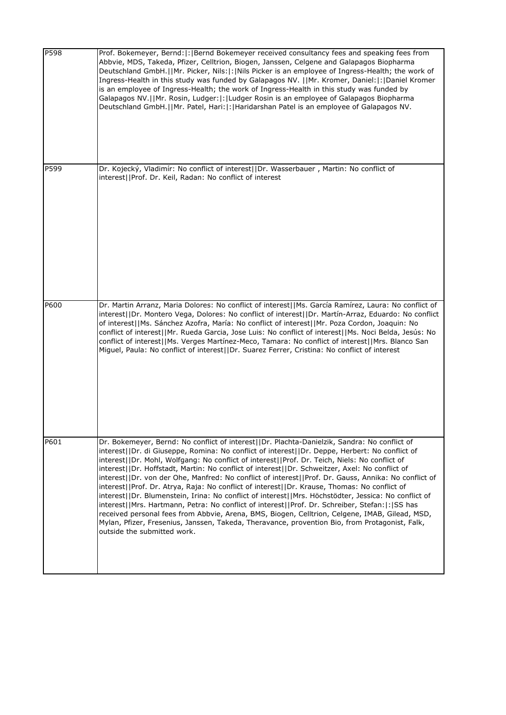| P598 | Prof. Bokemeyer, Bernd:  :   Bernd Bokemeyer received consultancy fees and speaking fees from<br>Abbvie, MDS, Takeda, Pfizer, Celltrion, Biogen, Janssen, Celgene and Galapagos Biopharma<br>Deutschland GmbH.  Mr. Picker, Nils: : Nils Picker is an employee of Ingress-Health; the work of<br>Ingress-Health in this study was funded by Galapagos NV.   Mr. Kromer, Daniel: : Daniel Kromer<br>is an employee of Ingress-Health; the work of Ingress-Health in this study was funded by<br>Galapagos NV.  Mr. Rosin, Ludger: : Ludger Rosin is an employee of Galapagos Biopharma<br>Deutschland GmbH.     Mr. Patel, Hari:   :   Haridarshan Patel is an employee of Galapagos NV.                                                                                                                                                                                                                                                                                                                                                                 |
|------|---------------------------------------------------------------------------------------------------------------------------------------------------------------------------------------------------------------------------------------------------------------------------------------------------------------------------------------------------------------------------------------------------------------------------------------------------------------------------------------------------------------------------------------------------------------------------------------------------------------------------------------------------------------------------------------------------------------------------------------------------------------------------------------------------------------------------------------------------------------------------------------------------------------------------------------------------------------------------------------------------------------------------------------------------------|
| P599 | Dr. Kojecký, Vladimír: No conflict of interest  Dr. Wasserbauer, Martin: No conflict of<br>interest  Prof. Dr. Keil, Radan: No conflict of interest                                                                                                                                                                                                                                                                                                                                                                                                                                                                                                                                                                                                                                                                                                                                                                                                                                                                                                     |
| P600 | Dr. Martin Arranz, Maria Dolores: No conflict of interest  Ms. García Ramírez, Laura: No conflict of<br>interest  Dr. Montero Vega, Dolores: No conflict of interest  Dr. Martín-Arraz, Eduardo: No conflict<br>of interest  Ms. Sánchez Azofra, María: No conflict of interest  Mr. Poza Cordon, Joaquin: No<br>conflict of interest  Mr. Rueda Garcia, Jose Luis: No conflict of interest  Ms. Noci Belda, Jesús: No<br>conflict of interest  Ms. Verges Martínez-Meco, Tamara: No conflict of interest  Mrs. Blanco San<br>Miguel, Paula: No conflict of interest  Dr. Suarez Ferrer, Cristina: No conflict of interest                                                                                                                                                                                                                                                                                                                                                                                                                              |
| P601 | Dr. Bokemeyer, Bernd: No conflict of interest  Dr. Plachta-Danielzik, Sandra: No conflict of<br>interest  Dr. di Giuseppe, Romina: No conflict of interest  Dr. Deppe, Herbert: No conflict of<br>interest  Dr. Mohl, Wolfgang: No conflict of interest  Prof. Dr. Teich, Niels: No conflict of<br>interest  Dr. Hoffstadt, Martin: No conflict of interest  Dr. Schweitzer, Axel: No conflict of<br>interest  Dr. von der Ohe, Manfred: No conflict of interest  Prof. Dr. Gauss, Annika: No conflict of<br> interest  Prof. Dr. Atrya, Raja: No conflict of interest  Dr. Krause, Thomas: No conflict of<br>interest  Dr. Blumenstein, Irina: No conflict of interest  Mrs. Höchstödter, Jessica: No conflict of<br>interest  Mrs. Hartmann, Petra: No conflict of interest  Prof. Dr. Schreiber, Stefan: : SS has<br>received personal fees from Abbvie, Arena, BMS, Biogen, Celltrion, Celgene, IMAB, Gilead, MSD,<br>Mylan, Pfizer, Fresenius, Janssen, Takeda, Theravance, provention Bio, from Protagonist, Falk,<br>outside the submitted work. |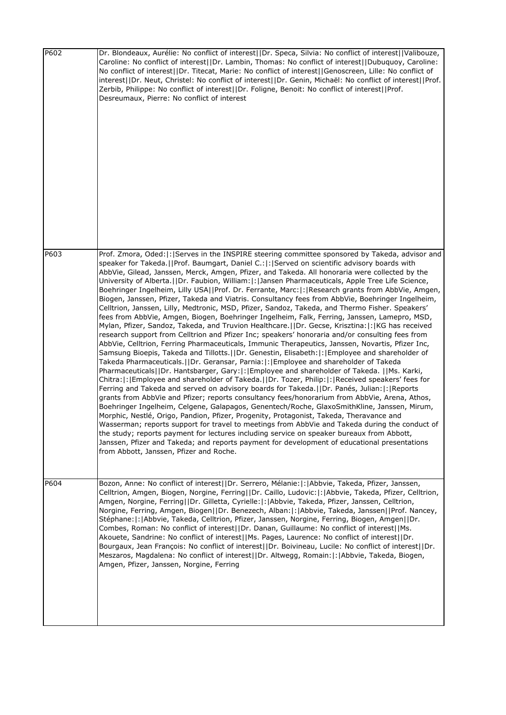| P602 | Dr. Blondeaux, Aurélie: No conflict of interest  Dr. Speca, Silvia: No conflict of interest  Valibouze,<br>Caroline: No conflict of interest  Dr. Lambin, Thomas: No conflict of interest  Dubuquoy, Caroline:<br>No conflict of interest  Dr. Titecat, Marie: No conflict of interest  Genoscreen, Lille: No conflict of<br>interest  Dr. Neut, Christel: No conflict of interest  Dr. Genin, Michaël: No conflict of interest  Prof.<br>Zerbib, Philippe: No conflict of interest  Dr. Foligne, Benoit: No conflict of interest  Prof.<br>Desreumaux, Pierre: No conflict of interest                                                                                                                                                                                                                                                                                                                                                                                                                                                                                                                                                                                                                                                                                                                                                                                                                                                                                                                                                                                                                                                                                                                                                                                                                                                                                                                                                                                                                                                                                                                                                                                                                                                                                               |
|------|---------------------------------------------------------------------------------------------------------------------------------------------------------------------------------------------------------------------------------------------------------------------------------------------------------------------------------------------------------------------------------------------------------------------------------------------------------------------------------------------------------------------------------------------------------------------------------------------------------------------------------------------------------------------------------------------------------------------------------------------------------------------------------------------------------------------------------------------------------------------------------------------------------------------------------------------------------------------------------------------------------------------------------------------------------------------------------------------------------------------------------------------------------------------------------------------------------------------------------------------------------------------------------------------------------------------------------------------------------------------------------------------------------------------------------------------------------------------------------------------------------------------------------------------------------------------------------------------------------------------------------------------------------------------------------------------------------------------------------------------------------------------------------------------------------------------------------------------------------------------------------------------------------------------------------------------------------------------------------------------------------------------------------------------------------------------------------------------------------------------------------------------------------------------------------------------------------------------------------------------------------------------------------------|
| P603 | Prof. Zmora, Oded: : Serves in the INSPIRE steering committee sponsored by Takeda, advisor and<br>speaker for Takeda.  Prof. Baumgart, Daniel C.: : Served on scientific advisory boards with<br>AbbVie, Gilead, Janssen, Merck, Amgen, Pfizer, and Takeda. All honoraria were collected by the<br>University of Alberta.     Dr. Faubion, William:  :   Jansen Pharmaceuticals, Apple Tree Life Science,<br>Boehringer Ingelheim, Lilly USA  Prof. Dr. Ferrante, Marc: : Research grants from AbbVie, Amgen,<br>Biogen, Janssen, Pfizer, Takeda and Viatris. Consultancy fees from AbbVie, Boehringer Ingelheim,<br>Celltrion, Janssen, Lilly, Medtronic, MSD, Pfizer, Sandoz, Takeda, and Thermo Fisher. Speakers'<br>fees from AbbVie, Amgen, Biogen, Boehringer Ingelheim, Falk, Ferring, Janssen, Lamepro, MSD,<br>Mylan, Pfizer, Sandoz, Takeda, and Truvion Healthcare.     Dr. Gecse, Krisztina:   :   KG has received<br>research support from Celltrion and Pfizer Inc; speakers' honoraria and/or consulting fees from<br>AbbVie, Celltrion, Ferring Pharmaceuticals, Immunic Therapeutics, Janssen, Novartis, Pfizer Inc,<br>Samsung Bioepis, Takeda and Tillotts.   Dr. Genestin, Elisabeth:  :   Employee and shareholder of<br>Takeda Pharmaceuticals.  Dr. Geransar, Parnia: : Employee and shareholder of Takeda<br>Pharmaceuticals  Dr. Hantsbarger, Gary: : Employee and shareholder of Takeda.   Ms. Karki,<br>Chitra:  :   Employee and shareholder of Takeda.     Dr. Tozer, Philip:  :   Received speakers' fees for<br>Ferring and Takeda and served on advisory boards for Takeda.     Dr. Panés, Julian:   :   Reports<br>grants from AbbVie and Pfizer; reports consultancy fees/honorarium from AbbVie, Arena, Athos,<br>Boehringer Ingelheim, Celgene, Galapagos, Genentech/Roche, GlaxoSmithKline, Janssen, Mirum,<br>Morphic, Nestlé, Origo, Pandion, Pfizer, Progenity, Protagonist, Takeda, Theravance and<br>Wasserman; reports support for travel to meetings from AbbVie and Takeda during the conduct of<br>the study; reports payment for lectures including service on speaker bureaux from Abbott,<br>Janssen, Pfizer and Takeda; and reports payment for development of educational presentations<br>from Abbott, Janssen, Pfizer and Roche. |
| P604 | Bozon, Anne: No conflict of interest  Dr. Serrero, Mélanie: : Abbvie, Takeda, Pfizer, Janssen,<br>Celltrion, Amgen, Biogen, Norgine, Ferring  Dr. Caillo, Ludovic: : Abbvie, Takeda, Pfizer, Celltrion,<br>Amgen, Norgine, Ferring  Dr. Gilletta, Cyrielle: : Abbvie, Takeda, Pfizer, Janssen, Celltrion,<br>Norgine, Ferring, Amgen, Biogen  Dr. Benezech, Alban: :   Abbvie, Takeda, Janssen  Prof. Nancey,<br>Stéphane:  :   Abbvie, Takeda, Celltrion, Pfizer, Janssen, Norgine, Ferring, Biogen, Amgen  Dr.<br>Combes, Roman: No conflict of interest  Dr. Danan, Guillaume: No conflict of interest  Ms.<br>Akouete, Sandrine: No conflict of interest  Ms. Pages, Laurence: No conflict of interest  Dr.<br>Bourgaux, Jean François: No conflict of interest  Dr. Boivineau, Lucile: No conflict of interest  Dr.<br>Meszaros, Magdalena: No conflict of interest  Dr. Altwegg, Romain: :   Abbvie, Takeda, Biogen,<br>Amgen, Pfizer, Janssen, Norgine, Ferring                                                                                                                                                                                                                                                                                                                                                                                                                                                                                                                                                                                                                                                                                                                                                                                                                                                                                                                                                                                                                                                                                                                                                                                                                                                                                                                |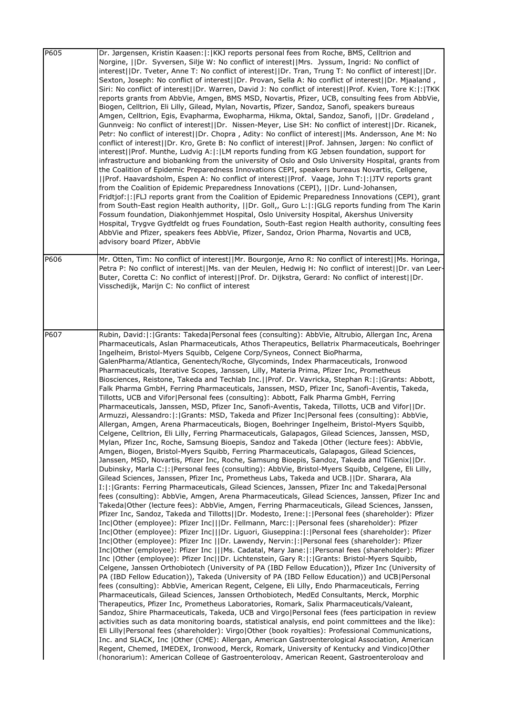| P605 | Dr. Jørgensen, Kristin Kaasen:  :   KKJ reports personal fees from Roche, BMS, Celltrion and<br>Norgine,   Dr. Syversen, Silje W: No conflict of interest  Mrs. Jyssum, Ingrid: No conflict of<br>interest  Dr. Tveter, Anne T: No conflict of interest  Dr. Tran, Trung T: No conflict of interest  Dr.<br>Sexton, Joseph: No conflict of interest  Dr. Provan, Sella A: No conflict of interest  Dr. Mjaaland,<br>Siri: No conflict of interest  Dr. Warren, David J: No conflict of interest  Prof. Kvien, Tore K: : TKK<br>reports grants from AbbVie, Amgen, BMS MSD, Novartis, Pfizer, UCB, consulting fees from AbbVie,<br>Biogen, Celltrion, Eli Lilly, Gilead, Mylan, Novartis, Pfizer, Sandoz, Sanofi, speakers bureaus<br>Amgen, Celltrion, Egis, Evapharma, Ewopharma, Hikma, Oktal, Sandoz, Sanofi,   Dr. Grødeland,<br>Gunnveig: No conflict of interest  Dr. Nissen-Meyer, Lise SH: No conflict of interest  Dr. Ricanek,<br>Petr: No conflict of interest  Dr. Chopra, Adity: No conflict of interest  Ms. Andersson, Ane M: No<br>conflict of interest  Dr. Kro, Grete B: No conflict of interest  Prof. Jahnsen, Jørgen: No conflict of<br>interest  Prof. Munthe, Ludvig A: : LM reports funding from KG Jebsen foundation, support for<br>infrastructure and biobanking from the university of Oslo and Oslo University Hospital, grants from<br>the Coalition of Epidemic Preparedness Innovations CEPI, speakers bureaus Novartis, Cellgene,<br>  Prof. Haavardsholm, Espen A: No conflict of interest  Prof. Vaage, John T: : JTV reports grant<br>from the Coalition of Epidemic Preparedness Innovations (CEPI),   Dr. Lund-Johansen,<br>Fridtjof:  :  FLJ reports grant from the Coalition of Epidemic Preparedness Innovations (CEPI), grant<br>from South-East region Health authority,   Dr. Goll,, Guro L: : GLG reports funding from The Karin<br>Fossum foundation, Diakonhjemmet Hospital, Oslo University Hospital, Akershus University<br>Hospital, Trygve Gydtfeldt og frues Foundation, South-East region Health authority, consulting fees<br>AbbVie and Pfizer, speakers fees AbbVie, Pfizer, Sandoz, Orion Pharma, Novartis and UCB,<br>advisory board Pfizer, AbbVie                                                                                                                                                                                                                                                                                                                                                                                                                                                                                                                                                                                                                                                                                                                                                                                                                                                                                                                                                                                                                                                                                                                                                                                                                                                                                                                                                                                                                                                                                                                    |
|------|----------------------------------------------------------------------------------------------------------------------------------------------------------------------------------------------------------------------------------------------------------------------------------------------------------------------------------------------------------------------------------------------------------------------------------------------------------------------------------------------------------------------------------------------------------------------------------------------------------------------------------------------------------------------------------------------------------------------------------------------------------------------------------------------------------------------------------------------------------------------------------------------------------------------------------------------------------------------------------------------------------------------------------------------------------------------------------------------------------------------------------------------------------------------------------------------------------------------------------------------------------------------------------------------------------------------------------------------------------------------------------------------------------------------------------------------------------------------------------------------------------------------------------------------------------------------------------------------------------------------------------------------------------------------------------------------------------------------------------------------------------------------------------------------------------------------------------------------------------------------------------------------------------------------------------------------------------------------------------------------------------------------------------------------------------------------------------------------------------------------------------------------------------------------------------------------------------------------------------------------------------------------------------------------------------------------------------------------------------------------------------------------------------------------------------------------------------------------------------------------------------------------------------------------------------------------------------------------------------------------------------------------------------------------------------------------------------------------------------------------------------------------------------------------------------------------------------------------------------------------------------------------------------------------------------------------------------------------------------------------------------------------------------------------------------------------------------------------------------------------------------------------------------------------------------------------------------------------------------------------------------------------------------------------------------------------------------------------------------------------------------------------------------------------------------------------------------------------------------------------------------------------------------------------------------------------------------------------------------------------------------------------------------------------------------------------------------------------------------|
| P606 | Mr. Otten, Tim: No conflict of interest  Mr. Bourgonje, Arno R: No conflict of interest  Ms. Horinga,<br>Petra P: No conflict of interest  Ms. van der Meulen, Hedwig H: No conflict of interest  Dr. van Leer-<br>Buter, Coretta C: No conflict of interest  Prof. Dr. Dijkstra, Gerard: No conflict of interest  Dr.<br>Visschedijk, Marijn C: No conflict of interest                                                                                                                                                                                                                                                                                                                                                                                                                                                                                                                                                                                                                                                                                                                                                                                                                                                                                                                                                                                                                                                                                                                                                                                                                                                                                                                                                                                                                                                                                                                                                                                                                                                                                                                                                                                                                                                                                                                                                                                                                                                                                                                                                                                                                                                                                                                                                                                                                                                                                                                                                                                                                                                                                                                                                                                                                                                                                                                                                                                                                                                                                                                                                                                                                                                                                                                                                         |
| P607 | Rubin, David: :  Grants: Takeda Personal fees (consulting): AbbVie, Altrubio, Allergan Inc, Arena<br>Pharmaceuticals, Aslan Pharmaceuticals, Athos Therapeutics, Bellatrix Pharmaceuticals, Boehringer<br>Ingelheim, Bristol-Myers Squibb, Celgene Corp/Syneos, Connect BioPharma,<br>GalenPharma/Atlantica, Genentech/Roche, Glycominds, Index Pharmaceuticals, Ironwood<br>Pharmaceuticals, Iterative Scopes, Janssen, Lilly, Materia Prima, Pfizer Inc, Prometheus<br>Biosciences, Reistone, Takeda and Techlab Inc.  Prof. Dr. Vavricka, Stephan R: : Grants: Abbott,<br>Falk Pharma GmbH, Ferring Pharmaceuticals, Janssen, MSD, Pfizer Inc, Sanofi-Aventis, Takeda,<br>Tillotts, UCB and Vifor Personal fees (consulting): Abbott, Falk Pharma GmbH, Ferring<br>Pharmaceuticals, Janssen, MSD, Pfizer Inc, Sanofi-Aventis, Takeda, Tillotts, UCB and Vifor  Dr.<br>Armuzzi, Alessandro:   :   Grants: MSD, Takeda and Pfizer Inc  Personal fees (consulting): AbbVie,<br>Allergan, Amgen, Arena Pharmaceuticals, Biogen, Boehringer Ingelheim, Bristol-Myers Squibb,<br>Celgene, Celltrion, Eli Lilly, Ferring Pharmaceuticals, Galapagos, Gilead Sciences, Janssen, MSD,<br>Mylan, Pfizer Inc, Roche, Samsung Bioepis, Sandoz and Takeda   Other (lecture fees): AbbVie,<br>Amgen, Biogen, Bristol-Myers Squibb, Ferring Pharmaceuticals, Galapagos, Gilead Sciences,<br>Janssen, MSD, Novartis, Pfizer Inc, Roche, Samsung Bioepis, Sandoz, Takeda and TiGenix  Dr.<br>Dubinsky, Marla C: : Personal fees (consulting): AbbVie, Bristol-Myers Squibb, Celgene, Eli Lilly,<br>Gilead Sciences, Janssen, Pfizer Inc, Prometheus Labs, Takeda and UCB.  Dr. Sharara, Ala<br>I: : Grants: Ferring Pharmaceuticals, Gilead Sciences, Janssen, Pfizer Inc and Takeda Personal<br>fees (consulting): AbbVie, Amgen, Arena Pharmaceuticals, Gilead Sciences, Janssen, Pfizer Inc and<br>Takeda Other (lecture fees): AbbVie, Amgen, Ferring Pharmaceuticals, Gilead Sciences, Janssen,<br>Pfizer Inc, Sandoz, Takeda and Tillotts  Dr. Modesto, Irene: :  Personal fees (shareholder): Pfizer<br>Inc Other (employee): Pfizer Inc   Dr. Fellmann, Marc: : Personal fees (shareholder): Pfizer<br>Inc Other (employee): Pfizer Inc   Dr. Liguori, Giuseppina: : Personal fees (shareholder): Pfizer<br>Inc Other (employee): Pfizer Inc   Dr. Lawendy, Nervin: :  Personal fees (shareholder): Pfizer<br>Inc Other (employee): Pfizer Inc    Ms. Cadatal, Mary Jane: : Personal fees (shareholder): Pfizer<br>Inc   Other (employee): Pfizer Inc  Dr. Lichtenstein, Gary R: :   Grants: Bristol-Myers Squibb,<br>Celgene, Janssen Orthobiotech (University of PA (IBD Fellow Education)), Pfizer Inc (University of<br>PA (IBD Fellow Education)), Takeda (University of PA (IBD Fellow Education)) and UCB Personal<br>fees (consulting): AbbVie, American Regent, Celgene, Eli Lilly, Endo Pharmaceuticals, Ferring<br>Pharmaceuticals, Gilead Sciences, Janssen Orthobiotech, MedEd Consultants, Merck, Morphic<br>Therapeutics, Pfizer Inc, Prometheus Laboratories, Romark, Salix Pharmaceuticals/Valeant,<br>Sandoz, Shire Pharmaceuticals, Takeda, UCB and Virgo Personal fees (fees participation in review<br>activities such as data monitoring boards, statistical analysis, end point committees and the like):<br>Eli Lilly   Personal fees (shareholder): Virgo   Other (book royalties): Professional Communications,<br>Inc. and SLACK, Inc   Other (CME): Allergan, American Gastroenterological Association, American<br>Regent, Chemed, IMEDEX, Ironwood, Merck, Romark, University of Kentucky and Vindico Other<br>(honorarium): American College of Gastroenterology. American Regent. Gastroenterology and |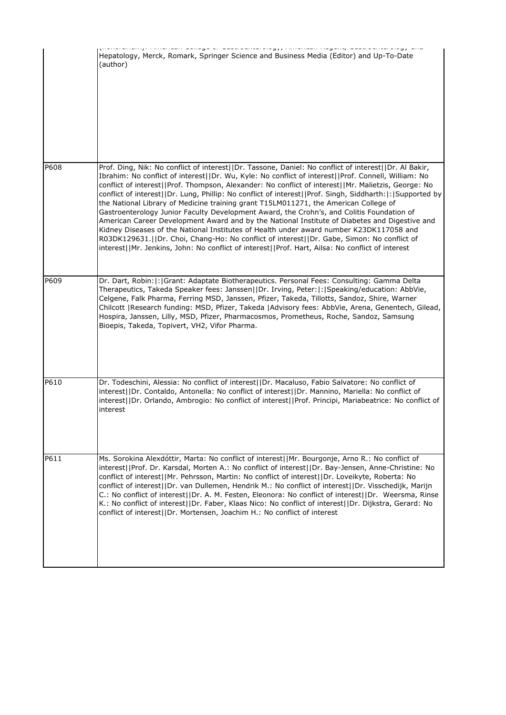|      | mississem isogene, eeuwe eense e<br>Hepatology, Merck, Romark, Springer Science and Business Media (Editor) and Up-To-Date<br>(author)                                                                                                                                                                                                                                                                                                                                                                                                                                                                                                                                                                                                                                                                                                                                                                                                                                                                             |
|------|--------------------------------------------------------------------------------------------------------------------------------------------------------------------------------------------------------------------------------------------------------------------------------------------------------------------------------------------------------------------------------------------------------------------------------------------------------------------------------------------------------------------------------------------------------------------------------------------------------------------------------------------------------------------------------------------------------------------------------------------------------------------------------------------------------------------------------------------------------------------------------------------------------------------------------------------------------------------------------------------------------------------|
| P608 | Prof. Ding, Nik: No conflict of interest  Dr. Tassone, Daniel: No conflict of interest  Dr. Al Bakir,<br>Ibrahim: No conflict of interest  Dr. Wu, Kyle: No conflict of interest  Prof. Connell, William: No<br>conflict of interest  Prof. Thompson, Alexander: No conflict of interest  Mr. Malietzis, George: No<br>conflict of interest  Dr. Lung, Phillip: No conflict of interest  Prof. Singh, Siddharth: : Supported by<br>the National Library of Medicine training grant T15LM011271, the American College of<br>Gastroenterology Junior Faculty Development Award, the Crohn's, and Colitis Foundation of<br>American Career Development Award and by the National Institute of Diabetes and Digestive and<br>Kidney Diseases of the National Institutes of Health under award number K23DK117058 and<br>R03DK129631.  Dr. Choi, Chang-Ho: No conflict of interest  Dr. Gabe, Simon: No conflict of<br>interest  Mr. Jenkins, John: No conflict of interest  Prof. Hart, Ailsa: No conflict of interest |
| P609 | Dr. Dart, Robin:  :  Grant: Adaptate Biotherapeutics. Personal Fees: Consulting: Gamma Delta<br>Therapeutics, Takeda Speaker fees: Janssen  Dr. Irving, Peter: : Speaking/education: AbbVie,<br>Celgene, Falk Pharma, Ferring MSD, Janssen, Pfizer, Takeda, Tillotts, Sandoz, Shire, Warner<br>Chilcott   Research funding: MSD, Pfizer, Takeda   Advisory fees: AbbVie, Arena, Genentech, Gilead,<br>Hospira, Janssen, Lilly, MSD, Pfizer, Pharmacosmos, Prometheus, Roche, Sandoz, Samsung<br>Bioepis, Takeda, Topivert, VH2, Vifor Pharma.                                                                                                                                                                                                                                                                                                                                                                                                                                                                      |
| P610 | Dr. Todeschini, Alessia: No conflict of interest  Dr. Macaluso, Fabio Salvatore: No conflict of<br>interest  Dr. Contaldo, Antonella: No conflict of interest  Dr. Mannino, Mariella: No conflict of<br>interest  Dr. Orlando, Ambrogio: No conflict of interest  Prof. Principi, Mariabeatrice: No conflict of<br>interest                                                                                                                                                                                                                                                                                                                                                                                                                                                                                                                                                                                                                                                                                        |
| P611 | Ms. Sorokina Alexdóttir, Marta: No conflict of interest  Mr. Bourgonje, Arno R.: No conflict of<br>interest  Prof. Dr. Karsdal, Morten A.: No conflict of interest  Dr. Bay-Jensen, Anne-Christine: No<br>conflict of interest  Mr. Pehrsson, Martin: No conflict of interest  Dr. Loveikyte, Roberta: No<br>conflict of interest  Dr. van Dullemen, Hendrik M.: No conflict of interest  Dr. Visschedijk, Marijn<br>C.: No conflict of interest  Dr. A. M. Festen, Eleonora: No conflict of interest  Dr. Weersma, Rinse<br>K.: No conflict of interest  Dr. Faber, Klaas Nico: No conflict of interest  Dr. Dijkstra, Gerard: No<br>conflict of interest  Dr. Mortensen, Joachim H.: No conflict of interest                                                                                                                                                                                                                                                                                                     |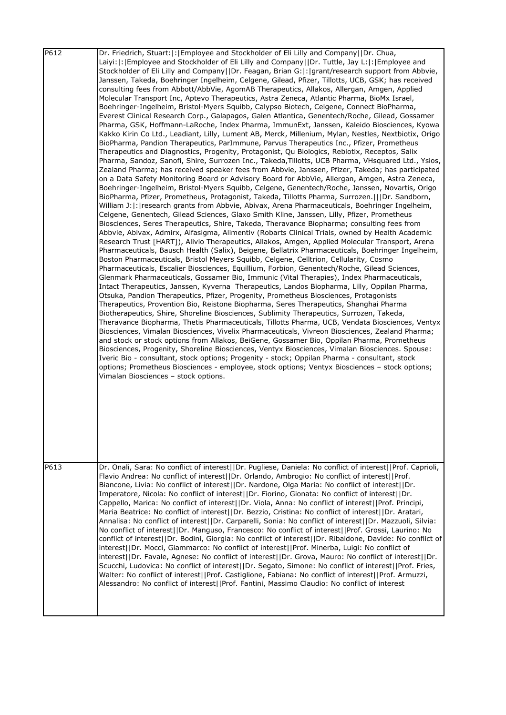| P612 | Dr. Friedrich, Stuart: : Employee and Stockholder of Eli Lilly and Company  Dr. Chua,<br>Laiyi: : Employee and Stockholder of Eli Lilly and Company  Dr. Tuttle, Jay L: : Employee and<br>Stockholder of Eli Lilly and Company  Dr. Feagan, Brian G: : grant/research support from Abbvie,<br>Janssen, Takeda, Boehringer Ingelheim, Celgene, Gilead, Pfizer, Tillotts, UCB, GSK; has received<br>consulting fees from Abbott/AbbVie, AgomAB Therapeutics, Allakos, Allergan, Amgen, Applied<br>Molecular Transport Inc, Aptevo Therapeutics, Astra Zeneca, Atlantic Pharma, BioMx Israel,<br>Boehringer-Ingelheim, Bristol-Myers Squibb, Calypso Biotech, Celgene, Connect BioPharma,<br>Everest Clinical Research Corp., Galapagos, Galen Atlantica, Genentech/Roche, Gilead, Gossamer<br>Pharma, GSK, Hoffmann-LaRoche, Index Pharma, ImmunExt, Janssen, Kaleido Biosciences, Kyowa<br>Kakko Kirin Co Ltd., Leadiant, Lilly, Lument AB, Merck, Millenium, Mylan, Nestles, Nextbiotix, Origo<br>BioPharma, Pandion Therapeutics, ParImmune, Parvus Therapeutics Inc., Pfizer, Prometheus<br>Therapeutics and Diagnostics, Progenity, Protagonist, Qu Biologics, Rebiotix, Receptos, Salix<br>Pharma, Sandoz, Sanofi, Shire, Surrozen Inc., Takeda, Tillotts, UCB Pharma, VHsquared Ltd., Ysios,<br>Zealand Pharma; has received speaker fees from Abbvie, Janssen, Pfizer, Takeda; has participated<br>on a Data Safety Monitoring Board or Advisory Board for AbbVie, Allergan, Amgen, Astra Zeneca,<br>Boehringer-Ingelheim, Bristol-Myers Squibb, Celgene, Genentech/Roche, Janssen, Novartis, Origo<br>BioPharma, Pfizer, Prometheus, Protagonist, Takeda, Tillotts Pharma, Surrozen.     Dr. Sandborn,<br>William J: : research grants from Abbvie, Abivax, Arena Pharmaceuticals, Boehringer Ingelheim,<br>Celgene, Genentech, Gilead Sciences, Glaxo Smith Kline, Janssen, Lilly, Pfizer, Prometheus<br>Biosciences, Seres Therapeutics, Shire, Takeda, Theravance Biopharma; consulting fees from<br>Abbvie, Abivax, Admirx, Alfasigma, Alimentiv (Robarts Clinical Trials, owned by Health Academic<br>Research Trust [HART]), Alivio Therapeutics, Allakos, Amgen, Applied Molecular Transport, Arena<br>Pharmaceuticals, Bausch Health (Salix), Beigene, Bellatrix Pharmaceuticals, Boehringer Ingelheim,<br>Boston Pharmaceuticals, Bristol Meyers Squibb, Celgene, Celltrion, Cellularity, Cosmo<br>Pharmaceuticals, Escalier Biosciences, Equillium, Forbion, Genentech/Roche, Gilead Sciences,<br>Glenmark Pharmaceuticals, Gossamer Bio, Immunic (Vital Therapies), Index Pharmaceuticals,<br>Intact Therapeutics, Janssen, Kyverna Therapeutics, Landos Biopharma, Lilly, Oppilan Pharma,<br>Otsuka, Pandion Therapeutics, Pfizer, Progenity, Prometheus Biosciences, Protagonists<br>Therapeutics, Provention Bio, Reistone Biopharma, Seres Therapeutics, Shanghai Pharma<br>Biotherapeutics, Shire, Shoreline Biosciences, Sublimity Therapeutics, Surrozen, Takeda,<br>Theravance Biopharma, Thetis Pharmaceuticals, Tillotts Pharma, UCB, Vendata Biosciences, Ventyx<br>Biosciences, Vimalan Biosciences, Vivelix Pharmaceuticals, Vivreon Biosciences, Zealand Pharma;<br>and stock or stock options from Allakos, BeiGene, Gossamer Bio, Oppilan Pharma, Prometheus<br>Biosciences, Progenity, Shoreline Biosciences, Ventyx Biosciences, Vimalan Biosciences. Spouse:<br>Iveric Bio - consultant, stock options; Progenity - stock; Oppilan Pharma - consultant, stock<br>options; Prometheus Biosciences - employee, stock options; Ventyx Biosciences - stock options;<br>Vimalan Biosciences - stock options. |
|------|----------------------------------------------------------------------------------------------------------------------------------------------------------------------------------------------------------------------------------------------------------------------------------------------------------------------------------------------------------------------------------------------------------------------------------------------------------------------------------------------------------------------------------------------------------------------------------------------------------------------------------------------------------------------------------------------------------------------------------------------------------------------------------------------------------------------------------------------------------------------------------------------------------------------------------------------------------------------------------------------------------------------------------------------------------------------------------------------------------------------------------------------------------------------------------------------------------------------------------------------------------------------------------------------------------------------------------------------------------------------------------------------------------------------------------------------------------------------------------------------------------------------------------------------------------------------------------------------------------------------------------------------------------------------------------------------------------------------------------------------------------------------------------------------------------------------------------------------------------------------------------------------------------------------------------------------------------------------------------------------------------------------------------------------------------------------------------------------------------------------------------------------------------------------------------------------------------------------------------------------------------------------------------------------------------------------------------------------------------------------------------------------------------------------------------------------------------------------------------------------------------------------------------------------------------------------------------------------------------------------------------------------------------------------------------------------------------------------------------------------------------------------------------------------------------------------------------------------------------------------------------------------------------------------------------------------------------------------------------------------------------------------------------------------------------------------------------------------------------------------------------------------------------------------------------------------------------------------------------------------------------------------------------------------------------------------------------------------------------------------------------------------------------------------------------------------------------------------------------------------------------------------------------------------------------------------------------------------------------------------------------------------|
| P613 | Dr. Onali, Sara: No conflict of interest  Dr. Pugliese, Daniela: No conflict of interest  Prof. Caprioli,<br>Flavio Andrea: No conflict of interest  Dr. Orlando, Ambrogio: No conflict of interest  Prof.<br>Biancone, Livia: No conflict of interest  Dr. Nardone, Olga Maria: No conflict of interest  Dr.<br>Imperatore, Nicola: No conflict of interest  Dr. Fiorino, Gionata: No conflict of interest  Dr.<br>Cappello, Marica: No conflict of interest  Dr. Viola, Anna: No conflict of interest  Prof. Principi,<br>Maria Beatrice: No conflict of interest  Dr. Bezzio, Cristina: No conflict of interest  Dr. Aratari,<br>Annalisa: No conflict of interest  Dr. Carparelli, Sonia: No conflict of interest  Dr. Mazzuoli, Silvia:<br>No conflict of interest  Dr. Manguso, Francesco: No conflict of interest  Prof. Grossi, Laurino: No<br>conflict of interest  Dr. Bodini, Giorgia: No conflict of interest  Dr. Ribaldone, Davide: No conflict of<br>interest  Dr. Mocci, Giammarco: No conflict of interest  Prof. Minerba, Luigi: No conflict of<br>interest  Dr. Favale, Agnese: No conflict of interest  Dr. Grova, Mauro: No conflict of interest  Dr.<br>Scucchi, Ludovica: No conflict of interest  Dr. Segato, Simone: No conflict of interest  Prof. Fries,<br>Walter: No conflict of interest  Prof. Castiglione, Fabiana: No conflict of interest  Prof. Armuzzi,<br>Alessandro: No conflict of interest  Prof. Fantini, Massimo Claudio: No conflict of interest                                                                                                                                                                                                                                                                                                                                                                                                                                                                                                                                                                                                                                                                                                                                                                                                                                                                                                                                                                                                                                                                                                                                                                                                                                                                                                                                                                                                                                                                                                                                                                                                                                                                                                                                                                                                                                                                                                                                                                                                                                                                                                                                                  |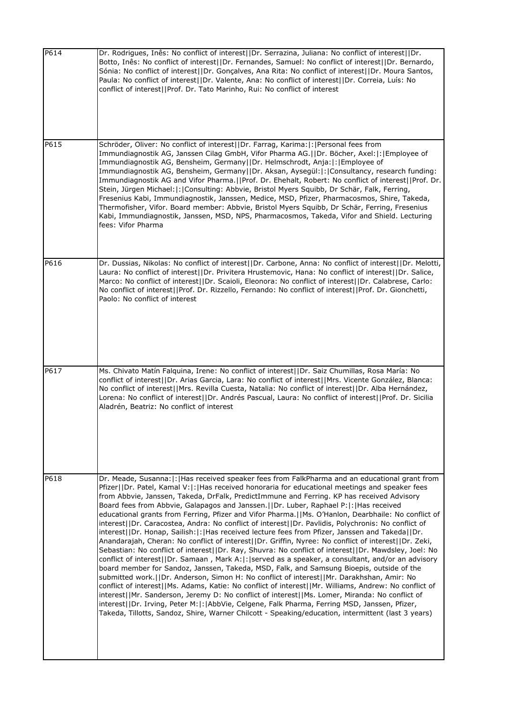| P614 | Dr. Rodrigues, Inês: No conflict of interest  Dr. Serrazina, Juliana: No conflict of interest  Dr.<br>Botto, Inês: No conflict of interest  Dr. Fernandes, Samuel: No conflict of interest  Dr. Bernardo,<br>Sónia: No conflict of interest  Dr. Gonçalves, Ana Rita: No conflict of interest  Dr. Moura Santos,<br>Paula: No conflict of interest  Dr. Valente, Ana: No conflict of interest  Dr. Correia, Luís: No<br>conflict of interest  Prof. Dr. Tato Marinho, Rui: No conflict of interest                                                                                                                                                                                                                                                                                                                                                                                                                                                                                                                                                                                                                                                                                                                                                                                                                                                                                                                                                                                                                                                                                                                                                  |
|------|-----------------------------------------------------------------------------------------------------------------------------------------------------------------------------------------------------------------------------------------------------------------------------------------------------------------------------------------------------------------------------------------------------------------------------------------------------------------------------------------------------------------------------------------------------------------------------------------------------------------------------------------------------------------------------------------------------------------------------------------------------------------------------------------------------------------------------------------------------------------------------------------------------------------------------------------------------------------------------------------------------------------------------------------------------------------------------------------------------------------------------------------------------------------------------------------------------------------------------------------------------------------------------------------------------------------------------------------------------------------------------------------------------------------------------------------------------------------------------------------------------------------------------------------------------------------------------------------------------------------------------------------------------|
| P615 | Schröder, Oliver: No conflict of interest  Dr. Farrag, Karima: : Personal fees from<br>Immundiagnostik AG, Janssen Cilag GmbH, Vifor Pharma AG.  Dr. Böcher, Axel: : Employee of<br>Immundiagnostik AG, Bensheim, Germany  Dr. Helmschrodt, Anja: : Employee of<br>Immundiagnostik AG, Bensheim, Germany  Dr. Aksan, Aysegül: : Consultancy, research funding:<br>Immundiagnostik AG and Vifor Pharma.  Prof. Dr. Ehehalt, Robert: No conflict of interest  Prof. Dr.<br>Stein, Jürgen Michael:  :   Consulting: Abbvie, Bristol Myers Squibb, Dr Schär, Falk, Ferring,<br>Fresenius Kabi, Immundiagnostik, Janssen, Medice, MSD, Pfizer, Pharmacosmos, Shire, Takeda,<br>Thermofisher, Vifor. Board member: Abbvie, Bristol Myers Squibb, Dr Schär, Ferring, Fresenius<br>Kabi, Immundiagnostik, Janssen, MSD, NPS, Pharmacosmos, Takeda, Vifor and Shield. Lecturing<br>fees: Vifor Pharma                                                                                                                                                                                                                                                                                                                                                                                                                                                                                                                                                                                                                                                                                                                                                        |
| P616 | Dr. Dussias, Nikolas: No conflict of interest  Dr. Carbone, Anna: No conflict of interest  Dr. Melotti,<br>Laura: No conflict of interest  Dr. Privitera Hrustemovic, Hana: No conflict of interest  Dr. Salice,<br>Marco: No conflict of interest  Dr. Scaioli, Eleonora: No conflict of interest  Dr. Calabrese, Carlo:<br>No conflict of interest  Prof. Dr. Rizzello, Fernando: No conflict of interest  Prof. Dr. Gionchetti,<br>Paolo: No conflict of interest                                                                                                                                                                                                                                                                                                                                                                                                                                                                                                                                                                                                                                                                                                                                                                                                                                                                                                                                                                                                                                                                                                                                                                                |
| P617 | Ms. Chivato Matín Falquina, Irene: No conflict of interest  Dr. Saiz Chumillas, Rosa María: No<br>conflict of interest  Dr. Arias Garcia, Lara: No conflict of interest  Mrs. Vicente González, Blanca:<br>No conflict of interest  Mrs. Revilla Cuesta, Natalia: No conflict of interest  Dr. Alba Hernández,<br>Lorena: No conflict of interest  Dr. Andrés Pascual, Laura: No conflict of interest  Prof. Dr. Sicilia<br>Aladrén, Beatriz: No conflict of interest                                                                                                                                                                                                                                                                                                                                                                                                                                                                                                                                                                                                                                                                                                                                                                                                                                                                                                                                                                                                                                                                                                                                                                               |
| P618 | Dr. Meade, Susanna:  :   Has received speaker fees from FalkPharma and an educational grant from<br>Pfizer  Dr. Patel, Kamal V: : Has received honoraria for educational meetings and speaker fees<br>from Abbvie, Janssen, Takeda, DrFalk, PredictImmune and Ferring. KP has received Advisory<br>Board fees from Abbvie, Galapagos and Janssen.     Dr. Luber, Raphael P:   :   Has received<br>educational grants from Ferring, Pfizer and Vifor Pharma. [IMs. O'Hanlon, Dearbhaile: No conflict of<br>interest   Dr. Caracostea, Andra: No conflict of interest   IDr. Pavlidis, Polychronis: No conflict of<br>interest  Dr. Honap, Sailish: :  Has received lecture fees from Pfizer, Janssen and Takeda  Dr.<br>Anandarajah, Cheran: No conflict of interest  Dr. Griffin, Nyree: No conflict of interest  Dr. Zeki,<br>Sebastian: No conflict of interest  Dr. Ray, Shuvra: No conflict of interest  Dr. Mawdsley, Joel: No<br>conflict of interest  Dr. Samaan, Mark A: : served as a speaker, a consultant, and/or an advisory<br>board member for Sandoz, Janssen, Takeda, MSD, Falk, and Samsung Bioepis, outside of the<br>submitted work. (IDr. Anderson, Simon H: No conflict of interest) Mr. Darakhshan, Amir: No<br>conflict of interest  Ms. Adams, Katie: No conflict of interest  Mr. Williams, Andrew: No conflict of<br>interest  Mr. Sanderson, Jeremy D: No conflict of interest  Ms. Lomer, Miranda: No conflict of<br>interest  Dr. Irving, Peter M: : AbbVie, Celgene, Falk Pharma, Ferring MSD, Janssen, Pfizer,<br>Takeda, Tillotts, Sandoz, Shire, Warner Chilcott - Speaking/education, intermittent (last 3 years) |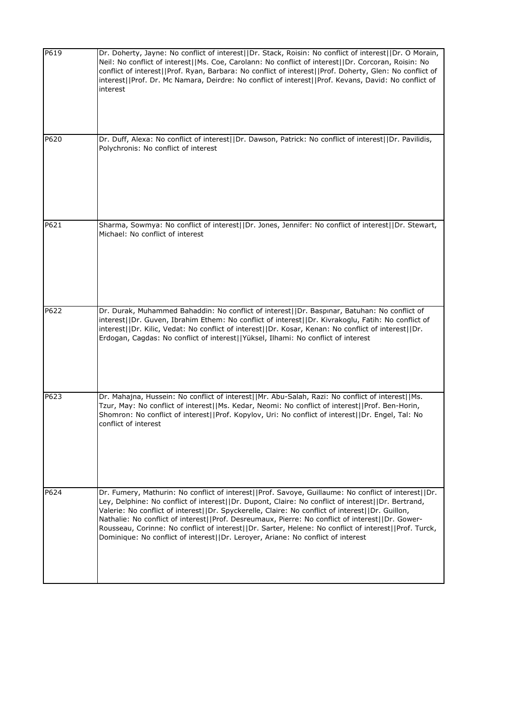| P619 | Dr. Doherty, Jayne: No conflict of interest  Dr. Stack, Roisin: No conflict of interest  Dr. O Morain,<br>Neil: No conflict of interest  Ms. Coe, Carolann: No conflict of interest  Dr. Corcoran, Roisin: No<br>conflict of interest  Prof. Ryan, Barbara: No conflict of interest  Prof. Doherty, Glen: No conflict of<br>interest  Prof. Dr. Mc Namara, Deirdre: No conflict of interest  Prof. Kevans, David: No conflict of<br>interest                                                                                                                                                                    |
|------|-----------------------------------------------------------------------------------------------------------------------------------------------------------------------------------------------------------------------------------------------------------------------------------------------------------------------------------------------------------------------------------------------------------------------------------------------------------------------------------------------------------------------------------------------------------------------------------------------------------------|
| P620 | Dr. Duff, Alexa: No conflict of interest  Dr. Dawson, Patrick: No conflict of interest  Dr. Pavilidis,<br>Polychronis: No conflict of interest                                                                                                                                                                                                                                                                                                                                                                                                                                                                  |
| P621 | Sharma, Sowmya: No conflict of interest  Dr. Jones, Jennifer: No conflict of interest  Dr. Stewart,<br>Michael: No conflict of interest                                                                                                                                                                                                                                                                                                                                                                                                                                                                         |
| P622 | Dr. Durak, Muhammed Bahaddin: No conflict of interest  Dr. Baspınar, Batuhan: No conflict of<br>interest  Dr. Guven, Ibrahim Ethem: No conflict of interest  Dr. Kivrakoglu, Fatih: No conflict of<br>interest  Dr. Kilic, Vedat: No conflict of interest  Dr. Kosar, Kenan: No conflict of interest  Dr.                                                                                                                                                                                                                                                                                                       |
|      | Erdogan, Cagdas: No conflict of interest  Yüksel, Ilhami: No conflict of interest                                                                                                                                                                                                                                                                                                                                                                                                                                                                                                                               |
| P623 | Dr. Mahajna, Hussein: No conflict of interest  Mr. Abu-Salah, Razi: No conflict of interest  Ms.<br>Tzur, May: No conflict of interest  Ms. Kedar, Neomi: No conflict of interest  Prof. Ben-Horin,<br>Shomron: No conflict of interest  Prof. Kopylov, Uri: No conflict of interest  Dr. Engel, Tal: No<br>conflict of interest                                                                                                                                                                                                                                                                                |
| P624 | Dr. Fumery, Mathurin: No conflict of interest  Prof. Savoye, Guillaume: No conflict of interest  Dr.<br>Ley, Delphine: No conflict of interest  Dr. Dupont, Claire: No conflict of interest  Dr. Bertrand,<br>Valerie: No conflict of interest  Dr. Spyckerelle, Claire: No conflict of interest  Dr. Guillon,<br>Nathalie: No conflict of interest  Prof. Desreumaux, Pierre: No conflict of interest  Dr. Gower-<br>Rousseau, Corinne: No conflict of interest  Dr. Sarter, Helene: No conflict of interest  Prof. Turck,<br>Dominique: No conflict of interest  Dr. Leroyer, Ariane: No conflict of interest |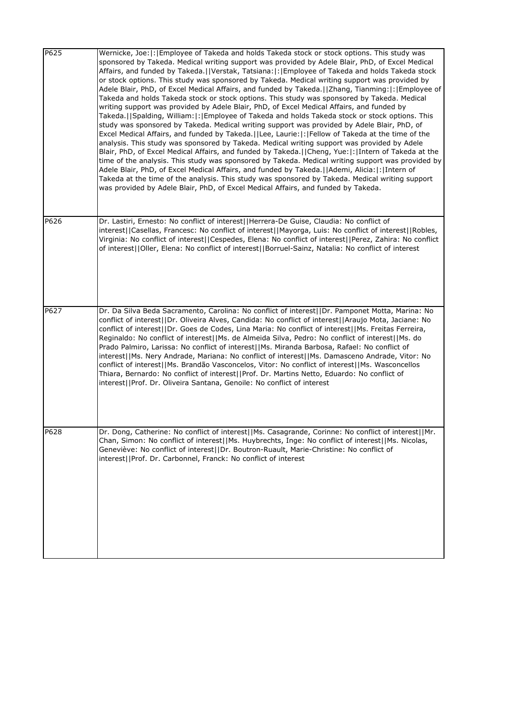| P625 | Wernicke, Joe:  :   Employee of Takeda and holds Takeda stock or stock options. This study was<br>sponsored by Takeda. Medical writing support was provided by Adele Blair, PhD, of Excel Medical<br>Affairs, and funded by Takeda.  Verstak, Tatsiana: : Employee of Takeda and holds Takeda stock<br>or stock options. This study was sponsored by Takeda. Medical writing support was provided by<br>Adele Blair, PhD, of Excel Medical Affairs, and funded by Takeda.   Zhang, Tianming:   :   Employee of<br>Takeda and holds Takeda stock or stock options. This study was sponsored by Takeda. Medical<br>writing support was provided by Adele Blair, PhD, of Excel Medical Affairs, and funded by<br>Takeda.   Spalding, William:  :   Employee of Takeda and holds Takeda stock or stock options. This<br>study was sponsored by Takeda. Medical writing support was provided by Adele Blair, PhD, of<br>Excel Medical Affairs, and funded by Takeda.   Lee, Laurie:   :   Fellow of Takeda at the time of the<br>analysis. This study was sponsored by Takeda. Medical writing support was provided by Adele<br>Blair, PhD, of Excel Medical Affairs, and funded by Takeda.   Cheng, Yue: : Intern of Takeda at the<br>time of the analysis. This study was sponsored by Takeda. Medical writing support was provided by<br>Adele Blair, PhD, of Excel Medical Affairs, and funded by Takeda.  Ademi, Alicia: : Intern of<br>Takeda at the time of the analysis. This study was sponsored by Takeda. Medical writing support<br>was provided by Adele Blair, PhD, of Excel Medical Affairs, and funded by Takeda. |
|------|------------------------------------------------------------------------------------------------------------------------------------------------------------------------------------------------------------------------------------------------------------------------------------------------------------------------------------------------------------------------------------------------------------------------------------------------------------------------------------------------------------------------------------------------------------------------------------------------------------------------------------------------------------------------------------------------------------------------------------------------------------------------------------------------------------------------------------------------------------------------------------------------------------------------------------------------------------------------------------------------------------------------------------------------------------------------------------------------------------------------------------------------------------------------------------------------------------------------------------------------------------------------------------------------------------------------------------------------------------------------------------------------------------------------------------------------------------------------------------------------------------------------------------------------------------------------------------------------------------------------------|
| P626 | Dr. Lastiri, Ernesto: No conflict of interest  Herrera-De Guise, Claudia: No conflict of<br>interest  Casellas, Francesc: No conflict of interest  Mayorga, Luis: No conflict of interest  Robles,<br>Virginia: No conflict of interest  Cespedes, Elena: No conflict of interest  Perez, Zahira: No conflict<br>of interest  Oller, Elena: No conflict of interest  Borruel-Sainz, Natalia: No conflict of interest                                                                                                                                                                                                                                                                                                                                                                                                                                                                                                                                                                                                                                                                                                                                                                                                                                                                                                                                                                                                                                                                                                                                                                                                         |
|      |                                                                                                                                                                                                                                                                                                                                                                                                                                                                                                                                                                                                                                                                                                                                                                                                                                                                                                                                                                                                                                                                                                                                                                                                                                                                                                                                                                                                                                                                                                                                                                                                                              |
| P627 | Dr. Da Silva Beda Sacramento, Carolina: No conflict of interest  Dr. Pamponet Motta, Marina: No<br>conflict of interest  Dr. Oliveira Alves, Candida: No conflict of interest  Araujo Mota, Jaciane: No<br>conflict of interest  Dr. Goes de Codes, Lina Maria: No conflict of interest  Ms. Freitas Ferreira,<br>Reginaldo: No conflict of interest  Ms. de Almeida Silva, Pedro: No conflict of interest  Ms. do<br>Prado Palmiro, Larissa: No conflict of interest  Ms. Miranda Barbosa, Rafael: No conflict of<br>interest  Ms. Nery Andrade, Mariana: No conflict of interest  Ms. Damasceno Andrade, Vitor: No<br>conflict of interest  Ms. Brandão Vasconcelos, Vitor: No conflict of interest  Ms. Wasconcellos<br>Thiara, Bernardo: No conflict of interest  Prof. Dr. Martins Netto, Eduardo: No conflict of<br>interest  Prof. Dr. Oliveira Santana, Genoile: No conflict of interest                                                                                                                                                                                                                                                                                                                                                                                                                                                                                                                                                                                                                                                                                                                             |
| P628 | Dr. Dong, Catherine: No conflict of interest  Ms. Casagrande, Corinne: No conflict of interest  Mr.<br>Chan, Simon: No conflict of interest  Ms. Huybrechts, Inge: No conflict of interest  Ms. Nicolas,<br>Geneviève: No conflict of interest  Dr. Boutron-Ruault, Marie-Christine: No conflict of<br>interest  Prof. Dr. Carbonnel, Franck: No conflict of interest                                                                                                                                                                                                                                                                                                                                                                                                                                                                                                                                                                                                                                                                                                                                                                                                                                                                                                                                                                                                                                                                                                                                                                                                                                                        |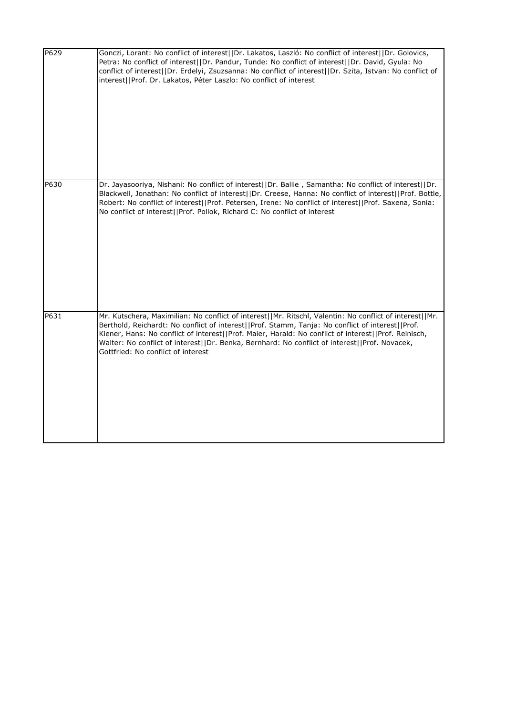| P629 | Gonczi, Lorant: No conflict of interest  Dr. Lakatos, Laszló: No conflict of interest  Dr. Golovics,<br>Petra: No conflict of interest  Dr. Pandur, Tunde: No conflict of interest  Dr. David, Gyula: No<br>conflict of interest  Dr. Erdelyi, Zsuzsanna: No conflict of interest  Dr. Szita, Istvan: No conflict of<br>interest  Prof. Dr. Lakatos, Péter Laszlo: No conflict of interest                                                                 |
|------|------------------------------------------------------------------------------------------------------------------------------------------------------------------------------------------------------------------------------------------------------------------------------------------------------------------------------------------------------------------------------------------------------------------------------------------------------------|
| P630 | Dr. Jayasooriya, Nishani: No conflict of interest  Dr. Ballie, Samantha: No conflict of interest  Dr.<br>Blackwell, Jonathan: No conflict of interest  Dr. Creese, Hanna: No conflict of interest  Prof. Bottle,<br>Robert: No conflict of interest  Prof. Petersen, Irene: No conflict of interest  Prof. Saxena, Sonia:<br>No conflict of interest  Prof. Pollok, Richard C: No conflict of interest                                                     |
| P631 | Mr. Kutschera, Maximilian: No conflict of interest  Mr. Ritschl, Valentin: No conflict of interest  Mr.<br>Berthold, Reichardt: No conflict of interest  Prof. Stamm, Tanja: No conflict of interest  Prof.<br>Kiener, Hans: No conflict of interest  Prof. Maier, Harald: No conflict of interest  Prof. Reinisch,<br>Walter: No conflict of interest  Dr. Benka, Bernhard: No conflict of interest  Prof. Novacek,<br>Gottfried: No conflict of interest |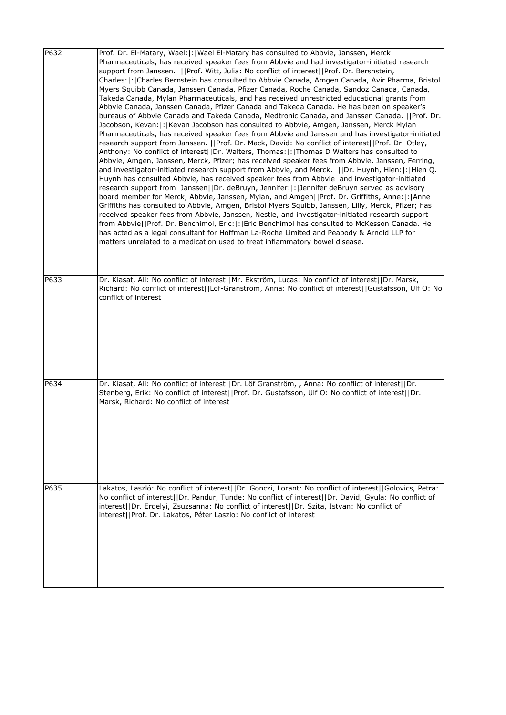| P632 | Prof. Dr. El-Matary, Wael:  :   Wael El-Matary has consulted to Abbvie, Janssen, Merck<br>Pharmaceuticals, has received speaker fees from Abbvie and had investigator-initiated research<br>support from Janssen.   Prof. Witt, Julia: No conflict of interest  Prof. Dr. Bersnstein,<br>Charles:  :   Charles Bernstein has consulted to Abbvie Canada, Amgen Canada, Avir Pharma, Bristol<br>Myers Squibb Canada, Janssen Canada, Pfizer Canada, Roche Canada, Sandoz Canada, Canada,<br>Takeda Canada, Mylan Pharmaceuticals, and has received unrestricted educational grants from<br>Abbvie Canada, Janssen Canada, Pfizer Canada and Takeda Canada. He has been on speaker's<br>bureaus of Abbvie Canada and Takeda Canada, Medtronic Canada, and Janssen Canada. [[Prof. Dr.<br>Jacobson, Kevan:  :   Kevan Jacobson has consulted to Abbvie, Amgen, Janssen, Merck Mylan<br>Pharmaceuticals, has received speaker fees from Abbvie and Janssen and has investigator-initiated<br>research support from Janssen.   Prof. Dr. Mack, David: No conflict of interest  Prof. Dr. Otley,<br>Anthony: No conflict of interest  Dr. Walters, Thomas: : Thomas D Walters has consulted to<br>Abbvie, Amgen, Janssen, Merck, Pfizer; has received speaker fees from Abbvie, Janssen, Ferring,<br>and investigator-initiated research support from Abbvie, and Merck.    Dr. Huynh, Hien:  :  Hien Q.<br>Huynh has consulted Abbvie, has received speaker fees from Abbvie and investigator-initiated<br>research support from Janssen  Dr. deBruyn, Jennifer: : Jennifer deBruyn served as advisory<br>board member for Merck, Abbvie, Janssen, Mylan, and Amgen  Prof. Dr. Griffiths, Anne: :  Anne<br>Griffiths has consulted to Abbvie, Amgen, Bristol Myers Squibb, Janssen, Lilly, Merck, Pfizer; has<br>received speaker fees from Abbvie, Janssen, Nestle, and investigator-initiated research support<br>from Abbvie  Prof. Dr. Benchimol, Eric: : Eric Benchimol has consulted to McKesson Canada. He<br>has acted as a legal consultant for Hoffman La-Roche Limited and Peabody & Arnold LLP for<br>matters unrelated to a medication used to treat inflammatory bowel disease. |
|------|------------------------------------------------------------------------------------------------------------------------------------------------------------------------------------------------------------------------------------------------------------------------------------------------------------------------------------------------------------------------------------------------------------------------------------------------------------------------------------------------------------------------------------------------------------------------------------------------------------------------------------------------------------------------------------------------------------------------------------------------------------------------------------------------------------------------------------------------------------------------------------------------------------------------------------------------------------------------------------------------------------------------------------------------------------------------------------------------------------------------------------------------------------------------------------------------------------------------------------------------------------------------------------------------------------------------------------------------------------------------------------------------------------------------------------------------------------------------------------------------------------------------------------------------------------------------------------------------------------------------------------------------------------------------------------------------------------------------------------------------------------------------------------------------------------------------------------------------------------------------------------------------------------------------------------------------------------------------------------------------------------------------------------------------------------------------------------------------------------------------------------------------------------------------------------------|
| P633 | Dr. Kiasat, Ali: No conflict of interest  Mr. Ekström, Lucas: No conflict of interest  Dr. Marsk,<br>Richard: No conflict of interest  Löf-Granström, Anna: No conflict of interest  Gustafsson, Ulf O: No<br>conflict of interest                                                                                                                                                                                                                                                                                                                                                                                                                                                                                                                                                                                                                                                                                                                                                                                                                                                                                                                                                                                                                                                                                                                                                                                                                                                                                                                                                                                                                                                                                                                                                                                                                                                                                                                                                                                                                                                                                                                                                       |
| P634 | Dr. Kiasat, Ali: No conflict of interest  Dr. Löf Granström, , Anna: No conflict of interest  Dr.<br>Stenberg, Erik: No conflict of interest  Prof. Dr. Gustafsson, Ulf O: No conflict of interest  Dr.<br>Marsk, Richard: No conflict of interest                                                                                                                                                                                                                                                                                                                                                                                                                                                                                                                                                                                                                                                                                                                                                                                                                                                                                                                                                                                                                                                                                                                                                                                                                                                                                                                                                                                                                                                                                                                                                                                                                                                                                                                                                                                                                                                                                                                                       |
| P635 | Lakatos, Laszló: No conflict of interest  Dr. Gonczi, Lorant: No conflict of interest  Golovics, Petra:<br>No conflict of interest  Dr. Pandur, Tunde: No conflict of interest  Dr. David, Gyula: No conflict of<br>interest  Dr. Erdelyi, Zsuzsanna: No conflict of interest  Dr. Szita, Istvan: No conflict of<br>interest  Prof. Dr. Lakatos, Péter Laszlo: No conflict of interest                                                                                                                                                                                                                                                                                                                                                                                                                                                                                                                                                                                                                                                                                                                                                                                                                                                                                                                                                                                                                                                                                                                                                                                                                                                                                                                                                                                                                                                                                                                                                                                                                                                                                                                                                                                                   |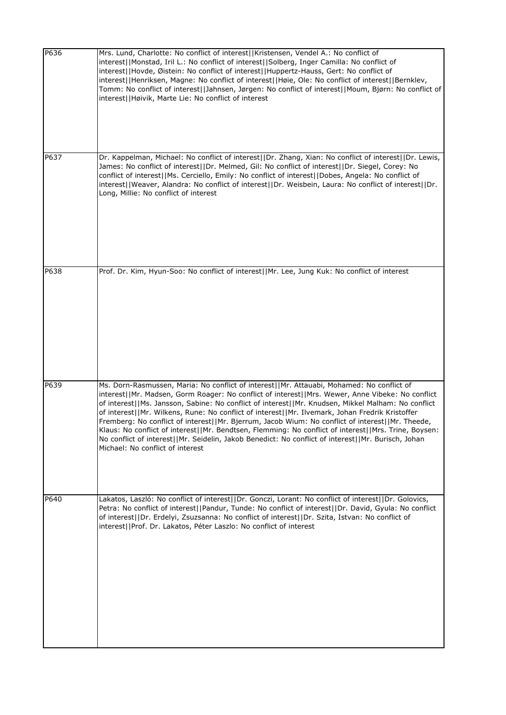| P636 | Mrs. Lund, Charlotte: No conflict of interest  Kristensen, Vendel A.: No conflict of<br>interest  Monstad, Iril L.: No conflict of interest  Solberg, Inger Camilla: No conflict of<br>interest  Hovde, Øistein: No conflict of interest  Huppertz-Hauss, Gert: No conflict of<br>interest  Henriksen, Magne: No conflict of interest  Høie, Ole: No conflict of interest  Bernklev,<br>Tomm: No conflict of interest  Jahnsen, Jørgen: No conflict of interest  Moum, Bjørn: No conflict of<br>interest  Høivik, Marte Lie: No conflict of interest                                                                                                                                                                                                         |
|------|--------------------------------------------------------------------------------------------------------------------------------------------------------------------------------------------------------------------------------------------------------------------------------------------------------------------------------------------------------------------------------------------------------------------------------------------------------------------------------------------------------------------------------------------------------------------------------------------------------------------------------------------------------------------------------------------------------------------------------------------------------------|
| P637 | Dr. Kappelman, Michael: No conflict of interest  Dr. Zhang, Xian: No conflict of interest  Dr. Lewis,<br>James: No conflict of interest  Dr. Melmed, Gil: No conflict of interest  Dr. Siegel, Corey: No<br>conflict of interest  Ms. Cerciello, Emily: No conflict of interest  Dobes, Angela: No conflict of<br>interest  Weaver, Alandra: No conflict of interest  Dr. Weisbein, Laura: No conflict of interest  Dr.<br>Long, Millie: No conflict of interest                                                                                                                                                                                                                                                                                             |
| P638 | Prof. Dr. Kim, Hyun-Soo: No conflict of interest  Mr. Lee, Jung Kuk: No conflict of interest                                                                                                                                                                                                                                                                                                                                                                                                                                                                                                                                                                                                                                                                 |
| P639 | Ms. Dorn-Rasmussen, Maria: No conflict of interest  Mr. Attauabi, Mohamed: No conflict of<br>interest  Mr. Madsen, Gorm Roager: No conflict of interest  Mrs. Wewer, Anne Vibeke: No conflict<br>of interest  Ms. Jansson, Sabine: No conflict of interest  Mr. Knudsen, Mikkel Malham: No conflict<br>of interest  Mr. Wilkens, Rune: No conflict of interest  Mr. Ilvemark, Johan Fredrik Kristoffer<br>Fremberg: No conflict of interest  Mr. Bjerrum, Jacob Wium: No conflict of interest  Mr. Theede,<br>Klaus: No conflict of interest  Mr. Bendtsen, Flemming: No conflict of interest  Mrs. Trine, Boysen:<br>No conflict of interest  Mr. Seidelin, Jakob Benedict: No conflict of interest  Mr. Burisch, Johan<br>Michael: No conflict of interest |
| P640 | Lakatos, Laszló: No conflict of interest  Dr. Gonczi, Lorant: No conflict of interest  Dr. Golovics,<br>Petra: No conflict of interest  Pandur, Tunde: No conflict of interest  Dr. David, Gyula: No conflict<br>of interest  Dr. Erdelyi, Zsuzsanna: No conflict of interest  Dr. Szita, Istvan: No conflict of<br>interest  Prof. Dr. Lakatos, Péter Laszlo: No conflict of interest                                                                                                                                                                                                                                                                                                                                                                       |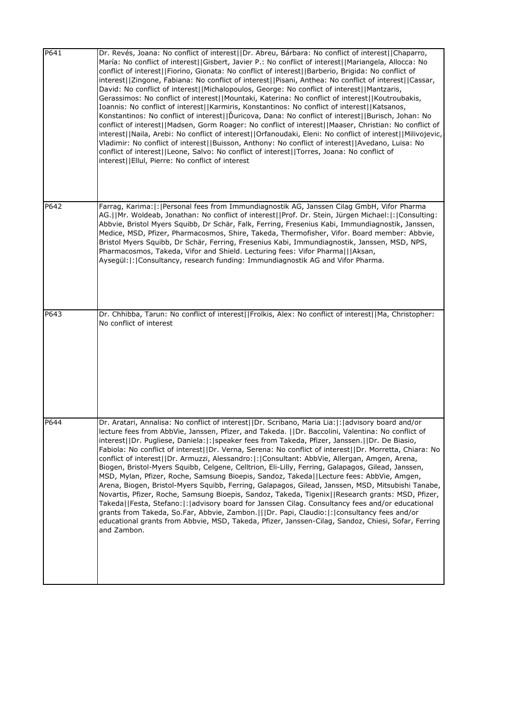| P641 | Dr. Revés, Joana: No conflict of interest  Dr. Abreu, Bárbara: No conflict of interest  Chaparro,<br>María: No conflict of interest  Gisbert, Javier P.: No conflict of interest  Mariangela, Allocca: No<br>conflict of interest  Fiorino, Gionata: No conflict of interest  Barberio, Brigida: No conflict of<br>interest  Zingone, Fabiana: No conflict of interest  Pisani, Anthea: No conflict of interest  Cassar,<br>David: No conflict of interest  Michalopoulos, George: No conflict of interest  Mantzaris,<br>Gerassimos: No conflict of interest  Mountaki, Katerina: No conflict of interest  Koutroubakis,<br>Ioannis: No conflict of interest  Karmiris, Konstantinos: No conflict of interest  Katsanos,<br>Konstantinos: No conflict of interest  Duricova, Dana: No conflict of interest  Burisch, Johan: No<br>conflict of interest  Madsen, Gorm Roager: No conflict of interest  Maaser, Christian: No conflict of<br>interest  Naila, Arebi: No conflict of interest  Orfanoudaki, Eleni: No conflict of interest  Milivojevic,<br>Vladimir: No conflict of interest  Buisson, Anthony: No conflict of interest  Avedano, Luisa: No<br>conflict of interest  Leone, Salvo: No conflict of interest  Torres, Joana: No conflict of<br>interest  Ellul, Pierre: No conflict of interest |
|------|--------------------------------------------------------------------------------------------------------------------------------------------------------------------------------------------------------------------------------------------------------------------------------------------------------------------------------------------------------------------------------------------------------------------------------------------------------------------------------------------------------------------------------------------------------------------------------------------------------------------------------------------------------------------------------------------------------------------------------------------------------------------------------------------------------------------------------------------------------------------------------------------------------------------------------------------------------------------------------------------------------------------------------------------------------------------------------------------------------------------------------------------------------------------------------------------------------------------------------------------------------------------------------------------------------------|
| P642 | Farrag, Karima:  :   Personal fees from Immundiagnostik AG, Janssen Cilag GmbH, Vifor Pharma<br>AG.  Mr. Woldeab, Jonathan: No conflict of interest  Prof. Dr. Stein, Jürgen Michael: : Consulting:<br>Abbvie, Bristol Myers Squibb, Dr Schär, Falk, Ferring, Fresenius Kabi, Immundiagnostik, Janssen,<br>Medice, MSD, Pfizer, Pharmacosmos, Shire, Takeda, Thermofisher, Vifor. Board member: Abbvie,<br>Bristol Myers Squibb, Dr Schär, Ferring, Fresenius Kabi, Immundiagnostik, Janssen, MSD, NPS,<br>Pharmacosmos, Takeda, Vifor and Shield. Lecturing fees: Vifor Pharma   Aksan,<br>Aysegül:  :   Consultancy, research funding: Immundiagnostik AG and Vifor Pharma.                                                                                                                                                                                                                                                                                                                                                                                                                                                                                                                                                                                                                                |
| P643 | Dr. Chhibba, Tarun: No conflict of interest  Frolkis, Alex: No conflict of interest  Ma, Christopher:<br>No conflict of interest                                                                                                                                                                                                                                                                                                                                                                                                                                                                                                                                                                                                                                                                                                                                                                                                                                                                                                                                                                                                                                                                                                                                                                             |
| P644 | Dr. Aratari, Annalisa: No conflict of interest  Dr. Scribano, Maria Lia: : advisory board and/or<br>lecture fees from AbbVie, Janssen, Pfizer, and Takeda.   Dr. Baccolini, Valentina: No conflict of<br>interest  Dr. Pugliese, Daniela: : speaker fees from Takeda, Pfizer, Janssen.  Dr. De Biasio,<br>Fabiola: No conflict of interest  Dr. Verna, Serena: No conflict of interest  Dr. Morretta, Chiara: No<br>conflict of interest  Dr. Armuzzi, Alessandro: : Consultant: AbbVie, Allergan, Amgen, Arena,<br>Biogen, Bristol-Myers Squibb, Celgene, Celltrion, Eli-Lilly, Ferring, Galapagos, Gilead, Janssen,<br>MSD, Mylan, Pfizer, Roche, Samsung Bioepis, Sandoz, Takeda  Lecture fees: AbbVie, Amgen,<br>Arena, Biogen, Bristol-Myers Squibb, Ferring, Galapagos, Gilead, Janssen, MSD, Mitsubishi Tanabe,<br>Novartis, Pfizer, Roche, Samsung Bioepis, Sandoz, Takeda, Tigenix  Research grants: MSD, Pfizer,<br>Takeda  Festa, Stefano: : advisory board for Janssen Cilag. Consultancy fees and/or educational<br>grants from Takeda, So.Far, Abbvie, Zambon.   Dr. Papi, Claudio: :  consultancy fees and/or<br>educational grants from Abbvie, MSD, Takeda, Pfizer, Janssen-Cilag, Sandoz, Chiesi, Sofar, Ferring<br>and Zambon.                                                            |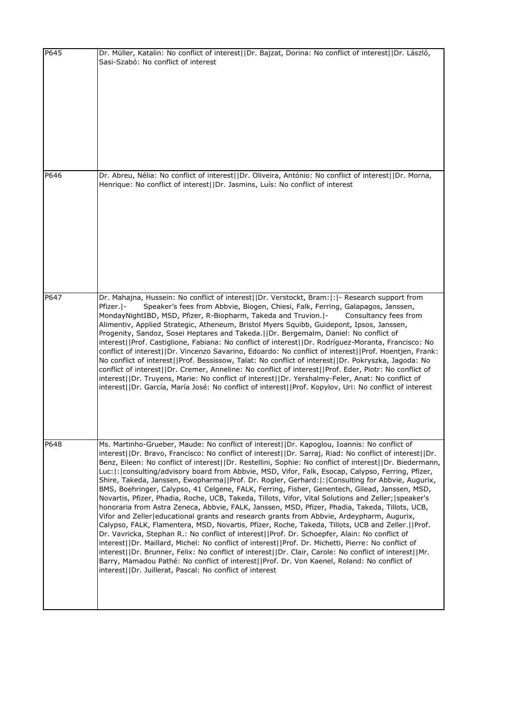| P645 | Dr. Müller, Katalin: No conflict of interest  Dr. Bajzat, Dorina: No conflict of interest  Dr. László,<br>Sasi-Szabó: No conflict of interest                                                                                                                                                                                                                                                                                                                                                                                                                                                                                                                                                                                                                                                                                                                                                                                                                                                                                                                                                                                                                                                                                                                                                                                                                                                                                                                                                                          |
|------|------------------------------------------------------------------------------------------------------------------------------------------------------------------------------------------------------------------------------------------------------------------------------------------------------------------------------------------------------------------------------------------------------------------------------------------------------------------------------------------------------------------------------------------------------------------------------------------------------------------------------------------------------------------------------------------------------------------------------------------------------------------------------------------------------------------------------------------------------------------------------------------------------------------------------------------------------------------------------------------------------------------------------------------------------------------------------------------------------------------------------------------------------------------------------------------------------------------------------------------------------------------------------------------------------------------------------------------------------------------------------------------------------------------------------------------------------------------------------------------------------------------------|
| P646 | Dr. Abreu, Nélia: No conflict of interest  Dr. Oliveira, António: No conflict of interest  Dr. Morna,<br>Henrique: No conflict of interest  Dr. Jasmins, Luís: No conflict of interest                                                                                                                                                                                                                                                                                                                                                                                                                                                                                                                                                                                                                                                                                                                                                                                                                                                                                                                                                                                                                                                                                                                                                                                                                                                                                                                                 |
| P647 | Dr. Mahajna, Hussein: No conflict of interest  Dr. Verstockt, Bram: : - Research support from<br>Speaker's fees from Abbvie, Biogen, Chiesi, Falk, Ferring, Galapagos, Janssen,<br>Pfizer.  -<br>MondayNightIBD, MSD, Pfizer, R-Biopharm, Takeda and Truvion. -<br>Consultancy fees from<br>Alimentiv, Applied Strategic, Atheneum, Bristol Myers Squibb, Guidepont, Ipsos, Janssen,<br>Progenity, Sandoz, Sosei Heptares and Takeda.     Dr. Bergemalm, Daniel: No conflict of<br>interest  Prof. Castiglione, Fabiana: No conflict of interest  Dr. Rodríguez-Moranta, Francisco: No<br>conflict of interest  Dr. Vincenzo Savarino, Edoardo: No conflict of interest  Prof. Hoentjen, Frank:<br>No conflict of interest  Prof. Bessissow, Talat: No conflict of interest  Dr. Pokryszka, Jagoda: No<br>conflict of interest  Dr. Cremer, Anneline: No conflict of interest  Prof. Eder, Piotr: No conflict of<br>interest  Dr. Truyens, Marie: No conflict of interest  Dr. Yershalmy-Feler, Anat: No conflict of<br>interest  Dr. García, María José: No conflict of interest  Prof. Kopylov, Uri: No conflict of interest                                                                                                                                                                                                                                                                                                                                                                                         |
| P648 | Ms. Martinho-Grueber, Maude: No conflict of interest  Dr. Kapoglou, Ioannis: No conflict of<br>interest  Dr. Bravo, Francisco: No conflict of interest  Dr. Sarraj, Riad: No conflict of interest  Dr.<br>Benz, Eileen: No conflict of interest  Dr. Restellini, Sophie: No conflict of interest  Dr. Biedermann,<br>Luc:  :   consulting/advisory board from Abbvie, MSD, Vifor, Falk, Esocap, Calypso, Ferring, Pfizer,<br>Shire, Takeda, Janssen, Ewopharma  Prof. Dr. Rogler, Gerhard: : Consulting for Abbvie, Augurix,<br>BMS, Boehringer, Calypso, 41 Celgene, FALK, Ferring, Fisher, Genentech, Gilead, Janssen, MSD,<br>Novartis, Pfizer, Phadia, Roche, UCB, Takeda, Tillots, Vifor, Vital Solutions and Zeller;   speaker's<br>honoraria from Astra Zeneca, Abbvie, FALK, Janssen, MSD, Pfizer, Phadia, Takeda, Tillots, UCB,<br>Vifor and Zeller educational grants and research grants from Abbvie, Ardeypharm, Augurix,<br>Calypso, FALK, Flamentera, MSD, Novartis, Pfizer, Roche, Takeda, Tillots, UCB and Zeller.  Prof.<br>Dr. Vavricka, Stephan R.: No conflict of interest  Prof. Dr. Schoepfer, Alain: No conflict of<br>interest  Dr. Maillard, Michel: No conflict of interest  Prof. Dr. Michetti, Pierre: No conflict of<br>interest  Dr. Brunner, Felix: No conflict of interest  Dr. Clair, Carole: No conflict of interest  Mr.<br>Barry, Mamadou Pathé: No conflict of interest  Prof. Dr. Von Kaenel, Roland: No conflict of<br>interest  Dr. Juillerat, Pascal: No conflict of interest |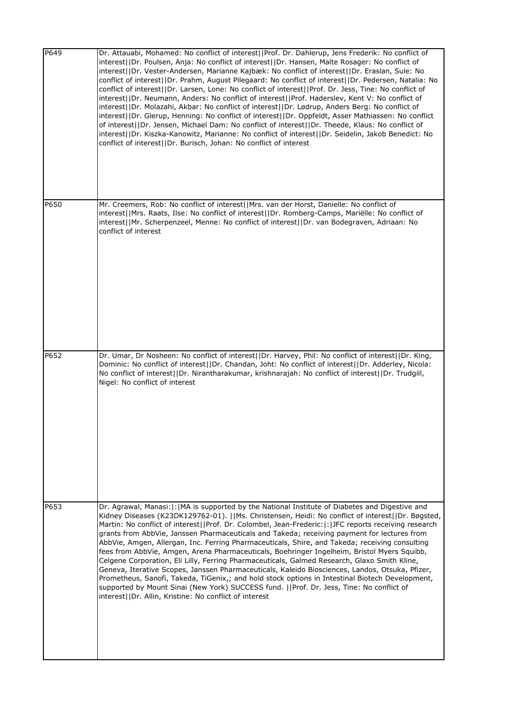| P649 | Dr. Attauabi, Mohamed: No conflict of interest  Prof. Dr. Dahlerup, Jens Frederik: No conflict of<br>interest  Dr. Poulsen, Anja: No conflict of interest  Dr. Hansen, Malte Rosager: No conflict of<br>interest  Dr. Vester-Andersen, Marianne Kajbæk: No conflict of interest  Dr. Eraslan, Sule: No<br>conflict of interest  Dr. Prahm, August Pilegaard: No conflict of interest  Dr. Pedersen, Natalia: No<br>conflict of interest  Dr. Larsen, Lone: No conflict of interest  Prof. Dr. Jess, Tine: No conflict of<br>interest  Dr. Neumann, Anders: No conflict of interest  Prof. Haderslev, Kent V: No conflict of<br>interest  Dr. Molazahi, Akbar: No conflict of interest  Dr. Lødrup, Anders Berg: No conflict of<br>interest  Dr. Glerup, Henning: No conflict of interest  Dr. Oppfeldt, Asser Mathiassen: No conflict<br>of interest  Dr. Jensen, Michael Dam: No conflict of interest  Dr. Theede, Klaus: No conflict of<br>interest  Dr. Kiszka-Kanowitz, Marianne: No conflict of interest  Dr. Seidelin, Jakob Benedict: No<br>conflict of interest  Dr. Burisch, Johan: No conflict of interest |
|------|----------------------------------------------------------------------------------------------------------------------------------------------------------------------------------------------------------------------------------------------------------------------------------------------------------------------------------------------------------------------------------------------------------------------------------------------------------------------------------------------------------------------------------------------------------------------------------------------------------------------------------------------------------------------------------------------------------------------------------------------------------------------------------------------------------------------------------------------------------------------------------------------------------------------------------------------------------------------------------------------------------------------------------------------------------------------------------------------------------------------|
| P650 | Mr. Creemers, Rob: No conflict of interest  Mrs. van der Horst, Danielle: No conflict of<br>interest  Mrs. Raats, Ilse: No conflict of interest  Dr. Romberg-Camps, Mariëlle: No conflict of<br>interest  Mr. Scherpenzeel, Menne: No conflict of interest  Dr. van Bodegraven, Adriaan: No<br>conflict of interest                                                                                                                                                                                                                                                                                                                                                                                                                                                                                                                                                                                                                                                                                                                                                                                                  |
| P652 | Dr. Umar, Dr Nosheen: No conflict of interest  Dr. Harvey, Phil: No conflict of interest  Dr. King,<br>Dominic: No conflict of interest  Dr. Chandan, Joht: No conflict of interest  Dr. Adderley, Nicola:<br>No conflict of interest  Dr. Nirantharakumar, krishnarajah: No conflict of interest  Dr. Trudgill,<br>Nigel: No conflict of interest                                                                                                                                                                                                                                                                                                                                                                                                                                                                                                                                                                                                                                                                                                                                                                   |
| P653 | Dr. Agrawal, Manasi:  :   MA is supported by the National Institute of Diabetes and Digestive and<br>Kidney Diseases (K23DK129762-01).   Ms. Christensen, Heidi: No conflict of interest  Dr. Bøgsted,<br>Martin: No conflict of interest  Prof. Dr. Colombel, Jean-Frederic: : JFC reports receiving research<br>grants from AbbVie, Janssen Pharmaceuticals and Takeda; receiving payment for lectures from<br>AbbVie, Amgen, Allergan, Inc. Ferring Pharmaceuticals, Shire, and Takeda; receiving consulting<br>fees from AbbVie, Amgen, Arena Pharmaceuticals, Boehringer Ingelheim, Bristol Myers Squibb,<br>Celgene Corporation, Eli Lilly, Ferring Pharmaceuticals, Galmed Research, Glaxo Smith Kline,<br>Geneva, Iterative Scopes, Janssen Pharmaceuticals, Kaleido Biosciences, Landos, Otsuka, Pfizer,<br>Prometheus, Sanofi, Takeda, TiGenix,; and hold stock options in Intestinal Biotech Development,<br>supported by Mount Sinai (New York) SUCCESS fund.   Prof. Dr. Jess, Tine: No conflict of<br>interest  Dr. Allin, Kristine: No conflict of interest                                           |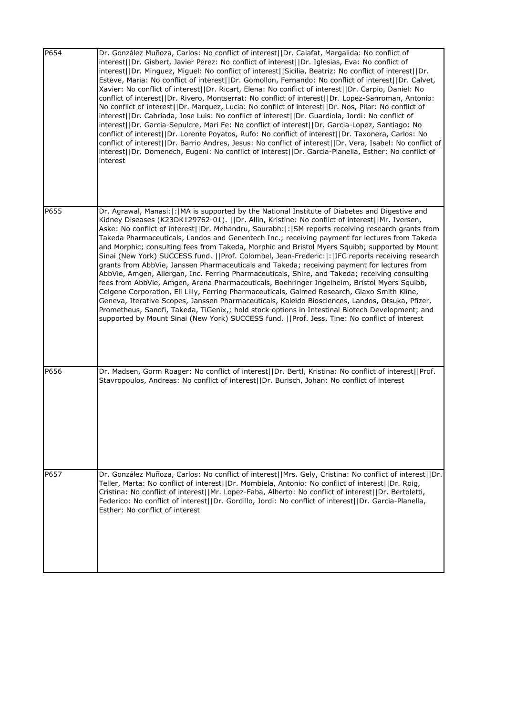| P654 | Dr. González Muñoza, Carlos: No conflict of interest  Dr. Calafat, Margalida: No conflict of<br>interest  Dr. Gisbert, Javier Perez: No conflict of interest  Dr. Iglesias, Eva: No conflict of<br>interest  Dr. Minguez, Miguel: No conflict of interest  Sicilia, Beatriz: No conflict of interest  Dr.<br>Esteve, Maria: No conflict of interest  Dr. Gomollon, Fernando: No conflict of interest  Dr. Calvet,<br>Xavier: No conflict of interest  Dr. Ricart, Elena: No conflict of interest  Dr. Carpio, Daniel: No<br>conflict of interest  Dr. Rivero, Montserrat: No conflict of interest  Dr. Lopez-Sanroman, Antonio:<br>No conflict of interest  Dr. Marquez, Lucia: No conflict of interest  Dr. Nos, Pilar: No conflict of<br>interest  Dr. Cabriada, Jose Luis: No conflict of interest  Dr. Guardiola, Jordi: No conflict of<br>interest  Dr. Garcia-Sepulcre, Mari Fe: No conflict of interest  Dr. Garcia-Lopez, Santiago: No<br>conflict of interest  Dr. Lorente Poyatos, Rufo: No conflict of interest  Dr. Taxonera, Carlos: No<br>conflict of interest  Dr. Barrio Andres, Jesus: No conflict of interest  Dr. Vera, Isabel: No conflict of<br>interest  Dr. Domenech, Eugeni: No conflict of interest  Dr. Garcia-Planella, Esther: No conflict of<br>interest                                  |
|------|------------------------------------------------------------------------------------------------------------------------------------------------------------------------------------------------------------------------------------------------------------------------------------------------------------------------------------------------------------------------------------------------------------------------------------------------------------------------------------------------------------------------------------------------------------------------------------------------------------------------------------------------------------------------------------------------------------------------------------------------------------------------------------------------------------------------------------------------------------------------------------------------------------------------------------------------------------------------------------------------------------------------------------------------------------------------------------------------------------------------------------------------------------------------------------------------------------------------------------------------------------------------------------------------------------------------|
| P655 | Dr. Agrawal, Manasi:  :   MA is supported by the National Institute of Diabetes and Digestive and<br>Kidney Diseases (K23DK129762-01).   Dr. Allin, Kristine: No conflict of interest  Mr. Iversen,<br>Aske: No conflict of interest  Dr. Mehandru, Saurabh: : SM reports receiving research grants from<br>Takeda Pharmaceuticals, Landos and Genentech Inc.; receiving payment for lectures from Takeda<br>and Morphic; consulting fees from Takeda, Morphic and Bristol Myers Squibb; supported by Mount<br>Sinai (New York) SUCCESS fund.   Prof. Colombel, Jean-Frederic: : JFC reports receiving research<br>grants from AbbVie, Janssen Pharmaceuticals and Takeda; receiving payment for lectures from<br>AbbVie, Amgen, Allergan, Inc. Ferring Pharmaceuticals, Shire, and Takeda; receiving consulting<br>fees from AbbVie, Amgen, Arena Pharmaceuticals, Boehringer Ingelheim, Bristol Myers Squibb,<br>Celgene Corporation, Eli Lilly, Ferring Pharmaceuticals, Galmed Research, Glaxo Smith Kline,<br>Geneva, Iterative Scopes, Janssen Pharmaceuticals, Kaleido Biosciences, Landos, Otsuka, Pfizer,<br>Prometheus, Sanofi, Takeda, TiGenix,; hold stock options in Intestinal Biotech Development; and<br>supported by Mount Sinai (New York) SUCCESS fund.   Prof. Jess, Tine: No conflict of interest |
| P656 | Dr. Madsen, Gorm Roager: No conflict of interest  Dr. Bertl, Kristina: No conflict of interest  Prof.<br>Stavropoulos, Andreas: No conflict of interest  Dr. Burisch, Johan: No conflict of interest                                                                                                                                                                                                                                                                                                                                                                                                                                                                                                                                                                                                                                                                                                                                                                                                                                                                                                                                                                                                                                                                                                                   |
| P657 | Dr. González Muñoza, Carlos: No conflict of interest  Mrs. Gely, Cristina: No conflict of interest  Dr.<br>Teller, Marta: No conflict of interest  Dr. Mombiela, Antonio: No conflict of interest  Dr. Roig,<br>Cristina: No conflict of interest  Mr. Lopez-Faba, Alberto: No conflict of interest  Dr. Bertoletti,<br>Federico: No conflict of interest  Dr. Gordillo, Jordi: No conflict of interest  Dr. Garcia-Planella,<br>Esther: No conflict of interest                                                                                                                                                                                                                                                                                                                                                                                                                                                                                                                                                                                                                                                                                                                                                                                                                                                       |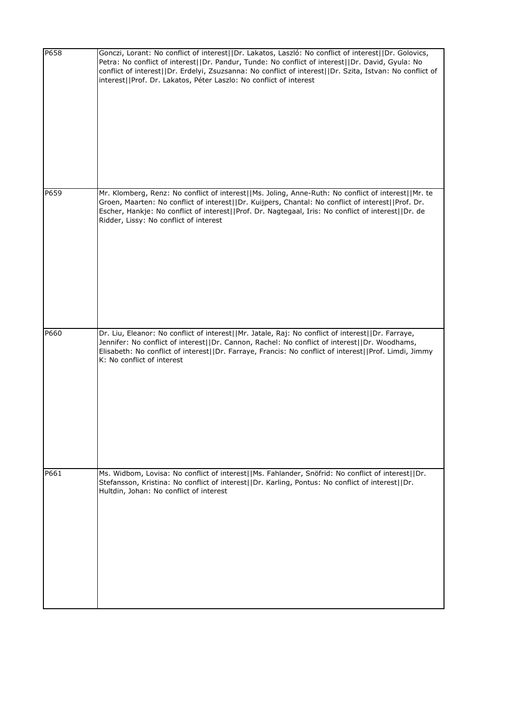| P658 | Gonczi, Lorant: No conflict of interest  Dr. Lakatos, Laszló: No conflict of interest  Dr. Golovics,<br>Petra: No conflict of interest  Dr. Pandur, Tunde: No conflict of interest  Dr. David, Gyula: No<br>conflict of interest  Dr. Erdelyi, Zsuzsanna: No conflict of interest  Dr. Szita, Istvan: No conflict of<br>interest  Prof. Dr. Lakatos, Péter Laszlo: No conflict of interest |
|------|--------------------------------------------------------------------------------------------------------------------------------------------------------------------------------------------------------------------------------------------------------------------------------------------------------------------------------------------------------------------------------------------|
| P659 | Mr. Klomberg, Renz: No conflict of interest  Ms. Joling, Anne-Ruth: No conflict of interest  Mr. te<br>Groen, Maarten: No conflict of interest  Dr. Kuijpers, Chantal: No conflict of interest  Prof. Dr.<br>Escher, Hankje: No conflict of interest  Prof. Dr. Nagtegaal, Iris: No conflict of interest  Dr. de<br>Ridder, Lissy: No conflict of interest                                 |
| P660 | Dr. Liu, Eleanor: No conflict of interest  Mr. Jatale, Raj: No conflict of interest  Dr. Farraye,<br>Jennifer: No conflict of interest  Dr. Cannon, Rachel: No conflict of interest  Dr. Woodhams,<br>Elisabeth: No conflict of interest  Dr. Farraye, Francis: No conflict of interest  Prof. Limdi, Jimmy<br>K: No conflict of interest                                                  |
| P661 | Ms. Widbom, Lovisa: No conflict of interest  Ms. Fahlander, Snöfrid: No conflict of interest  Dr.<br>Stefansson, Kristina: No conflict of interest  Dr. Karling, Pontus: No conflict of interest  Dr.<br>Hultdin, Johan: No conflict of interest                                                                                                                                           |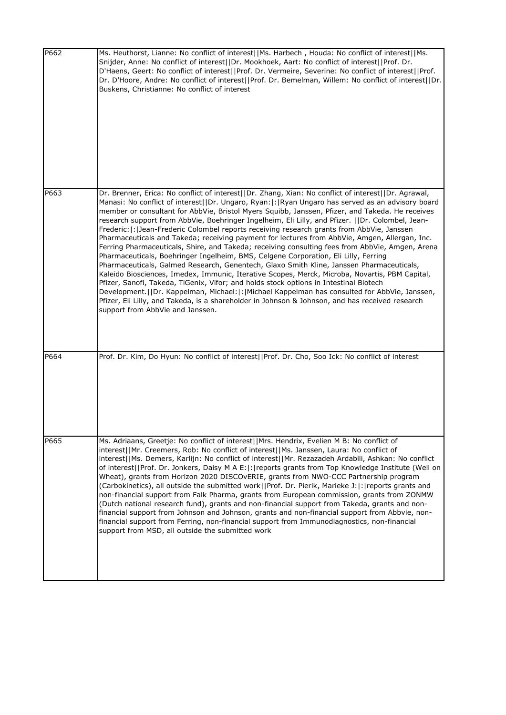| P662 | Ms. Heuthorst, Lianne: No conflict of interest  Ms. Harbech, Houda: No conflict of interest  Ms.<br>Snijder, Anne: No conflict of interest  Dr. Mookhoek, Aart: No conflict of interest  Prof. Dr.<br>D'Haens, Geert: No conflict of interest  Prof. Dr. Vermeire, Severine: No conflict of interest  Prof.<br>Dr. D'Hoore, Andre: No conflict of interest  Prof. Dr. Bemelman, Willem: No conflict of interest  Dr.<br>Buskens, Christianne: No conflict of interest                                                                                                                                                                                                                                                                                                                                                                                                                                                                                                                                                                                                                                                                                                                                                                                                                                                                      |
|------|--------------------------------------------------------------------------------------------------------------------------------------------------------------------------------------------------------------------------------------------------------------------------------------------------------------------------------------------------------------------------------------------------------------------------------------------------------------------------------------------------------------------------------------------------------------------------------------------------------------------------------------------------------------------------------------------------------------------------------------------------------------------------------------------------------------------------------------------------------------------------------------------------------------------------------------------------------------------------------------------------------------------------------------------------------------------------------------------------------------------------------------------------------------------------------------------------------------------------------------------------------------------------------------------------------------------------------------------|
| P663 | Dr. Brenner, Erica: No conflict of interest  Dr. Zhang, Xian: No conflict of interest  Dr. Agrawal,<br>Manasi: No conflict of interest  Dr. Ungaro, Ryan: :   Ryan Ungaro has served as an advisory board<br>member or consultant for AbbVie, Bristol Myers Squibb, Janssen, Pfizer, and Takeda. He receives<br>research support from AbbVie, Boehringer Ingelheim, Eli Lilly, and Pfizer.     Dr. Colombel, Jean-<br>Frederic:  :  Jean-Frederic Colombel reports receiving research grants from AbbVie, Janssen<br>Pharmaceuticals and Takeda; receiving payment for lectures from AbbVie, Amgen, Allergan, Inc.<br>Ferring Pharmaceuticals, Shire, and Takeda; receiving consulting fees from AbbVie, Amgen, Arena<br>Pharmaceuticals, Boehringer Ingelheim, BMS, Celgene Corporation, Eli Lilly, Ferring<br>Pharmaceuticals, Galmed Research, Genentech, Glaxo Smith Kline, Janssen Pharmaceuticals,<br>Kaleido Biosciences, Imedex, Immunic, Iterative Scopes, Merck, Microba, Novartis, PBM Capital,<br>Pfizer, Sanofi, Takeda, TiGenix, Vifor; and holds stock options in Intestinal Biotech<br>Development.  Dr. Kappelman, Michael: : Michael Kappelman has consulted for AbbVie, Janssen,<br>Pfizer, Eli Lilly, and Takeda, is a shareholder in Johnson & Johnson, and has received research<br>support from AbbVie and Janssen. |
| P664 | Prof. Dr. Kim, Do Hyun: No conflict of interest  Prof. Dr. Cho, Soo Ick: No conflict of interest                                                                                                                                                                                                                                                                                                                                                                                                                                                                                                                                                                                                                                                                                                                                                                                                                                                                                                                                                                                                                                                                                                                                                                                                                                           |
| P665 | Ms. Adriaans, Greetje: No conflict of interest  Mrs. Hendrix, Evelien M B: No conflict of<br>interest  Mr. Creemers, Rob: No conflict of interest  Ms. Janssen, Laura: No conflict of<br>interest  Ms. Demers, Karlijn: No conflict of interest  Mr. Rezazadeh Ardabili, Ashkan: No conflict<br>of interest  Prof. Dr. Jonkers, Daisy M A E: :  reports grants from Top Knowledge Institute (Well on<br>Wheat), grants from Horizon 2020 DISCOvERIE, grants from NWO-CCC Partnership program<br>(Carbokinetics), all outside the submitted work  Prof. Dr. Pierik, Marieke J: : reports grants and<br>non-financial support from Falk Pharma, grants from European commission, grants from ZONMW<br>(Dutch national research fund), grants and non-financial support from Takeda, grants and non-<br>financial support from Johnson and Johnson, grants and non-financial support from Abbvie, non-<br>financial support from Ferring, non-financial support from Immunodiagnostics, non-financial<br>support from MSD, all outside the submitted work                                                                                                                                                                                                                                                                                     |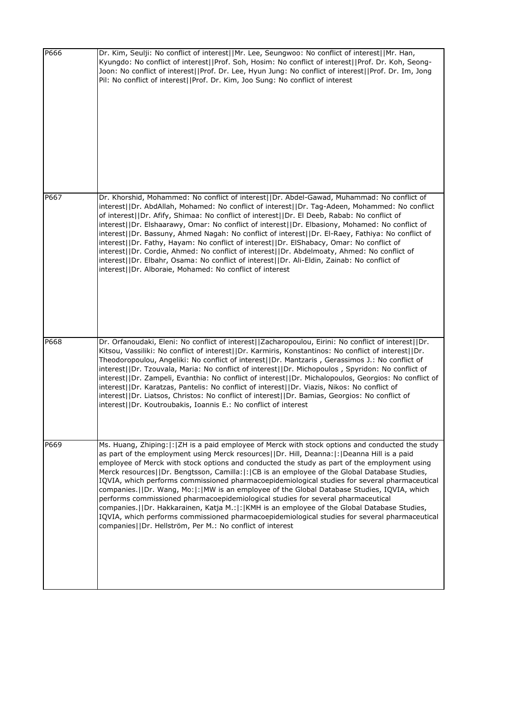| P666 | Dr. Kim, Seulji: No conflict of interest  Mr. Lee, Seungwoo: No conflict of interest  Mr. Han,<br>Kyungdo: No conflict of interest  Prof. Soh, Hosim: No conflict of interest  Prof. Dr. Koh, Seong-<br>Joon: No conflict of interest  Prof. Dr. Lee, Hyun Jung: No conflict of interest  Prof. Dr. Im, Jong<br>Pil: No conflict of interest  Prof. Dr. Kim, Joo Sung: No conflict of interest                                                                                                                                                                                                                                                                                                                                                                                                                                                                                                                                                                   |
|------|------------------------------------------------------------------------------------------------------------------------------------------------------------------------------------------------------------------------------------------------------------------------------------------------------------------------------------------------------------------------------------------------------------------------------------------------------------------------------------------------------------------------------------------------------------------------------------------------------------------------------------------------------------------------------------------------------------------------------------------------------------------------------------------------------------------------------------------------------------------------------------------------------------------------------------------------------------------|
| P667 | Dr. Khorshid, Mohammed: No conflict of interest  Dr. Abdel-Gawad, Muhammad: No conflict of<br>interest  Dr. AbdAllah, Mohamed: No conflict of interest  Dr. Tag-Adeen, Mohammed: No conflict<br>of interest  Dr. Afify, Shimaa: No conflict of interest  Dr. El Deeb, Rabab: No conflict of<br>interest  Dr. Elshaarawy, Omar: No conflict of interest  Dr. Elbasiony, Mohamed: No conflict of<br>interest  Dr. Bassuny, Ahmed Nagah: No conflict of interest  Dr. El-Raey, Fathiya: No conflict of<br>interest  Dr. Fathy, Hayam: No conflict of interest  Dr. ElShabacy, Omar: No conflict of<br>interest  Dr. Cordie, Ahmed: No conflict of interest  Dr. Abdelmoaty, Ahmed: No conflict of<br>interest  Dr. Elbahr, Osama: No conflict of interest  Dr. Ali-Eldin, Zainab: No conflict of<br>interest  Dr. Alboraie, Mohamed: No conflict of interest                                                                                                        |
| P668 | Dr. Orfanoudaki, Eleni: No conflict of interest  Zacharopoulou, Eirini: No conflict of interest  Dr.<br>Kitsou, Vassiliki: No conflict of interest  Dr. Karmiris, Konstantinos: No conflict of interest  Dr.<br>Theodoropoulou, Angeliki: No conflict of interest  Dr. Mantzaris, Gerassimos J.: No conflict of<br>interest  Dr. Tzouvala, Maria: No conflict of interest  Dr. Michopoulos, Spyridon: No conflict of<br>interest  Dr. Zampeli, Evanthia: No conflict of interest  Dr. Michalopoulos, Georgios: No conflict of<br>interest  Dr. Karatzas, Pantelis: No conflict of interest  Dr. Viazis, Nikos: No conflict of<br>interest  Dr. Liatsos, Christos: No conflict of interest  Dr. Bamias, Georgios: No conflict of<br>interest  Dr. Koutroubakis, Ioannis E.: No conflict of interest                                                                                                                                                               |
| P669 | Ms. Huang, Zhiping:  :   ZH is a paid employee of Merck with stock options and conducted the study<br>as part of the employment using Merck resources  Dr. Hill, Deanna: :  Deanna Hill is a paid<br>employee of Merck with stock options and conducted the study as part of the employment using<br>Merck resources  Dr. Bengtsson, Camilla: :  CB is an employee of the Global Database Studies,<br>IQVIA, which performs commissioned pharmacoepidemiological studies for several pharmaceutical<br>companies.     Dr. Wang, Mo:   :   MW is an employee of the Global Database Studies, IQVIA, which<br>performs commissioned pharmacoepidemiological studies for several pharmaceutical<br>companies.     Dr. Hakkarainen, Katja M.:   :   KMH is an employee of the Global Database Studies,<br>IQVIA, which performs commissioned pharmacoepidemiological studies for several pharmaceutical<br>companies  Dr. Hellström, Per M.: No conflict of interest |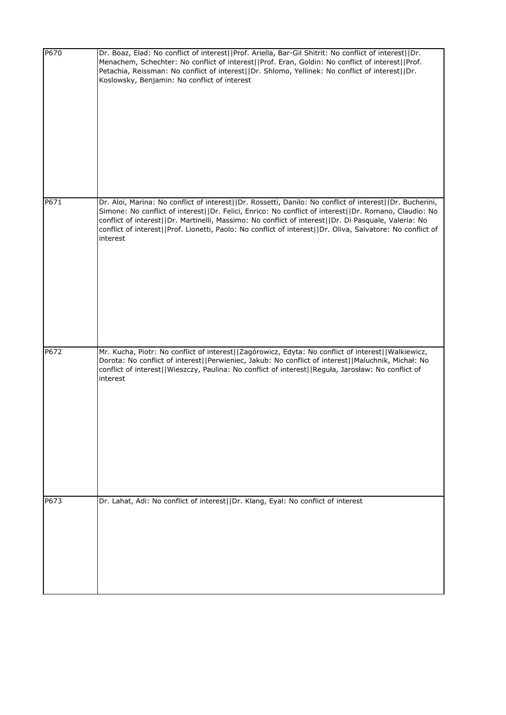| P670 | Dr. Boaz, Elad: No conflict of interest  Prof. Ariella, Bar-Gil Shitrit: No conflict of interest  Dr.<br>Menachem, Schechter: No conflict of interest  Prof. Eran, Goldin: No conflict of interest  Prof.<br>Petachia, Reissman: No conflict of interest  Dr. Shlomo, Yellinek: No conflict of interest  Dr.<br>Koslowsky, Benjamin: No conflict of interest                                                                                        |
|------|-----------------------------------------------------------------------------------------------------------------------------------------------------------------------------------------------------------------------------------------------------------------------------------------------------------------------------------------------------------------------------------------------------------------------------------------------------|
| P671 | Dr. Aloi, Marina: No conflict of interest  Dr. Rossetti, Danilo: No conflict of interest  Dr. Bucherini,<br>Simone: No conflict of interest  Dr. Felici, Enrico: No conflict of interest  Dr. Romano, Claudio: No<br>conflict of interest  Dr. Martinelli, Massimo: No conflict of interest  Dr. Di Pasquale, Valeria: No<br>conflict of interest  Prof. Lionetti, Paolo: No conflict of interest  Dr. Oliva, Salvatore: No conflict of<br>interest |
| P672 | Mr. Kucha, Piotr: No conflict of interest  Zagórowicz, Edyta: No conflict of interest  Walkiewicz,<br>Dorota: No conflict of interest  Perwieniec, Jakub: No conflict of interest  Maluchnik, Michał: No<br>conflict of interest  Wieszczy, Paulina: No conflict of interest  Reguła, Jarosław: No conflict of<br>interest                                                                                                                          |
| P673 | Dr. Lahat, Adi: No conflict of interest  Dr. Klang, Eyal: No conflict of interest                                                                                                                                                                                                                                                                                                                                                                   |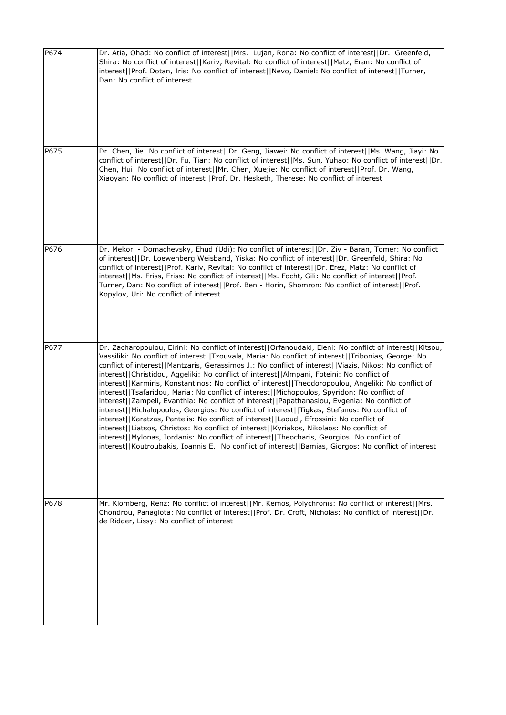| P674 | Dr. Atia, Ohad: No conflict of interest  Mrs. Lujan, Rona: No conflict of interest  Dr. Greenfeld,<br>Shira: No conflict of interest  Kariv, Revital: No conflict of interest  Matz, Eran: No conflict of<br>interest  Prof. Dotan, Iris: No conflict of interest  Nevo, Daniel: No conflict of interest  Turner,<br>Dan: No conflict of interest                                                                                                                                                                                                                                                                                                                                                                                                                                                                                                                                                                                                                                                                                                                                                                                                                                                                           |
|------|-----------------------------------------------------------------------------------------------------------------------------------------------------------------------------------------------------------------------------------------------------------------------------------------------------------------------------------------------------------------------------------------------------------------------------------------------------------------------------------------------------------------------------------------------------------------------------------------------------------------------------------------------------------------------------------------------------------------------------------------------------------------------------------------------------------------------------------------------------------------------------------------------------------------------------------------------------------------------------------------------------------------------------------------------------------------------------------------------------------------------------------------------------------------------------------------------------------------------------|
| P675 | Dr. Chen, Jie: No conflict of interest  Dr. Geng, Jiawei: No conflict of interest  Ms. Wang, Jiayi: No<br>conflict of interest  Dr. Fu, Tian: No conflict of interest  Ms. Sun, Yuhao: No conflict of interest  Dr.<br>Chen, Hui: No conflict of interest  Mr. Chen, Xuejie: No conflict of interest  Prof. Dr. Wang,<br>Xiaoyan: No conflict of interest  Prof. Dr. Hesketh, Therese: No conflict of interest                                                                                                                                                                                                                                                                                                                                                                                                                                                                                                                                                                                                                                                                                                                                                                                                              |
| P676 | Dr. Mekori - Domachevsky, Ehud (Udi): No conflict of interest  Dr. Ziv - Baran, Tomer: No conflict<br>of interest  Dr. Loewenberg Weisband, Yiska: No conflict of interest  Dr. Greenfeld, Shira: No<br>conflict of interest  Prof. Kariv, Revital: No conflict of interest  Dr. Erez, Matz: No conflict of<br>interest  Ms. Friss, Friss: No conflict of interest  Ms. Focht, Gili: No conflict of interest  Prof.<br>Turner, Dan: No conflict of interest  Prof. Ben - Horin, Shomron: No conflict of interest  Prof.<br>Kopylov, Uri: No conflict of interest                                                                                                                                                                                                                                                                                                                                                                                                                                                                                                                                                                                                                                                            |
| P677 | Dr. Zacharopoulou, Eirini: No conflict of interest  Orfanoudaki, Eleni: No conflict of interest  Kitsou,<br>Vassiliki: No conflict of interest  Tzouvala, Maria: No conflict of interest  Tribonias, George: No<br>conflict of interest  Mantzaris, Gerassimos J.: No conflict of interest  Viazis, Nikos: No conflict of<br>interest  Christidou, Aggeliki: No conflict of interest  Almpani, Foteini: No conflict of<br>interest  Karmiris, Konstantinos: No conflict of interest  Theodoropoulou, Angeliki: No conflict of<br>interest  Tsafaridou, Maria: No conflict of interest  Michopoulos, Spyridon: No conflict of<br>interest  Zampeli, Evanthia: No conflict of interest  Papathanasiou, Evgenia: No conflict of<br>interest  Michalopoulos, Georgios: No conflict of interest  Tigkas, Stefanos: No conflict of<br>interest  Karatzas, Pantelis: No conflict of interest  Laoudi, Efrossini: No conflict of<br>interest  Liatsos, Christos: No conflict of interest  Kyriakos, Nikolaos: No conflict of<br>interest  Mylonas, Iordanis: No conflict of interest  Theocharis, Georgios: No conflict of<br>interest  Koutroubakis, Ioannis E.: No conflict of interest  Bamias, Giorgos: No conflict of interest |
| P678 | Mr. Klomberg, Renz: No conflict of interest  Mr. Kemos, Polychronis: No conflict of interest  Mrs.<br>Chondrou, Panagiota: No conflict of interest  Prof. Dr. Croft, Nicholas: No conflict of interest  Dr.<br>de Ridder, Lissy: No conflict of interest                                                                                                                                                                                                                                                                                                                                                                                                                                                                                                                                                                                                                                                                                                                                                                                                                                                                                                                                                                    |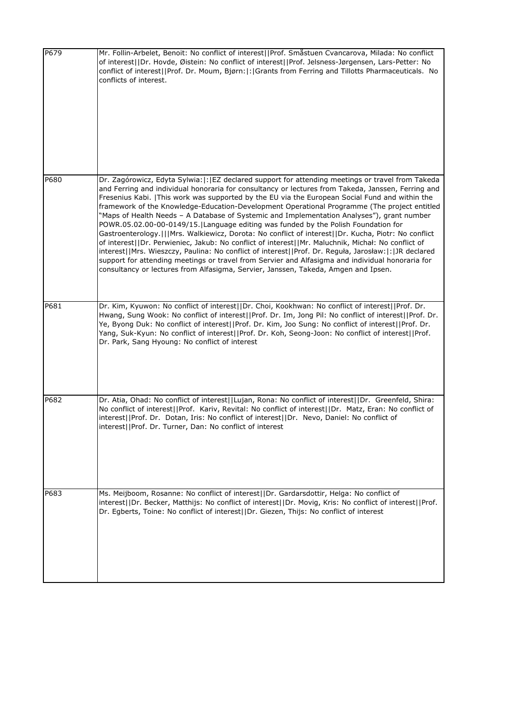| P679 | Mr. Follin-Arbelet, Benoit: No conflict of interest  Prof. Småstuen Cvancarova, Milada: No conflict<br>of interest  Dr. Hovde, Øistein: No conflict of interest  Prof. Jelsness-Jørgensen, Lars-Petter: No<br>conflict of interest  Prof. Dr. Moum, Bjørn: : Grants from Ferring and Tillotts Pharmaceuticals. No<br>conflicts of interest.                                                                                                                                                                                                                                                                                                                                                                                                                                                                                                                                                                                                                                                                                                                                                                      |
|------|------------------------------------------------------------------------------------------------------------------------------------------------------------------------------------------------------------------------------------------------------------------------------------------------------------------------------------------------------------------------------------------------------------------------------------------------------------------------------------------------------------------------------------------------------------------------------------------------------------------------------------------------------------------------------------------------------------------------------------------------------------------------------------------------------------------------------------------------------------------------------------------------------------------------------------------------------------------------------------------------------------------------------------------------------------------------------------------------------------------|
| P680 | Dr. Zagórowicz, Edyta Sylwia:  :   EZ declared support for attending meetings or travel from Takeda<br>and Ferring and individual honoraria for consultancy or lectures from Takeda, Janssen, Ferring and<br>Fresenius Kabi.   This work was supported by the EU via the European Social Fund and within the<br>framework of the Knowledge-Education-Development Operational Programme (The project entitled<br>"Maps of Health Needs - A Database of Systemic and Implementation Analyses"), grant number<br>POWR.05.02.00-00-0149/15. Language editing was funded by the Polish Foundation for<br>Gastroenterology.   Mrs. Walkiewicz, Dorota: No conflict of interest  Dr. Kucha, Piotr: No conflict<br>of interest  Dr. Perwieniec, Jakub: No conflict of interest  Mr. Maluchnik, Michał: No conflict of<br>interest  Mrs. Wieszczy, Paulina: No conflict of interest  Prof. Dr. Reguła, Jarosław: : JJR declared<br>support for attending meetings or travel from Servier and Alfasigma and individual honoraria for<br>consultancy or lectures from Alfasigma, Servier, Janssen, Takeda, Amgen and Ipsen. |
| P681 | Dr. Kim, Kyuwon: No conflict of interest  Dr. Choi, Kookhwan: No conflict of interest  Prof. Dr.<br>Hwang, Sung Wook: No conflict of interest  Prof. Dr. Im, Jong Pil: No conflict of interest  Prof. Dr.<br>Ye, Byong Duk: No conflict of interest  Prof. Dr. Kim, Joo Sung: No conflict of interest  Prof. Dr.<br>Yang, Suk-Kyun: No conflict of interest  Prof. Dr. Koh, Seong-Joon: No conflict of interest  Prof.<br>Dr. Park, Sang Hyoung: No conflict of interest                                                                                                                                                                                                                                                                                                                                                                                                                                                                                                                                                                                                                                         |
| P682 | Dr. Atia, Ohad: No conflict of interest  Lujan, Rona: No conflict of interest  Dr. Greenfeld, Shira:<br>No conflict of interest  Prof. Kariv, Revital: No conflict of interest  Dr. Matz, Eran: No conflict of<br>interest  Prof. Dr. Dotan, Iris: No conflict of interest  Dr. Nevo, Daniel: No conflict of<br>interest  Prof. Dr. Turner, Dan: No conflict of interest                                                                                                                                                                                                                                                                                                                                                                                                                                                                                                                                                                                                                                                                                                                                         |
| P683 | Ms. Meijboom, Rosanne: No conflict of interest  Dr. Gardarsdottir, Helga: No conflict of<br>interest  Dr. Becker, Matthijs: No conflict of interest  Dr. Movig, Kris: No conflict of interest  Prof.<br>Dr. Egberts, Toine: No conflict of interest  Dr. Giezen, Thijs: No conflict of interest                                                                                                                                                                                                                                                                                                                                                                                                                                                                                                                                                                                                                                                                                                                                                                                                                  |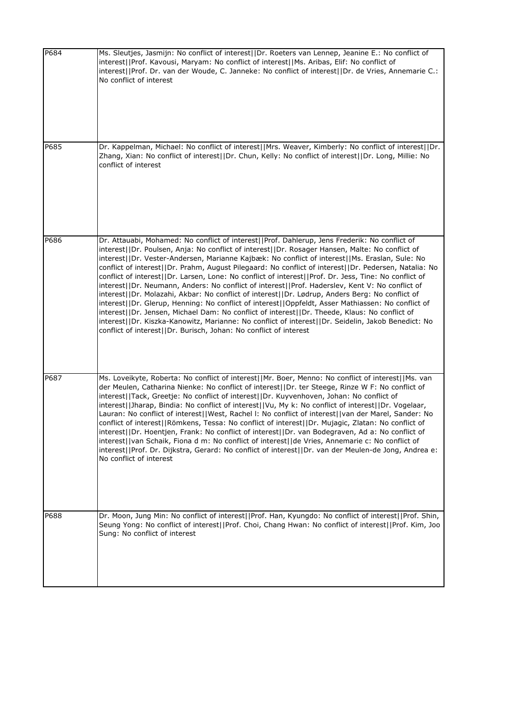| P684 | Ms. Sleutjes, Jasmijn: No conflict of interest  Dr. Roeters van Lennep, Jeanine E.: No conflict of<br>interest  Prof. Kavousi, Maryam: No conflict of interest  Ms. Aribas, Elif: No conflict of<br>interest  Prof. Dr. van der Woude, C. Janneke: No conflict of interest  Dr. de Vries, Annemarie C.:<br>No conflict of interest                                                                                                                                                                                                                                                                                                                                                                                                                                                                                                                                                                                                                                                                                                                                                                           |
|------|--------------------------------------------------------------------------------------------------------------------------------------------------------------------------------------------------------------------------------------------------------------------------------------------------------------------------------------------------------------------------------------------------------------------------------------------------------------------------------------------------------------------------------------------------------------------------------------------------------------------------------------------------------------------------------------------------------------------------------------------------------------------------------------------------------------------------------------------------------------------------------------------------------------------------------------------------------------------------------------------------------------------------------------------------------------------------------------------------------------|
| P685 | Dr. Kappelman, Michael: No conflict of interest  Mrs. Weaver, Kimberly: No conflict of interest  Dr.<br>Zhang, Xian: No conflict of interest  Dr. Chun, Kelly: No conflict of interest  Dr. Long, Millie: No<br>conflict of interest                                                                                                                                                                                                                                                                                                                                                                                                                                                                                                                                                                                                                                                                                                                                                                                                                                                                         |
| P686 | Dr. Attauabi, Mohamed: No conflict of interest  Prof. Dahlerup, Jens Frederik: No conflict of<br>interest  Dr. Poulsen, Anja: No conflict of interest  Dr. Rosager Hansen, Malte: No conflict of<br>interest  Dr. Vester-Andersen, Marianne Kajbæk: No conflict of interest  Ms. Eraslan, Sule: No<br>conflict of interest  Dr. Prahm, August Pilegaard: No conflict of interest  Dr. Pedersen, Natalia: No<br>conflict of interest  Dr. Larsen, Lone: No conflict of interest  Prof. Dr. Jess, Tine: No conflict of<br>interest  Dr. Neumann, Anders: No conflict of interest  Prof. Haderslev, Kent V: No conflict of<br>interest  Dr. Molazahi, Akbar: No conflict of interest  Dr. Lødrup, Anders Berg: No conflict of<br>interest  Dr. Glerup, Henning: No conflict of interest  Oppfeldt, Asser Mathiassen: No conflict of<br>interest  Dr. Jensen, Michael Dam: No conflict of interest  Dr. Theede, Klaus: No conflict of<br>interest  Dr. Kiszka-Kanowitz, Marianne: No conflict of interest  Dr. Seidelin, Jakob Benedict: No<br>conflict of interest  Dr. Burisch, Johan: No conflict of interest |
| P687 | Ms. Loveikyte, Roberta: No conflict of interest  Mr. Boer, Menno: No conflict of interest  Ms. van<br>der Meulen, Catharina Nienke: No conflict of interest  Dr. ter Steege, Rinze W F: No conflict of<br>interest  Tack, Greetje: No conflict of interest  Dr. Kuyvenhoven, Johan: No conflict of<br>interest  Jharap, Bindia: No conflict of interest  Vu, My k: No conflict of interest  Dr. Vogelaar,<br>Lauran: No conflict of interest  West, Rachel I: No conflict of interest  van der Marel, Sander: No<br>conflict of interest  Römkens, Tessa: No conflict of interest  Dr. Mujagic, Zlatan: No conflict of<br>interest  Dr. Hoentjen, Frank: No conflict of interest  Dr. van Bodegraven, Ad a: No conflict of<br>interest  van Schaik, Fiona d m: No conflict of interest  de Vries, Annemarie c: No conflict of<br>interest  Prof. Dr. Dijkstra, Gerard: No conflict of interest  Dr. van der Meulen-de Jong, Andrea e:<br>No conflict of interest                                                                                                                                             |
| P688 | Dr. Moon, Jung Min: No conflict of interest  Prof. Han, Kyungdo: No conflict of interest  Prof. Shin,<br>Seung Yong: No conflict of interest  Prof. Choi, Chang Hwan: No conflict of interest  Prof. Kim, Joo<br>Sung: No conflict of interest                                                                                                                                                                                                                                                                                                                                                                                                                                                                                                                                                                                                                                                                                                                                                                                                                                                               |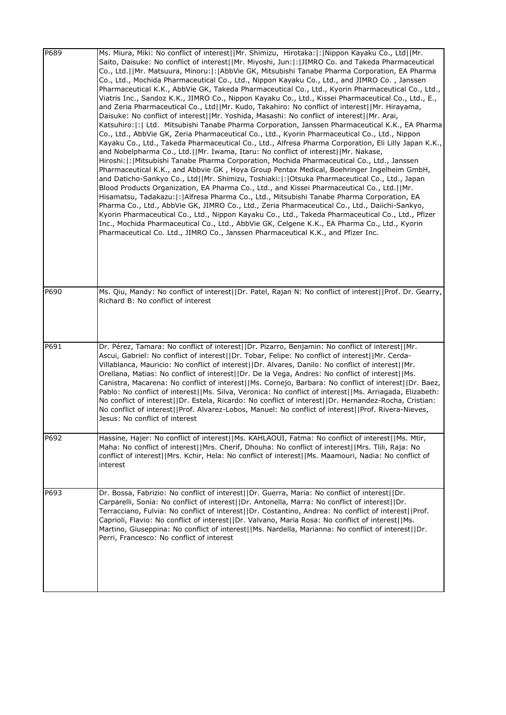| P689 | Ms. Miura, Miki: No conflict of interest  Mr. Shimizu, Hirotaka: : Nippon Kayaku Co., Ltd  Mr.<br>Saito, Daisuke: No conflict of interest  Mr. Miyoshi, Jun: : JIMRO Co. and Takeda Pharmaceutical<br>Co., Ltd.  Mr. Matsuura, Minoru: : AbbVie GK, Mitsubishi Tanabe Pharma Corporation, EA Pharma<br>Co., Ltd., Mochida Pharmaceutical Co., Ltd., Nippon Kayaku Co., Ltd., and JIMRO Co., Janssen<br>Pharmaceutical K.K., AbbVie GK, Takeda Pharmaceutical Co., Ltd., Kyorin Pharmaceutical Co., Ltd.,<br>Viatris Inc., Sandoz K.K., JIMRO Co., Nippon Kayaku Co., Ltd., Kissei Pharmaceutical Co., Ltd., E.,<br>and Zeria Pharmaceutical Co., Ltd  Mr. Kudo, Takahiro: No conflict of interest  Mr. Hirayama,<br>Daisuke: No conflict of interest  Mr. Yoshida, Masashi: No conflict of interest  Mr. Arai,<br>Katsuhiro:  :   Ltd. Mitsubishi Tanabe Pharma Corporation, Janssen Pharmaceutical K.K., EA Pharma<br>Co., Ltd., AbbVie GK, Zeria Pharmaceutical Co., Ltd., Kyorin Pharmaceutical Co., Ltd., Nippon<br>Kayaku Co., Ltd., Takeda Pharmaceutical Co., Ltd., Alfresa Pharma Corporation, Eli Lilly Japan K.K.,<br>and Nobelpharma Co., Ltd.  Mr. Iwama, Itaru: No conflict of interest  Mr. Nakase,<br>Hiroshi:  :   Mitsubishi Tanabe Pharma Corporation, Mochida Pharmaceutical Co., Ltd., Janssen<br>Pharmaceutical K.K., and Abbvie GK, Hoya Group Pentax Medical, Boehringer Ingelheim GmbH,<br>and Daticho-Sankyo Co., Ltd  Mr. Shimizu, Toshiaki: : Otsuka Pharmaceutical Co., Ltd., Japan<br>Blood Products Organization, EA Pharma Co., Ltd., and Kissei Pharmaceutical Co., Ltd.  Mr.<br>Hisamatsu, Tadakazu:  :  Alfresa Pharma Co., Ltd., Mitsubishi Tanabe Pharma Corporation, EA<br>Pharma Co., Ltd., AbbVie GK, JIMRO Co., Ltd., Zeria Pharmaceutical Co., Ltd., Daiichi-Sankyo,<br>Kyorin Pharmaceutical Co., Ltd., Nippon Kayaku Co., Ltd., Takeda Pharmaceutical Co., Ltd., Pfizer<br>Inc., Mochida Pharmaceutical Co., Ltd., AbbVie GK, Celgene K.K., EA Pharma Co., Ltd., Kyorin<br>Pharmaceutical Co. Ltd., JIMRO Co., Janssen Pharmaceutical K.K., and Pfizer Inc. |
|------|--------------------------------------------------------------------------------------------------------------------------------------------------------------------------------------------------------------------------------------------------------------------------------------------------------------------------------------------------------------------------------------------------------------------------------------------------------------------------------------------------------------------------------------------------------------------------------------------------------------------------------------------------------------------------------------------------------------------------------------------------------------------------------------------------------------------------------------------------------------------------------------------------------------------------------------------------------------------------------------------------------------------------------------------------------------------------------------------------------------------------------------------------------------------------------------------------------------------------------------------------------------------------------------------------------------------------------------------------------------------------------------------------------------------------------------------------------------------------------------------------------------------------------------------------------------------------------------------------------------------------------------------------------------------------------------------------------------------------------------------------------------------------------------------------------------------------------------------------------------------------------------------------------------------------------------------------------------------------------------------------------------------------------------------------------------------------------------------------------|
| P690 | Ms. Qiu, Mandy: No conflict of interest  Dr. Patel, Rajan N: No conflict of interest  Prof. Dr. Gearry,<br>Richard B: No conflict of interest                                                                                                                                                                                                                                                                                                                                                                                                                                                                                                                                                                                                                                                                                                                                                                                                                                                                                                                                                                                                                                                                                                                                                                                                                                                                                                                                                                                                                                                                                                                                                                                                                                                                                                                                                                                                                                                                                                                                                          |
| P691 | Dr. Pérez, Tamara: No conflict of interest  Dr. Pizarro, Benjamin: No conflict of interest  Mr.<br>Ascui, Gabriel: No conflict of interest  Dr. Tobar, Felipe: No conflict of interest  Mr. Cerda-<br>Villablanca, Mauricio: No conflict of interest  Dr. Alvares, Danilo: No conflict of interest  Mr.<br>Orellana, Matias: No conflict of interest  Dr. De la Vega, Andres: No conflict of interest  Ms.<br>Canistra, Macarena: No conflict of interest  Ms. Cornejo, Barbara: No conflict of interest  Dr. Baez,<br>Pablo: No conflict of interest  Ms. Silva, Veronica: No conflict of interest  Ms. Arriagada, Elizabeth:<br>No conflict of interest  Dr. Estela, Ricardo: No conflict of interest  Dr. Hernandez-Rocha, Cristian:<br>No conflict of interest  Prof. Alvarez-Lobos, Manuel: No conflict of interest  Prof. Rivera-Nieves,<br>Jesus: No conflict of interest                                                                                                                                                                                                                                                                                                                                                                                                                                                                                                                                                                                                                                                                                                                                                                                                                                                                                                                                                                                                                                                                                                                                                                                                                       |
| P692 | Hassine, Hajer: No conflict of interest  Ms. KAHLAOUI, Fatma: No conflict of interest  Ms. Mtir,<br>Maha: No conflict of interest  Mrs. Cherif, Dhouha: No conflict of interest  Mrs. Tlili, Raja: No<br>conflict of interest  Mrs. Kchir, Hela: No conflict of interest  Ms. Maamouri, Nadia: No conflict of<br>interest                                                                                                                                                                                                                                                                                                                                                                                                                                                                                                                                                                                                                                                                                                                                                                                                                                                                                                                                                                                                                                                                                                                                                                                                                                                                                                                                                                                                                                                                                                                                                                                                                                                                                                                                                                              |
| P693 | Dr. Bossa, Fabrizio: No conflict of interest  Dr. Guerra, Maria: No conflict of interest  Dr.<br>Carparelli, Sonia: No conflict of interest  Dr. Antonella, Marra: No conflict of interest  Dr.<br>Terracciano, Fulvia: No conflict of interest  Dr. Costantino, Andrea: No conflict of interest  Prof.<br>Caprioli, Flavio: No conflict of interest  Dr. Valvano, Maria Rosa: No conflict of interest  Ms.<br>Martino, Giuseppina: No conflict of interest  Ms. Nardella, Marianna: No conflict of interest  Dr.<br>Perri, Francesco: No conflict of interest                                                                                                                                                                                                                                                                                                                                                                                                                                                                                                                                                                                                                                                                                                                                                                                                                                                                                                                                                                                                                                                                                                                                                                                                                                                                                                                                                                                                                                                                                                                                         |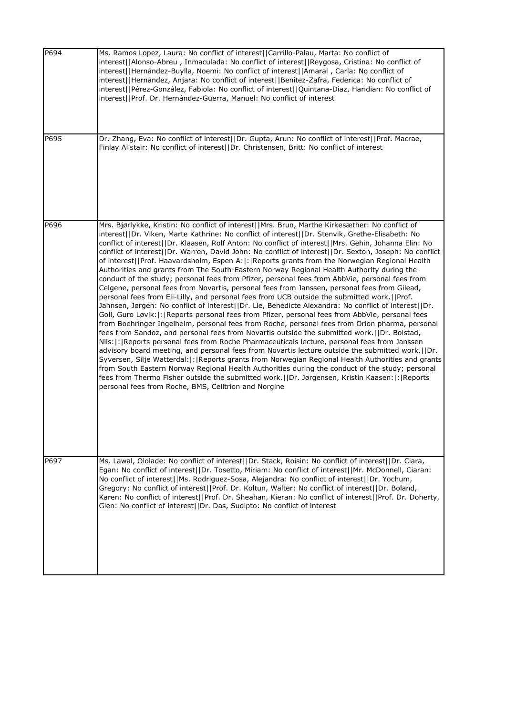| P694 | Ms. Ramos Lopez, Laura: No conflict of interest  Carrillo-Palau, Marta: No conflict of<br>interest  Alonso-Abreu, Inmaculada: No conflict of interest  Reygosa, Cristina: No conflict of<br>interest  Hernández-Buylla, Noemi: No conflict of interest  Amaral, Carla: No conflict of<br>interest  Hernández, Anjara: No conflict of interest  Benítez-Zafra, Federica: No conflict of<br>interest  Pérez-González, Fabiola: No conflict of interest  Quintana-Díaz, Haridian: No conflict of<br>interest  Prof. Dr. Hernández-Guerra, Manuel: No conflict of interest                                                                                                                                                                                                                                                                                                                                                                                                                                                                                                                                                                                                                                                                                                                                                                                                                                                                                                                                                                                                                                                                                                                                                                                                                                                                                                                                        |
|------|---------------------------------------------------------------------------------------------------------------------------------------------------------------------------------------------------------------------------------------------------------------------------------------------------------------------------------------------------------------------------------------------------------------------------------------------------------------------------------------------------------------------------------------------------------------------------------------------------------------------------------------------------------------------------------------------------------------------------------------------------------------------------------------------------------------------------------------------------------------------------------------------------------------------------------------------------------------------------------------------------------------------------------------------------------------------------------------------------------------------------------------------------------------------------------------------------------------------------------------------------------------------------------------------------------------------------------------------------------------------------------------------------------------------------------------------------------------------------------------------------------------------------------------------------------------------------------------------------------------------------------------------------------------------------------------------------------------------------------------------------------------------------------------------------------------------------------------------------------------------------------------------------------------|
| P695 | Dr. Zhang, Eva: No conflict of interest  Dr. Gupta, Arun: No conflict of interest  Prof. Macrae,<br>Finlay Alistair: No conflict of interest  Dr. Christensen, Britt: No conflict of interest                                                                                                                                                                                                                                                                                                                                                                                                                                                                                                                                                                                                                                                                                                                                                                                                                                                                                                                                                                                                                                                                                                                                                                                                                                                                                                                                                                                                                                                                                                                                                                                                                                                                                                                 |
| P696 | Mrs. Bjørlykke, Kristin: No conflict of interest  Mrs. Brun, Marthe Kirkesæther: No conflict of<br>interest  Dr. Viken, Marte Kathrine: No conflict of interest  Dr. Stenvik, Grethe-Elisabeth: No<br>conflict of interest  Dr. Klaasen, Rolf Anton: No conflict of interest  Mrs. Gehin, Johanna Elin: No<br>conflict of interest  Dr. Warren, David John: No conflict of interest  Dr. Sexton, Joseph: No conflict<br>of interest  Prof. Haavardsholm, Espen A: : Reports grants from the Norwegian Regional Health<br>Authorities and grants from The South-Eastern Norway Regional Health Authority during the<br>conduct of the study; personal fees from Pfizer, personal fees from AbbVie, personal fees from<br>Celgene, personal fees from Novartis, personal fees from Janssen, personal fees from Gilead,<br>personal fees from Eli-Lilly, and personal fees from UCB outside the submitted work.  Prof.<br>Jahnsen, Jørgen: No conflict of interest  Dr. Lie, Benedicte Alexandra: No conflict of interest  Dr.<br>Goll, Guro Løvik: : Reports personal fees from Pfizer, personal fees from AbbVie, personal fees<br>from Boehringer Ingelheim, personal fees from Roche, personal fees from Orion pharma, personal<br>fees from Sandoz, and personal fees from Novartis outside the submitted work.  Dr. Bolstad,<br>Nils:  :   Reports personal fees from Roche Pharmaceuticals lecture, personal fees from Janssen<br>advisory board meeting, and personal fees from Novartis lecture outside the submitted work.     Dr.<br>Syversen, Silje Watterdal:  :   Reports grants from Norwegian Regional Health Authorities and grants<br>from South Eastern Norway Regional Health Authorities during the conduct of the study; personal<br>fees from Thermo Fisher outside the submitted work.  Dr. Jørgensen, Kristin Kaasen: : Reports<br>personal fees from Roche, BMS, Celltrion and Norgine |
| P697 | Ms. Lawal, Ololade: No conflict of interest  Dr. Stack, Roisin: No conflict of interest  Dr. Ciara,<br>Egan: No conflict of interest  Dr. Tosetto, Miriam: No conflict of interest  Mr. McDonnell, Ciaran:<br>No conflict of interest  Ms. Rodriguez-Sosa, Alejandra: No conflict of interest  Dr. Yochum,<br>Gregory: No conflict of interest  Prof. Dr. Koltun, Walter: No conflict of interest  Dr. Boland,<br>Karen: No conflict of interest  Prof. Dr. Sheahan, Kieran: No conflict of interest  Prof. Dr. Doherty,<br>Glen: No conflict of interest  Dr. Das, Sudipto: No conflict of interest                                                                                                                                                                                                                                                                                                                                                                                                                                                                                                                                                                                                                                                                                                                                                                                                                                                                                                                                                                                                                                                                                                                                                                                                                                                                                                          |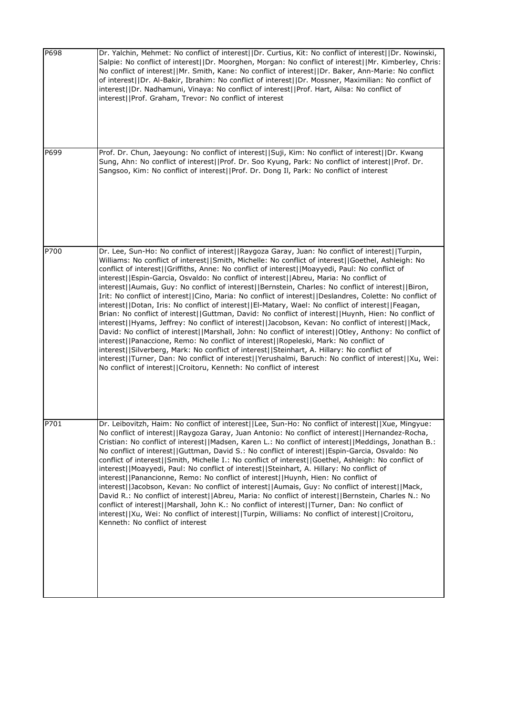| P698 | Dr. Yalchin, Mehmet: No conflict of interest  Dr. Curtius, Kit: No conflict of interest  Dr. Nowinski,<br>Salpie: No conflict of interest  Dr. Moorghen, Morgan: No conflict of interest  Mr. Kimberley, Chris:<br>No conflict of interest  Mr. Smith, Kane: No conflict of interest  Dr. Baker, Ann-Marie: No conflict<br>of interest  Dr. Al-Bakir, Ibrahim: No conflict of interest  Dr. Mossner, Maximilian: No conflict of<br>interest  Dr. Nadhamuni, Vinaya: No conflict of interest  Prof. Hart, Ailsa: No conflict of<br>interest  Prof. Graham, Trevor: No conflict of interest                                                                                                                                                                                                                                                                                                                                                                                                                                                                                                                                                                                                                                                                                                                                                                                                                                |
|------|--------------------------------------------------------------------------------------------------------------------------------------------------------------------------------------------------------------------------------------------------------------------------------------------------------------------------------------------------------------------------------------------------------------------------------------------------------------------------------------------------------------------------------------------------------------------------------------------------------------------------------------------------------------------------------------------------------------------------------------------------------------------------------------------------------------------------------------------------------------------------------------------------------------------------------------------------------------------------------------------------------------------------------------------------------------------------------------------------------------------------------------------------------------------------------------------------------------------------------------------------------------------------------------------------------------------------------------------------------------------------------------------------------------------------|
| P699 | Prof. Dr. Chun, Jaeyoung: No conflict of interest  Suji, Kim: No conflict of interest  Dr. Kwang<br>Sung, Ahn: No conflict of interest  Prof. Dr. Soo Kyung, Park: No conflict of interest  Prof. Dr.<br>Sangsoo, Kim: No conflict of interest  Prof. Dr. Dong Il, Park: No conflict of interest                                                                                                                                                                                                                                                                                                                                                                                                                                                                                                                                                                                                                                                                                                                                                                                                                                                                                                                                                                                                                                                                                                                         |
| P700 | Dr. Lee, Sun-Ho: No conflict of interest  Raygoza Garay, Juan: No conflict of interest  Turpin,<br>Williams: No conflict of interest  Smith, Michelle: No conflict of interest  Goethel, Ashleigh: No<br>conflict of interest  Griffiths, Anne: No conflict of interest  Moayyedi, Paul: No conflict of<br>interest  Espin-Garcia, Osvaldo: No conflict of interest  Abreu, Maria: No conflict of<br>interest  Aumais, Guy: No conflict of interest  Bernstein, Charles: No conflict of interest  Biron,<br>Irit: No conflict of interest  Cino, Maria: No conflict of interest  Deslandres, Colette: No conflict of<br>interest  Dotan, Iris: No conflict of interest  El-Matary, Wael: No conflict of interest  Feagan,<br>Brian: No conflict of interest  Guttman, David: No conflict of interest  Huynh, Hien: No conflict of<br>interest  Hyams, Jeffrey: No conflict of interest  Jacobson, Kevan: No conflict of interest  Mack,<br>David: No conflict of interest  Marshall, John: No conflict of interest  Otley, Anthony: No conflict of<br>interest  Panaccione, Remo: No conflict of interest  Ropeleski, Mark: No conflict of<br>interest  Silverberg, Mark: No conflict of interest  Steinhart, A. Hillary: No conflict of<br>interest  Turner, Dan: No conflict of interest  Yerushalmi, Baruch: No conflict of interest  Xu, Wei:<br>No conflict of interest  Croitoru, Kenneth: No conflict of interest |
| P701 | Dr. Leibovitzh, Haim: No conflict of interest  Lee, Sun-Ho: No conflict of interest  Xue, Mingyue:<br>No conflict of interest  Raygoza Garay, Juan Antonio: No conflict of interest  Hernandez-Rocha,<br>Cristian: No conflict of interest  Madsen, Karen L.: No conflict of interest  Meddings, Jonathan B.:<br>No conflict of interest  Guttman, David S.: No conflict of interest  Espin-Garcia, Osvaldo: No<br>conflict of interest  Smith, Michelle I.: No conflict of interest  Goethel, Ashleigh: No conflict of<br>interest  Moayyedi, Paul: No conflict of interest  Steinhart, A. Hillary: No conflict of<br>interest  Panancionne, Remo: No conflict of interest  Huynh, Hien: No conflict of<br>interest  Jacobson, Kevan: No conflict of interest  Aumais, Guy: No conflict of interest  Mack,<br>David R.: No conflict of interest  Abreu, Maria: No conflict of interest  Bernstein, Charles N.: No<br>conflict of interest  Marshall, John K.: No conflict of interest  Turner, Dan: No conflict of<br>interest  Xu, Wei: No conflict of interest  Turpin, Williams: No conflict of interest  Croitoru,<br>Kenneth: No conflict of interest                                                                                                                                                                                                                                                              |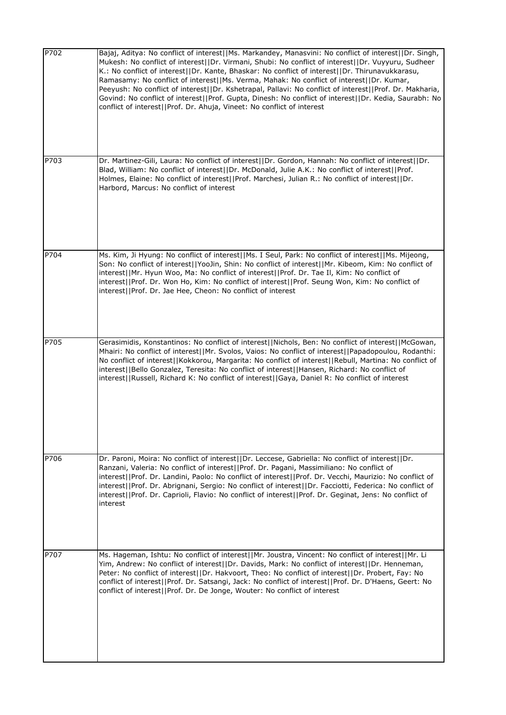| P702 | Bajaj, Aditya: No conflict of interest  Ms. Markandey, Manasvini: No conflict of interest  Dr. Singh,<br>Mukesh: No conflict of interest  Dr. Virmani, Shubi: No conflict of interest  Dr. Vuyyuru, Sudheer<br>K.: No conflict of interest  Dr. Kante, Bhaskar: No conflict of interest  Dr. Thirunavukkarasu,<br>Ramasamy: No conflict of interest  Ms. Verma, Mahak: No conflict of interest  Dr. Kumar,<br>Peeyush: No conflict of interest  Dr. Kshetrapal, Pallavi: No conflict of interest  Prof. Dr. Makharia,<br>Govind: No conflict of interest  Prof. Gupta, Dinesh: No conflict of interest  Dr. Kedia, Saurabh: No<br>conflict of interest  Prof. Dr. Ahuja, Vineet: No conflict of interest |
|------|----------------------------------------------------------------------------------------------------------------------------------------------------------------------------------------------------------------------------------------------------------------------------------------------------------------------------------------------------------------------------------------------------------------------------------------------------------------------------------------------------------------------------------------------------------------------------------------------------------------------------------------------------------------------------------------------------------|
| P703 | Dr. Martinez-Gili, Laura: No conflict of interest  Dr. Gordon, Hannah: No conflict of interest  Dr.<br>Blad, William: No conflict of interest  Dr. McDonald, Julie A.K.: No conflict of interest  Prof.<br>Holmes, Elaine: No conflict of interest  Prof. Marchesi, Julian R.: No conflict of interest  Dr.<br>Harbord, Marcus: No conflict of interest                                                                                                                                                                                                                                                                                                                                                  |
| P704 | Ms. Kim, Ji Hyung: No conflict of interest  Ms. I Seul, Park: No conflict of interest  Ms. Mijeong,<br>Son: No conflict of interest  YooJin, Shin: No conflict of interest  Mr. Kibeom, Kim: No conflict of<br>interest  Mr. Hyun Woo, Ma: No conflict of interest  Prof. Dr. Tae Il, Kim: No conflict of<br>interest  Prof. Dr. Won Ho, Kim: No conflict of interest  Prof. Seung Won, Kim: No conflict of<br>interest  Prof. Dr. Jae Hee, Cheon: No conflict of interest                                                                                                                                                                                                                               |
| P705 | Gerasimidis, Konstantinos: No conflict of interest  Nichols, Ben: No conflict of interest  McGowan,<br>Mhairi: No conflict of interest  Mr. Svolos, Vaios: No conflict of interest  Papadopoulou, Rodanthi:<br>No conflict of interest  Kokkorou, Margarita: No conflict of interest  Rebull, Martina: No conflict of<br>interest  Bello Gonzalez, Teresita: No conflict of interest  Hansen, Richard: No conflict of<br>interest  Russell, Richard K: No conflict of interest  Gaya, Daniel R: No conflict of interest                                                                                                                                                                                  |
| P706 | Dr. Paroni, Moira: No conflict of interest  Dr. Leccese, Gabriella: No conflict of interest  Dr.<br>Ranzani, Valeria: No conflict of interest  Prof. Dr. Pagani, Massimiliano: No conflict of<br>interest  Prof. Dr. Landini, Paolo: No conflict of interest  Prof. Dr. Vecchi, Maurizio: No conflict of<br>interest  Prof. Dr. Abrignani, Sergio: No conflict of interest  Dr. Facciotti, Federica: No conflict of<br>interest  Prof. Dr. Caprioli, Flavio: No conflict of interest  Prof. Dr. Geginat, Jens: No conflict of<br>interest                                                                                                                                                                |
| P707 | Ms. Hageman, Ishtu: No conflict of interest  Mr. Joustra, Vincent: No conflict of interest  Mr. Li<br>Yim, Andrew: No conflict of interest  Dr. Davids, Mark: No conflict of interest  Dr. Henneman,<br>Peter: No conflict of interest  Dr. Hakvoort, Theo: No conflict of interest  Dr. Probert, Fay: No<br>conflict of interest  Prof. Dr. Satsangi, Jack: No conflict of interest  Prof. Dr. D'Haens, Geert: No<br>conflict of interest  Prof. Dr. De Jonge, Wouter: No conflict of interest                                                                                                                                                                                                          |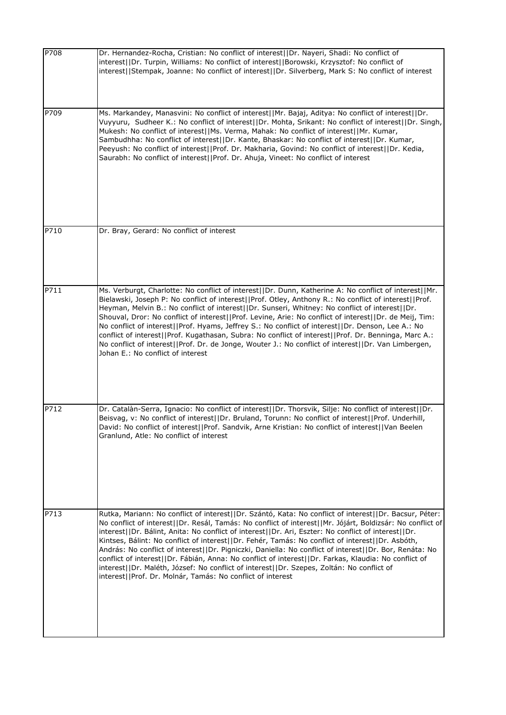| P708 | Dr. Hernandez-Rocha, Cristian: No conflict of interest  Dr. Nayeri, Shadi: No conflict of<br>interest  Dr. Turpin, Williams: No conflict of interest  Borowski, Krzysztof: No conflict of<br>interest  Stempak, Joanne: No conflict of interest  Dr. Silverberg, Mark S: No conflict of interest                                                                                                                                                                                                                                                                                                                                                                                                                                                                                                            |
|------|-------------------------------------------------------------------------------------------------------------------------------------------------------------------------------------------------------------------------------------------------------------------------------------------------------------------------------------------------------------------------------------------------------------------------------------------------------------------------------------------------------------------------------------------------------------------------------------------------------------------------------------------------------------------------------------------------------------------------------------------------------------------------------------------------------------|
| P709 | Ms. Markandey, Manasvini: No conflict of interest  Mr. Bajaj, Aditya: No conflict of interest  Dr.<br>Vuyyuru, Sudheer K.: No conflict of interest  Dr. Mohta, Srikant: No conflict of interest  Dr. Singh,<br>Mukesh: No conflict of interest  Ms. Verma, Mahak: No conflict of interest  Mr. Kumar,<br>Sambudhha: No conflict of interest  Dr. Kante, Bhaskar: No conflict of interest  Dr. Kumar,<br>Peeyush: No conflict of interest  Prof. Dr. Makharia, Govind: No conflict of interest  Dr. Kedia,<br>Saurabh: No conflict of interest  Prof. Dr. Ahuja, Vineet: No conflict of interest                                                                                                                                                                                                             |
| P710 | Dr. Bray, Gerard: No conflict of interest                                                                                                                                                                                                                                                                                                                                                                                                                                                                                                                                                                                                                                                                                                                                                                   |
| P711 | Ms. Verburgt, Charlotte: No conflict of interest  Dr. Dunn, Katherine A: No conflict of interest  Mr.<br>Bielawski, Joseph P: No conflict of interest  Prof. Otley, Anthony R.: No conflict of interest  Prof.<br>Heyman, Melvin B.: No conflict of interest  Dr. Sunseri, Whitney: No conflict of interest  Dr.<br>Shouval, Dror: No conflict of interest  Prof. Levine, Arie: No conflict of interest  Dr. de Meij, Tim:<br>No conflict of interest  Prof. Hyams, Jeffrey S.: No conflict of interest  Dr. Denson, Lee A.: No<br>conflict of interest  Prof. Kugathasan, Subra: No conflict of interest  Prof. Dr. Benninga, Marc A.:<br>No conflict of interest  Prof. Dr. de Jonge, Wouter J.: No conflict of interest  Dr. Van Limbergen,<br>Johan E.: No conflict of interest                         |
| P712 | Dr. Catalàn-Serra, Ignacio: No conflict of interest  Dr. Thorsvik, Silje: No conflict of interest  Dr.<br>Beisvag, v: No conflict of interest  Dr. Bruland, Torunn: No conflict of interest  Prof. Underhill,<br>David: No conflict of interest  Prof. Sandvik, Arne Kristian: No conflict of interest  Van Beelen<br>Granlund, Atle: No conflict of interest                                                                                                                                                                                                                                                                                                                                                                                                                                               |
| P713 | Rutka, Mariann: No conflict of interest  Dr. Szántó, Kata: No conflict of interest  Dr. Bacsur, Péter:<br>No conflict of interest  Dr. Resál, Tamás: No conflict of interest  Mr. Jójárt, Boldizsár: No conflict of<br>interest  Dr. Bálint, Anita: No conflict of interest  Dr. Ari, Eszter: No conflict of interest  Dr.<br>Kintses, Bálint: No conflict of interest  Dr. Fehér, Tamás: No conflict of interest  Dr. Asbóth,<br>András: No conflict of interest  Dr. Pigniczki, Daniella: No conflict of interest  Dr. Bor, Renáta: No<br>conflict of interest  Dr. Fábián, Anna: No conflict of interest  Dr. Farkas, Klaudia: No conflict of<br>interest  Dr. Maléth, József: No conflict of interest  Dr. Szepes, Zoltán: No conflict of<br>interest  Prof. Dr. Molnár, Tamás: No conflict of interest |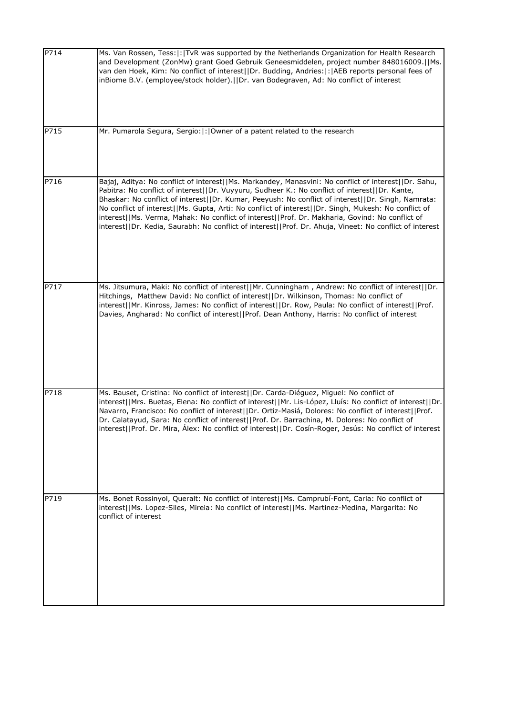| P714 | Ms. Van Rossen, Tess:  :   TvR was supported by the Netherlands Organization for Health Research<br>and Development (ZonMw) grant Goed Gebruik Geneesmiddelen, project number 848016009.  Ms.<br>van den Hoek, Kim: No conflict of interest  Dr. Budding, Andries: : AEB reports personal fees of<br>inBiome B.V. (employee/stock holder).   Dr. van Bodegraven, Ad: No conflict of interest                                                                                                                                                                                                                                       |
|------|------------------------------------------------------------------------------------------------------------------------------------------------------------------------------------------------------------------------------------------------------------------------------------------------------------------------------------------------------------------------------------------------------------------------------------------------------------------------------------------------------------------------------------------------------------------------------------------------------------------------------------|
| P715 | Mr. Pumarola Segura, Sergio:  :   Owner of a patent related to the research                                                                                                                                                                                                                                                                                                                                                                                                                                                                                                                                                        |
| P716 | Bajaj, Aditya: No conflict of interest  Ms. Markandey, Manasvini: No conflict of interest  Dr. Sahu,<br>Pabitra: No conflict of interest  Dr. Vuyyuru, Sudheer K.: No conflict of interest  Dr. Kante,<br>Bhaskar: No conflict of interest  Dr. Kumar, Peeyush: No conflict of interest  Dr. Singh, Namrata:<br>No conflict of interest  Ms. Gupta, Arti: No conflict of interest  Dr. Singh, Mukesh: No conflict of<br>interest  Ms. Verma, Mahak: No conflict of interest  Prof. Dr. Makharia, Govind: No conflict of<br>interest  Dr. Kedia, Saurabh: No conflict of interest  Prof. Dr. Ahuja, Vineet: No conflict of interest |
| P717 | Ms. Jitsumura, Maki: No conflict of interest  Mr. Cunningham, Andrew: No conflict of interest  Dr.<br>Hitchings, Matthew David: No conflict of interest  Dr. Wilkinson, Thomas: No conflict of<br>interest  Mr. Kinross, James: No conflict of interest  Dr. Row, Paula: No conflict of interest  Prof.<br>Davies, Angharad: No conflict of interest  Prof. Dean Anthony, Harris: No conflict of interest                                                                                                                                                                                                                          |
| P718 | Ms. Bauset, Cristina: No conflict of interest  Dr. Carda-Diéguez, Miguel: No conflict of<br>interest  Mrs. Buetas, Elena: No conflict of interest  Mr. Lis-López, Lluís: No conflict of interest  Dr.<br>Navarro, Francisco: No conflict of interest  Dr. Ortiz-Masiá, Dolores: No conflict of interest  Prof.<br>Dr. Calatayud, Sara: No conflict of interest  Prof. Dr. Barrachina, M. Dolores: No conflict of<br>interest  Prof. Dr. Mira, Álex: No conflict of interest  Dr. Cosín-Roger, Jesús: No conflict of interest                                                                                                       |
| P719 | Ms. Bonet Rossinyol, Queralt: No conflict of interest  Ms. Camprubí-Font, Carla: No conflict of<br>interest  Ms. Lopez-Siles, Mireia: No conflict of interest  Ms. Martinez-Medina, Margarita: No<br>conflict of interest                                                                                                                                                                                                                                                                                                                                                                                                          |